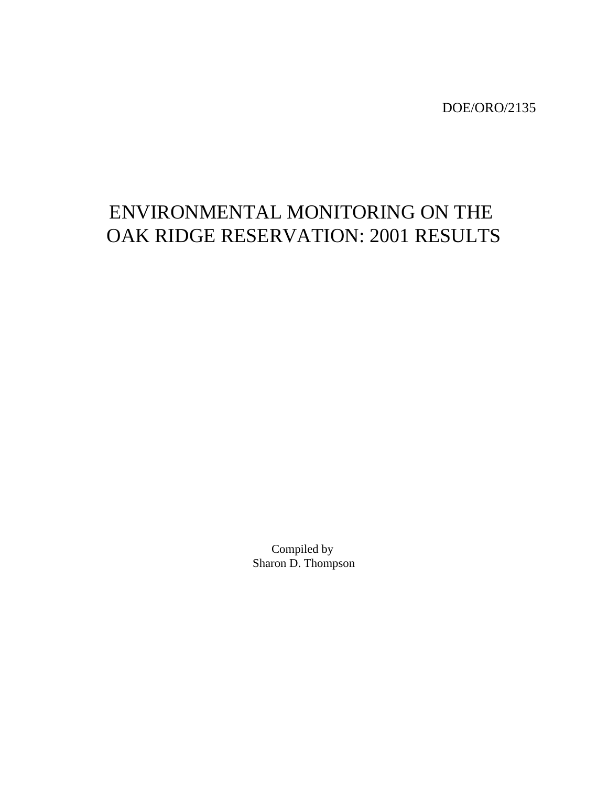DOE/ORO/2135

# ENVIRONMENTAL MONITORING ON THE OAK RIDGE RESERVATION: 2001 RESULTS

Compiled by Sharon D. Thompson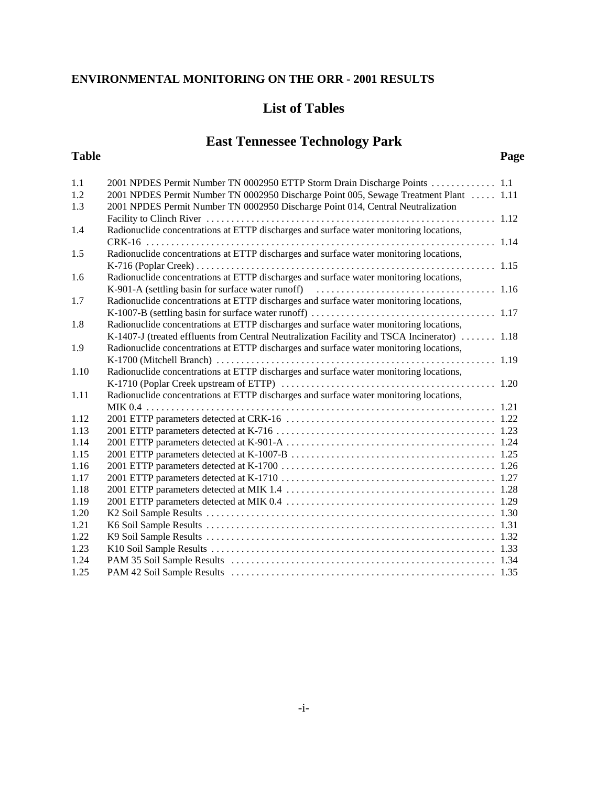### **List of Tables**

## **East Tennessee Technology Park**

#### **Table Page**

| 1.1  | 2001 NPDES Permit Number TN 0002950 ETTP Storm Drain Discharge Points  1.1                   |  |
|------|----------------------------------------------------------------------------------------------|--|
| 1.2  | 2001 NPDES Permit Number TN 0002950 Discharge Point 005, Sewage Treatment Plant  1.11        |  |
| 1.3  | 2001 NPDES Permit Number TN 0002950 Discharge Point 014, Central Neutralization              |  |
|      |                                                                                              |  |
| 1.4  | Radionuclide concentrations at ETTP discharges and surface water monitoring locations,       |  |
|      |                                                                                              |  |
| 1.5  | Radionuclide concentrations at ETTP discharges and surface water monitoring locations,       |  |
|      |                                                                                              |  |
| 1.6  | Radionuclide concentrations at ETTP discharges and surface water monitoring locations,       |  |
|      |                                                                                              |  |
| 1.7  | Radionuclide concentrations at ETTP discharges and surface water monitoring locations,       |  |
|      |                                                                                              |  |
| 1.8  | Radionuclide concentrations at ETTP discharges and surface water monitoring locations,       |  |
|      | K-1407-J (treated effluents from Central Neutralization Facility and TSCA Incinerator)  1.18 |  |
| 1.9  | Radionuclide concentrations at ETTP discharges and surface water monitoring locations,       |  |
|      |                                                                                              |  |
| 1.10 | Radionuclide concentrations at ETTP discharges and surface water monitoring locations,       |  |
|      |                                                                                              |  |
| 1.11 | Radionuclide concentrations at ETTP discharges and surface water monitoring locations,       |  |
|      |                                                                                              |  |
| 1.12 |                                                                                              |  |
| 1.13 |                                                                                              |  |
| 1.14 |                                                                                              |  |
| 1.15 |                                                                                              |  |
| 1.16 |                                                                                              |  |
| 1.17 |                                                                                              |  |
| 1.18 |                                                                                              |  |
| 1.19 |                                                                                              |  |
| 1.20 |                                                                                              |  |
| 1.21 |                                                                                              |  |
| 1.22 |                                                                                              |  |
| 1.23 |                                                                                              |  |
| 1.24 |                                                                                              |  |
| 1.25 |                                                                                              |  |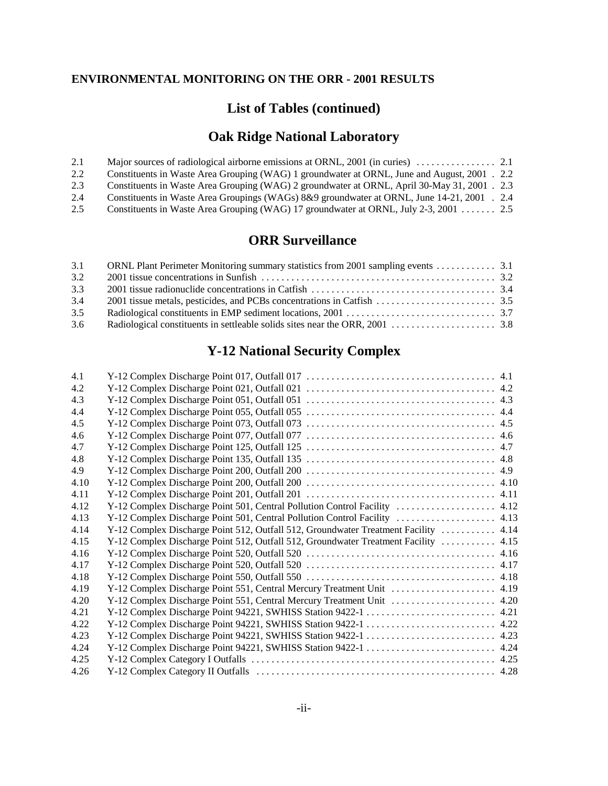### **List of Tables (continued)**

## **Oak Ridge National Laboratory**

| 2.1 |                                                                                              |  |
|-----|----------------------------------------------------------------------------------------------|--|
| 2.2 | Constituents in Waste Area Grouping (WAG) 1 groundwater at ORNL, June and August, 2001 . 2.2 |  |
| 2.3 | Constituents in Waste Area Grouping (WAG) 2 groundwater at ORNL, April 30-May 31, 2001 . 2.3 |  |
| 2.4 | Constituents in Waste Area Groupings (WAGs) 8&9 groundwater at ORNL, June 14-21, 2001 . 2.4  |  |
| 2.5 | Constituents in Waste Area Grouping (WAG) 17 groundwater at ORNL, July 2-3, 2001  2.5        |  |

### **ORR Surveillance**

| ORNL Plant Perimeter Monitoring summary statistics from 2001 sampling events 3.1 |
|----------------------------------------------------------------------------------|

## **Y-12 National Security Complex**

| 4.1  |                                                                                     |  |
|------|-------------------------------------------------------------------------------------|--|
| 4.2  |                                                                                     |  |
| 4.3  |                                                                                     |  |
| 4.4  |                                                                                     |  |
| 4.5  |                                                                                     |  |
| 4.6  |                                                                                     |  |
| 4.7  |                                                                                     |  |
| 4.8  |                                                                                     |  |
| 4.9  |                                                                                     |  |
| 4.10 |                                                                                     |  |
| 4.11 |                                                                                     |  |
| 4.12 | Y-12 Complex Discharge Point 501, Central Pollution Control Facility  4.12          |  |
| 4.13 |                                                                                     |  |
| 4.14 | Y-12 Complex Discharge Point 512, Outfall 512, Groundwater Treatment Facility  4.14 |  |
| 4.15 | Y-12 Complex Discharge Point 512, Outfall 512, Groundwater Treatment Facility  4.15 |  |
| 4.16 |                                                                                     |  |
| 4.17 |                                                                                     |  |
| 4.18 |                                                                                     |  |
| 4.19 |                                                                                     |  |
| 4.20 | Y-12 Complex Discharge Point 551, Central Mercury Treatment Unit  4.20              |  |
| 4.21 |                                                                                     |  |
| 4.22 |                                                                                     |  |
| 4.23 |                                                                                     |  |
| 4.24 |                                                                                     |  |
| 4.25 |                                                                                     |  |
| 4.26 |                                                                                     |  |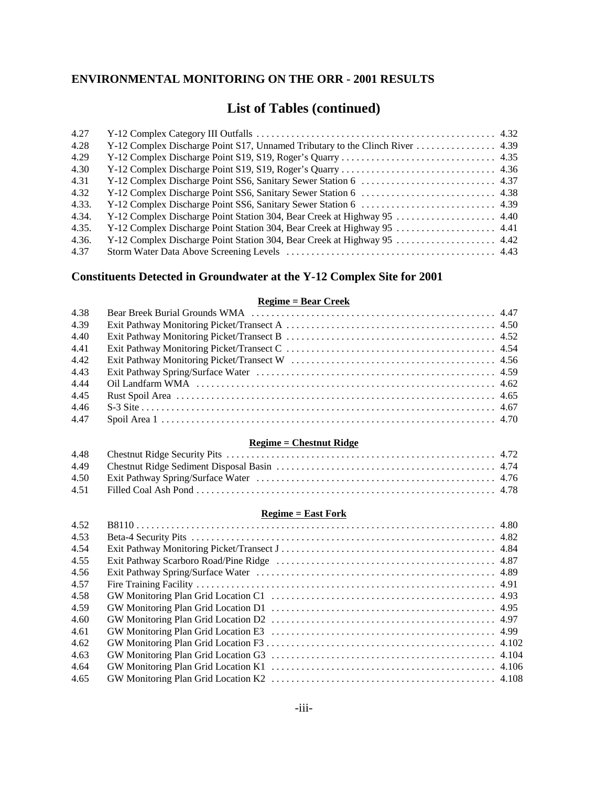### **List of Tables (continued)**

| 4.27  |                                                                          |  |
|-------|--------------------------------------------------------------------------|--|
| 4.28  |                                                                          |  |
| 4.29  |                                                                          |  |
| 4.30  |                                                                          |  |
| 4.31  |                                                                          |  |
| 4.32  |                                                                          |  |
| 4.33. |                                                                          |  |
| 4.34. |                                                                          |  |
| 4.35. | Y-12 Complex Discharge Point Station 304, Bear Creek at Highway 95  4.41 |  |
| 4.36. | Y-12 Complex Discharge Point Station 304, Bear Creek at Highway 95  4.42 |  |
| 4.37  |                                                                          |  |

### **Constituents Detected in Groundwater at the Y-12 Complex Site for 2001**

#### **Regime = Bear Creek**

| 4.38 |  |
|------|--|
| 4.39 |  |
| 4.40 |  |
| 4.41 |  |
| 4.42 |  |
| 4.43 |  |
| 4.44 |  |
| 4.45 |  |
| 4.46 |  |
| 4.47 |  |

#### **Regime = Chestnut Ridge**

#### **Regime = East Fork**

| 4.52 |  |
|------|--|
| 4.53 |  |
| 4.54 |  |
| 4.55 |  |
| 4.56 |  |
| 4.57 |  |
| 4.58 |  |
| 4.59 |  |
| 4.60 |  |
| 4.61 |  |
| 4.62 |  |
| 4.63 |  |
| 4.64 |  |
| 4.65 |  |
|      |  |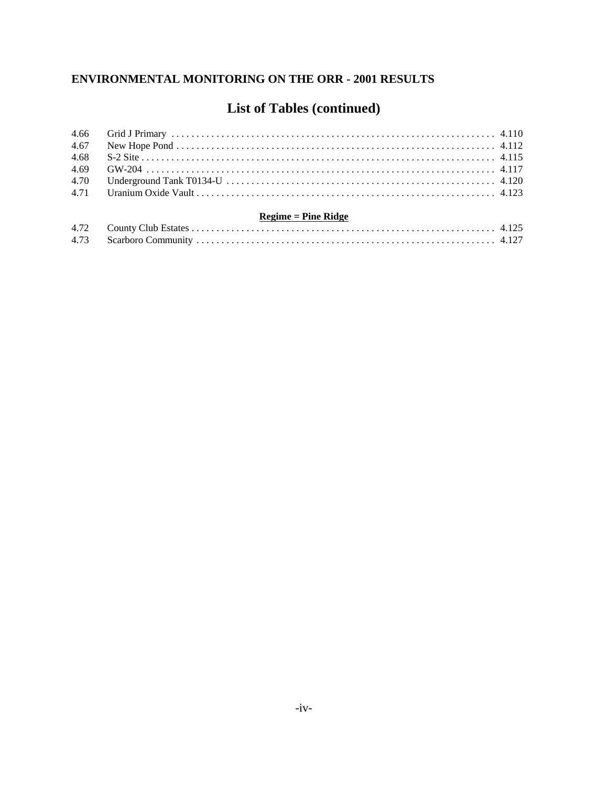## **List of Tables (continued)**

| 4.66 |                       |  |
|------|-----------------------|--|
| 4.67 |                       |  |
| 4.68 |                       |  |
| 4.69 |                       |  |
| 4.70 |                       |  |
|      |                       |  |
|      | $Regime = Pine Ridge$ |  |
| 4.72 |                       |  |
| 4.73 |                       |  |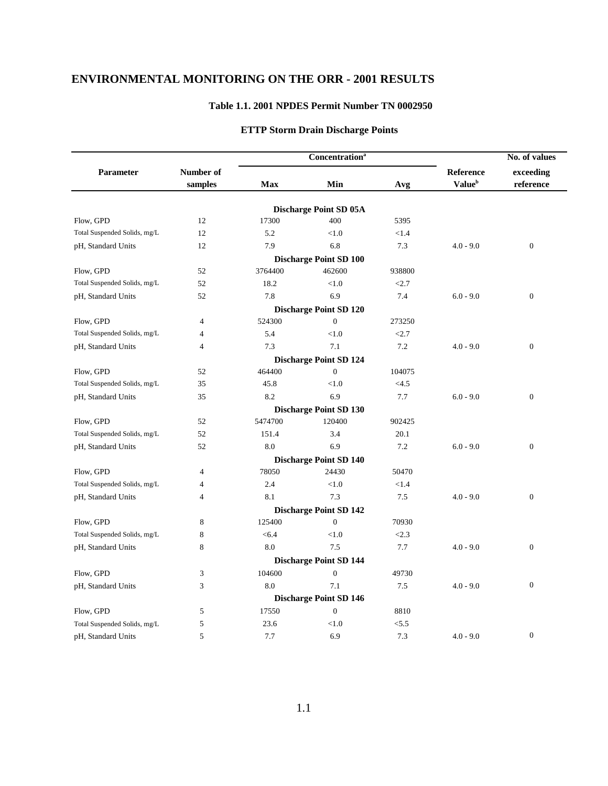#### **Table 1.1. 2001 NPDES Permit Number TN 0002950**

#### **ETTP Storm Drain Discharge Points**

| exceeding<br>Parameter<br>Number of<br>Reference<br><b>Value</b> <sup>b</sup><br>Max<br>Min<br>reference<br>samples<br>Avg<br><b>Discharge Point SD 05A</b><br>Flow, GPD<br>12<br>17300<br>400<br>5395<br>Total Suspended Solids, mg/L<br>12<br>5.2<br>< 1.0<br>< 1.4<br>12<br>7.9<br>6.8<br>7.3<br>$\boldsymbol{0}$<br>pH, Standard Units<br>$4.0 - 9.0$<br><b>Discharge Point SD 100</b><br>3764400<br>Flow, GPD<br>52<br>462600<br>938800<br>Total Suspended Solids, mg/L<br>52<br>18.2<br>< 1.0<br>< 2.7<br>7.8<br>$\boldsymbol{0}$<br>52<br>6.9<br>7.4<br>pH, Standard Units<br>$6.0 - 9.0$<br><b>Discharge Point SD 120</b><br>Flow, GPD<br>524300<br>$\overline{0}$<br>273250<br>4<br>Total Suspended Solids, mg/L<br>5.4<br>< 1.0<br>< 2.7<br>$\overline{4}$<br>7.3<br>7.1<br>7.2<br>$\boldsymbol{0}$<br>pH, Standard Units<br>$\overline{4}$<br>$4.0 - 9.0$<br><b>Discharge Point SD 124</b><br>464400<br>$\boldsymbol{0}$<br>104075<br>Flow, GPD<br>52<br>Total Suspended Solids, mg/L<br>35<br>45.8<br>< 1.0<br><4.5<br>8.2<br>6.9<br>7.7<br>$\overline{0}$<br>35<br>$6.0 - 9.0$<br>pH, Standard Units<br><b>Discharge Point SD 130</b><br>5474700<br>Flow, GPD<br>52<br>120400<br>902425<br>Total Suspended Solids, mg/L<br>52<br>3.4<br>20.1<br>151.4<br>6.9<br>$\overline{0}$<br>52<br>8.0<br>7.2<br>$6.0 - 9.0$<br>pH, Standard Units |  | <b>Concentration</b> <sup>a</sup> | No. of values |  |  |
|------------------------------------------------------------------------------------------------------------------------------------------------------------------------------------------------------------------------------------------------------------------------------------------------------------------------------------------------------------------------------------------------------------------------------------------------------------------------------------------------------------------------------------------------------------------------------------------------------------------------------------------------------------------------------------------------------------------------------------------------------------------------------------------------------------------------------------------------------------------------------------------------------------------------------------------------------------------------------------------------------------------------------------------------------------------------------------------------------------------------------------------------------------------------------------------------------------------------------------------------------------------------------------------------------------------------------------------------------|--|-----------------------------------|---------------|--|--|
|                                                                                                                                                                                                                                                                                                                                                                                                                                                                                                                                                                                                                                                                                                                                                                                                                                                                                                                                                                                                                                                                                                                                                                                                                                                                                                                                                      |  |                                   |               |  |  |
|                                                                                                                                                                                                                                                                                                                                                                                                                                                                                                                                                                                                                                                                                                                                                                                                                                                                                                                                                                                                                                                                                                                                                                                                                                                                                                                                                      |  |                                   |               |  |  |
|                                                                                                                                                                                                                                                                                                                                                                                                                                                                                                                                                                                                                                                                                                                                                                                                                                                                                                                                                                                                                                                                                                                                                                                                                                                                                                                                                      |  |                                   |               |  |  |
|                                                                                                                                                                                                                                                                                                                                                                                                                                                                                                                                                                                                                                                                                                                                                                                                                                                                                                                                                                                                                                                                                                                                                                                                                                                                                                                                                      |  |                                   |               |  |  |
|                                                                                                                                                                                                                                                                                                                                                                                                                                                                                                                                                                                                                                                                                                                                                                                                                                                                                                                                                                                                                                                                                                                                                                                                                                                                                                                                                      |  |                                   |               |  |  |
|                                                                                                                                                                                                                                                                                                                                                                                                                                                                                                                                                                                                                                                                                                                                                                                                                                                                                                                                                                                                                                                                                                                                                                                                                                                                                                                                                      |  |                                   |               |  |  |
|                                                                                                                                                                                                                                                                                                                                                                                                                                                                                                                                                                                                                                                                                                                                                                                                                                                                                                                                                                                                                                                                                                                                                                                                                                                                                                                                                      |  |                                   |               |  |  |
|                                                                                                                                                                                                                                                                                                                                                                                                                                                                                                                                                                                                                                                                                                                                                                                                                                                                                                                                                                                                                                                                                                                                                                                                                                                                                                                                                      |  |                                   |               |  |  |
|                                                                                                                                                                                                                                                                                                                                                                                                                                                                                                                                                                                                                                                                                                                                                                                                                                                                                                                                                                                                                                                                                                                                                                                                                                                                                                                                                      |  |                                   |               |  |  |
|                                                                                                                                                                                                                                                                                                                                                                                                                                                                                                                                                                                                                                                                                                                                                                                                                                                                                                                                                                                                                                                                                                                                                                                                                                                                                                                                                      |  |                                   |               |  |  |
|                                                                                                                                                                                                                                                                                                                                                                                                                                                                                                                                                                                                                                                                                                                                                                                                                                                                                                                                                                                                                                                                                                                                                                                                                                                                                                                                                      |  |                                   |               |  |  |
|                                                                                                                                                                                                                                                                                                                                                                                                                                                                                                                                                                                                                                                                                                                                                                                                                                                                                                                                                                                                                                                                                                                                                                                                                                                                                                                                                      |  |                                   |               |  |  |
|                                                                                                                                                                                                                                                                                                                                                                                                                                                                                                                                                                                                                                                                                                                                                                                                                                                                                                                                                                                                                                                                                                                                                                                                                                                                                                                                                      |  |                                   |               |  |  |
|                                                                                                                                                                                                                                                                                                                                                                                                                                                                                                                                                                                                                                                                                                                                                                                                                                                                                                                                                                                                                                                                                                                                                                                                                                                                                                                                                      |  |                                   |               |  |  |
|                                                                                                                                                                                                                                                                                                                                                                                                                                                                                                                                                                                                                                                                                                                                                                                                                                                                                                                                                                                                                                                                                                                                                                                                                                                                                                                                                      |  |                                   |               |  |  |
|                                                                                                                                                                                                                                                                                                                                                                                                                                                                                                                                                                                                                                                                                                                                                                                                                                                                                                                                                                                                                                                                                                                                                                                                                                                                                                                                                      |  |                                   |               |  |  |
|                                                                                                                                                                                                                                                                                                                                                                                                                                                                                                                                                                                                                                                                                                                                                                                                                                                                                                                                                                                                                                                                                                                                                                                                                                                                                                                                                      |  |                                   |               |  |  |
|                                                                                                                                                                                                                                                                                                                                                                                                                                                                                                                                                                                                                                                                                                                                                                                                                                                                                                                                                                                                                                                                                                                                                                                                                                                                                                                                                      |  |                                   |               |  |  |
|                                                                                                                                                                                                                                                                                                                                                                                                                                                                                                                                                                                                                                                                                                                                                                                                                                                                                                                                                                                                                                                                                                                                                                                                                                                                                                                                                      |  |                                   |               |  |  |
|                                                                                                                                                                                                                                                                                                                                                                                                                                                                                                                                                                                                                                                                                                                                                                                                                                                                                                                                                                                                                                                                                                                                                                                                                                                                                                                                                      |  |                                   |               |  |  |
|                                                                                                                                                                                                                                                                                                                                                                                                                                                                                                                                                                                                                                                                                                                                                                                                                                                                                                                                                                                                                                                                                                                                                                                                                                                                                                                                                      |  |                                   |               |  |  |
|                                                                                                                                                                                                                                                                                                                                                                                                                                                                                                                                                                                                                                                                                                                                                                                                                                                                                                                                                                                                                                                                                                                                                                                                                                                                                                                                                      |  |                                   |               |  |  |
|                                                                                                                                                                                                                                                                                                                                                                                                                                                                                                                                                                                                                                                                                                                                                                                                                                                                                                                                                                                                                                                                                                                                                                                                                                                                                                                                                      |  |                                   |               |  |  |
|                                                                                                                                                                                                                                                                                                                                                                                                                                                                                                                                                                                                                                                                                                                                                                                                                                                                                                                                                                                                                                                                                                                                                                                                                                                                                                                                                      |  | <b>Discharge Point SD 140</b>     |               |  |  |
| Flow, GPD<br>$\overline{4}$<br>78050<br>24430<br>50470                                                                                                                                                                                                                                                                                                                                                                                                                                                                                                                                                                                                                                                                                                                                                                                                                                                                                                                                                                                                                                                                                                                                                                                                                                                                                               |  |                                   |               |  |  |
| 2.4<br>Total Suspended Solids, mg/L<br>< 1.0<br>< 1.4<br>4                                                                                                                                                                                                                                                                                                                                                                                                                                                                                                                                                                                                                                                                                                                                                                                                                                                                                                                                                                                                                                                                                                                                                                                                                                                                                           |  |                                   |               |  |  |
| 8.1<br>7.3<br>7.5<br>$\boldsymbol{0}$<br>pH, Standard Units<br>$\overline{4}$<br>$4.0 - 9.0$                                                                                                                                                                                                                                                                                                                                                                                                                                                                                                                                                                                                                                                                                                                                                                                                                                                                                                                                                                                                                                                                                                                                                                                                                                                         |  |                                   |               |  |  |
| <b>Discharge Point SD 142</b>                                                                                                                                                                                                                                                                                                                                                                                                                                                                                                                                                                                                                                                                                                                                                                                                                                                                                                                                                                                                                                                                                                                                                                                                                                                                                                                        |  |                                   |               |  |  |
| 125400<br>$\Omega$<br>Flow, GPD<br>8<br>70930                                                                                                                                                                                                                                                                                                                                                                                                                                                                                                                                                                                                                                                                                                                                                                                                                                                                                                                                                                                                                                                                                                                                                                                                                                                                                                        |  |                                   |               |  |  |
| Total Suspended Solids, mg/L<br>8<br>< 1.0<br>< 2.3<br>< 6.4                                                                                                                                                                                                                                                                                                                                                                                                                                                                                                                                                                                                                                                                                                                                                                                                                                                                                                                                                                                                                                                                                                                                                                                                                                                                                         |  |                                   |               |  |  |
| 8.0<br>$\boldsymbol{0}$<br>pH, Standard Units<br>8<br>7.5<br>7.7<br>$4.0 - 9.0$                                                                                                                                                                                                                                                                                                                                                                                                                                                                                                                                                                                                                                                                                                                                                                                                                                                                                                                                                                                                                                                                                                                                                                                                                                                                      |  |                                   |               |  |  |
| <b>Discharge Point SD 144</b>                                                                                                                                                                                                                                                                                                                                                                                                                                                                                                                                                                                                                                                                                                                                                                                                                                                                                                                                                                                                                                                                                                                                                                                                                                                                                                                        |  |                                   |               |  |  |
| 104600<br>3<br>$\boldsymbol{0}$<br>Flow, GPD<br>49730                                                                                                                                                                                                                                                                                                                                                                                                                                                                                                                                                                                                                                                                                                                                                                                                                                                                                                                                                                                                                                                                                                                                                                                                                                                                                                |  |                                   |               |  |  |
| $\boldsymbol{0}$<br>8.0<br>3<br>7.1<br>7.5<br>$4.0 - 9.0$<br>pH, Standard Units                                                                                                                                                                                                                                                                                                                                                                                                                                                                                                                                                                                                                                                                                                                                                                                                                                                                                                                                                                                                                                                                                                                                                                                                                                                                      |  |                                   |               |  |  |
| <b>Discharge Point SD 146</b>                                                                                                                                                                                                                                                                                                                                                                                                                                                                                                                                                                                                                                                                                                                                                                                                                                                                                                                                                                                                                                                                                                                                                                                                                                                                                                                        |  |                                   |               |  |  |
| 5<br>17550<br>Flow, GPD<br>$\overline{0}$<br>8810                                                                                                                                                                                                                                                                                                                                                                                                                                                                                                                                                                                                                                                                                                                                                                                                                                                                                                                                                                                                                                                                                                                                                                                                                                                                                                    |  |                                   |               |  |  |
| 23.6<br>< 5.5<br>5<br>< 1.0<br>Total Suspended Solids, mg/L                                                                                                                                                                                                                                                                                                                                                                                                                                                                                                                                                                                                                                                                                                                                                                                                                                                                                                                                                                                                                                                                                                                                                                                                                                                                                          |  |                                   |               |  |  |
| $\boldsymbol{0}$<br>5<br>7.7<br>6.9<br>7.3<br>$4.0 - 9.0$<br>pH, Standard Units                                                                                                                                                                                                                                                                                                                                                                                                                                                                                                                                                                                                                                                                                                                                                                                                                                                                                                                                                                                                                                                                                                                                                                                                                                                                      |  |                                   |               |  |  |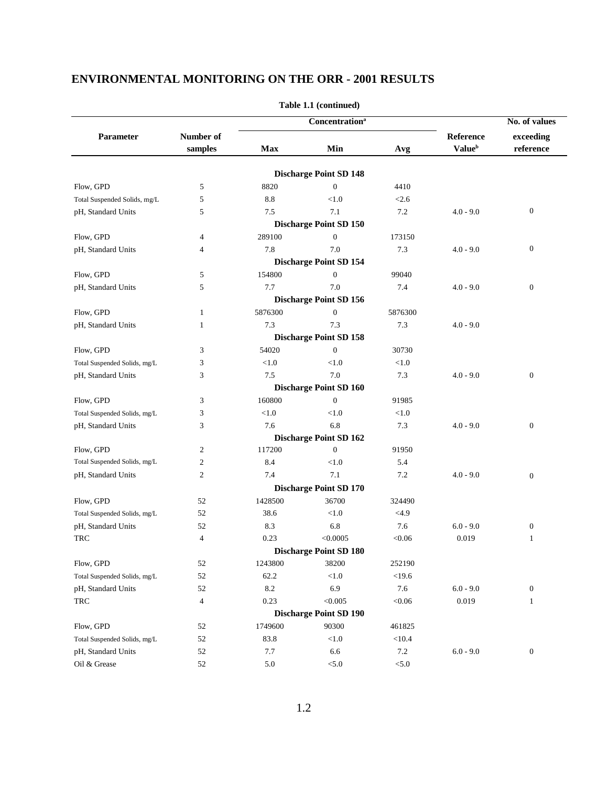| Parameter<br>Number of<br>Reference<br>exceeding<br><b>Value</b> <sup>b</sup><br>Max<br>Min<br>reference<br>samples<br>Avg<br><b>Discharge Point SD 148</b><br>$\overline{0}$<br>Flow, GPD<br>5<br>8820<br>4410<br>5<br>8.8<br>< 1.0<br>< 2.6<br>Total Suspended Solids, mg/L<br>$\boldsymbol{0}$<br>7.5<br>7.1<br>7.2<br>pH, Standard Units<br>5<br>$4.0 - 9.0$<br><b>Discharge Point SD 150</b><br>289100<br>$\boldsymbol{0}$<br>Flow, GPD<br>173150<br>$\overline{4}$<br>$\boldsymbol{0}$<br>7.8<br>7.0<br>7.3<br>$4.0 - 9.0$<br>pH, Standard Units<br>$\overline{4}$<br><b>Discharge Point SD 154</b><br>154800<br>Flow, GPD<br>5<br>$\mathbf{0}$<br>99040<br>5<br>7.7<br>7.0<br>$\boldsymbol{0}$<br>pH, Standard Units<br>7.4<br>$4.0 - 9.0$<br><b>Discharge Point SD 156</b><br>5876300<br>$\boldsymbol{0}$<br>Flow, GPD<br>5876300<br>$\mathbf{1}$<br>7.3<br>7.3<br>7.3<br>pH, Standard Units<br>$\mathbf{1}$<br>$4.0 - 9.0$<br><b>Discharge Point SD 158</b><br>$\boldsymbol{0}$<br>30730<br>Flow, GPD<br>3<br>54020<br>3<br>< 1.0<br>< 1.0<br>< 1.0<br>Total Suspended Solids, mg/L<br>7.5<br>7.0<br>7.3<br>$\boldsymbol{0}$<br>pH, Standard Units<br>3<br>$4.0 - 9.0$<br><b>Discharge Point SD 160</b><br>160800<br>$\overline{0}$<br>Flow, GPD<br>3<br>91985<br>< 1.0<br>${<}1.0$<br>3<br>< 1.0<br>Total Suspended Solids, mg/L<br>6.8<br>7.6<br>7.3<br>$\boldsymbol{0}$<br>3<br>$4.0 - 9.0$<br>pH, Standard Units<br><b>Discharge Point SD 162</b> |  | <b>Concentration</b> <sup>a</sup> |  |  | No. of values |
|----------------------------------------------------------------------------------------------------------------------------------------------------------------------------------------------------------------------------------------------------------------------------------------------------------------------------------------------------------------------------------------------------------------------------------------------------------------------------------------------------------------------------------------------------------------------------------------------------------------------------------------------------------------------------------------------------------------------------------------------------------------------------------------------------------------------------------------------------------------------------------------------------------------------------------------------------------------------------------------------------------------------------------------------------------------------------------------------------------------------------------------------------------------------------------------------------------------------------------------------------------------------------------------------------------------------------------------------------------------------------------------------------------------------------------------------------------------|--|-----------------------------------|--|--|---------------|
|                                                                                                                                                                                                                                                                                                                                                                                                                                                                                                                                                                                                                                                                                                                                                                                                                                                                                                                                                                                                                                                                                                                                                                                                                                                                                                                                                                                                                                                                |  |                                   |  |  |               |
|                                                                                                                                                                                                                                                                                                                                                                                                                                                                                                                                                                                                                                                                                                                                                                                                                                                                                                                                                                                                                                                                                                                                                                                                                                                                                                                                                                                                                                                                |  |                                   |  |  |               |
|                                                                                                                                                                                                                                                                                                                                                                                                                                                                                                                                                                                                                                                                                                                                                                                                                                                                                                                                                                                                                                                                                                                                                                                                                                                                                                                                                                                                                                                                |  |                                   |  |  |               |
|                                                                                                                                                                                                                                                                                                                                                                                                                                                                                                                                                                                                                                                                                                                                                                                                                                                                                                                                                                                                                                                                                                                                                                                                                                                                                                                                                                                                                                                                |  |                                   |  |  |               |
|                                                                                                                                                                                                                                                                                                                                                                                                                                                                                                                                                                                                                                                                                                                                                                                                                                                                                                                                                                                                                                                                                                                                                                                                                                                                                                                                                                                                                                                                |  |                                   |  |  |               |
|                                                                                                                                                                                                                                                                                                                                                                                                                                                                                                                                                                                                                                                                                                                                                                                                                                                                                                                                                                                                                                                                                                                                                                                                                                                                                                                                                                                                                                                                |  |                                   |  |  |               |
|                                                                                                                                                                                                                                                                                                                                                                                                                                                                                                                                                                                                                                                                                                                                                                                                                                                                                                                                                                                                                                                                                                                                                                                                                                                                                                                                                                                                                                                                |  |                                   |  |  |               |
|                                                                                                                                                                                                                                                                                                                                                                                                                                                                                                                                                                                                                                                                                                                                                                                                                                                                                                                                                                                                                                                                                                                                                                                                                                                                                                                                                                                                                                                                |  |                                   |  |  |               |
|                                                                                                                                                                                                                                                                                                                                                                                                                                                                                                                                                                                                                                                                                                                                                                                                                                                                                                                                                                                                                                                                                                                                                                                                                                                                                                                                                                                                                                                                |  |                                   |  |  |               |
|                                                                                                                                                                                                                                                                                                                                                                                                                                                                                                                                                                                                                                                                                                                                                                                                                                                                                                                                                                                                                                                                                                                                                                                                                                                                                                                                                                                                                                                                |  |                                   |  |  |               |
|                                                                                                                                                                                                                                                                                                                                                                                                                                                                                                                                                                                                                                                                                                                                                                                                                                                                                                                                                                                                                                                                                                                                                                                                                                                                                                                                                                                                                                                                |  |                                   |  |  |               |
|                                                                                                                                                                                                                                                                                                                                                                                                                                                                                                                                                                                                                                                                                                                                                                                                                                                                                                                                                                                                                                                                                                                                                                                                                                                                                                                                                                                                                                                                |  |                                   |  |  |               |
|                                                                                                                                                                                                                                                                                                                                                                                                                                                                                                                                                                                                                                                                                                                                                                                                                                                                                                                                                                                                                                                                                                                                                                                                                                                                                                                                                                                                                                                                |  |                                   |  |  |               |
|                                                                                                                                                                                                                                                                                                                                                                                                                                                                                                                                                                                                                                                                                                                                                                                                                                                                                                                                                                                                                                                                                                                                                                                                                                                                                                                                                                                                                                                                |  |                                   |  |  |               |
|                                                                                                                                                                                                                                                                                                                                                                                                                                                                                                                                                                                                                                                                                                                                                                                                                                                                                                                                                                                                                                                                                                                                                                                                                                                                                                                                                                                                                                                                |  |                                   |  |  |               |
|                                                                                                                                                                                                                                                                                                                                                                                                                                                                                                                                                                                                                                                                                                                                                                                                                                                                                                                                                                                                                                                                                                                                                                                                                                                                                                                                                                                                                                                                |  |                                   |  |  |               |
|                                                                                                                                                                                                                                                                                                                                                                                                                                                                                                                                                                                                                                                                                                                                                                                                                                                                                                                                                                                                                                                                                                                                                                                                                                                                                                                                                                                                                                                                |  |                                   |  |  |               |
|                                                                                                                                                                                                                                                                                                                                                                                                                                                                                                                                                                                                                                                                                                                                                                                                                                                                                                                                                                                                                                                                                                                                                                                                                                                                                                                                                                                                                                                                |  |                                   |  |  |               |
|                                                                                                                                                                                                                                                                                                                                                                                                                                                                                                                                                                                                                                                                                                                                                                                                                                                                                                                                                                                                                                                                                                                                                                                                                                                                                                                                                                                                                                                                |  |                                   |  |  |               |
|                                                                                                                                                                                                                                                                                                                                                                                                                                                                                                                                                                                                                                                                                                                                                                                                                                                                                                                                                                                                                                                                                                                                                                                                                                                                                                                                                                                                                                                                |  |                                   |  |  |               |
|                                                                                                                                                                                                                                                                                                                                                                                                                                                                                                                                                                                                                                                                                                                                                                                                                                                                                                                                                                                                                                                                                                                                                                                                                                                                                                                                                                                                                                                                |  |                                   |  |  |               |
|                                                                                                                                                                                                                                                                                                                                                                                                                                                                                                                                                                                                                                                                                                                                                                                                                                                                                                                                                                                                                                                                                                                                                                                                                                                                                                                                                                                                                                                                |  |                                   |  |  |               |
|                                                                                                                                                                                                                                                                                                                                                                                                                                                                                                                                                                                                                                                                                                                                                                                                                                                                                                                                                                                                                                                                                                                                                                                                                                                                                                                                                                                                                                                                |  |                                   |  |  |               |
|                                                                                                                                                                                                                                                                                                                                                                                                                                                                                                                                                                                                                                                                                                                                                                                                                                                                                                                                                                                                                                                                                                                                                                                                                                                                                                                                                                                                                                                                |  |                                   |  |  |               |
| 117200<br>Flow, GPD<br>$\overline{c}$<br>$\mathbf{0}$<br>91950                                                                                                                                                                                                                                                                                                                                                                                                                                                                                                                                                                                                                                                                                                                                                                                                                                                                                                                                                                                                                                                                                                                                                                                                                                                                                                                                                                                                 |  |                                   |  |  |               |
| Total Suspended Solids, mg/L<br>$\sqrt{2}$<br>8.4<br>< 1.0<br>5.4                                                                                                                                                                                                                                                                                                                                                                                                                                                                                                                                                                                                                                                                                                                                                                                                                                                                                                                                                                                                                                                                                                                                                                                                                                                                                                                                                                                              |  |                                   |  |  |               |
| $\mathfrak{2}$<br>7.1<br>7.4<br>7.2<br>pH, Standard Units<br>$4.0 - 9.0$<br>$\boldsymbol{0}$                                                                                                                                                                                                                                                                                                                                                                                                                                                                                                                                                                                                                                                                                                                                                                                                                                                                                                                                                                                                                                                                                                                                                                                                                                                                                                                                                                   |  |                                   |  |  |               |
| <b>Discharge Point SD 170</b>                                                                                                                                                                                                                                                                                                                                                                                                                                                                                                                                                                                                                                                                                                                                                                                                                                                                                                                                                                                                                                                                                                                                                                                                                                                                                                                                                                                                                                  |  |                                   |  |  |               |
| 1428500<br>36700<br>Flow, GPD<br>52<br>324490                                                                                                                                                                                                                                                                                                                                                                                                                                                                                                                                                                                                                                                                                                                                                                                                                                                                                                                                                                                                                                                                                                                                                                                                                                                                                                                                                                                                                  |  |                                   |  |  |               |
| 52<br>38.6<br>< 1.0<br><4.9<br>Total Suspended Solids, mg/L                                                                                                                                                                                                                                                                                                                                                                                                                                                                                                                                                                                                                                                                                                                                                                                                                                                                                                                                                                                                                                                                                                                                                                                                                                                                                                                                                                                                    |  |                                   |  |  |               |
| 8.3<br>6.8<br>pH, Standard Units<br>52<br>7.6<br>$6.0 - 9.0$<br>$\boldsymbol{0}$                                                                                                                                                                                                                                                                                                                                                                                                                                                                                                                                                                                                                                                                                                                                                                                                                                                                                                                                                                                                                                                                                                                                                                                                                                                                                                                                                                               |  |                                   |  |  |               |
| 0.23<br>< 0.0005<br><b>TRC</b><br>$\overline{4}$<br>< 0.06<br>0.019<br>$\mathbf{1}$                                                                                                                                                                                                                                                                                                                                                                                                                                                                                                                                                                                                                                                                                                                                                                                                                                                                                                                                                                                                                                                                                                                                                                                                                                                                                                                                                                            |  |                                   |  |  |               |
| <b>Discharge Point SD 180</b>                                                                                                                                                                                                                                                                                                                                                                                                                                                                                                                                                                                                                                                                                                                                                                                                                                                                                                                                                                                                                                                                                                                                                                                                                                                                                                                                                                                                                                  |  |                                   |  |  |               |
| Flow, GPD<br>52<br>1243800<br>38200<br>252190                                                                                                                                                                                                                                                                                                                                                                                                                                                                                                                                                                                                                                                                                                                                                                                                                                                                                                                                                                                                                                                                                                                                                                                                                                                                                                                                                                                                                  |  |                                   |  |  |               |
| 52<br>$<$ 19.6<br>62.2<br>< 1.0<br>Total Suspended Solids, mg/L                                                                                                                                                                                                                                                                                                                                                                                                                                                                                                                                                                                                                                                                                                                                                                                                                                                                                                                                                                                                                                                                                                                                                                                                                                                                                                                                                                                                |  |                                   |  |  |               |
| 8.2<br>6.9<br>$7.6\,$<br>$6.0 - 9.0$<br>$\boldsymbol{0}$<br>pH, Standard Units<br>52                                                                                                                                                                                                                                                                                                                                                                                                                                                                                                                                                                                                                                                                                                                                                                                                                                                                                                                                                                                                                                                                                                                                                                                                                                                                                                                                                                           |  |                                   |  |  |               |
| 0.23<br>< 0.005<br>< 0.06<br>0.019<br><b>TRC</b><br>$\overline{4}$<br>$\mathbf{1}$                                                                                                                                                                                                                                                                                                                                                                                                                                                                                                                                                                                                                                                                                                                                                                                                                                                                                                                                                                                                                                                                                                                                                                                                                                                                                                                                                                             |  |                                   |  |  |               |
| <b>Discharge Point SD 190</b>                                                                                                                                                                                                                                                                                                                                                                                                                                                                                                                                                                                                                                                                                                                                                                                                                                                                                                                                                                                                                                                                                                                                                                                                                                                                                                                                                                                                                                  |  |                                   |  |  |               |
| 1749600<br>90300<br>461825<br>Flow, GPD<br>52                                                                                                                                                                                                                                                                                                                                                                                                                                                                                                                                                                                                                                                                                                                                                                                                                                                                                                                                                                                                                                                                                                                                                                                                                                                                                                                                                                                                                  |  |                                   |  |  |               |
| 52<br>83.8<br>< 1.0<br>< 10.4<br>Total Suspended Solids, mg/L                                                                                                                                                                                                                                                                                                                                                                                                                                                                                                                                                                                                                                                                                                                                                                                                                                                                                                                                                                                                                                                                                                                                                                                                                                                                                                                                                                                                  |  |                                   |  |  |               |
| $7.2\,$<br>52<br>7.7<br>6.6<br>$6.0 - 9.0$<br>$\boldsymbol{0}$<br>pH, Standard Units                                                                                                                                                                                                                                                                                                                                                                                                                                                                                                                                                                                                                                                                                                                                                                                                                                                                                                                                                                                                                                                                                                                                                                                                                                                                                                                                                                           |  |                                   |  |  |               |
| Oil & Grease<br>52<br>5.0<br>$< 5.0$<br>< 5.0                                                                                                                                                                                                                                                                                                                                                                                                                                                                                                                                                                                                                                                                                                                                                                                                                                                                                                                                                                                                                                                                                                                                                                                                                                                                                                                                                                                                                  |  |                                   |  |  |               |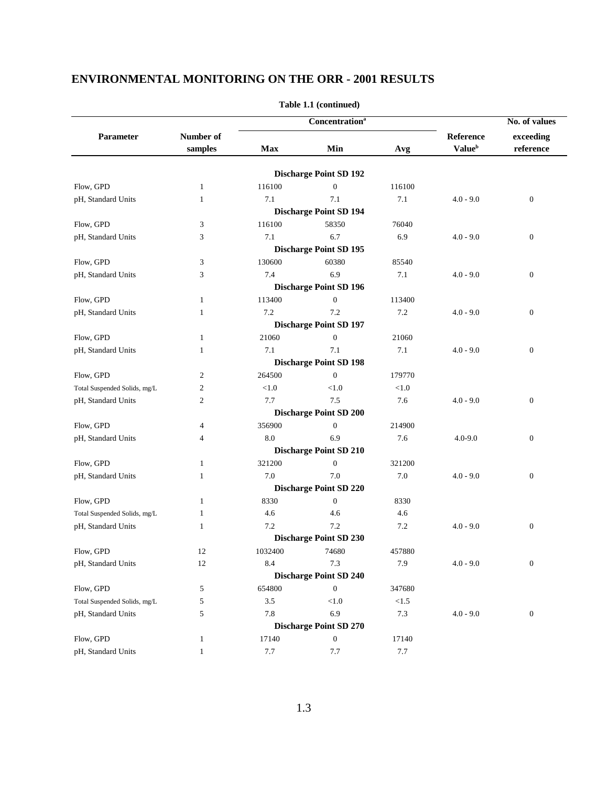|                              |                |         | Concentration <sup>a</sup>    |         | No. of values             |                  |  |
|------------------------------|----------------|---------|-------------------------------|---------|---------------------------|------------------|--|
| Parameter                    | Number of      |         |                               |         | Reference                 | exceeding        |  |
|                              | samples        | Max     | Min                           | Avg     | <b>Value</b> <sup>b</sup> | reference        |  |
|                              |                |         | <b>Discharge Point SD 192</b> |         |                           |                  |  |
| Flow, GPD                    | 1              | 116100  | $\boldsymbol{0}$              | 116100  |                           |                  |  |
| pH, Standard Units           | $\mathbf{1}$   | 7.1     | 7.1                           | 7.1     | $4.0 - 9.0$               | $\boldsymbol{0}$ |  |
|                              |                |         | <b>Discharge Point SD 194</b> |         |                           |                  |  |
| Flow, GPD                    | 3              | 116100  | 58350                         | 76040   |                           |                  |  |
| pH, Standard Units           | 3              | 7.1     | 6.7                           | 6.9     | $4.0 - 9.0$               | $\boldsymbol{0}$ |  |
|                              |                |         | <b>Discharge Point SD 195</b> |         |                           |                  |  |
| Flow, GPD                    | 3              | 130600  | 60380                         | 85540   |                           |                  |  |
| pH, Standard Units           | 3              | 7.4     | 6.9                           | 7.1     | $4.0 - 9.0$               | $\mathbf{0}$     |  |
|                              |                |         | <b>Discharge Point SD 196</b> |         |                           |                  |  |
| Flow, GPD                    | 1              | 113400  | $\boldsymbol{0}$              | 113400  |                           |                  |  |
| pH, Standard Units           | $\mathbf{1}$   | 7.2     | 7.2                           | 7.2     | $4.0 - 9.0$               | $\boldsymbol{0}$ |  |
|                              |                |         | <b>Discharge Point SD 197</b> |         |                           |                  |  |
| Flow, GPD                    | 1              | 21060   | $\mathbf{0}$                  | 21060   |                           |                  |  |
| pH, Standard Units           | 1              | 7.1     | 7.1                           | 7.1     | $4.0 - 9.0$               | $\mathbf{0}$     |  |
|                              |                |         | <b>Discharge Point SD 198</b> |         |                           |                  |  |
| Flow, GPD                    | $\mathfrak{2}$ | 264500  | $\overline{0}$                | 179770  |                           |                  |  |
| Total Suspended Solids, mg/L | $\mathfrak{2}$ | < 1.0   | < 1.0                         | < 1.0   |                           |                  |  |
| pH, Standard Units           | $\overline{2}$ | 7.7     | 7.5                           | 7.6     | $4.0 - 9.0$               | $\mathbf{0}$     |  |
|                              |                |         | <b>Discharge Point SD 200</b> |         |                           |                  |  |
| Flow, GPD                    | 4              | 356900  | $\mathbf{0}$                  | 214900  |                           |                  |  |
| pH, Standard Units           | $\overline{4}$ | 8.0     | 6.9                           | 7.6     | $4.0 - 9.0$               | $\boldsymbol{0}$ |  |
|                              |                |         | <b>Discharge Point SD 210</b> |         |                           |                  |  |
| Flow, GPD                    | 1              | 321200  | $\boldsymbol{0}$              | 321200  |                           |                  |  |
| pH, Standard Units           | 1              | 7.0     | 7.0                           | 7.0     | $4.0 - 9.0$               | $\mathbf{0}$     |  |
|                              |                |         | <b>Discharge Point SD 220</b> |         |                           |                  |  |
| Flow, GPD                    | 1              | 8330    | $\mathbf{0}$                  | 8330    |                           |                  |  |
| Total Suspended Solids, mg/L | 1              | 4.6     | 4.6                           | 4.6     |                           |                  |  |
| pH, Standard Units           | 1              | 7.2     | 7.2                           | 7.2     | $4.0 - 9.0$               | $\boldsymbol{0}$ |  |
|                              |                |         | <b>Discharge Point SD 230</b> |         |                           |                  |  |
| Flow, GPD                    | 12             | 1032400 | 74680                         | 457880  |                           |                  |  |
| pH, Standard Units           | 12             | 8.4     | $7.3\,$                       | 7.9     | $4.0 - 9.0$               | $\boldsymbol{0}$ |  |
|                              |                |         | <b>Discharge Point SD 240</b> |         |                           |                  |  |
| Flow, GPD                    | 5              | 654800  | $\mathbf{0}$                  | 347680  |                           |                  |  |
| Total Suspended Solids, mg/L | 5              | $3.5\,$ | < 1.0                         | $<1.5$  |                           |                  |  |
| pH, Standard Units           | 5              | 7.8     | 6.9                           | 7.3     | $4.0 - 9.0$               | $\boldsymbol{0}$ |  |
|                              |                |         | <b>Discharge Point SD 270</b> |         |                           |                  |  |
| Flow, GPD                    | $\mathbf{1}$   | 17140   | $\boldsymbol{0}$              | 17140   |                           |                  |  |
| pH, Standard Units           | $\mathbf{1}$   | 7.7     | 7.7                           | $7.7\,$ |                           |                  |  |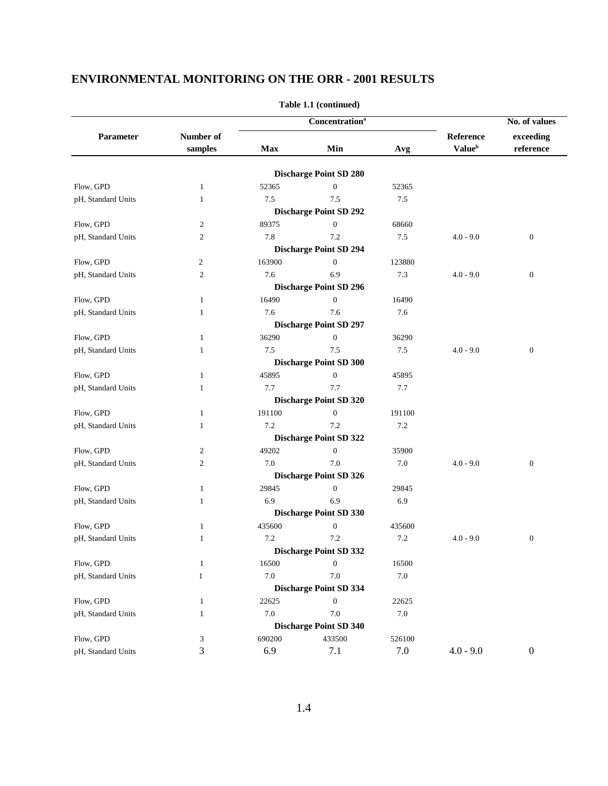|                    |                |         | <b>Concentration</b> <sup>a</sup> |         |                           | No. of values    |  |
|--------------------|----------------|---------|-----------------------------------|---------|---------------------------|------------------|--|
| Parameter          | Number of      |         |                                   |         | Reference                 | exceeding        |  |
|                    | samples        | Max     | Min                               | Avg     | <b>Value</b> <sup>b</sup> | reference        |  |
|                    |                |         | <b>Discharge Point SD 280</b>     |         |                           |                  |  |
| Flow, GPD          | $\mathbf{1}$   | 52365   | $\boldsymbol{0}$                  | 52365   |                           |                  |  |
| pH, Standard Units | 1              | 7.5     | 7.5                               | 7.5     |                           |                  |  |
|                    |                |         | <b>Discharge Point SD 292</b>     |         |                           |                  |  |
| Flow, GPD          | $\overline{2}$ | 89375   | $\boldsymbol{0}$                  | 68660   |                           |                  |  |
| pH, Standard Units | $\overline{2}$ | 7.8     | 7.2                               | 7.5     | $4.0 - 9.0$               | $\boldsymbol{0}$ |  |
|                    |                |         | <b>Discharge Point SD 294</b>     |         |                           |                  |  |
| Flow, GPD          | 2              | 163900  | $\mathbf{0}$                      | 123880  |                           |                  |  |
| pH, Standard Units | $\overline{2}$ | 7.6     | 6.9                               | 7.3     | $4.0 - 9.0$               | $\boldsymbol{0}$ |  |
|                    |                |         | <b>Discharge Point SD 296</b>     |         |                           |                  |  |
| Flow, GPD          | 1              | 16490   | $\boldsymbol{0}$                  | 16490   |                           |                  |  |
| pH, Standard Units | $\mathbf{1}$   | 7.6     | 7.6                               | 7.6     |                           |                  |  |
|                    |                |         | <b>Discharge Point SD 297</b>     |         |                           |                  |  |
| Flow, GPD          | 1              | 36290   | $\boldsymbol{0}$                  | 36290   |                           |                  |  |
| pH, Standard Units | 1              | 7.5     | 7.5                               | 7.5     | $4.0 - 9.0$               | $\mathbf{0}$     |  |
|                    |                |         | <b>Discharge Point SD 300</b>     |         |                           |                  |  |
| Flow, GPD          | 1              | 45895   | $\mathbf{0}$                      | 45895   |                           |                  |  |
| pH, Standard Units | 1              | 7.7     | 7.7                               | 7.7     |                           |                  |  |
|                    |                |         | <b>Discharge Point SD 320</b>     |         |                           |                  |  |
| Flow, GPD          | $\mathbf{1}$   | 191100  | $\boldsymbol{0}$                  | 191100  |                           |                  |  |
| pH, Standard Units | 1              | 7.2     | 7.2                               | 7.2     |                           |                  |  |
|                    |                |         | <b>Discharge Point SD 322</b>     |         |                           |                  |  |
| Flow, GPD          | $\overline{2}$ | 49202   | $\boldsymbol{0}$                  | 35900   |                           |                  |  |
| pH, Standard Units | $\overline{2}$ | 7.0     | 7.0                               | 7.0     | $4.0 - 9.0$               | $\mathbf{0}$     |  |
|                    |                |         | <b>Discharge Point SD 326</b>     |         |                           |                  |  |
| Flow, GPD          | 1              | 29845   | $\boldsymbol{0}$                  | 29845   |                           |                  |  |
| pH, Standard Units | 1              | 6.9     | 6.9                               | 6.9     |                           |                  |  |
|                    |                |         | <b>Discharge Point SD 330</b>     |         |                           |                  |  |
| Flow, GPD          | 1              | 435600  | $\boldsymbol{0}$                  | 435600  |                           |                  |  |
| pH, Standard Units | 1              | 7.2     | 7.2                               | 7.2     | $4.0 - 9.0$               | $\boldsymbol{0}$ |  |
|                    |                |         | <b>Discharge Point SD 332</b>     |         |                           |                  |  |
| Flow, GPD          | $\mathbf{1}$   | 16500   | $\boldsymbol{0}$                  | 16500   |                           |                  |  |
| pH, Standard Units | 1              | $7.0\,$ | 7.0                               | $7.0\,$ |                           |                  |  |
|                    |                |         | <b>Discharge Point SD 334</b>     |         |                           |                  |  |
| Flow, GPD          | 1              | 22625   | $\boldsymbol{0}$                  | 22625   |                           |                  |  |
| pH, Standard Units | $\mathbf{1}$   | $7.0\,$ | 7.0                               | $7.0\,$ |                           |                  |  |
|                    |                |         | <b>Discharge Point SD 340</b>     |         |                           |                  |  |
| Flow, GPD          | 3              | 690200  | 433500                            | 526100  |                           |                  |  |
| pH, Standard Units | 3              | 6.9     | 7.1                               | 7.0     | $4.0 - 9.0$               | $\boldsymbol{0}$ |  |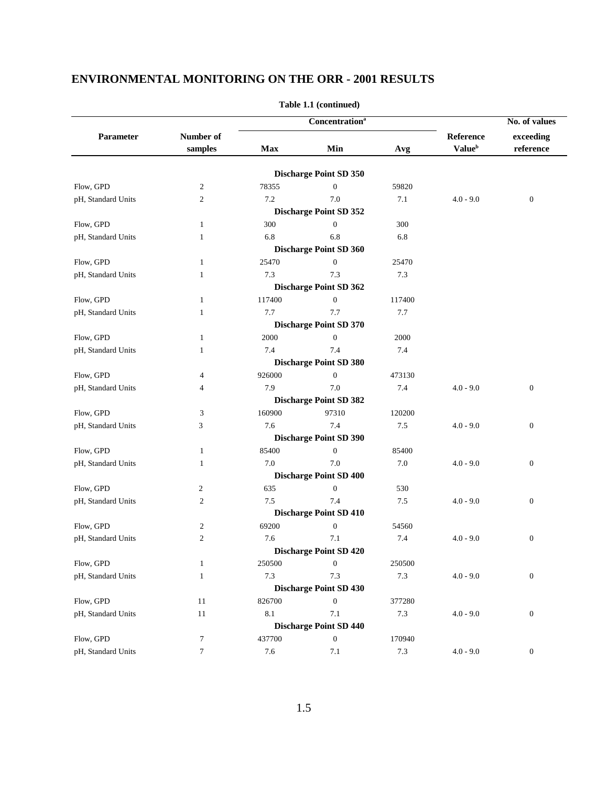|                    |                |        | <b>Concentration</b> <sup>a</sup> |        | No. of values             |                  |
|--------------------|----------------|--------|-----------------------------------|--------|---------------------------|------------------|
| Parameter          | Number of      |        |                                   |        | Reference                 | exceeding        |
|                    | samples        | Max    | Min                               | Avg    | <b>Value</b> <sup>b</sup> | reference        |
|                    |                |        | <b>Discharge Point SD 350</b>     |        |                           |                  |
| Flow, GPD          | $\overline{c}$ | 78355  | $\boldsymbol{0}$                  | 59820  |                           |                  |
| pH, Standard Units | $\overline{2}$ | 7.2    | 7.0                               | 7.1    | $4.0 - 9.0$               | $\boldsymbol{0}$ |
|                    |                |        | <b>Discharge Point SD 352</b>     |        |                           |                  |
| Flow, GPD          | 1              | 300    | $\boldsymbol{0}$                  | 300    |                           |                  |
| pH, Standard Units | 1              | 6.8    | 6.8                               | 6.8    |                           |                  |
|                    |                |        | <b>Discharge Point SD 360</b>     |        |                           |                  |
| Flow, GPD          | 1              | 25470  | $\boldsymbol{0}$                  | 25470  |                           |                  |
| pH, Standard Units | 1              | 7.3    | 7.3                               | 7.3    |                           |                  |
|                    |                |        | <b>Discharge Point SD 362</b>     |        |                           |                  |
| Flow, GPD          | 1              | 117400 | $\boldsymbol{0}$                  | 117400 |                           |                  |
| pH, Standard Units | $\mathbf{1}$   | 7.7    | 7.7                               | 7.7    |                           |                  |
|                    |                |        | <b>Discharge Point SD 370</b>     |        |                           |                  |
| Flow, GPD          | 1              | 2000   | $\boldsymbol{0}$                  | 2000   |                           |                  |
| pH, Standard Units | 1              | 7.4    | 7.4                               | 7.4    |                           |                  |
|                    |                |        | <b>Discharge Point SD 380</b>     |        |                           |                  |
| Flow, GPD          | 4              | 926000 | $\mathbf{0}$                      | 473130 |                           |                  |
| pH, Standard Units | 4              | 7.9    | 7.0                               | 7.4    | $4.0 - 9.0$               | $\mathbf{0}$     |
|                    |                |        | <b>Discharge Point SD 382</b>     |        |                           |                  |
| Flow, GPD          | 3              | 160900 | 97310                             | 120200 |                           |                  |
| pH, Standard Units | 3              | 7.6    | 7.4                               | 7.5    | $4.0 - 9.0$               | $\boldsymbol{0}$ |
|                    |                |        | <b>Discharge Point SD 390</b>     |        |                           |                  |
| Flow, GPD          | 1              | 85400  | $\boldsymbol{0}$                  | 85400  |                           |                  |
| pH, Standard Units | 1              | 7.0    | 7.0                               | 7.0    | $4.0 - 9.0$               | $\boldsymbol{0}$ |
|                    |                |        | <b>Discharge Point SD 400</b>     |        |                           |                  |
| Flow, GPD          | $\overline{c}$ | 635    | $\boldsymbol{0}$                  | 530    |                           |                  |
| pH, Standard Units | $\overline{2}$ | 7.5    | 7.4                               | 7.5    | $4.0 - 9.0$               | $\boldsymbol{0}$ |
|                    |                |        | <b>Discharge Point SD 410</b>     |        |                           |                  |
| Flow, GPD          | $\overline{2}$ | 69200  | $\boldsymbol{0}$                  | 54560  |                           |                  |
| pH, Standard Units | $\mathbf{2}$   | 7.6    | 7.1                               | 7.4    | $4.0 - 9.0$               | $\boldsymbol{0}$ |
|                    |                |        | <b>Discharge Point SD 420</b>     |        |                           |                  |
| Flow, GPD          | $\mathbf{1}$   | 250500 | $\boldsymbol{0}$                  | 250500 |                           |                  |
| pH, Standard Units | $\mathbf{1}$   | 7.3    | 7.3                               | 7.3    | $4.0 - 9.0$               | $\boldsymbol{0}$ |
|                    |                |        | <b>Discharge Point SD 430</b>     |        |                           |                  |
| Flow, GPD          | 11             | 826700 | $\boldsymbol{0}$                  | 377280 |                           |                  |
| pH, Standard Units | 11             | 8.1    | 7.1                               | 7.3    | $4.0 - 9.0$               | $\boldsymbol{0}$ |
|                    |                |        | <b>Discharge Point SD 440</b>     |        |                           |                  |
| Flow, GPD          | $\tau$         | 437700 | $\boldsymbol{0}$                  | 170940 |                           |                  |
| pH, Standard Units | $\tau$         | 7.6    | 7.1                               | 7.3    | $4.0 - 9.0$               | $\boldsymbol{0}$ |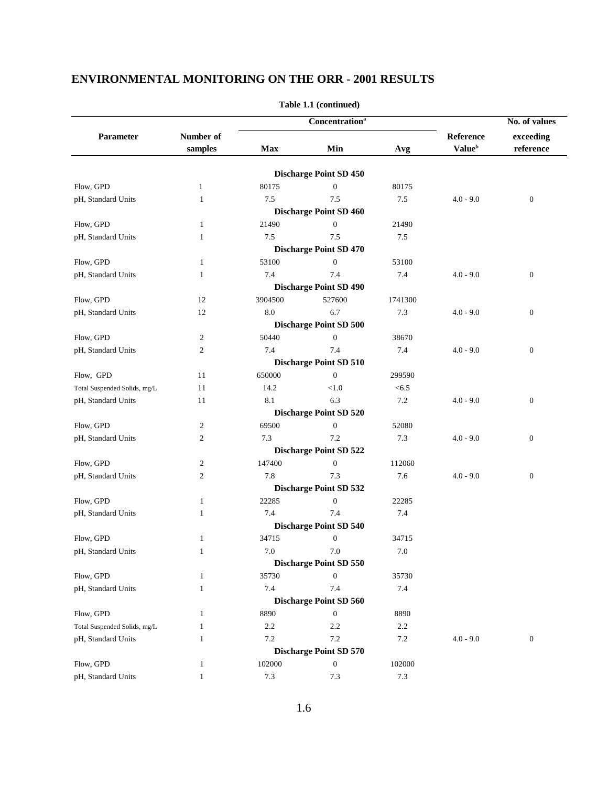|                              |                |         | Concentration <sup>a</sup>    |         |                           | No. of values    |
|------------------------------|----------------|---------|-------------------------------|---------|---------------------------|------------------|
| Parameter                    | Number of      |         |                               |         | Reference                 | exceeding        |
|                              | samples        | Max     | Min                           | Avg     | <b>Value</b> <sup>b</sup> | reference        |
|                              |                |         | <b>Discharge Point SD 450</b> |         |                           |                  |
| Flow, GPD                    | $\mathbf{1}$   | 80175   | $\mathbf{0}$                  | 80175   |                           |                  |
| pH, Standard Units           | $\mathbf{1}$   | 7.5     | 7.5                           | 7.5     | $4.0 - 9.0$               | $\boldsymbol{0}$ |
|                              |                |         | <b>Discharge Point SD 460</b> |         |                           |                  |
| Flow, GPD                    | 1              | 21490   | $\boldsymbol{0}$              | 21490   |                           |                  |
| pH, Standard Units           | 1              | 7.5     | 7.5                           | 7.5     |                           |                  |
|                              |                |         | <b>Discharge Point SD 470</b> |         |                           |                  |
| Flow, GPD                    | $\mathbf{1}$   | 53100   | $\mathbf{0}$                  | 53100   |                           |                  |
| pH, Standard Units           | 1              | 7.4     | 7.4                           | 7.4     | $4.0 - 9.0$               | $\boldsymbol{0}$ |
|                              |                |         | <b>Discharge Point SD 490</b> |         |                           |                  |
| Flow, GPD                    | 12             | 3904500 | 527600                        | 1741300 |                           |                  |
| pH, Standard Units           | 12             | 8.0     | 6.7                           | 7.3     | $4.0 - 9.0$               | $\boldsymbol{0}$ |
|                              |                |         | <b>Discharge Point SD 500</b> |         |                           |                  |
| Flow, GPD                    | $\overline{c}$ | 50440   | $\boldsymbol{0}$              | 38670   |                           |                  |
| pH, Standard Units           | $\mathfrak{2}$ | 7.4     | 7.4                           | 7.4     | $4.0 - 9.0$               | $\boldsymbol{0}$ |
|                              |                |         | <b>Discharge Point SD 510</b> |         |                           |                  |
| Flow, GPD                    | 11             | 650000  | $\mathbf{0}$                  | 299590  |                           |                  |
| Total Suspended Solids, mg/L | 11             | 14.2    | < 1.0                         | < 6.5   |                           |                  |
| pH, Standard Units           | 11             | 8.1     | 6.3                           | $7.2\,$ | $4.0 - 9.0$               | $\boldsymbol{0}$ |
|                              |                |         | <b>Discharge Point SD 520</b> |         |                           |                  |
| Flow, GPD                    | $\overline{c}$ | 69500   | $\boldsymbol{0}$              | 52080   |                           |                  |
| pH, Standard Units           | $\mathfrak{2}$ | 7.3     | 7.2                           | 7.3     | $4.0 - 9.0$               | $\boldsymbol{0}$ |
|                              |                |         | <b>Discharge Point SD 522</b> |         |                           |                  |
| Flow, GPD                    | 2              | 147400  | $\mathbf{0}$                  | 112060  |                           |                  |
| pH, Standard Units           | $\mathfrak{2}$ | 7.8     | 7.3                           | 7.6     | $4.0 - 9.0$               | $\boldsymbol{0}$ |
|                              |                |         | <b>Discharge Point SD 532</b> |         |                           |                  |
| Flow, GPD                    | $\mathbf{1}$   | 22285   | $\mathbf{0}$                  | 22285   |                           |                  |
| pH, Standard Units           | 1              | 7.4     | 7.4                           | 7.4     |                           |                  |
|                              |                |         | <b>Discharge Point SD 540</b> |         |                           |                  |
| Flow, GPD                    | $\mathbf{1}$   | 34715   | $\mathbf{0}$                  | 34715   |                           |                  |
| pH, Standard Units           | 1              | 7.0     | 7.0                           | 7.0     |                           |                  |
|                              |                |         | <b>Discharge Point SD 550</b> |         |                           |                  |
| Flow, GPD                    | 1              | 35730   | $\mathbf{0}$                  | 35730   |                           |                  |
| pH, Standard Units           | 1              | 7.4     | 7.4                           | 7.4     |                           |                  |
|                              |                |         | <b>Discharge Point SD 560</b> |         |                           |                  |
| Flow, GPD                    | $\mathbf{1}$   | 8890    | $\mathbf{0}$                  | 8890    |                           |                  |
| Total Suspended Solids, mg/L | $\mathbf{1}$   | 2.2     | 2.2                           | 2.2     |                           |                  |
| pH, Standard Units           | $\mathbf{1}$   | 7.2     | 7.2                           | 7.2     | $4.0 - 9.0$               | $\boldsymbol{0}$ |
|                              |                |         | <b>Discharge Point SD 570</b> |         |                           |                  |
| Flow, GPD                    | $\mathbf{1}$   | 102000  | $\boldsymbol{0}$              | 102000  |                           |                  |
| pH, Standard Units           | $\mathbf{1}$   | 7.3     | 7.3                           | $7.3\,$ |                           |                  |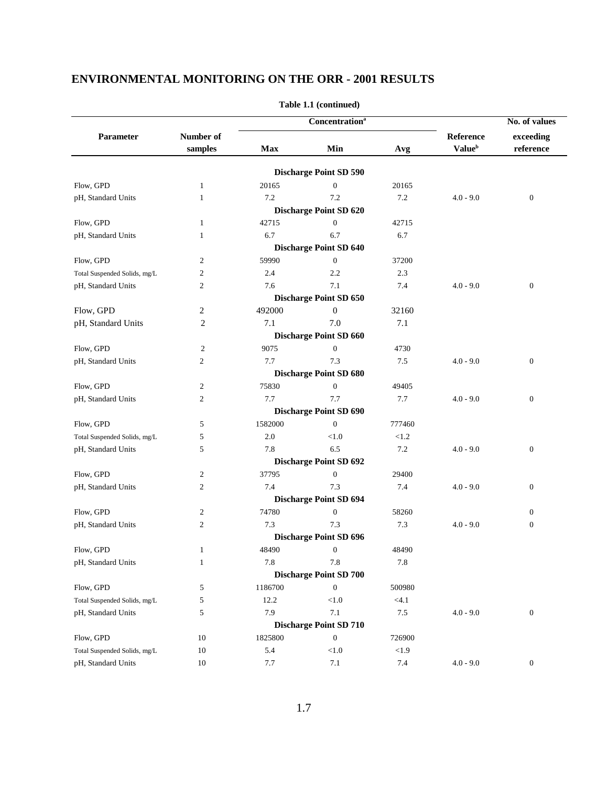|                              |                |         | Concentration <sup>a</sup>    |         |                           | No. of values    |  |
|------------------------------|----------------|---------|-------------------------------|---------|---------------------------|------------------|--|
| Parameter                    | Number of      |         |                               |         | Reference                 | exceeding        |  |
|                              | samples        | Max     | Min                           | Avg     | <b>Value</b> <sup>b</sup> | reference        |  |
|                              |                |         | <b>Discharge Point SD 590</b> |         |                           |                  |  |
| Flow, GPD                    | $\mathbf{1}$   | 20165   | $\mathbf{0}$                  | 20165   |                           |                  |  |
| pH, Standard Units           | 1              | 7.2     | 7.2                           | 7.2     | $4.0 - 9.0$               | $\boldsymbol{0}$ |  |
|                              |                |         | <b>Discharge Point SD 620</b> |         |                           |                  |  |
| Flow, GPD                    | 1              | 42715   | $\mathbf{0}$                  | 42715   |                           |                  |  |
| pH, Standard Units           | 1              | 6.7     | 6.7                           | 6.7     |                           |                  |  |
|                              |                |         | <b>Discharge Point SD 640</b> |         |                           |                  |  |
| Flow, GPD                    | $\overline{2}$ | 59990   | $\mathbf{0}$                  | 37200   |                           |                  |  |
| Total Suspended Solids, mg/L | $\overline{2}$ | 2.4     | 2.2                           | 2.3     |                           |                  |  |
| pH, Standard Units           | $\mathfrak{2}$ | 7.6     | 7.1                           | 7.4     | $4.0 - 9.0$               | $\boldsymbol{0}$ |  |
|                              |                |         | <b>Discharge Point SD 650</b> |         |                           |                  |  |
| Flow, GPD                    | 2              | 492000  | $\boldsymbol{0}$              | 32160   |                           |                  |  |
| pH, Standard Units           | 2              | 7.1     | 7.0                           | 7.1     |                           |                  |  |
|                              |                |         | Discharge Point SD 660        |         |                           |                  |  |
| Flow, GPD                    | $\overline{2}$ | 9075    | $\boldsymbol{0}$              | 4730    |                           |                  |  |
| pH, Standard Units           | $\overline{2}$ | 7.7     | 7.3                           | $7.5\,$ | $4.0 - 9.0$               | $\boldsymbol{0}$ |  |
|                              |                |         | <b>Discharge Point SD 680</b> |         |                           |                  |  |
| Flow, GPD                    | $\overline{c}$ | 75830   | $\mathbf{0}$                  | 49405   |                           |                  |  |
| pH, Standard Units           | $\mathfrak{2}$ | 7.7     | 7.7                           | 7.7     | $4.0 - 9.0$               | $\boldsymbol{0}$ |  |
|                              |                |         | <b>Discharge Point SD 690</b> |         |                           |                  |  |
| Flow, GPD                    | 5              | 1582000 | $\overline{0}$                | 777460  |                           |                  |  |
| Total Suspended Solids, mg/L | 5              | 2.0     | < 1.0                         | < 1.2   |                           |                  |  |
| pH, Standard Units           | 5              | 7.8     | 6.5                           | 7.2     | $4.0 - 9.0$               | $\boldsymbol{0}$ |  |
|                              |                |         | <b>Discharge Point SD 692</b> |         |                           |                  |  |
| Flow, GPD                    | $\overline{2}$ | 37795   | $\mathbf{0}$                  | 29400   |                           |                  |  |
| pH, Standard Units           | $\overline{2}$ | 7.4     | 7.3                           | 7.4     | $4.0 - 9.0$               | $\boldsymbol{0}$ |  |
|                              |                |         | <b>Discharge Point SD 694</b> |         |                           |                  |  |
| Flow, GPD                    | $\overline{2}$ | 74780   | $\mathbf{0}$                  | 58260   |                           | $\boldsymbol{0}$ |  |
| pH, Standard Units           | $\overline{2}$ | 7.3     | 7.3                           | 7.3     | $4.0 - 9.0$               | $\boldsymbol{0}$ |  |
|                              |                |         | <b>Discharge Point SD 696</b> |         |                           |                  |  |
| Flow, GPD                    | $\mathbf{1}$   | 48490   | $\boldsymbol{0}$              | 48490   |                           |                  |  |
| pH, Standard Units           | $\mathbf{1}$   | 7.8     | $7.8\,$                       | 7.8     |                           |                  |  |
|                              |                |         | <b>Discharge Point SD 700</b> |         |                           |                  |  |
| Flow, GPD                    | 5              | 1186700 | $\boldsymbol{0}$              | 500980  |                           |                  |  |
| Total Suspended Solids, mg/L | 5              | 12.2    | $<1.0$                        | < 4.1   |                           |                  |  |
| pH, Standard Units           | 5              | 7.9     | 7.1                           | 7.5     | $4.0 - 9.0$               | $\boldsymbol{0}$ |  |
|                              |                |         | <b>Discharge Point SD 710</b> |         |                           |                  |  |
| Flow, GPD                    | 10             | 1825800 | $\boldsymbol{0}$              | 726900  |                           |                  |  |
| Total Suspended Solids, mg/L | 10             | 5.4     | < 1.0                         | $<1.9$  |                           |                  |  |
| pH, Standard Units           | 10             | 7.7     | 7.1                           | 7.4     | $4.0 - 9.0$               | $\boldsymbol{0}$ |  |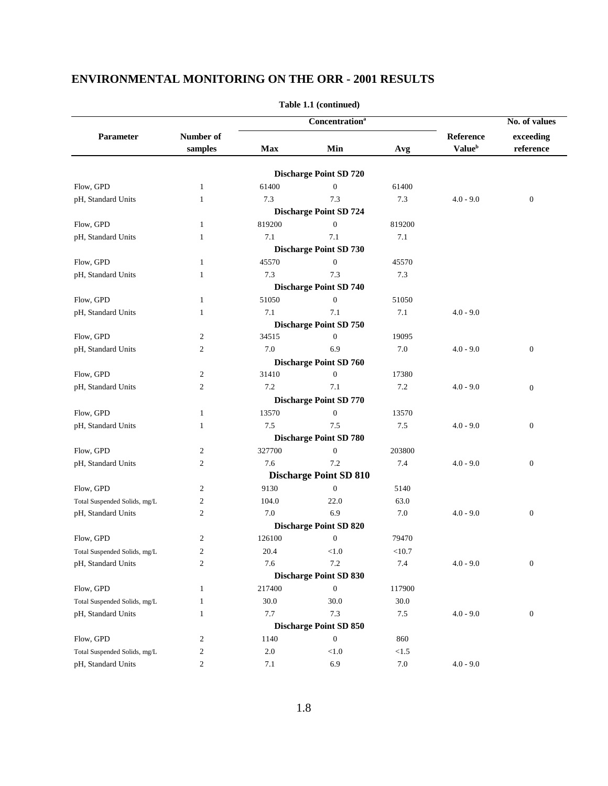|                              |                         |            | <b>Concentration</b> <sup>a</sup> |          |                           | No. of values    |  |
|------------------------------|-------------------------|------------|-----------------------------------|----------|---------------------------|------------------|--|
| Parameter                    | Number of               |            |                                   |          | Reference                 | exceeding        |  |
|                              | samples                 | <b>Max</b> | Min                               | Avg      | <b>Value</b> <sup>b</sup> | reference        |  |
|                              |                         |            | <b>Discharge Point SD 720</b>     |          |                           |                  |  |
| Flow, GPD                    | $\mathbf{1}$            | 61400      | $\boldsymbol{0}$                  | 61400    |                           |                  |  |
| pH, Standard Units           | 1                       | 7.3        | 7.3                               | 7.3      | $4.0 - 9.0$               | $\boldsymbol{0}$ |  |
|                              |                         |            | <b>Discharge Point SD 724</b>     |          |                           |                  |  |
| Flow, GPD                    | 1                       | 819200     | $\mathbf{0}$                      | 819200   |                           |                  |  |
| pH, Standard Units           | 1                       | 7.1        | 7.1                               | 7.1      |                           |                  |  |
|                              |                         |            | <b>Discharge Point SD 730</b>     |          |                           |                  |  |
| Flow, GPD                    | 1                       | 45570      | $\boldsymbol{0}$                  | 45570    |                           |                  |  |
| pH, Standard Units           | 1                       | 7.3        | 7.3                               | 7.3      |                           |                  |  |
|                              |                         |            | <b>Discharge Point SD 740</b>     |          |                           |                  |  |
| Flow, GPD                    | $\mathbf{1}$            | 51050      | $\boldsymbol{0}$                  | 51050    |                           |                  |  |
| pH, Standard Units           | 1                       | 7.1        | 7.1                               | 7.1      | $4.0 - 9.0$               |                  |  |
|                              |                         |            | <b>Discharge Point SD 750</b>     |          |                           |                  |  |
| Flow, GPD                    | $\overline{c}$          | 34515      | $\mathbf{0}$                      | 19095    |                           |                  |  |
| pH, Standard Units           | $\overline{2}$          | 7.0        | 6.9                               | 7.0      | $4.0 - 9.0$               | $\boldsymbol{0}$ |  |
|                              |                         |            | <b>Discharge Point SD 760</b>     |          |                           |                  |  |
| Flow, GPD                    | $\overline{2}$          | 31410      | $\mathbf{0}$                      | 17380    |                           |                  |  |
| pH, Standard Units           | $\mathfrak{2}$          | 7.2        | 7.1                               | 7.2      | $4.0 - 9.0$               | $\boldsymbol{0}$ |  |
|                              |                         |            | <b>Discharge Point SD 770</b>     |          |                           |                  |  |
| Flow, GPD                    | $\mathbf{1}$            | 13570      | $\boldsymbol{0}$                  | 13570    |                           |                  |  |
| pH, Standard Units           | 1                       | 7.5        | 7.5                               | 7.5      | $4.0 - 9.0$               | $\boldsymbol{0}$ |  |
|                              |                         |            | <b>Discharge Point SD 780</b>     |          |                           |                  |  |
| Flow, GPD                    | $\overline{c}$          | 327700     | $\mathbf{0}$                      | 203800   |                           |                  |  |
| pH, Standard Units           | $\overline{2}$          | 7.6        | 7.2                               | 7.4      | $4.0 - 9.0$               | $\boldsymbol{0}$ |  |
|                              |                         |            | <b>Discharge Point SD 810</b>     |          |                           |                  |  |
| Flow, GPD                    | $\overline{2}$          | 9130       | $\boldsymbol{0}$                  | 5140     |                           |                  |  |
| Total Suspended Solids, mg/L | $\overline{2}$          | 104.0      | 22.0                              | 63.0     |                           |                  |  |
| pH, Standard Units           | $\overline{2}$          | 7.0        | 6.9                               | 7.0      | $4.0 - 9.0$               | $\boldsymbol{0}$ |  |
|                              |                         |            | <b>Discharge Point SD 820</b>     |          |                           |                  |  |
| Flow, GPD                    | $\overline{2}$          | 126100     | $\mathbf{0}$                      | 79470    |                           |                  |  |
| Total Suspended Solids, mg/L | $\overline{c}$          | 20.4       | < 1.0                             | <10.7    |                           |                  |  |
| pH, Standard Units           | $\overline{c}$          | 7.6        | $7.2\,$                           | $7.4\,$  | $4.0 - 9.0$               | $\boldsymbol{0}$ |  |
|                              |                         |            | <b>Discharge Point SD 830</b>     |          |                           |                  |  |
| Flow, GPD                    | $\mathbf{1}$            | 217400     | $\boldsymbol{0}$                  | 117900   |                           |                  |  |
| Total Suspended Solids, mg/L | $\mathbf{1}$            | $30.0\,$   | 30.0                              | $30.0\,$ |                           |                  |  |
| pH, Standard Units           | $\mathbf{1}$            | 7.7        | 7.3                               | $7.5\,$  | $4.0 - 9.0$               | $\boldsymbol{0}$ |  |
|                              |                         |            | <b>Discharge Point SD 850</b>     |          |                           |                  |  |
| Flow, GPD                    | $\overline{2}$          | 1140       | $\boldsymbol{0}$                  | 860      |                           |                  |  |
| Total Suspended Solids, mg/L | $\overline{\mathbf{c}}$ | $2.0\,$    | < 1.0                             | < 1.5    |                           |                  |  |
| pH, Standard Units           | $\mathbf{c}$            | $7.1\,$    | 6.9                               | $7.0\,$  | $4.0 - 9.0$               |                  |  |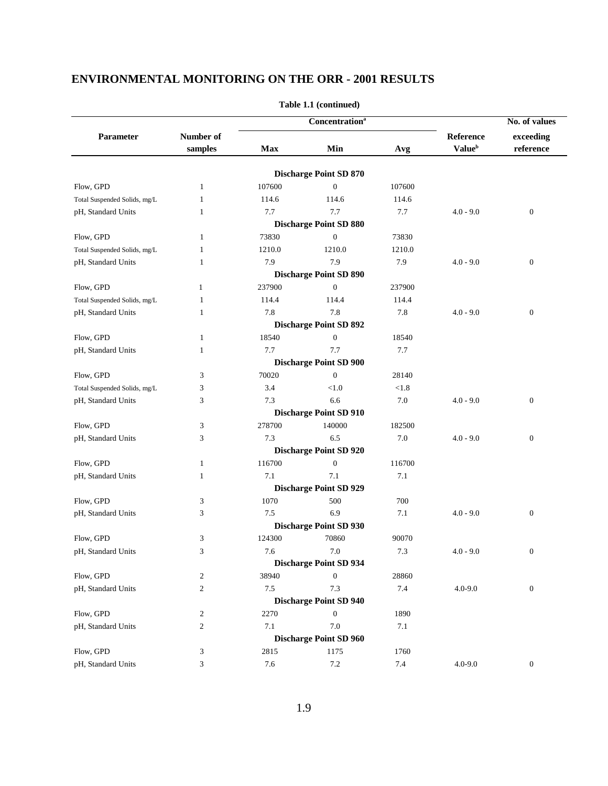|                              |                         |        | <b>Concentration</b> <sup>a</sup> |         |                           | No. of values    |  |
|------------------------------|-------------------------|--------|-----------------------------------|---------|---------------------------|------------------|--|
| Parameter                    | Number of               |        |                                   |         | Reference                 | exceeding        |  |
|                              | samples                 | Max    | Min                               | Avg     | <b>Value</b> <sup>b</sup> | reference        |  |
|                              |                         |        | <b>Discharge Point SD 870</b>     |         |                           |                  |  |
| Flow, GPD                    | $\mathbf{1}$            | 107600 | $\boldsymbol{0}$                  | 107600  |                           |                  |  |
| Total Suspended Solids, mg/L | 1                       | 114.6  | 114.6                             | 114.6   |                           |                  |  |
| pH, Standard Units           | 1                       | 7.7    | 7.7                               | 7.7     | $4.0 - 9.0$               | $\boldsymbol{0}$ |  |
|                              |                         |        | <b>Discharge Point SD 880</b>     |         |                           |                  |  |
| Flow, GPD                    | 1                       | 73830  | $\mathbf{0}$                      | 73830   |                           |                  |  |
| Total Suspended Solids, mg/L | 1                       | 1210.0 | 1210.0                            | 1210.0  |                           |                  |  |
| pH, Standard Units           | 1                       | 7.9    | 7.9                               | 7.9     | $4.0 - 9.0$               | $\boldsymbol{0}$ |  |
|                              |                         |        | <b>Discharge Point SD 890</b>     |         |                           |                  |  |
| Flow, GPD                    | 1                       | 237900 | $\mathbf{0}$                      | 237900  |                           |                  |  |
| Total Suspended Solids, mg/L | 1                       | 114.4  | 114.4                             | 114.4   |                           |                  |  |
| pH, Standard Units           | 1                       | 7.8    | 7.8                               | 7.8     | $4.0 - 9.0$               | $\boldsymbol{0}$ |  |
|                              |                         |        | <b>Discharge Point SD 892</b>     |         |                           |                  |  |
| Flow, GPD                    | 1                       | 18540  | $\boldsymbol{0}$                  | 18540   |                           |                  |  |
| pH, Standard Units           | 1                       | 7.7    | 7.7                               | 7.7     |                           |                  |  |
|                              |                         |        | <b>Discharge Point SD 900</b>     |         |                           |                  |  |
| Flow, GPD                    | 3                       | 70020  | $\overline{0}$                    | 28140   |                           |                  |  |
| Total Suspended Solids, mg/L | 3                       | 3.4    | < 1.0                             | < 1.8   |                           |                  |  |
| pH, Standard Units           | 3                       | 7.3    | 6.6                               | 7.0     | $4.0 - 9.0$               | $\boldsymbol{0}$ |  |
|                              |                         |        | <b>Discharge Point SD 910</b>     |         |                           |                  |  |
| Flow, GPD                    | 3                       | 278700 | 140000                            | 182500  |                           |                  |  |
| pH, Standard Units           | 3                       | 7.3    | 6.5                               | 7.0     | $4.0 - 9.0$               | $\boldsymbol{0}$ |  |
|                              |                         |        | <b>Discharge Point SD 920</b>     |         |                           |                  |  |
| Flow, GPD                    | 1                       | 116700 | $\mathbf{0}$                      | 116700  |                           |                  |  |
| pH, Standard Units           | 1                       | 7.1    | 7.1                               | 7.1     |                           |                  |  |
|                              |                         |        | <b>Discharge Point SD 929</b>     |         |                           |                  |  |
| Flow, GPD                    | 3                       | 1070   | 500                               | 700     |                           |                  |  |
| pH, Standard Units           | 3                       | 7.5    | 6.9                               | 7.1     | $4.0 - 9.0$               | $\boldsymbol{0}$ |  |
|                              |                         |        | <b>Discharge Point SD 930</b>     |         |                           |                  |  |
| Flow, GPD                    | 3                       | 124300 | 70860                             | 90070   |                           |                  |  |
| pH, Standard Units           | 3                       | 7.6    | 7.0                               | 7.3     | $4.0 - 9.0$               | $\boldsymbol{0}$ |  |
|                              |                         |        | <b>Discharge Point SD 934</b>     |         |                           |                  |  |
| Flow, GPD                    | $\overline{\mathbf{c}}$ | 38940  | $\boldsymbol{0}$                  | 28860   |                           |                  |  |
| pH, Standard Units           | $\boldsymbol{2}$        | 7.5    | 7.3                               | 7.4     | $4.0 - 9.0$               | $\boldsymbol{0}$ |  |
|                              |                         |        | <b>Discharge Point SD 940</b>     |         |                           |                  |  |
| Flow, GPD                    | $\overline{c}$          | 2270   | $\boldsymbol{0}$                  | 1890    |                           |                  |  |
| pH, Standard Units           | $\overline{c}$          | 7.1    | 7.0                               | $7.1\,$ |                           |                  |  |
|                              |                         |        | <b>Discharge Point SD 960</b>     |         |                           |                  |  |
| Flow, GPD                    | 3                       | 2815   | 1175                              | 1760    |                           |                  |  |
| pH, Standard Units           | 3                       | 7.6    | $7.2\,$                           | 7.4     | $4.0 - 9.0$               | $\boldsymbol{0}$ |  |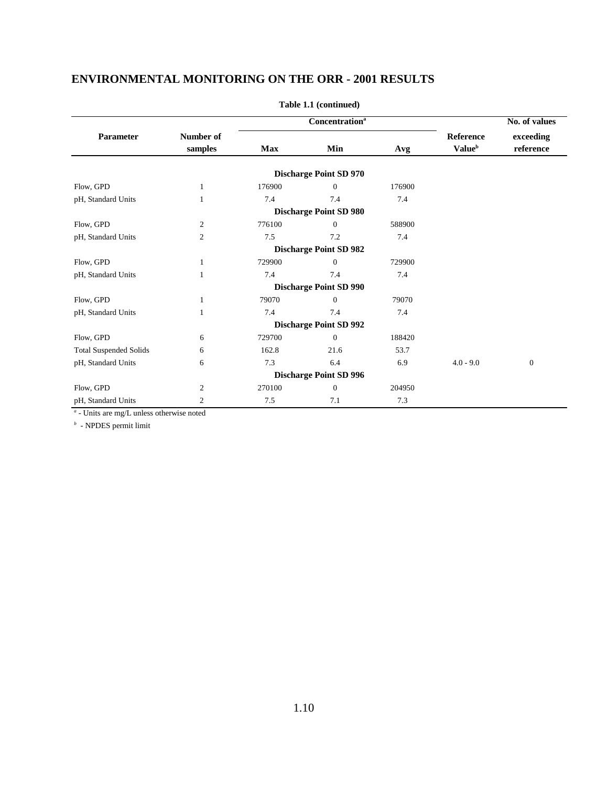|                               |                      | <b>Concentration</b> <sup>a</sup> |                               |        |                                               | No. of values          |  |
|-------------------------------|----------------------|-----------------------------------|-------------------------------|--------|-----------------------------------------------|------------------------|--|
| Parameter                     | Number of<br>samples | Min<br><b>Max</b><br>Avg          |                               |        | <b>Reference</b><br><b>Value</b> <sup>b</sup> | exceeding<br>reference |  |
|                               |                      |                                   | <b>Discharge Point SD 970</b> |        |                                               |                        |  |
| Flow, GPD                     | 1                    | 176900                            | $\Omega$                      | 176900 |                                               |                        |  |
| pH, Standard Units            | 1                    | 7.4                               | 7.4                           | 7.4    |                                               |                        |  |
|                               |                      |                                   | <b>Discharge Point SD 980</b> |        |                                               |                        |  |
| Flow, GPD                     | $\overline{c}$       | 776100                            | $\Omega$                      | 588900 |                                               |                        |  |
| pH, Standard Units            | $\overline{c}$       | 7.5                               | 7.2                           | 7.4    |                                               |                        |  |
|                               |                      |                                   | <b>Discharge Point SD 982</b> |        |                                               |                        |  |
| Flow, GPD                     | 1                    | 729900                            | $\Omega$                      | 729900 |                                               |                        |  |
| pH, Standard Units            | $\mathbf{1}$         | 7.4                               | 7.4                           | 7.4    |                                               |                        |  |
|                               |                      |                                   | <b>Discharge Point SD 990</b> |        |                                               |                        |  |
| Flow, GPD                     | 1                    | 79070                             | $\Omega$                      | 79070  |                                               |                        |  |
| pH, Standard Units            | 1                    | 7.4                               | 7.4                           | 7.4    |                                               |                        |  |
|                               |                      |                                   | <b>Discharge Point SD 992</b> |        |                                               |                        |  |
| Flow, GPD                     | 6                    | 729700                            | $\mathbf{0}$                  | 188420 |                                               |                        |  |
| <b>Total Suspended Solids</b> | 6                    | 162.8                             | 21.6                          | 53.7   |                                               |                        |  |
| pH, Standard Units            | 6                    | 7.3                               | 6.4                           | 6.9    | $4.0 - 9.0$                                   | $\mathbf{0}$           |  |
|                               |                      |                                   | <b>Discharge Point SD 996</b> |        |                                               |                        |  |
| Flow, GPD                     | 2                    | 270100                            | $\Omega$                      | 204950 |                                               |                        |  |
| pH, Standard Units            | $\mathfrak{2}$       | 7.5                               | 7.1                           | 7.3    |                                               |                        |  |

**Table 1.1 (continued)**

- Units are mg/L unless otherwise noted

*b* - NPDES permit limit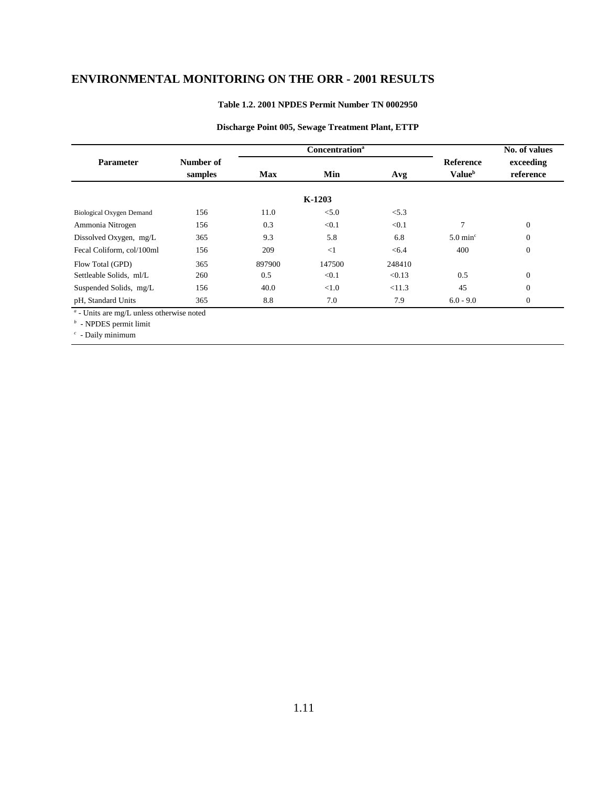#### **Table 1.2. 2001 NPDES Permit Number TN 0002950**

|                                                  |           |            | <b>Concentration</b> <sup>a</sup> |        |                           | No. of values  |  |
|--------------------------------------------------|-----------|------------|-----------------------------------|--------|---------------------------|----------------|--|
| <b>Parameter</b>                                 | Number of |            |                                   |        | <b>Reference</b>          | exceeding      |  |
|                                                  | samples   | <b>Max</b> | Min                               | Avg    | <b>Value</b> <sup>b</sup> | reference      |  |
|                                                  |           |            | $K-1203$                          |        |                           |                |  |
| <b>Biological Oxygen Demand</b>                  | 156       | 11.0       | < 5.0                             | < 5.3  |                           |                |  |
| Ammonia Nitrogen                                 | 156       | 0.3        | < 0.1                             | < 0.1  | 7                         | $\mathbf{0}$   |  |
| Dissolved Oxygen, mg/L                           | 365       | 9.3        | 5.8                               | 6.8    | $5.0 \text{ min}^{\circ}$ | $\overline{0}$ |  |
| Fecal Coliform, col/100ml                        | 156       | 209        | $\leq$ 1                          | < 6.4  | 400                       | $\mathbf{0}$   |  |
| Flow Total (GPD)                                 | 365       | 897900     | 147500                            | 248410 |                           |                |  |
| Settleable Solids, ml/L                          | 260       | 0.5        | < 0.1                             | < 0.13 | 0.5                       | $\theta$       |  |
| Suspended Solids, mg/L                           | 156       | 40.0       | < 1.0                             | < 11.3 | 45                        | $\mathbf{0}$   |  |
| pH, Standard Units                               | 365       | 8.8        | 7.0                               | 7.9    | $6.0 - 9.0$               | $\mathbf{0}$   |  |
| $\alpha$ - Units are mg/L unless otherwise noted |           |            |                                   |        |                           |                |  |

#### **Discharge Point 005, Sewage Treatment Plant, ETTP**

*b* - NPDES permit limit

*c* - Daily minimum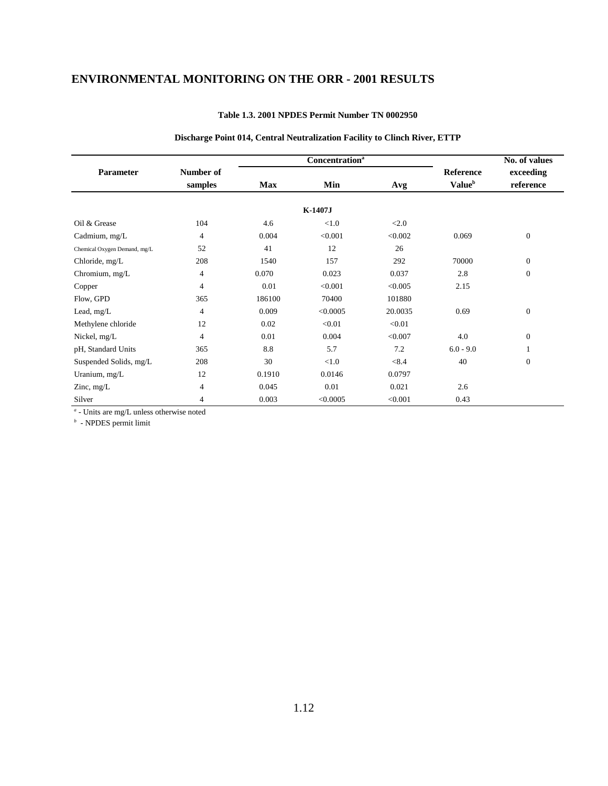|                              |                      |                          | <b>Concentration</b> <sup>a</sup> |         |                                               | No. of values          |
|------------------------------|----------------------|--------------------------|-----------------------------------|---------|-----------------------------------------------|------------------------|
| Parameter                    | Number of<br>samples | Min<br><b>Max</b><br>Avg |                                   |         | <b>Reference</b><br><b>Value</b> <sup>b</sup> | exceeding<br>reference |
|                              |                      |                          | K-1407J                           |         |                                               |                        |
| Oil & Grease                 | 104                  | 4.6                      | < 1.0                             | <2.0    |                                               |                        |
| Cadmium, mg/L                | $\overline{4}$       | 0.004                    | < 0.001                           | < 0.002 | 0.069                                         | $\boldsymbol{0}$       |
| Chemical Oxygen Demand, mg/L | 52                   | 41                       | 12                                | 26      |                                               |                        |
| Chloride, mg/L               | 208                  | 1540                     | 157                               | 292     | 70000                                         | $\boldsymbol{0}$       |
| Chromium, mg/L               | $\overline{4}$       | 0.070                    | 0.023                             | 0.037   | 2.8                                           | $\boldsymbol{0}$       |
| Copper                       | $\overline{4}$       | 0.01                     | < 0.001                           | < 0.005 | 2.15                                          |                        |
| Flow, GPD                    | 365                  | 186100                   | 70400                             | 101880  |                                               |                        |
| Lead, $mg/L$                 | $\overline{4}$       | 0.009                    | < 0.0005                          | 20.0035 | 0.69                                          | $\boldsymbol{0}$       |
| Methylene chloride           | 12                   | 0.02                     | < 0.01                            | < 0.01  |                                               |                        |
| Nickel, mg/L                 | $\overline{4}$       | 0.01                     | 0.004                             | < 0.007 | 4.0                                           | $\boldsymbol{0}$       |
| pH, Standard Units           | 365                  | 8.8                      | 5.7                               | 7.2     | $6.0 - 9.0$                                   |                        |
| Suspended Solids, mg/L       | 208                  | 30                       | $<1.0$                            | < 8.4   | 40                                            | $\boldsymbol{0}$       |
| Uranium, mg/L                | 12                   | 0.1910                   | 0.0146                            | 0.0797  |                                               |                        |
| Zinc, $mg/L$                 | $\overline{4}$       | 0.045                    | 0.01                              | 0.021   | 2.6                                           |                        |
| Silver                       | 4                    | 0.003                    | < 0.0005                          | < 0.001 | 0.43                                          |                        |

#### **Table 1.3. 2001 NPDES Permit Number TN 0002950**

#### **Discharge Point 014, Central Neutralization Facility to Clinch River, ETTP**

*a* - Units are mg/L unless otherwise noted

*b* - NPDES permit limit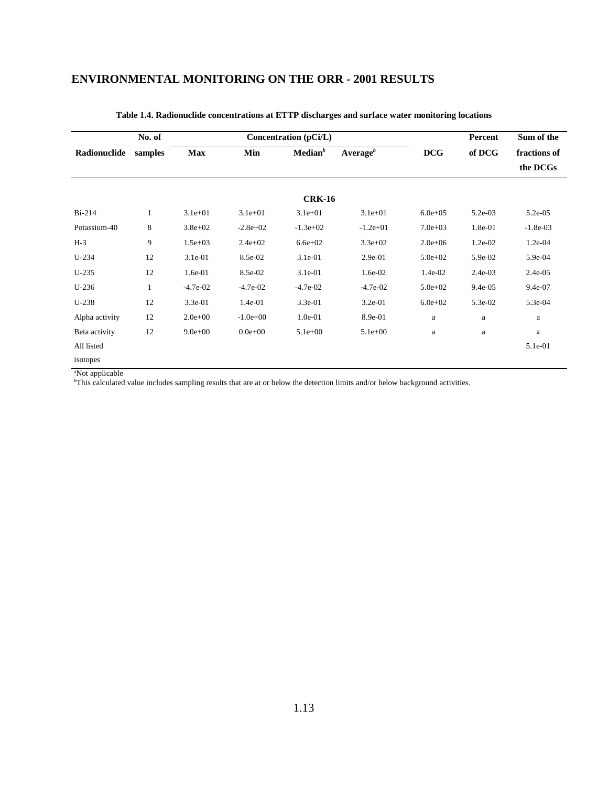|                | No. of       |             |             | Concentration (pCi/L) |                      |              | Percent   | Sum of the   |  |  |  |
|----------------|--------------|-------------|-------------|-----------------------|----------------------|--------------|-----------|--------------|--|--|--|
| Radionuclide   | samples      | <b>Max</b>  | Min         | Median <sup>b</sup>   | Average <sup>b</sup> | <b>DCG</b>   | of DCG    | fractions of |  |  |  |
|                |              |             |             |                       |                      |              |           | the DCGs     |  |  |  |
| <b>CRK-16</b>  |              |             |             |                       |                      |              |           |              |  |  |  |
|                |              |             |             |                       |                      |              |           |              |  |  |  |
| $Bi-214$       | $\mathbf{1}$ | $3.1e + 01$ | $3.1e + 01$ | $3.1e+01$             | $3.1e+01$            | $6.0e + 0.5$ | 5.2e-03   | $5.2e-0.5$   |  |  |  |
| Potassium-40   | 8            | $3.8e + 02$ | $-2.8e+02$  | $-1.3e+02$            | $-1.2e+01$           | $7.0e + 03$  | 1.8e-01   | $-1.8e-03$   |  |  |  |
| $H-3$          | 9            | $1.5e + 03$ | $2.4e+02$   | $6.6e + 02$           | $3.3e + 02$          | $2.0e + 06$  | 1.2e-02   | 1.2e-04      |  |  |  |
| $U-234$        | 12           | $3.1e-01$   | 8.5e-02     | $3.1e-01$             | 2.9e-01              | $5.0e + 02$  | 5.9e-02   | $5.9e-04$    |  |  |  |
| $U-235$        | 12           | 1.6e-01     | 8.5e-02     | $3.1e-01$             | 1.6e-02              | 1.4e-02      | $2.4e-03$ | $2.4e-05$    |  |  |  |
| $U-236$        | 1            | $-4.7e-02$  | $-4.7e-02$  | $-4.7e-02$            | $-4.7e-02$           | $5.0e + 02$  | 9.4e-05   | 9.4e-07      |  |  |  |
| $U-238$        | 12           | $3.3e-01$   | 1.4e-01     | 3.3e-01               | $3.2e-01$            | $6.0e + 02$  | 5.3e-02   | 5.3e-04      |  |  |  |
| Alpha activity | 12           | $2.0e + 00$ | $-1.0e+00$  | 1.0e-01               | 8.9e-01              | a            | a         | a            |  |  |  |
| Beta activity  | 12           | $9.0e + 00$ | $0.0e + 00$ | $5.1e+00$             | $5.1e+00$            | a            | a         | $\rm{a}$     |  |  |  |
| All listed     |              |             |             |                       |                      |              |           | 5.1e-01      |  |  |  |
| isotopes       |              |             |             |                       |                      |              |           |              |  |  |  |

#### **Table 1.4. Radionuclide concentrations at ETTP discharges and surface water monitoring locations**

a Not applicable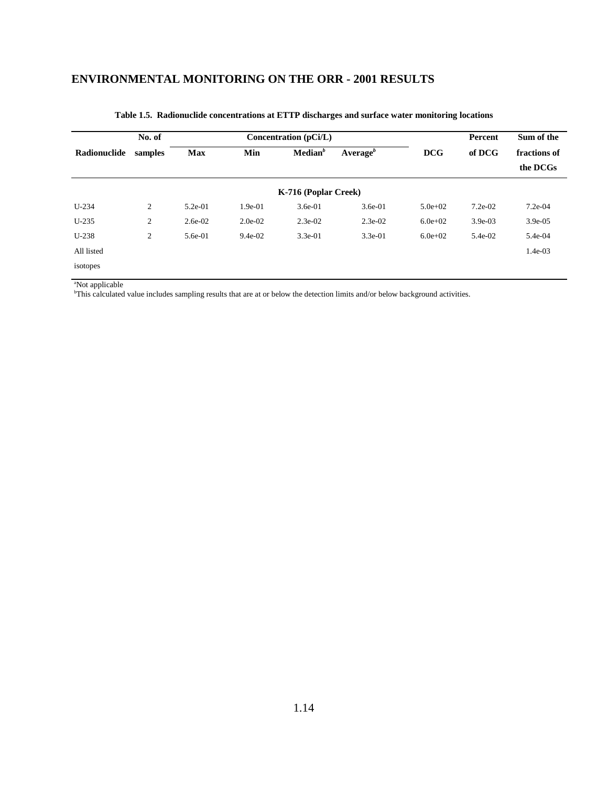|              | No. of  |            |           | Concentration (pCi/L) |                      | Percent     | Sum of the |                          |
|--------------|---------|------------|-----------|-----------------------|----------------------|-------------|------------|--------------------------|
| Radionuclide | samples | <b>Max</b> | Min       | Median <sup>b</sup>   | Average <sup>b</sup> | <b>DCG</b>  | of DCG     | fractions of<br>the DCGs |
|              |         |            |           | K-716 (Poplar Creek)  |                      |             |            |                          |
| $U-234$      | 2       | $5.2e-01$  | $1.9e-01$ | $3.6e-01$             | $3.6e-01$            | $5.0e + 02$ | $7.2e-02$  | $7.2e-04$                |
| $U-235$      | 2       | $2.6e-02$  | $2.0e-02$ | $2.3e-02$             | $2.3e-02$            | $6.0e + 02$ | $3.9e-03$  | 3.9e-05                  |
| $U-238$      | 2       | 5.6e-01    | $9.4e-02$ | $3.3e-01$             | $3.3e-01$            | $6.0e + 02$ | 5.4e-02    | 5.4e-04                  |
| All listed   |         |            |           |                       |                      |             |            | $1.4e-03$                |
| isotopes     |         |            |           |                       |                      |             |            |                          |

#### **Table 1.5. Radionuclide concentrations at ETTP discharges and surface water monitoring locations**

a Not applicable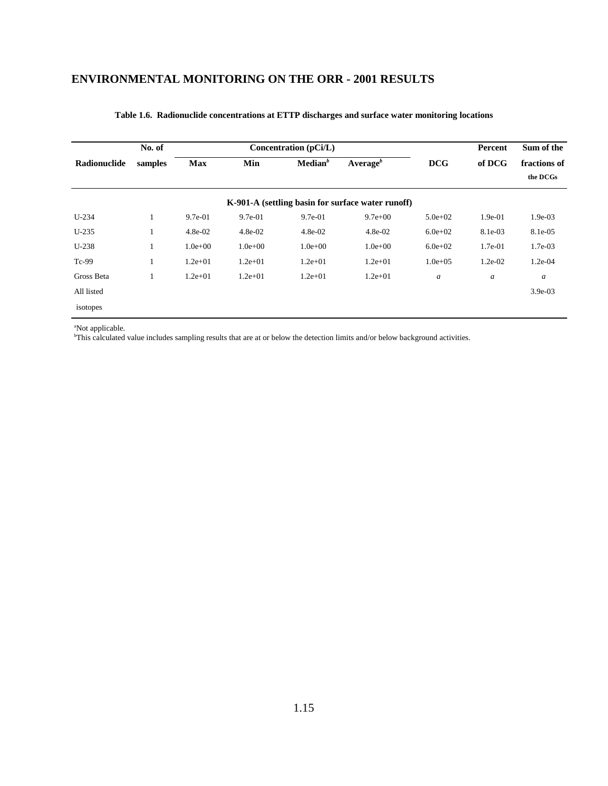|              | No. of  |             |             | Concentration (pCi/L) |                                                   |                  | Percent          | Sum of the               |
|--------------|---------|-------------|-------------|-----------------------|---------------------------------------------------|------------------|------------------|--------------------------|
| Radionuclide | samples | <b>Max</b>  | Min         | $\mathbf{Median}^b$   | Average <sup>b</sup>                              | <b>DCG</b>       | of DCG           | fractions of<br>the DCGs |
|              |         |             |             |                       | K-901-A (settling basin for surface water runoff) |                  |                  |                          |
| $U-234$      | 1       | $9.7e-01$   | $9.7e-01$   | $9.7e-01$             | $9.7e + 00$                                       | $5.0e + 02$      | 1.9e-01          | $1.9e-03$                |
| $U-235$      |         | $4.8e-02$   | $4.8e-02$   | $4.8e-02$             | $4.8e-02$                                         | $6.0e + 02$      | 8.1e-03          | 8.1e-05                  |
| $U-238$      | 1       | $1.0e + 00$ | $1.0e + 00$ | $1.0e + 00$           | $1.0e+00$                                         | $6.0e + 02$      | $1.7e-01$        | 1.7e-03                  |
| Tc-99        | 1       | $1.2e + 01$ | $1.2e + 01$ | $1.2e + 01$           | $1.2e + 01$                                       | $1.0e + 0.5$     | $1.2e-02$        | 1.2e-04                  |
| Gross Beta   | л       | $1.2e + 01$ | $1.2e + 01$ | $1.2e + 01$           | $1.2e + 01$                                       | $\boldsymbol{a}$ | $\boldsymbol{a}$ | $\boldsymbol{a}$         |
| All listed   |         |             |             |                       |                                                   |                  |                  | $3.9e-03$                |
| isotopes     |         |             |             |                       |                                                   |                  |                  |                          |

#### **Table 1.6. Radionuclide concentrations at ETTP discharges and surface water monitoring locations**

<sup>a</sup>Not applicable.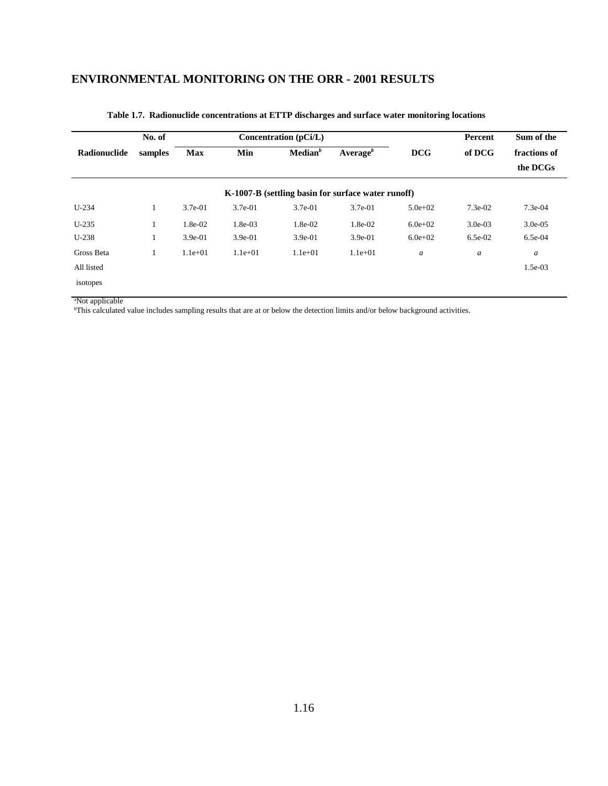|              | No. of  |            |           | Concentration (pCi/L) |                                                    |                  | Percent   | Sum of the               |
|--------------|---------|------------|-----------|-----------------------|----------------------------------------------------|------------------|-----------|--------------------------|
| Radionuclide | samples | <b>Max</b> | Min       | Median <sup>b</sup>   | Average <sup>b</sup>                               | <b>DCG</b>       | of DCG    | fractions of<br>the DCGs |
|              |         |            |           |                       | K-1007-B (settling basin for surface water runoff) |                  |           |                          |
| $U-234$      | 1       | $3.7e-01$  | $3.7e-01$ | $3.7e-01$             | $3.7e-01$                                          | $5.0e + 02$      | $7.3e-02$ | $7.3e-04$                |
| $U-235$      | 1       | 1.8e-02    | $1.8e-03$ | 1.8e-02               | 1.8e-02                                            | $6.0e + 02$      | $3.0e-03$ | $3.0e-0.5$               |
| $U-238$      | 1       | $3.9e-01$  | 3.9e-01   | $3.9e-01$             | $3.9e-01$                                          | $6.0e + 02$      | $6.5e-02$ | $6.5e-04$                |
| Gross Beta   | 1       | $1.1e+01$  | $1.1e+01$ | $1.1e+01$             | $1.1e+01$                                          | $\boldsymbol{a}$ | a         | $\boldsymbol{a}$         |
| All listed   |         |            |           |                       |                                                    |                  |           | 1.5e-03                  |
| isotopes     |         |            |           |                       |                                                    |                  |           |                          |

#### **Table 1.7. Radionuclide concentrations at ETTP discharges and surface water monitoring locations**

<sup>a</sup>Not applicable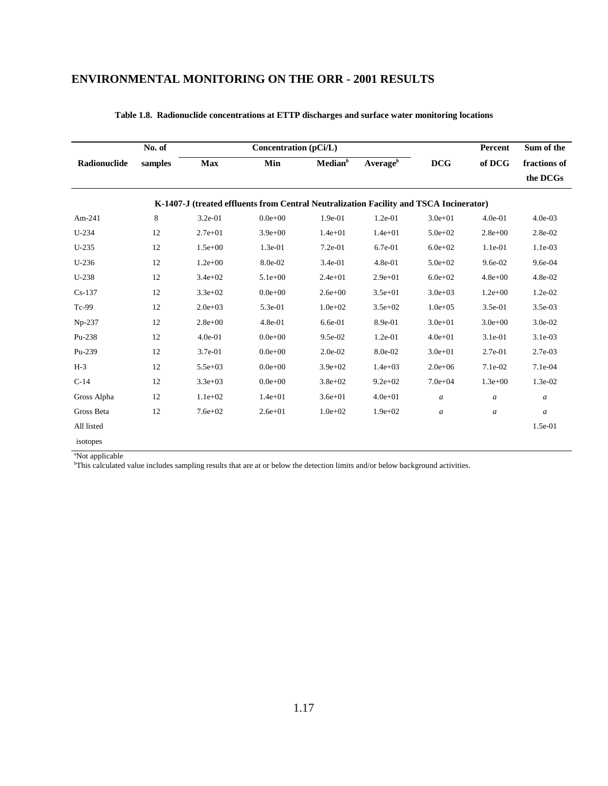|              | No. of  |             | <b>Concentration (pCi/L)</b>                                                           |                     |                      |              | Percent          | Sum of the       |
|--------------|---------|-------------|----------------------------------------------------------------------------------------|---------------------|----------------------|--------------|------------------|------------------|
| Radionuclide | samples | Max         | Min                                                                                    | Median <sup>b</sup> | Average <sup>b</sup> | <b>DCG</b>   | of DCG           | fractions of     |
|              |         |             |                                                                                        |                     |                      |              |                  | the DCGs         |
|              |         |             | K-1407-J (treated effluents from Central Neutralization Facility and TSCA Incinerator) |                     |                      |              |                  |                  |
| Am-241       | 8       | 3.2e-01     | $0.0e + 00$                                                                            | 1.9e-01             | 1.2e-01              | $3.0e + 01$  | $4.0e-01$        | $4.0e-03$        |
| $U-234$      | 12      | $2.7e + 01$ | $3.9e + 00$                                                                            | $1.4e + 01$         | $1.4e + 01$          | $5.0e + 02$  | $2.8e + 00$      | 2.8e-02          |
| $U-235$      | 12      | $1.5e+00$   | 1.3e-01                                                                                | 7.2e-01             | 6.7e-01              | $6.0e + 02$  | 1.1e-01          | 1.1e-03          |
| $U-236$      | 12      | $1.2e + 00$ | 8.0e-02                                                                                | 3.4e-01             | 4.8e-01              | $5.0e + 02$  | 9.6e-02          | 9.6e-04          |
| $U-238$      | 12      | $3.4e + 02$ | $5.1e+00$                                                                              | $2.4e + 01$         | $2.9e + 01$          | $6.0e + 02$  | $4.8e + 00$      | 4.8e-02          |
| $Cs-137$     | 12      | $3.3e + 02$ | $0.0e + 00$                                                                            | $2.6e + 00$         | $3.5e + 01$          | $3.0e + 03$  | $1.2e+00$        | 1.2e-02          |
| Tc-99        | 12      | $2.0e + 03$ | 5.3e-01                                                                                | $1.0e + 02$         | $3.5e + 02$          | $1.0e + 0.5$ | 3.5e-01          | 3.5e-03          |
| Np-237       | 12      | $2.8e + 00$ | 4.8e-01                                                                                | 6.6e-01             | 8.9e-01              | $3.0e + 01$  | $3.0e + 00$      | 3.0e-02          |
| Pu-238       | 12      | $4.0e-01$   | $0.0e + 00$                                                                            | 9.5e-02             | 1.2e-01              | $4.0e + 01$  | 3.1e-01          | 3.1e-03          |
| Pu-239       | 12      | 3.7e-01     | $0.0e + 00$                                                                            | 2.0e-02             | 8.0e-02              | $3.0e + 01$  | 2.7e-01          | 2.7e-03          |
| $H-3$        | 12      | $5.5e + 03$ | $0.0e + 00$                                                                            | $3.9e + 02$         | $1.4e + 03$          | $2.0e + 06$  | 7.1e-02          | 7.1e-04          |
| $C-14$       | 12      | $3.3e + 03$ | $0.0e + 00$                                                                            | $3.8e + 02$         | $9.2e + 02$          | $7.0e + 04$  | $1.3e+00$        | 1.3e-02          |
| Gross Alpha  | 12      | $1.1e+02$   | $1.4e + 01$                                                                            | $3.6e + 01$         | $4.0e + 01$          | a            | a                | $\boldsymbol{a}$ |
| Gross Beta   | 12      | $7.6e + 02$ | $2.6e + 01$                                                                            | $1.0e + 02$         | $1.9e + 02$          | a            | $\boldsymbol{a}$ | $\boldsymbol{a}$ |
| All listed   |         |             |                                                                                        |                     |                      |              |                  | 1.5e-01          |
| isotopes     |         |             |                                                                                        |                     |                      |              |                  |                  |

|  | Table 1.8. Radionuclide concentrations at ETTP discharges and surface water monitoring locations |  |  |  |
|--|--------------------------------------------------------------------------------------------------|--|--|--|
|  |                                                                                                  |  |  |  |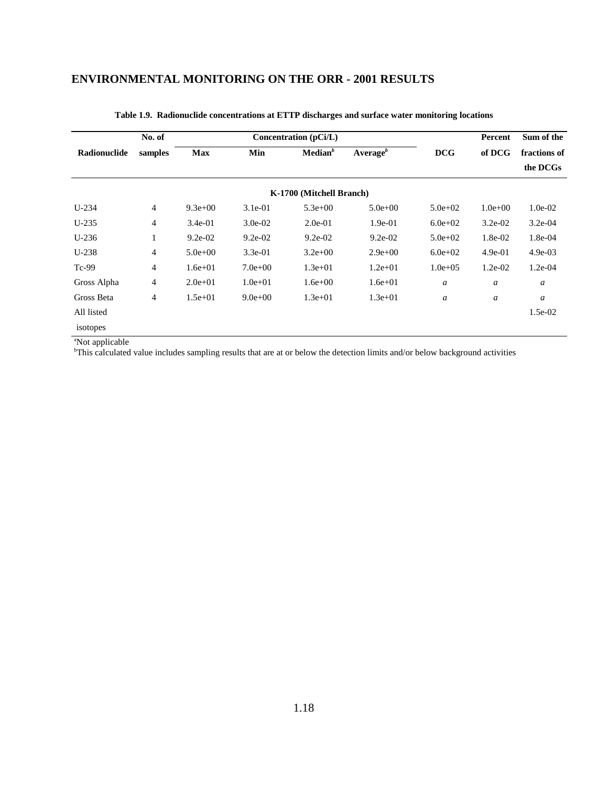|              | No. of         |             |             | Concentration (pCi/L)    |                      |                  | Percent          | Sum of the   |
|--------------|----------------|-------------|-------------|--------------------------|----------------------|------------------|------------------|--------------|
| Radionuclide | samples        | <b>Max</b>  | Min         | Median <sup>b</sup>      | Average <sup>b</sup> | <b>DCG</b>       | of DCG           | fractions of |
|              |                |             |             |                          |                      |                  |                  | the DCGs     |
|              |                |             |             | K-1700 (Mitchell Branch) |                      |                  |                  |              |
| $U-234$      | 4              | $9.3e+00$   | $3.1e-01$   | $5.3e+00$                | $5.0e + 00$          | $5.0e + 02$      | $1.0e + 00$      | $1.0e-02$    |
| $U-235$      | $\overline{4}$ | $3.4e-01$   | $3.0e-02$   | $2.0e-01$                | $1.9e-01$            | $6.0e + 02$      | $3.2e-02$        | $3.2e-04$    |
| $U-236$      | $\mathbf{1}$   | $9.2e-02$   | $9.2e-02$   | $9.2e-02$                | $9.2e-02$            | $5.0e + 02$      | 1.8e-02          | 1.8e-04      |
| $U-238$      | 4              | $5.0e + 00$ | $3.3e-01$   | $3.2e + 00$              | $2.9e+00$            | $6.0e + 02$      | $4.9e-01$        | $4.9e-03$    |
| $Tc-99$      | $\overline{4}$ | $1.6e + 01$ | $7.0e + 00$ | $1.3e + 01$              | $1.2e + 01$          | $1.0e + 0.5$     | $1.2e-02$        | $1.2e-04$    |
| Gross Alpha  | 4              | $2.0e + 01$ | $1.0e + 01$ | $1.6e + 00$              | $1.6e + 01$          | $\boldsymbol{a}$ | $\boldsymbol{a}$ | a            |
| Gross Beta   | 4              | $1.5e+01$   | $9.0e + 00$ | $1.3e + 01$              | $1.3e+01$            | $\boldsymbol{a}$ | a                | a            |
| All listed   |                |             |             |                          |                      |                  |                  | $1.5e-02$    |
| isotopes     |                |             |             |                          |                      |                  |                  |              |

#### **Table 1.9. Radionuclide concentrations at ETTP discharges and surface water monitoring locations**

a Not applicable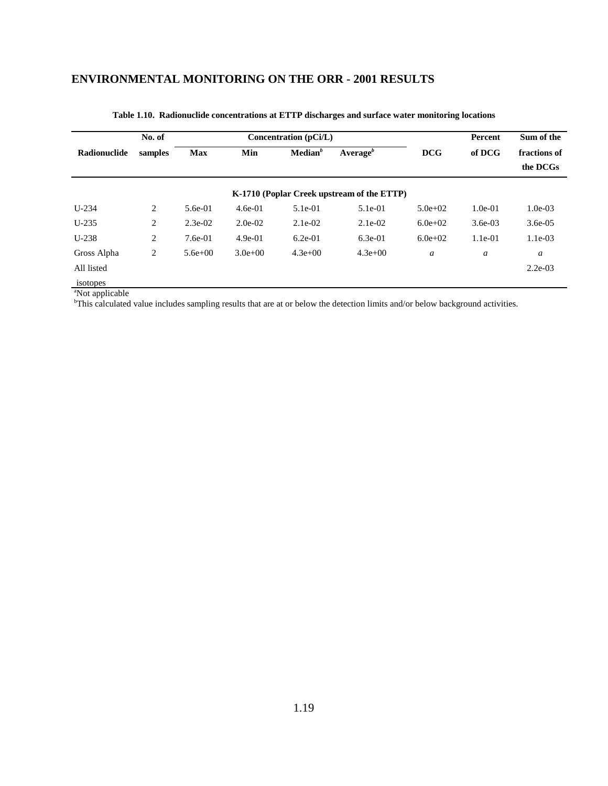|              | No. of         |            |           | Concentration (pCi/L) |                                            |                  | Percent   | Sum of the               |
|--------------|----------------|------------|-----------|-----------------------|--------------------------------------------|------------------|-----------|--------------------------|
| Radionuclide | samples        | <b>Max</b> | Min       | Median <sup>b</sup>   | Average $^b$                               | <b>DCG</b>       | of DCG    | fractions of<br>the DCGs |
|              |                |            |           |                       | K-1710 (Poplar Creek upstream of the ETTP) |                  |           |                          |
| $U-234$      | 2              | 5.6e-01    | $4.6e-01$ | $5.1e-01$             | $5.1e-01$                                  | $5.0e + 02$      | $1.0e-01$ | $1.0e-03$                |
| $U-235$      | $\overline{c}$ | $2.3e-02$  | $2.0e-02$ | $2.1e-02$             | $2.1e-02$                                  | $6.0e + 02$      | $3.6e-03$ | $3.6e-0.5$               |
| $U-238$      | 2              | $7.6e-01$  | $4.9e-01$ | $6.2e-01$             | $6.3e-01$                                  | $6.0e + 02$      | $1.1e-01$ | $1.1e-03$                |
| Gross Alpha  | 2              | $5.6e+00$  | $3.0e+00$ | $4.3e+00$             | $4.3e+00$                                  | $\boldsymbol{a}$ | a         | a                        |
| All listed   |                |            |           |                       |                                            |                  |           | $2.2e-03$                |
| isotopes     |                |            |           |                       |                                            |                  |           |                          |

**Table 1.10. Radionuclide concentrations at ETTP discharges and surface water monitoring locations**

a Not applicable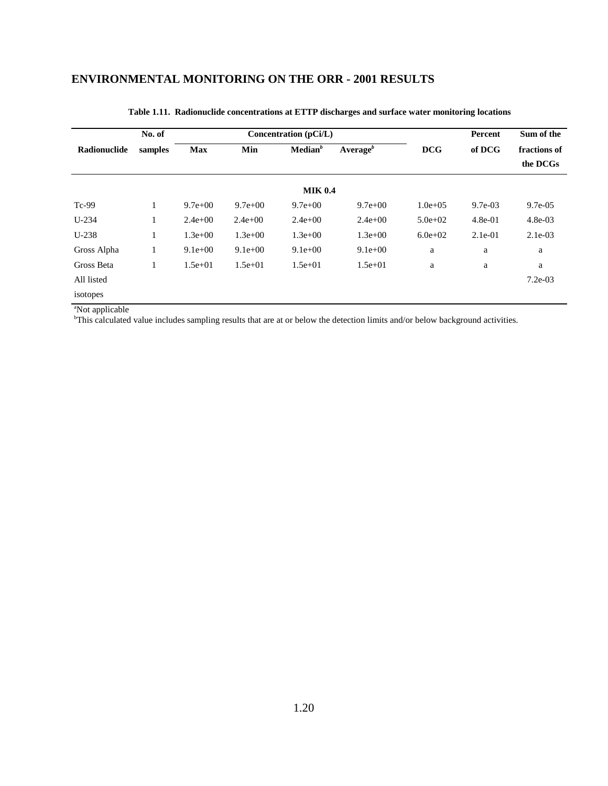|              | No. of  |            |             | Concentration (pCi/L) |                      |              | Percent   | Sum of the               |
|--------------|---------|------------|-------------|-----------------------|----------------------|--------------|-----------|--------------------------|
| Radionuclide | samples | <b>Max</b> | Min         | Median <sup>b</sup>   | Average <sup>b</sup> | <b>DCG</b>   | of DCG    | fractions of<br>the DCGs |
|              |         |            |             | <b>MIK 0.4</b>        |                      |              |           |                          |
| $Tc-99$      | 1       | $9.7e+00$  | $9.7e + 00$ | $9.7e + 00$           | $9.7e + 00$          | $1.0e + 0.5$ | $9.7e-03$ | $9.7e-0.5$               |
| $U-234$      | 1       | $2.4e+00$  | $2.4e+00$   | $2.4e+00$             | $2.4e+00$            | $5.0e + 02$  | $4.8e-01$ | $4.8e-03$                |
| $U-238$      | 1       | $1.3e+00$  | $1.3e+00$   | $1.3e+00$             | $1.3e+00$            | $6.0e + 02$  | $2.1e-01$ | $2.1e-03$                |
| Gross Alpha  | $\perp$ | $9.1e+00$  | $9.1e+00$   | $9.1e+00$             | $9.1e+00$            | a            | a         | a                        |
| Gross Beta   | 1       | $1.5e+01$  | $1.5e+01$   | $1.5e+01$             | $1.5e + 01$          | a            | a         | a                        |
| All listed   |         |            |             |                       |                      |              |           | $7.2e-03$                |
| isotopes     |         |            |             |                       |                      |              |           |                          |

#### **Table 1.11. Radionuclide concentrations at ETTP discharges and surface water monitoring locations**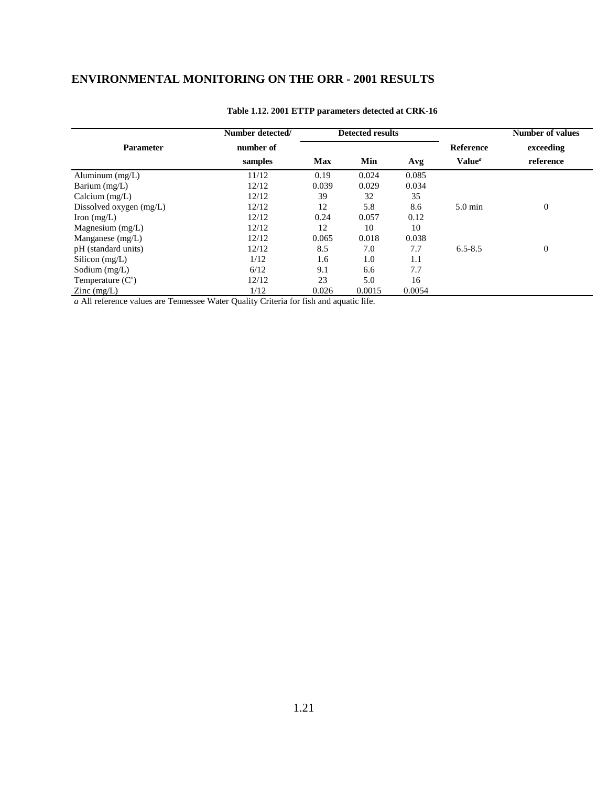|                         | Number detected/ |            | <b>Detected results</b> |        |                    | <b>Number of values</b> |
|-------------------------|------------------|------------|-------------------------|--------|--------------------|-------------------------|
| <b>Parameter</b>        | number of        |            |                         |        | <b>Reference</b>   | exceeding               |
|                         | samples          | <b>Max</b> | Min                     | Avg    | Value <sup>a</sup> | reference               |
| Aluminum $(mg/L)$       | 11/12            | 0.19       | 0.024                   | 0.085  |                    |                         |
| Barium (mg/L)           | 12/12            | 0.039      | 0.029                   | 0.034  |                    |                         |
| Calcium $(mg/L)$        | 12/12            | 39         | 32                      | 35     |                    |                         |
| Dissolved oxygen (mg/L) | 12/12            | 12         | 5.8                     | 8.6    | $5.0 \text{ min}$  | $\boldsymbol{0}$        |
| Iron $(mg/L)$           | 12/12            | 0.24       | 0.057                   | 0.12   |                    |                         |
| Magnesium $(mg/L)$      | 12/12            | 12         | 10                      | 10     |                    |                         |
| Manganese $(mg/L)$      | 12/12            | 0.065      | 0.018                   | 0.038  |                    |                         |
| pH (standard units)     | 12/12            | 8.5        | 7.0                     | 7.7    | $6.5 - 8.5$        | $\boldsymbol{0}$        |
| Silicon $(mg/L)$        | 1/12             | 1.6        | 1.0                     | 1.1    |                    |                         |
| Sodium $(mg/L)$         | 6/12             | 9.1        | 6.6                     | 7.7    |                    |                         |
| Temperature $(Co)$      | 12/12            | 23         | 5.0                     | 16     |                    |                         |
| $\text{Zinc}$ (mg/L)    | 1/12             | 0.026      | 0.0015                  | 0.0054 |                    |                         |

#### **Table 1.12. 2001 ETTP parameters detected at CRK-16**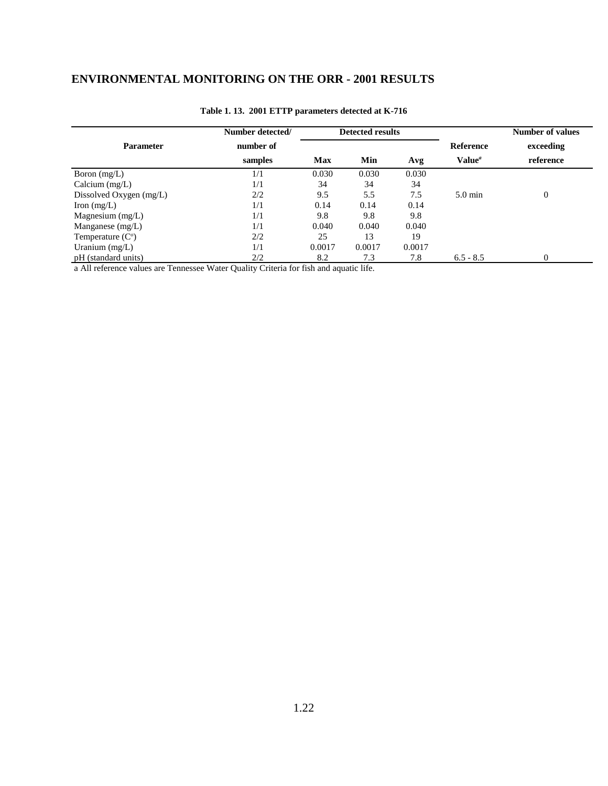|                         | Number detected/ |        | <b>Detected results</b> |        |                    | Number of values |
|-------------------------|------------------|--------|-------------------------|--------|--------------------|------------------|
| <b>Parameter</b>        | number of        |        |                         |        | <b>Reference</b>   | exceeding        |
|                         | samples          | Max    | Min                     | Avg    | Value <sup>a</sup> | reference        |
| Boron $(mg/L)$          | 1/1              | 0.030  | 0.030                   | 0.030  |                    |                  |
| Calcium $(mg/L)$        | 1/1              | 34     | 34                      | 34     |                    |                  |
| Dissolved Oxygen (mg/L) | 2/2              | 9.5    | 5.5                     | 7.5    | $5.0 \text{ min}$  | $\overline{0}$   |
| Iron $(mg/L)$           | 1/1              | 0.14   | 0.14                    | 0.14   |                    |                  |
| Magnesium $(mg/L)$      | 1/1              | 9.8    | 9.8                     | 9.8    |                    |                  |
| Manganese $(mg/L)$      | 1/1              | 0.040  | 0.040                   | 0.040  |                    |                  |
| Temperature $(Co)$      | 2/2              | 25     | 13                      | 19     |                    |                  |
| Uranium $(mg/L)$        | 1/1              | 0.0017 | 0.0017                  | 0.0017 |                    |                  |
| pH (standard units)     | 2/2              | 8.2    | 7.3                     | 7.8    | $6.5 - 8.5$        | $\overline{0}$   |

#### **Table 1. 13. 2001 ETTP parameters detected at K-716**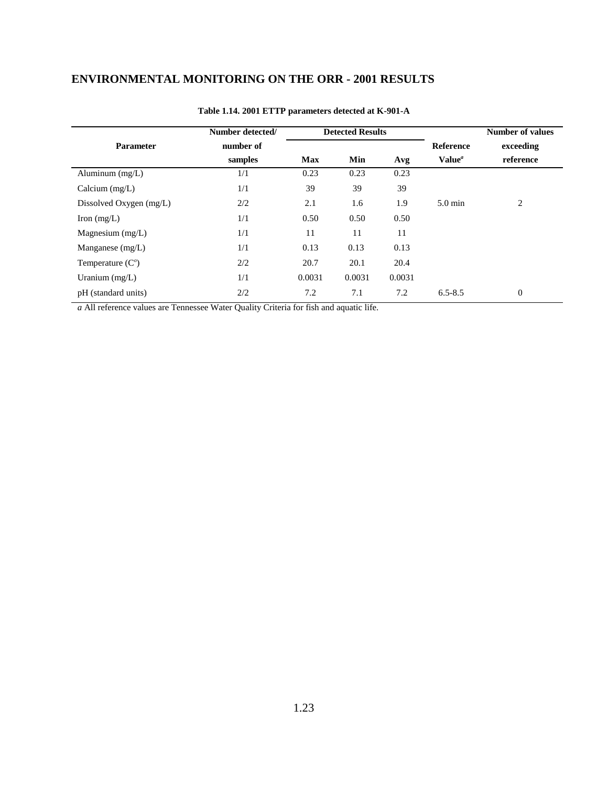|                         | Number detected/ |        | <b>Detected Results</b> |        |                    | <b>Number of values</b> |
|-------------------------|------------------|--------|-------------------------|--------|--------------------|-------------------------|
| <b>Parameter</b>        | number of        |        |                         |        | <b>Reference</b>   | exceeding               |
|                         | samples          | Max    | Min                     | Avg    | Value <sup>a</sup> | reference               |
| Aluminum $(mg/L)$       | 1/1              | 0.23   | 0.23                    | 0.23   |                    |                         |
| Calcium $(mg/L)$        | 1/1              | 39     | 39                      | 39     |                    |                         |
| Dissolved Oxygen (mg/L) | 2/2              | 2.1    | 1.6                     | 1.9    | $5.0 \text{ min}$  | 2                       |
| Iron $(mg/L)$           | 1/1              | 0.50   | 0.50                    | 0.50   |                    |                         |
| Magnesium $(mg/L)$      | 1/1              | 11     | 11                      | 11     |                    |                         |
| Manganese $(mg/L)$      | 1/1              | 0.13   | 0.13                    | 0.13   |                    |                         |
| Temperature $(Co)$      | 2/2              | 20.7   | 20.1                    | 20.4   |                    |                         |
| Uranium $(mg/L)$        | 1/1              | 0.0031 | 0.0031                  | 0.0031 |                    |                         |
| pH (standard units)     | 2/2              | 7.2    | 7.1                     | 7.2    | $6.5 - 8.5$        | $\overline{0}$          |

#### **Table 1.14. 2001 ETTP parameters detected at K-901-A**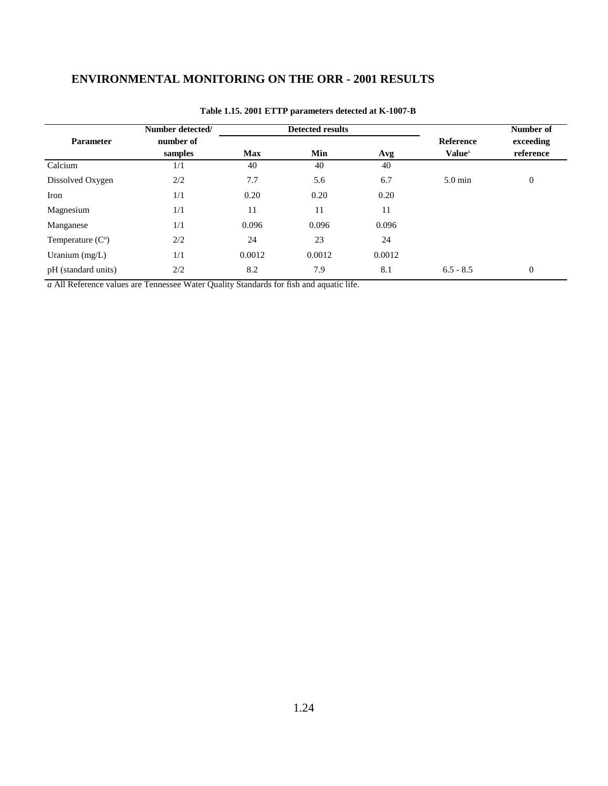|                     | Number detected/ |            | <b>Detected results</b> |        |                           | Number of        |
|---------------------|------------------|------------|-------------------------|--------|---------------------------|------------------|
| <b>Parameter</b>    | number of        |            |                         |        | <b>Reference</b>          | exceeding        |
|                     | samples          | <b>Max</b> | Min                     | Avg    | <b>Value</b> <sup>a</sup> | reference        |
| Calcium             | 1/1              | 40         | 40                      | 40     |                           |                  |
| Dissolved Oxygen    | 2/2              | 7.7        | 5.6                     | 6.7    | $5.0 \text{ min}$         | $\boldsymbol{0}$ |
| Iron                | 1/1              | 0.20       | 0.20                    | 0.20   |                           |                  |
| Magnesium           | 1/1              | 11         | 11                      | 11     |                           |                  |
| Manganese           | 1/1              | 0.096      | 0.096                   | 0.096  |                           |                  |
| Temperature $(Co)$  | 2/2              | 24         | 23                      | 24     |                           |                  |
| Uranium $(mg/L)$    | 1/1              | 0.0012     | 0.0012                  | 0.0012 |                           |                  |
| pH (standard units) | 2/2              | 8.2        | 7.9                     | 8.1    | $6.5 - 8.5$               | $\mathbf{0}$     |

#### **Table 1.15. 2001 ETTP parameters detected at K-1007-B**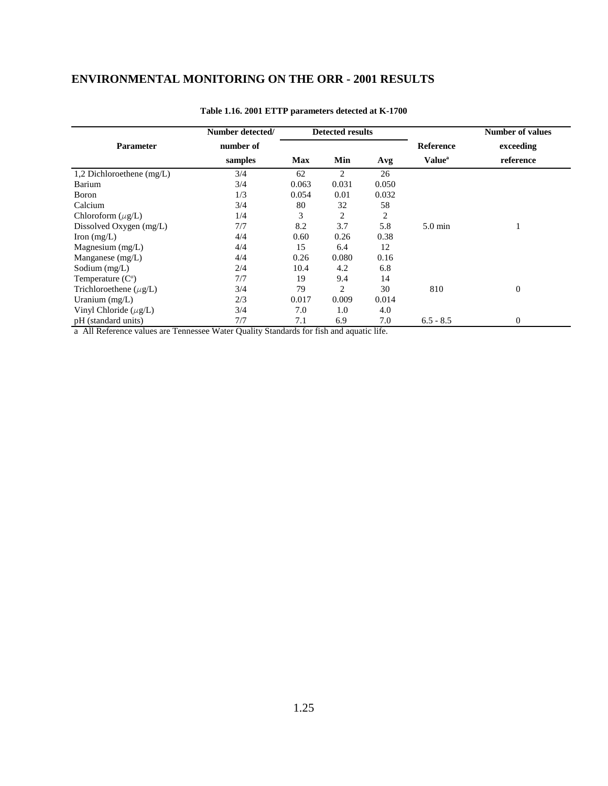|                             | Number detected/ |            | <b>Detected results</b> |       |                           | <b>Number of values</b> |
|-----------------------------|------------------|------------|-------------------------|-------|---------------------------|-------------------------|
| <b>Parameter</b>            | number of        |            |                         |       | <b>Reference</b>          | exceeding               |
|                             | samples          | <b>Max</b> | Min                     | Avg   | <b>Value</b> <sup>a</sup> | reference               |
| 1,2 Dichloroethene $(mg/L)$ | 3/4              | 62         | 2                       | 26    |                           |                         |
| Barium                      | 3/4              | 0.063      | 0.031                   | 0.050 |                           |                         |
| Boron                       | 1/3              | 0.054      | 0.01                    | 0.032 |                           |                         |
| Calcium                     | 3/4              | 80         | 32                      | 58    |                           |                         |
| Chloroform $(\mu$ g/L)      | 1/4              | 3          | 2                       | 2     |                           |                         |
| Dissolved Oxygen (mg/L)     | 7/7              | 8.2        | 3.7                     | 5.8   | $5.0 \text{ min}$         |                         |
| Iron $(mg/L)$               | 4/4              | 0.60       | 0.26                    | 0.38  |                           |                         |
| Magnesium $(mg/L)$          | 4/4              | 15         | 6.4                     | 12    |                           |                         |
| Manganese $(mg/L)$          | 4/4              | 0.26       | 0.080                   | 0.16  |                           |                         |
| Sodium $(mg/L)$             | 2/4              | 10.4       | 4.2                     | 6.8   |                           |                         |
| Temperature $(Co)$          | 7/7              | 19         | 9.4                     | 14    |                           |                         |
| Trichloroethene $(\mu g/L)$ | 3/4              | 79         | $\overline{2}$          | 30    | 810                       | $\overline{0}$          |
| Uranium $(mg/L)$            | 2/3              | 0.017      | 0.009                   | 0.014 |                           |                         |
| Vinyl Chloride $(\mu g/L)$  | 3/4              | 7.0        | 1.0                     | 4.0   |                           |                         |
| pH (standard units)         | 7/7              | 7.1        | 6.9                     | 7.0   | $6.5 - 8.5$               | $\Omega$                |

#### **Table 1.16. 2001 ETTP parameters detected at K-1700**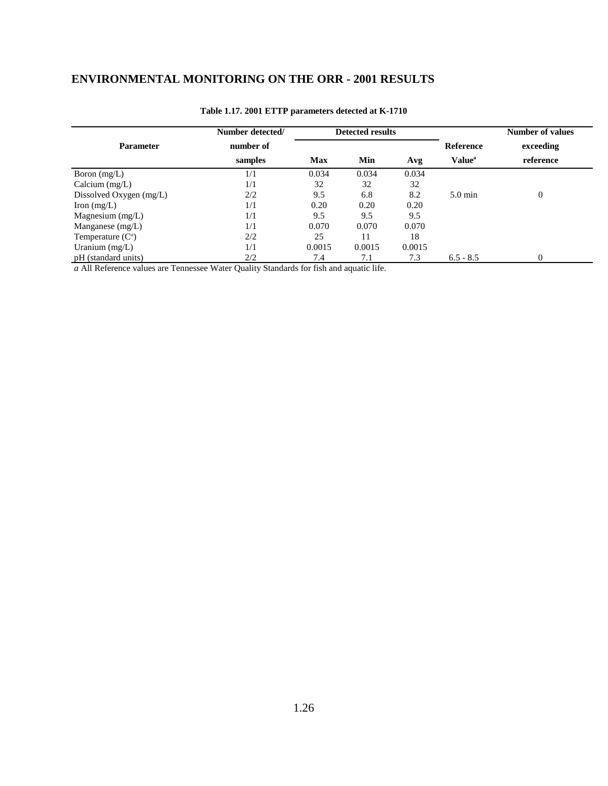|                         | Number detected/ |            | <b>Detected results</b> |        |                           | Number of values |
|-------------------------|------------------|------------|-------------------------|--------|---------------------------|------------------|
| <b>Parameter</b>        | number of        |            |                         |        | <b>Reference</b>          | exceeding        |
|                         | samples          | <b>Max</b> | Min                     | Avg    | <b>Value</b> <sup>a</sup> | reference        |
| Boron $(mg/L)$          | 1/1              | 0.034      | 0.034                   | 0.034  |                           |                  |
| Calcium $(mg/L)$        | 1/1              | 32         | 32                      | 32     |                           |                  |
| Dissolved Oxygen (mg/L) | 2/2              | 9.5        | 6.8                     | 8.2    | $5.0 \text{ min}$         | $\overline{0}$   |
| Iron $(mg/L)$           | 1/1              | 0.20       | 0.20                    | 0.20   |                           |                  |
| Magnesium $(mg/L)$      | 1/1              | 9.5        | 9.5                     | 9.5    |                           |                  |
| Manganese $(mg/L)$      | 1/1              | 0.070      | 0.070                   | 0.070  |                           |                  |
| Temperature $(Co)$      | 2/2              | 25         | 11                      | 18     |                           |                  |
| Uranium $(mg/L)$        | 1/1              | 0.0015     | 0.0015                  | 0.0015 |                           |                  |
| pH (standard units)     | 2/2              | 7.4        | 7.1                     | 7.3    | $6.5 - 8.5$               | $\Omega$         |

#### **Table 1.17. 2001 ETTP parameters detected at K-1710**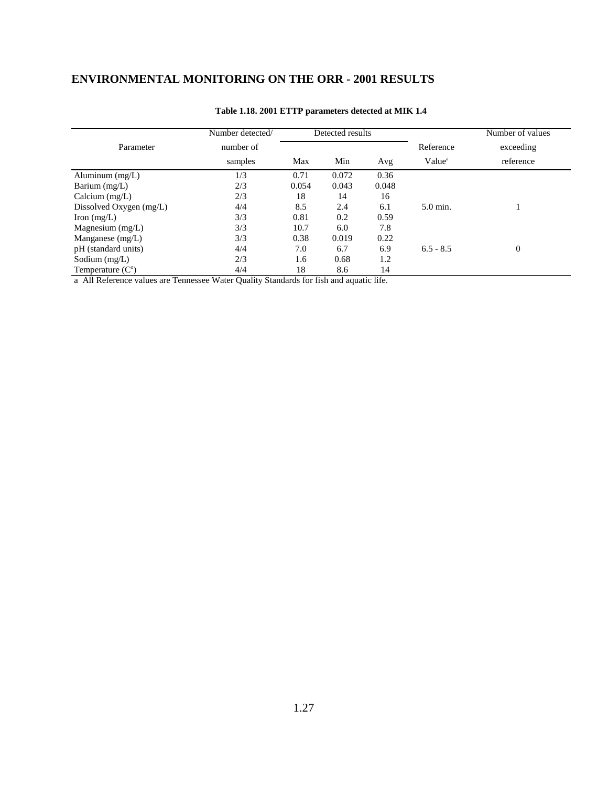|                         | Number detected/ |       | Detected results |       |                    | Number of values |
|-------------------------|------------------|-------|------------------|-------|--------------------|------------------|
| Parameter               | number of        |       |                  |       | Reference          | exceeding        |
|                         | samples          | Max   | Min              | Avg   | Value <sup>a</sup> | reference        |
| Aluminum $(mg/L)$       | 1/3              | 0.71  | 0.072            | 0.36  |                    |                  |
| Barium (mg/L)           | 2/3              | 0.054 | 0.043            | 0.048 |                    |                  |
| Calcium $(mg/L)$        | 2/3              | 18    | 14               | 16    |                    |                  |
| Dissolved Oxygen (mg/L) | 4/4              | 8.5   | 2.4              | 6.1   | 5.0 min.           |                  |
| Iron $(mg/L)$           | 3/3              | 0.81  | 0.2              | 0.59  |                    |                  |
| Magnesium $(mg/L)$      | 3/3              | 10.7  | 6.0              | 7.8   |                    |                  |
| Manganese $(mg/L)$      | 3/3              | 0.38  | 0.019            | 0.22  |                    |                  |
| pH (standard units)     | 4/4              | 7.0   | 6.7              | 6.9   | $6.5 - 8.5$        | $\theta$         |
| Sodium $(mg/L)$         | 2/3              | 1.6   | 0.68             | 1.2   |                    |                  |
| Temperature $(Co)$      | 4/4              | 18    | 8.6              | 14    |                    |                  |

#### **Table 1.18. 2001 ETTP parameters detected at MIK 1.4**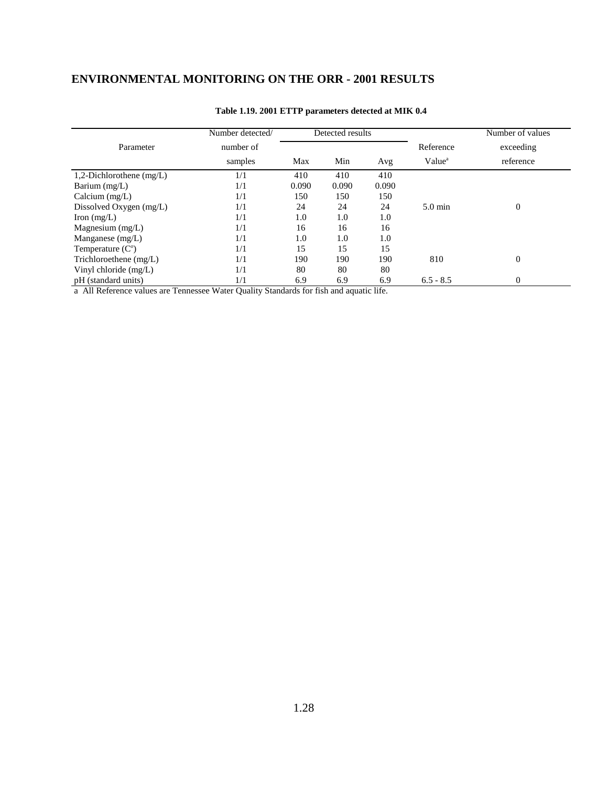|                            | Number detected/ |       | Detected results |       |                    | Number of values |
|----------------------------|------------------|-------|------------------|-------|--------------------|------------------|
| Parameter                  | number of        |       |                  |       | Reference          | exceeding        |
|                            | samples          | Max   | Min              | Avg   | Value <sup>a</sup> | reference        |
| 1,2-Dichlorothene $(mg/L)$ | 1/1              | 410   | 410              | 410   |                    |                  |
| Barium $(mg/L)$            | 1/1              | 0.090 | 0.090            | 0.090 |                    |                  |
| Calcium $(mg/L)$           | 1/1              | 150   | 150              | 150   |                    |                  |
| Dissolved Oxygen (mg/L)    | 1/1              | 24    | 24               | 24    | $5.0 \text{ min}$  | $\Omega$         |
| Iron $(mg/L)$              | 1/1              | 1.0   | 1.0              | 1.0   |                    |                  |
| Magnesium $(mg/L)$         | 1/1              | 16    | 16               | 16    |                    |                  |
| Manganese $(mg/L)$         | 1/1              | 1.0   | 1.0              | 1.0   |                    |                  |
| Temperature $(Co)$         | 1/1              | 15    | 15               | 15    |                    |                  |
| Trichloroethene $(mg/L)$   | 1/1              | 190   | 190              | 190   | 810                | $\Omega$         |
| Vinyl chloride (mg/L)      | 1/1              | 80    | 80               | 80    |                    |                  |
| pH (standard units)        | 1/1              | 6.9   | 6.9              | 6.9   | $6.5 - 8.5$        | $\Omega$         |

#### **Table 1.19. 2001 ETTP parameters detected at MIK 0.4**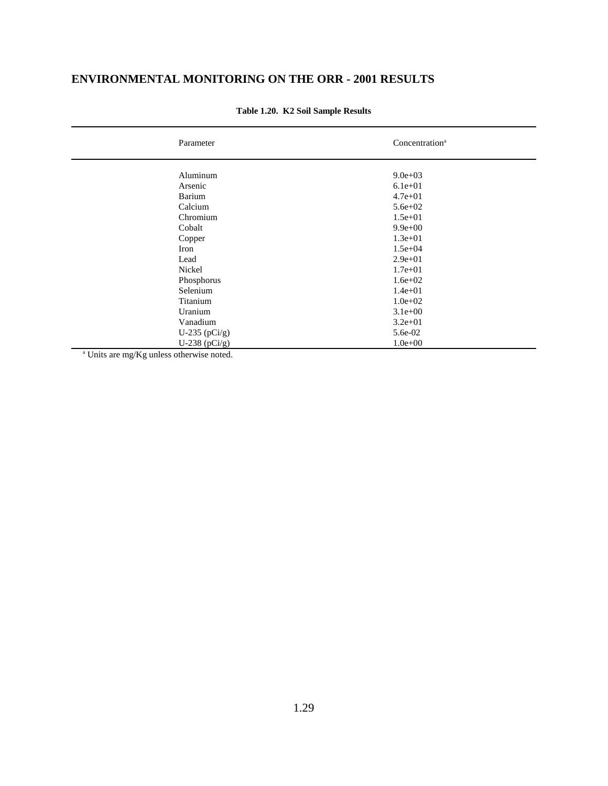| Parameter                     | Concentration <sup>a</sup> |  |
|-------------------------------|----------------------------|--|
| Aluminum                      | $9.0e + 03$                |  |
| Arsenic                       | $6.1e + 01$                |  |
| Barium                        | $4.7e + 01$                |  |
| Calcium                       | $5.6e + 02$                |  |
| Chromium                      | $1.5e + 01$                |  |
| Cobalt                        | $9.9e + 00$                |  |
| Copper                        | $1.3e + 01$                |  |
| Iron                          | $1.5e + 04$                |  |
| Lead                          | $2.9e + 01$                |  |
| Nickel                        | $1.7e + 01$                |  |
| Phosphorus                    | $1.6e + 02$                |  |
| Selenium                      | $1.4e + 01$                |  |
| Titanium                      | $1.0e + 02$                |  |
| Uranium                       | $3.1e+00$                  |  |
| Vanadium                      | $3.2e + 01$                |  |
| U-235 $(pCi/g)$               | 5.6e-02                    |  |
| U-238 ( $pCi/g$ )             | $1.0e + 00$                |  |
| $\sim$ $  -$<br>$-$<br>$\sim$ |                            |  |

#### **Table 1.20. K2 Soil Sample Results**

a Units are mg/Kg unless otherwise noted.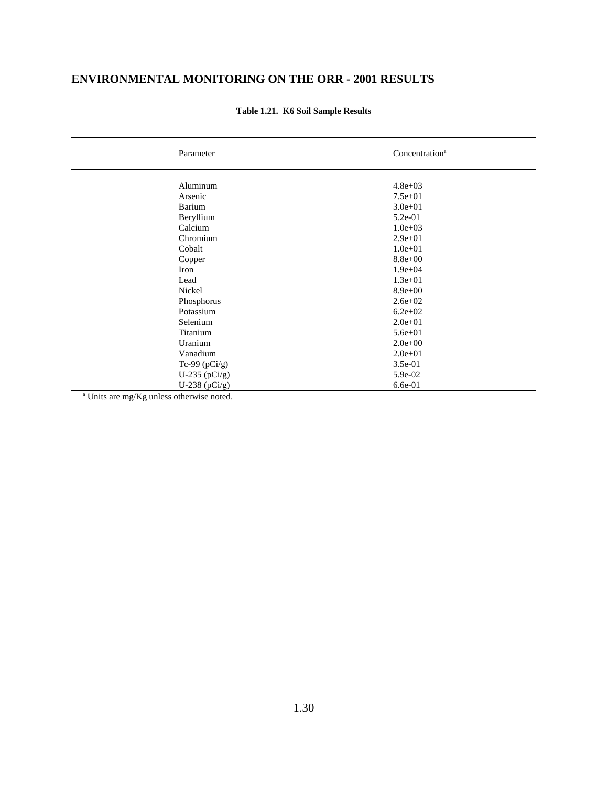| Parameter       | Concentration <sup>a</sup> |
|-----------------|----------------------------|
|                 |                            |
| Aluminum        | $4.8e + 03$                |
| Arsenic         | $7.5e + 01$                |
| Barium          | $3.0e + 01$                |
| Beryllium       | 5.2e-01                    |
| Calcium         | $1.0e + 03$                |
| Chromium        | $2.9e + 01$                |
| Cobalt          | $1.0e + 01$                |
| Copper          | $8.8e + 00$                |
| Iron            | $1.9e + 04$                |
| Lead            | $1.3e + 01$                |
| Nickel          | $8.9e + 00$                |
| Phosphorus      | $2.6e + 02$                |
| Potassium       | $6.2e + 02$                |
| Selenium        | $2.0e + 01$                |
| Titanium        | $5.6e + 01$                |
| Uranium         | $2.0e + 00$                |
| Vanadium        | $2.0e + 01$                |
| Tc-99 $(pCi/g)$ | 3.5e-01                    |
| U-235 $(pCi/g)$ | 5.9e-02                    |
| U-238 $(pCi/g)$ | 6.6e-01                    |

**Table 1.21. K6 Soil Sample Results**

a Units are mg/Kg unless otherwise noted.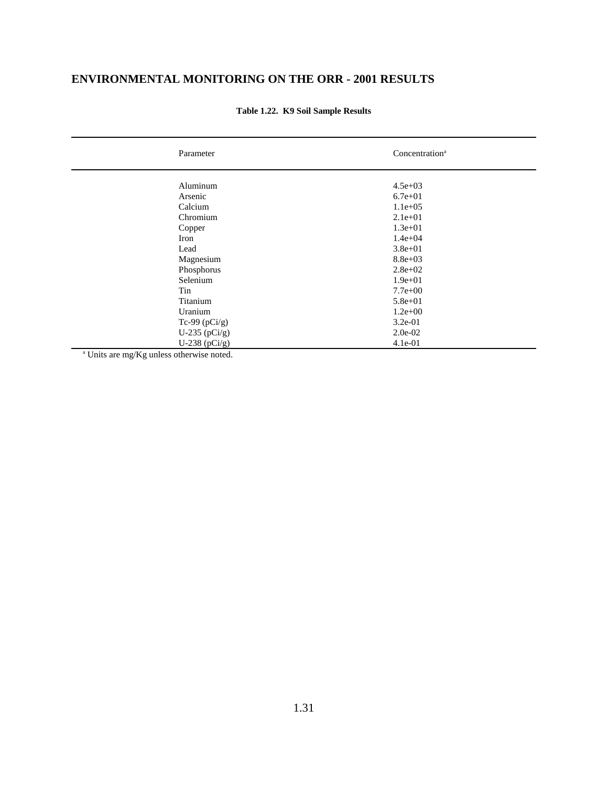| Parameter         | Concentration <sup>a</sup> |
|-------------------|----------------------------|
|                   |                            |
| Aluminum          | $4.5e + 03$                |
| Arsenic           | $6.7e + 01$                |
| Calcium           | $1.1e+05$                  |
| Chromium          | $2.1e+01$                  |
| Copper            | $1.3e + 01$                |
| Iron              | $1.4e + 04$                |
| Lead              | $3.8e + 01$                |
| Magnesium         | $8.8e + 03$                |
| Phosphorus        | $2.8e + 02$                |
| Selenium          | $1.9e + 01$                |
| Tin               | $7.7e+00$                  |
| Titanium          | $5.8e + 01$                |
| Uranium           | $1.2e+00$                  |
| Tc-99 $(pCi/g)$   | $3.2e-01$                  |
| U-235 $(pCi/g)$   | $2.0e-02$                  |
| U-238 ( $pCi/g$ ) | 4.1e-01                    |

**Table 1.22. K9 Soil Sample Results**

a Units are mg/Kg unless otherwise noted.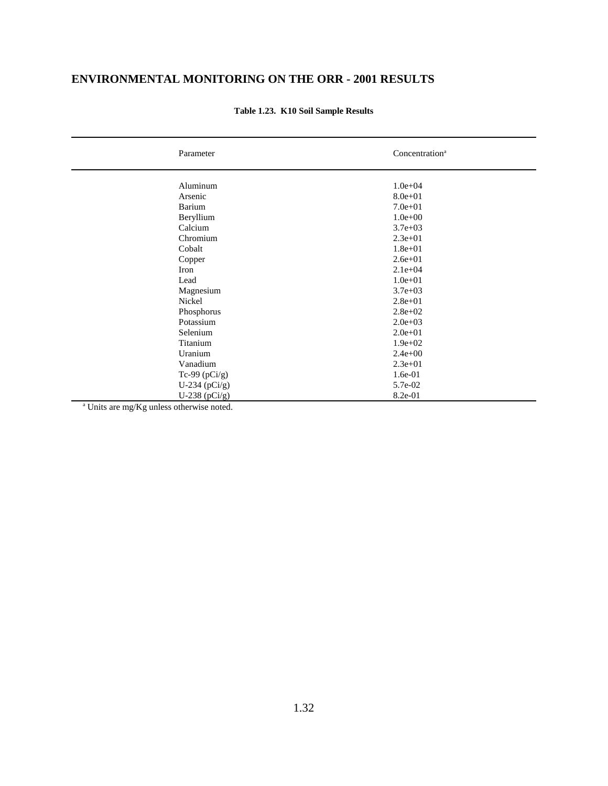| Parameter                                            | Concentration <sup>a</sup> |
|------------------------------------------------------|----------------------------|
| Aluminum                                             | $1.0e + 04$                |
| Arsenic                                              | $8.0e + 01$                |
| Barium                                               | $7.0e + 01$                |
| Beryllium                                            | $1.0e + 00$                |
| Calcium                                              | $3.7e + 03$                |
| Chromium                                             | $2.3e+01$                  |
| Cobalt                                               | $1.8e + 01$                |
| Copper                                               | $2.6e + 01$                |
| Iron                                                 | $2.1e+04$                  |
| Lead                                                 | $1.0e + 01$                |
| Magnesium                                            | $3.7e + 03$                |
| Nickel                                               | $2.8e + 01$                |
| Phosphorus                                           | $2.8e + 0.2$               |
| Potassium                                            | $2.0e + 03$                |
| Selenium                                             | $2.0e + 01$                |
| Titanium                                             | $1.9e + 02$                |
| Uranium                                              | $2.4e+00$                  |
| Vanadium                                             | $2.3e + 01$                |
| Tc-99 $(pCi/g)$                                      | 1.6e-01                    |
| U-234 $(pCi/g)$                                      | 5.7e-02                    |
| U-238 ( $pCi/g$ )                                    | 8.2e-01                    |
| <sup>a</sup> Units are mg/Kg unless otherwise noted. |                            |

### **Table 1.23. K10 Soil Sample Results**

Units are mg/Kg unless otherwise noted.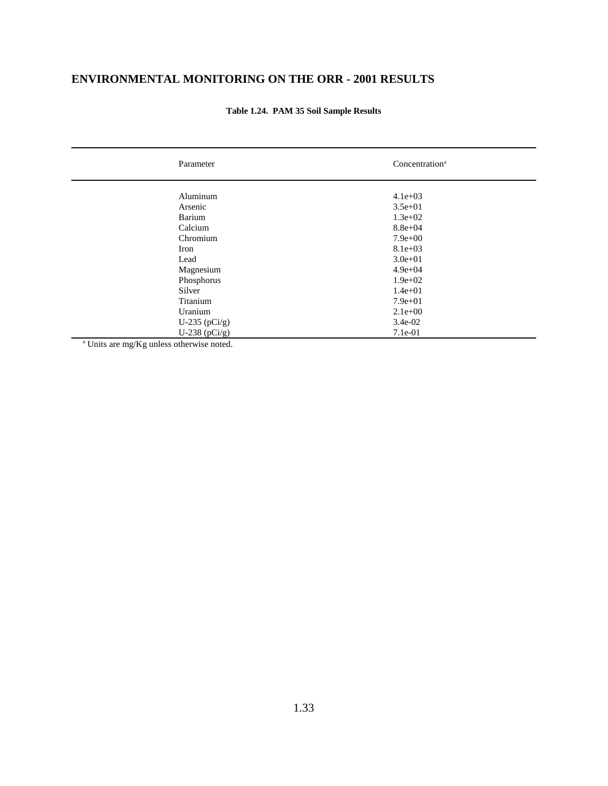| Parameter                               | Concentration <sup>a</sup> |
|-----------------------------------------|----------------------------|
| Aluminum                                | $4.1e+03$                  |
| Arsenic                                 | $3.5e + 01$                |
| Barium                                  | $1.3e + 02$                |
| Calcium                                 | $8.8e + 04$                |
| Chromium                                | $7.9e + 00$                |
| Iron                                    | $8.1e+03$                  |
| Lead                                    | $3.0e + 01$                |
| Magnesium                               | $4.9e + 04$                |
| Phosphorus                              | $1.9e + 02$                |
| Silver                                  | $1.4e + 01$                |
| Titanium                                | $7.9e + 01$                |
| Uranium                                 | $2.1e+00$                  |
| U-235 $(pCi/g)$                         | $3.4e-02$                  |
| U-238 ( $pCi/g$ )                       | 7.1e-01                    |
| $\sim$ $  -$<br>$-$<br>$\sim$<br>$\sim$ |                            |

**Table 1.24. PAM 35 Soil Sample Results**

a Units are mg/Kg unless otherwise noted.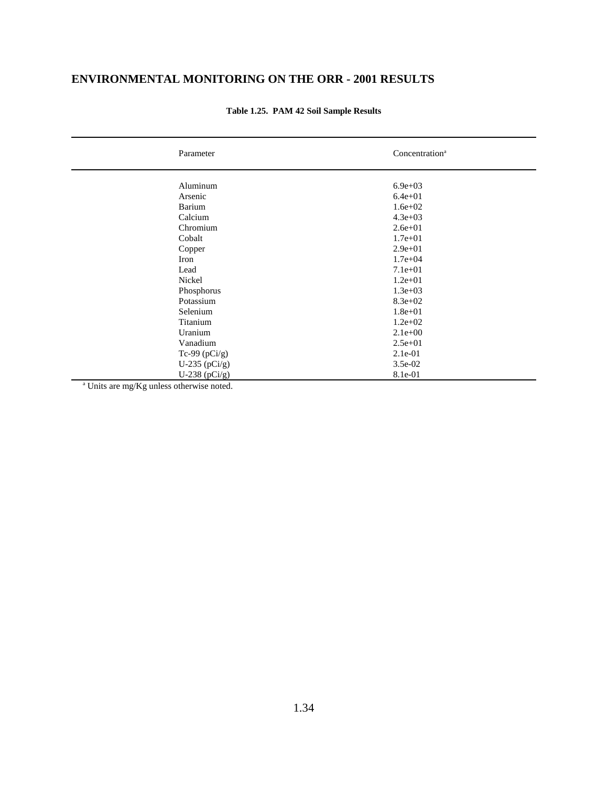| Parameter       | Concentration <sup>a</sup> |
|-----------------|----------------------------|
| Aluminum        | $6.9e + 03$                |
| Arsenic         | $6.4e + 01$                |
| Barium          | $1.6e + 02$                |
| Calcium         | $4.3e + 03$                |
| Chromium        | $2.6e + 01$                |
| Cobalt          | $1.7e + 01$                |
|                 | $2.9e+01$                  |
| Copper          |                            |
| Iron            | $1.7e + 04$                |
| Lead            | $7.1e+01$                  |
| Nickel          | $1.2e + 01$                |
| Phosphorus      | $1.3e+03$                  |
| Potassium       | $8.3e + 02$                |
| Selenium        | $1.8e + 01$                |
| Titanium        | $1.2e + 02$                |
| Uranium         | $2.1e+00$                  |
| Vanadium        | $2.5e + 01$                |
| Tc-99 $(pCi/g)$ | 2.1e-01                    |
| U-235 $(pCi/g)$ | $3.5e-02$                  |
| U-238 $(pCi/g)$ | 8.1e-01                    |
| $   -$<br>$-$   |                            |

### **Table 1.25. PAM 42 Soil Sample Results**

a Units are mg/Kg unless otherwise noted.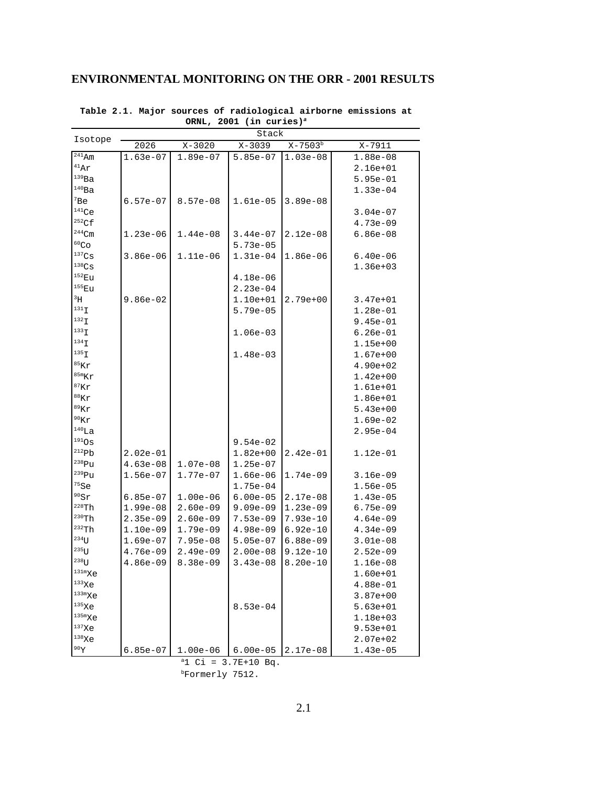| 2026<br>$1.63e-07$<br>$6.57e-07$<br>$1.23e-06$<br>$3.86e-06$ | $X - 3020$<br>$1.89e-07$<br>$8.57e-08$ | Stack<br>$X - 3039$<br>$5.85e-07$<br>$1.61e-05$ | $X - 7503^b$<br>$1.03e-08$<br>$3.89e-08$ | $X - 7911$<br>$1.88e-08$<br>$2.16e + 01$<br>$5.95e-01$<br>1.33e-04 |
|--------------------------------------------------------------|----------------------------------------|-------------------------------------------------|------------------------------------------|--------------------------------------------------------------------|
|                                                              |                                        |                                                 |                                          |                                                                    |
|                                                              |                                        |                                                 |                                          |                                                                    |
|                                                              |                                        |                                                 |                                          |                                                                    |
|                                                              |                                        |                                                 |                                          |                                                                    |
|                                                              |                                        |                                                 |                                          |                                                                    |
|                                                              |                                        |                                                 |                                          |                                                                    |
|                                                              |                                        |                                                 |                                          | $3.04e-07$                                                         |
|                                                              |                                        |                                                 |                                          | $4.73e-09$                                                         |
|                                                              | $1.44e-08$                             | $3.44e-07$                                      | $2.12e-08$                               | $6.86e-08$                                                         |
|                                                              |                                        | $5.73e-05$                                      |                                          |                                                                    |
|                                                              | 1.11e-06                               | $1.31e-04$                                      | $1.86e-06$                               | $6.40e-06$                                                         |
|                                                              |                                        |                                                 |                                          | 1.36e+03                                                           |
|                                                              |                                        | $4.18e-06$                                      |                                          |                                                                    |
|                                                              |                                        | $2.23e-04$                                      |                                          |                                                                    |
| $9.86e-02$                                                   |                                        | 1.10e+01                                        | $2.79e+00$                               | $3.47e + 01$                                                       |
|                                                              |                                        | $5.79e-05$                                      |                                          | 1.28e-01                                                           |
|                                                              |                                        |                                                 |                                          | $9.45e-01$                                                         |
|                                                              |                                        | $1.06e-03$                                      |                                          | $6.26e-01$                                                         |
|                                                              |                                        |                                                 |                                          | $1.15e+00$                                                         |
|                                                              |                                        | $1.48e-03$                                      |                                          | $1.67e + 00$                                                       |
|                                                              |                                        |                                                 |                                          | $4.90e + 02$                                                       |
|                                                              |                                        |                                                 |                                          | $1.42e + 00$                                                       |
|                                                              |                                        |                                                 |                                          | 1.61e+01                                                           |
|                                                              |                                        |                                                 |                                          | $1.86e + 01$                                                       |
|                                                              |                                        |                                                 |                                          | $5.43e+00$                                                         |
|                                                              |                                        |                                                 |                                          | $1.69e-02$                                                         |
|                                                              |                                        |                                                 |                                          | $2.95e-04$                                                         |
|                                                              |                                        | $9.54e-02$                                      |                                          |                                                                    |
| $2.02e-01$                                                   |                                        | $1.82e+00$                                      | $2.42e-01$                               | 1.12e-01                                                           |
| $4.63e-08$                                                   | $1.07e-08$                             | $1.25e-07$                                      |                                          |                                                                    |
| $1.56e-07$                                                   | 1.77e-07                               | $1.66e-06$                                      | 1.74e-09                                 | $3.16e-09$                                                         |
|                                                              |                                        | $1.75e-04$                                      |                                          | $1.56e-05$                                                         |
| $6.85e-07$                                                   | $1.00e-06$                             | $6.00e-05$                                      | $2.17e-08$                               | $1.43e-05$                                                         |
| $1.99e-08$                                                   | $2.60e-09$                             | $9.09e-09$                                      | $1.23e-09$                               | $6.75e-09$                                                         |
| $2.35e-09$                                                   | $2.60e-09$                             | $7.53e-09$                                      | $7.93e-10$                               | $4.64e-09$                                                         |
| $1.10e-09$                                                   | $1.79e-09$                             | $4.98e-09$                                      | $6.92e-10$                               | $4.34e-09$                                                         |
| $1.69e-07$                                                   | $7.95e-08$                             | $5.05e-07$                                      | $6.88e-09$                               | $3.01e-08$                                                         |
| $4.76e-09$                                                   | $2.49e-09$                             | $2.00e-08$                                      | $9.12e-10$                               | $2.52e-09$                                                         |
| $4.86e-09$                                                   | $8.38e-09$                             | $3.43e-08$                                      | $8.20e-10$                               | 1.16e-08                                                           |
|                                                              |                                        |                                                 |                                          | $1.60e + 01$                                                       |
|                                                              |                                        |                                                 |                                          | $4.88e-01$                                                         |
|                                                              |                                        |                                                 |                                          | $3.87e + 00$                                                       |
|                                                              |                                        |                                                 |                                          | $5.63e+01$                                                         |
|                                                              |                                        |                                                 |                                          | 1.18e+03                                                           |
|                                                              |                                        |                                                 |                                          | $9.53e + 01$                                                       |
|                                                              |                                        |                                                 |                                          | $2.07e + 02$                                                       |
|                                                              |                                        |                                                 |                                          | 1.43e-05                                                           |
|                                                              |                                        |                                                 |                                          |                                                                    |
|                                                              | $6.85e-07$                             | $1.00e-06$                                      | $8.53e-04$<br>$6.00e-05$                 | $2.17e-08$<br><sup>a</sup> 1 Ci = $3.7E+10$ Bq.                    |

**Table 2.1. Major sources of radiological airborne emissions at ORNL, 2001 (in curies)<sup>a</sup>**

2.1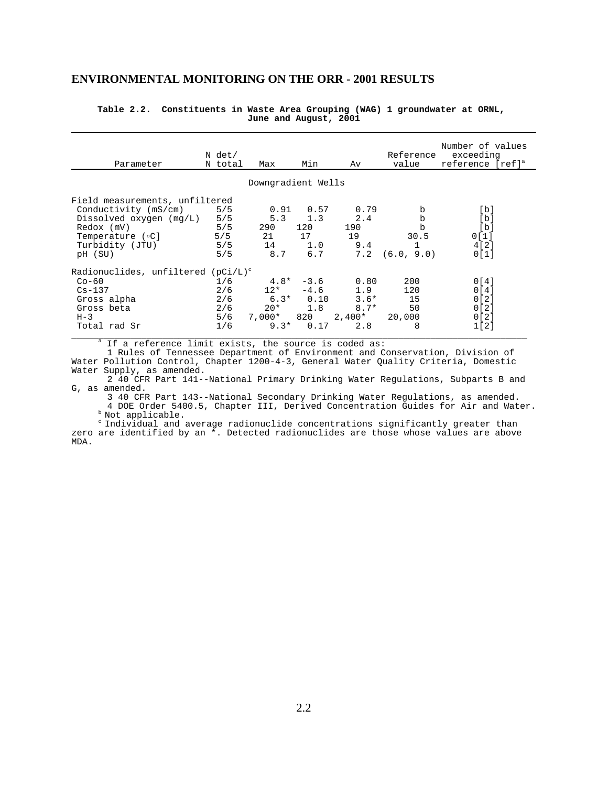#### **Table 2.2. Constituents in Waste Area Grouping (WAG) 1 groundwater at ORNL, June and August, 2001**

| Parameter                             | N det/<br>N total | Max                | Min         | Av       | Reference<br>value | Number of values<br>exceeding<br>reference [ref] <sup>a</sup> |
|---------------------------------------|-------------------|--------------------|-------------|----------|--------------------|---------------------------------------------------------------|
|                                       |                   | Downgradient Wells |             |          |                    |                                                               |
|                                       |                   |                    |             |          |                    |                                                               |
| Field measurements, unfiltered        |                   |                    |             |          |                    |                                                               |
| Conductivity (mS/cm)                  | 5/5               |                    | $0.91$ 0.57 | 0.79     | b                  | [b]                                                           |
| Dissolved oxygen $(mq/L)$             | 5/5               |                    | $5.3$ 1.3   | 2.4      | b                  | [b]                                                           |
| Redox (mV)                            | 5/5               | 290                | 120         | 190      | $\mathbf b$        | [b]                                                           |
| Temperature (°C)                      | 5/5               | 21                 | 17          | 19       | 30.5               | 0[1]                                                          |
| Turbidity (JTU)                       | 5/5               |                    | 14 1.0      | 9.4      |                    | 4[2]                                                          |
| pH (SU)                               | 5/5               | 8.7                | 6.7         | 7.2      | (6.0, 9.0)         | 0[1]                                                          |
| Radionuclides, unfiltered $(pCi/L)^c$ |                   |                    |             |          |                    |                                                               |
| $Co-60$                               | 1/6               |                    | $4.8* -3.6$ | 0.80     | 200                | 0[4]                                                          |
| $Cs-137$                              | 2/6               | $12*$              | $-4.6$      | 1.9      | 120                | 0 <sub>1</sub> 4 <sub>1</sub>                                 |
| Gross alpha                           |                   | 2/6                | $6.3*$ 0.10 | $3.6*$   | 15                 | 0[2]                                                          |
| Gross beta                            | 2/6               | $20*$              | 1.8         | $8.7*$   | 50                 | 0[2]                                                          |
| $H-3$                                 | 5/6               | 7,000* 820         |             | $2,400*$ | 20,000             | 0[2]                                                          |
| Total rad Sr                          | 1/6               | $9.3*$             | 0.17        | 2.8      | 8                  | 1[2]                                                          |

<sup>a</sup> If a reference limit exists, the source is coded as:

1 Rules of Tennessee Department of Environment and Conservation, Division of Water Pollution Control, Chapter 1200-4-3, General Water Quality Criteria, Domestic Water Supply, as amended.

2 40 CFR Part 141--National Primary Drinking Water Regulations, Subparts B and G, as amended.

3 40 CFR Part 143--National Secondary Drinking Water Regulations, as amended. 4 DOE Order 5400.5, Chapter III, Derived Concentration Guides for Air and Water.  $b$  Not applicable.

 c Individual and average radionuclide concentrations significantly greater than zero are identified by an  $\overline{x}$ . Detected radionuclides are those whose values are above MDA.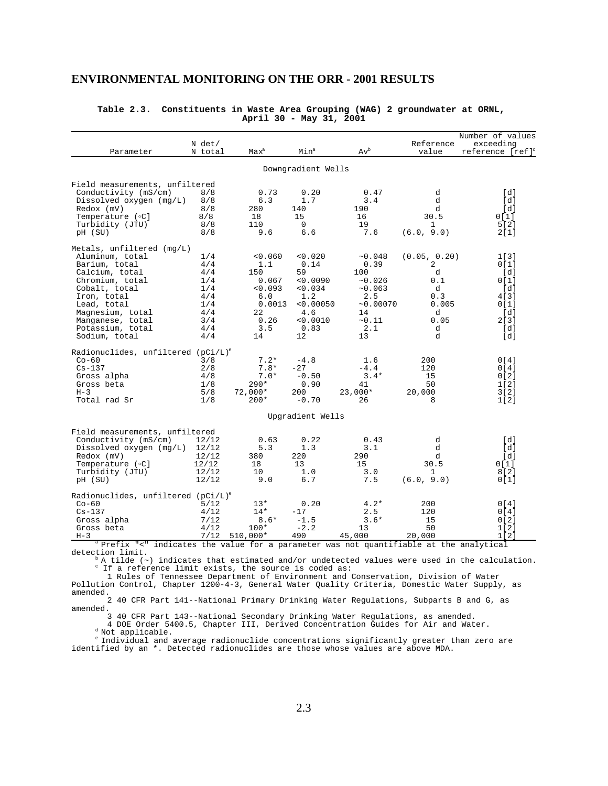| Parameter                             | N det/<br>N total | $Max^a$              | Min <sup>a</sup>   | $Av^b$                                                                     | Reference<br>value | Number of values<br>exceeding<br>reference [ref] <sup>c</sup> |
|---------------------------------------|-------------------|----------------------|--------------------|----------------------------------------------------------------------------|--------------------|---------------------------------------------------------------|
|                                       |                   |                      | Downgradient Wells |                                                                            |                    |                                                               |
| Field measurements, unfiltered        |                   |                      |                    |                                                                            |                    |                                                               |
| Conductivity (mS/cm)                  | 8/8               | 0.73                 | 0.20               | 0.47                                                                       | d                  | [d]                                                           |
| Dissolved oxygen $(mq/L)$             | 8/8               | 6.3                  | 1.7                | 3.4                                                                        | d                  | [d]                                                           |
| Redox (mV)                            | 8/8               | 280                  | 140                | 190                                                                        | d                  | [d]                                                           |
| Temperature (°C]                      | 8/8<br>8/8        | 18                   | 15<br>$\Omega$     | 16                                                                         | 30.5               | 0[1]                                                          |
| Turbidity (JTU)<br>pH (SU)            | 8/8               | 110<br>9.6           | 6.6                | 19<br>7.6                                                                  | 1<br>(6.0, 9.0)    | 5[2]<br>2[1]                                                  |
| Metals, unfiltered (mq/L)             |                   |                      |                    |                                                                            |                    |                                                               |
| Aluminum, total                       | 1/4               | < 0.060              | 0.020              | ~10.048                                                                    | (0.05, 0.20)       | 1[3]                                                          |
| Barium, total                         | 4/4               | 1.1                  | 0.14               | 0.39                                                                       | 2                  | 0[1]                                                          |
| Calcium, total                        | 4/4               | 150                  | 59                 | 100                                                                        | d                  | [d]                                                           |
| Chromium, total                       | 1/4               | 0.067                | < 0.0090           | ~0.026                                                                     | 0.1                | 0[1]                                                          |
| Cobalt, total                         | 1/4               | < 0.093<br>6.0       | 0.034              | ~10.063                                                                    | d                  | [d]                                                           |
| Iron, total<br>Lead, total            | 4/4<br>1/4        | 0.0013               | 1.2<br>< 0.00050   | 2.5<br>~0.00070                                                            | 0.3<br>0.005       | 4 [ 3 ]<br>0[1]                                               |
| Magnesium, total                      | 4/4               | 22                   | 4.6                | 14                                                                         | d                  | [d]                                                           |
| Manganese, total                      | 3/4               | 0.26                 | < 0.0010           | ~11                                                                        | 0.05               | 2[3]                                                          |
| Potassium, total                      | 4/4               | 3.5                  | 0.83               | 2.1                                                                        | d                  | [d]                                                           |
| Sodium, total                         | 4/4               | 14                   | 12                 | 13                                                                         | d                  | [d]                                                           |
| Radionuclides, unfiltered $(pCi/L)^e$ |                   |                      |                    |                                                                            |                    |                                                               |
| $Co-60$                               | 3/8               | $7.2*$               | $-4.8$             | 1.6                                                                        | 200                | 0 <sub>1</sub> 4 <sub>1</sub>                                 |
| $Cs - 137$                            | 2/8               | $7.8*$               | $-27$              | $-4.4$                                                                     | 120                | 0[4]                                                          |
| Gross alpha                           | 4/8               | $7.0*$               | $-0.50$            | $3.4*$                                                                     | 15                 | 0 [ 2 ]                                                       |
| Gross beta                            | 1/8               | $290*$               | 0.90               | 41                                                                         | 50                 | 1[2]                                                          |
| $H - 3$                               | 5/8               | $72,000*$            | 200                | $23,000*$                                                                  | 20,000             | 3[2]                                                          |
| Total rad Sr                          | 1/8               | $200*$               | $-0.70$            | 26                                                                         | 8                  | 1[2]                                                          |
|                                       |                   |                      | Upgradient Wells   |                                                                            |                    |                                                               |
| Field measurements, unfiltered        |                   |                      |                    |                                                                            |                    |                                                               |
| Conductivity (mS/cm)                  | 12/12             | 0.63                 | 0.22               | 0.43                                                                       | d                  | [d]                                                           |
| Dissolved oxygen (mg/L)               | 12/12             | 5.3                  | 1.3                | 3.1                                                                        | d                  | [d]                                                           |
| Redox (mV)                            | 12/12             | 380                  | 220                | 290                                                                        | d                  | [d]                                                           |
| Temperature (°C]                      | 12/12             | 18                   | 13                 | 15                                                                         | 30.5               | 0[1]                                                          |
| Turbidity (JTU)                       | 12/12             | 10                   | 1.0                | 3.0                                                                        | 1                  | 8[2]                                                          |
| pH (SU)                               | 12/12             | 9.0                  | 6.7                | 7.5                                                                        | (6.0, 9.0)         | 0[1]                                                          |
| Radionuclides, unfiltered $(pCi/L)^e$ |                   |                      |                    |                                                                            |                    |                                                               |
| $Co-60$                               | 5/12              | $13*$                | 0.20               | $4.2*$                                                                     | 200                | 0 <sub>1</sub> 4 <sub>1</sub>                                 |
| $Cs - 137$                            | 4/12              | $14*$                | $-17$              | 2.5                                                                        | 120                | 0 [ 4 ]                                                       |
| Gross alpha                           | 7/12              | 8.6*                 | $-1.5$             | $3.6*$                                                                     | 15                 | 0 [ 2 ]                                                       |
| Gross beta<br>$H-3$                   | 4/12<br>7/12      | $100*$<br>$510,000*$ | $-2.2$<br>490      | 13<br>45,000                                                               | 50<br>20,000       | 1[2]<br>1 <sub>1</sub>                                        |
| Prefix<br>$"$ < $"$                   |                   |                      |                    | indicates the value for a parameter was not quantifiable at the analytical |                    |                                                               |

#### **Table 2.3. Constituents in Waste Area Grouping (WAG) 2 groundwater at ORNL, April 30 - May 31, 2001**

detection limit.

 $\Delta$  A tilde ( $\sim$ ) indicates that estimated and/or undetected values were used in the calculation. c If a reference limit exists, the source is coded as:

1 Rules of Tennessee Department of Environment and Conservation, Division of Water Pollution Control, Chapter 1200-4-3, General Water Quality Criteria, Domestic Water Supply, as amended.

2 40 CFR Part 141--National Primary Drinking Water Regulations, Subparts B and G, as amended.

3 40 CFR Part 143--National Secondary Drinking Water Regulations, as amended. 4 DOE Order 5400.5, Chapter III, Derived Concentration Guides for Air and Water.

d Not applicable.

 e Individual and average radionuclide concentrations significantly greater than zero are identified by an \*. Detected radionuclides are those whose values are above MDA.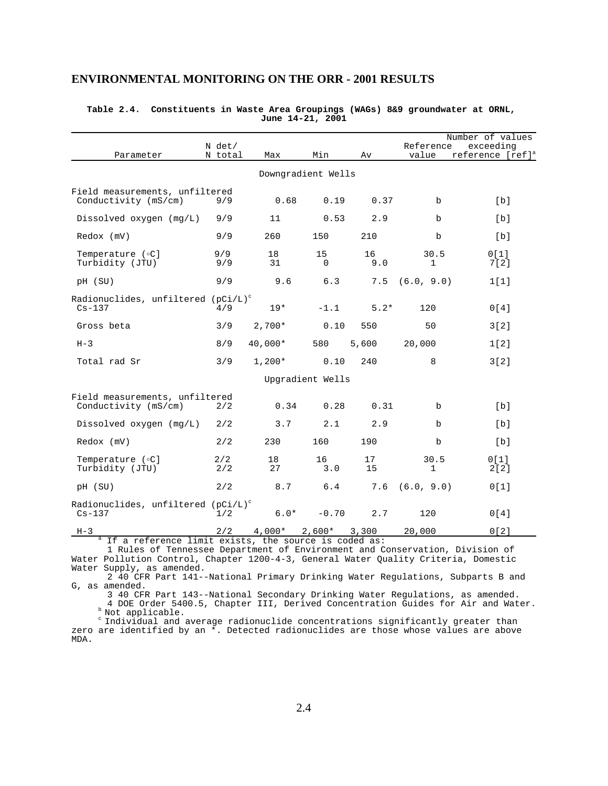| <b>ENVIRONMENTAL MONITORING ON THE ORR - 2001 RESULTS</b> |  |  |  |
|-----------------------------------------------------------|--|--|--|
|-----------------------------------------------------------|--|--|--|

|                                                              | N det/     |          |                    |           | Reference            | Number of values<br>exceeding |
|--------------------------------------------------------------|------------|----------|--------------------|-----------|----------------------|-------------------------------|
| Parameter                                                    | N total    | Max      | Min                | Av        | value                | reference [ref] <sup>a</sup>  |
|                                                              |            |          | Downgradient Wells |           |                      |                               |
| Field measurements, unfiltered<br>Conductivity (mS/cm)       | 9/9        | 0.68     | 0.19               | 0.37      | b                    | [b]                           |
| Dissolved oxygen $(mq/L)$                                    | 9/9        | 11       | 0.53               | 2.9       | b                    | [b]                           |
| Redox (mV)                                                   | 9/9        | 260      | 150                | 210       | $\mathbf b$          | [b]                           |
| Temperature (°C]<br>Turbidity (JTU)                          | 9/9<br>9/9 | 18<br>31 | 15<br>$\mathbf 0$  | 16<br>9.0 | 30.5<br>$\mathbf{1}$ | 0[1]<br>7[2]                  |
| pH (SU)                                                      | 9/9        | 9.6      | 6.3                | 7.5       | (6.0, 9.0)           | 1[1]                          |
| Radionuclides, unfiltered $(pCi/L)^c$<br>$Cs - 137$          | 4/9        | $19*$    | $-1.1$             | $5.2*$    | 120                  | 0[4]                          |
| Gross beta                                                   | 3/9        | $2,700*$ | 0.10               | 550       | 50                   | 3[2]                          |
| $H-3$                                                        | 8/9        | 40,000*  | 580                | 5,600     | 20,000               | 1[2]                          |
| Total rad Sr                                                 | 3/9        | $1,200*$ | 0.10               | 240       | 8                    | 3[2]                          |
|                                                              |            |          | Upgradient Wells   |           |                      |                               |
| Field measurements, unfiltered<br>Conductivity (mS/cm)       | 2/2        | 0.34     | 0.28               | 0.31      | b                    | [b]                           |
| Dissolved oxygen $(mq/L)$                                    | 2/2        | 3.7      | 2.1                | 2.9       | $\mathbf b$          | [b]                           |
| Redox (mV)                                                   | 2/2        | 230      | 160                | 190       | b                    | [b]                           |
| Temperature ( $\circ$ C]<br>Turbidity (JTU)                  | 2/2<br>2/2 | 18<br>27 | 16<br>3.0          | 17<br>15  | 30.5<br>$\mathbf{1}$ | 0[1]<br>2[2]                  |
| pH (SU)                                                      | 2/2        | 8.7      | 6.4                | 7.6       | (6.0, 9.0)           | 0[1]                          |
| Radionuclides, unfiltered (pCi/L) <sup>c</sup><br>$Cs - 137$ | 1/2        | $6.0*$   | $-0.70$            | 2.7       | 120                  | 0[4]                          |
| $H-3$                                                        | 2/2        | $4,000*$ | $2,600*$           | 3,300     | 20,000               | 0[2]                          |

#### **Table 2.4. Constituents in Waste Area Groupings (WAGs) 8&9 groundwater at ORNL, June 14-21, 2001**

If a reference limit exists, the source is coded as:

<sup>a</sup>

1 Rules of Tennessee Department of Environment and Conservation, Division of Water Pollution Control, Chapter 1200-4-3, General Water Quality Criteria, Domestic Water Supply, as amended.

2 40 CFR Part 141--National Primary Drinking Water Regulations, Subparts B and G, as amended.

3 40 CFR Part 143--National Secondary Drinking Water Regulations, as amended. 4 DOE Order 5400.5, Chapter III, Derived Concentration Guides for Air and Water. b Not applicable.

 c Individual and average radionuclide concentrations significantly greater than zero are identified by an \*. Detected radionuclides are those whose values are above MDA.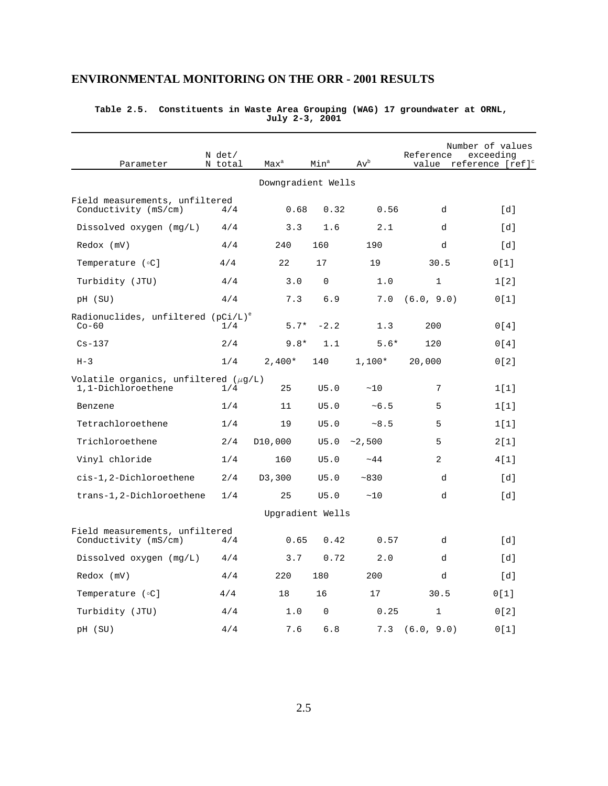| <b>ENVIRONMENTAL MONITORING ON THE ORR - 2001 RESULTS</b> |  |  |  |
|-----------------------------------------------------------|--|--|--|
|-----------------------------------------------------------|--|--|--|

| Parameter                                                       | N det/<br>N total | Max <sup>a</sup>     | Min <sup>a</sup> | $\text{Av}^{\text{b}}$ | Reference    | Number of values<br>exceeding<br>value reference [ref] <sup>c</sup> |
|-----------------------------------------------------------------|-------------------|----------------------|------------------|------------------------|--------------|---------------------------------------------------------------------|
|                                                                 |                   | Downgradient Wells   |                  |                        |              |                                                                     |
| Field measurements, unfiltered<br>Conductivity (mS/cm)          | 4/4               | 0.68                 | 0.32             | 0.56                   | d            | [d]                                                                 |
| Dissolved oxygen $(mq/L)$                                       | 4/4               | 3.3                  | 1.6              | 2.1                    | d            | $\lceil d \rceil$                                                   |
| Redox (mV)                                                      | 4/4               | 240                  | 160              | 190                    | d            | [d]                                                                 |
| Temperature (°C]                                                | 4/4               | 22                   | 17               | 19                     | 30.5         | 0[1]                                                                |
| Turbidity (JTU)                                                 | 4/4               | 3.0                  | $\Omega$         | 1.0                    | $\mathbf{1}$ | 1[2]                                                                |
| pH (SU)                                                         | 4/4               | 7.3                  | 6.9              | 7.0                    | (6.0, 9.0)   | 0[1]                                                                |
| Radionuclides, unfiltered $(pCi/L)^e$<br>$Co-60$                | 1/4               | $5.7*$               | $-2.2$           | 1.3                    | 200          | 0[4]                                                                |
| $Cs - 137$                                                      | 2/4               | $9.8*$               | 1.1              | $5.6*$                 | 120          | 0[4]                                                                |
| $H-3$                                                           | 1/4               | $2,400*$             | 140              | $1,100*$               | 20,000       | 0[2]                                                                |
| Volatile organics, unfiltered $(\mu q/L)$<br>1,1-Dichloroethene | 1/4               | 25                   | U5.0             | ~10                    | 7            | 1[1]                                                                |
| Benzene                                                         | 1/4               | 11                   | U5.0             | ~10.5                  | 5            | 1[1]                                                                |
| Tetrachloroethene                                               | 1/4               | 19                   | U5.0             | ~8.5                   | 5            | 1[1]                                                                |
| Trichloroethene                                                 | 2/4               | D <sub>10</sub> ,000 | U5.0             | ~2,500                 | 5            | 2[1]                                                                |
| Vinyl chloride                                                  | 1/4               | 160                  | U5.0             | ~14                    | 2            | 4[1]                                                                |
| cis-1,2-Dichloroethene                                          | 2/4               | D3,300               | U5.0             | ~830                   | d            | $\lceil d \rceil$                                                   |
| trans-1,2-Dichloroethene                                        | 1/4               | 25                   | U5.0             | ~10                    | d            | [d]                                                                 |
|                                                                 |                   | Upgradient Wells     |                  |                        |              |                                                                     |
| Field measurements, unfiltered<br>Conductivity (mS/cm)          | 4/4               | 0.65                 | 0.42             | 0.57                   | d            | $\lceil d \rceil$                                                   |
| Dissolved oxygen $(mq/L)$                                       | 4/4               | 3.7                  | 0.72             | 2.0                    | d            | [d]                                                                 |
| Redox (mV)                                                      | 4/4               | 220                  | 180              | 200                    | d            | [d]                                                                 |
| Temperature (°C]                                                | 4/4               | 18                   | 16               | 17                     | 30.5         | 0[1]                                                                |
| Turbidity (JTU)                                                 | 4/4               | 1.0                  | 0                | 0.25                   | 1            | 0[2]                                                                |
| pH (SU)                                                         | 4/4               | 7.6                  | 6.8              | 7.3                    | (6.0, 9.0)   | 0[1]                                                                |

#### **Table 2.5. Constituents in Waste Area Grouping (WAG) 17 groundwater at ORNL, July 2-3, 2001**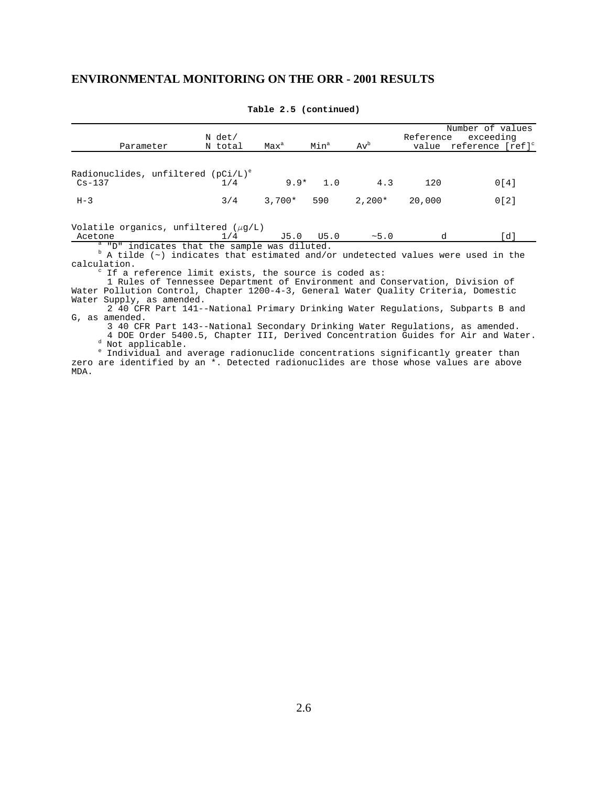| Parameter                                            | $N$ det/<br>N total | Max <sup>a</sup> | Min <sup>a</sup> | $Av^b$   | Reference | Number of values<br>exceeding<br>value reference [ref] <sup>c</sup> |
|------------------------------------------------------|---------------------|------------------|------------------|----------|-----------|---------------------------------------------------------------------|
| Radionuclides, unfiltered $(pCi/L)^e$<br>$Cs - 137$  | 1/4                 | $9.9*$           | 1.0              | 4.3      | 120       | 0[4]                                                                |
| $H-3$                                                | 3/4                 | $3.700*$         | 590              | $2.200*$ | 20,000    | 0[2]                                                                |
| Volatile organics, unfiltered $(\mu g/L)$<br>Acetone | 1/4                 | J5.0             | U5.0             | ~5.0     |           | [d]                                                                 |

**Table 2.5 (continued)**

<sup>a</sup> "D" indicates that the sample was diluted.<br><sup>b</sup> A tilde (~) indicates that estimated and/or undetected values were used in the calculation.

If a reference limit exists, the source is coded as:

contractor of the state of the state of the state of the state of the state of the state of the state of the s<br>Second the state of the state of the state of the state of the state of the state of the state of the state of<br> 1 Rules of Tennessee Department of Environment and Conservation, Division of Water Pollution Control, Chapter 1200-4-3, General Water Quality Criteria, Domestic Water Supply, as amended.

2 40 CFR Part 141--National Primary Drinking Water Regulations, Subparts B and G, as amended.

3 40 CFR Part 143--National Secondary Drinking Water Regulations, as amended.

4 DOE Order 5400.5, Chapter III, Derived Concentration Guides for Air and Water. <sup>d</sup> Not applicable.

e de la propincia de la propincia de la propincia de la propincia de la propincia de la propincia de la propin<br>En 1910, en 1910, en 1910, en 1910, en 1910, en 1910, en 1910, en 1910, en 1910, en 1910, en 1910, en 1910, en Individual and average radionuclide concentrations significantly greater than zero are identified by an \*. Detected radionuclides are those whose values are above MDA.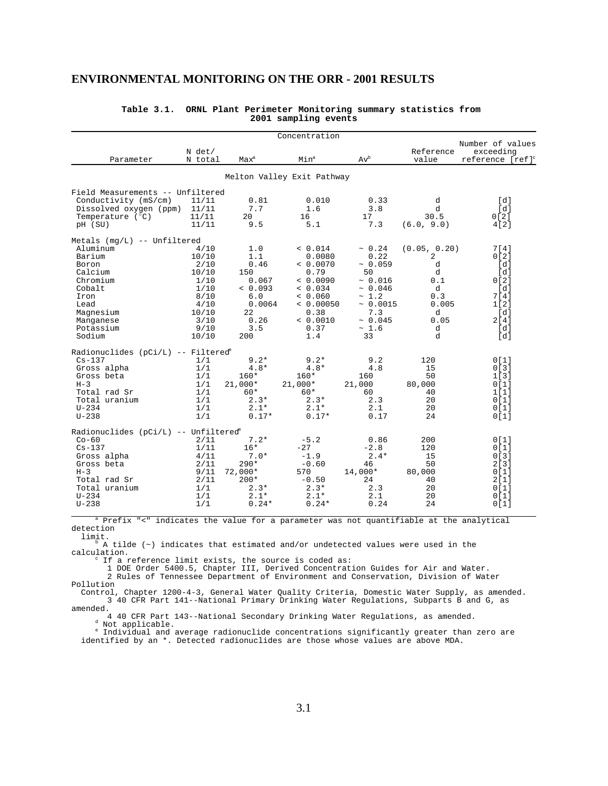|                                                      |                   |                  | Concentration              |         |                    |                                                               |
|------------------------------------------------------|-------------------|------------------|----------------------------|---------|--------------------|---------------------------------------------------------------|
| Parameter                                            | N det/<br>N total | Max <sup>a</sup> | Min <sup>a</sup>           | $Av^b$  | Reference<br>value | Number of values<br>exceeding<br>reference [ref] <sup>c</sup> |
|                                                      |                   |                  | Melton Valley Exit Pathway |         |                    |                                                               |
| Field Measurements -- Unfiltered                     |                   |                  |                            |         |                    |                                                               |
| Conductivity (mS/cm)                                 | 11/11             | 0.81             | 0.010                      | 0.33    | d                  | [d]                                                           |
| Dissolved oxygen (ppm)                               | 11/11             | 7.7              | 1.6                        | 3.8     | d                  | [d]                                                           |
| Temperature $(^{\circ}C)$                            | 11/11             | 20               | 16                         | 17      | 30.5               | 0[2]                                                          |
| pH (SU)                                              | 11/11             | 9.5              | 5.1                        | 7.3     | (6.0, 9.0)         | 4[2]                                                          |
| Metals $(mg/L)$ -- Unfiltered                        |                   |                  |                            |         |                    |                                                               |
| Aluminum                                             | 4/10              | 1.0              | < 0.014                    | ~ 0.24  | (0.05, 0.20)       | 7[4]                                                          |
| Barium                                               | 10/10             | 1.1              | 0.0080                     | 0.22    | 2                  | 0[2]                                                          |
| Boron                                                | 2/10              | 0.46             | & 0.0070                   | ~10.059 | d                  | [d]                                                           |
| Calcium                                              | 10/10             | 150              | 0.79                       | 50      | d                  | [d]                                                           |
| Chromium                                             | 1/10              | 0.067            | & 0.0090                   | ~0.016  | 0.1                | 0[2]                                                          |
| Cobalt                                               | 1/10              | & 0.093          | < 0.034                    | ~0.046  | d                  | [d]                                                           |
| Iron                                                 | 8/10              | 6.0              | & 0.060                    | ~1.2    | 0.3                | 7[4]                                                          |
| Lead                                                 | 4/10              | 0.0064           | & 0.00050                  | ~0.0015 | 0.005              | 1[2]                                                          |
| Magnesium                                            | 10/10             | 22               | 0.38                       | 7.3     | d                  | [d]                                                           |
| Manganese                                            | 3/10              | 0.26             | < 0.0010                   | ~0.045  | 0.05               | 2[4]                                                          |
| Potassium                                            | 9/10              | 3.5              | 0.37                       | ~1.6    | d                  | [d]                                                           |
| Sodium                                               | 10/10             | 200              | 1.4                        | 33      | d                  | [d]                                                           |
| Radionuclides (pCi/L) -- Filtered <sup>e</sup>       |                   |                  |                            |         |                    |                                                               |
| $Cs-137$                                             | 1/1               | $9.2*$           | $9.2*$                     | 9.2     | 120                | 0[1]                                                          |
| Gross alpha                                          | 1/1               | $4.8*$           | $4.8*$                     | 4.8     | 15                 | 0[3]                                                          |
| Gross beta                                           | 1/1               | $160*$           | $160*$                     | 160     | 50                 | 1[3]                                                          |
| $H-3$                                                | 1/1               | $21,000*$        | $21,000*$                  | 21,000  | 80,000             | 0[1]                                                          |
| Total rad Sr                                         | 1/1               | 60*              | $60*$                      | 60      | 40                 | 1 <sup>1</sup>                                                |
| Total uranium                                        | 1/1               | $2.3*$           | $2.3*$                     | 2.3     | 20                 | 0[1]                                                          |
| $U - 234$                                            | 1/1               | $2.1*$           | $2.1*$                     | 2.1     | 20                 | 0[1]                                                          |
| $U - 238$                                            | 1/1               | $0.17*$          | $0.17*$                    | 0.17    | 24                 | 0[1]                                                          |
| Radionuclides ( $pCi/L$ ) -- Unfiltered <sup>e</sup> |                   |                  |                            |         |                    |                                                               |
| $Co-60$                                              | 2/11              | $7.2*$           | $-5.2$                     | 0.86    | 200                | 0[1]                                                          |
| $Cs - 137$                                           | 1/11              | $16*$            | $-27$                      | $-2.8$  | 120                | 0[1]                                                          |
| Gross alpha                                          | 4/11              | $7.0*$           | $-1.9$                     | $2.4*$  | 15                 | 0[3]                                                          |
| Gross beta                                           | 2/11              | $290*$           | $-0.60$                    | 46      | 50                 | 2[3]                                                          |
| $H-3$                                                | 9/11              | $72,000*$        | 570                        | 14,000* | 80,000             | 0[1]                                                          |
| Total rad Sr                                         | 2/11              | $200*$           | $-0.50$                    | 24      | 40                 | 2[1]                                                          |
| Total uranium                                        | 1/1               | $2.3*$           | $2.3*$                     | 2.3     | 20                 | 0[1]                                                          |
| $U - 234$                                            | 1/1               | $2.1*$           | $2.1*$                     | 2.1     | 20                 | 0[1]                                                          |
| $U - 238$                                            | 1/1               | $0.24*$          | $0.24*$                    | 0.24    | 24                 | 0[1]                                                          |

#### **Table 3.1. ORNL Plant Perimeter Monitoring summary statistics from 2001 sampling events**

 <sup>a</sup> refix "<" indicates the value for a parameter was not quantifiable at the analytical detection

limit.

 $\beta$  A tilde ( $\sim$ ) indicates that estimated and/or undetected values were used in the calculation. control de la provincia de la provincia de la provincia de la provincia de la provincia de la provincia de la<br>Entre de la provincia de la provincia de la provincia de la provincia de la provincia de la provincia de la pr

If a reference limit exists, the source is coded as:

1 DOE Order 5400.5, Chapter III, Derived Concentration Guides for Air and Water.

2 Rules of Tennessee Department of Environment and Conservation, Division of Water Pollution

 Control, Chapter 1200-4-3, General Water Quality Criteria, Domestic Water Supply, as amended. 3 40 CFR Part 141--National Primary Drinking Water Regulations, Subparts B and G, as amended.

4 40 CFR Part 143--National Secondary Drinking Water Regulations, as amended. <sup>d</sup> Not applicable.

 <sup>e</sup> Individual and average radionuclide concentrations significantly greater than zero are identified by an \*. Detected radionuclides are those whose values are above MDA.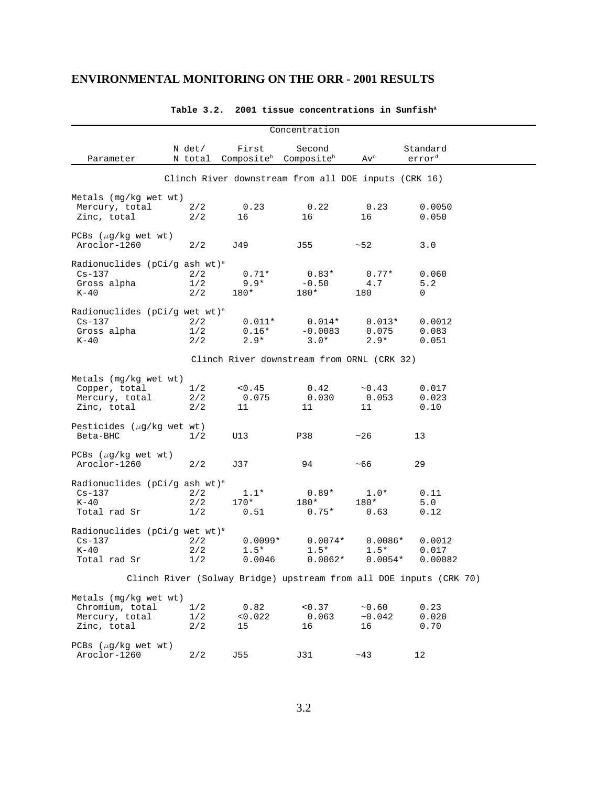|                                                                                      |                   |                                 | Concentration                                        |                                  |                                                                    |  |
|--------------------------------------------------------------------------------------|-------------------|---------------------------------|------------------------------------------------------|----------------------------------|--------------------------------------------------------------------|--|
| Parameter                                                                            | N det/<br>N total | First<br>Composite <sup>b</sup> | Second<br>Compositeb                                 | $Av^c$                           | Standard<br>error <sup>d</sup>                                     |  |
|                                                                                      |                   |                                 | Clinch River downstream from all DOE inputs (CRK 16) |                                  |                                                                    |  |
| Metals (mg/kg wet wt)<br>Mercury, total<br>Zinc, total                               | 2/2<br>2/2        | 0.23<br>16                      | 0.22<br>16                                           | 0.23<br>16                       | 0.0050<br>0.050                                                    |  |
| PCBs $(\mu q/kg$ wet wt)<br>Aroclor-1260                                             | 2/2               | J49                             | J55                                                  | $~1 - 52$                        | 3.0                                                                |  |
| Radionuclides (pCi/g ash wt) <sup>e</sup><br>$Cs-137$<br>Gross alpha<br>K-40         | 2/2<br>1/2<br>2/2 | $0.71*$<br>$9.9*$<br>180*       | $0.83*$<br>$-0.50$<br>180*                           | $0.77*$<br>4.7<br>180            | 0.060<br>5.2<br>0                                                  |  |
| Radionuclides ( $pCi/q$ wet wt) <sup>e</sup><br>$Cs-137$<br>Gross alpha<br>K-40      | 2/2<br>1/2<br>2/2 | $0.011*$<br>$0.16*$<br>$2.9*$   | $0.014*$<br>$-0.0083$<br>$3.0*$                      | $0.013*$<br>0.075<br>$2.9*$      | 0.0012<br>0.083<br>0.051                                           |  |
|                                                                                      |                   |                                 | Clinch River downstream from ORNL (CRK 32)           |                                  |                                                                    |  |
| Metals (mg/kg wet wt)<br>Copper, total<br>Mercury, total<br>Zinc, total              | 1/2<br>2/2<br>2/2 | < 0.45<br>0.075<br>11           | 0.42<br>0.030<br>11                                  | ~10.43<br>0.053<br>11            | 0.017<br>0.023<br>0.10                                             |  |
| Pesticides $(\mu g/kg$ wet wt)<br>Beta-BHC                                           | 1/2               | U13                             | P38                                                  | ~26                              | 13                                                                 |  |
| PCBs $(\mu g/kg$ wet wt)<br>Aroclor-1260                                             | 2/2               | J37                             | 94                                                   | $~100 - 66$                      | 29                                                                 |  |
| Radionuclides ( $pCi/q$ ash wt) <sup>e</sup><br>$Cs - 137$<br>$K-40$<br>Total rad Sr | 2/2<br>2/2<br>1/2 | $1.1*$<br>170*<br>0.51          | $0.89*$<br>180*<br>$0.75*$                           | $1.0*$<br>180*<br>0.63           | 0.11<br>5.0<br>0.12                                                |  |
| Radionuclides (pCi/g wet wt) <sup>e</sup><br>$Cs-137$<br>$K-40$<br>Total rad Sr      | 2/2<br>2/2<br>1/2 | $0.0099*$<br>$1.5*$<br>0.0046   | $0.0074*$<br>$1.5*$<br>$0.0062*$                     | $0.0086*$<br>$1.5*$<br>$0.0054*$ | 0.0012<br>0.017<br>0.00082                                         |  |
|                                                                                      |                   |                                 |                                                      |                                  | Clinch River (Solway Bridge) upstream from all DOE inputs (CRK 70) |  |
| Metals (mg/kg wet wt)<br>Chromium, total<br>Mercury, total<br>Zinc, total            | 1/2<br>1/2<br>2/2 | 0.82<br>0.022<br>15             | < 0.37<br>0.063<br>16                                | ~10.60<br>~10.042<br>16          | 0.23<br>0.020<br>0.70                                              |  |
| PCBs $(\mu g/kg$ wet wt)<br>Aroclor-1260                                             | 2/2               | J55                             | J31                                                  | $~1 - 43$                        | 12                                                                 |  |

Table 3.2. 2001 tissue concentrations in Sunfish<sup>a</sup>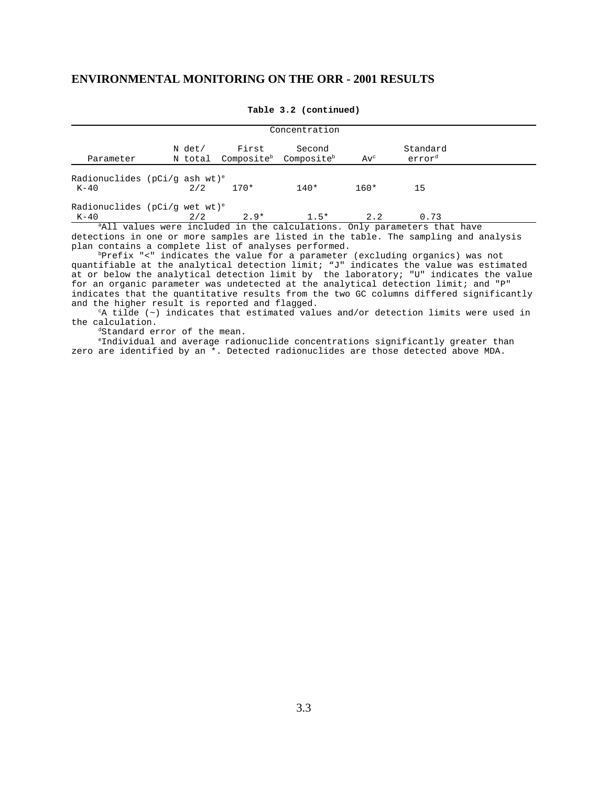| Concentration                                        |  |     |              |                                                                 |        |                                                                                      |  |  |
|------------------------------------------------------|--|-----|--------------|-----------------------------------------------------------------|--------|--------------------------------------------------------------------------------------|--|--|
| Parameter                                            |  |     | N det/ First | Second<br>N total Composite <sup>b</sup> Composite <sup>b</sup> | $Av^c$ | Standard<br>error <sup>d</sup>                                                       |  |  |
| Radionuclides ( $pCi/q$ ash wt) <sup>e</sup><br>K-40 |  | 2/2 | $170*$       | $140*$                                                          | $160*$ | 15                                                                                   |  |  |
| Radionuclides ( $pCi/q$ wet wt) <sup>e</sup><br>K-40 |  | 2/2 | $2.9*$       | $1.5*$                                                          | 2.2    | 0.73                                                                                 |  |  |
|                                                      |  |     |              |                                                                 |        | <sup>a</sup> All values were included in the calculations. Only parameters that have |  |  |

**Table 3.2 (continued)**

detections in one or more samples are listed in the table. The sampling and analysis plan contains a complete list of analyses performed.

 bPrefix "<" indicates the value for a parameter (excluding organics) was not quantifiable at the analytical detection limit; "J" indicates the value was estimated at or below the analytical detection limit by the laboratory; "U" indicates the value for an organic parameter was undetected at the analytical detection limit; and "P" indicates that the quantitative results from the two GC columns differed significantly and the higher result is reported and flagged.

 cA tilde (~) indicates that estimated values and/or detection limits were used in the calculation.

<sup>d</sup>Standard error of the mean.

 eIndividual and average radionuclide concentrations significantly greater than zero are identified by an \*. Detected radionuclides are those detected above MDA.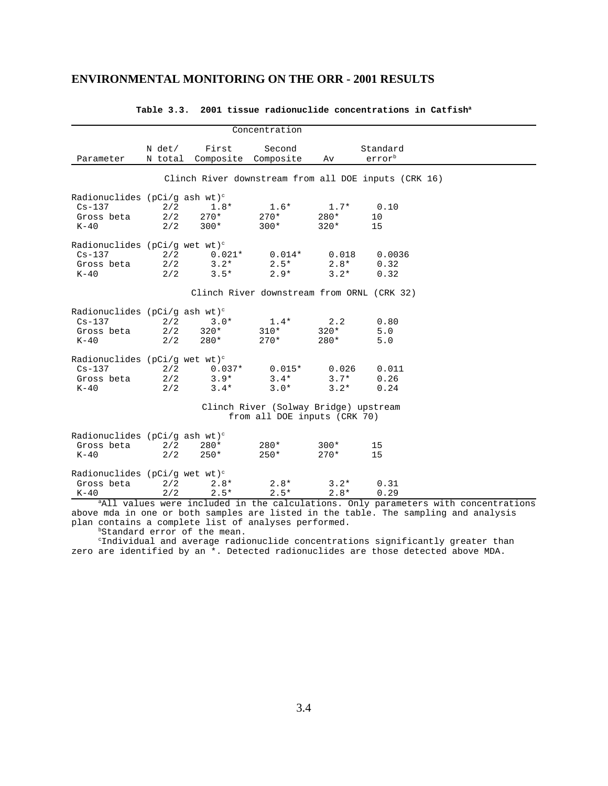|                                                                                    |                   |                                                     | Concentration                              |                            |                                                      |  |  |  |  |
|------------------------------------------------------------------------------------|-------------------|-----------------------------------------------------|--------------------------------------------|----------------------------|------------------------------------------------------|--|--|--|--|
| Parameter                                                                          | N det/            | First<br>N total Composite Composite                | Second                                     | Av                         | Standard<br>errorb                                   |  |  |  |  |
|                                                                                    |                   |                                                     |                                            |                            | Clinch River downstream from all DOE inputs (CRK 16) |  |  |  |  |
| Radionuclides ( $pCi/q$ ash wt) <sup>c</sup><br>$Cs - 137$<br>Gross beta<br>$K-40$ | 2/2<br>2/2<br>2/2 | $1.8*$<br>$270*$<br>$300*$                          | $1.6*$<br>$270*$<br>$300*$                 | $1.7*$<br>$280*$<br>$320*$ | 0.10<br>10<br>15                                     |  |  |  |  |
| Radionuclides ( $pCi/q$ wet wt) <sup>c</sup><br>$Cs-137$<br>Gross beta<br>$K-40$   | 2/2<br>2/2<br>2/2 | $0.021*$ $0.014*$ $0.018$<br>$3 \cdot 2*$<br>$3.5*$ | $2.5*$<br>$2.9*$                           | $2.8*$<br>$3.2*$           | 0.0036<br>0.32<br>0.32                               |  |  |  |  |
|                                                                                    |                   |                                                     | Clinch River downstream from ORNL (CRK 32) |                            |                                                      |  |  |  |  |
| Radionuclides ( $pCi/q$ ash wt) <sup>c</sup><br>$Cs - 137$<br>Gross beta<br>$K-40$ | 2/2<br>2/2<br>2/2 | $3.0*$<br>$320*$<br>$280*$                          | $1.4*$<br>$310*$<br>$270*$                 | 2.2<br>$320*$<br>$280*$    | 0.80<br>5.0<br>5.0                                   |  |  |  |  |
| Radionuclides ( $pCi/q$ wet wt) <sup>c</sup><br>$Cs - 137$<br>Gross beta<br>$K-40$ | 2/2<br>2/2<br>2/2 | $0.037*$<br>$3.9*$<br>$3.4*$                        | $0.015*$<br>$3.4*$<br>$3.0*$               | 0.026<br>$3.7*$<br>$3.2*$  | 0.011<br>0.26<br>0.24                                |  |  |  |  |
| Clinch River (Solway Bridge) upstream<br>from all DOE inputs (CRK 70)              |                   |                                                     |                                            |                            |                                                      |  |  |  |  |
| Radionuclides ( $pCi/q$ ash wt) <sup>c</sup><br>Gross beta<br>$K-40$               | 2/2<br>2/2        | 280*<br>$250*$                                      | $280*$<br>$250*$                           | $300*$<br>$270*$           | 15<br>15                                             |  |  |  |  |
| Radionuclides ( $pCi/q$ wet wt) <sup>c</sup><br>Gross beta<br>$K-40$               | 2/2<br>2/2        | $2.8*$<br>$2.5*$                                    | $2.8*$<br>$2.5*$                           | $3.2*$<br>$2.8*$           | 0.31<br>0.29                                         |  |  |  |  |

#### **Table 3.3. 2001 tissue radionuclide concentrations in Catfisha**

<sup>a</sup>All values were included in the calculations. Only parameters with concentrations above mda in one or both samples are listed in the table. The sampling and analysis plan contains a complete list of analyses performed.

bStandard error of the mean.

 cIndividual and average radionuclide concentrations significantly greater than zero are identified by an \*. Detected radionuclides are those detected above MDA.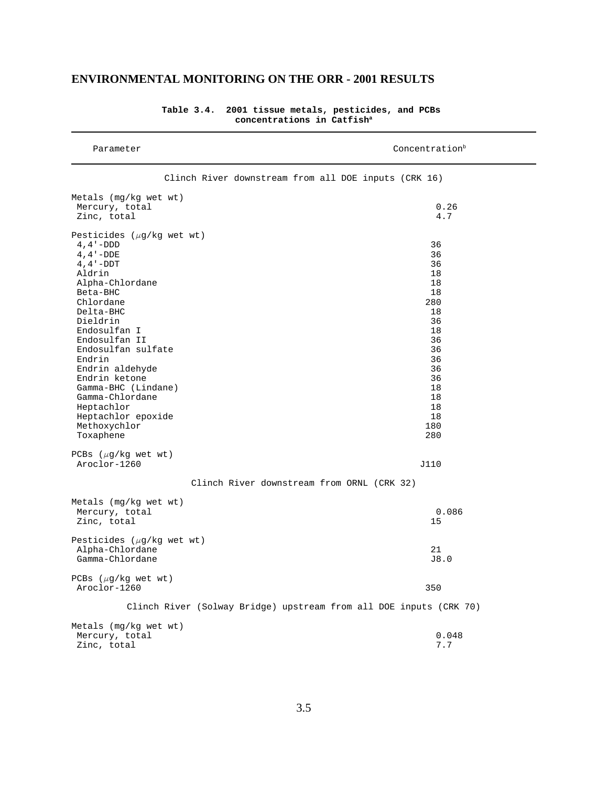| Parameter                                                                                                                                                                                                                                                                                                                                                                     | Concentration <sup>b</sup>                                                                                                    |
|-------------------------------------------------------------------------------------------------------------------------------------------------------------------------------------------------------------------------------------------------------------------------------------------------------------------------------------------------------------------------------|-------------------------------------------------------------------------------------------------------------------------------|
|                                                                                                                                                                                                                                                                                                                                                                               | Clinch River downstream from all DOE inputs (CRK 16)                                                                          |
| Metals (mg/kg wet wt)<br>Mercury, total<br>Zinc, total                                                                                                                                                                                                                                                                                                                        | 0.26<br>4.7                                                                                                                   |
| Pesticides $(\mu g/kg$ wet wt)<br>$4, 4 - DDD$<br>$4, 4 - DDE$<br>$4, 4 - DDT$<br>Aldrin<br>Alpha-Chlordane<br>Beta-BHC<br>Chlordane<br>Delta-BHC<br>Dieldrin<br>Endosulfan I<br>Endosulfan II<br>Endosulfan sulfate<br>Endrin<br>Endrin aldehyde<br>Endrin ketone<br>Gamma-BHC (Lindane)<br>Gamma-Chlordane<br>Heptachlor<br>Heptachlor epoxide<br>Methoxychlor<br>Toxaphene | 36<br>36<br>36<br>18<br>18<br>18<br>280<br>18<br>36<br>18<br>36<br>36<br>36<br>36<br>36<br>18<br>18<br>18<br>18<br>180<br>280 |
| PCBs $(\mu q/kg$ wet wt)<br>Aroclor-1260                                                                                                                                                                                                                                                                                                                                      | J110                                                                                                                          |
|                                                                                                                                                                                                                                                                                                                                                                               | Clinch River downstream from ORNL (CRK 32)                                                                                    |
| Metals (mg/kg wet wt)<br>Mercury, total<br>Zinc, total                                                                                                                                                                                                                                                                                                                        | 0.086<br>15                                                                                                                   |
| Pesticides $(\mu g/kg$ wet wt)<br>Alpha-Chlordane<br>Gamma-Chlordane                                                                                                                                                                                                                                                                                                          | 21<br>J8.0                                                                                                                    |
| PCBs $(\mu g/kg$ wet wt)<br>Aroclor-1260                                                                                                                                                                                                                                                                                                                                      | 350                                                                                                                           |
|                                                                                                                                                                                                                                                                                                                                                                               | Clinch River (Solway Bridge) upstream from all DOE inputs (CRK 70)                                                            |
| Metals $(mq/kg$ wet wt)<br>Mercury, total<br>Zinc, total                                                                                                                                                                                                                                                                                                                      | 0.048<br>7.7                                                                                                                  |

**Table 3.4. 2001 tissue metals, pesticides, and PCBs concentrations in Catfisha**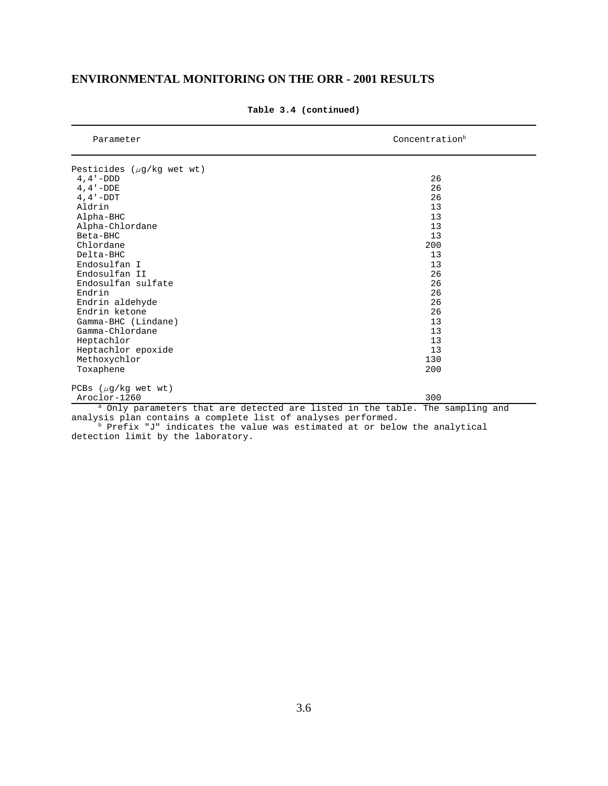| Parameter                      | Concentration <sup>b</sup>                                                               |
|--------------------------------|------------------------------------------------------------------------------------------|
| Pesticides $(\mu g/kg$ wet wt) |                                                                                          |
| $4, 4 - DDD$                   | 26                                                                                       |
| $4, 4 - DDE$                   | 26                                                                                       |
| $4.4 - DDT$                    | 26                                                                                       |
| Aldrin                         | 13                                                                                       |
| Alpha-BHC                      | 13                                                                                       |
| Alpha-Chlordane                | 13                                                                                       |
| Beta-BHC                       | 13                                                                                       |
| Chlordane                      | 200                                                                                      |
| Delta-BHC                      | 13                                                                                       |
| Endosulfan I                   | 13                                                                                       |
| Endosulfan II                  | 26                                                                                       |
| Endosulfan sulfate             | 26                                                                                       |
| Endrin                         | 26                                                                                       |
| Endrin aldehyde                | 26                                                                                       |
| Endrin ketone                  | 26                                                                                       |
| Gamma-BHC (Lindane)            | 13                                                                                       |
| Gamma-Chlordane                | 13                                                                                       |
| Heptachlor                     | 13                                                                                       |
| Heptachlor epoxide             | 13                                                                                       |
| Methoxychlor                   | 130                                                                                      |
| Toxaphene                      | 200                                                                                      |
| PCBs $(\mu q/kg$ wet wt)       |                                                                                          |
| Aroclor-1260                   | 300                                                                                      |
|                                | <sup>a</sup> Only parameters that are detected are listed in the table. The sampling and |

#### **Table 3.4 (continued)**

analysis plan contains a complete list of analyses performed.

b Prefix "J" indicates the value was estimated at or below the analytical detection limit by the laboratory.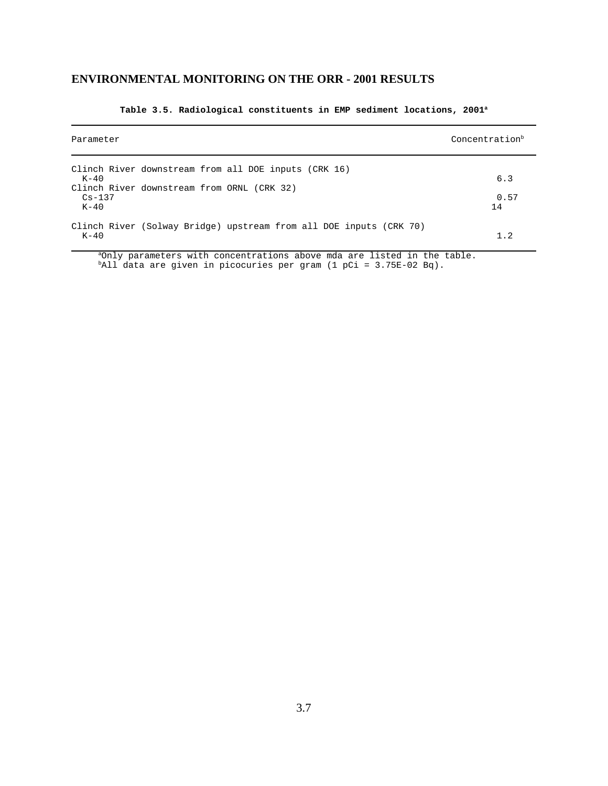| Parameter                                                                                                                            | Concentration <sup>b</sup> |
|--------------------------------------------------------------------------------------------------------------------------------------|----------------------------|
| Clinch River downstream from all DOE inputs (CRK 16)<br>$K-40$<br>Clinch River downstream from ORNL (CRK 32)<br>$Cs - 137$<br>$K-40$ | 6.3<br>0.57<br>14          |
| Clinch River (Solway Bridge) upstream from all DOE inputs (CRK 70)<br>$K-40$                                                         | 1.2                        |

#### **Table 3.5. Radiological constituents in EMP sediment locations, 2001a**

<sup>a</sup>Only parameters with concentrations above mda are listed in the table. bAll data are given in picocuries per gram (1 pCi = 3.75E-02 Bq).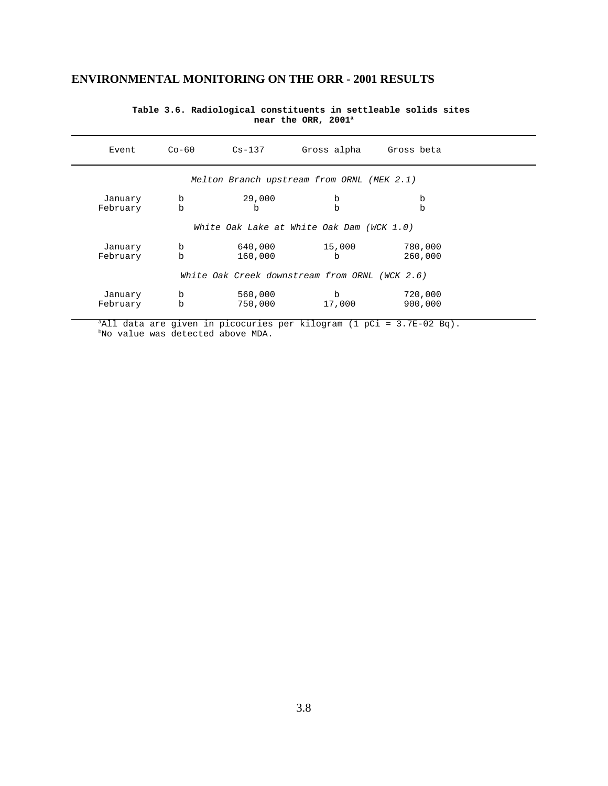| Event                                      | $Co-60$                                   | $Cs-137$              | Gross alpha                                    | Gross beta         |  |  |  |  |  |  |
|--------------------------------------------|-------------------------------------------|-----------------------|------------------------------------------------|--------------------|--|--|--|--|--|--|
| Melton Branch upstream from ORNL (MEK 2.1) |                                           |                       |                                                |                    |  |  |  |  |  |  |
| January<br>February                        | b<br>b                                    | 29,000<br>$\mathbf b$ | b<br>$\mathbf b$                               | b<br>b             |  |  |  |  |  |  |
|                                            | White Oak Lake at White Oak Dam (WCK 1.0) |                       |                                                |                    |  |  |  |  |  |  |
| January<br>February                        | b<br>b                                    | 640,000<br>160,000    | 15,000<br>b                                    | 780,000<br>260,000 |  |  |  |  |  |  |
|                                            |                                           |                       | White Oak Creek downstream from ORNL (WCK 2.6) |                    |  |  |  |  |  |  |
| January<br>February                        | b<br>b                                    | 560,000<br>750,000    | b<br>17,000                                    | 720,000<br>900,000 |  |  |  |  |  |  |

**Table 3.6. Radiological constituents in settleable solids sites near the ORR, 2001a**

aAll data are given in picocuries per kilogram (1 pCi = 3.7E-02 Bq). bNo value was detected above MDA.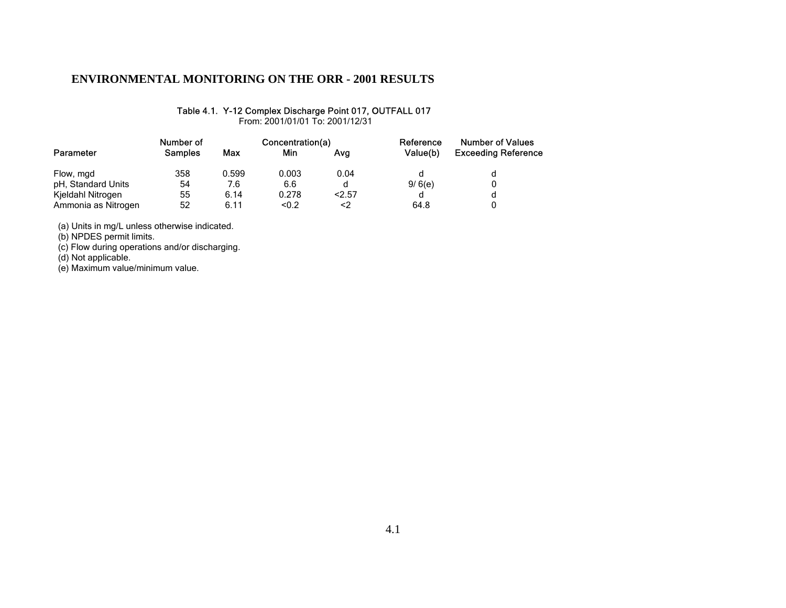#### Table 4.1. Y-12 Complex Discharge Point 017, OUTFALL 017

From: 2001/01/01 To: 2001/12/31

|                     | Number of      |       | Concentration(a) |      | Reference<br>Value(b) | <b>Number of Values</b><br><b>Exceeding Reference</b> |
|---------------------|----------------|-------|------------------|------|-----------------------|-------------------------------------------------------|
| Parameter           | <b>Samples</b> | Max   | Min              | Ava  |                       |                                                       |
| Flow, mgd           | 358            | 0.599 | 0.003            | 0.04 |                       |                                                       |
| pH, Standard Units  | 54             | 7.6   | 6.6              | d    | 9/6(e)                |                                                       |
| Kjeldahl Nitrogen   | 55             | 6.14  | 0.278            | 2.57 |                       |                                                       |
| Ammonia as Nitrogen | 52             | 6.11  | < 0.2            | <2   | 64.8                  |                                                       |

(a) Units in mg/L unless otherwise indicated.

(b) NPDES permit limits.

(c) Flow during operations and/or discharging.

(d) Not applicable.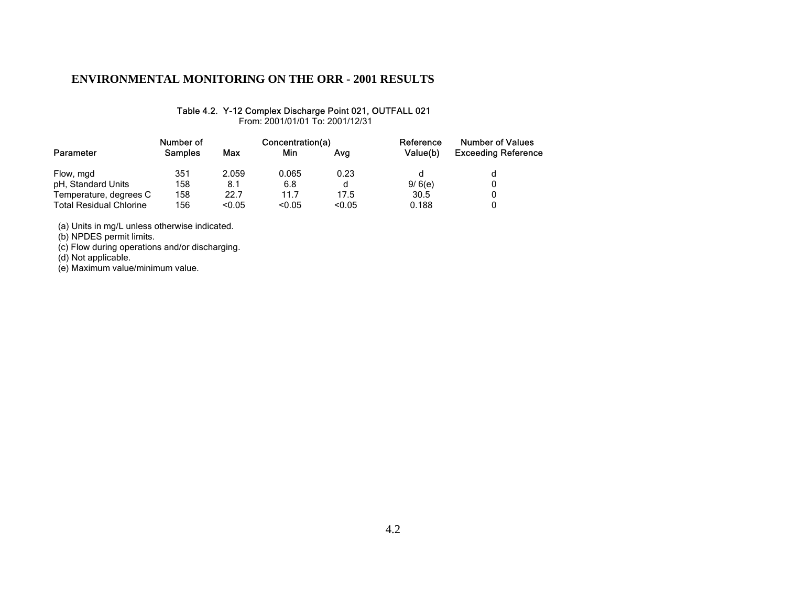#### Table 4.2. Y-12 Complex Discharge Point 021, OUTFALL 021

From: 2001/01/01 To: 2001/12/31

|                                | Number of      |        | Concentration(a) |        | Reference<br>Value(b) | <b>Number of Values</b><br><b>Exceeding Reference</b> |
|--------------------------------|----------------|--------|------------------|--------|-----------------------|-------------------------------------------------------|
| Parameter                      | <b>Samples</b> | Max    | Min              | Ava    |                       |                                                       |
| Flow, mgd                      | 351            | 2.059  | 0.065            | 0.23   |                       |                                                       |
| pH, Standard Units             | 158            | 8.1    | 6.8              | d      | 9/6(e)                |                                                       |
| Temperature, degrees C         | 158            | 22.7   | 11.7             | 17.5   | 30.5                  |                                                       |
| <b>Total Residual Chlorine</b> | 156            | < 0.05 | < 0.05           | < 0.05 | 0.188                 |                                                       |

(a) Units in mg/L unless otherwise indicated.

(b) NPDES permit limits.

(c) Flow during operations and/or discharging.

(d) Not applicable.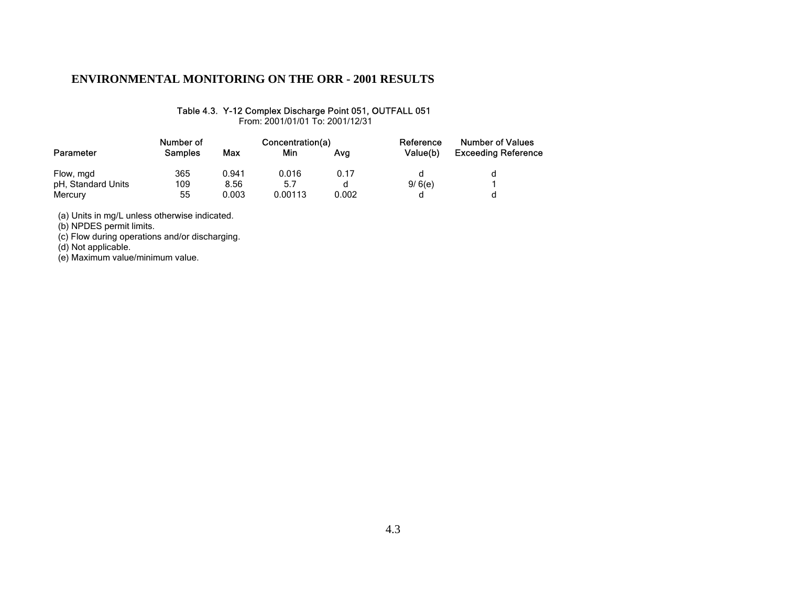#### Table 4.3. Y-12 Complex Discharge Point 051, OUTFALL 051

From: 2001/01/01 To: 2001/12/31

|                    | Number of |       | Concentration(a) |       | Reference<br>Value(b) | <b>Number of Values</b>    |  |
|--------------------|-----------|-------|------------------|-------|-----------------------|----------------------------|--|
| Parameter          | Samples   | Max   | Min              | Ava   |                       | <b>Exceeding Reference</b> |  |
| Flow, mgd          | 365       | 0.941 | 0.016            | 0.17  |                       |                            |  |
| pH, Standard Units | 109       | 8.56  | 5.7              | d     | 9/6(e)                |                            |  |
| Mercury            | 55        | 0.003 | 0.00113          | 0.002 |                       |                            |  |

(a) Units in mg/L unless otherwise indicated.

(b) NPDES permit limits.

(c) Flow during operations and/or discharging.

(d) Not applicable.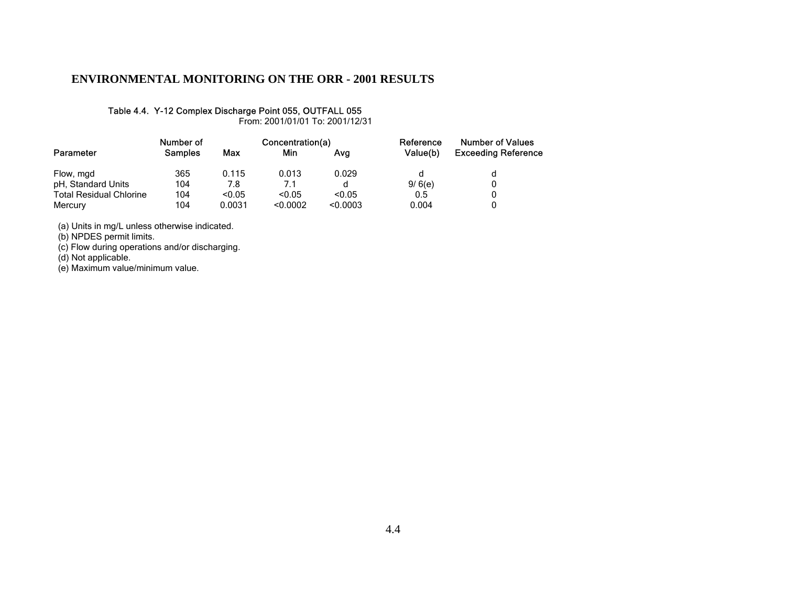#### Table 4.4. Y-12 Complex Discharge Point 055, OUTFALL 055

From: 2001/01/01 To: 2001/12/31

|                                | Number of      |        | Concentration(a) |          | Reference<br>Value(b) | <b>Number of Values</b><br><b>Exceeding Reference</b> |
|--------------------------------|----------------|--------|------------------|----------|-----------------------|-------------------------------------------------------|
| Parameter                      | <b>Samples</b> | Max    | Min              | Ava      |                       |                                                       |
| Flow, mgd                      | 365            | 0.115  | 0.013            | 0.029    | d                     |                                                       |
| pH, Standard Units             | 104            | 7.8    | 7.1              | d        | 9/6(e)                |                                                       |
| <b>Total Residual Chlorine</b> | 104            | < 0.05 | < 0.05           | < 0.05   | 0.5                   |                                                       |
| Mercury                        | 104            | 0.0031 | < 0.0002         | < 0.0003 | 0.004                 |                                                       |

(a) Units in mg/L unless otherwise indicated.

(b) NPDES permit limits.

(c) Flow during operations and/or discharging.

(d) Not applicable.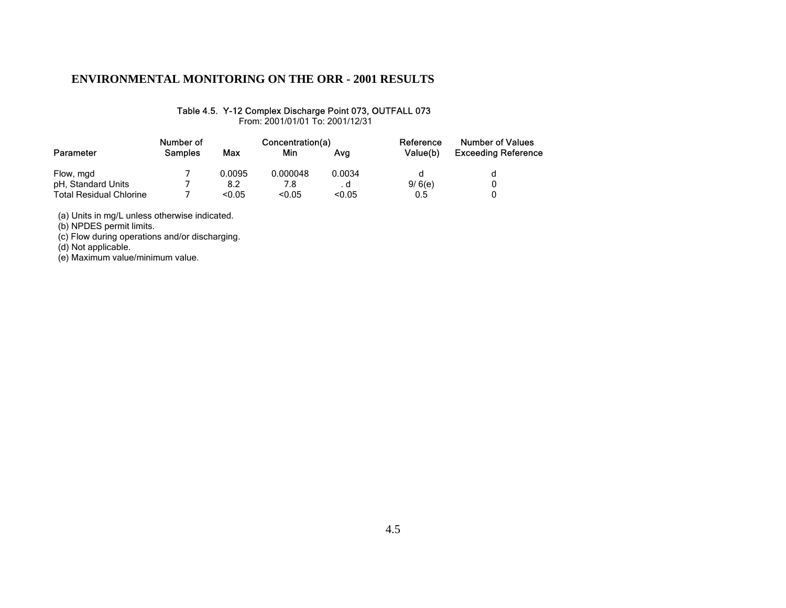#### Table 4.5. Y-12 Complex Discharge Point 073, OUTFALL 073

From: 2001/01/01 To: 2001/12/31

|                                | Number of      |        | Concentration(a) |        | Reference | <b>Number of Values</b>    |  |
|--------------------------------|----------------|--------|------------------|--------|-----------|----------------------------|--|
| Parameter                      | <b>Samples</b> | Max    | Min              | Ava    | Value(b)  | <b>Exceeding Reference</b> |  |
| Flow, mgd                      |                | 0.0095 | 0.000048         | 0.0034 |           |                            |  |
| pH, Standard Units             |                | 8.2    | 7.8              | . a    | 9/6(e)    |                            |  |
| <b>Total Residual Chlorine</b> |                | < 0.05 | < 0.05           | < 0.05 | 0.5       |                            |  |

(a) Units in mg/L unless otherwise indicated.

(b) NPDES permit limits.

(c) Flow during operations and/or discharging.

(d) Not applicable.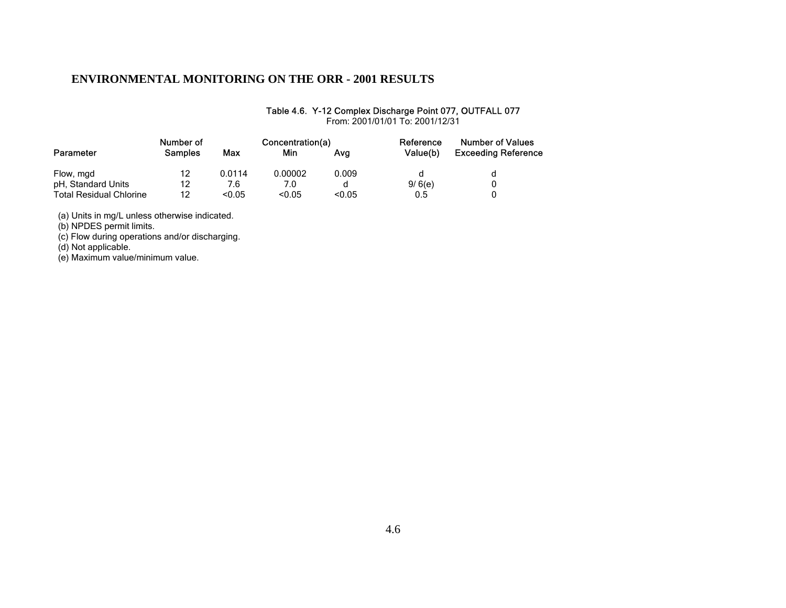### Table 4.6. Y-12 Complex Discharge Point 077, OUTFALL 077

|                         | Number of      |        | Concentration(a) |        | Reference | <b>Number of Values</b>    |
|-------------------------|----------------|--------|------------------|--------|-----------|----------------------------|
| Parameter               | <b>Samples</b> | Max    | Min              | Ava    | Value(b)  | <b>Exceeding Reference</b> |
| Flow, mgd               | 12             | 0.0114 | 0.00002          | 0.009  |           |                            |
| pH, Standard Units      | 12             | 7.6    | 7.0              |        | 9/6(e)    |                            |
| Total Residual Chlorine | 12             | < 0.05 | < 0.05           | < 0.05 | 0.5       |                            |

From: 2001/01/01 To: 2001/12/31

(a) Units in mg/L unless otherwise indicated.

(b) NPDES permit limits.

(c) Flow during operations and/or discharging.

(d) Not applicable.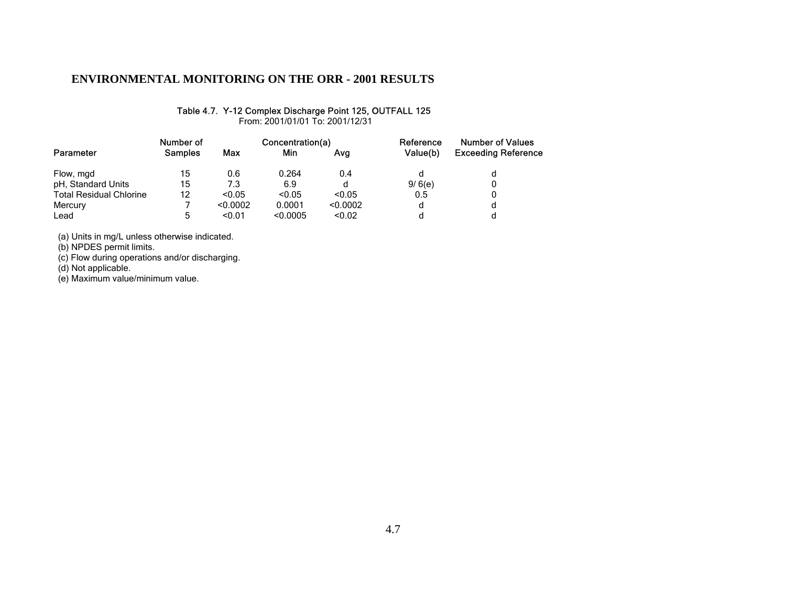#### Table 4.7. Y-12 Complex Discharge Point 125, OUTFALL 125

From: 2001/01/01 To: 2001/12/31

|                                | Number of      |          | Concentration(a) |          | Reference | <b>Number of Values</b>    |  |
|--------------------------------|----------------|----------|------------------|----------|-----------|----------------------------|--|
| Parameter                      | <b>Samples</b> | Max      | Min              | Ava      | Value(b)  | <b>Exceeding Reference</b> |  |
| Flow, mgd                      | 15             | 0.6      | 0.264            | 0.4      |           | d                          |  |
| pH, Standard Units             | 15             | 7.3      | 6.9              | d        | 9/6(e)    |                            |  |
| <b>Total Residual Chlorine</b> | 12             | < 0.05   | < 0.05           | < 0.05   | 0.5       |                            |  |
| Mercury                        |                | < 0.0002 | 0.0001           | < 0.0002 | d         | d                          |  |
| Lead                           | 5              | < 0.01   | < 0.0005         | < 0.02   | d         |                            |  |

(a) Units in mg/L unless otherwise indicated.

(b) NPDES permit limits.

(c) Flow during operations and/or discharging.

(d) Not applicable.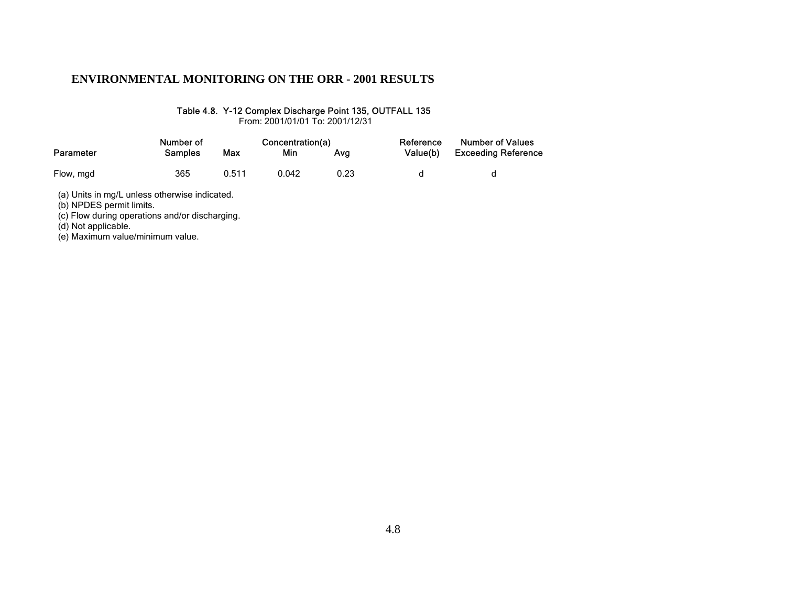#### Table 4.8. Y-12 Complex Discharge Point 135, OUTFALL 135

From: 2001/01/01 To: 2001/12/31

|           | Number of      |       | Concentration(a) |      | Reference | <b>Number of Values</b>    |  |
|-----------|----------------|-------|------------------|------|-----------|----------------------------|--|
| Parameter | <b>Samples</b> | Max   | Min              | Ava  | Value(b)  | <b>Exceeding Reference</b> |  |
| Flow, mgd | 365            | 0.511 | 0.042            | 0.23 |           |                            |  |

(a) Units in mg/L unless otherwise indicated.

(b) NPDES permit limits.

(c) Flow during operations and/or discharging.

(d) Not applicable.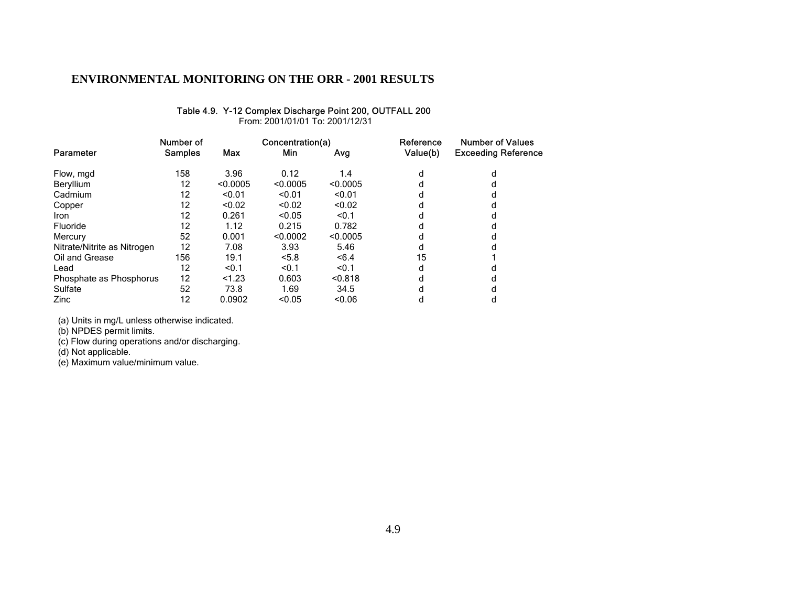#### Table 4.9. Y-12 Complex Discharge Point 200, OUTFALL 200

From: 2001/01/01 To: 2001/12/31

|                             | Number of      |            | Concentration(a) |          | Reference | <b>Number of Values</b>    |  |
|-----------------------------|----------------|------------|------------------|----------|-----------|----------------------------|--|
| Parameter                   | <b>Samples</b> | <b>Max</b> | Min              | Avg      | Value(b)  | <b>Exceeding Reference</b> |  |
| Flow, mgd                   | 158            | 3.96       | 0.12             | 1.4      | d         | d                          |  |
| Beryllium                   | 12             | < 0.0005   | < 0.0005         | < 0.0005 | d         |                            |  |
| Cadmium                     | 12             | < 0.01     | < 0.01           | < 0.01   | d         |                            |  |
| Copper                      | 12             | < 0.02     | < 0.02           | < 0.02   | d         |                            |  |
| <b>Iron</b>                 | 12             | 0.261      | < 0.05           | < 0.1    | d         |                            |  |
| Fluoride                    | 12             | 1.12       | 0.215            | 0.782    | d         |                            |  |
| Mercury                     | 52             | 0.001      | < 0.0002         | < 0.0005 | d         |                            |  |
| Nitrate/Nitrite as Nitrogen | 12             | 7.08       | 3.93             | 5.46     | d         |                            |  |
| Oil and Grease              | 156            | 19.1       | < 5.8            | <6.4     | 15        |                            |  |
| Lead                        | 12             | < 0.1      | < 0.1            | < 0.1    | d         |                            |  |
| Phosphate as Phosphorus     | 12             | < 1.23     | 0.603            | < 0.818  | d         |                            |  |
| Sulfate                     | 52             | 73.8       | 1.69             | 34.5     | d         |                            |  |
| Zinc                        | 12             | 0.0902     | < 0.05           | < 0.06   | d         | d                          |  |

(a) Units in mg/L unless otherwise indicated.

(b) NPDES permit limits.

(c) Flow during operations and/or discharging.

(d) Not applicable.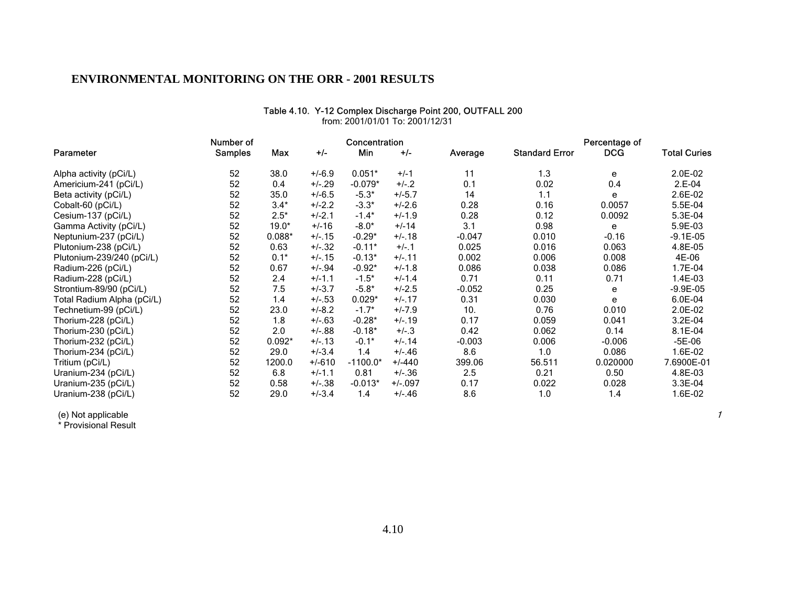| Parameter                  | Number of<br><b>Samples</b> | Max      | $+/-$    | Concentration<br>Min | $+/-$     | Average  | <b>Standard Error</b> | Percentage of<br><b>DCG</b> | <b>Total Curies</b> |
|----------------------------|-----------------------------|----------|----------|----------------------|-----------|----------|-----------------------|-----------------------------|---------------------|
| Alpha activity (pCi/L)     | 52                          | 38.0     | $+/-6.9$ | $0.051*$             | $+/-1$    | 11       | 1.3                   | е                           | 2.0E-02             |
| Americium-241 (pCi/L)      | 52                          | 0.4      | $+/-.29$ | $-0.079*$            | $+/-.2$   | 0.1      | 0.02                  | 0.4                         | $2.E-04$            |
| Beta activity (pCi/L)      | 52                          | 35.0     | $+/-6.5$ | $-5.3*$              | $+/-5.7$  | 14       | 1.1                   | е                           | 2.6E-02             |
| Cobalt-60 (pCi/L)          | 52                          | $3.4*$   | $+/-2.2$ | $-3.3*$              | $+/-2.6$  | 0.28     | 0.16                  | 0.0057                      | 5.5E-04             |
| Cesium-137 (pCi/L)         | 52                          | $2.5*$   | $+/-2.1$ | $-1.4*$              | $+/-1.9$  | 0.28     | 0.12                  | 0.0092                      | 5.3E-04             |
| Gamma Activity (pCi/L)     | 52                          | $19.0*$  | $+/-16$  | $-8.0*$              | $+/-14$   | 3.1      | 0.98                  | e                           | 5.9E-03             |
| Neptunium-237 (pCi/L)      | 52                          | $0.088*$ | $+/-15$  | $-0.29*$             | $+/-.18$  | $-0.047$ | 0.010                 | $-0.16$                     | $-9.1E - 05$        |
| Plutonium-238 (pCi/L)      | 52                          | 0.63     | $+/-.32$ | $-0.11*$             | $+/-1$    | 0.025    | 0.016                 | 0.063                       | 4.8E-05             |
| Plutonium-239/240 (pCi/L)  | 52                          | $0.1*$   | $+/-15$  | $-0.13*$             | $+/-11$   | 0.002    | 0.006                 | 0.008                       | 4E-06               |
| Radium-226 (pCi/L)         | 52                          | 0.67     | $+/-94$  | $-0.92*$             | $+/-1.8$  | 0.086    | 0.038                 | 0.086                       | 1.7E-04             |
| Radium-228 (pCi/L)         | 52                          | 2.4      | $+/-1.1$ | $-1.5*$              | $+/-1.4$  | 0.71     | 0.11                  | 0.71                        | 1.4E-03             |
| Strontium-89/90 (pCi/L)    | 52                          | 7.5      | $+/-3.7$ | $-5.8*$              | $+/-2.5$  | $-0.052$ | 0.25                  | е                           | $-9.9E-05$          |
| Total Radium Alpha (pCi/L) | 52                          | 1.4      | $+/-.53$ | $0.029*$             | $+/- 17$  | 0.31     | 0.030                 | e                           | 6.0E-04             |
| Technetium-99 (pCi/L)      | 52                          | 23.0     | $+/-8.2$ | $-1.7*$              | $+/-7.9$  | 10.      | 0.76                  | 0.010                       | 2.0E-02             |
| Thorium-228 (pCi/L)        | 52                          | 1.8      | $+/-.63$ | $-0.28*$             | $+/-.19$  | 0.17     | 0.059                 | 0.041                       | 3.2E-04             |
| Thorium-230 (pCi/L)        | 52                          | 2.0      | $+/-.88$ | $-0.18*$             | $+/-3$    | 0.42     | 0.062                 | 0.14                        | 8.1E-04             |
| Thorium-232 (pCi/L)        | 52                          | $0.092*$ | $+/-13$  | $-0.1*$              | $+/- 14$  | $-0.003$ | 0.006                 | $-0.006$                    | $-5E-06$            |
| Thorium-234 (pCi/L)        | 52                          | 29.0     | $+/-3.4$ | 1.4                  | $+/-.46$  | 8.6      | 1.0                   | 0.086                       | 1.6E-02             |
| Tritium (pCi/L)            | 52                          | 1200.0   | $+/-610$ | $-1100.0*$           | $+/-440$  | 399.06   | 56.511                | 0.020000                    | 7.6900E-01          |
| Uranium-234 (pCi/L)        | 52                          | 6.8      | $+/-1.1$ | 0.81                 | $+/-.36$  | 2.5      | 0.21                  | 0.50                        | 4.8E-03             |
| Uranium-235 (pCi/L)        | 52                          | 0.58     | $+/-.38$ | $-0.013*$            | $+/-.097$ | 0.17     | 0.022                 | 0.028                       | 3.3E-04             |
| Uranium-238 (pCi/L)        | 52                          | 29.0     | $+/-3.4$ | 1.4                  | $+/-.46$  | 8.6      | 1.0                   | 1.4                         | 1.6E-02             |

#### Table 4.10. Y-12 Complex Discharge Point 200, OUTFALL 200 from: 2001/01/01 To: 2001/12/31

(e) Not applicable

\* Provisional Result

1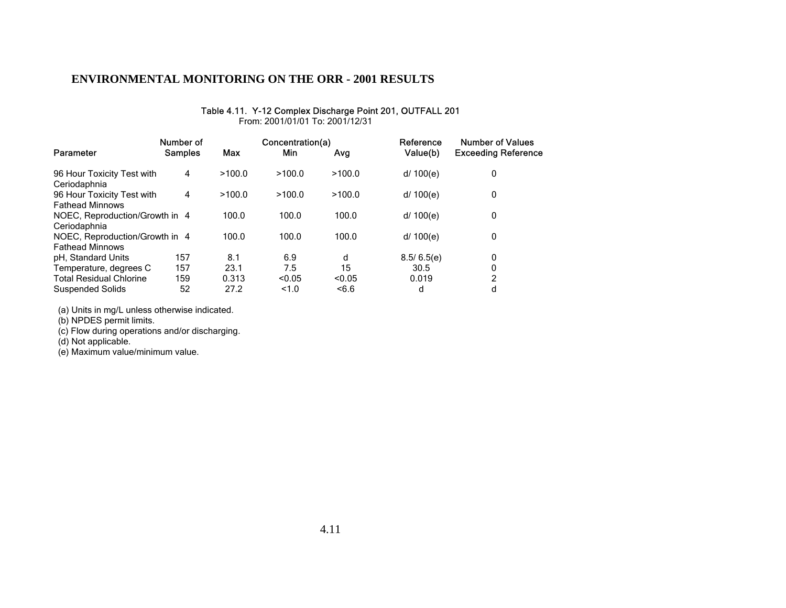#### Table 4.11. Y-12 Complex Discharge Point 201, OUTFALL 201

From: 2001/01/01 To: 2001/12/31

|                                                          | Number of      |        | Concentration(a) |        | Reference  | Number of Values           |
|----------------------------------------------------------|----------------|--------|------------------|--------|------------|----------------------------|
| Parameter                                                | <b>Samples</b> | Max    | Min              | Avg    | Value(b)   | <b>Exceeding Reference</b> |
| 96 Hour Toxicity Test with<br>Ceriodaphnia               | 4              | >100.0 | >100.0           | >100.0 | d/ 100(e)  | 0                          |
| 96 Hour Toxicity Test with<br><b>Fathead Minnows</b>     | 4              | >100.0 | >100.0           | >100.0 | d/ 100(e)  | 0                          |
| NOEC, Reproduction/Growth in 4<br>Ceriodaphnia           |                | 100.0  | 100.0            | 100.0  | d/ 100(e)  | 0                          |
| NOEC, Reproduction/Growth in 4<br><b>Fathead Minnows</b> |                | 100.0  | 100.0            | 100.0  | d/ 100(e)  | 0                          |
| pH, Standard Units                                       | 157            | 8.1    | 6.9              | d      | 8.5/6.5(e) | 0                          |
| Temperature, degrees C                                   | 157            | 23.1   | 7.5              | 15     | 30.5       | 0                          |
| <b>Total Residual Chlorine</b>                           | 159            | 0.313  | < 0.05           | < 0.05 | 0.019      | 2                          |
| <b>Suspended Solids</b>                                  | 52             | 27.2   | 1.0              | <6.6   | d          | d                          |

(a) Units in mg/L unless otherwise indicated.

(b) NPDES permit limits.

(c) Flow during operations and/or discharging.

(d) Not applicable.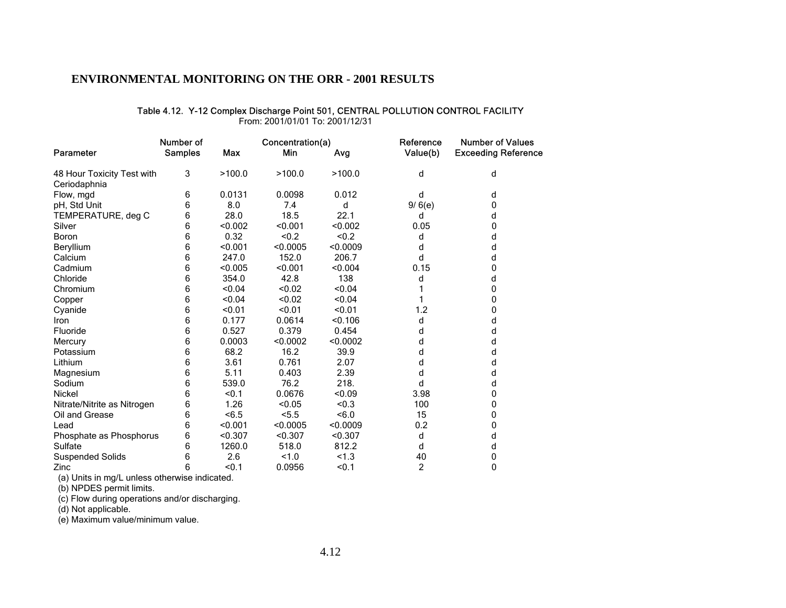#### Table 4.12. Y-12 Complex Discharge Point 501, CENTRAL POLLUTION CONTROL FACILITY

From: 2001/01/01 To: 2001/12/31

|                             | Number of      |            | Concentration(a) |          | Reference | <b>Number of Values</b>    |
|-----------------------------|----------------|------------|------------------|----------|-----------|----------------------------|
| Parameter                   | <b>Samples</b> | <b>Max</b> | Min              | Avg      | Value(b)  | <b>Exceeding Reference</b> |
| 48 Hour Toxicity Test with  | 3              | >100.0     | >100.0           | >100.0   | d         | d                          |
| Ceriodaphnia                |                |            |                  |          |           |                            |
| Flow, mgd                   | 6              | 0.0131     | 0.0098           | 0.012    | d         | d                          |
| pH, Std Unit                | 6              | 8.0        | 7.4              | d        | 9/6(e)    | 0                          |
| TEMPERATURE, deg C          | 6              | 28.0       | 18.5             | 22.1     | d         | d                          |
| Silver                      | 6              | < 0.002    | < 0.001          | < 0.002  | 0.05      | 0                          |
| Boron                       | 6              | 0.32       | < 0.2            | < 0.2    | d         | d                          |
| Beryllium                   | 6              | < 0.001    | < 0.0005         | < 0.0009 | d         | d                          |
| Calcium                     | 6              | 247.0      | 152.0            | 206.7    | d         | d                          |
| Cadmium                     | 6              | < 0.005    | < 0.001          | < 0.004  | 0.15      | 0                          |
| Chloride                    | 6              | 354.0      | 42.8             | 138      | d         | d                          |
| Chromium                    | 6              | < 0.04     | < 0.02           | < 0.04   |           | 0                          |
| Copper                      | 6              | < 0.04     | < 0.02           | < 0.04   |           | 0                          |
| Cyanide                     | 6              | < 0.01     | < 0.01           | < 0.01   | 1.2       | 0                          |
| Iron                        | 6              | 0.177      | 0.0614           | < 0.106  | d         | d                          |
| Fluoride                    | 6              | 0.527      | 0.379            | 0.454    | d         | d                          |
| Mercury                     | 6              | 0.0003     | < 0.0002         | < 0.0002 | d         | d                          |
| Potassium                   | 6              | 68.2       | 16.2             | 39.9     | d         | d                          |
| Lithium                     | 6              | 3.61       | 0.761            | 2.07     | d         | d                          |
| Magnesium                   | 6              | 5.11       | 0.403            | 2.39     | d         | d                          |
| Sodium                      | 6              | 539.0      | 76.2             | 218.     | d         | d                          |
| Nickel                      | 6              | < 0.1      | 0.0676           | < 0.09   | 3.98      | 0                          |
| Nitrate/Nitrite as Nitrogen | 6              | 1.26       | < 0.05           | < 0.3    | 100       | 0                          |
| Oil and Grease              | 6              | < 6.5      | 5.5              | <6.0     | 15        | 0                          |
| Lead                        | 6              | < 0.001    | < 0.0005         | < 0.0009 | 0.2       | 0                          |
| Phosphate as Phosphorus     | 6              | < 0.307    | < 0.307          | < 0.307  | d         | d                          |
| Sulfate                     | 6              | 1260.0     | 518.0            | 812.2    | d         | d                          |
| <b>Suspended Solids</b>     | 6              | 2.6        | 1.0              | < 1.3    | 40        | 0                          |
| Zinc                        | 6              | < 0.1      | 0.0956           | < 0.1    | 2         | 0                          |

(a) Units in mg/L unless otherwise indicated.

(b) NPDES permit limits.

(c) Flow during operations and/or discharging.

(d) Not applicable.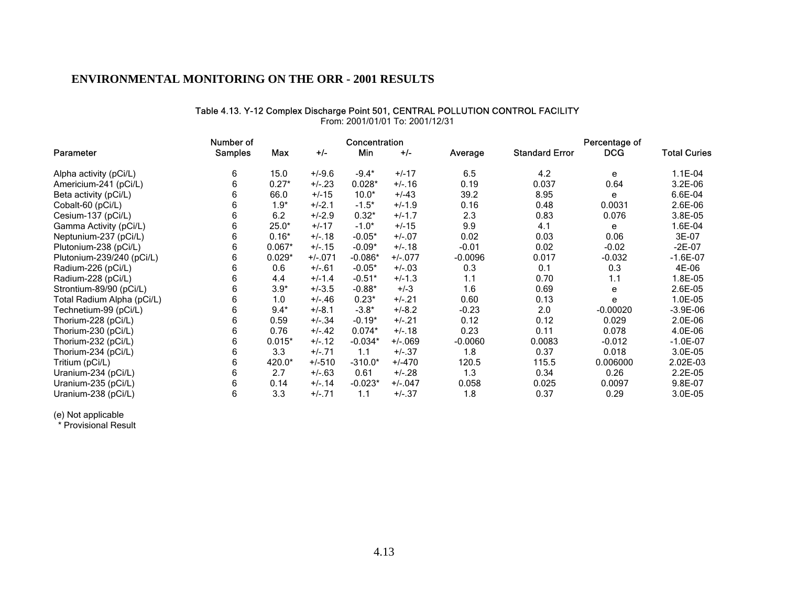#### Table 4.13. Y-12 Complex Discharge Point 501, CENTRAL POLLUTION CONTROL FACILITY

|                            | Number of      |          |           | Concentration |          |           |                       | Percentage of |                     |
|----------------------------|----------------|----------|-----------|---------------|----------|-----------|-----------------------|---------------|---------------------|
| Parameter                  | <b>Samples</b> | Max      | $+/-$     | Min           | $+/-$    | Average   | <b>Standard Error</b> | <b>DCG</b>    | <b>Total Curies</b> |
| Alpha activity (pCi/L)     | 6              | 15.0     | $+/-9.6$  | $-9.4*$       | $+/-17$  | 6.5       | 4.2                   | e             | $1.1E-04$           |
| Americium-241 (pCi/L)      | 6              | $0.27*$  | $+/-23$   | $0.028*$      | $+/-16$  | 0.19      | 0.037                 | 0.64          | 3.2E-06             |
| Beta activity (pCi/L)      |                | 66.0     | $+/-15$   | $10.0*$       | $+/-43$  | 39.2      | 8.95                  | e             | 6.6E-04             |
| Cobalt-60 (pCi/L)          | 6              | $1.9*$   | $+/-2.1$  | $-1.5*$       | $+/-1.9$ | 0.16      | 0.48                  | 0.0031        | 2.6E-06             |
| Cesium-137 (pCi/L)         | 6              | 6.2      | $+/-2.9$  | $0.32*$       | $+/-1.7$ | 2.3       | 0.83                  | 0.076         | 3.8E-05             |
| Gamma Activity (pCi/L)     | 6              | $25.0*$  | $+/-17$   | $-1.0*$       | $+/-15$  | 9.9       | 4.1                   | e             | 1.6E-04             |
| Neptunium-237 (pCi/L)      | 6              | $0.16*$  | $+/-18$   | $-0.05*$      | $+/-.07$ | 0.02      | 0.03                  | 0.06          | 3E-07               |
| Plutonium-238 (pCi/L)      | 6              | $0.067*$ | $+/-15$   | $-0.09*$      | $+/-.18$ | $-0.01$   | 0.02                  | $-0.02$       | $-2E-07$            |
| Plutonium-239/240 (pCi/L)  | h              | $0.029*$ | $+/-.071$ | $-0.086*$     | $+/-077$ | $-0.0096$ | 0.017                 | $-0.032$      | $-1.6E-07$          |
| Radium-226 (pCi/L)         | 6              | 0.6      | $+/-61$   | $-0.05*$      | $+/-03$  | 0.3       | 0.1                   | 0.3           | 4E-06               |
| Radium-228 (pCi/L)         | b              | 4.4      | $+/-1.4$  | $-0.51*$      | $+/-1.3$ | 1.1       | 0.70                  | 1.1           | 1.8E-05             |
| Strontium-89/90 (pCi/L)    | 6              | $3.9*$   | $+/-3.5$  | $-0.88*$      | $+/-3$   | 1.6       | 0.69                  | e             | 2.6E-05             |
| Total Radium Alpha (pCi/L) | 6              | 1.0      | $+/-.46$  | $0.23*$       | $+/-.21$ | 0.60      | 0.13                  | e             | 1.0E-05             |
| Technetium-99 (pCi/L)      | 6              | $9.4*$   | $+/-8.1$  | $-3.8*$       | $+/-8.2$ | $-0.23$   | 2.0                   | $-0.00020$    | $-3.9E-06$          |
| Thorium-228 (pCi/L)        |                | 0.59     | $+/-.34$  | $-0.19*$      | $+/-.21$ | 0.12      | 0.12                  | 0.029         | 2.0E-06             |
| Thorium-230 (pCi/L)        | 6              | 0.76     | +/-.42    | $0.074*$      | $+/-.18$ | 0.23      | 0.11                  | 0.078         | 4.0E-06             |
| Thorium-232 (pCi/L)        | 6              | $0.015*$ | $+/-12$   | $-0.034*$     | $+/-069$ | $-0.0060$ | 0.0083                | $-0.012$      | $-1.0E-07$          |
| Thorium-234 (pCi/L)        | 6              | 3.3      | $+/-.71$  | 1.1           | $+/-.37$ | 1.8       | 0.37                  | 0.018         | 3.0E-05             |
| Tritium (pCi/L)            | 6              | 420.0*   | $+/-510$  | $-310.0*$     | $+/-470$ | 120.5     | 115.5                 | 0.006000      | 2.02E-03            |
| Uranium-234 (pCi/L)        | 6              | 2.7      | $+/-63$   | 0.61          | $+/-.28$ | 1.3       | 0.34                  | 0.26          | 2.2E-05             |
| Uranium-235 (pCi/L)        | 6              | 0.14     | $+/- 14$  | $-0.023*$     | $+/-047$ | 0.058     | 0.025                 | 0.0097        | 9.8E-07             |
| Uranium-238 (pCi/L)        | 6              | 3.3      | $+/- 71$  | 1.1           | $+/-.37$ | 1.8       | 0.37                  | 0.29          | 3.0E-05             |

From: 2001/01/01 To: 2001/12/31

(e) Not applicable

\* Provisional Result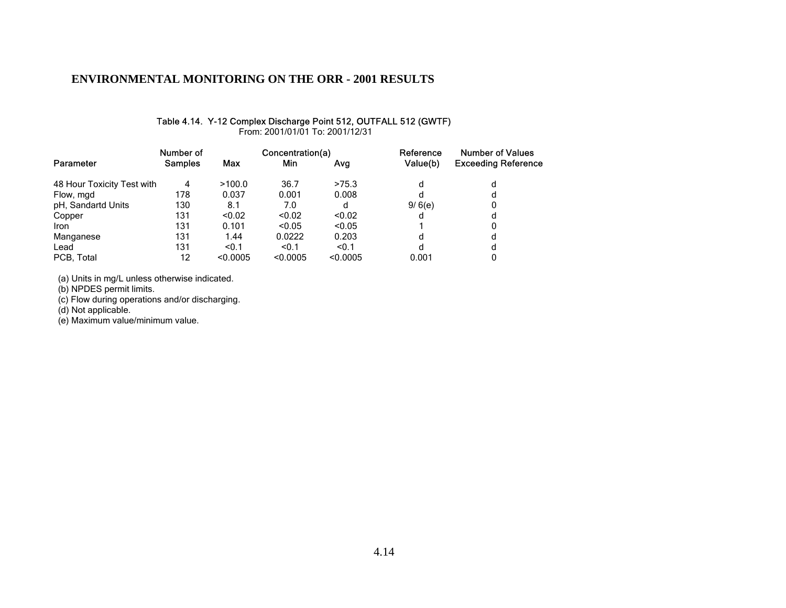### Table 4.14. Y-12 Complex Discharge Point 512, OUTFALL 512 (GWTF)

From: 2001/01/01 To: 2001/12/31

|                            | Number of      |          | Concentration(a) |          | Reference | <b>Number of Values</b>    |  |
|----------------------------|----------------|----------|------------------|----------|-----------|----------------------------|--|
| Parameter                  | <b>Samples</b> | Max      | Min              | Avg      | Value(b)  | <b>Exceeding Reference</b> |  |
| 48 Hour Toxicity Test with | 4              | >100.0   | 36.7             | >75.3    | d         | d                          |  |
| Flow, mgd                  | 178            | 0.037    | 0.001            | 0.008    | d         | d                          |  |
| pH, Sandartd Units         | 130            | 8.1      | 7.0              | d        | 9/6(e)    | 0                          |  |
| Copper                     | 131            | < 0.02   | < 0.02           | < 0.02   | d         | d                          |  |
| <b>Iron</b>                | 131            | 0.101    | < 0.05           | < 0.05   |           | 0                          |  |
| Manganese                  | 131            | 1.44     | 0.0222           | 0.203    | d         | d                          |  |
| Lead                       | 131            | < 0.1    | < 0.1            | < 0.1    | d         | d                          |  |
| PCB, Total                 | 12             | < 0.0005 | < 0.0005         | < 0.0005 | 0.001     |                            |  |

(a) Units in mg/L unless otherwise indicated.

(b) NPDES permit limits.

(c) Flow during operations and/or discharging.

(d) Not applicable.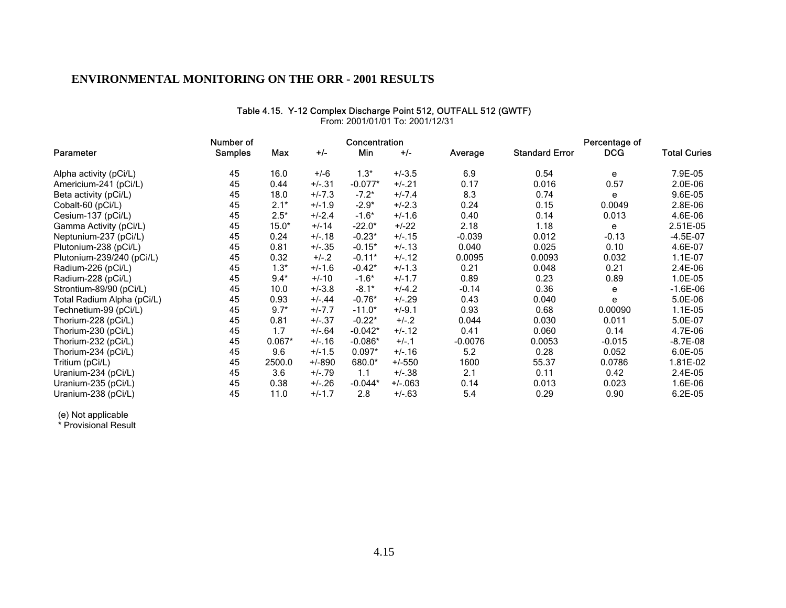### From: 2001/01/01 To: 2001/12/31Number of **Concentration Concentration Percentage of Percentage of** Parameter Samples Max +/- Min +/- Average Standard Error DCG Total Curies Alpha activity (pCi/L) 45 16.0 +/-6 1.3\* +/-3.5 6.9 0.54 e 7.9E-05<br>Americium-241 (pCi/L) 45 0.44 +/-.31 -0.077\* +/-.21 0.17 0.016 0.57 2.0E-06 Americium-241 (pCi/L) 45 0.44 +/-.31 -0.077\* +/-.21 0.17 0.016 0.57 2.0E-06 Beta activity (pCi/L) 45 18.0 +/-7.3 -7.2\* +/-7.4 8.3 0.74 e 9.6E-05<br>Cobalt-60 (pCi/L) 45 2.1\* +/-1.9 -2.9\* +/-2.3 0.24 0.15 0.0049 2.8E-06 Cobalt-60 (pCi/L) 45 2.1\* +/-1.9 -2.9\* +/-2.3 0.24 0.15 0.0049 2.8E-06 Cesium-137 (pCi/L) 45 2.5\* +/-2.4 -1.6\* +/-1.6 0.40 0.14 0.013 4.6E-06 Gamma Activity (pCi/L)  $45$   $15.0^*$   $+/-14$   $-22.0^*$   $+/-22$   $2.18$   $1.18$  e  $2.51E-05$ Neptunium-237 (pCi/L) 45 0.24 +/-.18 -0.23\* +/-.15 -0.039 0.012 -0.13 -4.5E-07<br>Plutonium-238 (pCi/L) 45 0.81 +/-.35 -0.15\* +/-.13 0.040 0.025 0.10 4 Plutonium-238 (pCi/L)  $4.6E-07$   $4.6E-07$   $4.6E-07$ Plutonium-239/240 (pCi/L)  $\begin{array}{cccc} 45 & 0.32 & +/-2 & -0.11^* & +/-12 & 0.0095 & 0.0093 & 0.032 & 1.1E-07 \end{array}$ Radium-226 (pCi/L) 45 1.3\* +/-1.6 -0.42\* +/-1.3 0.21 0.048 0.21 2.4E-06<br>Radium-228 (pCi/L) 45 9.4\* +/-10 -1.6\* +/-1.7 0.89 0.23 0.89 1.0E-05 Radium-228 (pCi/L) 45 9.4\* +/-10 -1.6\* +/-1.7 0.89 0.23 0.89 1.0E-05

Strontium-89/90 (pCi/L) 45 10.0 +/-3.8 -8.1\* +/-4.2 -0.14 0.36 e -1.6E-06<br>Total Radium Alpha (pCi/L) 45 0.93 +/-\_44 -0.76\* +/-\_29 0.43 0.040 e 5.0E-06 Total Radium Alpha (pCi/L) 45 0.93 +/-.44 -0.76\* +/-.29 0.43 0.040 <sup>e</sup> 5.0E-06 Technetium-99 (pCi/L) 45 9.7\* +/-7.7 -11.0\* +/-9.1 0.93 0.68 0.00090 1.1E-05 Thorium-228 (pCi/L) 45 0.81 +/-.37 -0.22\* +/-.2 0.044 0.030 0.011 5.0E-07 Thorium-230 (pCi/L) 45 1.7 +/-.64 -0.042\* +/-.12 0.41 0.060 0.14 4.7E-06<br>Thorium-232 (pCi/L) 45 0.067\* +/-.16 -0.086\* +/-.1 -0.0076 0.0053 -0.015 -8.7E-08 Thorium-232 (pCi/L) 45 0.067\* +/-.16 -0.086\* +/-.1 -0.0076 0.0053 -0.015 -8.7E-08 Thorium-234 (pCi/L) 45 9.6 +/-1.5 0.097\* +/-.16 5.2 0.28 0.052 6.0E-05 Tritium (pCi/L) 45 2500.0 +/-890 680.0\* +/-550 1600 55.37 0.0786 1.81E-02 Uranium-234 (pCi/L) 45 3.6 +/-.79 1.1 +/-.38 2.1 0.11 0.42 2.4E-05 Uranium-235 (pCi/L) 45 0.38 +/-.26 -0.044\* +/-.063 0.14 0.013 0.023 1.6E-06 Uranium-238 (pCi/L) 45 11.0 +/-1.7 2.8 +/-.63 5.4 0.29 0.90 6.2E-05

Table 4.15. Y-12 Complex Discharge Point 512, OUTFALL 512 (GWTF)

(e) Not applicable

\* Provisional Result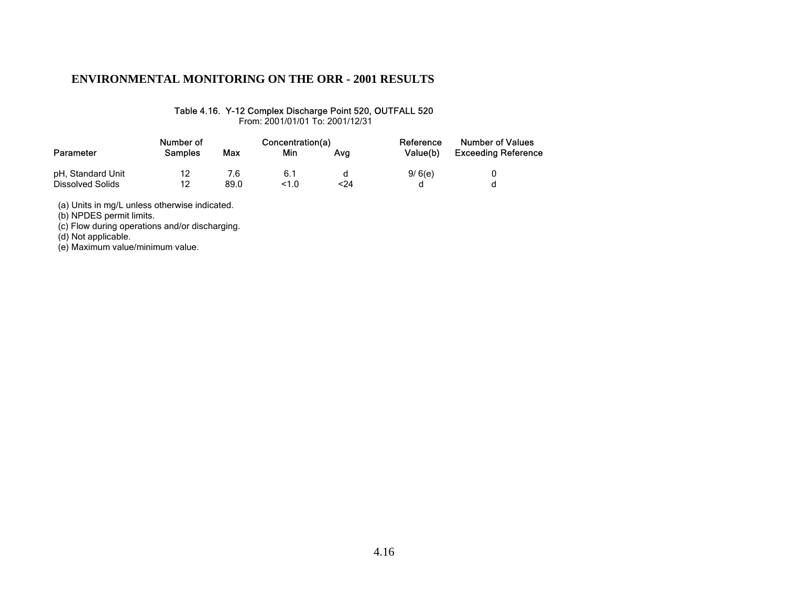#### Table 4.16. Y-12 Complex Discharge Point 520, OUTFALL 520

From: 2001/01/01 To: 2001/12/31

|                   | Number of      |      | Concentration(a) |     | Reference | <b>Number of Values</b>    |  |
|-------------------|----------------|------|------------------|-----|-----------|----------------------------|--|
| Parameter         | <b>Samples</b> | Max  | Min              | Ava | Value(b)  | <b>Exceeding Reference</b> |  |
| pH, Standard Unit | 12             | 7.6  | 6.1              |     | 9/6(e)    |                            |  |
| Dissolved Solids  | 12             | 89.0 | 1.0              | <24 |           |                            |  |

(a) Units in mg/L unless otherwise indicated.

(b) NPDES permit limits.

(c) Flow during operations and/or discharging.

(d) Not applicable.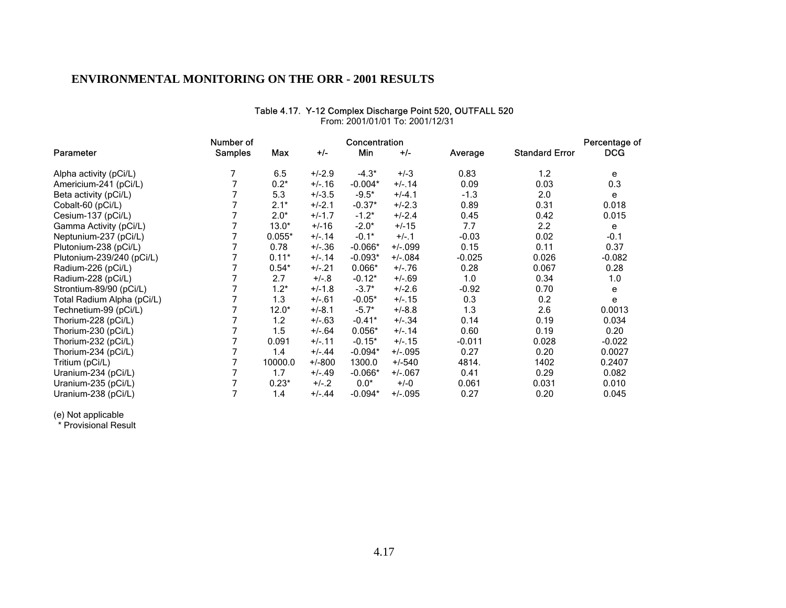|                            |                | Number of |           |           | Concentration |          |                       | Percentage of |
|----------------------------|----------------|-----------|-----------|-----------|---------------|----------|-----------------------|---------------|
| Parameter                  | <b>Samples</b> | Max       | $+/-$     | Min       | $+/-$         | Average  | <b>Standard Error</b> | <b>DCG</b>    |
| Alpha activity (pCi/L)     |                | 6.5       | $+/-2.9$  | $-4.3*$   | $+/-3$        | 0.83     | 1.2                   | e             |
| Americium-241 (pCi/L)      |                | $0.2*$    | $+/-16$   | $-0.004*$ | $+/- 14$      | 0.09     | 0.03                  | 0.3           |
| Beta activity (pCi/L)      |                | 5.3       | $+/-3.5$  | $-9.5*$   | $+/-4.1$      | $-1.3$   | 2.0                   | e             |
| Cobalt-60 (pCi/L)          |                | $2.1*$    | $+/-2.1$  | $-0.37*$  | $+/-2.3$      | 0.89     | 0.31                  | 0.018         |
| Cesium-137 (pCi/L)         |                | $2.0*$    | $+/-1.7$  | $-1.2*$   | $+/-2.4$      | 0.45     | 0.42                  | 0.015         |
| Gamma Activity (pCi/L)     |                | $13.0*$   | $+/-16$   | $-2.0*$   | $+/-15$       | 7.7      | $2.2\phantom{0}$      | е             |
| Neptunium-237 (pCi/L)      |                | $0.055*$  | $+/-.14$  | $-0.1*$   | $+/-1$        | $-0.03$  | 0.02                  | $-0.1$        |
| Plutonium-238 (pCi/L)      |                | 0.78      | $+/-.36$  | $-0.066*$ | $+/-099$      | 0.15     | 0.11                  | 0.37          |
| Plutonium-239/240 (pCi/L)  |                | $0.11*$   | $+/- 14$  | $-0.093*$ | $+/-084$      | $-0.025$ | 0.026                 | $-0.082$      |
| Radium-226 (pCi/L)         |                | $0.54*$   | $+/-21$   | $0.066*$  | $+/-.76$      | 0.28     | 0.067                 | 0.28          |
| Radium-228 (pCi/L)         |                | 2.7       | $+/-8$    | $-0.12*$  | $+/-.69$      | 1.0      | 0.34                  | 1.0           |
| Strontium-89/90 (pCi/L)    |                | $1.2*$    | $+/-1.8$  | $-3.7*$   | $+/-2.6$      | $-0.92$  | 0.70                  | e             |
| Total Radium Alpha (pCi/L) |                | 1.3       | $+/-61$   | $-0.05*$  | $+/- 15$      | 0.3      | 0.2                   | е             |
| Technetium-99 (pCi/L)      |                | $12.0*$   | $+/-8.1$  | $-5.7*$   | $+/-8.8$      | 1.3      | 2.6                   | 0.0013        |
| Thorium-228 (pCi/L)        |                | 1.2       | $+/-63$   | $-0.41*$  | $+/-.34$      | 0.14     | 0.19                  | 0.034         |
| Thorium-230 (pCi/L)        |                | 1.5       | $+/-64$   | $0.056*$  | $+/- 14$      | 0.60     | 0.19                  | 0.20          |
| Thorium-232 (pCi/L)        |                | 0.091     | $+/-11$   | $-0.15*$  | $+/- 15$      | $-0.011$ | 0.028                 | $-0.022$      |
| Thorium-234 (pCi/L)        |                | 1.4       | $+/-.44$  | $-0.094*$ | $+/-0.95$     | 0.27     | 0.20                  | 0.0027        |
| Tritium (pCi/L)            |                | 10000.0   | $+/-800$  | 1300.0    | $+/-540$      | 4814.    | 1402                  | 0.2407        |
| Uranium-234 (pCi/L)        |                | 1.7       | $+/-.49$  | $-0.066*$ | $+/-.067$     | 0.41     | 0.29                  | 0.082         |
| Uranium-235 (pCi/L)        |                | $0.23*$   | $+/-2$    | $0.0*$    | $+/-0$        | 0.061    | 0.031                 | 0.010         |
| Uranium-238 (pCi/L)        |                | 1.4       | $+/- .44$ | $-0.094*$ | $+/-0.95$     | 0.27     | 0.20                  | 0.045         |

#### Table 4.17. Y-12 Complex Discharge Point 520, OUTFALL 520 From: 2001/01/01 To: 2001/12/31

(e) Not applicable

\* Provisional Result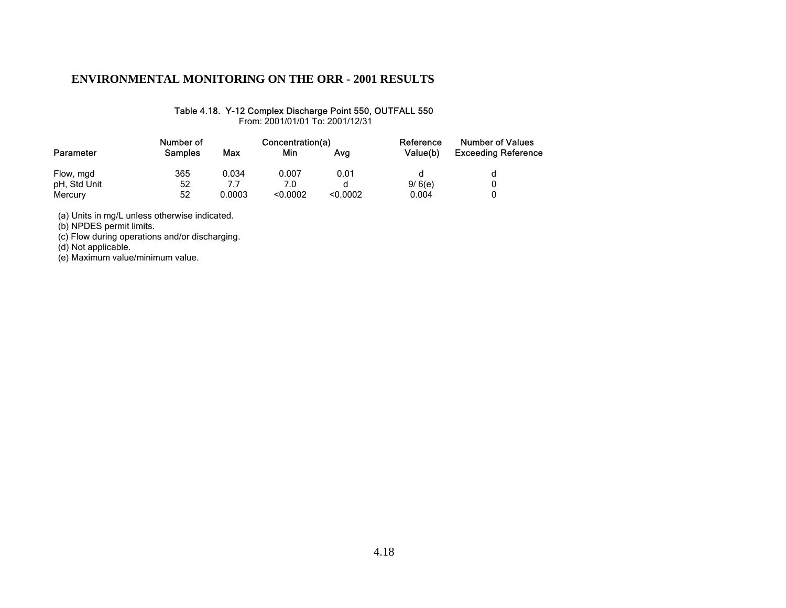#### Table 4.18. Y-12 Complex Discharge Point 550, OUTFALL 550

From: 2001/01/01 To: 2001/12/31

|              | Number of      |        | Concentration(a) |          | Reference | <b>Number of Values</b>    |  |
|--------------|----------------|--------|------------------|----------|-----------|----------------------------|--|
| Parameter    | <b>Samples</b> | Max    | Min              | Ava      | Value(b)  | <b>Exceeding Reference</b> |  |
| Flow, mgd    | 365            | 0.034  | 0.007            | 0.01     |           |                            |  |
| pH, Std Unit | 52             | 7.7    | 7.0              |          | 9/6(e)    |                            |  |
| Mercury      | 52             | 0.0003 | < 0.0002         | < 0.0002 | 0.004     |                            |  |

(a) Units in mg/L unless otherwise indicated.

(b) NPDES permit limits.

(c) Flow during operations and/or discharging.

(d) Not applicable.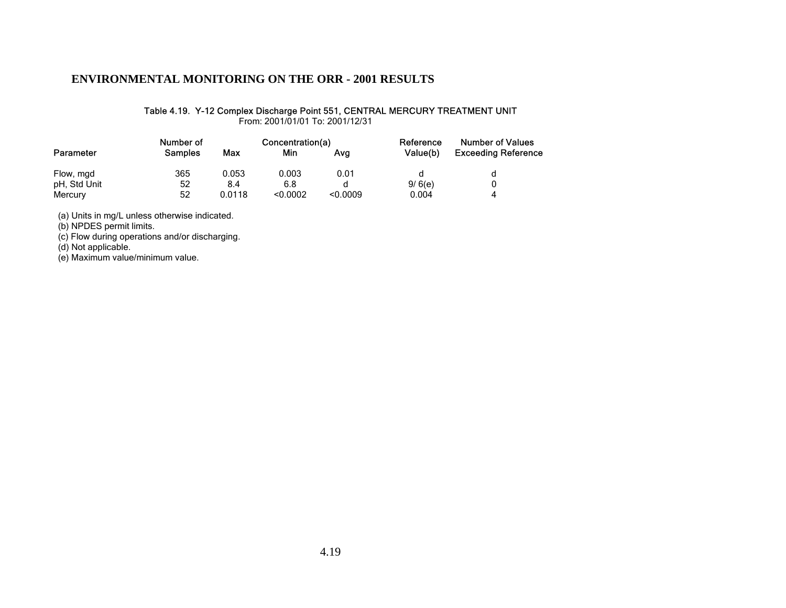#### Table 4.19. Y-12 Complex Discharge Point 551, CENTRAL MERCURY TREATMENT UNIT

From: 2001/01/01 To: 2001/12/31

| Parameter    | Number of      | Concentration(a) |          |          | Reference | <b>Number of Values</b>    |
|--------------|----------------|------------------|----------|----------|-----------|----------------------------|
|              | <b>Samples</b> | Max              | Min      | Ava      | Value(b)  | <b>Exceeding Reference</b> |
| Flow, mgd    | 365            | 0.053            | 0.003    | 0.01     | d         |                            |
| pH, Std Unit | 52             | 8.4              | 6.8      |          | 9/6(e)    |                            |
| Mercury      | 52             | 0.0118           | < 0.0002 | < 0.0009 | 0.004     | $\Lambda$                  |

(a) Units in mg/L unless otherwise indicated.

(b) NPDES permit limits.

(c) Flow during operations and/or discharging.

(d) Not applicable.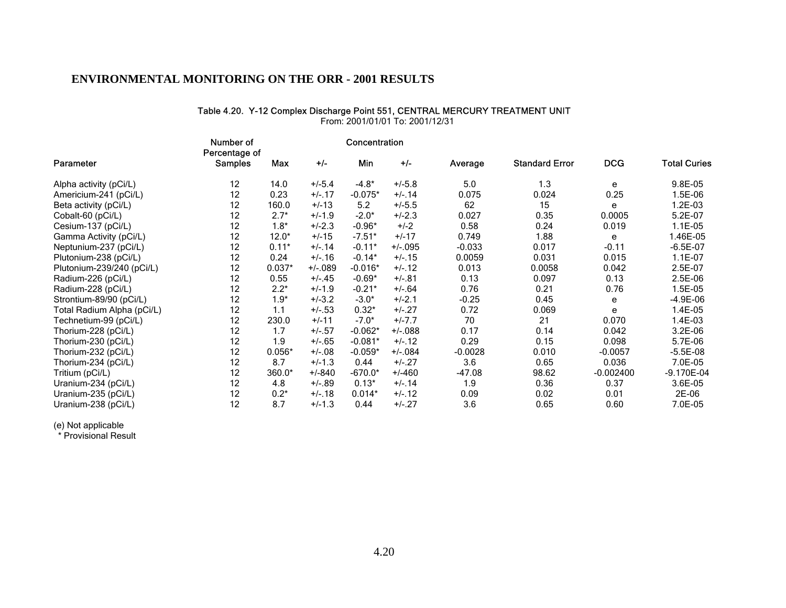#### Table 4.20. Y-12 Complex Discharge Point 551, CENTRAL MERCURY TREATMENT UNIT

From: 2001/01/01 To: 2001/12/31

|                            | Number of<br>Percentage of |          |          | Concentration |           |           |                       |             |                     |
|----------------------------|----------------------------|----------|----------|---------------|-----------|-----------|-----------------------|-------------|---------------------|
| Parameter                  | <b>Samples</b>             | Max      | $+/-$    | Min           | $+/-$     | Average   | <b>Standard Error</b> | <b>DCG</b>  | <b>Total Curies</b> |
| Alpha activity (pCi/L)     | 12                         | 14.0     | $+/-5.4$ | $-4.8*$       | $+/-5.8$  | 5.0       | 1.3                   | e           | 9.8E-05             |
| Americium-241 (pCi/L)      | 12                         | 0.23     | $+/-17$  | $-0.075*$     | $+/-.14$  | 0.075     | 0.024                 | 0.25        | 1.5E-06             |
| Beta activity (pCi/L)      | 12                         | 160.0    | $+/-13$  | 5.2           | $+/-5.5$  | 62        | 15                    | e           | 1.2E-03             |
| Cobalt-60 (pCi/L)          | 12                         | $2.7*$   | $+/-1.9$ | $-2.0*$       | $+/-2.3$  | 0.027     | 0.35                  | 0.0005      | 5.2E-07             |
| Cesium-137 (pCi/L)         | 12                         | $1.8*$   | $+/-2.3$ | $-0.96*$      | $+/-2$    | 0.58      | 0.24                  | 0.019       | 1.1E-05             |
| Gamma Activity (pCi/L)     | 12                         | $12.0*$  | $+/-15$  | $-7.51*$      | $+/-17$   | 0.749     | 1.88                  | e           | 1.46E-05            |
| Neptunium-237 (pCi/L)      | 12                         | $0.11*$  | $+/- 14$ | $-0.11*$      | $+/-0.95$ | $-0.033$  | 0.017                 | $-0.11$     | $-6.5E-07$          |
| Plutonium-238 (pCi/L)      | 12                         | 0.24     | $+/-16$  | $-0.14*$      | $+/- 15$  | 0.0059    | 0.031                 | 0.015       | $1.1E-07$           |
| Plutonium-239/240 (pCi/L)  | 12                         | $0.037*$ | $+/-089$ | $-0.016*$     | $+/-.12$  | 0.013     | 0.0058                | 0.042       | 2.5E-07             |
| Radium-226 (pCi/L)         | 12                         | 0.55     | $+/-.45$ | $-0.69*$      | $+/-.81$  | 0.13      | 0.097                 | 0.13        | 2.5E-06             |
| Radium-228 (pCi/L)         | 12                         | $2.2*$   | $+/-1.9$ | $-0.21*$      | $+/-.64$  | 0.76      | 0.21                  | 0.76        | 1.5E-05             |
| Strontium-89/90 (pCi/L)    | 12                         | $1.9*$   | $+/-3.2$ | $-3.0*$       | $+/-2.1$  | $-0.25$   | 0.45                  | е           | $-4.9E-06$          |
| Total Radium Alpha (pCi/L) | 12                         | 1.1      | $+/-.53$ | $0.32*$       | $+/-.27$  | 0.72      | 0.069                 | e           | 1.4E-05             |
| Technetium-99 (pCi/L)      | 12                         | 230.0    | $+/-11$  | $-7.0*$       | $+/-7.7$  | 70        | 21                    | 0.070       | 1.4E-03             |
| Thorium-228 (pCi/L)        | 12                         | 1.7      | $+/-.57$ | $-0.062*$     | $+/-088$  | 0.17      | 0.14                  | 0.042       | 3.2E-06             |
| Thorium-230 (pCi/L)        | 12                         | 1.9      | $+/-.65$ | $-0.081*$     | $+/-12$   | 0.29      | 0.15                  | 0.098       | 5.7E-06             |
| Thorium-232 (pCi/L)        | 12                         | $0.056*$ | $+/-08$  | $-0.059*$     | $+/-084$  | $-0.0028$ | 0.010                 | $-0.0057$   | $-5.5E-08$          |
| Thorium-234 (pCi/L)        | 12                         | 8.7      | $+/-1.3$ | 0.44          | $+/-.27$  | 3.6       | 0.65                  | 0.036       | 7.0E-05             |
| Tritium (pCi/L)            | 12                         | $360.0*$ | $+/-840$ | $-670.0*$     | $+/-460$  | $-47.08$  | 98.62                 | $-0.002400$ | -9.170E-04          |
| Uranium-234 (pCi/L)        | 12                         | 4.8      | $+/-.89$ | $0.13*$       | $+/-14$   | 1.9       | 0.36                  | 0.37        | 3.6E-05             |
| Uranium-235 (pCi/L)        | 12                         | $0.2*$   | $+/-18$  | $0.014*$      | $+/-12$   | 0.09      | 0.02                  | 0.01        | 2E-06               |
| Uranium-238 (pCi/L)        | 12                         | 8.7      | $+/-1.3$ | 0.44          | $+/-.27$  | 3.6       | 0.65                  | 0.60        | 7.0E-05             |

(e) Not applicable

\* Provisional Result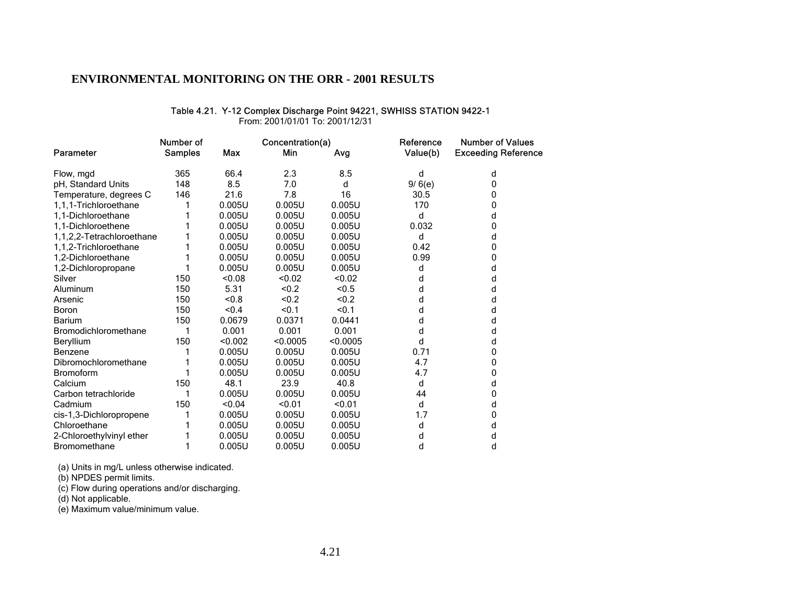#### Table 4.21. Y-12 Complex Discharge Point 94221, SWHISS STATION 9422-1

From: 2001/01/01 To: 2001/12/31

|                           | Number of      |         | Concentration(a) |          | Reference | <b>Number of Values</b>    |
|---------------------------|----------------|---------|------------------|----------|-----------|----------------------------|
| Parameter                 | <b>Samples</b> | Max     | Min              | Avg      | Value(b)  | <b>Exceeding Reference</b> |
| Flow, mgd                 | 365            | 66.4    | 2.3              | 8.5      | d         | d                          |
| pH, Standard Units        | 148            | 8.5     | 7.0              | d        | 9/6(e)    | 0                          |
| Temperature, degrees C    | 146            | 21.6    | 7.8              | 16       | 30.5      | 0                          |
| 1.1.1-Trichloroethane     |                | 0.005U  | 0.005U           | 0.005U   | 170       | 0                          |
| 1.1-Dichloroethane        |                | 0.005U  | 0.005U           | 0.005U   | d         | d                          |
| 1,1-Dichloroethene        |                | 0.005U  | 0.005U           | 0.005U   | 0.032     | 0                          |
| 1,1,2,2-Tetrachloroethane |                | 0.005U  | 0.005U           | 0.005U   | d         | d                          |
| 1,1,2-Trichloroethane     |                | 0.005U  | 0.005U           | 0.005U   | 0.42      | 0                          |
| 1,2-Dichloroethane        |                | 0.005U  | 0.005U           | 0.005U   | 0.99      | 0                          |
| 1,2-Dichloropropane       |                | 0.005U  | 0.005U           | 0.005U   | d         | d                          |
| Silver                    | 150            | < 0.08  | < 0.02           | < 0.02   | d         | d                          |
| Aluminum                  | 150            | 5.31    | < 0.2            | < 0.5    | d         | d                          |
| Arsenic                   | 150            | < 0.8   | < 0.2            | < 0.2    | d         | d                          |
| Boron                     | 150            | < 0.4   | < 0.1            | < 0.1    | d         | d                          |
| <b>Barium</b>             | 150            | 0.0679  | 0.0371           | 0.0441   | d         | d                          |
| Bromodichloromethane      |                | 0.001   | 0.001            | 0.001    | d         | d                          |
| Beryllium                 | 150            | < 0.002 | < 0.0005         | < 0.0005 | d         | d                          |
| Benzene                   |                | 0.005U  | 0.005U           | 0.005U   | 0.71      | 0                          |
| Dibromochloromethane      |                | 0.005U  | 0.005U           | 0.005U   | 4.7       | 0                          |
| <b>Bromoform</b>          |                | 0.005U  | 0.005U           | 0.005U   | 4.7       | 0                          |
| Calcium                   | 150            | 48.1    | 23.9             | 40.8     | d         | d                          |
| Carbon tetrachloride      |                | 0.005U  | 0.005U           | 0.005U   | 44        | 0                          |
| Cadmium                   | 150            | < 0.04  | < 0.01           | < 0.01   | d         | d                          |
| cis-1,3-Dichloropropene   |                | 0.005U  | 0.005U           | 0.005U   | 1.7       | 0                          |
| Chloroethane              |                | 0.005U  | 0.005U           | 0.005U   | d         | d                          |
| 2-Chloroethylvinyl ether  |                | 0.005U  | 0.005U           | 0.005U   | d         | d                          |
| <b>Bromomethane</b>       |                | 0.005U  | 0.005U           | 0.005U   | d         | d                          |

(a) Units in mg/L unless otherwise indicated.

(b) NPDES permit limits.

(c) Flow during operations and/or discharging.

(d) Not applicable.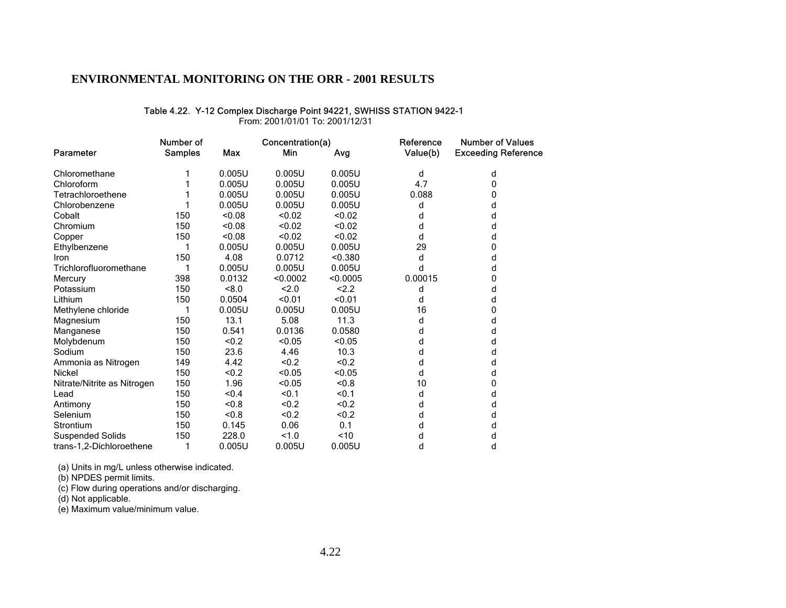#### Table 4.22. Y-12 Complex Discharge Point 94221, SWHISS STATION 9422-1

From: 2001/01/01 To: 2001/12/31

|                             | Number of      |        | Concentration(a) |          | Reference | <b>Number of Values</b>    |
|-----------------------------|----------------|--------|------------------|----------|-----------|----------------------------|
| Parameter                   | <b>Samples</b> | Max    | Min              | Avg      | Value(b)  | <b>Exceeding Reference</b> |
| Chloromethane               |                | 0.005U | 0.005U           | 0.005U   | d         | d                          |
| Chloroform                  |                | 0.005U | 0.005U           | 0.005U   | 4.7       | 0                          |
| Tetrachloroethene           |                | 0.005U | 0.005U           | 0.005U   | 0.088     | 0                          |
| Chlorobenzene               |                | 0.005U | 0.005U           | 0.005U   | d         | d                          |
| Cobalt                      | 150            | < 0.08 | < 0.02           | < 0.02   | d         | d                          |
| Chromium                    | 150            | < 0.08 | < 0.02           | < 0.02   | d         | d                          |
| Copper                      | 150            | < 0.08 | < 0.02           | < 0.02   | d         | d                          |
| Ethylbenzene                | 1              | 0.005U | 0.005U           | 0.005U   | 29        | 0                          |
| Iron                        | 150            | 4.08   | 0.0712           | < 0.380  | d         | d                          |
| Trichlorofluoromethane      | 1              | 0.005U | 0.005U           | 0.005U   | d         | d                          |
| Mercury                     | 398            | 0.0132 | < 0.0002         | < 0.0005 | 0.00015   | 0                          |
| Potassium                   | 150            | <8.0   | 2.0              | 2.2      | d         | d                          |
| Lithium                     | 150            | 0.0504 | < 0.01           | < 0.01   | d         | d                          |
| Methylene chloride          |                | 0.005U | 0.005U           | 0.005U   | 16        | 0                          |
| Magnesium                   | 150            | 13.1   | 5.08             | 11.3     | d         | d                          |
| Manganese                   | 150            | 0.541  | 0.0136           | 0.0580   | d         | d                          |
| Molybdenum                  | 150            | < 0.2  | < 0.05           | < 0.05   | d         | d                          |
| Sodium                      | 150            | 23.6   | 4.46             | 10.3     | d         | d                          |
| Ammonia as Nitrogen         | 149            | 4.42   | < 0.2            | < 0.2    | d         | d                          |
| Nickel                      | 150            | < 0.2  | < 0.05           | < 0.05   | d         | d                          |
| Nitrate/Nitrite as Nitrogen | 150            | 1.96   | < 0.05           | < 0.8    | 10        | 0                          |
| Lead                        | 150            | < 0.4  | < 0.1            | < 0.1    | d         | d                          |
| Antimony                    | 150            | < 0.8  | < 0.2            | < 0.2    | d         | d                          |
| Selenium                    | 150            | <0.8   | < 0.2            | < 0.2    | d         | d                          |
| Strontium                   | 150            | 0.145  | 0.06             | 0.1      | d         | d                          |
| <b>Suspended Solids</b>     | 150            | 228.0  | 1.0              | ~10      | d         | d                          |
| trans-1,2-Dichloroethene    | 1              | 0.005U | 0.005U           | 0.005U   | d         | d                          |

(a) Units in mg/L unless otherwise indicated.

(b) NPDES permit limits.

(c) Flow during operations and/or discharging.

(d) Not applicable.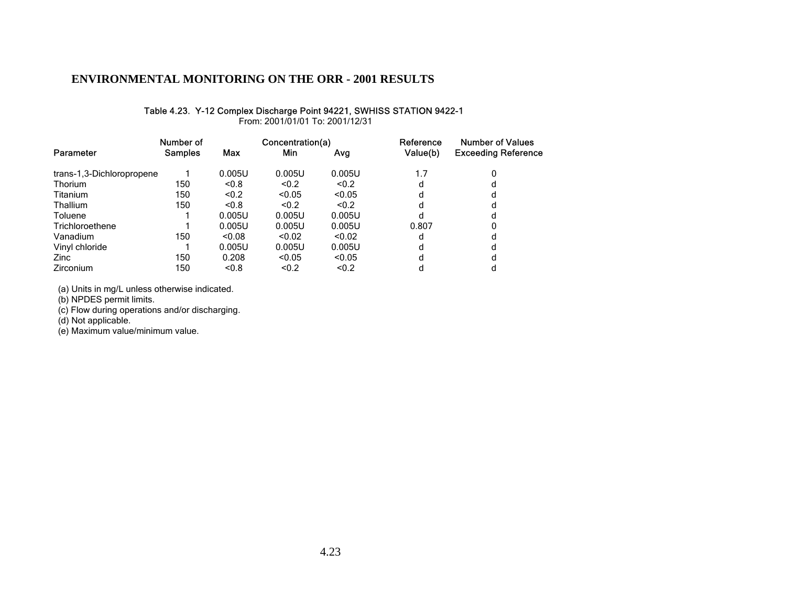#### Table 4.23. Y-12 Complex Discharge Point 94221, SWHISS STATION 9422-1

From: 2001/01/01 To: 2001/12/31

|                           | Number of      |        | Concentration(a) |        | Reference | <b>Number of Values</b>    |  |
|---------------------------|----------------|--------|------------------|--------|-----------|----------------------------|--|
| Parameter                 | <b>Samples</b> | Max    | Min              | Avg    | Value(b)  | <b>Exceeding Reference</b> |  |
| trans-1,3-Dichloropropene |                | 0.005U | 0.005U           | 0.005U | 1.7       | 0                          |  |
| <b>Thorium</b>            | 150            | < 0.8  | < 0.2            | < 0.2  | d         |                            |  |
| Titanium                  | 150            | < 0.2  | < 0.05           | < 0.05 | d         |                            |  |
| <b>Thallium</b>           | 150            | < 0.8  | < 0.2            | < 0.2  | d         |                            |  |
| Toluene                   |                | 0.005U | 0.005U           | 0.005U | d         |                            |  |
| Trichloroethene           |                | 0.005U | 0.005U           | 0.005U | 0.807     |                            |  |
| Vanadium                  | 150            | < 0.08 | < 0.02           | < 0.02 | d         |                            |  |
| Vinyl chloride            |                | 0.005U | 0.005U           | 0.005U | d         |                            |  |
| Zinc                      | 150            | 0.208  | < 0.05           | < 0.05 | d         |                            |  |
| Zirconium                 | 150            | < 0.8  | < 0.2            | < 0.2  | d         |                            |  |

(a) Units in mg/L unless otherwise indicated.

(b) NPDES permit limits.

(c) Flow during operations and/or discharging.

(d) Not applicable.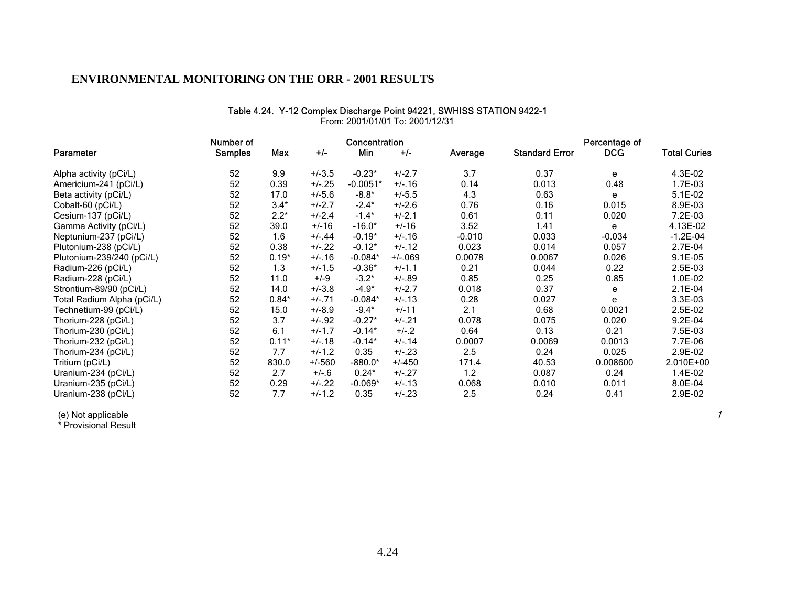#### Table 4.24. Y-12 Complex Discharge Point 94221, SWHISS STATION 9422-1

|                            | Number of      |         |          | Concentration |           |          |                       | Percentage of |                     |
|----------------------------|----------------|---------|----------|---------------|-----------|----------|-----------------------|---------------|---------------------|
| Parameter                  | <b>Samples</b> | Max     | $+/-$    | Min           | $+/-$     | Average  | <b>Standard Error</b> | <b>DCG</b>    | <b>Total Curies</b> |
| Alpha activity (pCi/L)     | 52             | 9.9     | $+/-3.5$ | $-0.23*$      | $+/-2.7$  | 3.7      | 0.37                  | e             | 4.3E-02             |
| Americium-241 (pCi/L)      | 52             | 0.39    | $+/-.25$ | $-0.0051*$    | $+/-.16$  | 0.14     | 0.013                 | 0.48          | 1.7E-03             |
| Beta activity (pCi/L)      | 52             | 17.0    | $+/-5.6$ | $-8.8*$       | $+/-5.5$  | 4.3      | 0.63                  | e             | $5.1E-02$           |
| Cobalt-60 (pCi/L)          | 52             | $3.4*$  | $+/-2.7$ | $-2.4*$       | $+/-2.6$  | 0.76     | 0.16                  | 0.015         | 8.9E-03             |
| Cesium-137 (pCi/L)         | 52             | $2.2*$  | $+/-2.4$ | $-1.4*$       | $+/-2.1$  | 0.61     | 0.11                  | 0.020         | 7.2E-03             |
| Gamma Activity (pCi/L)     | 52             | 39.0    | $+/-16$  | $-16.0*$      | $+/-16$   | 3.52     | 1.41                  | e             | 4.13E-02            |
| Neptunium-237 (pCi/L)      | 52             | 1.6     | $+/-.44$ | $-0.19*$      | $+/-16$   | $-0.010$ | 0.033                 | $-0.034$      | $-1.2E-04$          |
| Plutonium-238 (pCi/L)      | 52             | 0.38    | $+/-.22$ | $-0.12*$      | $+/-12$   | 0.023    | 0.014                 | 0.057         | 2.7E-04             |
| Plutonium-239/240 (pCi/L)  | 52             | $0.19*$ | $+/-16$  | $-0.084*$     | $+/-.069$ | 0.0078   | 0.0067                | 0.026         | $9.1E-05$           |
| Radium-226 (pCi/L)         | 52             | 1.3     | $+/-1.5$ | $-0.36*$      | $+/-1.1$  | 0.21     | 0.044                 | 0.22          | 2.5E-03             |
| Radium-228 (pCi/L)         | 52             | 11.0    | $+/-9$   | $-3.2*$       | $+/-.89$  | 0.85     | 0.25                  | 0.85          | 1.0E-02             |
| Strontium-89/90 (pCi/L)    | 52             | 14.0    | $+/-3.8$ | $-4.9*$       | $+/-2.7$  | 0.018    | 0.37                  | e             | $2.1E-04$           |
| Total Radium Alpha (pCi/L) | 52             | $0.84*$ | $+/-.71$ | $-0.084*$     | $+/-13$   | 0.28     | 0.027                 | e             | 3.3E-03             |
| Technetium-99 (pCi/L)      | 52             | 15.0    | $+/-8.9$ | $-9.4*$       | $+/-11$   | 2.1      | 0.68                  | 0.0021        | 2.5E-02             |
| Thorium-228 (pCi/L)        | 52             | 3.7     | $+/-.92$ | $-0.27*$      | $+/-.21$  | 0.078    | 0.075                 | 0.020         | $9.2E-04$           |
| Thorium-230 (pCi/L)        | 52             | 6.1     | $+/-1.7$ | $-0.14*$      | $+/-2$    | 0.64     | 0.13                  | 0.21          | 7.5E-03             |
| Thorium-232 (pCi/L)        | 52             | $0.11*$ | $+/-18$  | $-0.14*$      | $+/-.14$  | 0.0007   | 0.0069                | 0.0013        | 7.7E-06             |
| Thorium-234 (pCi/L)        | 52             | 7.7     | $+/-1.2$ | 0.35          | $+/-.23$  | 2.5      | 0.24                  | 0.025         | 2.9E-02             |
| Tritium (pCi/L)            | 52             | 830.0   | $+/-560$ | $-880.0*$     | $+/-450$  | 171.4    | 40.53                 | 0.008600      | 2.010E+00           |
| Uranium-234 (pCi/L)        | 52             | 2.7     | $+/-6$   | $0.24*$       | $+/-.27$  | 1.2      | 0.087                 | 0.24          | 1.4E-02             |
| Uranium-235 (pCi/L)        | 52             | 0.29    | $+/-.22$ | $-0.069*$     | $+/-13$   | 0.068    | 0.010                 | 0.011         | 8.0E-04             |
| Uranium-238 (pCi/L)        | 52             | 7.7     | $+/-1.2$ | 0.35          | $+/-.23$  | 2.5      | 0.24                  | 0.41          | 2.9E-02             |

From: 2001/01/01 To: 2001/12/31

(e) Not applicable

\* Provisional Result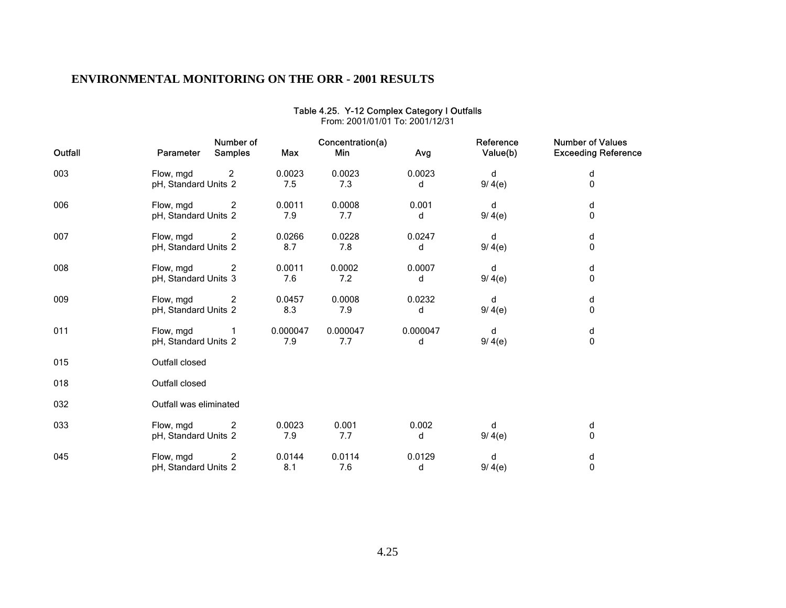| Outfall | Number of<br><b>Samples</b><br><b>Parameter</b> | Max             | Concentration(a)<br>Min | Avg           | Reference<br>Value(b) | <b>Number of Values</b><br><b>Exceeding Reference</b> |
|---------|-------------------------------------------------|-----------------|-------------------------|---------------|-----------------------|-------------------------------------------------------|
| 003     | Flow, mgd<br>2<br>pH, Standard Units 2          | 0.0023<br>7.5   | 0.0023<br>7.3           | 0.0023<br>d   | d<br>9/ 4(e)          | d<br>0                                                |
| 006     | 2<br>Flow, mgd<br>pH, Standard Units 2          | 0.0011<br>7.9   | 0.0008<br>7.7           | 0.001<br>d    | d<br>9/4(e)           | d<br>0                                                |
| 007     | 2<br>Flow, mgd<br>pH, Standard Units 2          | 0.0266<br>8.7   | 0.0228<br>7.8           | 0.0247<br>d   | d<br>9/ 4(e)          | d<br>$\pmb{0}$                                        |
| 008     | Flow, mgd<br>2<br>pH, Standard Units 3          | 0.0011<br>7.6   | 0.0002<br>7.2           | 0.0007<br>d   | d<br>9/ 4(e)          | d<br>0                                                |
| 009     | Flow, mgd<br>2<br>pH, Standard Units 2          | 0.0457<br>8.3   | 0.0008<br>7.9           | 0.0232<br>d   | d<br>9/ 4(e)          | d<br>0                                                |
| 011     | Flow, mgd<br>pH, Standard Units 2               | 0.000047<br>7.9 | 0.000047<br>7.7         | 0.000047<br>d | d<br>9/ 4(e)          | d<br>0                                                |
| 015     | Outfall closed                                  |                 |                         |               |                       |                                                       |
| 018     | Outfall closed                                  |                 |                         |               |                       |                                                       |
| 032     | Outfall was eliminated                          |                 |                         |               |                       |                                                       |
| 033     | Flow, mgd<br>2<br>pH, Standard Units 2          | 0.0023<br>7.9   | 0.001<br>7.7            | 0.002<br>d    | d<br>9/ 4(e)          | d<br>0                                                |
| 045     | Flow, mgd<br>2<br>pH, Standard Units 2          | 0.0144<br>8.1   | 0.0114<br>7.6           | 0.0129<br>d   | d<br>9/ 4(e)          | d<br>0                                                |

#### Table 4.25. Y-12 Complex Category I Outfalls From: 2001/01/01 To: 2001/12/31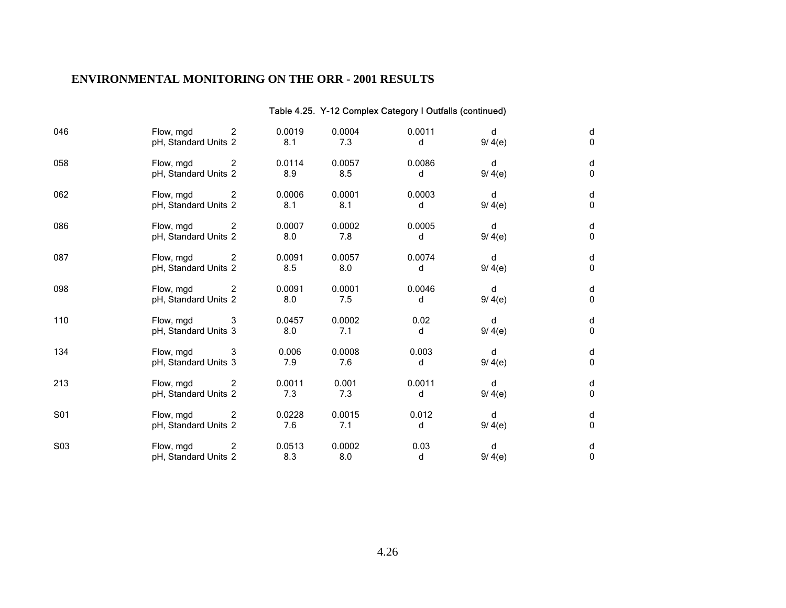### Table 4.25. Y-12 Complex Category I Outfalls (continued)

| 046 | 2<br>Flow, mgd<br>pH, Standard Units 2 | 0.0019<br>8.1 | 0.0004<br>7.3 | 0.0011<br>d | d<br>9/ 4(e) | d<br>0 |
|-----|----------------------------------------|---------------|---------------|-------------|--------------|--------|
| 058 | 2<br>Flow, mgd<br>pH, Standard Units 2 | 0.0114<br>8.9 | 0.0057<br>8.5 | 0.0086<br>d | d<br>9/ 4(e) | d<br>0 |
| 062 | Flow, mgd<br>2<br>pH, Standard Units 2 | 0.0006<br>8.1 | 0.0001<br>8.1 | 0.0003<br>d | d<br>9/ 4(e) | d<br>0 |
| 086 | Flow, mgd<br>2<br>pH, Standard Units 2 | 0.0007<br>8.0 | 0.0002<br>7.8 | 0.0005<br>d | d<br>9/ 4(e) | d<br>0 |
| 087 | Flow, mgd<br>2<br>pH, Standard Units 2 | 0.0091<br>8.5 | 0.0057<br>8.0 | 0.0074<br>d | d<br>9/ 4(e) | d<br>0 |
| 098 | Flow, mgd<br>2<br>pH, Standard Units 2 | 0.0091<br>8.0 | 0.0001<br>7.5 | 0.0046<br>d | d<br>9/ 4(e) | d<br>0 |
| 110 | Flow, mgd<br>3<br>pH, Standard Units 3 | 0.0457<br>8.0 | 0.0002<br>7.1 | 0.02<br>d   | d<br>9/ 4(e) | d<br>0 |
| 134 | Flow, mgd<br>3<br>pH, Standard Units 3 | 0.006<br>7.9  | 0.0008<br>7.6 | 0.003<br>d  | d<br>9/ 4(e) | d<br>0 |
| 213 | Flow, mgd<br>2<br>pH, Standard Units 2 | 0.0011<br>7.3 | 0.001<br>7.3  | 0.0011<br>d | d<br>9/ 4(e) | d<br>0 |
| S01 | Flow, mgd<br>2<br>pH, Standard Units 2 | 0.0228<br>7.6 | 0.0015<br>7.1 | 0.012<br>d  | d<br>9/ 4(e) | d<br>0 |
| S03 | Flow, mgd<br>2<br>pH, Standard Units 2 | 0.0513<br>8.3 | 0.0002<br>8.0 | 0.03<br>d   | d<br>9/ 4(e) | d<br>0 |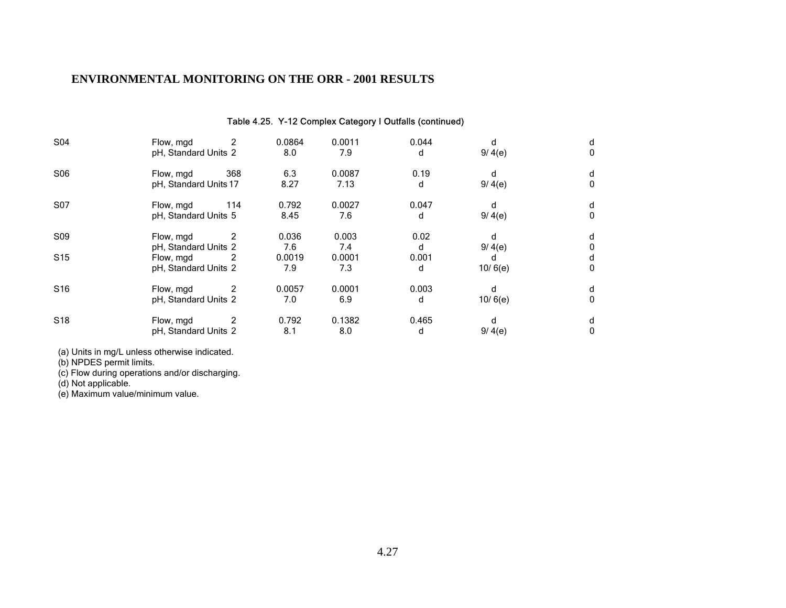# Table 4.25. Y-12 Complex Category I Outfalls (continued) S04 Flow, mgd 2 0.0864 0.0011 0.044 d d pH, Standard Units 2 8.0 7.9 d 9/ 4(e) 0 S06 Flow, mgd 368 6.3 0.0087 0.19 d d pH, Standard Units 17 8.27 7.13 d 9/ 4(e) 0 S07 Flow, mgd 114 0.792 0.0027 0.047 d d pH, Standard Units 5 8.45 7.6 d 9/ 4(e) 0 S09 Flow, mgd 2 0.036 0.003 0.02 d d pH, Standard Units 2 7.6 7.4 d 9/ 4(e) 0<br>
Flow, mgd 2 0.0019 0.0001 0.001 d d d S15 Flow, mgd 2 0.0019 0.0001 0.001 d d pH, Standard Units 2 7.9 7.3 d 10/ 6(e) 0 S16 Flow, mgd 2 0.0057 0.0001 0.003 d d pH, Standard Units 2 7.0 6.9 d 10/ 6(e) 0 S18 Flow, mgd 2 0.792 0.1382 0.465 d d pH, Standard Units 2 8.1 8.0 d 9/ 4(e) 0

(a) Units in mg/L unless otherwise indicated.

(b) NPDES permit limits.

(c) Flow during operations and/or discharging.

(d) Not applicable.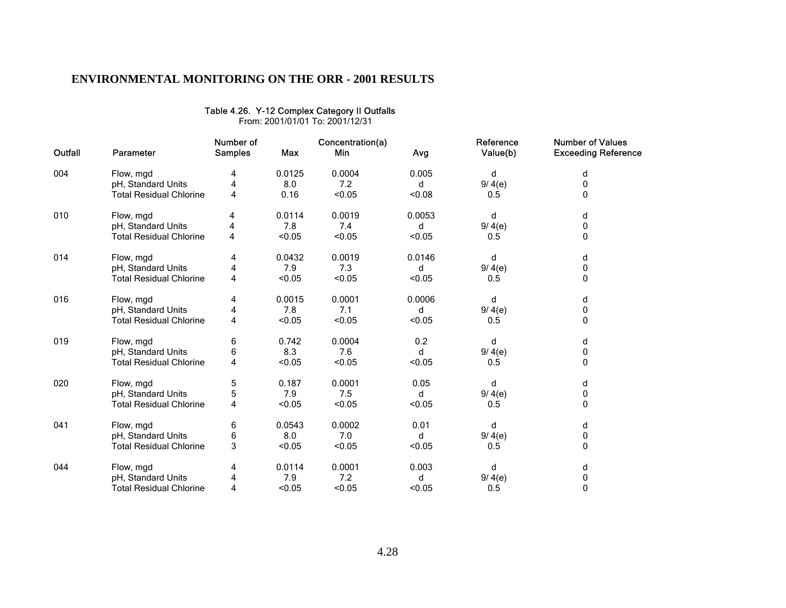|         | From: 2001/01/01 To: 2001/12/31 |                             |            |                         |        |                       |                                                       |  |  |  |  |  |
|---------|---------------------------------|-----------------------------|------------|-------------------------|--------|-----------------------|-------------------------------------------------------|--|--|--|--|--|
| Outfall | Parameter                       | Number of<br><b>Samples</b> | <b>Max</b> | Concentration(a)<br>Min | Avg    | Reference<br>Value(b) | <b>Number of Values</b><br><b>Exceeding Reference</b> |  |  |  |  |  |
| 004     | Flow, mgd                       | 4                           | 0.0125     | 0.0004                  | 0.005  | d                     | d                                                     |  |  |  |  |  |
|         | pH, Standard Units              | 4                           | 8.0        | 7.2                     | d      | 9/4(e)                | 0                                                     |  |  |  |  |  |
|         | <b>Total Residual Chlorine</b>  | 4                           | 0.16       | < 0.05                  | < 0.08 | 0.5                   | $\Omega$                                              |  |  |  |  |  |
| 010     | Flow, mgd                       | 4                           | 0.0114     | 0.0019                  | 0.0053 | d                     | d                                                     |  |  |  |  |  |
|         | pH, Standard Units              | 4                           | 7.8        | 7.4                     | d      | 9/ 4(e)               | 0                                                     |  |  |  |  |  |
|         | <b>Total Residual Chlorine</b>  | 4                           | < 0.05     | < 0.05                  | < 0.05 | 0.5                   | 0                                                     |  |  |  |  |  |
| 014     | Flow, mgd                       | 4                           | 0.0432     | 0.0019                  | 0.0146 | d                     | d                                                     |  |  |  |  |  |
|         | pH, Standard Units              | 4                           | 7.9        | 7.3                     | d      | 9/ 4(e)               | 0                                                     |  |  |  |  |  |
|         | <b>Total Residual Chlorine</b>  | 4                           | < 0.05     | < 0.05                  | < 0.05 | 0.5                   | 0                                                     |  |  |  |  |  |
| 016     | Flow, mgd                       | 4                           | 0.0015     | 0.0001                  | 0.0006 | d                     | d                                                     |  |  |  |  |  |
|         | pH, Standard Units              | 4                           | 7.8        | 7.1                     | d      | 9/ 4(e)               | 0                                                     |  |  |  |  |  |
|         | <b>Total Residual Chlorine</b>  | 4                           | < 0.05     | < 0.05                  | < 0.05 | 0.5                   | 0                                                     |  |  |  |  |  |
| 019     | Flow, mgd                       | 6                           | 0.742      | 0.0004                  | 0.2    | d                     | d                                                     |  |  |  |  |  |
|         | pH, Standard Units              | 6                           | 8.3        | 7.6                     | d      | 9/4(e)                | 0                                                     |  |  |  |  |  |
|         | <b>Total Residual Chlorine</b>  | 4                           | < 0.05     | < 0.05                  | < 0.05 | 0.5                   | 0                                                     |  |  |  |  |  |
| 020     | Flow, mgd                       | 5                           | 0.187      | 0.0001                  | 0.05   | d                     | d                                                     |  |  |  |  |  |
|         | pH, Standard Units              | 5                           | 7.9        | 7.5                     | d      | 9/ 4(e)               | 0                                                     |  |  |  |  |  |
|         | <b>Total Residual Chlorine</b>  | 4                           | < 0.05     | < 0.05                  | < 0.05 | 0.5                   | 0                                                     |  |  |  |  |  |
| 041     | Flow, mgd                       | 6                           | 0.0543     | 0.0002                  | 0.01   | d                     | d                                                     |  |  |  |  |  |
|         | pH, Standard Units              | 6                           | 8.0        | 7.0                     | d      | 9/ 4(e)               | 0                                                     |  |  |  |  |  |
|         | <b>Total Residual Chlorine</b>  | 3                           | < 0.05     | < 0.05                  | < 0.05 | 0.5                   | 0                                                     |  |  |  |  |  |
| 044     | Flow, mgd                       | 4                           | 0.0114     | 0.0001                  | 0.003  | d                     | d                                                     |  |  |  |  |  |
|         | pH, Standard Units              | 4                           | 7.9        | 7.2                     | d      | 9/ 4(e)               | 0                                                     |  |  |  |  |  |
|         | <b>Total Residual Chlorine</b>  | 4                           | < 0.05     | < 0.05                  | < 0.05 | 0.5                   | 0                                                     |  |  |  |  |  |

Table 4.26. Y-12 Complex Category II Outfalls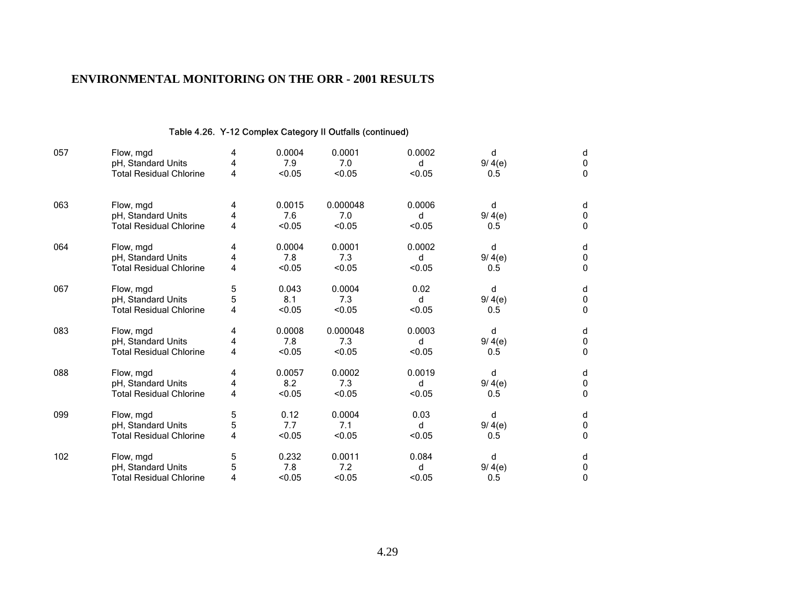#### Table 4.26. Y-12 Complex Category II Outfalls (continued)

| 057 | Flow, mgd<br>pH, Standard Units<br><b>Total Residual Chlorine</b> | 4<br>4 | 0.0004<br>7.9<br>< 0.05 | 0.0001<br>7.0<br>< 0.05 | 0.0002<br>d<br>< 0.05 | d<br>9/ 4(e) | d<br>0 |
|-----|-------------------------------------------------------------------|--------|-------------------------|-------------------------|-----------------------|--------------|--------|
|     |                                                                   | 4      |                         |                         |                       | 0.5          | 0      |
| 063 | Flow, mgd                                                         | 4      | 0.0015                  | 0.000048                | 0.0006                | d            | d      |
|     | pH, Standard Units                                                | 4      | 7.6                     | 7.0                     | d                     | 9/ 4(e)      | 0      |
|     | <b>Total Residual Chlorine</b>                                    | 4      | < 0.05                  | < 0.05                  | < 0.05                | 0.5          | 0      |
| 064 | Flow, mgd                                                         | 4      | 0.0004                  | 0.0001                  | 0.0002                | d            | d      |
|     | pH, Standard Units                                                | 4      | 7.8                     | 7.3                     | d                     | 9/ 4(e)      | 0      |
|     | <b>Total Residual Chlorine</b>                                    | 4      | < 0.05                  | < 0.05                  | < 0.05                | 0.5          | 0      |
| 067 | Flow, mgd                                                         | 5      | 0.043                   | 0.0004                  | 0.02                  | d            | d      |
|     | pH, Standard Units                                                | 5      | 8.1                     | 7.3                     | d                     | 9/ 4(e)      | 0      |
|     | <b>Total Residual Chlorine</b>                                    | 4      | < 0.05                  | < 0.05                  | < 0.05                | 0.5          | 0      |
| 083 | Flow, mgd                                                         | 4      | 0.0008                  | 0.000048                | 0.0003                | d            | d      |
|     | pH, Standard Units                                                | 4      | 7.8                     | 7.3                     | d                     | 9/ 4(e)      | 0      |
|     | <b>Total Residual Chlorine</b>                                    | 4      | < 0.05                  | < 0.05                  | < 0.05                | 0.5          | 0      |
| 088 | Flow, mgd                                                         | 4      | 0.0057                  | 0.0002                  | 0.0019                | d            | d      |
|     | pH, Standard Units                                                | 4      | 8.2                     | 7.3                     | d                     | 9/ 4(e)      | 0      |
|     | <b>Total Residual Chlorine</b>                                    | 4      | < 0.05                  | < 0.05                  | < 0.05                | 0.5          | 0      |
| 099 | Flow, mgd                                                         | 5      | 0.12                    | 0.0004                  | 0.03                  | d            | d      |
|     | pH, Standard Units                                                | 5      | 7.7                     | 7.1                     | d                     | 9/ 4(e)      | 0      |
|     | <b>Total Residual Chlorine</b>                                    | 4      | < 0.05                  | < 0.05                  | < 0.05                | 0.5          | 0      |
| 102 | Flow, mgd                                                         | 5      | 0.232                   | 0.0011                  | 0.084                 | d            | d      |
|     | pH, Standard Units                                                |        | 7.8                     | 7.2                     | d                     | 9/ 4(e)      | 0      |
|     | Total Residual Chlorine                                           |        | < 0.05                  | < 0.05                  | < 0.05                | 0.5          | 0      |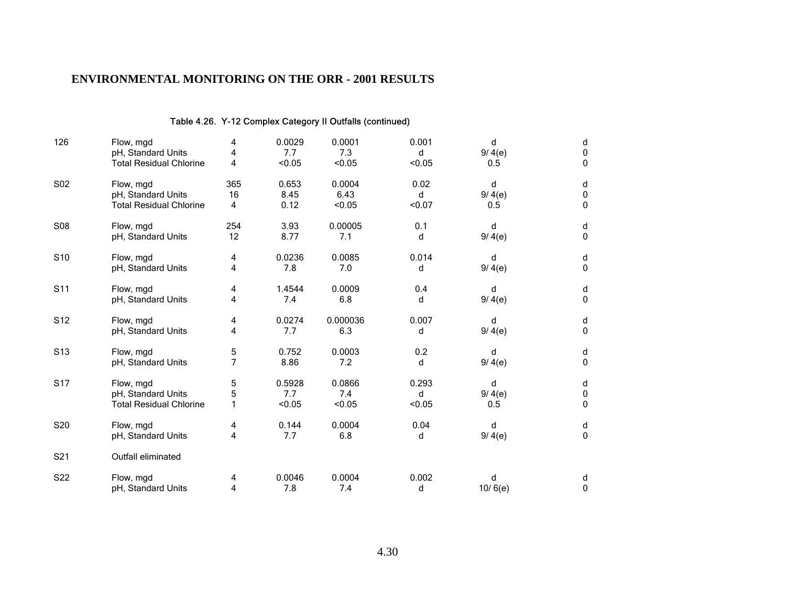### Table 4.26. Y-12 Complex Category II Outfalls (continued)

| 126             | Flow, mgd                                                         | 4      | 0.0029                  | 0.0001                  | 0.001                | d                  | d                         |
|-----------------|-------------------------------------------------------------------|--------|-------------------------|-------------------------|----------------------|--------------------|---------------------------|
|                 | pH, Standard Units                                                | 4      | 7.7                     | 7.3                     | d                    | 9/ 4(e)            | 0                         |
|                 | <b>Total Residual Chlorine</b>                                    | 4      | < 0.05                  | < 0.05                  | < 0.05               | 0.5                | 0                         |
| S02             | Flow, mgd                                                         | 365    | 0.653                   | 0.0004                  | 0.02                 | d                  | d                         |
|                 | pH, Standard Units                                                | 16     | 8.45                    | 6.43                    | d                    | 9/ 4(e)            | $\pmb{0}$                 |
|                 | <b>Total Residual Chlorine</b>                                    | 4      | 0.12                    | < 0.05                  | < 0.07               | 0.5                | 0                         |
| <b>S08</b>      | Flow, mgd                                                         | 254    | 3.93                    | 0.00005                 | 0.1                  | d                  | d                         |
|                 | pH, Standard Units                                                | 12     | 8.77                    | 7.1                     | d                    | 9/4(e)             | 0                         |
| S <sub>10</sub> | Flow, mgd                                                         | 4      | 0.0236                  | 0.0085                  | 0.014                | d                  | d                         |
|                 | pH, Standard Units                                                | 4      | 7.8                     | 7.0                     | d                    | 9/4(e)             | 0                         |
| S <sub>11</sub> | Flow, mgd                                                         | 4      | 1.4544                  | 0.0009                  | 0.4                  | d                  | d                         |
|                 | pH, Standard Units                                                | 4      | 7.4                     | 6.8                     | d                    | 9/ 4(e)            | 0                         |
| S <sub>12</sub> | Flow, mgd                                                         | 4      | 0.0274                  | 0.000036                | 0.007                | d                  | d                         |
|                 | pH, Standard Units                                                | 4      | 7.7                     | 6.3                     | d                    | 9/4(e)             | 0                         |
| S <sub>13</sub> | Flow, mgd                                                         | 5      | 0.752                   | 0.0003                  | 0.2                  | d                  | d                         |
|                 | pH, Standard Units                                                | 7      | 8.86                    | 7.2                     | d                    | 9/4(e)             | 0                         |
| <b>S17</b>      | Flow, mgd<br>pH, Standard Units<br><b>Total Residual Chlorine</b> | 5<br>5 | 0.5928<br>7.7<br>< 0.05 | 0.0866<br>7.4<br>< 0.05 | 0.293<br>d<br>< 0.05 | d<br>9/4(e)<br>0.5 | $\sf d$<br>$\pmb{0}$<br>0 |
| S20             | Flow, mgd                                                         | 4      | 0.144                   | 0.0004                  | 0.04                 | d                  | d                         |
|                 | pH, Standard Units                                                | 4      | 7.7                     | 6.8                     | d                    | 9/ 4(e)            | 0                         |
| S21             | Outfall eliminated                                                |        |                         |                         |                      |                    |                           |
| S22             | Flow, mgd                                                         | 4      | 0.0046                  | 0.0004                  | 0.002                | d                  | d                         |
|                 | pH, Standard Units                                                | 4      | 7.8                     | 7.4                     | d                    | 10/6(e)            | 0                         |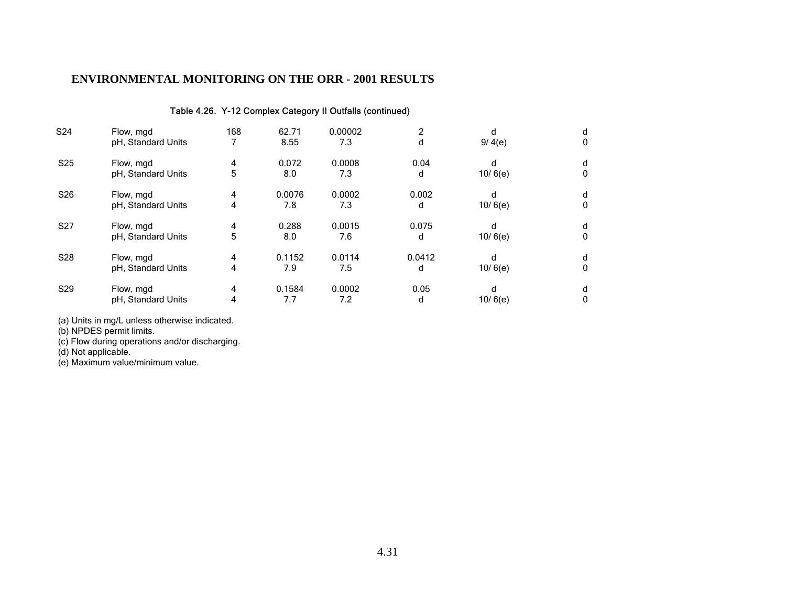#### Table 4.26. Y-12 Complex Category II Outfalls (continued)

| S24             | Flow, mgd          | 168 | 62.71  | 0.00002 | 2      | d       | d |
|-----------------|--------------------|-----|--------|---------|--------|---------|---|
|                 | pH, Standard Units |     | 8.55   | 7.3     | d      | 9/ 4(e) | 0 |
| S <sub>25</sub> | Flow, mgd          | 4   | 0.072  | 0.0008  | 0.04   | d       | d |
|                 | pH, Standard Units | 5   | 8.0    | 7.3     | d      | 10/6(e) | 0 |
| S <sub>26</sub> | Flow, mgd          | 4   | 0.0076 | 0.0002  | 0.002  | d       | d |
|                 | pH, Standard Units | 4   | 7.8    | 7.3     | d      | 10/6(e) | 0 |
| S <sub>27</sub> | Flow, mgd          | 4   | 0.288  | 0.0015  | 0.075  | d       | d |
|                 | pH, Standard Units | 5   | 8.0    | 7.6     | d      | 10/6(e) | 0 |
| S <sub>28</sub> | Flow, mgd          | 4   | 0.1152 | 0.0114  | 0.0412 | d       | d |
|                 | pH, Standard Units | 4   | 7.9    | 7.5     | d      | 10/6(e) | 0 |
| S <sub>29</sub> | Flow, mgd          | 4   | 0.1584 | 0.0002  | 0.05   | d       | d |
|                 | pH, Standard Units | 4   | 7.7    | 7.2     | d      | 10/6(e) | 0 |

(a) Units in mg/L unless otherwise indicated.

(b) NPDES permit limits.

(c) Flow during operations and/or discharging.

(d) Not applicable.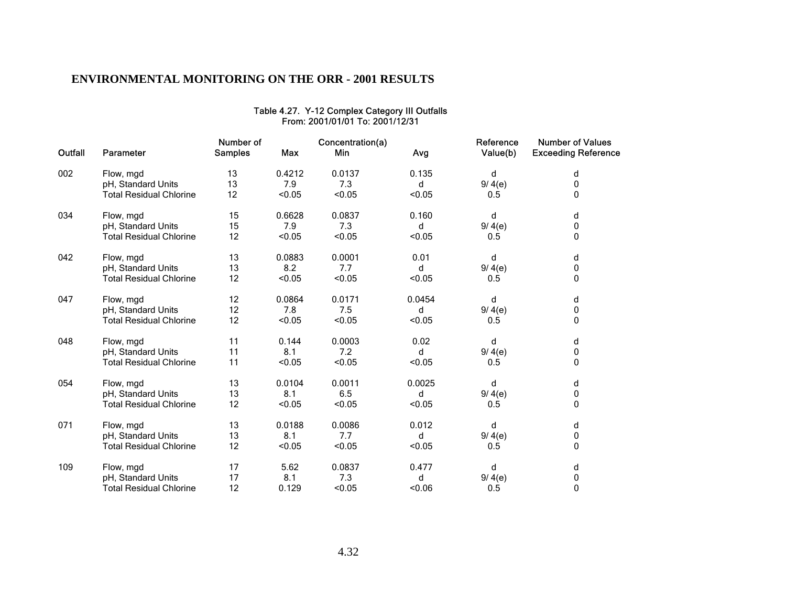| Outfall | Parameter                      | Number of<br><b>Samples</b> | <b>Max</b> | Concentration(a)<br>Min | Avg    | Reference<br>Value(b) | <b>Number of Values</b><br><b>Exceeding Reference</b> |
|---------|--------------------------------|-----------------------------|------------|-------------------------|--------|-----------------------|-------------------------------------------------------|
| 002     | Flow, mgd                      | 13                          | 0.4212     | 0.0137                  | 0.135  | d                     | d                                                     |
|         | pH, Standard Units             | 13                          | 7.9        | 7.3                     | d      | 9/ 4(e)               | 0                                                     |
|         | <b>Total Residual Chlorine</b> | 12                          | < 0.05     | < 0.05                  | < 0.05 | 0.5                   | 0                                                     |
| 034     | Flow, mgd                      | 15                          | 0.6628     | 0.0837                  | 0.160  | d                     | d                                                     |
|         | pH, Standard Units             | 15                          | 7.9        | 7.3                     | d      | 9/4(e)                | 0                                                     |
|         | <b>Total Residual Chlorine</b> | 12                          | < 0.05     | < 0.05                  | < 0.05 | 0.5                   | 0                                                     |
| 042     | Flow, mgd                      | 13                          | 0.0883     | 0.0001                  | 0.01   | d                     | d                                                     |
|         | pH, Standard Units             | 13                          | 8.2        | 7.7                     | d      | 9/4(e)                | 0                                                     |
|         | <b>Total Residual Chlorine</b> | 12                          | < 0.05     | < 0.05                  | < 0.05 | 0.5                   | 0                                                     |
| 047     | Flow, mgd                      | 12                          | 0.0864     | 0.0171                  | 0.0454 | d                     | d                                                     |
|         | pH, Standard Units             | 12                          | 7.8        | 7.5                     | d      | 9/4(e)                | 0                                                     |
|         | <b>Total Residual Chlorine</b> | 12                          | < 0.05     | < 0.05                  | < 0.05 | 0.5                   | 0                                                     |
| 048     | Flow, mgd                      | 11                          | 0.144      | 0.0003                  | 0.02   | d                     | d                                                     |
|         | pH, Standard Units             | 11                          | 8.1        | 7.2                     | d      | 9/4(e)                | 0                                                     |
|         | <b>Total Residual Chlorine</b> | 11                          | < 0.05     | < 0.05                  | < 0.05 | 0.5                   | 0                                                     |
| 054     | Flow, mgd                      | 13                          | 0.0104     | 0.0011                  | 0.0025 | d                     | d                                                     |
|         | pH, Standard Units             | 13                          | 8.1        | 6.5                     | d      | 9/4(e)                | 0                                                     |
|         | <b>Total Residual Chlorine</b> | 12                          | < 0.05     | < 0.05                  | < 0.05 | 0.5                   | 0                                                     |
| 071     | Flow, mgd                      | 13                          | 0.0188     | 0.0086                  | 0.012  | d                     | d                                                     |
|         | pH, Standard Units             | 13                          | 8.1        | 7.7                     | d      | 9/4(e)                | 0                                                     |
|         | <b>Total Residual Chlorine</b> | 12                          | < 0.05     | < 0.05                  | < 0.05 | 0.5                   | 0                                                     |
| 109     | Flow, mgd                      | 17                          | 5.62       | 0.0837                  | 0.477  | d                     | d                                                     |
|         | pH, Standard Units             | 17                          | 8.1        | 7.3                     | d      | 9/4(e)                | 0                                                     |
|         | <b>Total Residual Chlorine</b> | 12                          | 0.129      | < 0.05                  | < 0.06 | 0.5                   | 0                                                     |

#### Table 4.27. Y-12 Complex Category III Outfalls From: 2001/01/01 To: 2001/12/31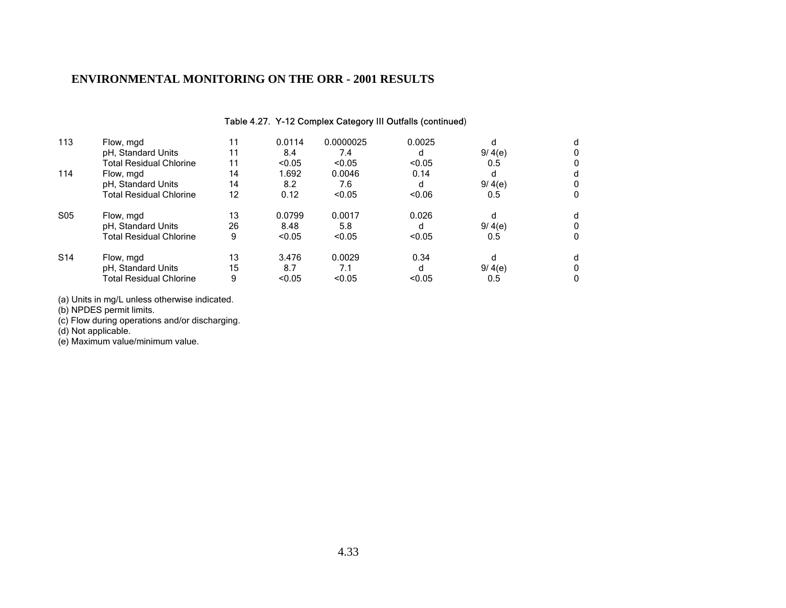#### Table 4.27. Y-12 Complex Category III Outfalls (continued)

| 113             | Flow, mgd                      | 11 | 0.0114 | 0.0000025 | 0.0025 | d       | d |
|-----------------|--------------------------------|----|--------|-----------|--------|---------|---|
|                 | pH, Standard Units             | 11 | 8.4    | 7.4       | d      | 9/4(e)  | 0 |
|                 | <b>Total Residual Chlorine</b> | 11 | < 0.05 | < 0.05    | < 0.05 | 0.5     | 0 |
| 114             | Flow, mgd                      | 14 | 1.692  | 0.0046    | 0.14   | d       | d |
|                 | pH, Standard Units             | 14 | 8.2    | 7.6       | d      | 9/ 4(e) | 0 |
|                 | <b>Total Residual Chlorine</b> | 12 | 0.12   | < 0.05    | < 0.06 | 0.5     | 0 |
| S <sub>05</sub> | Flow, mgd                      | 13 | 0.0799 | 0.0017    | 0.026  |         | d |
|                 | pH, Standard Units             | 26 | 8.48   | 5.8       | d      | 9/4(e)  | 0 |
|                 | <b>Total Residual Chlorine</b> | 9  | < 0.05 | < 0.05    | < 0.05 | 0.5     | 0 |
| S <sub>14</sub> | Flow, mgd                      | 13 | 3.476  | 0.0029    | 0.34   | d       | d |
|                 | pH, Standard Units             | 15 | 8.7    | 7.1       | d      | 9/ 4(e) | 0 |
|                 | Total Residual Chlorine        | 9  | < 0.05 | < 0.05    | < 0.05 | 0.5     | 0 |

(a) Units in mg/L unless otherwise indicated.

(b) NPDES permit limits.

(c) Flow during operations and/or discharging.

(d) Not applicable.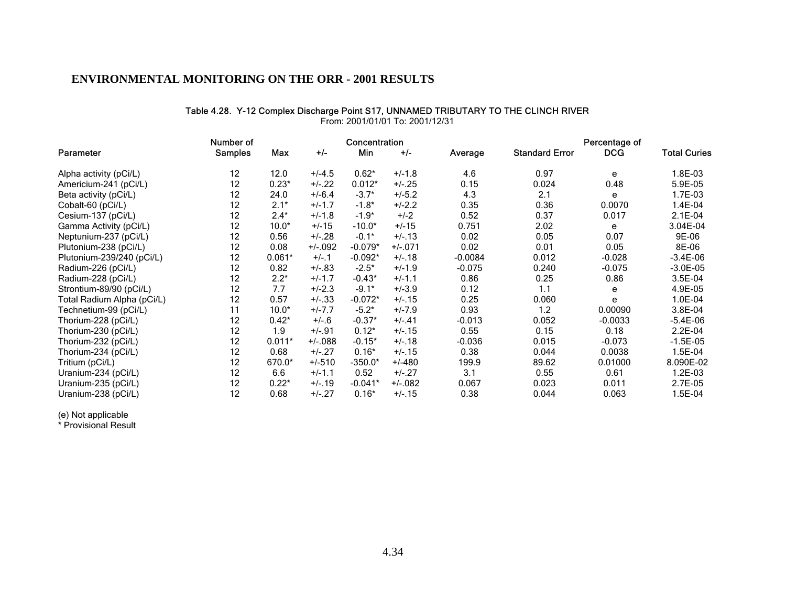#### Table 4.28. Y-12 Complex Discharge Point S17, UNNAMED TRIBUTARY TO THE CLINCH RIVER

|                            | Number of      |          |           | Concentration |           |           |                       | Percentage of |                     |
|----------------------------|----------------|----------|-----------|---------------|-----------|-----------|-----------------------|---------------|---------------------|
| Parameter                  | <b>Samples</b> | Max      | $+/-$     | Min           | $+/-$     | Average   | <b>Standard Error</b> | <b>DCG</b>    | <b>Total Curies</b> |
| Alpha activity (pCi/L)     | 12             | 12.0     | $+/-4.5$  | $0.62*$       | $+/-1.8$  | 4.6       | 0.97                  | e             | 1.8E-03             |
| Americium-241 (pCi/L)      | 12             | $0.23*$  | $+/-.22$  | $0.012*$      | $+/-25$   | 0.15      | 0.024                 | 0.48          | 5.9E-05             |
| Beta activity (pCi/L)      | 12             | 24.0     | $+/-6.4$  | $-3.7*$       | $+/-5.2$  | 4.3       | 2.1                   | e             | 1.7E-03             |
| Cobalt-60 (pCi/L)          | 12             | $2.1*$   | $+/-1.7$  | $-1.8*$       | $+/-2.2$  | 0.35      | 0.36                  | 0.0070        | 1.4E-04             |
| Cesium-137 (pCi/L)         | 12             | $2.4*$   | $+/-1.8$  | $-1.9*$       | $+/-2$    | 0.52      | 0.37                  | 0.017         | $2.1E-04$           |
| Gamma Activity (pCi/L)     | 12             | $10.0*$  | $+/-15$   | $-10.0*$      | $+/-15$   | 0.751     | 2.02                  | e             | 3.04E-04            |
| Neptunium-237 (pCi/L)      | 12             | 0.56     | $+/-.28$  | $-0.1*$       | $+/-13$   | 0.02      | 0.05                  | 0.07          | 9E-06               |
| Plutonium-238 (pCi/L)      | 12             | 0.08     | $+/-092$  | $-0.079*$     | $+/-071$  | 0.02      | 0.01                  | 0.05          | 8E-06               |
| Plutonium-239/240 (pCi/L)  | 12             | $0.061*$ | $+/-1$    | $-0.092*$     | $+/-.18$  | $-0.0084$ | 0.012                 | $-0.028$      | $-3.4E-06$          |
| Radium-226 (pCi/L)         | 12             | 0.82     | $+/-.83$  | $-2.5*$       | $+/-1.9$  | $-0.075$  | 0.240                 | $-0.075$      | $-3.0E-05$          |
| Radium-228 (pCi/L)         | 12             | $2.2*$   | $+/-1.7$  | $-0.43*$      | $+/-1.1$  | 0.86      | 0.25                  | 0.86          | 3.5E-04             |
| Strontium-89/90 (pCi/L)    | 12             | 7.7      | $+/-2.3$  | $-9.1*$       | $+/-3.9$  | 0.12      | 1.1                   | е             | 4.9E-05             |
| Total Radium Alpha (pCi/L) | 12             | 0.57     | $+/-.33$  | $-0.072*$     | $+/- 15$  | 0.25      | 0.060                 | e             | 1.0E-04             |
| Technetium-99 (pCi/L)      | 11             | $10.0*$  | $+/-7.7$  | $-5.2*$       | $+/-7.9$  | 0.93      | 1.2                   | 0.00090       | 3.8E-04             |
| Thorium-228 (pCi/L)        | 12             | $0.42*$  | $+/-6$    | $-0.37*$      | $+/-.41$  | $-0.013$  | 0.052                 | $-0.0033$     | $-5.4E-06$          |
| Thorium-230 (pCi/L)        | 12             | 1.9      | $+/-.91$  | $0.12*$       | $+/- 15$  | 0.55      | 0.15                  | 0.18          | $2.2E-04$           |
| Thorium-232 (pCi/L)        | 12             | $0.011*$ | $+/-.088$ | $-0.15*$      | $+/-18$   | $-0.036$  | 0.015                 | $-0.073$      | $-1.5E-05$          |
| Thorium-234 (pCi/L)        | 12             | 0.68     | $+/-27$   | $0.16*$       | $+/-15$   | 0.38      | 0.044                 | 0.0038        | 1.5E-04             |
| Tritium (pCi/L)            | 12             | 670.0*   | $+/-510$  | $-350.0*$     | $+/-480$  | 199.9     | 89.62                 | 0.01000       | 8.090E-02           |
| Uranium-234 (pCi/L)        | 12             | 6.6      | $+/-1.1$  | 0.52          | $+/-.27$  | 3.1       | 0.55                  | 0.61          | 1.2E-03             |
| Uranium-235 (pCi/L)        | 12             | $0.22*$  | $+/-19$   | $-0.041*$     | $+/-.082$ | 0.067     | 0.023                 | 0.011         | 2.7E-05             |
| Uranium-238 (pCi/L)        | 12             | 0.68     | $+/-.27$  | $0.16*$       | $+/-.15$  | 0.38      | 0.044                 | 0.063         | 1.5E-04             |

From: 2001/01/01 To: 2001/12/31

(e) Not applicable

\* Provisional Result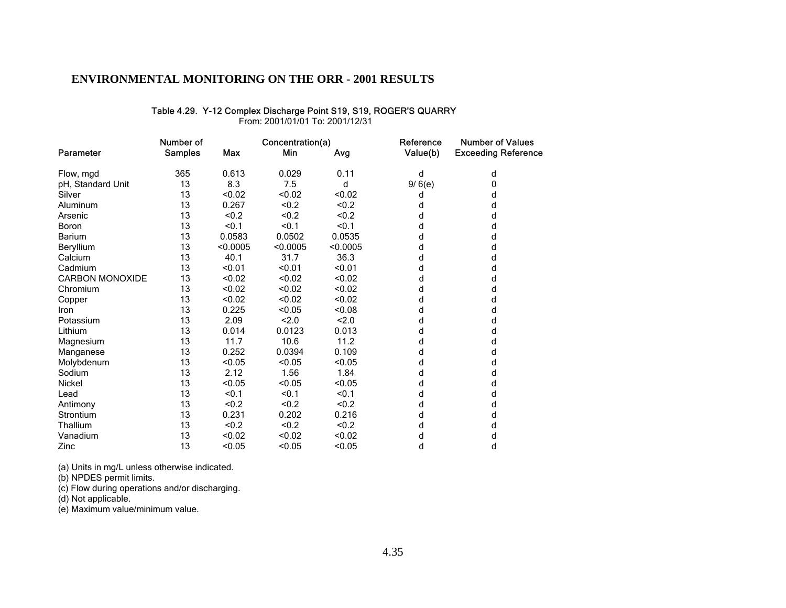#### Table 4.29. Y-12 Complex Discharge Point S19, S19, ROGER'S QUARRY

From: 2001/01/01 To: 2001/12/31

|                        | Number of      |            | Concentration(a) |          | Reference | <b>Number of Values</b>    |  |
|------------------------|----------------|------------|------------------|----------|-----------|----------------------------|--|
| Parameter              | <b>Samples</b> | <b>Max</b> | Min              | Avg      | Value(b)  | <b>Exceeding Reference</b> |  |
| Flow, mgd              | 365            | 0.613      | 0.029            | 0.11     | d         | d                          |  |
| pH, Standard Unit      | 13             | 8.3        | 7.5              | d        | 9/6(e)    | 0                          |  |
| Silver                 | 13             | < 0.02     | < 0.02           | < 0.02   | d         | d                          |  |
| Aluminum               | 13             | 0.267      | < 0.2            | < 0.2    | d         | d                          |  |
| Arsenic                | 13             | < 0.2      | < 0.2            | < 0.2    | d         | d                          |  |
| Boron                  | 13             | < 0.1      | < 0.1            | < 0.1    | d         | d                          |  |
| <b>Barium</b>          | 13             | 0.0583     | 0.0502           | 0.0535   | d         | d                          |  |
| Beryllium              | 13             | < 0.0005   | < 0.0005         | < 0.0005 | d         | d                          |  |
| Calcium                | 13             | 40.1       | 31.7             | 36.3     | d         | d                          |  |
| Cadmium                | 13             | < 0.01     | < 0.01           | < 0.01   | d         | d                          |  |
| <b>CARBON MONOXIDE</b> | 13             | < 0.02     | < 0.02           | < 0.02   | d         | d                          |  |
| Chromium               | 13             | < 0.02     | < 0.02           | < 0.02   | d         | d                          |  |
| Copper                 | 13             | < 0.02     | < 0.02           | < 0.02   | d         | d                          |  |
| Iron                   | 13             | 0.225      | < 0.05           | < 0.08   | d         | d                          |  |
| Potassium              | 13             | 2.09       | 2.0              | 2.0      | d         | d                          |  |
| Lithium                | 13             | 0.014      | 0.0123           | 0.013    | d         | d                          |  |
| Magnesium              | 13             | 11.7       | 10.6             | 11.2     | d         | d                          |  |
| Manganese              | 13             | 0.252      | 0.0394           | 0.109    | d         | d                          |  |
| Molybdenum             | 13             | < 0.05     | < 0.05           | < 0.05   | d         | d                          |  |
| Sodium                 | 13             | 2.12       | 1.56             | 1.84     | d         | d                          |  |
| <b>Nickel</b>          | 13             | < 0.05     | < 0.05           | < 0.05   | d         | d                          |  |
| Lead                   | 13             | < 0.1      | < 0.1            | < 0.1    | d         | d                          |  |
| Antimony               | 13             | &0.2       | <0.2             | < 0.2    | d         | d                          |  |
| Strontium              | 13             | 0.231      | 0.202            | 0.216    | d         | d                          |  |
| Thallium               | 13             | < 0.2      | < 0.2            | < 0.2    | d         | d                          |  |
| Vanadium               | 13             | < 0.02     | < 0.02           | < 0.02   | d         | d                          |  |
| Zinc                   | 13             | < 0.05     | < 0.05           | < 0.05   | d         | d                          |  |

(a) Units in mg/L unless otherwise indicated.

(b) NPDES permit limits.

(c) Flow during operations and/or discharging.

(d) Not applicable.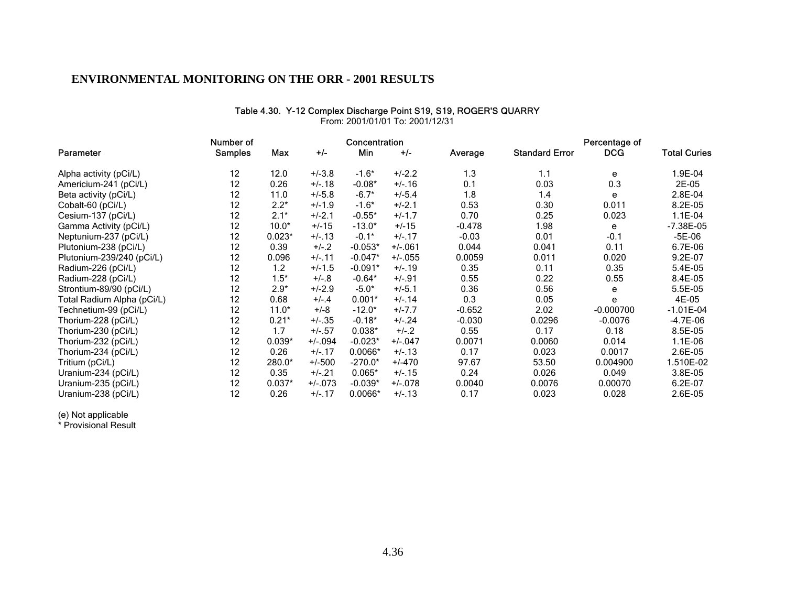#### Table 4.30. Y-12 Complex Discharge Point S19, S19, ROGER'S QUARRY

|                            | Number of      |          |           | Concentration |           |          |                       | Percentage of |                     |
|----------------------------|----------------|----------|-----------|---------------|-----------|----------|-----------------------|---------------|---------------------|
| Parameter                  | <b>Samples</b> | Max      | $+/-$     | Min           | $+/-$     | Average  | <b>Standard Error</b> | <b>DCG</b>    | <b>Total Curies</b> |
| Alpha activity (pCi/L)     | 12             | 12.0     | $+/-3.8$  | $-1.6*$       | $+/-2.2$  | 1.3      | 1.1                   | е             | 1.9E-04             |
| Americium-241 (pCi/L)      | 12             | 0.26     | $+/-18$   | $-0.08*$      | $+/-.16$  | 0.1      | 0.03                  | 0.3           | 2E-05               |
| Beta activity (pCi/L)      | 12             | 11.0     | $+/-5.8$  | $-6.7*$       | $+/-5.4$  | 1.8      | 1.4                   | e             | 2.8E-04             |
| Cobalt-60 (pCi/L)          | 12             | $2.2*$   | $+/-1.9$  | $-1.6*$       | $+/-2.1$  | 0.53     | 0.30                  | 0.011         | 8.2E-05             |
| Cesium-137 (pCi/L)         | 12             | $2.1*$   | $+/-2.1$  | $-0.55*$      | $+/-1.7$  | 0.70     | 0.25                  | 0.023         | $1.1E-04$           |
| Gamma Activity (pCi/L)     | 12             | $10.0*$  | $+/-15$   | $-13.0*$      | $+/-15$   | $-0.478$ | 1.98                  | е             | $-7.38E - 05$       |
| Neptunium-237 (pCi/L)      | 12             | $0.023*$ | $+/-13$   | $-0.1*$       | $+/- 17$  | $-0.03$  | 0.01                  | $-0.1$        | $-5E-06$            |
| Plutonium-238 (pCi/L)      | 12             | 0.39     | $+/-2$    | $-0.053*$     | $+/-.061$ | 0.044    | 0.041                 | 0.11          | 6.7E-06             |
| Plutonium-239/240 (pCi/L)  | 12             | 0.096    | $+/- 11$  | $-0.047*$     | $+/-055$  | 0.0059   | 0.011                 | 0.020         | 9.2E-07             |
| Radium-226 (pCi/L)         | 12             | 1.2      | $+/-1.5$  | $-0.091*$     | $+/-19$   | 0.35     | 0.11                  | 0.35          | 5.4E-05             |
| Radium-228 (pCi/L)         | 12             | $1.5*$   | $+/-8$    | $-0.64*$      | $+/-.91$  | 0.55     | 0.22                  | 0.55          | 8.4E-05             |
| Strontium-89/90 (pCi/L)    | 12             | $2.9*$   | $+/-2.9$  | $-5.0*$       | $+/-5.1$  | 0.36     | 0.56                  | е             | 5.5E-05             |
| Total Radium Alpha (pCi/L) | 12             | 0.68     | $+/-.4$   | $0.001*$      | $+/-14$   | 0.3      | 0.05                  | e             | 4E-05               |
| Technetium-99 (pCi/L)      | 12             | $11.0*$  | $+/-8$    | $-12.0*$      | $+/-7.7$  | $-0.652$ | 2.02                  | $-0.000700$   | $-1.01E-04$         |
| Thorium-228 (pCi/L)        | 12             | $0.21*$  | $+/-35$   | $-0.18*$      | $+/-24$   | $-0.030$ | 0.0296                | $-0.0076$     | $-4.7E-06$          |
| Thorium-230 (pCi/L)        | 12             | 1.7      | $+/- 57$  | $0.038*$      | $+/-2$    | 0.55     | 0.17                  | 0.18          | 8.5E-05             |
| Thorium-232 (pCi/L)        | 12             | $0.039*$ | $+/-.094$ | $-0.023*$     | $+/-.047$ | 0.0071   | 0.0060                | 0.014         | $1.1E-06$           |
| Thorium-234 (pCi/L)        | 12             | 0.26     | $+/- 17$  | $0.0066*$     | $+/-13$   | 0.17     | 0.023                 | 0.0017        | 2.6E-05             |
| Tritium (pCi/L)            | 12             | 280.0*   | $+/-500$  | $-270.0*$     | $+/-470$  | 97.67    | 53.50                 | 0.004900      | 1.510E-02           |
| Uranium-234 (pCi/L)        | 12             | 0.35     | $+/-.21$  | $0.065*$      | $+/- 15$  | 0.24     | 0.026                 | 0.049         | 3.8E-05             |
| Uranium-235 (pCi/L)        | 12             | $0.037*$ | $+/-073$  | $-0.039*$     | $+/-078$  | 0.0040   | 0.0076                | 0.00070       | 6.2E-07             |
| Uranium-238 (pCi/L)        | 12             | 0.26     | $+/-17$   | 0.0066*       | $+/- 13$  | 0.17     | 0.023                 | 0.028         | 2.6E-05             |

From: 2001/01/01 To: 2001/12/31

(e) Not applicable

\* Provisional Result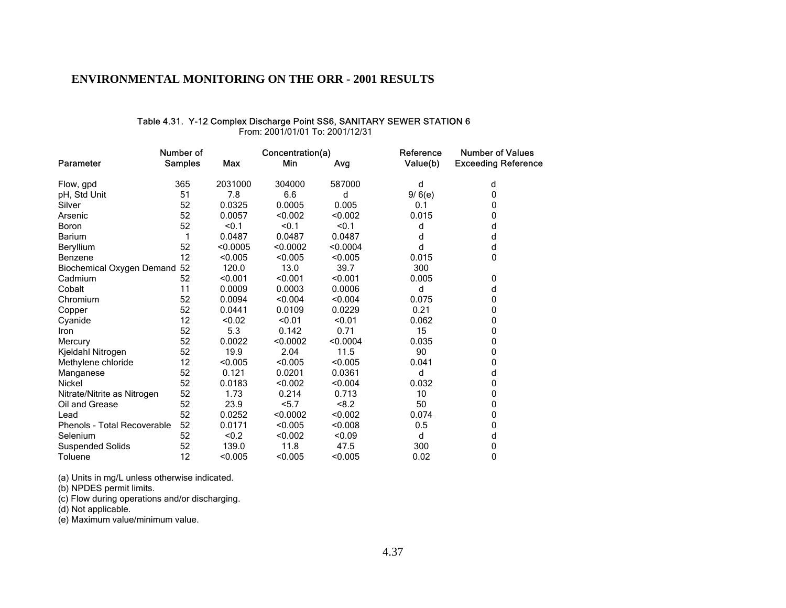#### Table 4.31. Y-12 Complex Discharge Point SS6, SANITARY SEWER STATION 6

From: 2001/01/01 To: 2001/12/31

|                              | Number of      |            | Concentration(a) |          | Reference | <b>Number of Values</b>    |  |
|------------------------------|----------------|------------|------------------|----------|-----------|----------------------------|--|
| Parameter                    | <b>Samples</b> | <b>Max</b> | Min              | Avg      | Value(b)  | <b>Exceeding Reference</b> |  |
| Flow, gpd                    | 365            | 2031000    | 304000           | 587000   | d         | d                          |  |
| pH, Std Unit                 | 51             | 7.8        | 6.6              | d        | 9/6(e)    | 0                          |  |
| Silver                       | 52             | 0.0325     | 0.0005           | 0.005    | 0.1       | 0                          |  |
| Arsenic                      | 52             | 0.0057     | < 0.002          | < 0.002  | 0.015     | 0                          |  |
| Boron                        | 52             | < 0.1      | < 0.1            | < 0.1    | d         | d                          |  |
| <b>Barium</b>                |                | 0.0487     | 0.0487           | 0.0487   | d         | d                          |  |
| Beryllium                    | 52             | < 0.0005   | < 0.0002         | < 0.0004 | d         | d                          |  |
| <b>Benzene</b>               | 12             | < 0.005    | < 0.005          | < 0.005  | 0.015     | 0                          |  |
| Biochemical Oxygen Demand 52 |                | 120.0      | 13.0             | 39.7     | 300       |                            |  |
| Cadmium                      | 52             | < 0.001    | < 0.001          | < 0.001  | 0.005     | 0                          |  |
| Cobalt                       | 11             | 0.0009     | 0.0003           | 0.0006   | d         | d                          |  |
| Chromium                     | 52             | 0.0094     | < 0.004          | < 0.004  | 0.075     | 0                          |  |
| Copper                       | 52             | 0.0441     | 0.0109           | 0.0229   | 0.21      | 0                          |  |
| Cyanide                      | 12             | < 0.02     | < 0.01           | < 0.01   | 0.062     | 0                          |  |
| Iron                         | 52             | 5.3        | 0.142            | 0.71     | 15        | 0                          |  |
| Mercury                      | 52             | 0.0022     | < 0.0002         | < 0.0004 | 0.035     | 0                          |  |
| Kjeldahl Nitrogen            | 52             | 19.9       | 2.04             | 11.5     | 90        | 0                          |  |
| Methylene chloride           | 12             | < 0.005    | < 0.005          | < 0.005  | 0.041     | 0                          |  |
| Manganese                    | 52             | 0.121      | 0.0201           | 0.0361   | d         | d                          |  |
| <b>Nickel</b>                | 52             | 0.0183     | < 0.002          | < 0.004  | 0.032     | 0                          |  |
| Nitrate/Nitrite as Nitrogen  | 52             | 1.73       | 0.214            | 0.713    | 10        | 0                          |  |
| Oil and Grease               | 52             | 23.9       | 5.7              | < 8.2    | 50        | 0                          |  |
| Lead                         | 52             | 0.0252     | < 0.0002         | < 0.002  | 0.074     | 0                          |  |
| Phenols - Total Recoverable  | 52             | 0.0171     | < 0.005          | < 0.008  | 0.5       | 0                          |  |
| Selenium                     | 52             | &0.2       | < 0.002          | < 0.09   | d         | d                          |  |
| <b>Suspended Solids</b>      | 52             | 139.0      | 11.8             | 47.5     | 300       | 0                          |  |
| Toluene                      | 12             | < 0.005    | < 0.005          | < 0.005  | 0.02      | $\mathbf{0}$               |  |

(a) Units in mg/L unless otherwise indicated.

(b) NPDES permit limits.

(c) Flow during operations and/or discharging.

(d) Not applicable.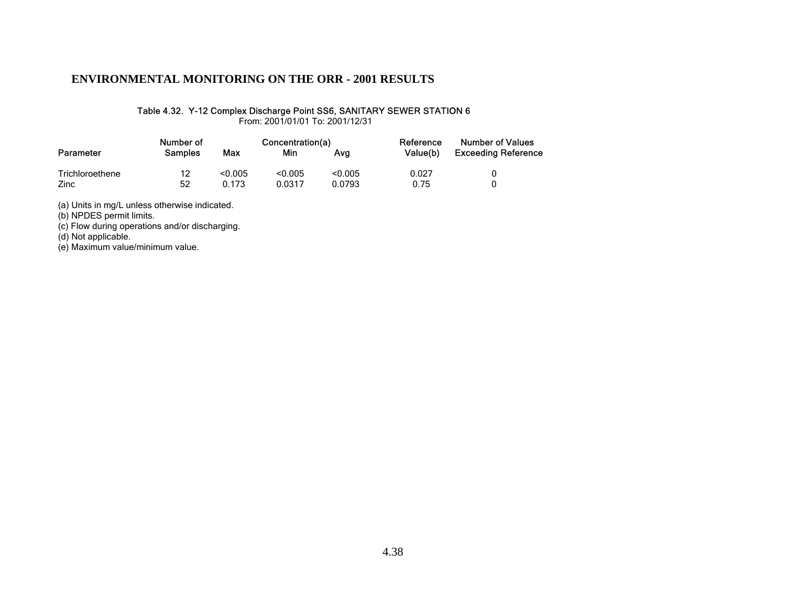#### Table 4.32. Y-12 Complex Discharge Point SS6, SANITARY SEWER STATION 6

From: 2001/01/01 To: 2001/12/31

|                 | Number of      |         | Concentration(a) |         | Reference | <b>Number of Values</b>    |  |
|-----------------|----------------|---------|------------------|---------|-----------|----------------------------|--|
| Parameter       | <b>Samples</b> | Max     | Min              |         | Value(b)  | <b>Exceeding Reference</b> |  |
| Trichloroethene | 12             | < 0.005 | < 0.005          | < 0.005 | 0.027     |                            |  |
| Zinc            | 52             | 0.173   | 0.0317           | 0.0793  | 0.75      |                            |  |

(a) Units in mg/L unless otherwise indicated.

(b) NPDES permit limits.

(c) Flow during operations and/or discharging.

(d) Not applicable.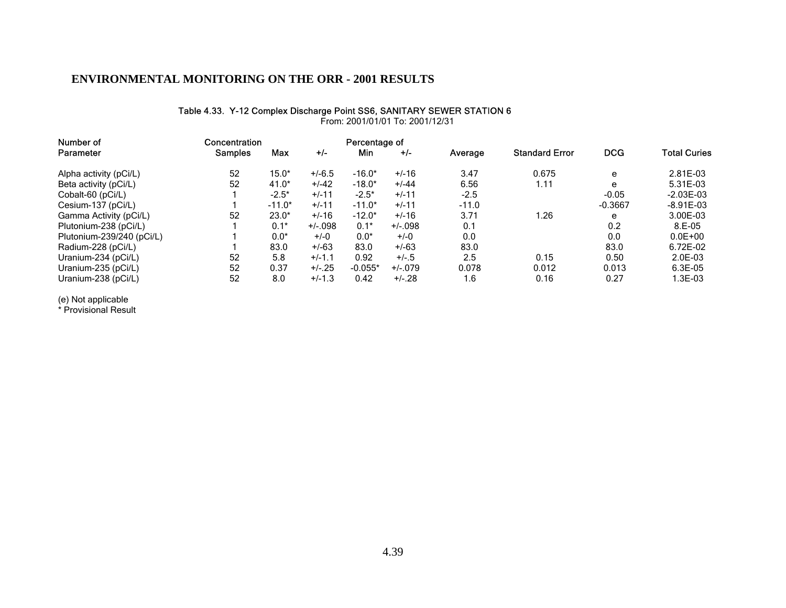#### Table 4.33. Y-12 Complex Discharge Point SS6, SANITARY SEWER STATION 6

| Number of                 | Concentration  | Percentage of |           |           |           |         |                       |            |                     |
|---------------------------|----------------|---------------|-----------|-----------|-----------|---------|-----------------------|------------|---------------------|
| Parameter                 | <b>Samples</b> | Max           | $+/-$     | Min       | $+/-$     | Average | <b>Standard Error</b> | <b>DCG</b> | <b>Total Curies</b> |
| Alpha activity (pCi/L)    | 52             | $15.0*$       | $+/-6.5$  | $-16.0*$  | $+/-16$   | 3.47    | 0.675                 | e          | 2.81E-03            |
| Beta activity (pCi/L)     | 52             | $41.0*$       | $+/-42$   | $-18.0*$  | $+/-44$   | 6.56    | 1.11                  | e          | 5.31E-03            |
| Cobalt-60 (pCi/L)         |                | $-2.5*$       | $+/-11$   | $-2.5*$   | $+/-11$   | $-2.5$  |                       | $-0.05$    | $-2.03E - 03$       |
| Cesium-137 (pCi/L)        |                | $-11.0*$      | $+/-11$   | $-11.0*$  | $+/-11$   | $-11.0$ |                       | $-0.3667$  | $-8.91E - 03$       |
| Gamma Activity (pCi/L)    | 52             | $23.0*$       | $+/-16$   | $-12.0*$  | $+/-16$   | 3.71    | 1.26                  | e          | 3.00E-03            |
| Plutonium-238 (pCi/L)     |                | $0.1*$        | $+/-.098$ | $0.1*$    | $+/-.098$ | 0.1     |                       | 0.2        | $8.E-05$            |
| Plutonium-239/240 (pCi/L) |                | $0.0*$        | $+/-0$    | $0.0*$    | $+/-0$    | 0.0     |                       | 0.0        | $0.0E + 00$         |
| Radium-228 (pCi/L)        |                | 83.0          | $+/-63$   | 83.0      | $+/-63$   | 83.0    |                       | 83.0       | 6.72E-02            |
| Uranium-234 (pCi/L)       | 52             | 5.8           | $+/-1.1$  | 0.92      | $+/-.5$   | 2.5     | 0.15                  | 0.50       | 2.0E-03             |
| Uranium-235 (pCi/L)       | 52             | 0.37          | $+/-25$   | $-0.055*$ | $+/-079$  | 0.078   | 0.012                 | 0.013      | $6.3E-05$           |
| Uranium-238 (pCi/L)       | 52             | 8.0           | $+/-1.3$  | 0.42      | $+/-28$   | 1.6     | 0.16                  | 0.27       | 1.3E-03             |

From: 2001/01/01 To: 2001/12/31

(e) Not applicable

\* Provisional Result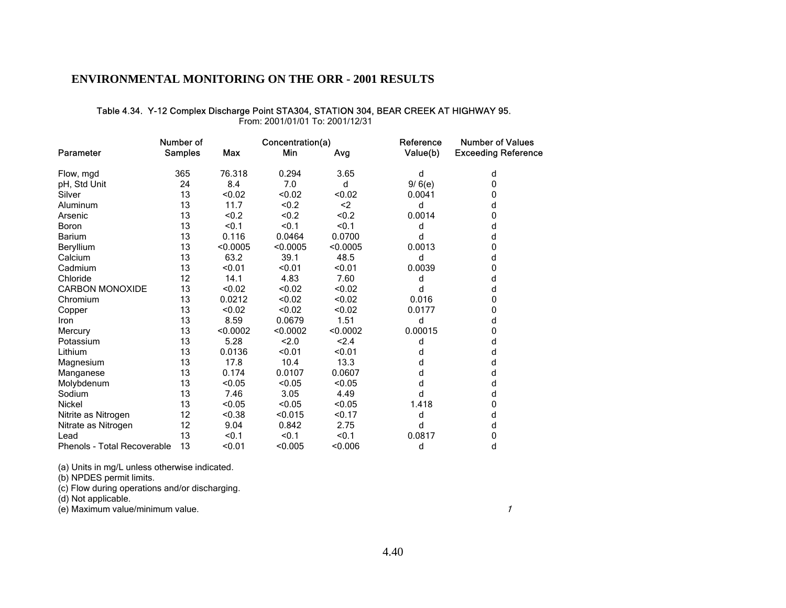#### Table 4.34. Y-12 Complex Discharge Point STA304, STATION 304, BEAR CREEK AT HIGHWAY 95.

From: 2001/01/01 To: 2001/12/31

|                                    | Number of      |            | Concentration(a) |          | Reference | <b>Number of Values</b>    |  |
|------------------------------------|----------------|------------|------------------|----------|-----------|----------------------------|--|
| Parameter                          | <b>Samples</b> | <b>Max</b> | Min              | Avg      | Value(b)  | <b>Exceeding Reference</b> |  |
| Flow, mgd                          | 365            | 76.318     | 0.294            | 3.65     | d         | d                          |  |
| pH, Std Unit                       | 24             | 8.4        | 7.0              | d        | 9/6(e)    | 0                          |  |
| Silver                             | 13             | < 0.02     | < 0.02           | < 0.02   | 0.0041    | 0                          |  |
| Aluminum                           | 13             | 11.7       | < 0.2            | $2$      | d         | d                          |  |
| Arsenic                            | 13             | &0.2       | <0.2             | < 0.2    | 0.0014    | 0                          |  |
| Boron                              | 13             | < 0.1      | < 0.1            | < 0.1    | d         | d                          |  |
| <b>Barium</b>                      | 13             | 0.116      | 0.0464           | 0.0700   | d         | d                          |  |
| Beryllium                          | 13             | < 0.0005   | < 0.0005         | < 0.0005 | 0.0013    | 0                          |  |
| Calcium                            | 13             | 63.2       | 39.1             | 48.5     | d         | d                          |  |
| Cadmium                            | 13             | < 0.01     | < 0.01           | < 0.01   | 0.0039    | 0                          |  |
| Chloride                           | 12             | 14.1       | 4.83             | 7.60     | d         | d                          |  |
| <b>CARBON MONOXIDE</b>             | 13             | < 0.02     | < 0.02           | < 0.02   | d         | d                          |  |
| Chromium                           | 13             | 0.0212     | < 0.02           | < 0.02   | 0.016     | 0                          |  |
| Copper                             | 13             | < 0.02     | < 0.02           | < 0.02   | 0.0177    | 0                          |  |
| Iron                               | 13             | 8.59       | 0.0679           | 1.51     | d         | d                          |  |
| Mercury                            | 13             | < 0.0002   | < 0.0002         | < 0.0002 | 0.00015   | 0                          |  |
| Potassium                          | 13             | 5.28       | 2.0              | < 2.4    | d         | d                          |  |
| Lithium                            | 13             | 0.0136     | < 0.01           | < 0.01   | d         | d                          |  |
| Magnesium                          | 13             | 17.8       | 10.4             | 13.3     | d         | d                          |  |
| Manganese                          | 13             | 0.174      | 0.0107           | 0.0607   | d         | d                          |  |
| Molybdenum                         | 13             | < 0.05     | < 0.05           | < 0.05   | d         | d                          |  |
| Sodium                             | 13             | 7.46       | 3.05             | 4.49     | d         | d                          |  |
| <b>Nickel</b>                      | 13             | < 0.05     | < 0.05           | < 0.05   | 1.418     | 0                          |  |
| Nitrite as Nitrogen                | 12             | < 0.38     | < 0.015          | < 0.17   | d         | d                          |  |
| Nitrate as Nitrogen                | 12             | 9.04       | 0.842            | 2.75     | d         | d                          |  |
| Lead                               | 13             | < 0.1      | < 0.1            | < 0.1    | 0.0817    | 0                          |  |
| <b>Phenols - Total Recoverable</b> | 13             | < 0.01     | < 0.005          | < 0.006  | d         | d                          |  |

(a) Units in mg/L unless otherwise indicated.

(b) NPDES permit limits.

(c) Flow during operations and/or discharging.

(d) Not applicable.

(e) Maximum value/minimum value.

1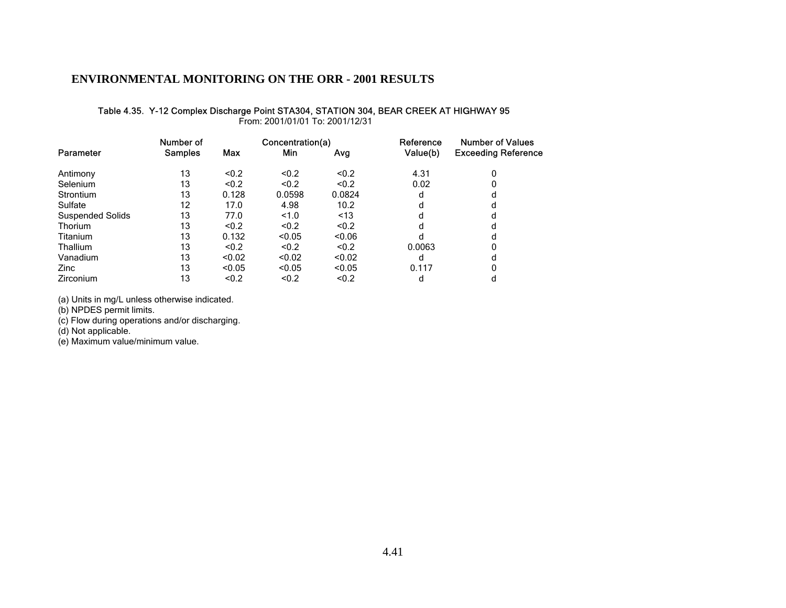# Table 4.35. Y-12 Complex Discharge Point STA304, STATION 304, BEAR CREEK AT HIGHWAY 95

From: 2001/01/01 To: 2001/12/31

|                         | Number of      |            | Concentration(a) |        | Reference | <b>Number of Values</b>    |  |
|-------------------------|----------------|------------|------------------|--------|-----------|----------------------------|--|
| Parameter               | <b>Samples</b> | <b>Max</b> | Min              | Avg    | Value(b)  | <b>Exceeding Reference</b> |  |
| Antimony                | 13             | < 0.2      | < 0.2            | < 0.2  | 4.31      | 0                          |  |
| Selenium                | 13             | < 0.2      | < 0.2            | < 0.2  | 0.02      |                            |  |
| Strontium               | 13             | 0.128      | 0.0598           | 0.0824 | d         |                            |  |
| Sulfate                 | 12             | 17.0       | 4.98             | 10.2   | d         |                            |  |
| <b>Suspended Solids</b> | 13             | 77.0       | <1.0             | < 13   | d         |                            |  |
| <b>Thorium</b>          | 13             | < 0.2      | < 0.2            | < 0.2  | d         |                            |  |
| Titanium                | 13             | 0.132      | < 0.05           | < 0.06 | d         |                            |  |
| Thallium                | 13             | < 0.2      | < 0.2            | < 0.2  | 0.0063    |                            |  |
| Vanadium                | 13             | < 0.02     | < 0.02           | < 0.02 | d         |                            |  |
| Zinc                    | 13             | < 0.05     | < 0.05           | < 0.05 | 0.117     |                            |  |
| Zirconium               | 13             | < 0.2      | < 0.2            | < 0.2  | d         |                            |  |

(a) Units in mg/L unless otherwise indicated.

(b) NPDES permit limits.

(c) Flow during operations and/or discharging.

(d) Not applicable.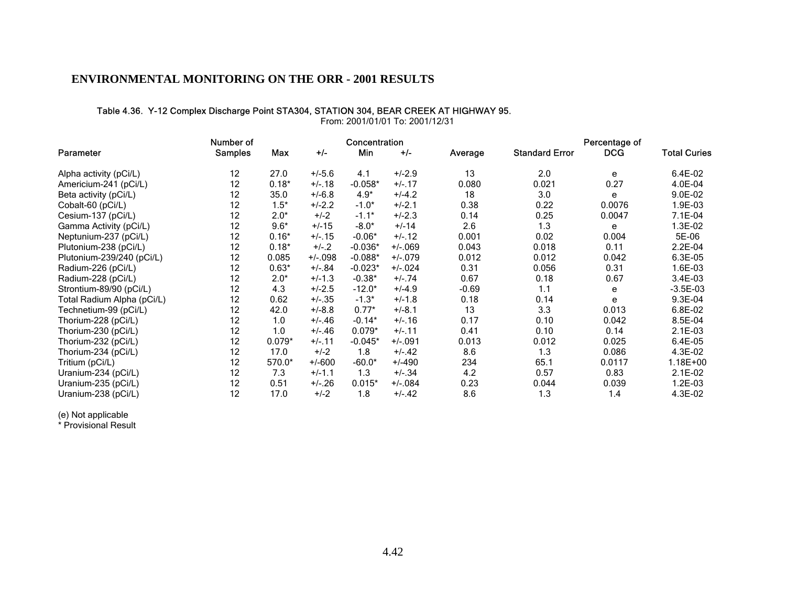#### Table 4.36. Y-12 Complex Discharge Point STA304, STATION 304, BEAR CREEK AT HIGHWAY 95.

Number of **Concentration Concentration Percentage of Percentage of** Parameter Samples Max +/- Min +/- Average Standard Error DCG Total Curies Alpha activity (pCi/L) 12 27.0 +/-5.6 4.1 +/-2.9 13 2.0 <sup>e</sup> 6.4E-02 Americium-241 (pCi/L) 12 0.18\* +/-.18 -0.058\* +/-.17 0.080 0.021 0.27 4.0E-04 Beta activity (pCi/L) 12 35.0 +/-6.8 4.9\* +/-4.2 18 3.0 e 9.0E-02<br>Cobalt-60 (pCi/L) 12 1.5\* +/-2.2 -1.0\* +/-2.1 0.38 0.22 0.0076 1.9E-03 Cobalt-60 (pCi/L) 12 1.5\* +/-2.2 -1.0\* +/-2.1 0.38 0.22 0.0076 1.9E-03 Cesium-137 (pCi/L) 12 2.0\* +/-2 -1.1\* +/-2.3 0.14 0.25 0.0047 7.1E-04 Gamma Activity (pCi/L) 12 9.6\* +/-15 -8.0\* +/-14 2.6 1.3 e Neptunium-237 (pCi/L) 12 0.16\* +/-.15 -0.06\* +/-.12 0.001 0.02 0.004 5E-06 Plutonium-238 (pCi/L) 12 0.18\* +/-.2 -0.036\* +/-.069 0.043 0.018 0.11 Plutonium-239/240 (pCi/L) 12 0.085 +/-.098 -0.088\* +/-.079 0.012 0.012 0.042 6.3E-05 Radium-226 (pCi/L) 12 0.63\* +/-.84 -0.023\* +/-.024 0.31 0.056 0.31 1.6E-03 Radium-228 (pCi/L) 12 2.0\* +/-1.3 -0.38\* +/-.74 0.67 0.18 0.67 3.4E-03 Strontium-89/90 (pCi/L) 12 4.3 +/-2.5 -12.0\* +/-4.9 -0.69 1.1 e -3.5E-03 Total Radium Alpha (pCi/L) 12 0.62 +/-.35 -1.3\* +/-1.8 0.18 0.14 <sup>e</sup> 9.3E-04 Technetium-99 (pCi/L) 12 42.0 +/-8.8 0.77\* +/-8.1 13 3.3 0.013 6.8E-02 Thorium-228 (pCi/L) 12 1.0 +/-.46 -0.14\* +/-.16 0.17 0.10 0.042 8.5E-04 Thorium-230 (pCi/L) 12 1.0 +/-.46 0.079\* +/-.11 0.41 0.10 0.14 2.1E-03<br>Thorium-232 (pCi/L) 12 0.079\* +/-.11 -0.045\* +/-.091 0.013 0.012 0.025 6.4E-05 Thorium-232 (pCi/L) 12 0.079\* +/-.11 -0.045\* +/-.091 0.013 0.012 0.025 6.4E-05 Thorium-234 (pCi/L) 12 17.0 +/-2 1.8 +/-.42 8.6 1.3 0.086 4.3E-02 Tritium (pCi/L) 12 570.0\* +/-600 -60.0\* +/-490 234 65.1 0.0117 1.18E+00 Uranium-234 (pCi/L) 12 7.3 +/-1.1 1.3 +/-.34 4.2 0.57 0.83 2.1E-02 Uranium-235 (pCi/L) 12 0.51 +/-.26 0.015\* +/-.084 0.23 0.044 0.039 1.2E-03 Uranium-238 (pCi/L) 12 17.0 +/-2 1.8 +/-.42 8.6 1.3 1.4 4.3E-02

From: 2001/01/01 To: 2001/12/31

(e) Not applicable

\* Provisional Result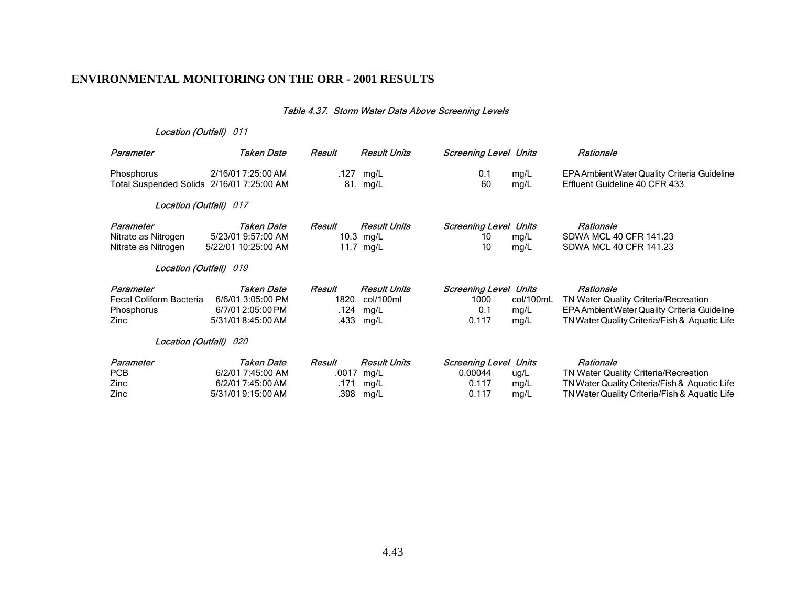#### Table 4.37. Storm Water Data Above Screening Levels

| Parameter                                                         | Taken Date                                                                | Result                          | <b>Result Units</b>                                    | <b>Screening Level Units</b>                         |                               | Rationale                                                                                                                                           |
|-------------------------------------------------------------------|---------------------------------------------------------------------------|---------------------------------|--------------------------------------------------------|------------------------------------------------------|-------------------------------|-----------------------------------------------------------------------------------------------------------------------------------------------------|
| Phosphorus<br>Total Suspended Solids 2/16/01 7:25:00 AM           | 2/16/01 7:25:00 AM                                                        | .127                            | mg/L<br>81. mg/L                                       | 0.1<br>60                                            | mg/L<br>mg/L                  | EPA Ambient Water Quality Criteria Guideline<br>Effluent Guideline 40 CFR 433                                                                       |
| Location (Outfall) 017                                            |                                                                           |                                 |                                                        |                                                      |                               |                                                                                                                                                     |
| Parameter<br>Nitrate as Nitrogen<br>Nitrate as Nitrogen           | Taken Date<br>5/23/01 9:57:00 AM<br>5/22/01 10:25:00 AM                   | Result<br>11.7                  | <b>Result Units</b><br>10.3 mg/L<br>mg/L               | Screening Level<br>10<br>10                          | Units<br>mg/L<br>mg/L         | Rationale<br>SDWA MCL 40 CFR 141.23<br>SDWA MCL 40 CFR 141.23                                                                                       |
| Location (Outfall) 019                                            |                                                                           |                                 |                                                        |                                                      |                               |                                                                                                                                                     |
| Parameter<br><b>Fecal Coliform Bacteria</b><br>Phosphorus<br>Zinc | Taken Date<br>6/6/01 3:05:00 PM<br>6/7/01 2:05:00 PM<br>5/31/018:45:00 AM | Result<br>.124<br>.433          | <b>Result Units</b><br>1820. col/100ml<br>mg/L<br>mg/L | <b>Screening Level Units</b><br>1000<br>0.1<br>0.117 | col/100mL<br>mg/L<br>mg/L     | Rationale<br>TN Water Quality Criteria/Recreation<br>EPA Ambient Water Quality Criteria Guideline<br>TN Water Quality Criteria/Fish & Aquatic Life  |
| Location (Outfall) 020                                            |                                                                           |                                 |                                                        |                                                      |                               |                                                                                                                                                     |
| Parameter<br><b>PCB</b><br>Zinc<br>Zinc                           | Taken Date<br>6/2/01 7:45:00 AM<br>6/2/017:45:00 AM<br>5/31/019:15:00 AM  | Result<br>.0017<br>.171<br>.398 | <b>Result Units</b><br>mg/L<br>mg/L<br>mg/L            | <b>Screening Level</b><br>0.00044<br>0.117<br>0.117  | Units<br>ug/L<br>mg/L<br>mg/L | Rationale<br>TN Water Quality Criteria/Recreation<br>TN Water Quality Criteria/Fish & Aquatic Life<br>TN Water Quality Criteria/Fish & Aquatic Life |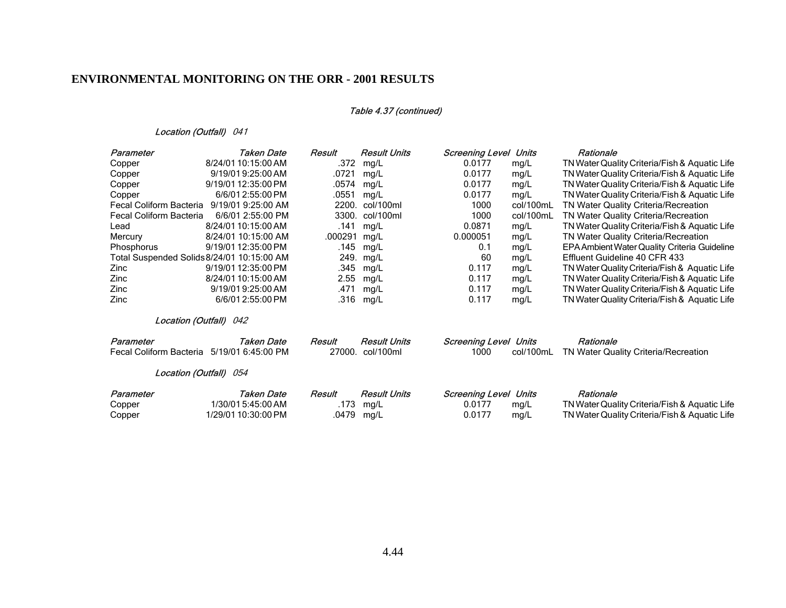### Table 4.37 (continued)

| Parameter                                  | Taken Date                       | Result           | <b>Result Units</b>              | Screening Level                | Units              | Rationale                                         |
|--------------------------------------------|----------------------------------|------------------|----------------------------------|--------------------------------|--------------------|---------------------------------------------------|
| Copper                                     | 8/24/01 10:15:00 AM              | .372             | mg/L                             | 0.0177                         | mg/L               | TN Water Quality Criteria/Fish & Aquatic Life     |
| Copper                                     | 9/19/019:25:00 AM                | .0721            | mg/L                             | 0.0177                         | mg/L               | TN Water Quality Criteria/Fish & Aquatic Life     |
| Copper                                     | 9/19/01 12:35:00 PM              | .0574            | mg/L                             | 0.0177                         | mg/L               | TN Water Quality Criteria/Fish & Aquatic Life     |
| Copper                                     | 6/6/01 2:55:00 PM                | .0551            | mg/L                             | 0.0177                         | mg/L               | TN Water Quality Criteria/Fish & Aquatic Life     |
| Fecal Coliform Bacteria                    | 9/19/01 9:25:00 AM               | 2200.            | col/100ml                        | 1000                           | col/100mL          | TN Water Quality Criteria/Recreation              |
| <b>Fecal Coliform Bacteria</b>             | 6/6/01 2:55:00 PM                | 3300.            | col/100ml                        | 1000                           | col/100mL          | TN Water Quality Criteria/Recreation              |
| Lead                                       | 8/24/01 10:15:00 AM              | .141             | mg/L                             | 0.0871                         | mg/L               | TN Water Quality Criteria/Fish & Aquatic Life     |
| Mercury                                    | 8/24/01 10:15:00 AM              | .000291          | mg/L                             | 0.000051                       | mg/L               | TN Water Quality Criteria/Recreation              |
| Phosphorus                                 | 9/19/01 12:35:00 PM              | .145             | mg/L                             | 0.1                            | mg/L               | EPA Ambient Water Quality Criteria Guideline      |
| Total Suspended Solids 8/24/01 10:15:00 AM |                                  | 249.             | mg/L                             | 60                             | mg/L               | Effluent Guideline 40 CFR 433                     |
| Zinc                                       | 9/19/01 12:35:00 PM              | .345             | mg/L                             | 0.117                          | mg/L               | TN Water Quality Criteria/Fish & Aquatic Life     |
| Zinc                                       | 8/24/01 10:15:00 AM              | 2.55             | mg/L                             | 0.117                          | mg/L               | TN Water Quality Criteria/Fish & Aquatic Life     |
| Zinc                                       | 9/19/019:25:00 AM                | .471             | mg/L                             | 0.117                          | mg/L               | TN Water Quality Criteria/Fish & Aquatic Life     |
| Zinc                                       | 6/6/01 2:55:00 PM                | .316             | mg/L                             | 0.117                          | mg/L               | TN Water Quality Criteria/Fish & Aquatic Life     |
|                                            | Location (Outfall) 042           |                  |                                  |                                |                    |                                                   |
| Parameter<br>Fecal Coliform Bacteria       | Taken Date<br>5/19/01 6:45:00 PM | Result<br>27000. | <b>Result Units</b><br>col/100ml | <b>Screening Level</b><br>1000 | Units<br>col/100mL | Rationale<br>TN Water Quality Criteria/Recreation |
|                                            |                                  |                  |                                  |                                |                    |                                                   |
|                                            | Location (Outfall) 054           |                  |                                  |                                |                    |                                                   |
| Parameter                                  | <b>Taken Date</b>                | Result           | <b>Result Units</b>              | <b>Screening Level</b>         | Units              | Rationale                                         |
| Copper                                     | 1/30/01 5:45:00 AM               | .173             | mg/L                             | 0.0177                         | mg/L               | TN Water Quality Criteria/Fish & Aquatic Life     |
| Copper                                     | 1/29/01 10:30:00 PM              | .0479            | mg/L                             | 0.0177                         | mg/L               | TN Water Quality Criteria/Fish & Aquatic Life     |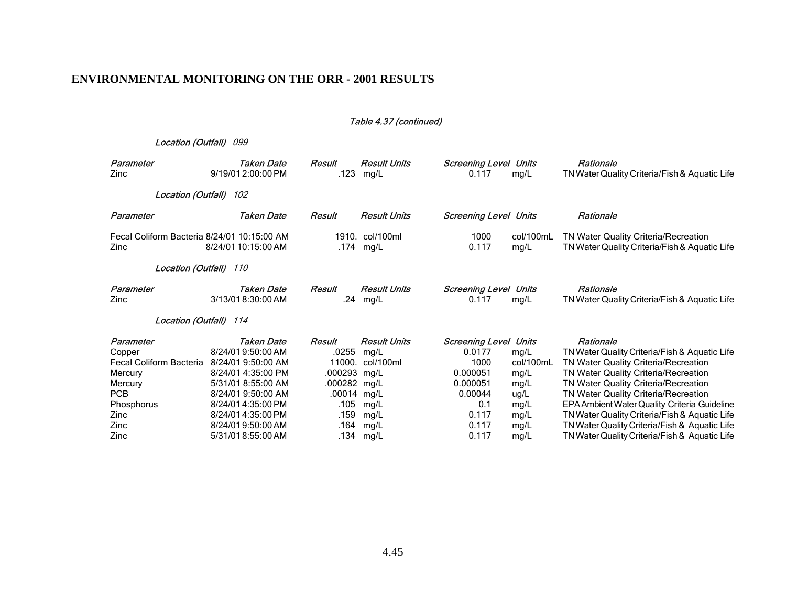#### Table 4.37 (continued)

| Parameter                                           | Taken Date          | Result        | <b>Result Units</b> | <b>Screening Level</b>       | Units             | Rationale                                                                             |
|-----------------------------------------------------|---------------------|---------------|---------------------|------------------------------|-------------------|---------------------------------------------------------------------------------------|
| Zinc                                                | 9/19/01 2:00:00 PM  | .123          | mg/L                | 0.117                        | mg/L              | TN Water Quality Criteria/Fish & Aquatic Life                                         |
| Location (Outfall) 102                              |                     |               |                     |                              |                   |                                                                                       |
| Parameter                                           | Taken Date          | Result        | <b>Result Units</b> | <b>Screening Level Units</b> |                   | Rationale                                                                             |
| Fecal Coliform Bacteria 8/24/01 10:15:00 AM<br>Zinc | 8/24/01 10:15:00 AM | 1910.<br>.174 | col/100ml<br>mg/L   | 1000<br>0.117                | col/100mL<br>mg/L | TN Water Quality Criteria/Recreation<br>TN Water Quality Criteria/Fish & Aquatic Life |
| <b>Location (Outfall)</b> 110                       |                     |               |                     |                              |                   |                                                                                       |
| Parameter                                           | Taken Date          | Result        | <b>Result Units</b> | <b>Screening Level</b>       | Units             | Rationale                                                                             |
| Zinc                                                | 3/13/018:30:00 AM   | .24           | mg/L                | 0.117                        | mg/L              | TN Water Quality Criteria/Fish & Aquatic Life                                         |
| Location (Outfall) 114                              |                     |               |                     |                              |                   |                                                                                       |
| Parameter                                           | Taken Date          | Result        | <b>Result Units</b> | <b>Screening Level</b>       | Units             | Rationale                                                                             |
| Copper                                              | 8/24/01 9:50:00 AM  | .0255         | mg/L                | 0.0177                       | mg/L              | TN Water Quality Criteria/Fish & Aquatic Life                                         |
| Fecal Coliform Bacteria                             | 8/24/01 9:50:00 AM  | 11000.        | col/100ml           | 1000                         | col/100mL         | TN Water Quality Criteria/Recreation                                                  |
| Mercury                                             | 8/24/01 4:35:00 PM  | .000293       | mq/L                | 0.000051                     | mg/L              | TN Water Quality Criteria/Recreation                                                  |
| Mercury                                             | 5/31/01 8:55:00 AM  | .000282 mg/L  |                     | 0.000051                     | mg/L              | TN Water Quality Criteria/Recreation                                                  |
| <b>PCB</b>                                          | 8/24/01 9:50:00 AM  | .00014        | mg/L                | 0.00044                      | ug/L              | TN Water Quality Criteria/Recreation                                                  |
| Phosphorus                                          | 8/24/014:35:00 PM   | .105          | mg/L                | 0.1                          | mg/L              | EPA Ambient Water Quality Criteria Guideline                                          |
| Zinc                                                | 8/24/014:35:00 PM   | .159          | mg/L                | 0.117                        | mg/L              | TN Water Quality Criteria/Fish & Aquatic Life                                         |
| Zinc                                                | 8/24/019:50:00 AM   | .164          | mg/L                | 0.117                        | mg/L              | TN Water Quality Criteria/Fish & Aquatic Life                                         |
| Zinc                                                | 5/31/018:55:00 AM   | .134          | mg/L                | 0.117                        | mg/L              | TN Water Quality Criteria/Fish & Aquatic Life                                         |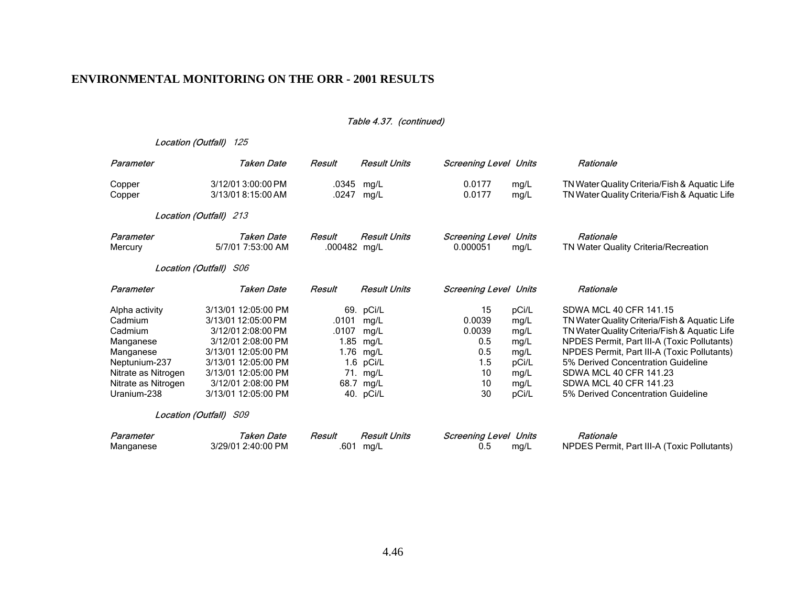#### Table 4.37. (continued)

| Parameter                                                                                                                                    | <b>Taken Date</b>                                                                                                                                                                                        | Result                 | <b>Result Units</b>                                                                                      | <b>Screening Level Units</b>                                  |                                                                         | Rationale                                                                                                                                                                                                                                                                                                                                              |
|----------------------------------------------------------------------------------------------------------------------------------------------|----------------------------------------------------------------------------------------------------------------------------------------------------------------------------------------------------------|------------------------|----------------------------------------------------------------------------------------------------------|---------------------------------------------------------------|-------------------------------------------------------------------------|--------------------------------------------------------------------------------------------------------------------------------------------------------------------------------------------------------------------------------------------------------------------------------------------------------------------------------------------------------|
| Copper<br>Copper                                                                                                                             | 3/12/01 3:00:00 PM<br>3/13/018:15:00 AM                                                                                                                                                                  | .0247                  | .0345 mg/L<br>mg/L                                                                                       | 0.0177<br>0.0177                                              | mg/L<br>mg/L                                                            | TN Water Quality Criteria/Fish & Aquatic Life<br>TN Water Quality Criteria/Fish & Aquatic Life                                                                                                                                                                                                                                                         |
|                                                                                                                                              | Location (Outfall) 213                                                                                                                                                                                   |                        |                                                                                                          |                                                               |                                                                         |                                                                                                                                                                                                                                                                                                                                                        |
| Parameter<br>Mercury                                                                                                                         | Taken Date<br>5/7/01 7:53:00 AM                                                                                                                                                                          | Result<br>.000482 mg/L | <b>Result Units</b>                                                                                      | <b>Screening Level Units</b><br>0.000051                      | mg/L                                                                    | Rationale<br>TN Water Quality Criteria/Recreation                                                                                                                                                                                                                                                                                                      |
|                                                                                                                                              | Location (Outfall) S06                                                                                                                                                                                   |                        |                                                                                                          |                                                               |                                                                         |                                                                                                                                                                                                                                                                                                                                                        |
| Parameter                                                                                                                                    | Taken Date                                                                                                                                                                                               | Result                 | <b>Result Units</b>                                                                                      | <b>Screening Level Units</b>                                  |                                                                         | Rationale                                                                                                                                                                                                                                                                                                                                              |
| Alpha activity<br>Cadmium<br>Cadmium<br>Manganese<br>Manganese<br>Neptunium-237<br>Nitrate as Nitrogen<br>Nitrate as Nitrogen<br>Uranium-238 | 3/13/01 12:05:00 PM<br>3/13/01 12:05:00 PM<br>3/12/01 2:08:00 PM<br>3/12/01 2:08:00 PM<br>3/13/01 12:05:00 PM<br>3/13/01 12:05:00 PM<br>3/13/01 12:05:00 PM<br>3/12/01 2:08:00 PM<br>3/13/01 12:05:00 PM | .0101<br>.0107         | 69. pCi/L<br>mg/L<br>mg/L<br>1.85 mg/L<br>1.76 mg/L<br>1.6 $pCi/L$<br>71. mg/L<br>68.7 mg/L<br>40. pCi/L | 15<br>0.0039<br>0.0039<br>0.5<br>0.5<br>1.5<br>10<br>10<br>30 | pCi/L<br>mg/L<br>mg/L<br>mg/L<br>mg/L<br>pCi/L<br>mg/L<br>mg/L<br>pCi/L | SDWA MCL 40 CFR 141.15<br>TN Water Quality Criteria/Fish & Aquatic Life<br>TN Water Quality Criteria/Fish & Aquatic Life<br>NPDES Permit, Part III-A (Toxic Pollutants)<br>NPDES Permit, Part III-A (Toxic Pollutants)<br>5% Derived Concentration Guideline<br>SDWA MCL 40 CFR 141.23<br>SDWA MCL 40 CFR 141.23<br>5% Derived Concentration Guideline |
|                                                                                                                                              | Location (Outfall) S09                                                                                                                                                                                   |                        |                                                                                                          |                                                               |                                                                         |                                                                                                                                                                                                                                                                                                                                                        |
| Parameter<br>Manganese                                                                                                                       | <b>Taken Date</b><br>3/29/01 2:40:00 PM                                                                                                                                                                  | Result<br>.601         | <b>Result Units</b><br>mg/L                                                                              | <b>Screening Level</b><br>0.5                                 | Units<br>mg/L                                                           | Rationale<br>NPDES Permit, Part III-A (Toxic Pollutants)                                                                                                                                                                                                                                                                                               |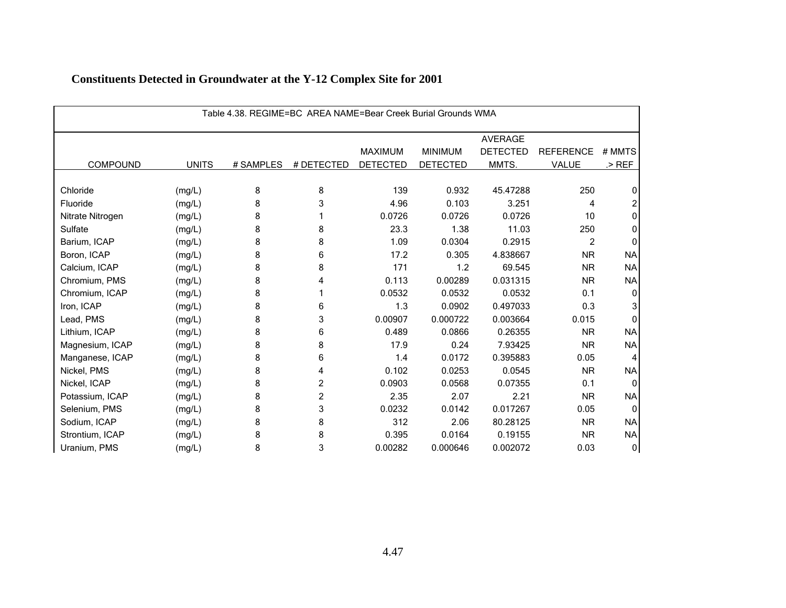| Table 4.38, REGIME=BC AREA NAME=Bear Creek Burial Grounds WMA |              |           |            |                 |                 |                 |                  |           |  |  |
|---------------------------------------------------------------|--------------|-----------|------------|-----------------|-----------------|-----------------|------------------|-----------|--|--|
|                                                               |              |           |            |                 |                 | <b>AVERAGE</b>  |                  |           |  |  |
|                                                               |              |           |            | <b>MAXIMUM</b>  | <b>MINIMUM</b>  | <b>DETECTED</b> | <b>REFERENCE</b> | # MMTS    |  |  |
| COMPOUND                                                      | <b>UNITS</b> | # SAMPLES | # DETECTED | <b>DETECTED</b> | <b>DETECTED</b> | MMTS.           | <b>VALUE</b>     | $>$ REF   |  |  |
|                                                               |              |           |            |                 |                 |                 |                  |           |  |  |
| Chloride                                                      | (mg/L)       | 8         | 8          | 139             | 0.932           | 45.47288        | 250              | 0         |  |  |
| Fluoride                                                      | (mg/L)       | 8         | 3          | 4.96            | 0.103           | 3.251           | 4                |           |  |  |
| Nitrate Nitrogen                                              | (mg/L)       | 8         |            | 0.0726          | 0.0726          | 0.0726          | 10               | O         |  |  |
| Sulfate                                                       | (mg/L)       | 8         | 8          | 23.3            | 1.38            | 11.03           | 250              | $\Omega$  |  |  |
| Barium, ICAP                                                  | (mg/L)       | 8         | 8          | 1.09            | 0.0304          | 0.2915          | $\overline{c}$   | O         |  |  |
| Boron, ICAP                                                   | (mg/L)       | 8         | 6          | 17.2            | 0.305           | 4.838667        | <b>NR</b>        | <b>NA</b> |  |  |
| Calcium, ICAP                                                 | (mg/L)       | 8         | 8          | 171             | 1.2             | 69.545          | <b>NR</b>        | <b>NA</b> |  |  |
| Chromium, PMS                                                 | (mg/L)       | 8         |            | 0.113           | 0.00289         | 0.031315        | <b>NR</b>        | <b>NA</b> |  |  |
| Chromium, ICAP                                                | (mg/L)       | 8         |            | 0.0532          | 0.0532          | 0.0532          | 0.1              | 0         |  |  |
| Iron, ICAP                                                    | (mg/L)       | 8         | 6          | 1.3             | 0.0902          | 0.497033        | 0.3              |           |  |  |
| Lead, PMS                                                     | (mg/L)       | 8         | 3          | 0.00907         | 0.000722        | 0.003664        | 0.015            | ŋ         |  |  |
| Lithium, ICAP                                                 | (mg/L)       | 8         | 6          | 0.489           | 0.0866          | 0.26355         | <b>NR</b>        | <b>NA</b> |  |  |
| Magnesium, ICAP                                               | (mg/L)       | 8         | 8          | 17.9            | 0.24            | 7.93425         | <b>NR</b>        | <b>NA</b> |  |  |
| Manganese, ICAP                                               | (mg/L)       | 8         | 6          | 1.4             | 0.0172          | 0.395883        | 0.05             |           |  |  |
| Nickel, PMS                                                   | (mg/L)       | 8         | 4          | 0.102           | 0.0253          | 0.0545          | <b>NR</b>        | <b>NA</b> |  |  |
| Nickel, ICAP                                                  | (mg/L)       | 8         | 2          | 0.0903          | 0.0568          | 0.07355         | 0.1              | $\Omega$  |  |  |
| Potassium, ICAP                                               | (mg/L)       | 8         | 2          | 2.35            | 2.07            | 2.21            | <b>NR</b>        | <b>NA</b> |  |  |
| Selenium, PMS                                                 | (mg/L)       | 8         | 3          | 0.0232          | 0.0142          | 0.017267        | 0.05             |           |  |  |
| Sodium, ICAP                                                  | (mg/L)       | 8         | 8          | 312             | 2.06            | 80.28125        | <b>NR</b>        | <b>NA</b> |  |  |
| Strontium, ICAP                                               | (mg/L)       | 8         | 8          | 0.395           | 0.0164          | 0.19155         | <b>NR</b>        | <b>NA</b> |  |  |
| Uranium, PMS                                                  | (mg/L)       | 8         | 3          | 0.00282         | 0.000646        | 0.002072        | 0.03             | 0         |  |  |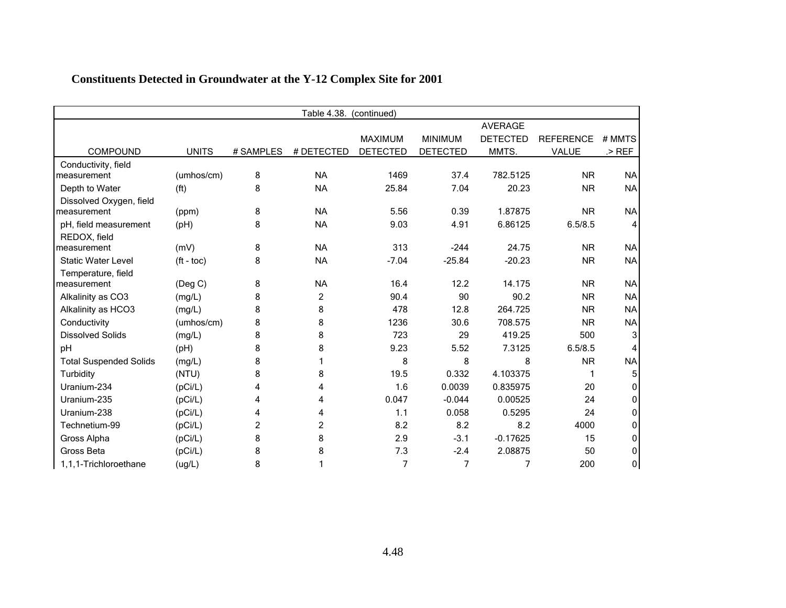|                               | Table 4.38.<br>(continued) |                |                |                 |                 |                 |                  |           |  |  |  |
|-------------------------------|----------------------------|----------------|----------------|-----------------|-----------------|-----------------|------------------|-----------|--|--|--|
|                               |                            |                |                |                 |                 | <b>AVERAGE</b>  |                  |           |  |  |  |
|                               |                            |                |                | <b>MAXIMUM</b>  | <b>MINIMUM</b>  | <b>DETECTED</b> | <b>REFERENCE</b> | # MMTS    |  |  |  |
| <b>COMPOUND</b>               | <b>UNITS</b>               | # SAMPLES      | # DETECTED     | <b>DETECTED</b> | <b>DETECTED</b> | MMTS.           | <b>VALUE</b>     | $>$ REF   |  |  |  |
| Conductivity, field           |                            |                |                |                 |                 |                 |                  |           |  |  |  |
| measurement                   | (umhos/cm)                 | 8              | <b>NA</b>      | 1469            | 37.4            | 782.5125        | <b>NR</b>        | <b>NA</b> |  |  |  |
| Depth to Water                | (f <sup>t</sup> )          | 8              | <b>NA</b>      | 25.84           | 7.04            | 20.23           | <b>NR</b>        | <b>NA</b> |  |  |  |
| Dissolved Oxygen, field       |                            |                |                |                 |                 |                 |                  |           |  |  |  |
| measurement                   | (ppm)                      | 8              | <b>NA</b>      | 5.56            | 0.39            | 1.87875         | <b>NR</b>        | <b>NA</b> |  |  |  |
| pH, field measurement         | (pH)                       | 8              | <b>NA</b>      | 9.03            | 4.91            | 6.86125         | 6.5/8.5          | 4         |  |  |  |
| REDOX, field                  |                            |                |                |                 |                 |                 |                  |           |  |  |  |
| measurement                   | (mV)                       | 8              | <b>NA</b>      | 313             | $-244$          | 24.75           | <b>NR</b>        | <b>NA</b> |  |  |  |
| <b>Static Water Level</b>     | $({\rm ft -}$ toc $)$      | 8              | <b>NA</b>      | $-7.04$         | $-25.84$        | $-20.23$        | <b>NR</b>        | <b>NA</b> |  |  |  |
| Temperature, field            |                            |                |                |                 |                 |                 |                  |           |  |  |  |
| measurement                   | (Deg C)                    | 8              | <b>NA</b>      | 16.4            | 12.2            | 14.175          | <b>NR</b>        | <b>NA</b> |  |  |  |
| Alkalinity as CO3             | (mg/L)                     | 8              | $\overline{c}$ | 90.4            | 90              | 90.2            | <b>NR</b>        | <b>NA</b> |  |  |  |
| Alkalinity as HCO3            | (mg/L)                     | 8              | 8              | 478             | 12.8            | 264.725         | <b>NR</b>        | <b>NA</b> |  |  |  |
| Conductivity                  | (umhos/cm)                 | 8              | 8              | 1236            | 30.6            | 708.575         | <b>NR</b>        | <b>NA</b> |  |  |  |
| <b>Dissolved Solids</b>       | (mg/L)                     | 8              | 8              | 723             | 29              | 419.25          | 500              | 3         |  |  |  |
| pH                            | (pH)                       | 8              | 8              | 9.23            | 5.52            | 7.3125          | 6.5/8.5          |           |  |  |  |
| <b>Total Suspended Solids</b> | (mg/L)                     | 8              |                | 8               | 8               | 8               | <b>NR</b>        | <b>NA</b> |  |  |  |
| Turbidity                     | (NTU)                      | 8              | 8              | 19.5            | 0.332           | 4.103375        | 1                |           |  |  |  |
| Uranium-234                   | (pCi/L)                    | 4              | 4              | 1.6             | 0.0039          | 0.835975        | 20               | 0         |  |  |  |
| Uranium-235                   | (pCi/L)                    | 4              | 4              | 0.047           | $-0.044$        | 0.00525         | 24               | 0         |  |  |  |
| Uranium-238                   | (pCi/L)                    | 4              | 4              | 1.1             | 0.058           | 0.5295          | 24               | 0         |  |  |  |
| Technetium-99                 | (pCi/L)                    | $\overline{c}$ | 2              | 8.2             | 8.2             | 8.2             | 4000             | 0         |  |  |  |
| Gross Alpha                   | (pCi/L)                    | 8              | 8              | 2.9             | $-3.1$          | $-0.17625$      | 15               | 0         |  |  |  |
| Gross Beta                    | (pCi/L)                    | 8              | 8              | 7.3             | $-2.4$          | 2.08875         | 50               | 0         |  |  |  |
| 1,1,1-Trichloroethane         | (ug/L)                     | 8              |                | 7               | 7               | 7               | 200              | 0         |  |  |  |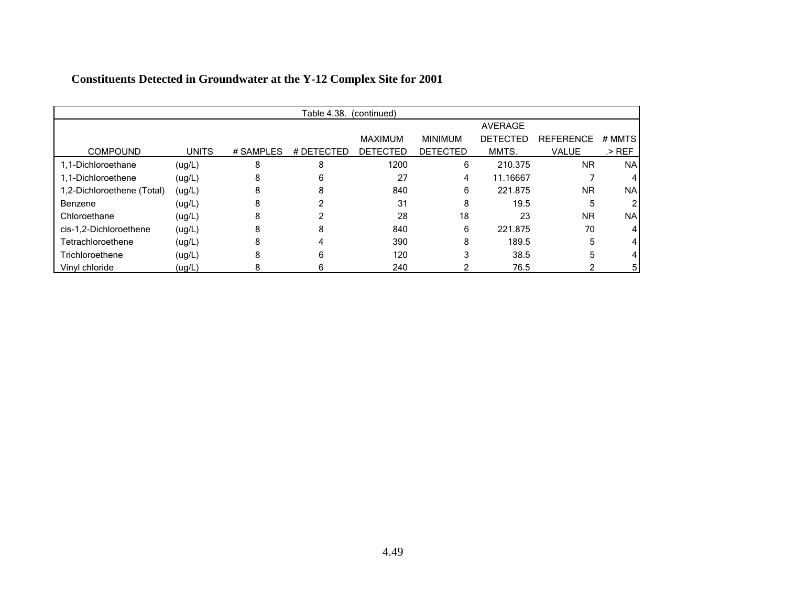|                            | Table 4.38. (continued) |           |            |                 |                 |                 |                  |           |  |  |  |
|----------------------------|-------------------------|-----------|------------|-----------------|-----------------|-----------------|------------------|-----------|--|--|--|
|                            |                         |           |            |                 |                 | <b>AVERAGE</b>  |                  |           |  |  |  |
|                            |                         |           |            | <b>MAXIMUM</b>  | <b>MINIMUM</b>  | <b>DETECTED</b> | <b>REFERENCE</b> | # MMTS    |  |  |  |
| <b>COMPOUND</b>            | <b>UNITS</b>            | # SAMPLES | # DETECTED | <b>DETECTED</b> | <b>DETECTED</b> | MMTS.           | VALUE            | $>$ REF   |  |  |  |
| 1,1-Dichloroethane         | (ug/L)                  | 8         | 8          | 1200            | 6               | 210.375         | <b>NR</b>        | <b>NA</b> |  |  |  |
| 1.1-Dichloroethene         | (ug/L)                  |           | 6          | 27              | 4               | 11.16667        |                  |           |  |  |  |
| 1,2-Dichloroethene (Total) | (ug/L)                  | 8         | 8          | 840             | 6               | 221.875         | <b>NR</b>        | <b>NA</b> |  |  |  |
| Benzene                    | (ug/L)                  | 8         |            | 31              | 8               | 19.5            | 5                |           |  |  |  |
| Chloroethane               | (ug/L)                  | 8         |            | 28              | 18              | 23              | <b>NR</b>        | <b>NA</b> |  |  |  |
| cis-1,2-Dichloroethene     | (ug/L)                  | 8         | 8          | 840             | 6               | 221.875         | 70               |           |  |  |  |
| Tetrachloroethene          | (ug/L)                  | 8         |            | 390             | 8               | 189.5           | 5                |           |  |  |  |
| Trichloroethene            | (ug/L)                  | 8         | 6          | 120             | 3               | 38.5            | 5                |           |  |  |  |
| Vinyl chloride             | ( uq/L)                 |           | 6          | 240             |                 | 76.5            |                  | 5         |  |  |  |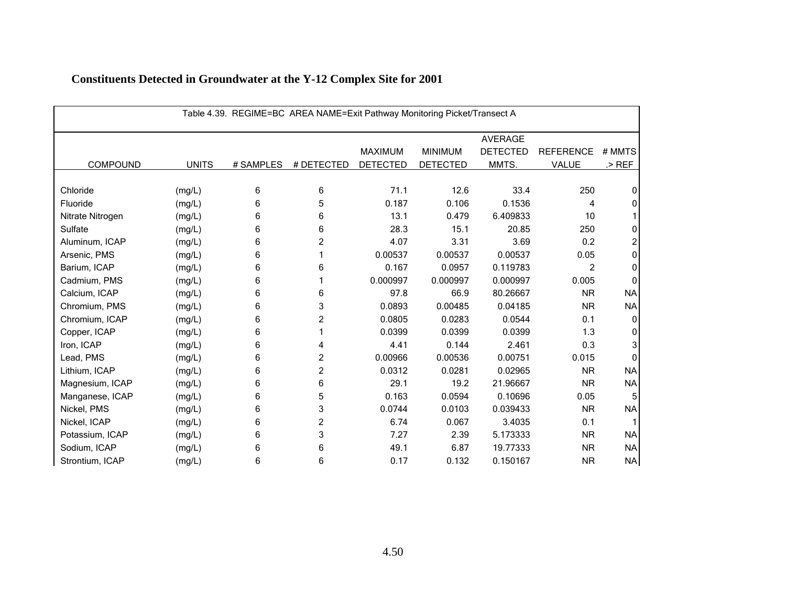| Table 4.39. REGIME=BC AREA NAME=Exit Pathway Monitoring Picket/Transect A |              |           |            |                 |                 |                 |                  |              |  |  |
|---------------------------------------------------------------------------|--------------|-----------|------------|-----------------|-----------------|-----------------|------------------|--------------|--|--|
|                                                                           |              |           |            |                 |                 | <b>AVERAGE</b>  |                  |              |  |  |
|                                                                           |              |           |            | <b>MAXIMUM</b>  | <b>MINIMUM</b>  | <b>DETECTED</b> | <b>REFERENCE</b> | # MMTS       |  |  |
| <b>COMPOUND</b>                                                           | <b>UNITS</b> | # SAMPLES | # DETECTED | <b>DETECTED</b> | <b>DETECTED</b> | MMTS.           | VALUE            | $>$ REF      |  |  |
|                                                                           |              |           |            |                 |                 |                 |                  |              |  |  |
| Chloride                                                                  | (mg/L)       | 6         | 6          | 71.1            | 12.6            | 33.4            | 250              | 0            |  |  |
| Fluoride                                                                  | (mg/L)       | 6         | 5          | 0.187           | 0.106           | 0.1536          | 4                | 0            |  |  |
| Nitrate Nitrogen                                                          | (mg/L)       | 6         | 6          | 13.1            | 0.479           | 6.409833        | 10               |              |  |  |
| Sulfate                                                                   | (mg/L)       | 6         | 6          | 28.3            | 15.1            | 20.85           | 250              | 0            |  |  |
| Aluminum, ICAP                                                            | (mg/L)       | 6         | 2          | 4.07            | 3.31            | 3.69            | 0.2              |              |  |  |
| Arsenic, PMS                                                              | (mg/L)       | 6         |            | 0.00537         | 0.00537         | 0.00537         | 0.05             | $\Omega$     |  |  |
| Barium, ICAP                                                              | (mg/L)       | 6         | 6          | 0.167           | 0.0957          | 0.119783        | $\overline{c}$   | $\Omega$     |  |  |
| Cadmium, PMS                                                              | (mg/L)       | 6         |            | 0.000997        | 0.000997        | 0.000997        | 0.005            | <sup>0</sup> |  |  |
| Calcium, ICAP                                                             | (mg/L)       | 6         | 6          | 97.8            | 66.9            | 80.26667        | <b>NR</b>        | <b>NA</b>    |  |  |
| Chromium, PMS                                                             | (mg/L)       | 6         | 3          | 0.0893          | 0.00485         | 0.04185         | <b>NR</b>        | <b>NA</b>    |  |  |
| Chromium, ICAP                                                            | (mg/L)       | 6         | 2          | 0.0805          | 0.0283          | 0.0544          | 0.1              | <sup>0</sup> |  |  |
| Copper, ICAP                                                              | (mg/L)       | 6         |            | 0.0399          | 0.0399          | 0.0399          | 1.3              | <sup>0</sup> |  |  |
| Iron, ICAP                                                                | (mg/L)       | 6         | 4          | 4.41            | 0.144           | 2.461           | 0.3              | 3            |  |  |
| Lead, PMS                                                                 | (mg/L)       | 6         | 2          | 0.00966         | 0.00536         | 0.00751         | 0.015            | n            |  |  |
| Lithium, ICAP                                                             | (mg/L)       | 6         | 2          | 0.0312          | 0.0281          | 0.02965         | <b>NR</b>        | <b>NA</b>    |  |  |
| Magnesium, ICAP                                                           | (mg/L)       | 6         | 6          | 29.1            | 19.2            | 21.96667        | <b>NR</b>        | <b>NA</b>    |  |  |
| Manganese, ICAP                                                           | (mg/L)       | 6         | 5          | 0.163           | 0.0594          | 0.10696         | 0.05             |              |  |  |
| Nickel, PMS                                                               | (mg/L)       | 6         | 3          | 0.0744          | 0.0103          | 0.039433        | <b>NR</b>        | <b>NA</b>    |  |  |
| Nickel, ICAP                                                              | (mg/L)       | 6         | 2          | 6.74            | 0.067           | 3.4035          | 0.1              |              |  |  |
| Potassium, ICAP                                                           | (mg/L)       | 6         | 3          | 7.27            | 2.39            | 5.173333        | <b>NR</b>        | <b>NA</b>    |  |  |
| Sodium, ICAP                                                              | (mg/L)       | 6         | 6          | 49.1            | 6.87            | 19.77333        | <b>NR</b>        | <b>NA</b>    |  |  |
| Strontium, ICAP                                                           | (mg/L)       | 6         | 6          | 0.17            | 0.132           | 0.150167        | <b>NR</b>        | <b>NA</b>    |  |  |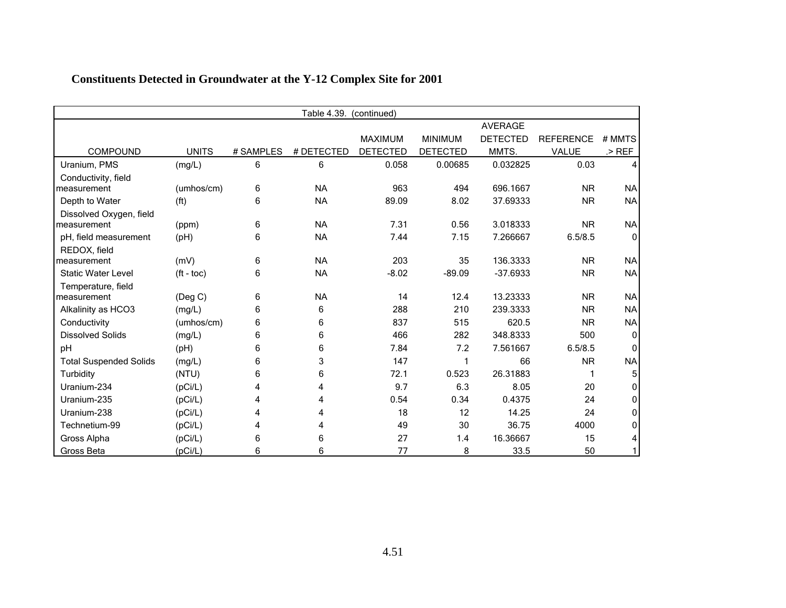|                               | Table 4.39.<br>(continued) |           |            |                 |                 |                 |                  |           |  |  |
|-------------------------------|----------------------------|-----------|------------|-----------------|-----------------|-----------------|------------------|-----------|--|--|
|                               |                            |           |            |                 |                 | <b>AVERAGE</b>  |                  |           |  |  |
|                               |                            |           |            | <b>MAXIMUM</b>  | <b>MINIMUM</b>  | <b>DETECTED</b> | <b>REFERENCE</b> | # MMTS    |  |  |
| <b>COMPOUND</b>               | <b>UNITS</b>               | # SAMPLES | # DETECTED | <b>DETECTED</b> | <b>DETECTED</b> | MMTS.           | VALUE            | $>$ REF   |  |  |
| Uranium, PMS                  | (mg/L)                     | 6         | 6          | 0.058           | 0.00685         | 0.032825        | 0.03             |           |  |  |
| Conductivity, field           |                            |           |            |                 |                 |                 |                  |           |  |  |
| measurement                   | (umhos/cm)                 | 6         | <b>NA</b>  | 963             | 494             | 696.1667        | <b>NR</b>        | <b>NA</b> |  |  |
| Depth to Water                | (f <sup>t</sup> )          | 6         | <b>NA</b>  | 89.09           | 8.02            | 37.69333        | <b>NR</b>        | <b>NA</b> |  |  |
| Dissolved Oxygen, field       |                            |           |            |                 |                 |                 |                  |           |  |  |
| measurement                   | (ppm)                      | 6         | <b>NA</b>  | 7.31            | 0.56            | 3.018333        | <b>NR</b>        | <b>NA</b> |  |  |
| pH, field measurement         | (pH)                       | 6         | <b>NA</b>  | 7.44            | 7.15            | 7.266667        | 6.5/8.5          | $\Omega$  |  |  |
| REDOX, field                  |                            |           |            |                 |                 |                 |                  |           |  |  |
| measurement                   | (mV)                       | 6         | <b>NA</b>  | 203             | 35              | 136.3333        | <b>NR</b>        | <b>NA</b> |  |  |
| <b>Static Water Level</b>     | $(ft - toc)$               | 6         | <b>NA</b>  | $-8.02$         | $-89.09$        | $-37.6933$      | <b>NR</b>        | <b>NA</b> |  |  |
| Temperature, field            |                            |           |            |                 |                 |                 |                  |           |  |  |
| measurement                   | (Deg C)                    | 6         | <b>NA</b>  | 14              | 12.4            | 13.23333        | <b>NR</b>        | <b>NA</b> |  |  |
| Alkalinity as HCO3            | (mg/L)                     | 6         | 6          | 288             | 210             | 239.3333        | <b>NR</b>        | <b>NA</b> |  |  |
| Conductivity                  | (umhos/cm)                 | 6         | 6          | 837             | 515             | 620.5           | <b>NR</b>        | <b>NA</b> |  |  |
| <b>Dissolved Solids</b>       | (mg/L)                     | 6         | 6          | 466             | 282             | 348.8333        | 500              | 0         |  |  |
| pH                            | (Hq)                       | 6         | 6          | 7.84            | 7.2             | 7.561667        | 6.5/8.5          | 0         |  |  |
| <b>Total Suspended Solids</b> | (mg/L)                     | 6         | 3          | 147             | 1               | 66              | <b>NR</b>        | <b>NA</b> |  |  |
| Turbidity                     | (NTU)                      | 6         | 6          | 72.1            | 0.523           | 26.31883        | 1                |           |  |  |
| Uranium-234                   | (pCi/L)                    | 4         | 4          | 9.7             | 6.3             | 8.05            | 20               | 0         |  |  |
| Uranium-235                   | (pCi/L)                    | 4         | 4          | 0.54            | 0.34            | 0.4375          | 24               | 0         |  |  |
| Uranium-238                   | (pCi/L)                    | 4         | 4          | 18              | 12              | 14.25           | 24               | O         |  |  |
| Technetium-99                 | (pCi/L)                    | 4         | 4          | 49              | 30              | 36.75           | 4000             | 0         |  |  |
| Gross Alpha                   | (pCi/L)                    | 6         | 6          | 27              | 1.4             | 16.36667        | 15               | 4         |  |  |
| <b>Gross Beta</b>             | (pCi/L)                    | 6         | 6          | 77              | 8               | 33.5            | 50               |           |  |  |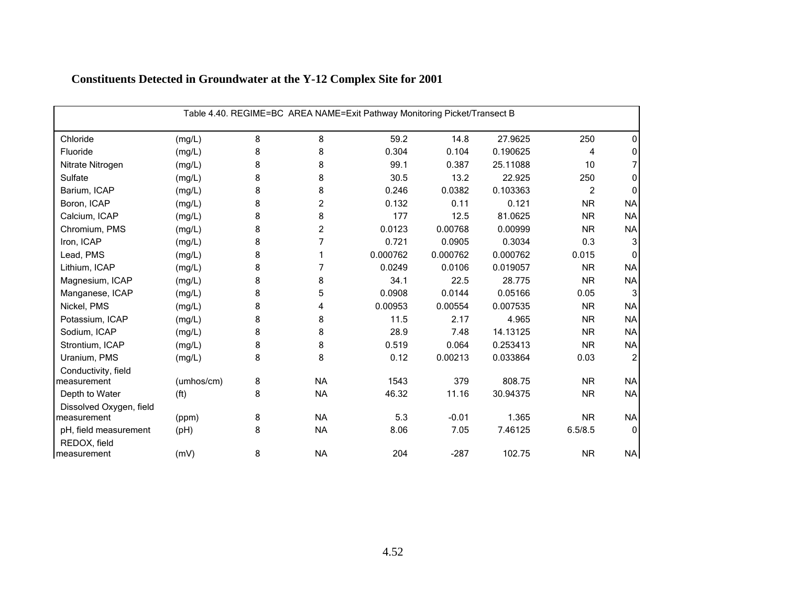|                                       | Table 4.40. REGIME=BC AREA NAME=Exit Pathway Monitoring Picket/Transect B |   |                |          |          |          |                |                  |  |  |  |
|---------------------------------------|---------------------------------------------------------------------------|---|----------------|----------|----------|----------|----------------|------------------|--|--|--|
| Chloride                              | (mg/L)                                                                    | 8 | 8              | 59.2     | 14.8     | 27.9625  | 250            | 0                |  |  |  |
| Fluoride                              | (mg/L)                                                                    | 8 | 8              | 0.304    | 0.104    | 0.190625 | 4              | 0                |  |  |  |
| Nitrate Nitrogen                      | (mg/L)                                                                    | 8 | 8              | 99.1     | 0.387    | 25.11088 | 10             |                  |  |  |  |
| Sulfate                               | (mg/L)                                                                    | 8 | 8              | 30.5     | 13.2     | 22.925   | 250            | 0                |  |  |  |
| Barium, ICAP                          | (mg/L)                                                                    | 8 | 8              | 0.246    | 0.0382   | 0.103363 | $\overline{2}$ | 0                |  |  |  |
| Boron, ICAP                           | (mg/L)                                                                    | 8 | $\overline{c}$ | 0.132    | 0.11     | 0.121    | <b>NR</b>      | <b>NA</b>        |  |  |  |
| Calcium, ICAP                         | (mg/L)                                                                    | 8 | 8              | 177      | 12.5     | 81.0625  | <b>NR</b>      | <b>NA</b>        |  |  |  |
| Chromium, PMS                         | (mg/L)                                                                    | 8 | $\overline{c}$ | 0.0123   | 0.00768  | 0.00999  | <b>NR</b>      | <b>NA</b>        |  |  |  |
| Iron, ICAP                            | (mg/L)                                                                    | 8 | 7              | 0.721    | 0.0905   | 0.3034   | 0.3            | 3                |  |  |  |
| Lead, PMS                             | (mg/L)                                                                    | 8 |                | 0.000762 | 0.000762 | 0.000762 | 0.015          | $\Omega$         |  |  |  |
| Lithium, ICAP                         | (mg/L)                                                                    | 8 | 7              | 0.0249   | 0.0106   | 0.019057 | <b>NR</b>      | <b>NA</b>        |  |  |  |
| Magnesium, ICAP                       | (mg/L)                                                                    | 8 | 8              | 34.1     | 22.5     | 28.775   | <b>NR</b>      | <b>NA</b>        |  |  |  |
| Manganese, ICAP                       | (mg/L)                                                                    | 8 | 5              | 0.0908   | 0.0144   | 0.05166  | 0.05           | 3                |  |  |  |
| Nickel, PMS                           | (mg/L)                                                                    | 8 | 4              | 0.00953  | 0.00554  | 0.007535 | <b>NR</b>      | <b>NA</b>        |  |  |  |
| Potassium, ICAP                       | (mg/L)                                                                    | 8 | 8              | 11.5     | 2.17     | 4.965    | <b>NR</b>      | <b>NA</b>        |  |  |  |
| Sodium, ICAP                          | (mg/L)                                                                    | 8 | 8              | 28.9     | 7.48     | 14.13125 | <b>NR</b>      | <b>NA</b>        |  |  |  |
| Strontium, ICAP                       | (mg/L)                                                                    | 8 | 8              | 0.519    | 0.064    | 0.253413 | <b>NR</b>      | <b>NA</b>        |  |  |  |
| Uranium, PMS                          | (mg/L)                                                                    | 8 | 8              | 0.12     | 0.00213  | 0.033864 | 0.03           | $\boldsymbol{2}$ |  |  |  |
| Conductivity, field                   |                                                                           |   |                |          |          |          |                |                  |  |  |  |
| measurement                           | (umhos/cm)                                                                | 8 | <b>NA</b>      | 1543     | 379      | 808.75   | <b>NR</b>      | <b>NA</b>        |  |  |  |
| Depth to Water                        | (f <sup>t</sup> )                                                         | 8 | <b>NA</b>      | 46.32    | 11.16    | 30.94375 | <b>NR</b>      | <b>NA</b>        |  |  |  |
| Dissolved Oxygen, field               |                                                                           |   |                |          |          |          |                |                  |  |  |  |
| measurement                           | (ppm)                                                                     | 8 | <b>NA</b>      | 5.3      | $-0.01$  | 1.365    | <b>NR</b>      | <b>NA</b>        |  |  |  |
| pH, field measurement<br>REDOX, field | (pH)                                                                      | 8 | <b>NA</b>      | 8.06     | 7.05     | 7.46125  | 6.5/8.5        | $\mathbf 0$      |  |  |  |
| measurement                           | (mV)                                                                      | 8 | <b>NA</b>      | 204      | $-287$   | 102.75   | <b>NR</b>      | <b>NA</b>        |  |  |  |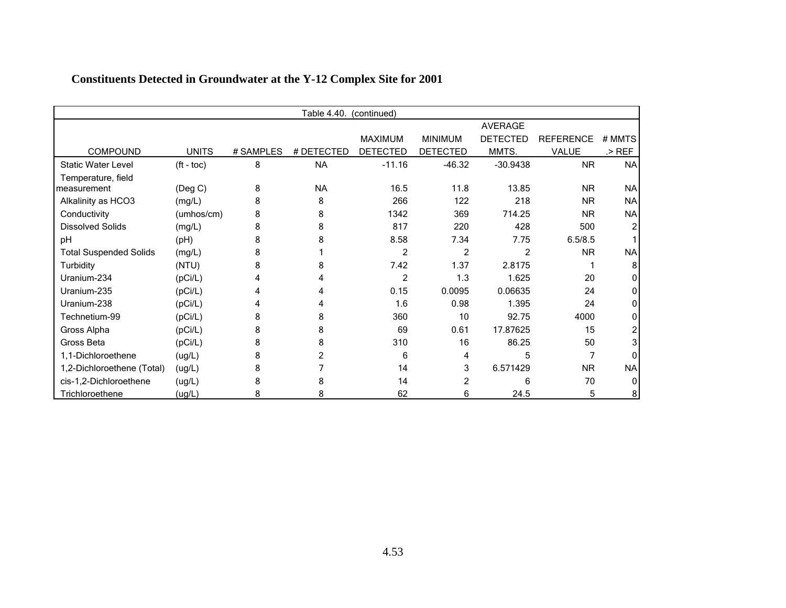|                               | Table 4.40.<br>(continued) |           |            |                 |                 |                 |                  |           |  |  |  |
|-------------------------------|----------------------------|-----------|------------|-----------------|-----------------|-----------------|------------------|-----------|--|--|--|
|                               |                            |           |            |                 |                 | <b>AVERAGE</b>  |                  |           |  |  |  |
|                               |                            |           |            | <b>MAXIMUM</b>  | <b>MINIMUM</b>  | <b>DETECTED</b> | <b>REFERENCE</b> | # MMTS    |  |  |  |
| <b>COMPOUND</b>               | <b>UNITS</b>               | # SAMPLES | # DETECTED | <b>DETECTED</b> | <b>DETECTED</b> | MMTS.           | VALUE            | .> REF    |  |  |  |
| <b>Static Water Level</b>     | $(ft - toc)$               | 8         | <b>NA</b>  | $-11.16$        | $-46.32$        | $-30.9438$      | <b>NR</b>        | <b>NA</b> |  |  |  |
| Temperature, field            |                            |           |            |                 |                 |                 |                  |           |  |  |  |
| measurement                   | (Deg C)                    | 8         | <b>NA</b>  | 16.5            | 11.8            | 13.85           | <b>NR</b>        | <b>NA</b> |  |  |  |
| Alkalinity as HCO3            | (mg/L)                     | 8         | 8          | 266             | 122             | 218             | <b>NR</b>        | <b>NA</b> |  |  |  |
| Conductivity                  | (umhos/cm)                 | 8         | 8          | 1342            | 369             | 714.25          | <b>NR</b>        | <b>NA</b> |  |  |  |
| <b>Dissolved Solids</b>       | (mg/L)                     | 8         | 8          | 817             | 220             | 428             | 500              |           |  |  |  |
| pH                            | (pH)                       | 8         |            | 8.58            | 7.34            | 7.75            | 6.5/8.5          |           |  |  |  |
| <b>Total Suspended Solids</b> | (mg/L)                     | 8         |            | 2               | $\overline{2}$  | 2               | <b>NR</b>        | <b>NA</b> |  |  |  |
| Turbidity                     | (NTU)                      | 8         |            | 7.42            | 1.37            | 2.8175          |                  | 8         |  |  |  |
| Uranium-234                   | (pCi/L)                    | 4         |            | 2               | 1.3             | 1.625           | 20               |           |  |  |  |
| Uranium-235                   | (pCi/L)                    |           |            | 0.15            | 0.0095          | 0.06635         | 24               |           |  |  |  |
| Uranium-238                   | (pCi/L)                    | 4         |            | 1.6             | 0.98            | 1.395           | 24               |           |  |  |  |
| Technetium-99                 | (pCi/L)                    | 8         | 8          | 360             | 10              | 92.75           | 4000             |           |  |  |  |
| Gross Alpha                   | (pCi/L)                    | 8         |            | 69              | 0.61            | 17.87625        | 15               |           |  |  |  |
| Gross Beta                    | (pCi/L)                    | 8         |            | 310             | 16              | 86.25           | 50               |           |  |  |  |
| 1,1-Dichloroethene            | (ug/L)                     | 8         |            | 6               | 4               | 5               |                  |           |  |  |  |
| 1,2-Dichloroethene (Total)    | (ug/L)                     | 8         |            | 14              | 3               | 6.571429        | N <sub>R</sub>   | <b>NA</b> |  |  |  |
| cis-1,2-Dichloroethene        | (ug/L)                     | 8         |            | 14              | 2               | 6               | 70               |           |  |  |  |
| Trichloroethene               | (ug/L)                     | 8         |            | 62              | 6               | 24.5            | 5                | 8         |  |  |  |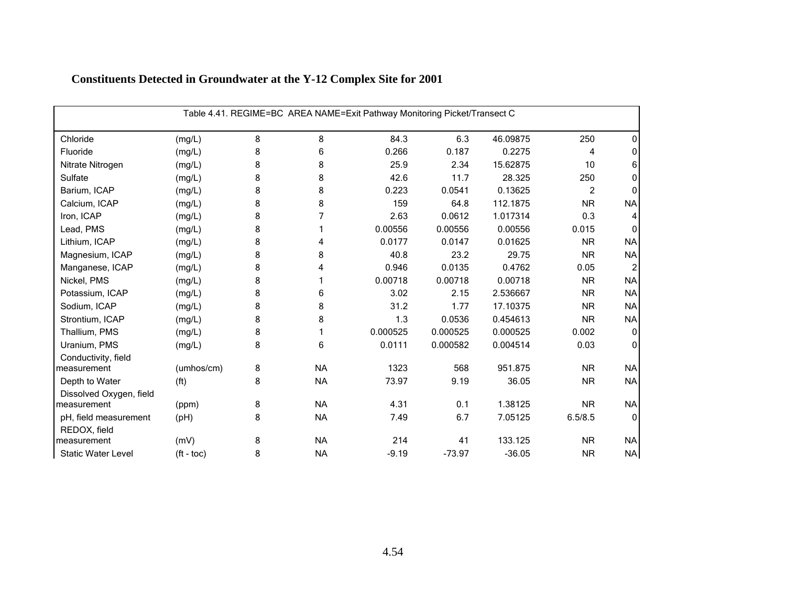|                           | Table 4.41. REGIME=BC AREA NAME=Exit Pathway Monitoring Picket/Transect C |   |           |          |          |          |           |              |  |  |  |
|---------------------------|---------------------------------------------------------------------------|---|-----------|----------|----------|----------|-----------|--------------|--|--|--|
| Chloride                  | (mg/L)                                                                    | 8 | 8         | 84.3     | 6.3      | 46.09875 | 250       | 0            |  |  |  |
| Fluoride                  | (mg/L)                                                                    | 8 | 6         | 0.266    | 0.187    | 0.2275   | 4         | 0            |  |  |  |
| Nitrate Nitrogen          | (mg/L)                                                                    | 8 | 8         | 25.9     | 2.34     | 15.62875 | 10        | 6            |  |  |  |
| Sulfate                   | (mg/L)                                                                    | 8 | 8         | 42.6     | 11.7     | 28.325   | 250       | 0            |  |  |  |
| Barium, ICAP              | (mg/L)                                                                    | 8 | 8         | 0.223    | 0.0541   | 0.13625  | 2         | 0            |  |  |  |
| Calcium, ICAP             | (mg/L)                                                                    | 8 | 8         | 159      | 64.8     | 112.1875 | <b>NR</b> | <b>NA</b>    |  |  |  |
| Iron, ICAP                | (mg/L)                                                                    | 8 | 7         | 2.63     | 0.0612   | 1.017314 | 0.3       | 4            |  |  |  |
| Lead, PMS                 | (mg/L)                                                                    | 8 |           | 0.00556  | 0.00556  | 0.00556  | 0.015     | $\Omega$     |  |  |  |
| Lithium, ICAP             | (mg/L)                                                                    | 8 | 4         | 0.0177   | 0.0147   | 0.01625  | <b>NR</b> | <b>NA</b>    |  |  |  |
| Magnesium, ICAP           | (mg/L)                                                                    | 8 | 8         | 40.8     | 23.2     | 29.75    | <b>NR</b> | <b>NA</b>    |  |  |  |
| Manganese, ICAP           | (mg/L)                                                                    | 8 | 4         | 0.946    | 0.0135   | 0.4762   | 0.05      | 2            |  |  |  |
| Nickel, PMS               | (mg/L)                                                                    | 8 |           | 0.00718  | 0.00718  | 0.00718  | <b>NR</b> | <b>NA</b>    |  |  |  |
| Potassium, ICAP           | (mg/L)                                                                    | 8 | 6         | 3.02     | 2.15     | 2.536667 | <b>NR</b> | <b>NA</b>    |  |  |  |
| Sodium, ICAP              | (mg/L)                                                                    | 8 | 8         | 31.2     | 1.77     | 17.10375 | <b>NR</b> | <b>NA</b>    |  |  |  |
| Strontium, ICAP           | (mg/L)                                                                    | 8 | 8         | 1.3      | 0.0536   | 0.454613 | <b>NR</b> | <b>NA</b>    |  |  |  |
| Thallium, PMS             | (mg/L)                                                                    | 8 |           | 0.000525 | 0.000525 | 0.000525 | 0.002     | $\mathbf 0$  |  |  |  |
| Uranium, PMS              | (mg/L)                                                                    | 8 | 6         | 0.0111   | 0.000582 | 0.004514 | 0.03      | $\Omega$     |  |  |  |
| Conductivity, field       |                                                                           |   |           |          |          |          |           |              |  |  |  |
| measurement               | (umhos/cm)                                                                | 8 | <b>NA</b> | 1323     | 568      | 951.875  | <b>NR</b> | <b>NA</b>    |  |  |  |
| Depth to Water            | (f <sup>t</sup> )                                                         | 8 | <b>NA</b> | 73.97    | 9.19     | 36.05    | <b>NR</b> | <b>NA</b>    |  |  |  |
| Dissolved Oxygen, field   |                                                                           |   |           |          |          |          |           |              |  |  |  |
| measurement               | (ppm)                                                                     | 8 | <b>NA</b> | 4.31     | 0.1      | 1.38125  | <b>NR</b> | <b>NA</b>    |  |  |  |
| pH, field measurement     | (Hq)                                                                      | 8 | <b>NA</b> | 7.49     | 6.7      | 7.05125  | 6.5/8.5   | $\mathbf{0}$ |  |  |  |
| REDOX, field              |                                                                           |   |           |          |          |          |           |              |  |  |  |
| measurement               | (mV)                                                                      | 8 | <b>NA</b> | 214      | 41       | 133.125  | <b>NR</b> | <b>NA</b>    |  |  |  |
| <b>Static Water Level</b> | $({\rm ft} - {\rm toc})$                                                  | 8 | <b>NA</b> | $-9.19$  | $-73.97$ | $-36.05$ | <b>NR</b> | <b>NA</b>    |  |  |  |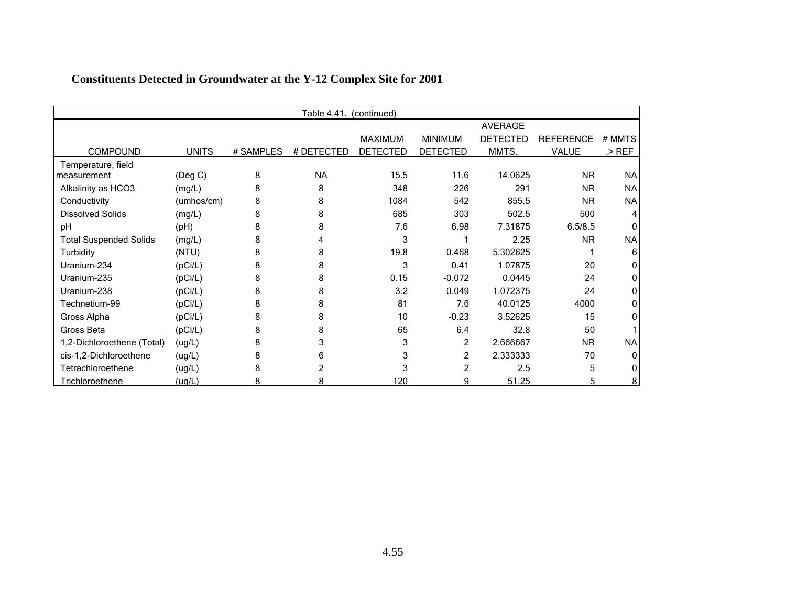| Table 4.41.<br>(continued)    |            |           |            |                 |                 |                 |                  |           |  |
|-------------------------------|------------|-----------|------------|-----------------|-----------------|-----------------|------------------|-----------|--|
|                               |            |           |            |                 |                 | <b>AVERAGE</b>  |                  |           |  |
|                               |            |           |            | <b>MAXIMUM</b>  | <b>MINIMUM</b>  | <b>DETECTED</b> | <b>REFERENCE</b> | # MMTS    |  |
| <b>COMPOUND</b>               | UNITS      | # SAMPLES | # DETECTED | <b>DETECTED</b> | <b>DETECTED</b> | MMTS.           | VALUE            | $>$ REF   |  |
| Temperature, field            |            |           |            |                 |                 |                 |                  |           |  |
| measurement                   | (Deg C)    | 8         | <b>NA</b>  | 15.5            | 11.6            | 14.0625         | <b>NR</b>        | <b>NA</b> |  |
| Alkalinity as HCO3            | (mg/L)     | 8         | 8          | 348             | 226             | 291             | <b>NR</b>        | <b>NA</b> |  |
| Conductivity                  | (umhos/cm) | 8         | 8          | 1084            | 542             | 855.5           | <b>NR</b>        | <b>NA</b> |  |
| <b>Dissolved Solids</b>       | (mg/L)     | 8         | 8          | 685             | 303             | 502.5           | 500              |           |  |
| pH                            | (pH)       | 8         |            | 7.6             | 6.98            | 7.31875         | 6.5/8.5          | U         |  |
| <b>Total Suspended Solids</b> | (mg/L)     | 8         |            | 3               |                 | 2.25            | <b>NR</b>        | <b>NA</b> |  |
| Turbidity                     | (NTU)      | 8         |            | 19.8            | 0.468           | 5.302625        |                  | 6         |  |
| Uranium-234                   | (pCi/L)    | 8         | 8          | 3               | 0.41            | 1.07875         | 20               |           |  |
| Uranium-235                   | (pCi/L)    | 8         | 8          | 0.15            | $-0.072$        | 0.0445          | 24               |           |  |
| Uranium-238                   | (pCi/L)    | 8         |            | 3.2             | 0.049           | 1.072375        | 24               |           |  |
| Technetium-99                 | (pCi/L)    | 8         | 8          | 81              | 7.6             | 40.0125         | 4000             |           |  |
| Gross Alpha                   | (pCi/L)    | 8         | 8          | 10              | $-0.23$         | 3.52625         | 15               |           |  |
| Gross Beta                    | (pCi/L)    | 8         |            | 65              | 6.4             | 32.8            | 50               |           |  |
| 1,2-Dichloroethene (Total)    | (ug/L)     | 8         |            | 3               | 2               | 2.666667        | <b>NR</b>        | <b>NA</b> |  |
| cis-1,2-Dichloroethene        | (ug/L)     | 8         |            | 3               | 2               | 2.333333        | 70               |           |  |
| Tetrachloroethene             | (ug/L)     | 8         |            | 3               | 2               | 2.5             | 5                |           |  |
| Trichloroethene               | (ug/L)     | 8         | 8          | 120             | 9               | 51.25           | 5                | 8         |  |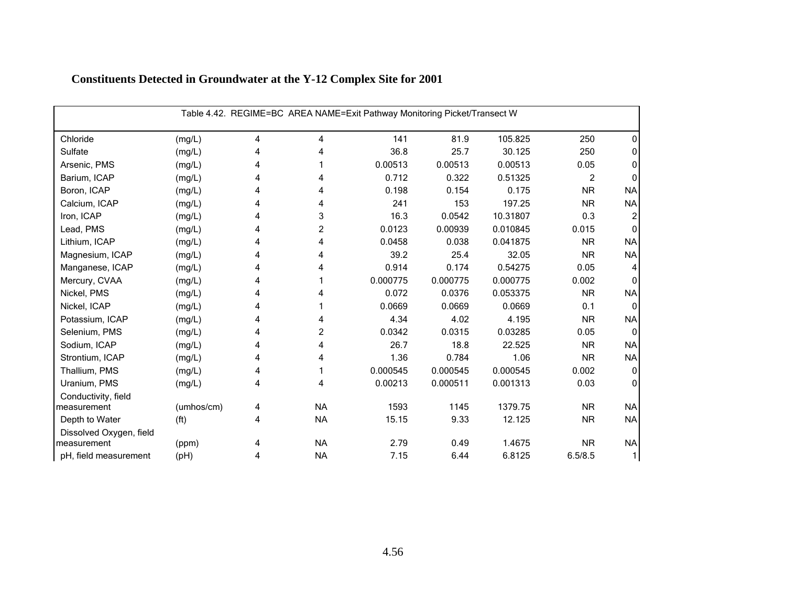| Table 4.42. REGIME=BC AREA NAME=Exit Pathway Monitoring Picket/Transect W |                   |   |           |          |          |          |                |              |  |
|---------------------------------------------------------------------------|-------------------|---|-----------|----------|----------|----------|----------------|--------------|--|
| Chloride                                                                  | (mg/L)            | 4 | 4         | 141      | 81.9     | 105.825  | 250            | 0            |  |
| Sulfate                                                                   | (mg/L)            | 4 | 4         | 36.8     | 25.7     | 30.125   | 250            | 0            |  |
| Arsenic, PMS                                                              | (mg/L)            | 4 |           | 0.00513  | 0.00513  | 0.00513  | 0.05           | 0            |  |
| Barium, ICAP                                                              | (mg/L)            | 4 | 4         | 0.712    | 0.322    | 0.51325  | $\overline{c}$ | 0            |  |
| Boron, ICAP                                                               | (mg/L)            | 4 | 4         | 0.198    | 0.154    | 0.175    | <b>NR</b>      | <b>NA</b>    |  |
| Calcium, ICAP                                                             | (mg/L)            | 4 | 4         | 241      | 153      | 197.25   | <b>NR</b>      | <b>NA</b>    |  |
| Iron, ICAP                                                                | (mg/L)            | 4 | 3         | 16.3     | 0.0542   | 10.31807 | 0.3            | 2            |  |
| Lead, PMS                                                                 | (mg/L)            | 4 | 2         | 0.0123   | 0.00939  | 0.010845 | 0.015          | $\mathbf{0}$ |  |
| Lithium, ICAP                                                             | (mg/L)            | 4 | 4         | 0.0458   | 0.038    | 0.041875 | <b>NR</b>      | <b>NA</b>    |  |
| Magnesium, ICAP                                                           | (mg/L)            | 4 | 4         | 39.2     | 25.4     | 32.05    | <b>NR</b>      | <b>NA</b>    |  |
| Manganese, ICAP                                                           | (mg/L)            | 4 | 4         | 0.914    | 0.174    | 0.54275  | 0.05           | 4            |  |
| Mercury, CVAA                                                             | (mg/L)            | 4 |           | 0.000775 | 0.000775 | 0.000775 | 0.002          | $\Omega$     |  |
| Nickel, PMS                                                               | (mg/L)            | 4 | 4         | 0.072    | 0.0376   | 0.053375 | <b>NR</b>      | <b>NA</b>    |  |
| Nickel, ICAP                                                              | (mg/L)            | 4 |           | 0.0669   | 0.0669   | 0.0669   | 0.1            | 0            |  |
| Potassium, ICAP                                                           | (mg/L)            | 4 | 4         | 4.34     | 4.02     | 4.195    | <b>NR</b>      | <b>NA</b>    |  |
| Selenium, PMS                                                             | (mg/L)            | 4 | 2         | 0.0342   | 0.0315   | 0.03285  | 0.05           | $\mathbf{0}$ |  |
| Sodium, ICAP                                                              | (mg/L)            | 4 | 4         | 26.7     | 18.8     | 22.525   | <b>NR</b>      | <b>NA</b>    |  |
| Strontium, ICAP                                                           | (mg/L)            | 4 | 4         | 1.36     | 0.784    | 1.06     | <b>NR</b>      | <b>NA</b>    |  |
| Thallium, PMS                                                             | (mg/L)            | 4 |           | 0.000545 | 0.000545 | 0.000545 | 0.002          | 0            |  |
| Uranium, PMS                                                              | (mg/L)            | 4 | 4         | 0.00213  | 0.000511 | 0.001313 | 0.03           | $\mathbf{0}$ |  |
| Conductivity, field                                                       |                   |   |           |          |          |          |                |              |  |
| measurement                                                               | (umhos/cm)        | 4 | <b>NA</b> | 1593     | 1145     | 1379.75  | <b>NR</b>      | <b>NA</b>    |  |
| Depth to Water                                                            | (f <sup>t</sup> ) | 4 | <b>NA</b> | 15.15    | 9.33     | 12.125   | <b>NR</b>      | <b>NA</b>    |  |
| Dissolved Oxygen, field                                                   |                   |   |           |          |          |          |                |              |  |
| measurement                                                               | (ppm)             | 4 | <b>NA</b> | 2.79     | 0.49     | 1.4675   | <b>NR</b>      | <b>NA</b>    |  |
| pH, field measurement                                                     | (Hq)              | 4 | <b>NA</b> | 7.15     | 6.44     | 6.8125   | 6.5/8.5        | $\mathbf{1}$ |  |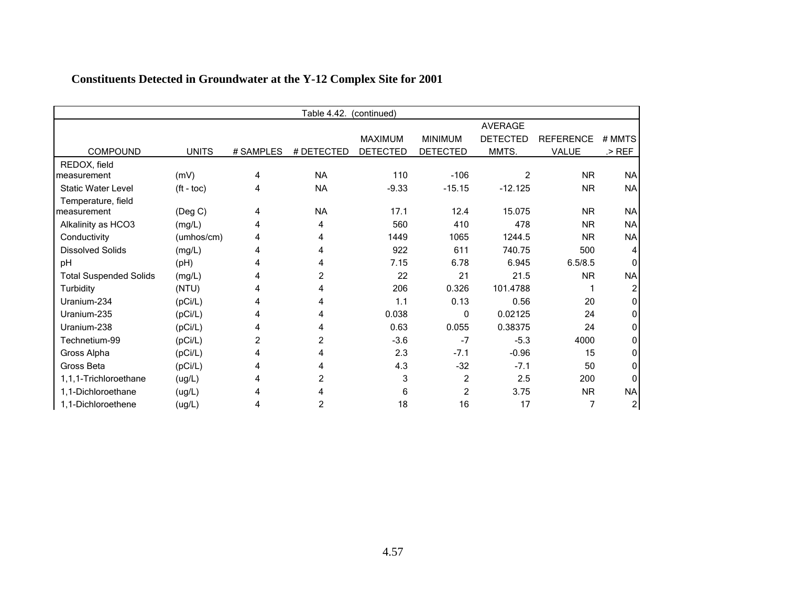| Table 4.42.<br>(continued)    |              |           |            |                 |                 |                 |                  |           |  |
|-------------------------------|--------------|-----------|------------|-----------------|-----------------|-----------------|------------------|-----------|--|
|                               |              |           |            |                 |                 | <b>AVERAGE</b>  |                  |           |  |
|                               |              |           |            | <b>MAXIMUM</b>  | <b>MINIMUM</b>  | <b>DETECTED</b> | <b>REFERENCE</b> | # MMTS    |  |
| <b>COMPOUND</b>               | <b>UNITS</b> | # SAMPLES | # DETECTED | <b>DETECTED</b> | <b>DETECTED</b> | MMTS.           | VALUE            | $>$ REF   |  |
| REDOX, field                  |              |           |            |                 |                 |                 |                  |           |  |
| measurement                   | (mV)         | 4         | <b>NA</b>  | 110             | $-106$          | 2               | <b>NR</b>        | <b>NA</b> |  |
| <b>Static Water Level</b>     | $(ft - toc)$ | 4         | <b>NA</b>  | $-9.33$         | $-15.15$        | $-12.125$       | <b>NR</b>        | <b>NA</b> |  |
| Temperature, field            |              |           |            |                 |                 |                 |                  |           |  |
| measurement                   | (Deg C)      | 4         | <b>NA</b>  | 17.1            | 12.4            | 15.075          | <b>NR</b>        | <b>NA</b> |  |
| Alkalinity as HCO3            | (mg/L)       | 4         | 4          | 560             | 410             | 478             | <b>NR</b>        | <b>NA</b> |  |
| Conductivity                  | (umhos/cm)   | 4         | 4          | 1449            | 1065            | 1244.5          | <b>NR</b>        | <b>NA</b> |  |
| <b>Dissolved Solids</b>       | (mg/L)       |           | 4          | 922             | 611             | 740.75          | 500              |           |  |
| pH                            | (pH)         | 4         | 4          | 7.15            | 6.78            | 6.945           | 6.5/8.5          |           |  |
| <b>Total Suspended Solids</b> | (mg/L)       |           | 2          | 22              | 21              | 21.5            | <b>NR</b>        | <b>NA</b> |  |
| Turbidity                     | (NTU)        | 4         | 4          | 206             | 0.326           | 101.4788        |                  |           |  |
| Uranium-234                   | (pCi/L)      |           | 4          | 1.1             | 0.13            | 0.56            | 20               |           |  |
| Uranium-235                   | (pCi/L)      | 4         | 4          | 0.038           | 0               | 0.02125         | 24               |           |  |
| Uranium-238                   | (pCi/L)      | 4         | 4          | 0.63            | 0.055           | 0.38375         | 24               |           |  |
| Technetium-99                 | (pCi/L)      | 2         | 2          | $-3.6$          | $-7$            | $-5.3$          | 4000             |           |  |
| Gross Alpha                   | (pCi/L)      |           | 4          | 2.3             | $-7.1$          | $-0.96$         | 15               | O.        |  |
| Gross Beta                    | (pCi/L)      |           |            | 4.3             | $-32$           | $-7.1$          | 50               | U         |  |
| 1,1,1-Trichloroethane         | (ug/L)       | 4         | 2          | 3               | $\overline{c}$  | 2.5             | 200              | n         |  |
| 1,1-Dichloroethane            | (ug/L)       |           |            | 6               | 2               | 3.75            | <b>NR</b>        | <b>NA</b> |  |
| 1,1-Dichloroethene            | (ug/L)       | 4         | 2          | 18              | 16              | 17              | 7                | 2         |  |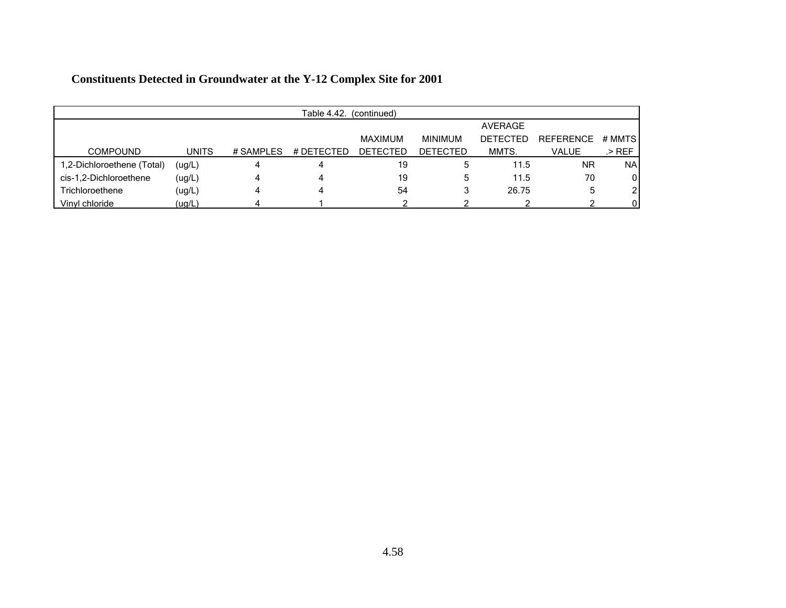|                            | Table 4.42.<br>(continued) |           |            |                 |                 |                 |                  |               |  |  |  |
|----------------------------|----------------------------|-----------|------------|-----------------|-----------------|-----------------|------------------|---------------|--|--|--|
|                            |                            |           |            |                 |                 | <b>AVERAGE</b>  |                  |               |  |  |  |
|                            |                            |           |            | MAXIMUM         | <b>MINIMUM</b>  | <b>DETECTED</b> | <b>REFERENCE</b> | # MMTS        |  |  |  |
| <b>COMPOUND</b>            | <b>UNITS</b>               | # SAMPLES | # DETECTED | <b>DETECTED</b> | <b>DETECTED</b> | MMTS.           | <b>VALUE</b>     | .> REF        |  |  |  |
| 1,2-Dichloroethene (Total) | (ug/L)                     | Δ         |            | 19              | 5               | 11.5            | <b>NR</b>        | <b>NA</b>     |  |  |  |
| cis-1,2-Dichloroethene     | (ug/L)                     | 4         |            | 19              | 5               | 11.5            | 70               | $\mathbf{0}$  |  |  |  |
| Trichloroethene            | (ug/L)                     | 4         |            | 54              |                 | 26.75           |                  | $\mathcal{P}$ |  |  |  |
| Vinyl chloride             | (ug/L)                     |           |            |                 |                 |                 |                  | $\Omega$      |  |  |  |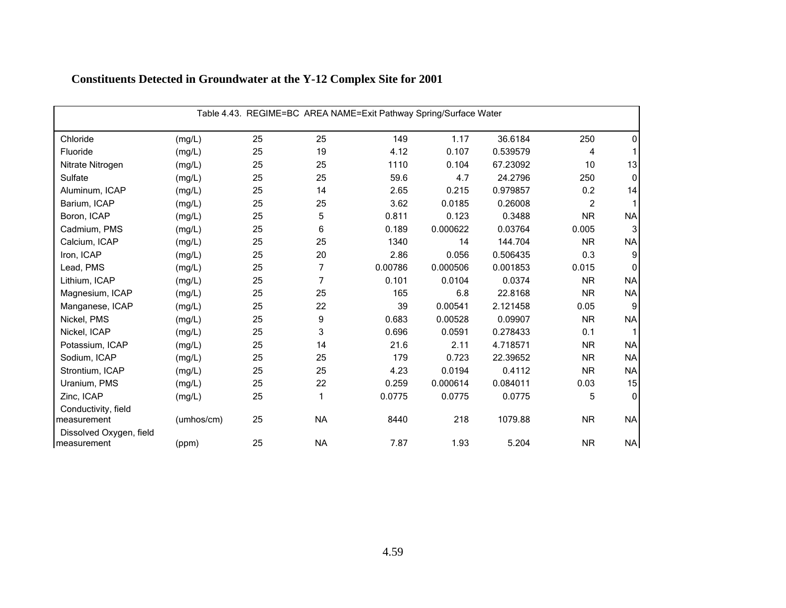| Table 4.43. REGIME=BC AREA NAME=Exit Pathway Spring/Surface Water |            |    |           |         |          |          |           |              |  |
|-------------------------------------------------------------------|------------|----|-----------|---------|----------|----------|-----------|--------------|--|
| Chloride                                                          | (mg/L)     | 25 | 25        | 149     | 1.17     | 36.6184  | 250       | 0            |  |
| Fluoride                                                          | (mg/L)     | 25 | 19        | 4.12    | 0.107    | 0.539579 | 4         |              |  |
| Nitrate Nitrogen                                                  | (mg/L)     | 25 | 25        | 1110    | 0.104    | 67.23092 | 10        | 13           |  |
| Sulfate                                                           | (mg/L)     | 25 | 25        | 59.6    | 4.7      | 24.2796  | 250       | $\Omega$     |  |
| Aluminum, ICAP                                                    | (mg/L)     | 25 | 14        | 2.65    | 0.215    | 0.979857 | 0.2       | 14           |  |
| Barium, ICAP                                                      | (mg/L)     | 25 | 25        | 3.62    | 0.0185   | 0.26008  | 2         |              |  |
| Boron, ICAP                                                       | (mg/L)     | 25 | 5         | 0.811   | 0.123    | 0.3488   | <b>NR</b> | <b>NA</b>    |  |
| Cadmium, PMS                                                      | (mg/L)     | 25 | 6         | 0.189   | 0.000622 | 0.03764  | 0.005     | 3            |  |
| Calcium, ICAP                                                     | (mg/L)     | 25 | 25        | 1340    | 14       | 144.704  | <b>NR</b> | <b>NA</b>    |  |
| Iron, ICAP                                                        | (mg/L)     | 25 | 20        | 2.86    | 0.056    | 0.506435 | 0.3       | 9            |  |
| Lead, PMS                                                         | (mg/L)     | 25 | 7         | 0.00786 | 0.000506 | 0.001853 | 0.015     | O            |  |
| Lithium, ICAP                                                     | (mg/L)     | 25 | 7         | 0.101   | 0.0104   | 0.0374   | <b>NR</b> | <b>NA</b>    |  |
| Magnesium, ICAP                                                   | (mg/L)     | 25 | 25        | 165     | 6.8      | 22.8168  | <b>NR</b> | <b>NA</b>    |  |
| Manganese, ICAP                                                   | (mg/L)     | 25 | 22        | 39      | 0.00541  | 2.121458 | 0.05      | 9            |  |
| Nickel, PMS                                                       | (mg/L)     | 25 | 9         | 0.683   | 0.00528  | 0.09907  | <b>NR</b> | <b>NA</b>    |  |
| Nickel, ICAP                                                      | (mg/L)     | 25 | 3         | 0.696   | 0.0591   | 0.278433 | 0.1       |              |  |
| Potassium, ICAP                                                   | (mg/L)     | 25 | 14        | 21.6    | 2.11     | 4.718571 | <b>NR</b> | <b>NA</b>    |  |
| Sodium, ICAP                                                      | (mg/L)     | 25 | 25        | 179     | 0.723    | 22.39652 | <b>NR</b> | <b>NA</b>    |  |
| Strontium, ICAP                                                   | (mg/L)     | 25 | 25        | 4.23    | 0.0194   | 0.4112   | <b>NR</b> | <b>NA</b>    |  |
| Uranium, PMS                                                      | (mg/L)     | 25 | 22        | 0.259   | 0.000614 | 0.084011 | 0.03      | 15           |  |
| Zinc, ICAP                                                        | (mg/L)     | 25 | 1         | 0.0775  | 0.0775   | 0.0775   | 5         | $\mathbf{0}$ |  |
| Conductivity, field<br>measurement                                | (umhos/cm) | 25 | <b>NA</b> | 8440    | 218      | 1079.88  | <b>NR</b> | <b>NA</b>    |  |
| Dissolved Oxygen, field<br>measurement                            | (ppm)      | 25 | <b>NA</b> | 7.87    | 1.93     | 5.204    | <b>NR</b> | <b>NA</b>    |  |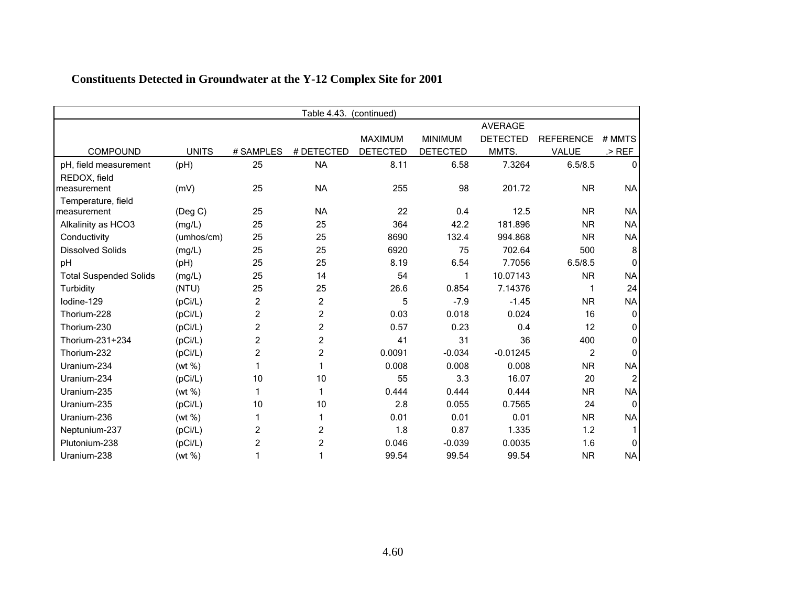|                               | Table 4.43.<br>(continued) |                |                |                 |                 |                 |                  |              |  |  |
|-------------------------------|----------------------------|----------------|----------------|-----------------|-----------------|-----------------|------------------|--------------|--|--|
|                               |                            |                |                |                 |                 | <b>AVERAGE</b>  |                  |              |  |  |
|                               |                            |                |                | <b>MAXIMUM</b>  | <b>MINIMUM</b>  | <b>DETECTED</b> | <b>REFERENCE</b> | # MMTS       |  |  |
| <b>COMPOUND</b>               | <b>UNITS</b>               | # SAMPLES      | # DETECTED     | <b>DETECTED</b> | <b>DETECTED</b> | MMTS.           | <b>VALUE</b>     | $>$ REF      |  |  |
| pH, field measurement         | (Hq)                       | 25             | <b>NA</b>      | 8.11            | 6.58            | 7.3264          | 6.5/8.5          | $\Omega$     |  |  |
| REDOX, field                  |                            |                |                |                 |                 |                 |                  |              |  |  |
| measurement                   | (mV)                       | 25             | <b>NA</b>      | 255             | 98              | 201.72          | <b>NR</b>        | <b>NA</b>    |  |  |
| Temperature, field            |                            |                |                |                 |                 |                 |                  |              |  |  |
| measurement                   | $($ Deg C $)$              | 25             | <b>NA</b>      | 22              | 0.4             | 12.5            | <b>NR</b>        | <b>NA</b>    |  |  |
| Alkalinity as HCO3            | (mg/L)                     | 25             | 25             | 364             | 42.2            | 181.896         | <b>NR</b>        | <b>NA</b>    |  |  |
| Conductivity                  | (umhos/cm)                 | 25             | 25             | 8690            | 132.4           | 994.868         | <b>NR</b>        | <b>NA</b>    |  |  |
| <b>Dissolved Solids</b>       | (mg/L)                     | 25             | 25             | 6920            | 75              | 702.64          | 500              | 8            |  |  |
| pH                            | (pH)                       | 25             | 25             | 8.19            | 6.54            | 7.7056          | 6.5/8.5          |              |  |  |
| <b>Total Suspended Solids</b> | (mg/L)                     | 25             | 14             | 54              | 1               | 10.07143        | <b>NR</b>        | <b>NA</b>    |  |  |
| Turbidity                     | (NTU)                      | 25             | 25             | 26.6            | 0.854           | 7.14376         |                  | 24           |  |  |
| lodine-129                    | (pCi/L)                    | 2              | 2              | 5               | $-7.9$          | $-1.45$         | <b>NR</b>        | <b>NA</b>    |  |  |
| Thorium-228                   | (pCi/L)                    | $\overline{2}$ | $\overline{c}$ | 0.03            | 0.018           | 0.024           | 16               | <sup>0</sup> |  |  |
| Thorium-230                   | (pCi/L)                    | $\overline{c}$ | $\overline{c}$ | 0.57            | 0.23            | 0.4             | 12               | 0            |  |  |
| Thorium-231+234               | (pCi/L)                    | $\overline{c}$ | $\overline{c}$ | 41              | 31              | 36              | 400              | <sup>0</sup> |  |  |
| Thorium-232                   | (pCi/L)                    | $\overline{c}$ | $\overline{c}$ | 0.0091          | $-0.034$        | $-0.01245$      | 2                |              |  |  |
| Uranium-234                   | (wt %)                     | 1              | 1              | 0.008           | 0.008           | 0.008           | <b>NR</b>        | <b>NA</b>    |  |  |
| Uranium-234                   | (pCi/L)                    | 10             | 10             | 55              | 3.3             | 16.07           | 20               |              |  |  |
| Uranium-235                   | (wt %)                     | 1              | 1              | 0.444           | 0.444           | 0.444           | <b>NR</b>        | <b>NA</b>    |  |  |
| Uranium-235                   | (pCi/L)                    | 10             | 10             | 2.8             | 0.055           | 0.7565          | 24               | $\Omega$     |  |  |
| Uranium-236                   | (wt %)                     |                |                | 0.01            | 0.01            | 0.01            | <b>NR</b>        | <b>NA</b>    |  |  |
| Neptunium-237                 | (pCi/L)                    | $\overline{c}$ | 2              | 1.8             | 0.87            | 1.335           | 1.2              |              |  |  |
| Plutonium-238                 | (pCi/L)                    | $\overline{2}$ | 2              | 0.046           | $-0.039$        | 0.0035          | 1.6              | 0            |  |  |
| Uranium-238                   | (wt %)                     | 1              |                | 99.54           | 99.54           | 99.54           | <b>NR</b>        | <b>NA</b>    |  |  |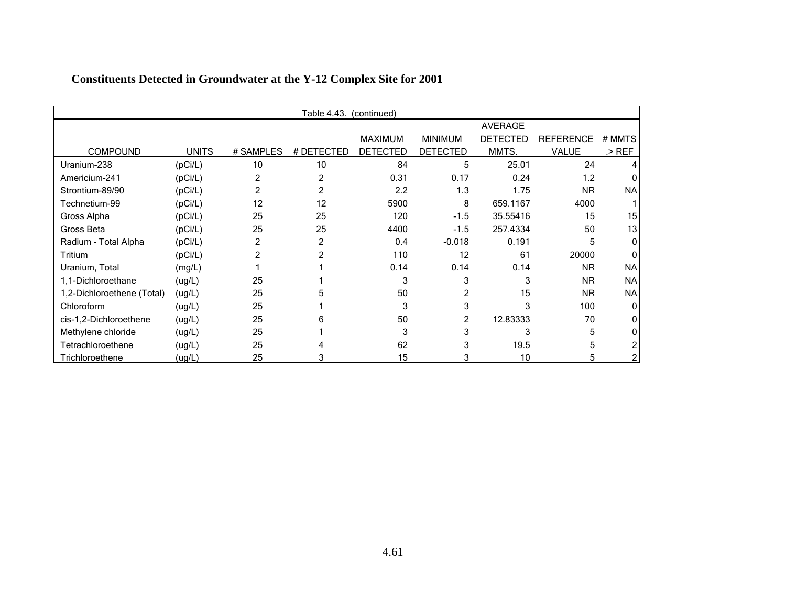|                            |              |           | Table 4.43. | (continued)     |                 |                 |                  |           |
|----------------------------|--------------|-----------|-------------|-----------------|-----------------|-----------------|------------------|-----------|
|                            |              |           |             |                 |                 | <b>AVERAGE</b>  |                  |           |
|                            |              |           |             | <b>MAXIMUM</b>  | <b>MINIMUM</b>  | <b>DETECTED</b> | <b>REFERENCE</b> | # MMTS    |
| <b>COMPOUND</b>            | <b>UNITS</b> | # SAMPLES | # DETECTED  | <b>DETECTED</b> | <b>DETECTED</b> | MMTS.           | <b>VALUE</b>     | .> REF    |
| Uranium-238                | (pCi/L)      | 10        | 10          | 84              | 5               | 25.01           | 24               |           |
| Americium-241              | (pCi/L)      | 2         | 2           | 0.31            | 0.17            | 0.24            | 1.2              |           |
| Strontium-89/90            | (pCi/L)      | 2         | 2           | 2.2             | 1.3             | 1.75            | <b>NR</b>        | <b>NA</b> |
| Technetium-99              | (pCi/L)      | 12        | 12          | 5900            | 8               | 659.1167        | 4000             |           |
| Gross Alpha                | (pCi/L)      | 25        | 25          | 120             | $-1.5$          | 35.55416        | 15               | 15        |
| Gross Beta                 | (pCi/L)      | 25        | 25          | 4400            | $-1.5$          | 257.4334        | 50               | 13        |
| Radium - Total Alpha       | (pCi/L)      | 2         | 2           | 0.4             | $-0.018$        | 0.191           | 5                | U         |
| Tritium                    | (pCi/L)      | 2         |             | 110             | 12              | 61              | 20000            |           |
| Uranium, Total             | (mg/L)       |           |             | 0.14            | 0.14            | 0.14            | <b>NR</b>        | <b>NA</b> |
| 1,1-Dichloroethane         | (ug/L)       | 25        |             | 3               | 3               | 3               | N <sub>R</sub>   | <b>NA</b> |
| 1,2-Dichloroethene (Total) | (ug/L)       | 25        |             | 50              | 2               | 15              | <b>NR</b>        | <b>NA</b> |
| Chloroform                 | (ug/L)       | 25        |             | 3               | 3               | 3               | 100              | O         |
| cis-1,2-Dichloroethene     | (ug/L)       | 25        |             | 50              | 2               | 12.83333        | 70               |           |
| Methylene chloride         | (ug/L)       | 25        |             | 3               | 3               | 3               | 5                |           |
| Tetrachloroethene          | (ug/L)       | 25        |             | 62              | 3               | 19.5            | 5                |           |
| Trichloroethene            | (ug/L)       | 25        |             | 15              | 3               | 10              | 5                |           |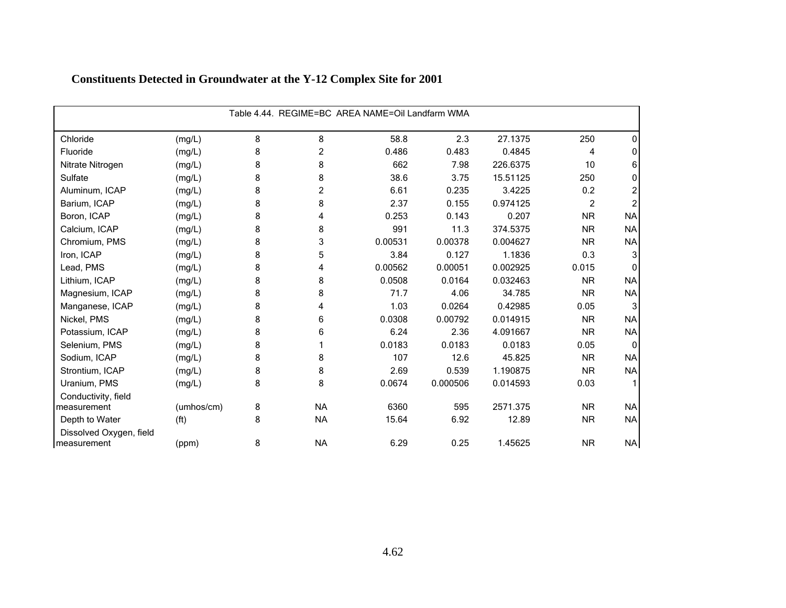| Table 4.44. REGIME=BC AREA NAME=Oil Landfarm WMA |                   |   |                |         |          |          |                |                |  |  |
|--------------------------------------------------|-------------------|---|----------------|---------|----------|----------|----------------|----------------|--|--|
| Chloride                                         | (mg/L)            | 8 | 8              | 58.8    | 2.3      | 27.1375  | 250            | 0              |  |  |
| Fluoride                                         | (mg/L)            | 8 | $\overline{c}$ | 0.486   | 0.483    | 0.4845   | 4              | 0              |  |  |
| Nitrate Nitrogen                                 | (mg/L)            | 8 | 8              | 662     | 7.98     | 226.6375 | 10             | 6              |  |  |
| Sulfate                                          | (mg/L)            | 8 | 8              | 38.6    | 3.75     | 15.51125 | 250            | 0              |  |  |
| Aluminum, ICAP                                   | (mg/L)            | 8 | 2              | 6.61    | 0.235    | 3.4225   | 0.2            |                |  |  |
| Barium, ICAP                                     | (mg/L)            | 8 | 8              | 2.37    | 0.155    | 0.974125 | $\overline{2}$ | $\overline{2}$ |  |  |
| Boron, ICAP                                      | (mg/L)            | 8 | 4              | 0.253   | 0.143    | 0.207    | <b>NR</b>      | <b>NA</b>      |  |  |
| Calcium, ICAP                                    | (mg/L)            | 8 | 8              | 991     | 11.3     | 374.5375 | <b>NR</b>      | <b>NA</b>      |  |  |
| Chromium, PMS                                    | (mg/L)            | 8 | 3              | 0.00531 | 0.00378  | 0.004627 | <b>NR</b>      | <b>NA</b>      |  |  |
| Iron, ICAP                                       | (mg/L)            | 8 | 5              | 3.84    | 0.127    | 1.1836   | 0.3            | 3              |  |  |
| Lead, PMS                                        | (mg/L)            | 8 | 4              | 0.00562 | 0.00051  | 0.002925 | 0.015          | O              |  |  |
| Lithium, ICAP                                    | (mg/L)            | 8 | 8              | 0.0508  | 0.0164   | 0.032463 | <b>NR</b>      | <b>NA</b>      |  |  |
| Magnesium, ICAP                                  | (mg/L)            | 8 | 8              | 71.7    | 4.06     | 34.785   | <b>NR</b>      | <b>NA</b>      |  |  |
| Manganese, ICAP                                  | (mg/L)            | 8 | 4              | 1.03    | 0.0264   | 0.42985  | 0.05           | 3              |  |  |
| Nickel, PMS                                      | (mg/L)            | 8 | 6              | 0.0308  | 0.00792  | 0.014915 | <b>NR</b>      | <b>NA</b>      |  |  |
| Potassium, ICAP                                  | (mg/L)            | 8 | 6              | 6.24    | 2.36     | 4.091667 | <b>NR</b>      | <b>NA</b>      |  |  |
| Selenium, PMS                                    | (mg/L)            | 8 |                | 0.0183  | 0.0183   | 0.0183   | 0.05           | $\mathbf{0}$   |  |  |
| Sodium, ICAP                                     | (mg/L)            | 8 | 8              | 107     | 12.6     | 45.825   | <b>NR</b>      | <b>NA</b>      |  |  |
| Strontium, ICAP                                  | (mg/L)            | 8 | 8              | 2.69    | 0.539    | 1.190875 | <b>NR</b>      | <b>NA</b>      |  |  |
| Uranium, PMS                                     | (mg/L)            | 8 | 8              | 0.0674  | 0.000506 | 0.014593 | 0.03           |                |  |  |
| Conductivity, field                              |                   |   |                |         |          |          |                |                |  |  |
| measurement                                      | (umhos/cm)        | 8 | <b>NA</b>      | 6360    | 595      | 2571.375 | <b>NR</b>      | <b>NA</b>      |  |  |
| Depth to Water                                   | (f <sup>t</sup> ) | 8 | <b>NA</b>      | 15.64   | 6.92     | 12.89    | <b>NR</b>      | <b>NA</b>      |  |  |
| Dissolved Oxygen, field<br>measurement           | (ppm)             | 8 | <b>NA</b>      | 6.29    | 0.25     | 1.45625  | <b>NR</b>      | <b>NA</b>      |  |  |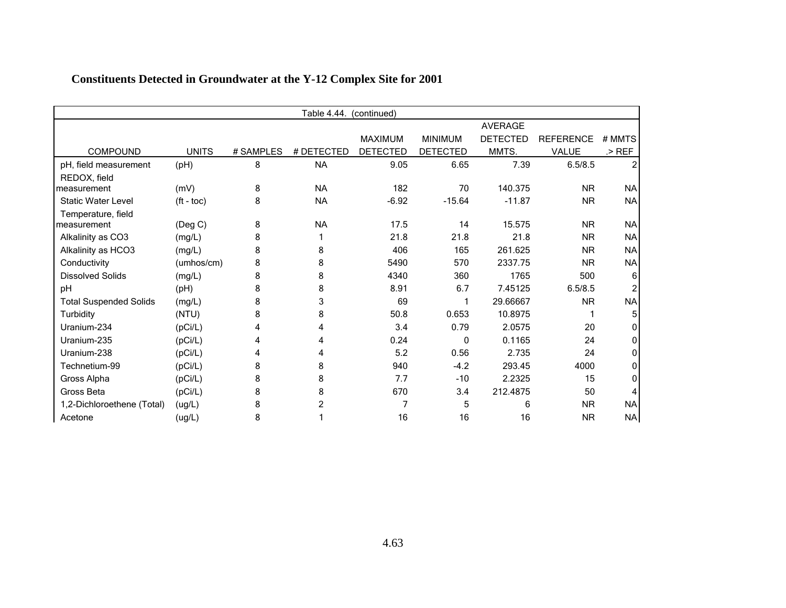| Table 4.44.<br>(continued)    |               |           |            |                 |                 |                 |                  |           |
|-------------------------------|---------------|-----------|------------|-----------------|-----------------|-----------------|------------------|-----------|
|                               |               |           |            |                 |                 | <b>AVERAGE</b>  |                  |           |
|                               |               |           |            | <b>MAXIMUM</b>  | <b>MINIMUM</b>  | <b>DETECTED</b> | <b>REFERENCE</b> | # MMTS    |
| <b>COMPOUND</b>               | <b>UNITS</b>  | # SAMPLES | # DETECTED | <b>DETECTED</b> | <b>DETECTED</b> | MMTS.           | <b>VALUE</b>     | $>$ REF   |
| pH, field measurement         | (pH)          | 8         | <b>NA</b>  | 9.05            | 6.65            | 7.39            | 6.5/8.5          |           |
| REDOX, field                  |               |           |            |                 |                 |                 |                  |           |
| measurement                   | (mV)          | 8         | <b>NA</b>  | 182             | 70              | 140.375         | <b>NR</b>        | <b>NA</b> |
| <b>Static Water Level</b>     | $(ft - toc)$  | 8         | <b>NA</b>  | $-6.92$         | $-15.64$        | $-11.87$        | <b>NR</b>        | <b>NA</b> |
| Temperature, field            |               |           |            |                 |                 |                 |                  |           |
| measurement                   | $($ Deg C $)$ | 8         | <b>NA</b>  | 17.5            | 14              | 15.575          | <b>NR</b>        | <b>NA</b> |
| Alkalinity as CO3             | (mg/L)        | 8         |            | 21.8            | 21.8            | 21.8            | <b>NR</b>        | <b>NA</b> |
| Alkalinity as HCO3            | (mg/L)        | 8         | 8          | 406             | 165             | 261.625         | <b>NR</b>        | <b>NA</b> |
| Conductivity                  | (umhos/cm)    | 8         | 8          | 5490            | 570             | 2337.75         | <b>NR</b>        | <b>NA</b> |
| <b>Dissolved Solids</b>       | (mg/L)        | 8         | 8          | 4340            | 360             | 1765            | 500              | 6         |
| pH                            | (H)           | 8         | 8          | 8.91            | 6.7             | 7.45125         | 6.5/8.5          |           |
| <b>Total Suspended Solids</b> | (mg/L)        | 8         | 3          | 69              |                 | 29.66667        | <b>NR</b>        | <b>NA</b> |
| Turbidity                     | (NTU)         | 8         | 8          | 50.8            | 0.653           | 10.8975         |                  |           |
| Uranium-234                   | (pCi/L)       | 4         | 4          | 3.4             | 0.79            | 2.0575          | 20               |           |
| Uranium-235                   | (pCi/L)       | 4         | 4          | 0.24            | $\mathbf 0$     | 0.1165          | 24               |           |
| Uranium-238                   | (pCi/L)       | 4         | 4          | 5.2             | 0.56            | 2.735           | 24               |           |
| Technetium-99                 | (pCi/L)       | 8         | 8          | 940             | $-4.2$          | 293.45          | 4000             |           |
| Gross Alpha                   | (pCi/L)       | 8         | 8          | 7.7             | $-10$           | 2.2325          | 15               |           |
| Gross Beta                    | (pCi/L)       | 8         | 8          | 670             | 3.4             | 212.4875        | 50               |           |
| 1,2-Dichloroethene (Total)    | (ug/L)        | 8         | 2          | 7               | 5               | 6               | <b>NR</b>        | <b>NA</b> |
| Acetone                       | (ug/L)        | 8         |            | 16              | 16              | 16              | <b>NR</b>        | NA        |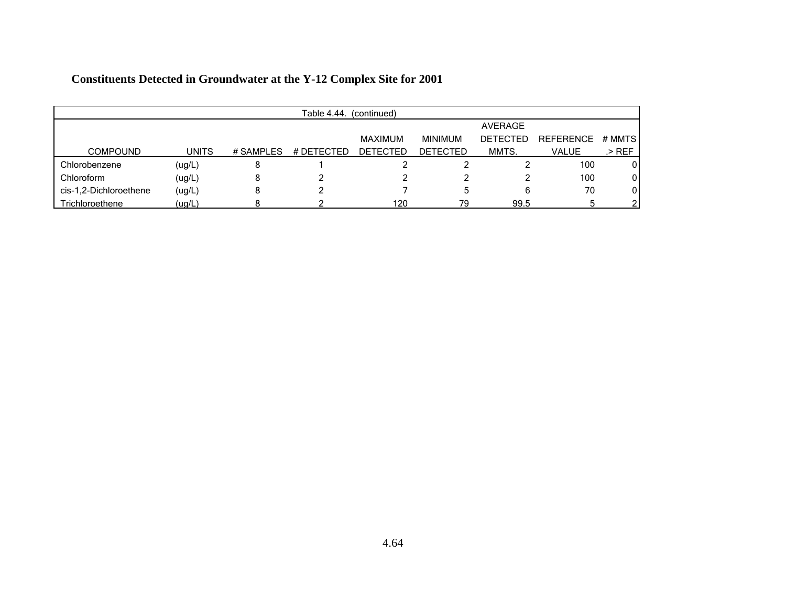|                        | Table 4.44.<br>(continued) |           |            |                 |                 |                 |                  |        |  |  |  |
|------------------------|----------------------------|-----------|------------|-----------------|-----------------|-----------------|------------------|--------|--|--|--|
|                        |                            | AVERAGE   |            |                 |                 |                 |                  |        |  |  |  |
|                        |                            |           |            | MAXIMUM         | <b>MINIMUM</b>  | <b>DETECTED</b> | <b>REFERENCE</b> | # MMTS |  |  |  |
| <b>COMPOUND</b>        | <b>UNITS</b>               | # SAMPLES | # DETECTED | <b>DETECTED</b> | <b>DETECTED</b> | MMTS.           | VALUE            | .> REF |  |  |  |
| Chlorobenzene          | (ug/L)                     | Ο         |            |                 |                 |                 | 100              | 0      |  |  |  |
| Chloroform             | (ug/L)                     | 8         |            |                 |                 |                 | 100              | 0      |  |  |  |
| cis-1,2-Dichloroethene | (ug/L)                     | ٥         |            |                 | 5               | 6               | 70               | 0      |  |  |  |
| Trichloroethene        | (ug/L)                     |           |            | 120             | 79              | 99.5            |                  |        |  |  |  |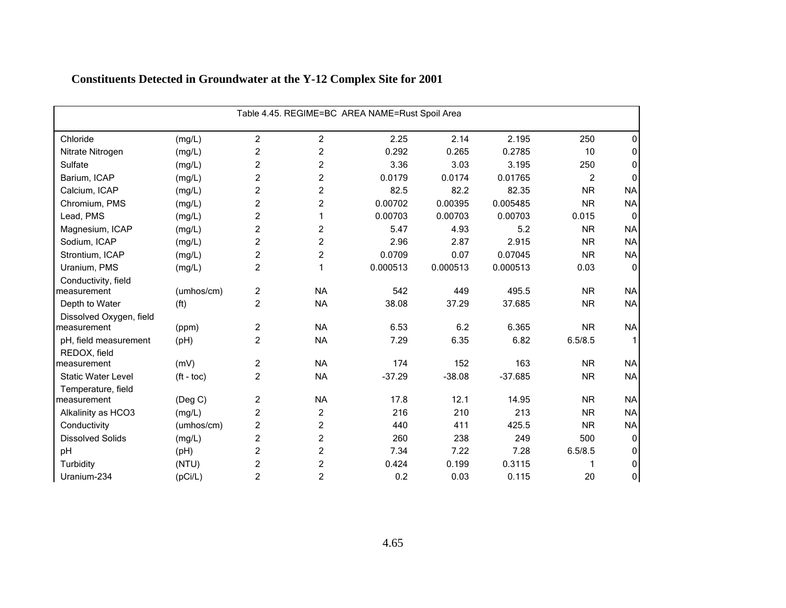| Table 4.45. REGIME=BC AREA NAME=Rust Spoil Area |                       |                |                         |          |          |           |                |              |  |  |
|-------------------------------------------------|-----------------------|----------------|-------------------------|----------|----------|-----------|----------------|--------------|--|--|
| Chloride                                        | (mg/L)                | $\overline{c}$ | 2                       | 2.25     | 2.14     | 2.195     | 250            | 0            |  |  |
| Nitrate Nitrogen                                | (mg/L)                | $\overline{c}$ | $\overline{c}$          | 0.292    | 0.265    | 0.2785    | 10             | 0            |  |  |
| Sulfate                                         | (mg/L)                | $\overline{c}$ | $\overline{c}$          | 3.36     | 3.03     | 3.195     | 250            | 0            |  |  |
| Barium, ICAP                                    | (mg/L)                | $\overline{c}$ | $\overline{\mathbf{c}}$ | 0.0179   | 0.0174   | 0.01765   | $\overline{2}$ | $\Omega$     |  |  |
| Calcium, ICAP                                   | (mg/L)                | $\overline{c}$ | 2                       | 82.5     | 82.2     | 82.35     | <b>NR</b>      | <b>NA</b>    |  |  |
| Chromium, PMS                                   | (mg/L)                | $\overline{c}$ | $\overline{c}$          | 0.00702  | 0.00395  | 0.005485  | <b>NR</b>      | <b>NA</b>    |  |  |
| Lead, PMS                                       | (mg/L)                | $\overline{c}$ | 1                       | 0.00703  | 0.00703  | 0.00703   | 0.015          | $\Omega$     |  |  |
| Magnesium, ICAP                                 | (mg/L)                | $\overline{c}$ | $\overline{c}$          | 5.47     | 4.93     | 5.2       | <b>NR</b>      | <b>NA</b>    |  |  |
| Sodium, ICAP                                    | (mg/L)                | $\overline{c}$ | $\overline{\mathbf{c}}$ | 2.96     | 2.87     | 2.915     | <b>NR</b>      | <b>NA</b>    |  |  |
| Strontium, ICAP                                 | (mg/L)                | $\overline{2}$ | $\overline{2}$          | 0.0709   | 0.07     | 0.07045   | <b>NR</b>      | <b>NA</b>    |  |  |
| Uranium, PMS                                    | (mg/L)                | $\overline{2}$ | 1                       | 0.000513 | 0.000513 | 0.000513  | 0.03           | $\mathbf{0}$ |  |  |
| Conductivity, field                             |                       |                |                         |          |          |           |                |              |  |  |
| measurement                                     | (umhos/cm)            | $\overline{c}$ | <b>NA</b>               | 542      | 449      | 495.5     | <b>NR</b>      | <b>NA</b>    |  |  |
| Depth to Water                                  | (f <sup>t</sup> )     | $\overline{c}$ | <b>NA</b>               | 38.08    | 37.29    | 37.685    | <b>NR</b>      | <b>NA</b>    |  |  |
| Dissolved Oxygen, field                         |                       |                |                         |          |          |           |                |              |  |  |
| measurement                                     | (ppm)                 | $\overline{c}$ | <b>NA</b>               | 6.53     | 6.2      | 6.365     | <b>NR</b>      | <b>NA</b>    |  |  |
| pH, field measurement                           | (pH)                  | $\overline{c}$ | <b>NA</b>               | 7.29     | 6.35     | 6.82      | 6.5/8.5        |              |  |  |
| REDOX, field                                    |                       |                |                         |          |          |           |                |              |  |  |
| measurement                                     | (mV)                  | $\overline{2}$ | <b>NA</b>               | 174      | 152      | 163       | <b>NR</b>      | <b>NA</b>    |  |  |
| <b>Static Water Level</b>                       | $({\rm ft -}$ toc $)$ | $\overline{2}$ | <b>NA</b>               | $-37.29$ | $-38.08$ | $-37.685$ | <b>NR</b>      | <b>NA</b>    |  |  |
| Temperature, field                              |                       |                |                         |          |          |           |                |              |  |  |
| measurement                                     | $($ Deg C $)$         | $\overline{c}$ | <b>NA</b>               | 17.8     | 12.1     | 14.95     | <b>NR</b>      | <b>NA</b>    |  |  |
| Alkalinity as HCO3                              | (mg/L)                | $\overline{c}$ | $\overline{c}$          | 216      | 210      | 213       | <b>NR</b>      | <b>NA</b>    |  |  |
| Conductivity                                    | (umhos/cm)            | $\overline{c}$ | 2                       | 440      | 411      | 425.5     | <b>NR</b>      | <b>NA</b>    |  |  |
| <b>Dissolved Solids</b>                         | (mg/L)                | $\overline{c}$ | $\overline{c}$          | 260      | 238      | 249       | 500            | 0            |  |  |
| pH                                              | (pH)                  | $\overline{c}$ | $\overline{c}$          | 7.34     | 7.22     | 7.28      | 6.5/8.5        | 0            |  |  |
| Turbidity                                       | (NTU)                 | $\overline{c}$ | $\overline{c}$          | 0.424    | 0.199    | 0.3115    |                | 0            |  |  |
| Uranium-234                                     | (pCi/L)               | $\overline{c}$ | $\overline{c}$          | 0.2      | 0.03     | 0.115     | 20             | 0            |  |  |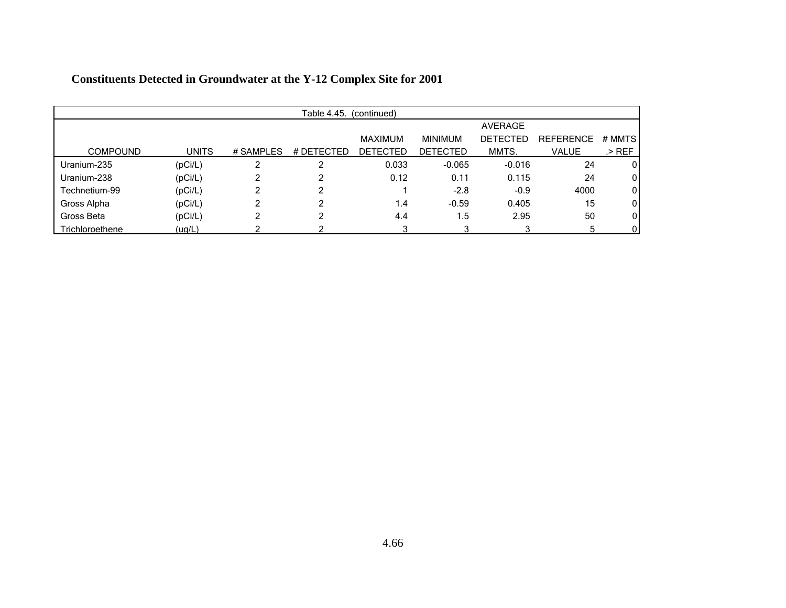|                 | Table 4.45.<br>(continued) |           |            |                 |                 |                 |                  |         |  |  |  |
|-----------------|----------------------------|-----------|------------|-----------------|-----------------|-----------------|------------------|---------|--|--|--|
|                 |                            |           |            |                 |                 | AVERAGE         |                  |         |  |  |  |
|                 |                            |           |            | <b>MAXIMUM</b>  | <b>MINIMUM</b>  | <b>DETECTED</b> | <b>REFERENCE</b> | # MMTS  |  |  |  |
| <b>COMPOUND</b> | <b>UNITS</b>               | # SAMPLES | # DETECTED | <b>DETECTED</b> | <b>DETECTED</b> | MMTS.           | <b>VALUE</b>     | $>$ REF |  |  |  |
| Uranium-235     | (pCi/L)                    | ົ         | ◠          | 0.033           | $-0.065$        | $-0.016$        | 24               | 0       |  |  |  |
| Uranium-238     | (pCi/L)                    |           | າ          | 0.12            | 0.11            | 0.115           | 24               | 0       |  |  |  |
| Technetium-99   | (pCi/L)                    |           | 2          |                 | $-2.8$          | $-0.9$          | 4000             | 0       |  |  |  |
| Gross Alpha     | (pCi/L)                    | າ         | າ          | 1.4             | $-0.59$         | 0.405           | 15               | 0       |  |  |  |
| Gross Beta      | (pCi/L)                    | ົ         | ົ          | 4.4             | 1.5             | 2.95            | 50               | 0       |  |  |  |
| Trichloroethene | (ug/L)                     |           |            |                 | 3               | 3               | 5                | 0       |  |  |  |

|  | <b>Constituents Detected in Groundwater at the Y-12 Complex Site for 2001</b> |  |  |  |  |
|--|-------------------------------------------------------------------------------|--|--|--|--|
|--|-------------------------------------------------------------------------------|--|--|--|--|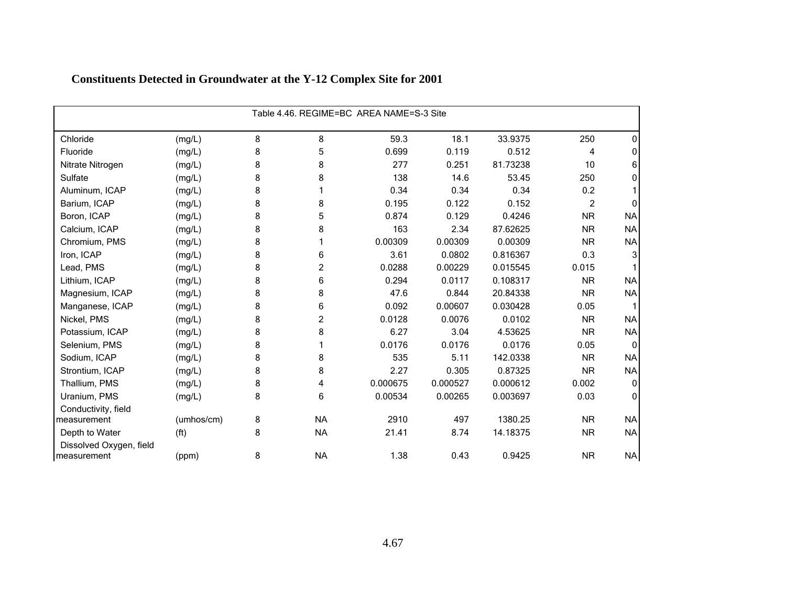|                                        | Table 4.46. REGIME=BC AREA NAME=S-3 Site |   |           |          |          |          |           |           |  |  |
|----------------------------------------|------------------------------------------|---|-----------|----------|----------|----------|-----------|-----------|--|--|
| Chloride                               | (mg/L)                                   | 8 | 8         | 59.3     | 18.1     | 33.9375  | 250       | 0         |  |  |
| Fluoride                               | (mg/L)                                   | 8 | 5         | 0.699    | 0.119    | 0.512    | 4         | 0         |  |  |
| Nitrate Nitrogen                       | (mg/L)                                   | 8 | 8         | 277      | 0.251    | 81.73238 | 10        | 6         |  |  |
| Sulfate                                | (mg/L)                                   | 8 | 8         | 138      | 14.6     | 53.45    | 250       | 0         |  |  |
| Aluminum, ICAP                         | (mg/L)                                   | 8 |           | 0.34     | 0.34     | 0.34     | 0.2       |           |  |  |
| Barium, ICAP                           | (mg/L)                                   | 8 | 8         | 0.195    | 0.122    | 0.152    | 2         | O         |  |  |
| Boron, ICAP                            | (mg/L)                                   | 8 | 5         | 0.874    | 0.129    | 0.4246   | <b>NR</b> | <b>NA</b> |  |  |
| Calcium, ICAP                          | (mg/L)                                   | 8 | 8         | 163      | 2.34     | 87.62625 | <b>NR</b> | <b>NA</b> |  |  |
| Chromium, PMS                          | (mg/L)                                   | 8 |           | 0.00309  | 0.00309  | 0.00309  | <b>NR</b> | <b>NA</b> |  |  |
| Iron, ICAP                             | (mg/L)                                   | 8 | 6         | 3.61     | 0.0802   | 0.816367 | 0.3       | 3         |  |  |
| Lead, PMS                              | (mg/L)                                   | 8 | 2         | 0.0288   | 0.00229  | 0.015545 | 0.015     |           |  |  |
| Lithium, ICAP                          | (mg/L)                                   | 8 | 6         | 0.294    | 0.0117   | 0.108317 | <b>NR</b> | <b>NA</b> |  |  |
| Magnesium, ICAP                        | (mg/L)                                   | 8 | 8         | 47.6     | 0.844    | 20.84338 | <b>NR</b> | <b>NA</b> |  |  |
| Manganese, ICAP                        | (mg/L)                                   | 8 | 6         | 0.092    | 0.00607  | 0.030428 | 0.05      |           |  |  |
| Nickel, PMS                            | (mg/L)                                   | 8 | 2         | 0.0128   | 0.0076   | 0.0102   | <b>NR</b> | <b>NA</b> |  |  |
| Potassium, ICAP                        | (mg/L)                                   | 8 | 8         | 6.27     | 3.04     | 4.53625  | <b>NR</b> | <b>NA</b> |  |  |
| Selenium, PMS                          | (mg/L)                                   | 8 |           | 0.0176   | 0.0176   | 0.0176   | 0.05      | $\Omega$  |  |  |
| Sodium, ICAP                           | (mg/L)                                   | 8 | 8         | 535      | 5.11     | 142.0338 | <b>NR</b> | <b>NA</b> |  |  |
| Strontium, ICAP                        | (mg/L)                                   | 8 | 8         | 2.27     | 0.305    | 0.87325  | <b>NR</b> | <b>NA</b> |  |  |
| Thallium, PMS                          | (mg/L)                                   | 8 | 4         | 0.000675 | 0.000527 | 0.000612 | 0.002     | 0         |  |  |
| Uranium, PMS                           | (mg/L)                                   | 8 | 6         | 0.00534  | 0.00265  | 0.003697 | 0.03      | 0         |  |  |
| Conductivity, field                    |                                          |   |           |          |          |          |           |           |  |  |
| measurement                            | (umhos/cm)                               | 8 | <b>NA</b> | 2910     | 497      | 1380.25  | <b>NR</b> | <b>NA</b> |  |  |
| Depth to Water                         | (f <sup>t</sup> )                        | 8 | <b>NA</b> | 21.41    | 8.74     | 14.18375 | <b>NR</b> | <b>NA</b> |  |  |
| Dissolved Oxygen, field<br>measurement | (ppm)                                    | 8 | <b>NA</b> | 1.38     | 0.43     | 0.9425   | <b>NR</b> | <b>NA</b> |  |  |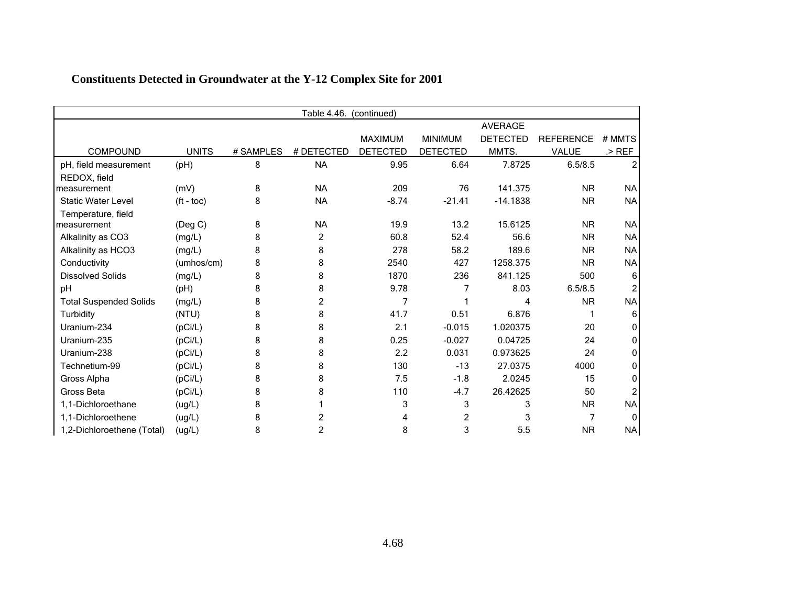|                               | Table 4.46.<br>(continued) |           |            |                 |                 |                 |                  |           |  |  |
|-------------------------------|----------------------------|-----------|------------|-----------------|-----------------|-----------------|------------------|-----------|--|--|
|                               |                            |           |            |                 |                 | <b>AVERAGE</b>  |                  |           |  |  |
|                               |                            |           |            | <b>MAXIMUM</b>  | <b>MINIMUM</b>  | <b>DETECTED</b> | <b>REFERENCE</b> | # MMTS    |  |  |
| COMPOUND                      | <b>UNITS</b>               | # SAMPLES | # DETECTED | <b>DETECTED</b> | <b>DETECTED</b> | MMTS.           | <b>VALUE</b>     | $>$ REF   |  |  |
| pH, field measurement         | (pH)                       | 8         | <b>NA</b>  | 9.95            | 6.64            | 7.8725          | 6.5/8.5          |           |  |  |
| REDOX, field                  |                            |           |            |                 |                 |                 |                  |           |  |  |
| measurement                   | (mV)                       | 8         | <b>NA</b>  | 209             | 76              | 141.375         | <b>NR</b>        | <b>NA</b> |  |  |
| <b>Static Water Level</b>     | $(t - toc)$                | 8         | <b>NA</b>  | $-8.74$         | $-21.41$        | $-14.1838$      | <b>NR</b>        | <b>NA</b> |  |  |
| Temperature, field            |                            |           |            |                 |                 |                 |                  |           |  |  |
| measurement                   | $($ Deg C $)$              | 8         | <b>NA</b>  | 19.9            | 13.2            | 15.6125         | <b>NR</b>        | NA        |  |  |
| Alkalinity as CO3             | (mg/L)                     | 8         | 2          | 60.8            | 52.4            | 56.6            | <b>NR</b>        | <b>NA</b> |  |  |
| Alkalinity as HCO3            | (mg/L)                     | 8         | 8          | 278             | 58.2            | 189.6           | <b>NR</b>        | <b>NA</b> |  |  |
| Conductivity                  | (umhos/cm)                 | 8         | 8          | 2540            | 427             | 1258.375        | <b>NR</b>        | <b>NA</b> |  |  |
| <b>Dissolved Solids</b>       | (mg/L)                     | 8         | 8          | 1870            | 236             | 841.125         | 500              | 6         |  |  |
| pH                            | (pH)                       | 8         | 8          | 9.78            |                 | 8.03            | 6.5/8.5          |           |  |  |
| <b>Total Suspended Solids</b> | (mg/L)                     | 8         | 2          | 7               |                 | 4               | <b>NR</b>        | <b>NA</b> |  |  |
| Turbidity                     | (NTU)                      | 8         | 8          | 41.7            | 0.51            | 6.876           |                  |           |  |  |
| Uranium-234                   | (pCi/L)                    | 8         | 8          | 2.1             | $-0.015$        | 1.020375        | 20               |           |  |  |
| Uranium-235                   | (pCi/L)                    | 8         | 8          | 0.25            | $-0.027$        | 0.04725         | 24               |           |  |  |
| Uranium-238                   | (pCi/L)                    | 8         | 8          | 2.2             | 0.031           | 0.973625        | 24               |           |  |  |
| Technetium-99                 | (pCi/L)                    | 8         | 8          | 130             | $-13$           | 27.0375         | 4000             |           |  |  |
| Gross Alpha                   | (pCi/L)                    | 8         | 8          | 7.5             | $-1.8$          | 2.0245          | 15               |           |  |  |
| Gross Beta                    | (pCi/L)                    | 8         | 8          | 110             | $-4.7$          | 26.42625        | 50               |           |  |  |
| 1,1-Dichloroethane            | (ug/L)                     | 8         |            | 3               | 3               | 3               | <b>NR</b>        | <b>NA</b> |  |  |
| 1,1-Dichloroethene            | (ug/L)                     | 8         |            | 4               | 2               | 3               | 7                | $\Omega$  |  |  |
| 1,2-Dichloroethene (Total)    | (ug/L)                     | 8         | 2          | 8               | 3               | 5.5             | <b>NR</b>        | <b>NA</b> |  |  |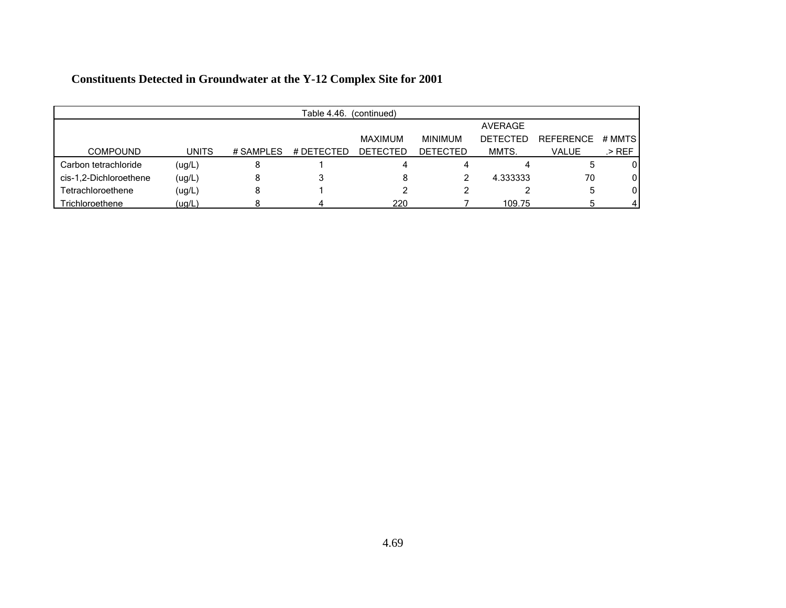|                        | Table 4.46.<br>(continued) |            |            |                 |                 |                 |                  |          |  |  |
|------------------------|----------------------------|------------|------------|-----------------|-----------------|-----------------|------------------|----------|--|--|
|                        |                            |            |            |                 |                 | AVERAGE         |                  |          |  |  |
|                        |                            |            |            | <b>MAXIMUM</b>  | <b>MINIMUM</b>  | <b>DETECTED</b> | <b>REFERENCE</b> | # MMTS   |  |  |
| <b>COMPOUND</b>        | <b>UNITS</b>               | # SAMPI FS | # DETECTED | <b>DETECTED</b> | <b>DETECTED</b> | MMTS.           | VALUE            | .> REF   |  |  |
| Carbon tetrachloride   | (ug/L)                     | 8          |            |                 | 4               | 4               |                  | 0        |  |  |
| cis-1,2-Dichloroethene | (ug/L)                     | 8          | 3          | 8               |                 | 4.333333        | 70               | 0        |  |  |
| Tetrachloroethene      | (ug/L)                     | 8          |            |                 |                 |                 |                  | 0        |  |  |
| Trichloroethene        | (ug/L)                     |            |            | 220             |                 | 109.75          |                  | $\Delta$ |  |  |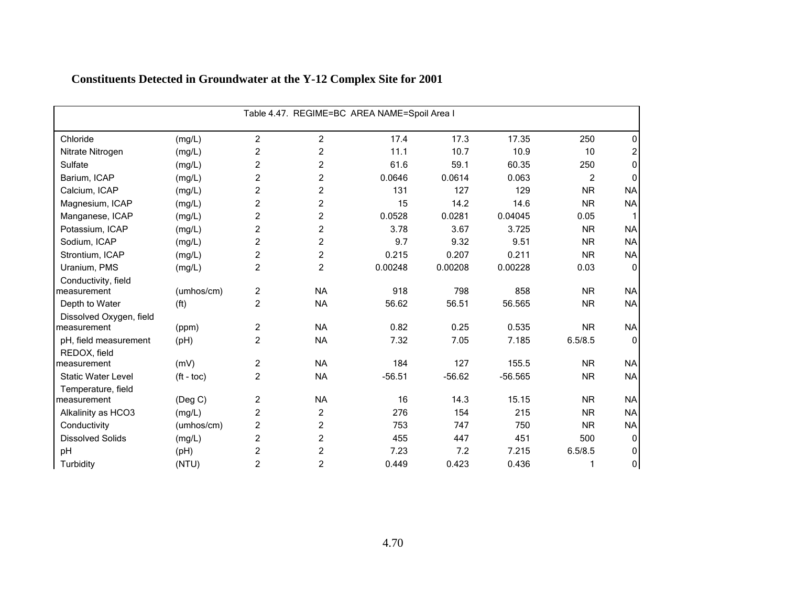| Table 4.47. REGIME=BC AREA NAME=Spoil Area I |                          |                |                |          |          |           |                |                |  |  |
|----------------------------------------------|--------------------------|----------------|----------------|----------|----------|-----------|----------------|----------------|--|--|
|                                              |                          |                |                |          |          |           |                |                |  |  |
| Chloride                                     | (mg/L)                   | $\overline{c}$ | $\overline{c}$ | 17.4     | 17.3     | 17.35     | 250            | 0              |  |  |
| Nitrate Nitrogen                             | (mg/L)                   | $\overline{c}$ | $\overline{c}$ | 11.1     | 10.7     | 10.9      | 10             | $\overline{c}$ |  |  |
| Sulfate                                      | (mg/L)                   | $\overline{c}$ | $\overline{c}$ | 61.6     | 59.1     | 60.35     | 250            | 0              |  |  |
| Barium, ICAP                                 | (mg/L)                   | 2              | 2              | 0.0646   | 0.0614   | 0.063     | $\overline{c}$ | $\mathbf{0}$   |  |  |
| Calcium, ICAP                                | (mg/L)                   | $\overline{c}$ | $\overline{c}$ | 131      | 127      | 129       | <b>NR</b>      | <b>NA</b>      |  |  |
| Magnesium, ICAP                              | (mg/L)                   | $\overline{c}$ | $\overline{c}$ | 15       | 14.2     | 14.6      | <b>NR</b>      | <b>NA</b>      |  |  |
| Manganese, ICAP                              | (mg/L)                   | $\overline{c}$ | 2              | 0.0528   | 0.0281   | 0.04045   | 0.05           |                |  |  |
| Potassium, ICAP                              | (mg/L)                   | $\overline{c}$ | $\overline{c}$ | 3.78     | 3.67     | 3.725     | <b>NR</b>      | <b>NA</b>      |  |  |
| Sodium, ICAP                                 | (mg/L)                   | $\overline{c}$ | $\overline{c}$ | 9.7      | 9.32     | 9.51      | <b>NR</b>      | <b>NA</b>      |  |  |
| Strontium, ICAP                              | (mg/L)                   | $\overline{c}$ | $\overline{c}$ | 0.215    | 0.207    | 0.211     | <b>NR</b>      | <b>NA</b>      |  |  |
| Uranium, PMS                                 | (mg/L)                   | $\overline{c}$ | $\overline{c}$ | 0.00248  | 0.00208  | 0.00228   | 0.03           | $\mathbf 0$    |  |  |
| Conductivity, field                          |                          |                |                |          |          |           |                |                |  |  |
| measurement                                  | (umhos/cm)               | $\overline{c}$ | <b>NA</b>      | 918      | 798      | 858       | <b>NR</b>      | <b>NA</b>      |  |  |
| Depth to Water                               | (f <sup>t</sup> )        | $\overline{c}$ | <b>NA</b>      | 56.62    | 56.51    | 56.565    | <b>NR</b>      | <b>NA</b>      |  |  |
| Dissolved Oxygen, field                      |                          |                |                |          |          |           |                |                |  |  |
| measurement                                  | (ppm)                    | $\overline{c}$ | <b>NA</b>      | 0.82     | 0.25     | 0.535     | <b>NR</b>      | <b>NA</b>      |  |  |
| pH, field measurement                        | (pH)                     | $\overline{2}$ | <b>NA</b>      | 7.32     | 7.05     | 7.185     | 6.5/8.5        | $\Omega$       |  |  |
| REDOX, field                                 |                          |                |                |          |          |           |                |                |  |  |
| measurement                                  | (mV)                     | $\overline{c}$ | <b>NA</b>      | 184      | 127      | 155.5     | <b>NR</b>      | <b>NA</b>      |  |  |
| <b>Static Water Level</b>                    | $({\rm ft} - {\rm toc})$ | $\overline{c}$ | <b>NA</b>      | $-56.51$ | $-56.62$ | $-56.565$ | <b>NR</b>      | <b>NA</b>      |  |  |
| Temperature, field                           |                          |                |                |          |          |           |                |                |  |  |
| measurement                                  | (Deg C)                  | $\overline{c}$ | <b>NA</b>      | 16       | 14.3     | 15.15     | <b>NR</b>      | <b>NA</b>      |  |  |
| Alkalinity as HCO3                           | (mg/L)                   | $\overline{c}$ | $\overline{c}$ | 276      | 154      | 215       | <b>NR</b>      | <b>NA</b>      |  |  |
| Conductivity                                 | (umhos/cm)               | $\overline{c}$ | 2              | 753      | 747      | 750       | <b>NR</b>      | <b>NA</b>      |  |  |
| <b>Dissolved Solids</b>                      | (mg/L)                   | $\overline{c}$ | 2              | 455      | 447      | 451       | 500            | $\mathbf 0$    |  |  |
| pH                                           | (pH)                     | $\overline{c}$ | $\overline{c}$ | 7.23     | 7.2      | 7.215     | 6.5/8.5        | 0              |  |  |
| Turbidity                                    | (NTU)                    | $\overline{2}$ | 2              | 0.449    | 0.423    | 0.436     | 1              | 0              |  |  |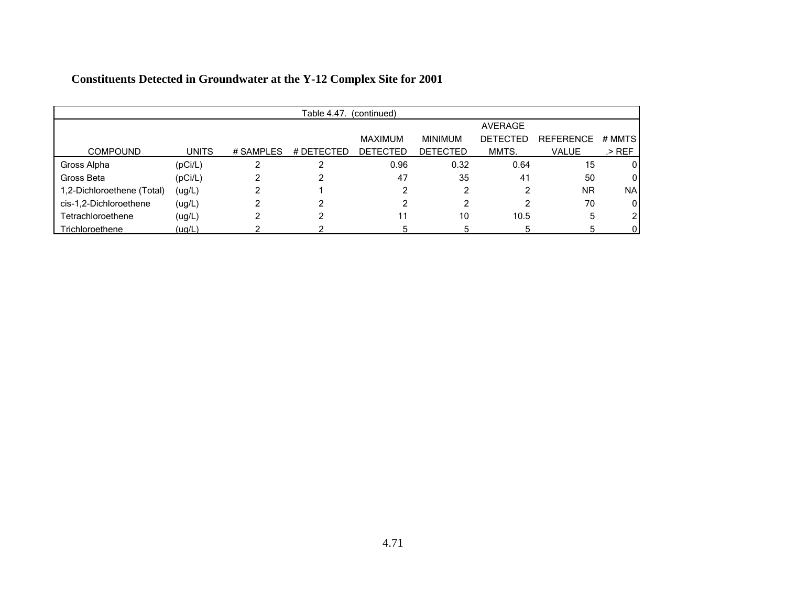|                            | Table 4.47.<br>(continued) |           |            |                 |                 |                 |                  |             |  |  |
|----------------------------|----------------------------|-----------|------------|-----------------|-----------------|-----------------|------------------|-------------|--|--|
|                            |                            |           |            |                 |                 | AVERAGE         |                  |             |  |  |
|                            |                            |           |            | <b>MAXIMUM</b>  | <b>MINIMUM</b>  | <b>DETECTED</b> | <b>REFERENCE</b> | # MMTS      |  |  |
| <b>COMPOUND</b>            | <b>UNITS</b>               | # SAMPLES | # DETECTED | <b>DETECTED</b> | <b>DETECTED</b> | MMTS.           | <b>VALUE</b>     | .> $REF$    |  |  |
| Gross Alpha                | (pCi/L)                    |           | ⌒          | 0.96            | 0.32            | 0.64            | 15               | 0           |  |  |
| Gross Beta                 | (pCi/L)                    |           |            | 47              | 35              | 41              | 50               | 0           |  |  |
| 1,2-Dichloroethene (Total) | (ug/L)                     |           |            |                 | 2               | ົ               | <b>NR</b>        | <b>NA</b>   |  |  |
| cis-1,2-Dichloroethene     | (ug/L)                     |           |            |                 | 2               | 2               | 70               | $\mathbf 0$ |  |  |
| Tetrachloroethene          | (ug/L)                     |           |            |                 | 10              | 10.5            | 5                | 2           |  |  |
| Trichloroethene            | (ug/L)                     |           |            |                 | 5               | 5               |                  | 0           |  |  |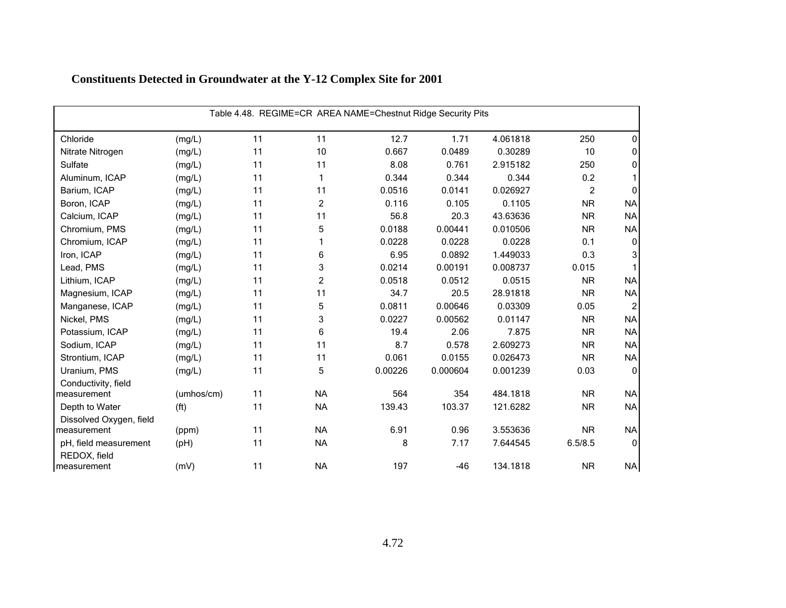| Table 4.48. REGIME=CR AREA NAME=Chestnut Ridge Security Pits |                   |    |                |         |          |          |                |                |  |
|--------------------------------------------------------------|-------------------|----|----------------|---------|----------|----------|----------------|----------------|--|
| Chloride                                                     | (mg/L)            | 11 | 11             | 12.7    | 1.71     | 4.061818 | 250            | 0              |  |
| Nitrate Nitrogen                                             | (mg/L)            | 11 | 10             | 0.667   | 0.0489   | 0.30289  | 10             | 0              |  |
| Sulfate                                                      | (mg/L)            | 11 | 11             | 8.08    | 0.761    | 2.915182 | 250            | 0              |  |
| Aluminum, ICAP                                               | (mg/L)            | 11 | 1              | 0.344   | 0.344    | 0.344    | 0.2            |                |  |
| Barium, ICAP                                                 | (mg/L)            | 11 | 11             | 0.0516  | 0.0141   | 0.026927 | $\overline{2}$ | 0              |  |
| Boron, ICAP                                                  | (mg/L)            | 11 | $\overline{c}$ | 0.116   | 0.105    | 0.1105   | <b>NR</b>      | <b>NA</b>      |  |
| Calcium, ICAP                                                | (mg/L)            | 11 | 11             | 56.8    | 20.3     | 43.63636 | <b>NR</b>      | <b>NA</b>      |  |
| Chromium, PMS                                                | (mg/L)            | 11 | 5              | 0.0188  | 0.00441  | 0.010506 | <b>NR</b>      | <b>NA</b>      |  |
| Chromium, ICAP                                               | (mg/L)            | 11 | 1              | 0.0228  | 0.0228   | 0.0228   | 0.1            | 0              |  |
| Iron, ICAP                                                   | (mg/L)            | 11 | 6              | 6.95    | 0.0892   | 1.449033 | 0.3            | 3              |  |
| Lead, PMS                                                    | (mg/L)            | 11 | 3              | 0.0214  | 0.00191  | 0.008737 | 0.015          |                |  |
| Lithium, ICAP                                                | (mg/L)            | 11 | $\overline{c}$ | 0.0518  | 0.0512   | 0.0515   | <b>NR</b>      | <b>NA</b>      |  |
| Magnesium, ICAP                                              | (mg/L)            | 11 | 11             | 34.7    | 20.5     | 28.91818 | <b>NR</b>      | <b>NA</b>      |  |
| Manganese, ICAP                                              | (mg/L)            | 11 | 5              | 0.0811  | 0.00646  | 0.03309  | 0.05           | $\overline{2}$ |  |
| Nickel, PMS                                                  | (mg/L)            | 11 | 3              | 0.0227  | 0.00562  | 0.01147  | <b>NR</b>      | <b>NA</b>      |  |
| Potassium, ICAP                                              | (mg/L)            | 11 | 6              | 19.4    | 2.06     | 7.875    | <b>NR</b>      | <b>NA</b>      |  |
| Sodium, ICAP                                                 | (mg/L)            | 11 | 11             | 8.7     | 0.578    | 2.609273 | <b>NR</b>      | <b>NA</b>      |  |
| Strontium, ICAP                                              | (mg/L)            | 11 | 11             | 0.061   | 0.0155   | 0.026473 | <b>NR</b>      | <b>NA</b>      |  |
| Uranium, PMS                                                 | (mg/L)            | 11 | 5              | 0.00226 | 0.000604 | 0.001239 | 0.03           | $\Omega$       |  |
| Conductivity, field<br>measurement                           | (umhos/cm)        | 11 | <b>NA</b>      | 564     | 354      | 484.1818 | <b>NR</b>      | <b>NA</b>      |  |
| Depth to Water                                               | (f <sup>t</sup> ) | 11 | <b>NA</b>      | 139.43  | 103.37   | 121.6282 | <b>NR</b>      | <b>NA</b>      |  |
| Dissolved Oxygen, field                                      |                   |    |                |         |          |          |                |                |  |
| measurement                                                  | (ppm)             | 11 | <b>NA</b>      | 6.91    | 0.96     | 3.553636 | <b>NR</b>      | <b>NA</b>      |  |
| pH, field measurement<br>REDOX, field                        | (pH)              | 11 | <b>NA</b>      | 8       | 7.17     | 7.644545 | 6.5/8.5        | $\mathbf 0$    |  |
| measurement                                                  | (mV)              | 11 | <b>NA</b>      | 197     | $-46$    | 134.1818 | <b>NR</b>      | <b>NA</b>      |  |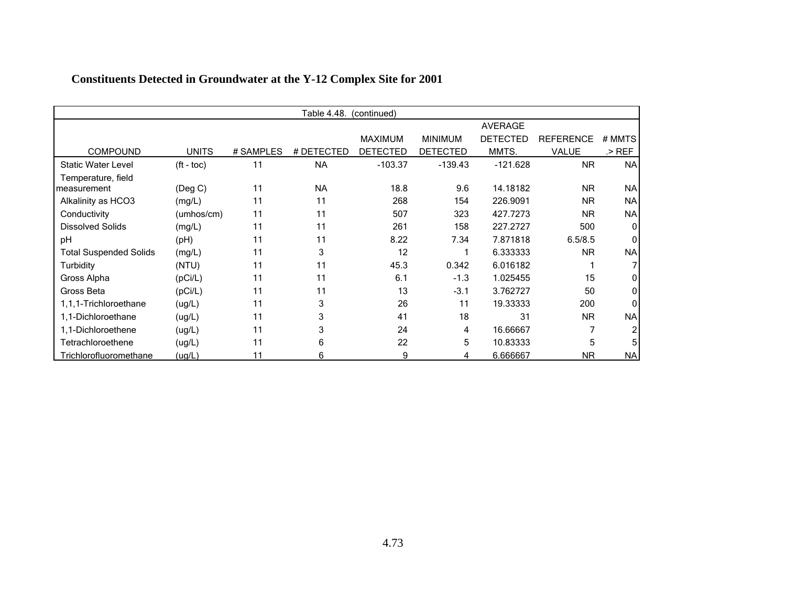|                                   |                          |           | Table 4.48. | (continued)     |                 |                 |                  |              |
|-----------------------------------|--------------------------|-----------|-------------|-----------------|-----------------|-----------------|------------------|--------------|
|                                   |                          |           |             |                 |                 | <b>AVERAGE</b>  |                  |              |
|                                   |                          |           |             | <b>MAXIMUM</b>  | <b>MINIMUM</b>  | <b>DETECTED</b> | <b>REFERENCE</b> | # MMTS       |
| <b>COMPOUND</b>                   | <b>UNITS</b>             | # SAMPLES | # DETECTED  | <b>DETECTED</b> | <b>DETECTED</b> | MMTS.           | VALUE            | $>$ REF      |
| <b>Static Water Level</b>         | $({\rm ft} - {\rm toc})$ | 11        | <b>NA</b>   | $-103.37$       | $-139.43$       | $-121.628$      | <b>NR</b>        | <b>NA</b>    |
| Temperature, field<br>measurement | (Deg C)                  | 11        | <b>NA</b>   | 18.8            | 9.6             | 14.18182        | <b>NR</b>        | NA           |
| Alkalinity as HCO3                | (mg/L)                   | 11        | 11          | 268             | 154             | 226.9091        | <b>NR</b>        | <b>NA</b>    |
| Conductivity                      | (umhos/cm)               | 11        | 11          | 507             | 323             | 427.7273        | <b>NR</b>        | <b>NA</b>    |
| <b>Dissolved Solids</b>           | (mg/L)                   | 11        | 11          | 261             | 158             | 227.2727        | 500              | $\mathbf{0}$ |
| pH                                | (Hq)                     | 11        | 11          | 8.22            | 7.34            | 7.871818        | 6.5/8.5          |              |
| <b>Total Suspended Solids</b>     | (mg/L)                   | 11        | 3           | 12              |                 | 6.333333        | <b>NR</b>        | <b>NA</b>    |
| Turbidity                         | (NTU)                    | 11        | 11          | 45.3            | 0.342           | 6.016182        |                  |              |
| Gross Alpha                       | (pCi/L)                  | 11        | 11          | 6.1             | $-1.3$          | 1.025455        | 15               |              |
| Gross Beta                        | (pCi/L)                  | 11        | 11          | 13              | $-3.1$          | 3.762727        | 50               |              |
| 1,1,1-Trichloroethane             | (ug/L)                   | 11        | 3           | 26              | 11              | 19.33333        | 200              |              |
| 1,1-Dichloroethane                | (ug/L)                   | 11        | 3           | 41              | 18              | 31              | <b>NR</b>        | <b>NA</b>    |
| 1,1-Dichloroethene                | (ug/L)                   | 11        | 3           | 24              | 4               | 16.66667        |                  |              |
| Tetrachloroethene                 | (ug/L)                   | 11        | 6           | 22              | 5               | 10.83333        | 5                |              |
| Trichlorofluoromethane            | (ug/L)                   | 11        | 6           | 9               | 4               | 6.666667        | <b>NR</b>        | <b>NA</b>    |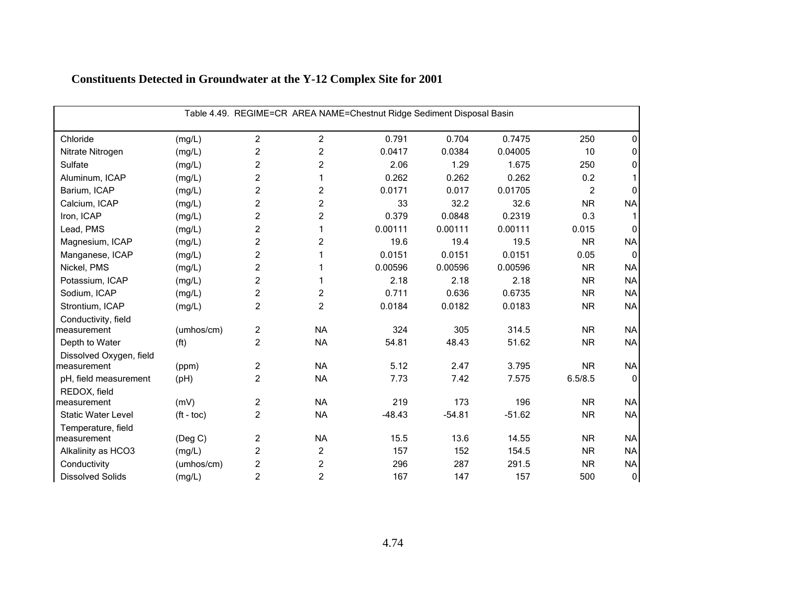| Table 4.49. REGIME=CR AREA NAME=Chestnut Ridge Sediment Disposal Basin |                          |                |                |          |          |          |           |              |  |  |
|------------------------------------------------------------------------|--------------------------|----------------|----------------|----------|----------|----------|-----------|--------------|--|--|
| Chloride                                                               | (mg/L)                   | $\overline{2}$ | $\overline{c}$ | 0.791    | 0.704    | 0.7475   | 250       | 0            |  |  |
| Nitrate Nitrogen                                                       | (mg/L)                   | $\overline{c}$ | $\overline{c}$ | 0.0417   | 0.0384   | 0.04005  | 10        | 0            |  |  |
| Sulfate                                                                | (mg/L)                   | $\overline{2}$ | 2              | 2.06     | 1.29     | 1.675    | 250       | 0            |  |  |
| Aluminum, ICAP                                                         | (mg/L)                   | $\overline{c}$ | 1              | 0.262    | 0.262    | 0.262    | 0.2       |              |  |  |
| Barium, ICAP                                                           | (mg/L)                   | $\overline{c}$ | $\overline{c}$ | 0.0171   | 0.017    | 0.01705  | 2         | O            |  |  |
| Calcium, ICAP                                                          | (mg/L)                   | $\overline{c}$ | $\overline{c}$ | 33       | 32.2     | 32.6     | <b>NR</b> | <b>NA</b>    |  |  |
| Iron, ICAP                                                             | (mg/L)                   | $\overline{c}$ | $\overline{c}$ | 0.379    | 0.0848   | 0.2319   | 0.3       |              |  |  |
| Lead, PMS                                                              | (mg/L)                   | $\overline{c}$ | 1              | 0.00111  | 0.00111  | 0.00111  | 0.015     | $\Omega$     |  |  |
| Magnesium, ICAP                                                        | (mg/L)                   | $\overline{c}$ | 2              | 19.6     | 19.4     | 19.5     | <b>NR</b> | <b>NA</b>    |  |  |
| Manganese, ICAP                                                        | (mg/L)                   | $\overline{c}$ | 1              | 0.0151   | 0.0151   | 0.0151   | 0.05      | 0            |  |  |
| Nickel, PMS                                                            | (mg/L)                   | $\overline{c}$ |                | 0.00596  | 0.00596  | 0.00596  | <b>NR</b> | <b>NA</b>    |  |  |
| Potassium, ICAP                                                        | (mg/L)                   | $\overline{c}$ | 1              | 2.18     | 2.18     | 2.18     | <b>NR</b> | <b>NA</b>    |  |  |
| Sodium, ICAP                                                           | (mg/L)                   | $\overline{c}$ | $\overline{c}$ | 0.711    | 0.636    | 0.6735   | <b>NR</b> | <b>NA</b>    |  |  |
| Strontium, ICAP                                                        | (mg/L)                   | $\overline{c}$ | $\overline{2}$ | 0.0184   | 0.0182   | 0.0183   | <b>NR</b> | <b>NA</b>    |  |  |
| Conductivity, field                                                    |                          |                |                |          |          |          |           |              |  |  |
| measurement                                                            | (umhos/cm)               | $\overline{c}$ | <b>NA</b>      | 324      | 305      | 314.5    | <b>NR</b> | <b>NA</b>    |  |  |
| Depth to Water                                                         | (f <sup>t</sup> )        | $\overline{c}$ | <b>NA</b>      | 54.81    | 48.43    | 51.62    | <b>NR</b> | <b>NA</b>    |  |  |
| Dissolved Oxygen, field                                                |                          |                |                |          |          |          |           |              |  |  |
| measurement                                                            | (ppm)                    | $\overline{c}$ | <b>NA</b>      | 5.12     | 2.47     | 3.795    | <b>NR</b> | <b>NA</b>    |  |  |
| pH, field measurement                                                  | (pH)                     | $\overline{2}$ | <b>NA</b>      | 7.73     | 7.42     | 7.575    | 6.5/8.5   | $\Omega$     |  |  |
| REDOX, field                                                           |                          |                |                |          |          |          |           |              |  |  |
| measurement                                                            | (mV)                     | $\overline{c}$ | <b>NA</b>      | 219      | 173      | 196      | <b>NR</b> | <b>NA</b>    |  |  |
| <b>Static Water Level</b>                                              | $({\rm ft} - {\rm toc})$ | $\overline{2}$ | <b>NA</b>      | $-48.43$ | $-54.81$ | $-51.62$ | <b>NR</b> | <b>NA</b>    |  |  |
| Temperature, field<br>measurement                                      | (Deg C)                  | $\overline{c}$ | <b>NA</b>      | 15.5     | 13.6     | 14.55    | <b>NR</b> | <b>NA</b>    |  |  |
| Alkalinity as HCO3                                                     | (mg/L)                   | $\overline{c}$ | 2              | 157      | 152      | 154.5    | <b>NR</b> | <b>NA</b>    |  |  |
| Conductivity                                                           | (umhos/cm)               | $\overline{c}$ | 2              | 296      | 287      | 291.5    | <b>NR</b> | <b>NA</b>    |  |  |
| <b>Dissolved Solids</b>                                                | (mg/L)                   | $\overline{c}$ | $\overline{c}$ | 167      | 147      | 157      | 500       | $\mathbf{0}$ |  |  |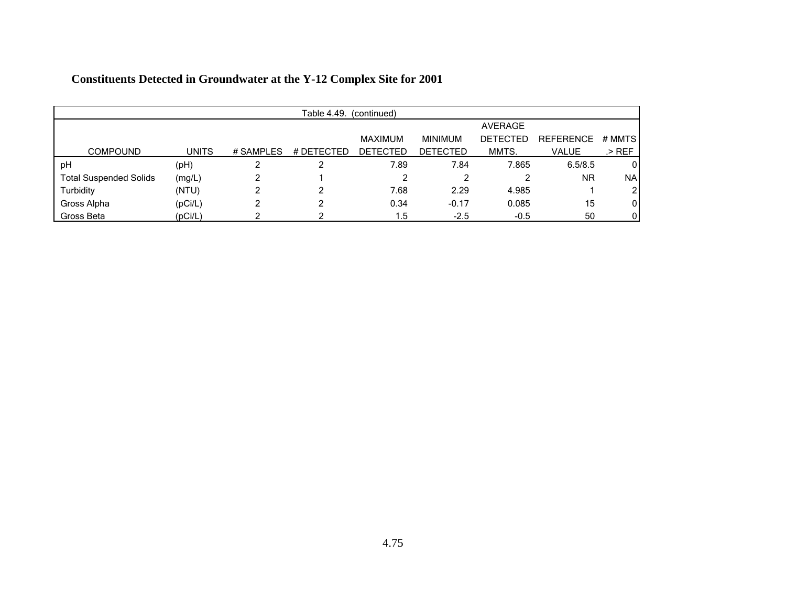|                               | Table 4.49.<br>(continued) |           |            |                 |                 |                 |                  |           |  |  |
|-------------------------------|----------------------------|-----------|------------|-----------------|-----------------|-----------------|------------------|-----------|--|--|
|                               |                            |           |            |                 |                 | AVERAGE         |                  |           |  |  |
|                               |                            |           |            | MAXIMUM         | <b>MINIMUM</b>  | <b>DETECTED</b> | <b>REFERENCE</b> | # MMTS    |  |  |
| <b>COMPOUND</b>               | <b>UNITS</b>               | # SAMPLES | # DETECTED | <b>DETECTED</b> | <b>DETECTED</b> | MMTS.           | <b>VALUE</b>     | .> REF    |  |  |
| pH                            | (pH)                       |           |            | 7.89            | 7.84            | 7.865           | 6.5/8.5          | 0         |  |  |
| <b>Total Suspended Solids</b> | (mg/L)                     |           |            |                 | 2               |                 | <b>NR</b>        | <b>NA</b> |  |  |
| Turbidity                     | (NTU)                      |           | າ          | 7.68            | 2.29            | 4.985           |                  | 2         |  |  |
| Gross Alpha                   | (pCi/L)                    | ົ         | ົ          | 0.34            | $-0.17$         | 0.085           | 15               | 0         |  |  |
| Gross Beta                    | (pCi/L)                    |           |            | 1.5             | $-2.5$          | $-0.5$          | 50               | 0         |  |  |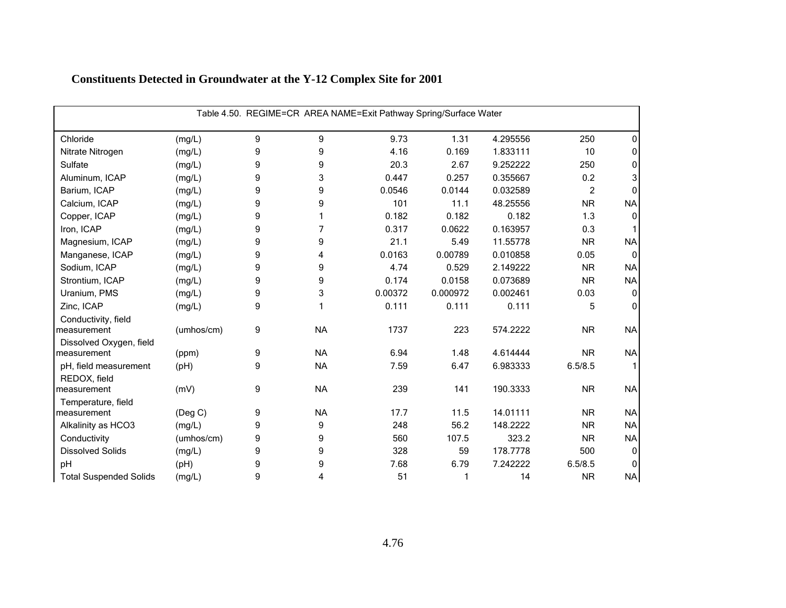| Table 4.50. REGIME=CR AREA NAME=Exit Pathway Spring/Surface Water |               |   |           |         |          |          |           |              |  |
|-------------------------------------------------------------------|---------------|---|-----------|---------|----------|----------|-----------|--------------|--|
| Chloride                                                          | (mg/L)        | 9 | 9         | 9.73    | 1.31     | 4.295556 | 250       | ŋ            |  |
| Nitrate Nitrogen                                                  | (mg/L)        | 9 | 9         | 4.16    | 0.169    | 1.833111 | 10        | 0            |  |
| Sulfate                                                           | (mg/L)        | 9 | 9         | 20.3    | 2.67     | 9.252222 | 250       | 0            |  |
| Aluminum, ICAP                                                    | (mg/L)        | 9 | 3         | 0.447   | 0.257    | 0.355667 | 0.2       | 3            |  |
| Barium, ICAP                                                      | (mg/L)        | 9 | 9         | 0.0546  | 0.0144   | 0.032589 | 2         |              |  |
| Calcium, ICAP                                                     | (mg/L)        | 9 | 9         | 101     | 11.1     | 48.25556 | <b>NR</b> | <b>NA</b>    |  |
| Copper, ICAP                                                      | (mg/L)        | 9 |           | 0.182   | 0.182    | 0.182    | 1.3       | 0            |  |
| Iron, ICAP                                                        | (mg/L)        | 9 | 7         | 0.317   | 0.0622   | 0.163957 | 0.3       |              |  |
| Magnesium, ICAP                                                   | (mg/L)        | 9 | 9         | 21.1    | 5.49     | 11.55778 | <b>NR</b> | <b>NA</b>    |  |
| Manganese, ICAP                                                   | (mg/L)        | 9 | 4         | 0.0163  | 0.00789  | 0.010858 | 0.05      | $\mathbf{0}$ |  |
| Sodium, ICAP                                                      | (mg/L)        | 9 | 9         | 4.74    | 0.529    | 2.149222 | <b>NR</b> | <b>NA</b>    |  |
| Strontium, ICAP                                                   | (mg/L)        | 9 | 9         | 0.174   | 0.0158   | 0.073689 | <b>NR</b> | <b>NA</b>    |  |
| Uranium, PMS                                                      | (mg/L)        | 9 | 3         | 0.00372 | 0.000972 | 0.002461 | 0.03      | $\mathbf 0$  |  |
| Zinc, ICAP                                                        | (mg/L)        | 9 |           | 0.111   | 0.111    | 0.111    | 5         | $\Omega$     |  |
| Conductivity, field<br>measurement                                | (umhos/cm)    | 9 | <b>NA</b> | 1737    | 223      | 574.2222 | <b>NR</b> | <b>NA</b>    |  |
| Dissolved Oxygen, field                                           |               |   |           |         |          |          |           |              |  |
| measurement                                                       | (ppm)         | 9 | <b>NA</b> | 6.94    | 1.48     | 4.614444 | <b>NR</b> | <b>NA</b>    |  |
| pH, field measurement                                             | (pH)          | 9 | <b>NA</b> | 7.59    | 6.47     | 6.983333 | 6.5/8.5   |              |  |
| REDOX, field                                                      |               |   |           |         |          |          |           |              |  |
| measurement                                                       | (mV)          | 9 | <b>NA</b> | 239     | 141      | 190.3333 | <b>NR</b> | <b>NA</b>    |  |
| Temperature, field                                                |               |   |           |         |          |          |           |              |  |
| measurement                                                       | $($ Deg C $)$ | 9 | <b>NA</b> | 17.7    | 11.5     | 14.01111 | <b>NR</b> | <b>NA</b>    |  |
| Alkalinity as HCO3                                                | (mg/L)        | 9 | 9         | 248     | 56.2     | 148.2222 | <b>NR</b> | <b>NA</b>    |  |
| Conductivity                                                      | (umhos/cm)    | 9 | 9         | 560     | 107.5    | 323.2    | <b>NR</b> | <b>NA</b>    |  |
| <b>Dissolved Solids</b>                                           | (mg/L)        | 9 | 9         | 328     | 59       | 178.7778 | 500       | 0            |  |
| pH                                                                | (Hq)          | 9 | 9         | 7.68    | 6.79     | 7.242222 | 6.5/8.5   | $\Omega$     |  |
| <b>Total Suspended Solids</b>                                     | (mg/L)        | 9 | 4         | 51      |          | 14       | <b>NR</b> | <b>NA</b>    |  |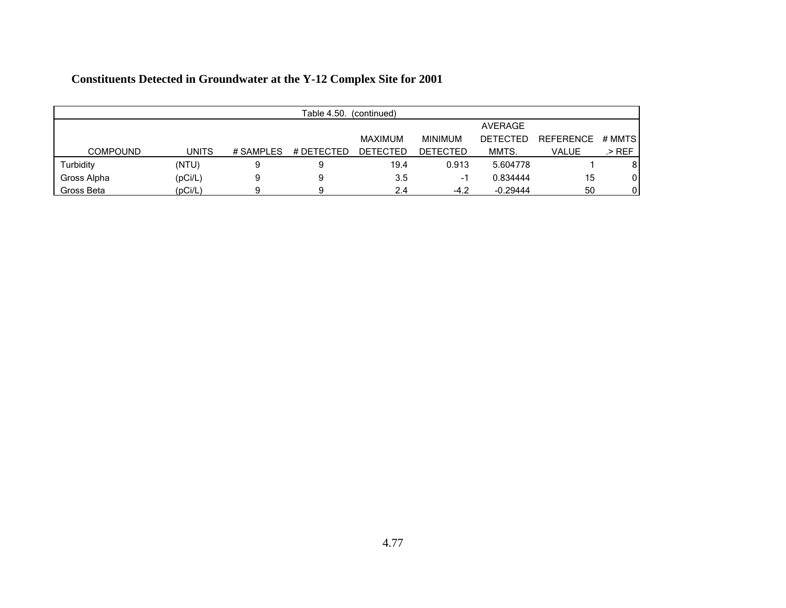|                 | Table 4.50.<br>(continued) |           |            |                 |                 |                 |                  |        |  |  |
|-----------------|----------------------------|-----------|------------|-----------------|-----------------|-----------------|------------------|--------|--|--|
|                 |                            |           |            |                 |                 | AVERAGE         |                  |        |  |  |
|                 |                            |           |            | <b>MAXIMUM</b>  | <b>MINIMUM</b>  | <b>DETECTED</b> | <b>REFERENCE</b> | # MMTS |  |  |
| <b>COMPOUND</b> | <b>UNITS</b>               | # SAMPLES | # DETECTED | <b>DETECTED</b> | <b>DETECTED</b> | MMTS.           | VALUE            | .> REF |  |  |
| Turbidity       | (NTU)                      | 9         | 9          | 19.4            | 0.913           | 5.604778        |                  | 8      |  |  |
| Gross Alpha     | (pCi/L)                    |           | 9          | 3.5             | -1              | 0.834444        | 15               | 0      |  |  |
| Gross Beta      | (pCi/L)                    |           |            | 2.4             | $-4.2$          | $-0.29444$      | 50               |        |  |  |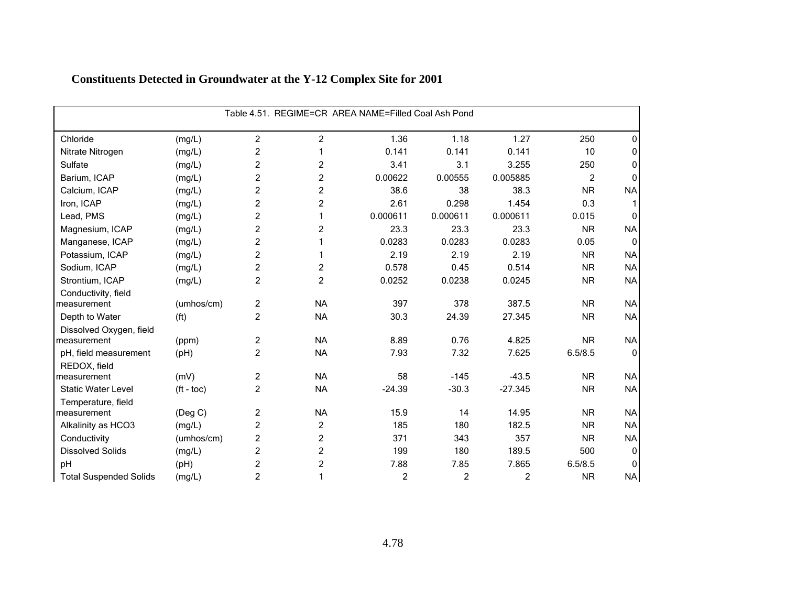| Table 4.51. REGIME=CR AREA NAME=Filled Coal Ash Pond |                       |                |                |                |                |                |                |              |  |
|------------------------------------------------------|-----------------------|----------------|----------------|----------------|----------------|----------------|----------------|--------------|--|
| Chloride                                             | (mg/L)                | $\overline{2}$ | 2              | 1.36           | 1.18           | 1.27           | 250            | 0            |  |
| Nitrate Nitrogen                                     | (mg/L)                | $\overline{c}$ |                | 0.141          | 0.141          | 0.141          | 10             | $\Omega$     |  |
| Sulfate                                              | (mg/L)                | $\overline{c}$ | 2              | 3.41           | 3.1            | 3.255          | 250            | 0            |  |
| Barium, ICAP                                         | (mg/L)                | $\overline{2}$ | 2              | 0.00622        | 0.00555        | 0.005885       | $\overline{c}$ | $\Omega$     |  |
| Calcium, ICAP                                        | (mg/L)                | $\overline{2}$ | $\overline{c}$ | 38.6           | 38             | 38.3           | <b>NR</b>      | <b>NA</b>    |  |
| Iron, ICAP                                           | (mg/L)                | $\overline{c}$ | $\overline{c}$ | 2.61           | 0.298          | 1.454          | 0.3            |              |  |
| Lead, PMS                                            | (mg/L)                | $\overline{c}$ |                | 0.000611       | 0.000611       | 0.000611       | 0.015          | $\Omega$     |  |
| Magnesium, ICAP                                      | (mg/L)                | $\overline{c}$ | 2              | 23.3           | 23.3           | 23.3           | <b>NR</b>      | <b>NA</b>    |  |
| Manganese, ICAP                                      | (mg/L)                | $\overline{c}$ |                | 0.0283         | 0.0283         | 0.0283         | 0.05           | $\Omega$     |  |
| Potassium, ICAP                                      | (mg/L)                | $\overline{c}$ |                | 2.19           | 2.19           | 2.19           | <b>NR</b>      | <b>NA</b>    |  |
| Sodium, ICAP                                         | (mg/L)                | $\overline{c}$ | 2              | 0.578          | 0.45           | 0.514          | <b>NR</b>      | <b>NA</b>    |  |
| Strontium, ICAP                                      | (mg/L)                | $\overline{2}$ | 2              | 0.0252         | 0.0238         | 0.0245         | <b>NR</b>      | <b>NA</b>    |  |
| Conductivity, field                                  |                       |                |                |                |                |                |                |              |  |
| measurement                                          | (umhos/cm)            | $\overline{c}$ | <b>NA</b>      | 397            | 378            | 387.5          | <b>NR</b>      | <b>NA</b>    |  |
| Depth to Water                                       | (f <sup>t</sup> )     | $\overline{2}$ | <b>NA</b>      | 30.3           | 24.39          | 27.345         | <b>NR</b>      | <b>NA</b>    |  |
| Dissolved Oxygen, field                              |                       |                |                |                |                |                |                |              |  |
| measurement                                          | (ppm)                 | $\overline{c}$ | <b>NA</b>      | 8.89           | 0.76           | 4.825          | <b>NR</b>      | <b>NA</b>    |  |
| pH, field measurement                                | (Hq)                  | $\overline{2}$ | <b>NA</b>      | 7.93           | 7.32           | 7.625          | 6.5/8.5        | $\mathbf{0}$ |  |
| REDOX, field                                         |                       |                |                |                |                |                |                |              |  |
| measurement                                          | (mV)                  | $\overline{2}$ | <b>NA</b>      | 58             | $-145$         | $-43.5$        | <b>NR</b>      | <b>NA</b>    |  |
| <b>Static Water Level</b>                            | $({\rm ft -}$ toc $)$ | $\overline{2}$ | <b>NA</b>      | $-24.39$       | $-30.3$        | $-27.345$      | <b>NR</b>      | <b>NA</b>    |  |
| Temperature, field                                   |                       | $\overline{c}$ | <b>NA</b>      | 15.9           | 14             | 14.95          | <b>NR</b>      |              |  |
| measurement                                          | $($ Deg C $)$         |                |                | 185            |                | 182.5          |                | <b>NA</b>    |  |
| Alkalinity as HCO3                                   | (mg/L)                | $\overline{c}$ | 2              |                | 180            |                | <b>NR</b>      | <b>NA</b>    |  |
| Conductivity                                         | (umhos/cm)            | $\overline{c}$ | $\overline{c}$ | 371            | 343            | 357            | <b>NR</b>      | <b>NA</b>    |  |
| <b>Dissolved Solids</b>                              | (mg/L)                | $\overline{c}$ | 2              | 199            | 180            | 189.5          | 500            | $\Omega$     |  |
| pH                                                   | (Hq)                  | $\overline{c}$ | $\overline{c}$ | 7.88           | 7.85           | 7.865          | 6.5/8.5        | $\Omega$     |  |
| <b>Total Suspended Solids</b>                        | (mg/L)                | $\overline{c}$ |                | $\overline{c}$ | $\overline{c}$ | $\overline{2}$ | <b>NR</b>      | <b>NA</b>    |  |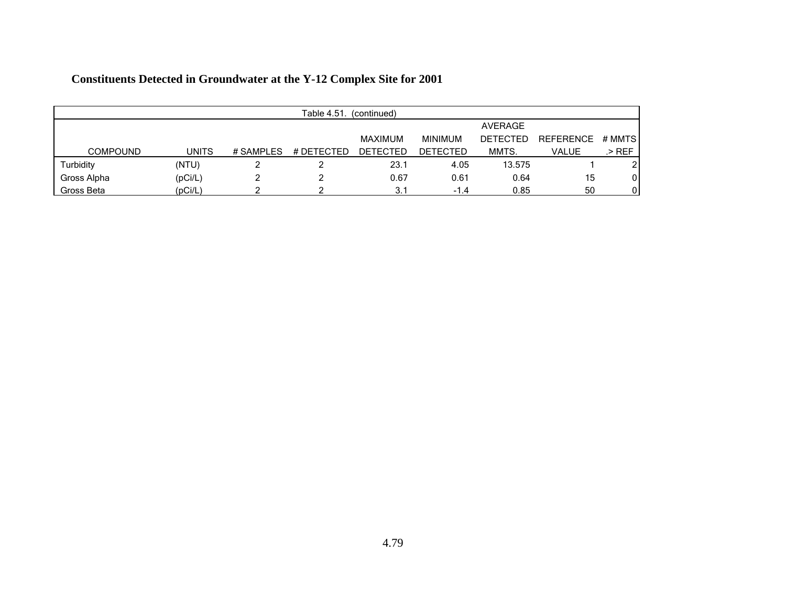|                 | Table 4.51.<br>(continued) |           |            |                 |                 |                 |                  |        |  |  |
|-----------------|----------------------------|-----------|------------|-----------------|-----------------|-----------------|------------------|--------|--|--|
|                 |                            |           |            |                 |                 | AVERAGE         |                  |        |  |  |
|                 |                            |           |            | <b>MAXIMUM</b>  | <b>MINIMUM</b>  | <b>DETECTED</b> | <b>REFERENCE</b> | # MMTS |  |  |
| <b>COMPOUND</b> | <b>UNITS</b>               | # SAMPLES | # DETECTED | <b>DETECTED</b> | <b>DETECTED</b> | MMTS.           | <b>VALUE</b>     | .> REF |  |  |
| Turbidity       | (NTU)                      |           |            | 23.1            | 4.05            | 13.575          |                  |        |  |  |
| Gross Alpha     | (pCi/L)                    |           |            | 0.67            | 0.61            | 0.64            | 15               | 0      |  |  |
| Gross Beta      | (pCi/L)                    |           |            | 3.1             | $-1.4$          | 0.85            | 50               | 0      |  |  |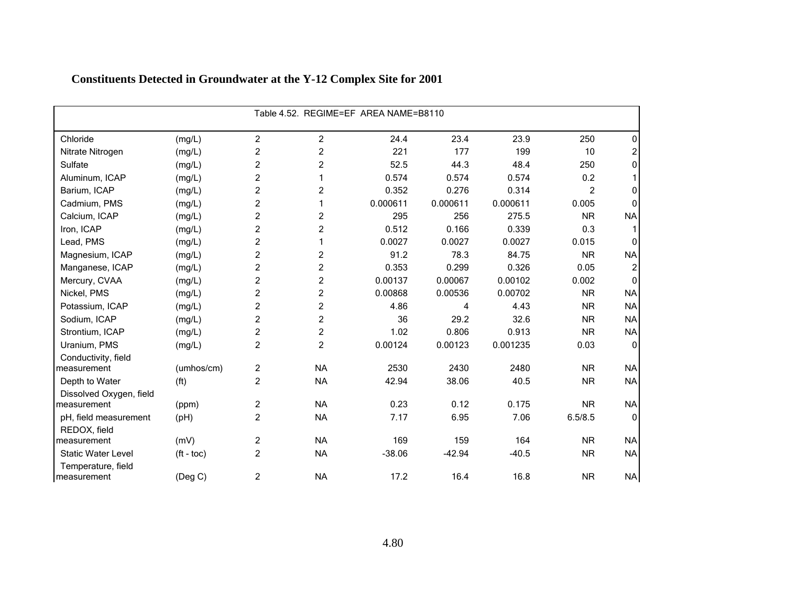|                                   |                   | Table 4.52. REGIME=EF AREA NAME=B8110 |                |          |          |          |                |              |  |  |
|-----------------------------------|-------------------|---------------------------------------|----------------|----------|----------|----------|----------------|--------------|--|--|
| Chloride                          | (mg/L)            | $\overline{c}$                        | $\overline{c}$ | 24.4     | 23.4     | 23.9     | 250            | 0            |  |  |
| Nitrate Nitrogen                  | (mg/L)            | $\overline{c}$                        | $\overline{c}$ | 221      | 177      | 199      | 10             | 2            |  |  |
| Sulfate                           | (mg/L)            | $\overline{c}$                        | $\overline{c}$ | 52.5     | 44.3     | 48.4     | 250            | 0            |  |  |
| Aluminum, ICAP                    | (mg/L)            | $\overline{c}$                        | 1              | 0.574    | 0.574    | 0.574    | 0.2            |              |  |  |
| Barium, ICAP                      | (mg/L)            | $\overline{c}$                        | $\overline{c}$ | 0.352    | 0.276    | 0.314    | $\overline{2}$ | 0            |  |  |
| Cadmium, PMS                      | (mg/L)            | $\overline{c}$                        | 1              | 0.000611 | 0.000611 | 0.000611 | 0.005          | O            |  |  |
| Calcium, ICAP                     | (mg/L)            | $\overline{c}$                        | 2              | 295      | 256      | 275.5    | <b>NR</b>      | <b>NA</b>    |  |  |
| Iron, ICAP                        | (mg/L)            | $\overline{c}$                        | $\overline{c}$ | 0.512    | 0.166    | 0.339    | 0.3            |              |  |  |
| Lead, PMS                         | (mg/L)            | $\overline{c}$                        | 1              | 0.0027   | 0.0027   | 0.0027   | 0.015          | 0            |  |  |
| Magnesium, ICAP                   | (mg/L)            | $\overline{c}$                        | $\overline{c}$ | 91.2     | 78.3     | 84.75    | <b>NR</b>      | <b>NA</b>    |  |  |
| Manganese, ICAP                   | (mg/L)            | $\overline{c}$                        | $\overline{c}$ | 0.353    | 0.299    | 0.326    | 0.05           | 2            |  |  |
| Mercury, CVAA                     | (mg/L)            | $\overline{c}$                        | $\overline{c}$ | 0.00137  | 0.00067  | 0.00102  | 0.002          | $\Omega$     |  |  |
| Nickel, PMS                       | (mg/L)            | $\overline{2}$                        | $\overline{c}$ | 0.00868  | 0.00536  | 0.00702  | <b>NR</b>      | <b>NA</b>    |  |  |
| Potassium, ICAP                   | (mg/L)            | $\overline{c}$                        | $\overline{c}$ | 4.86     | 4        | 4.43     | <b>NR</b>      | <b>NA</b>    |  |  |
| Sodium, ICAP                      | (mg/L)            | $\overline{2}$                        | $\overline{c}$ | 36       | 29.2     | 32.6     | <b>NR</b>      | <b>NA</b>    |  |  |
| Strontium, ICAP                   | (mg/L)            | $\overline{c}$                        | $\overline{c}$ | 1.02     | 0.806    | 0.913    | <b>NR</b>      | <b>NA</b>    |  |  |
| Uranium, PMS                      | (mg/L)            | $\overline{c}$                        | $\overline{c}$ | 0.00124  | 0.00123  | 0.001235 | 0.03           | $\mathbf 0$  |  |  |
| Conductivity, field               |                   |                                       |                |          |          |          |                |              |  |  |
| measurement                       | (umhos/cm)        | $\overline{c}$                        | <b>NA</b>      | 2530     | 2430     | 2480     | <b>NR</b>      | <b>NA</b>    |  |  |
| Depth to Water                    | (f <sup>t</sup> ) | $\overline{c}$                        | <b>NA</b>      | 42.94    | 38.06    | 40.5     | <b>NR</b>      | <b>NA</b>    |  |  |
| Dissolved Oxygen, field           |                   |                                       |                |          |          |          |                |              |  |  |
| measurement                       | (ppm)             | $\overline{c}$                        | <b>NA</b>      | 0.23     | 0.12     | 0.175    | <b>NR</b>      | <b>NA</b>    |  |  |
| pH, field measurement             | (pH)              | $\overline{c}$                        | <b>NA</b>      | 7.17     | 6.95     | 7.06     | 6.5/8.5        | $\mathbf{0}$ |  |  |
| REDOX, field                      |                   |                                       |                |          |          |          |                |              |  |  |
| measurement                       | (mV)              | $\overline{c}$                        | <b>NA</b>      | 169      | 159      | 164      | <b>NR</b>      | <b>NA</b>    |  |  |
| <b>Static Water Level</b>         | $(ft - toc)$      | $\overline{c}$                        | <b>NA</b>      | $-38.06$ | $-42.94$ | $-40.5$  | <b>NR</b>      | <b>NA</b>    |  |  |
| Temperature, field<br>measurement | $($ Deg C $)$     | $\overline{2}$                        | <b>NA</b>      | 17.2     | 16.4     | 16.8     | <b>NR</b>      | <b>NA</b>    |  |  |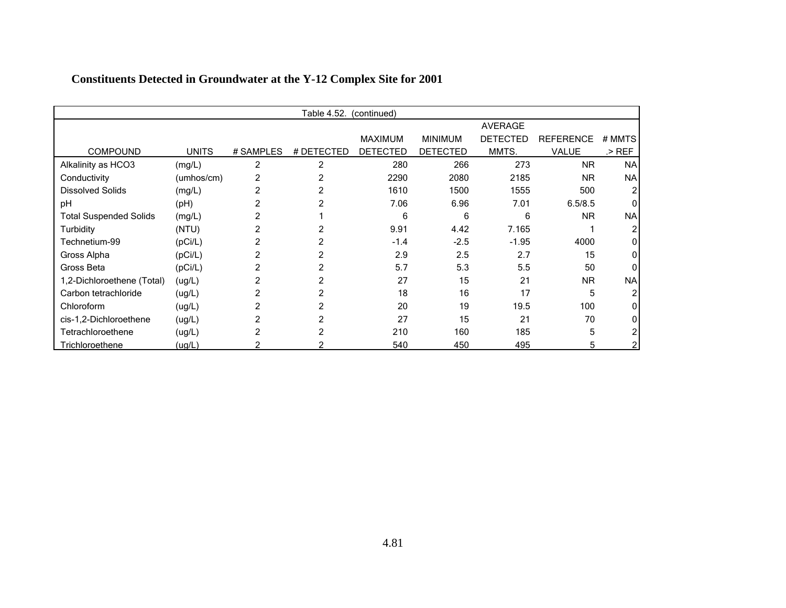|                               |              |                | Table 4.52. | (continued)     |                 |                 |                  |           |
|-------------------------------|--------------|----------------|-------------|-----------------|-----------------|-----------------|------------------|-----------|
|                               |              |                |             |                 |                 | <b>AVERAGE</b>  |                  |           |
|                               |              |                |             | <b>MAXIMUM</b>  | <b>MINIMUM</b>  | <b>DETECTED</b> | <b>REFERENCE</b> | # MMTS    |
| <b>COMPOUND</b>               | <b>UNITS</b> | # SAMPLES      | # DETECTED  | <b>DETECTED</b> | <b>DETECTED</b> | MMTS.           | VALUE            | $>$ REF   |
| Alkalinity as HCO3            | (mg/L)       | $\overline{2}$ | 2           | 280             | 266             | 273             | <b>NR</b>        | <b>NA</b> |
| Conductivity                  | (umhos/cm)   | 2              |             | 2290            | 2080            | 2185            | <b>NR</b>        | <b>NA</b> |
| <b>Dissolved Solids</b>       | (mg/L)       |                |             | 1610            | 1500            | 1555            | 500              |           |
| pH                            | (Hq)         |                |             | 7.06            | 6.96            | 7.01            | 6.5/8.5          |           |
| <b>Total Suspended Solids</b> | (mg/L)       |                |             | 6               | 6               | 6               | <b>NR</b>        | <b>NA</b> |
| Turbidity                     | (NTU)        |                |             | 9.91            | 4.42            | 7.165           |                  |           |
| Technetium-99                 | (pCi/L)      |                |             | $-1.4$          | $-2.5$          | $-1.95$         | 4000             |           |
| Gross Alpha                   | (pCi/L)      |                |             | 2.9             | 2.5             | 2.7             | 15               |           |
| Gross Beta                    | (pCi/L)      |                |             | 5.7             | 5.3             | 5.5             | 50               |           |
| 1,2-Dichloroethene (Total)    | (ug/L)       |                |             | 27              | 15              | 21              | <b>NR</b>        | <b>NA</b> |
| Carbon tetrachloride          | (ug/L)       | 2              |             | 18              | 16              | 17              | 5                |           |
| Chloroform                    | (ug/L)       |                |             | 20              | 19              | 19.5            | 100              |           |
| cis-1,2-Dichloroethene        | (ug/L)       | 2              |             | 27              | 15              | 21              | 70               |           |
| Tetrachloroethene             | (ug/L)       |                |             | 210             | 160             | 185             | 5                |           |
| Trichloroethene               | (ug/L)       |                |             | 540             | 450             | 495             | 5                |           |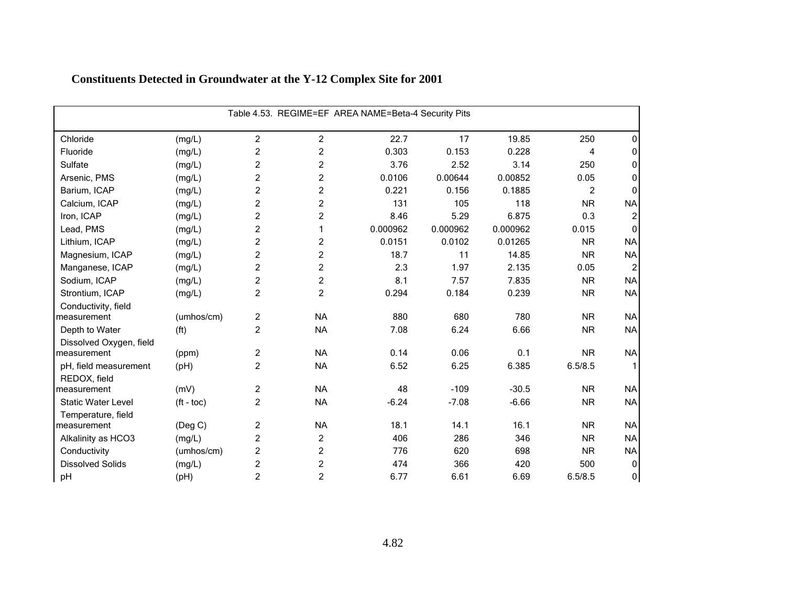|                           | Table 4.53. REGIME=EF AREA NAME=Beta-4 Security Pits |                |                         |          |          |          |           |                |  |  |  |
|---------------------------|------------------------------------------------------|----------------|-------------------------|----------|----------|----------|-----------|----------------|--|--|--|
| Chloride                  | (mg/L)                                               | $\overline{c}$ | $\overline{c}$          | 22.7     | 17       | 19.85    | 250       | 0              |  |  |  |
| Fluoride                  | (mg/L)                                               | $\overline{c}$ | $\overline{c}$          | 0.303    | 0.153    | 0.228    | 4         | 0              |  |  |  |
| Sulfate                   | (mg/L)                                               | $\overline{c}$ | 2                       | 3.76     | 2.52     | 3.14     | 250       | 0              |  |  |  |
| Arsenic, PMS              | (mg/L)                                               | $\overline{c}$ | $\overline{c}$          | 0.0106   | 0.00644  | 0.00852  | 0.05      | 0              |  |  |  |
| Barium, ICAP              | (mg/L)                                               | $\overline{c}$ | 2                       | 0.221    | 0.156    | 0.1885   | 2         | $\Omega$       |  |  |  |
| Calcium, ICAP             | (mg/L)                                               | $\overline{c}$ | $\overline{c}$          | 131      | 105      | 118      | <b>NR</b> | <b>NA</b>      |  |  |  |
| Iron, ICAP                | (mg/L)                                               | $\overline{c}$ | $\overline{c}$          | 8.46     | 5.29     | 6.875    | 0.3       | 2              |  |  |  |
| Lead, PMS                 | (mg/L)                                               | $\overline{c}$ | 1                       | 0.000962 | 0.000962 | 0.000962 | 0.015     | $\Omega$       |  |  |  |
| Lithium, ICAP             | (mg/L)                                               | $\overline{c}$ | 2                       | 0.0151   | 0.0102   | 0.01265  | <b>NR</b> | <b>NA</b>      |  |  |  |
| Magnesium, ICAP           | (mg/L)                                               | $\overline{c}$ | $\overline{\mathbf{c}}$ | 18.7     | 11       | 14.85    | <b>NR</b> | <b>NA</b>      |  |  |  |
| Manganese, ICAP           | (mg/L)                                               | $\overline{c}$ | $\overline{c}$          | 2.3      | 1.97     | 2.135    | 0.05      | $\overline{2}$ |  |  |  |
| Sodium, ICAP              | (mg/L)                                               | $\overline{c}$ | $\overline{c}$          | 8.1      | 7.57     | 7.835    | <b>NR</b> | <b>NA</b>      |  |  |  |
| Strontium, ICAP           | (mg/L)                                               | $\overline{c}$ | $\overline{c}$          | 0.294    | 0.184    | 0.239    | <b>NR</b> | <b>NA</b>      |  |  |  |
| Conductivity, field       |                                                      |                |                         |          |          |          |           |                |  |  |  |
| measurement               | (umhos/cm)                                           | $\overline{c}$ | <b>NA</b>               | 880      | 680      | 780      | <b>NR</b> | <b>NA</b>      |  |  |  |
| Depth to Water            | (f <sup>t</sup> )                                    | $\overline{2}$ | <b>NA</b>               | 7.08     | 6.24     | 6.66     | <b>NR</b> | <b>NA</b>      |  |  |  |
| Dissolved Oxygen, field   |                                                      |                |                         |          |          |          |           |                |  |  |  |
| measurement               | (ppm)                                                | $\overline{c}$ | <b>NA</b>               | 0.14     | 0.06     | 0.1      | <b>NR</b> | <b>NA</b>      |  |  |  |
| pH, field measurement     | (pH)                                                 | $\overline{c}$ | <b>NA</b>               | 6.52     | 6.25     | 6.385    | 6.5/8.5   |                |  |  |  |
| REDOX, field              |                                                      |                |                         |          |          |          |           |                |  |  |  |
| measurement               | (mV)                                                 | $\overline{c}$ | <b>NA</b>               | 48       | $-109$   | $-30.5$  | <b>NR</b> | <b>NA</b>      |  |  |  |
| <b>Static Water Level</b> | $(ft - toc)$                                         | $\overline{c}$ | <b>NA</b>               | $-6.24$  | $-7.08$  | $-6.66$  | <b>NR</b> | <b>NA</b>      |  |  |  |
| Temperature, field        |                                                      |                |                         |          |          |          |           |                |  |  |  |
| measurement               | (Deg C)                                              | $\overline{c}$ | <b>NA</b>               | 18.1     | 14.1     | 16.1     | <b>NR</b> | <b>NA</b>      |  |  |  |
| Alkalinity as HCO3        | (mg/L)                                               | $\overline{c}$ | 2                       | 406      | 286      | 346      | <b>NR</b> | <b>NA</b>      |  |  |  |
| Conductivity              | (umhos/cm)                                           | $\overline{c}$ | $\overline{c}$          | 776      | 620      | 698      | <b>NR</b> | <b>NA</b>      |  |  |  |
| <b>Dissolved Solids</b>   | (mg/L)                                               | $\overline{c}$ | 2                       | 474      | 366      | 420      | 500       | 0              |  |  |  |
| pH                        | (pH)                                                 | $\overline{c}$ | 2                       | 6.77     | 6.61     | 6.69     | 6.5/8.5   | 0              |  |  |  |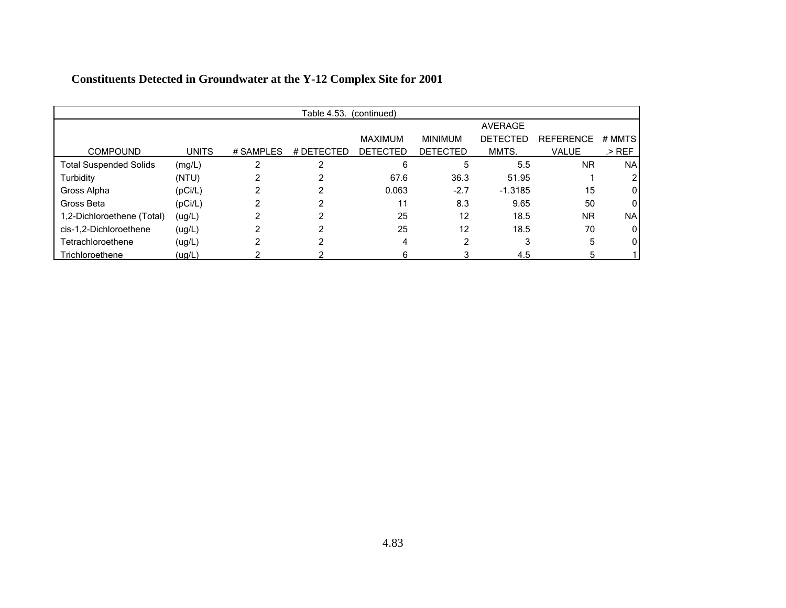|                               |              |           | Table 4.53. | (continued)     |                 |                 |                  |                |
|-------------------------------|--------------|-----------|-------------|-----------------|-----------------|-----------------|------------------|----------------|
|                               |              |           |             |                 |                 | <b>AVERAGE</b>  |                  |                |
|                               |              |           |             | <b>MAXIMUM</b>  | <b>MINIMUM</b>  | <b>DETECTED</b> | <b>REFERENCE</b> | # MMTS         |
| <b>COMPOUND</b>               | <b>UNITS</b> | # SAMPLES | # DETECTED  | <b>DETECTED</b> | <b>DETECTED</b> | MMTS.           | <b>VALUE</b>     | $>$ REF        |
| <b>Total Suspended Solids</b> | (mg/L)       | ົ         | 2           | 6               | 5               | 5.5             | <b>NR</b>        | <b>NA</b>      |
| Turbidity                     | (NTU)        |           | 2           | 67.6            | 36.3            | 51.95           |                  | 2              |
| Gross Alpha                   | (pCi/L)      |           | 2           | 0.063           | $-2.7$          | $-1.3185$       | 15               | 0              |
| Gross Beta                    | (pCi/L)      |           | ົ           | 11              | 8.3             | 9.65            | 50               | $\overline{0}$ |
| 1,2-Dichloroethene (Total)    | (ug/L)       |           | ົ           | 25              | 12              | 18.5            | <b>NR</b>        | <b>NA</b>      |
| cis-1,2-Dichloroethene        | (ug/L)       |           | ◠           | 25              | 12              | 18.5            | 70               | 0              |
| Tetrachloroethene             | (ug/L)       | 2         | 2           | 4               | 2               | 3               | 5                | 0              |
| Trichloroethene               | (ug/L)       |           |             | 6               |                 | 4.5             | 5                |                |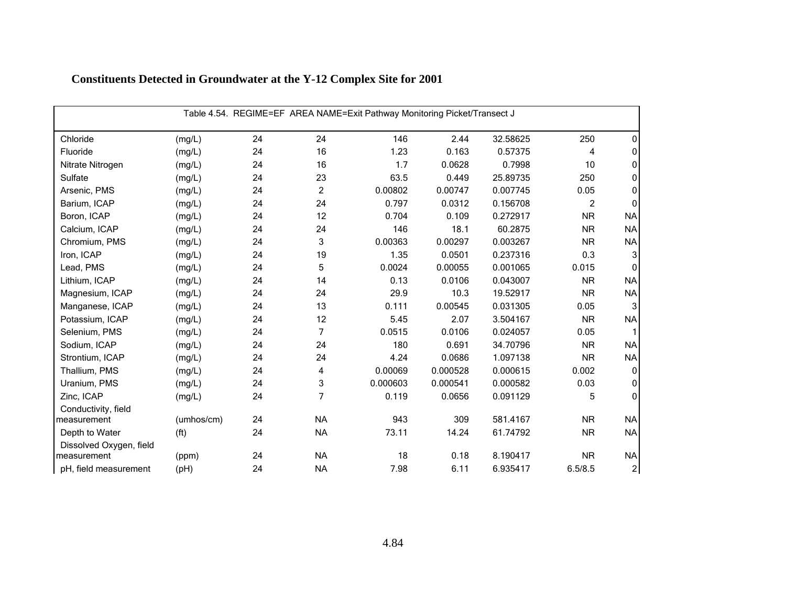| Table 4.54. REGIME=EF AREA NAME=Exit Pathway Monitoring Picket/Transect J |                   |    |           |          |          |          |                |                |  |  |
|---------------------------------------------------------------------------|-------------------|----|-----------|----------|----------|----------|----------------|----------------|--|--|
| Chloride                                                                  | (mg/L)            | 24 | 24        | 146      | 2.44     | 32.58625 | 250            | 0              |  |  |
| Fluoride                                                                  | (mg/L)            | 24 | 16        | 1.23     | 0.163    | 0.57375  | $\overline{4}$ | 0              |  |  |
| Nitrate Nitrogen                                                          | (mg/L)            | 24 | 16        | 1.7      | 0.0628   | 0.7998   | 10             | 0              |  |  |
| Sulfate                                                                   | (mg/L)            | 24 | 23        | 63.5     | 0.449    | 25.89735 | 250            | 0              |  |  |
| Arsenic, PMS                                                              | (mg/L)            | 24 | 2         | 0.00802  | 0.00747  | 0.007745 | 0.05           | 0              |  |  |
| Barium, ICAP                                                              | (mg/L)            | 24 | 24        | 0.797    | 0.0312   | 0.156708 | $\overline{c}$ | $\Omega$       |  |  |
| Boron, ICAP                                                               | (mg/L)            | 24 | 12        | 0.704    | 0.109    | 0.272917 | <b>NR</b>      | <b>NA</b>      |  |  |
| Calcium, ICAP                                                             | (mg/L)            | 24 | 24        | 146      | 18.1     | 60.2875  | <b>NR</b>      | <b>NA</b>      |  |  |
| Chromium, PMS                                                             | (mg/L)            | 24 | 3         | 0.00363  | 0.00297  | 0.003267 | <b>NR</b>      | <b>NA</b>      |  |  |
| Iron, ICAP                                                                | (mg/L)            | 24 | 19        | 1.35     | 0.0501   | 0.237316 | 0.3            | 3              |  |  |
| Lead, PMS                                                                 | (mg/L)            | 24 | 5         | 0.0024   | 0.00055  | 0.001065 | 0.015          | $\Omega$       |  |  |
| Lithium, ICAP                                                             | (mg/L)            | 24 | 14        | 0.13     | 0.0106   | 0.043007 | <b>NR</b>      | <b>NA</b>      |  |  |
| Magnesium, ICAP                                                           | (mg/L)            | 24 | 24        | 29.9     | 10.3     | 19.52917 | <b>NR</b>      | <b>NA</b>      |  |  |
| Manganese, ICAP                                                           | (mg/L)            | 24 | 13        | 0.111    | 0.00545  | 0.031305 | 0.05           | 3              |  |  |
| Potassium, ICAP                                                           | (mg/L)            | 24 | 12        | 5.45     | 2.07     | 3.504167 | <b>NR</b>      | <b>NA</b>      |  |  |
| Selenium, PMS                                                             | (mg/L)            | 24 | 7         | 0.0515   | 0.0106   | 0.024057 | 0.05           |                |  |  |
| Sodium, ICAP                                                              | (mg/L)            | 24 | 24        | 180      | 0.691    | 34.70796 | <b>NR</b>      | <b>NA</b>      |  |  |
| Strontium, ICAP                                                           | (mg/L)            | 24 | 24        | 4.24     | 0.0686   | 1.097138 | <b>NR</b>      | <b>NA</b>      |  |  |
| Thallium, PMS                                                             | (mg/L)            | 24 | 4         | 0.00069  | 0.000528 | 0.000615 | 0.002          | 0              |  |  |
| Uranium, PMS                                                              | (mg/L)            | 24 | 3         | 0.000603 | 0.000541 | 0.000582 | 0.03           | 0              |  |  |
| Zinc, ICAP                                                                | (mg/L)            | 24 | 7         | 0.119    | 0.0656   | 0.091129 | 5              | $\mathbf{0}$   |  |  |
| Conductivity, field                                                       |                   |    |           |          |          |          |                |                |  |  |
| measurement                                                               | (umhos/cm)        | 24 | <b>NA</b> | 943      | 309      | 581.4167 | <b>NR</b>      | <b>NA</b>      |  |  |
| Depth to Water                                                            | (f <sup>t</sup> ) | 24 | <b>NA</b> | 73.11    | 14.24    | 61.74792 | <b>NR</b>      | <b>NA</b>      |  |  |
| Dissolved Oxygen, field<br>measurement                                    | (ppm)             | 24 | <b>NA</b> | 18       | 0.18     | 8.190417 | <b>NR</b>      | <b>NA</b>      |  |  |
| pH, field measurement                                                     | (pH)              | 24 | <b>NA</b> | 7.98     | 6.11     | 6.935417 | 6.5/8.5        | $\overline{c}$ |  |  |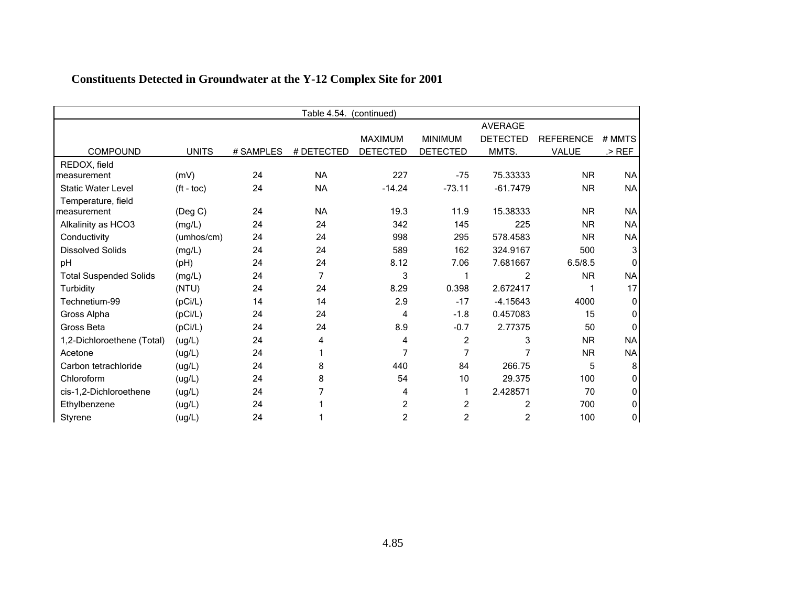|                               | Table 4.54.<br>(continued) |           |            |                 |                         |                 |                  |           |  |  |
|-------------------------------|----------------------------|-----------|------------|-----------------|-------------------------|-----------------|------------------|-----------|--|--|
|                               |                            |           |            |                 |                         | <b>AVERAGE</b>  |                  |           |  |  |
|                               |                            |           |            | MAXIMUM         | <b>MINIMUM</b>          | <b>DETECTED</b> | <b>REFERENCE</b> | # MMTS    |  |  |
| <b>COMPOUND</b>               | <b>UNITS</b>               | # SAMPLES | # DETECTED | <b>DETECTED</b> | <b>DETECTED</b>         | MMTS.           | <b>VALUE</b>     | $>$ REF   |  |  |
| REDOX, field                  |                            |           |            |                 |                         |                 |                  |           |  |  |
| measurement                   | (mV)                       | 24        | <b>NA</b>  | 227             | $-75$                   | 75.33333        | <b>NR</b>        | <b>NA</b> |  |  |
| <b>Static Water Level</b>     | $(ft - toc)$               | 24        | <b>NA</b>  | $-14.24$        | $-73.11$                | $-61.7479$      | <b>NR</b>        | <b>NA</b> |  |  |
| Temperature, field            |                            |           |            |                 |                         |                 |                  |           |  |  |
| measurement                   | $($ Deg C $)$              | 24        | <b>NA</b>  | 19.3            | 11.9                    | 15.38333        | <b>NR</b>        | <b>NA</b> |  |  |
| Alkalinity as HCO3            | (mg/L)                     | 24        | 24         | 342             | 145                     | 225             | <b>NR</b>        | <b>NA</b> |  |  |
| Conductivity                  | (umhos/cm)                 | 24        | 24         | 998             | 295                     | 578.4583        | <b>NR</b>        | <b>NA</b> |  |  |
| <b>Dissolved Solids</b>       | (mg/L)                     | 24        | 24         | 589             | 162                     | 324.9167        | 500              | 3         |  |  |
| pH                            | (PH)                       | 24        | 24         | 8.12            | 7.06                    | 7.681667        | 6.5/8.5          |           |  |  |
| <b>Total Suspended Solids</b> | (mg/L)                     | 24        | 7          | 3               |                         | 2               | <b>NR</b>        | <b>NA</b> |  |  |
| Turbidity                     | (NTU)                      | 24        | 24         | 8.29            | 0.398                   | 2.672417        |                  | 17        |  |  |
| Technetium-99                 | (pCi/L)                    | 14        | 14         | 2.9             | $-17$                   | $-4.15643$      | 4000             | $\Omega$  |  |  |
| Gross Alpha                   | (pCi/L)                    | 24        | 24         | 4               | $-1.8$                  | 0.457083        | 15               | O         |  |  |
| Gross Beta                    | (pCi/L)                    | 24        | 24         | 8.9             | $-0.7$                  | 2.77375         | 50               | n         |  |  |
| 1,2-Dichloroethene (Total)    | (ug/L)                     | 24        | 4          | 4               | $\overline{c}$          | 3               | <b>NR</b>        | <b>NA</b> |  |  |
| Acetone                       | (ug/L)                     | 24        |            | 7               |                         |                 | <b>NR</b>        | <b>NA</b> |  |  |
| Carbon tetrachloride          | (ug/L)                     | 24        | 8          | 440             | 84                      | 266.75          | 5                | 8         |  |  |
| Chloroform                    | (ug/L)                     | 24        | 8          | 54              | 10                      | 29.375          | 100              | O         |  |  |
| cis-1,2-Dichloroethene        | (ug/L)                     | 24        |            | 4               |                         | 2.428571        | 70               | U         |  |  |
| Ethylbenzene                  | (ug/L)                     | 24        |            | $\overline{c}$  | $\overline{c}$          | 2               | 700              | 0         |  |  |
| Styrene                       | (ug/L)                     | 24        |            | $\overline{c}$  | $\overline{\mathbf{c}}$ | 2               | 100              | 0         |  |  |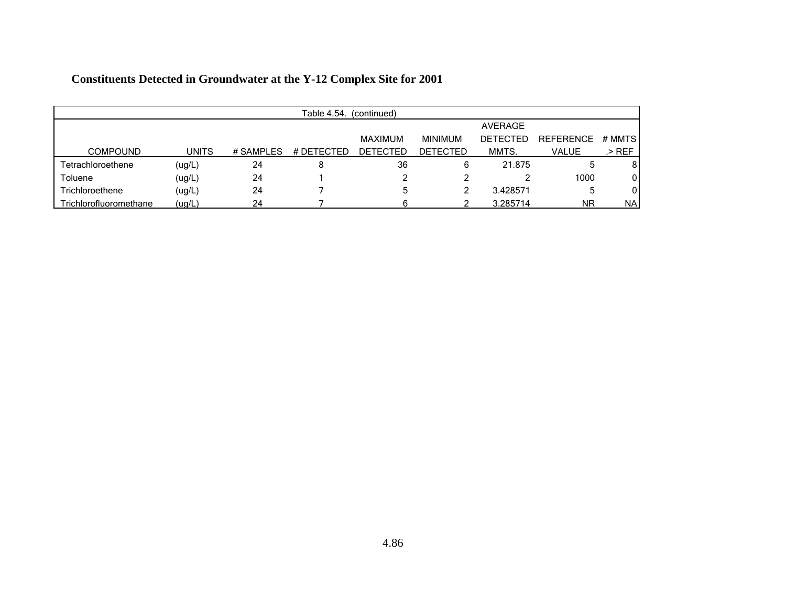|                        | Table 4.54.<br>(continued) |            |            |                 |                 |                 |                  |           |  |  |
|------------------------|----------------------------|------------|------------|-----------------|-----------------|-----------------|------------------|-----------|--|--|
|                        |                            |            |            |                 |                 | AVERAGE         |                  |           |  |  |
|                        |                            |            |            | MAXIMUM         | <b>MINIMUM</b>  | <b>DETECTED</b> | <b>REFERENCE</b> | # MMTS    |  |  |
| <b>COMPOUND</b>        | <b>UNITS</b>               | # SAMPI FS | # DETECTED | <b>DETECTED</b> | <b>DETECTED</b> | MMTS.           | VALUE            | .> REF    |  |  |
| Tetrachloroethene      | (ug/L)                     | 24         | 8          | 36              | 6               | 21.875          |                  | 8         |  |  |
| Toluene                | (ug/L)                     | 24         |            |                 |                 |                 | 1000             | 0         |  |  |
| Trichloroethene        | (ug/L)                     | 24         |            | 5               |                 | 3.428571        | ხ                | 0         |  |  |
| Trichlorofluoromethane | (ug/L)                     | 24         |            |                 |                 | 3.285714        | <b>NR</b>        | <b>NA</b> |  |  |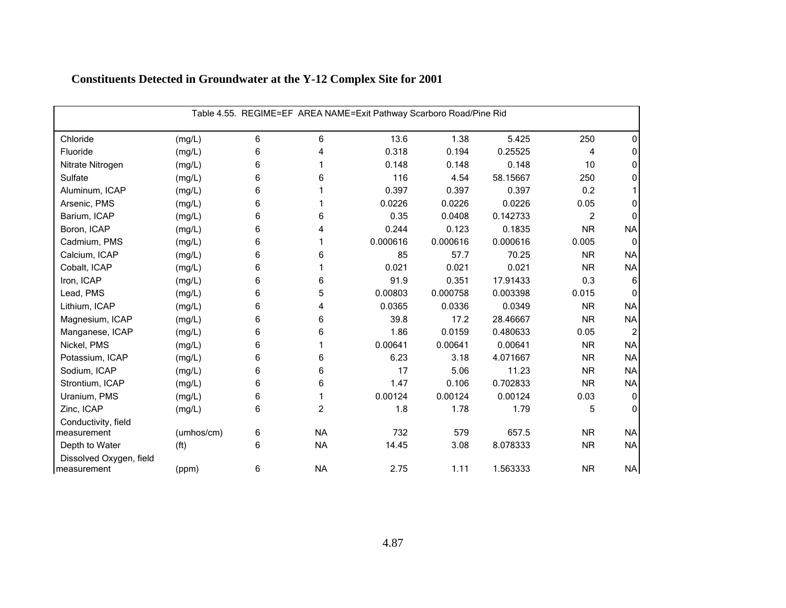| Table 4.55. REGIME=EF AREA NAME=Exit Pathway Scarboro Road/Pine Rid |                   |   |           |          |          |          |                |           |  |
|---------------------------------------------------------------------|-------------------|---|-----------|----------|----------|----------|----------------|-----------|--|
| Chloride                                                            | (mg/L)            | 6 | 6         | 13.6     | 1.38     | 5.425    | 250            | 0         |  |
| Fluoride                                                            | (mg/L)            | 6 | 4         | 0.318    | 0.194    | 0.25525  | 4              | 0         |  |
| Nitrate Nitrogen                                                    | (mg/L)            | 6 |           | 0.148    | 0.148    | 0.148    | 10             | O         |  |
| Sulfate                                                             | (mg/L)            | 6 | 6         | 116      | 4.54     | 58.15667 | 250            | O         |  |
| Aluminum, ICAP                                                      | (mg/L)            | 6 |           | 0.397    | 0.397    | 0.397    | 0.2            |           |  |
| Arsenic, PMS                                                        | (mg/L)            | 6 |           | 0.0226   | 0.0226   | 0.0226   | 0.05           | O         |  |
| Barium, ICAP                                                        | (mg/L)            | 6 | 6         | 0.35     | 0.0408   | 0.142733 | $\overline{2}$ | 0         |  |
| Boron, ICAP                                                         | (mg/L)            | 6 | 4         | 0.244    | 0.123    | 0.1835   | <b>NR</b>      | <b>NA</b> |  |
| Cadmium, PMS                                                        | (mg/L)            | 6 |           | 0.000616 | 0.000616 | 0.000616 | 0.005          | $\Omega$  |  |
| Calcium, ICAP                                                       | (mg/L)            | 6 | 6         | 85       | 57.7     | 70.25    | <b>NR</b>      | <b>NA</b> |  |
| Cobalt, ICAP                                                        | (mg/L)            | 6 |           | 0.021    | 0.021    | 0.021    | <b>NR</b>      | <b>NA</b> |  |
| Iron, ICAP                                                          | (mg/L)            | 6 | 6         | 91.9     | 0.351    | 17.91433 | 0.3            | 6         |  |
| Lead, PMS                                                           | (mg/L)            | 6 | 5         | 0.00803  | 0.000758 | 0.003398 | 0.015          | $\Omega$  |  |
| Lithium, ICAP                                                       | (mg/L)            | 6 | 4         | 0.0365   | 0.0336   | 0.0349   | <b>NR</b>      | <b>NA</b> |  |
| Magnesium, ICAP                                                     | (mg/L)            | 6 | 6         | 39.8     | 17.2     | 28.46667 | <b>NR</b>      | <b>NA</b> |  |
| Manganese, ICAP                                                     | (mg/L)            | 6 | 6         | 1.86     | 0.0159   | 0.480633 | 0.05           | 2         |  |
| Nickel, PMS                                                         | (mg/L)            | 6 |           | 0.00641  | 0.00641  | 0.00641  | <b>NR</b>      | <b>NA</b> |  |
| Potassium, ICAP                                                     | (mg/L)            | 6 | 6         | 6.23     | 3.18     | 4.071667 | <b>NR</b>      | <b>NA</b> |  |
| Sodium, ICAP                                                        | (mg/L)            | 6 | 6         | 17       | 5.06     | 11.23    | <b>NR</b>      | <b>NA</b> |  |
| Strontium, ICAP                                                     | (mg/L)            | 6 | 6         | 1.47     | 0.106    | 0.702833 | <b>NR</b>      | <b>NA</b> |  |
| Uranium, PMS                                                        | (mg/L)            | 6 |           | 0.00124  | 0.00124  | 0.00124  | 0.03           | 0         |  |
| Zinc, ICAP                                                          | (mg/L)            | 6 | 2         | 1.8      | 1.78     | 1.79     | 5              | 0         |  |
| Conductivity, field                                                 |                   |   |           |          |          |          |                |           |  |
| measurement                                                         | (umhos/cm)        | 6 | <b>NA</b> | 732      | 579      | 657.5    | <b>NR</b>      | <b>NA</b> |  |
| Depth to Water                                                      | (f <sup>t</sup> ) | 6 | <b>NA</b> | 14.45    | 3.08     | 8.078333 | <b>NR</b>      | <b>NA</b> |  |
| Dissolved Oxygen, field<br>measurement                              | (ppm)             | 6 | <b>NA</b> | 2.75     | 1.11     | 1.563333 | <b>NR</b>      | <b>NA</b> |  |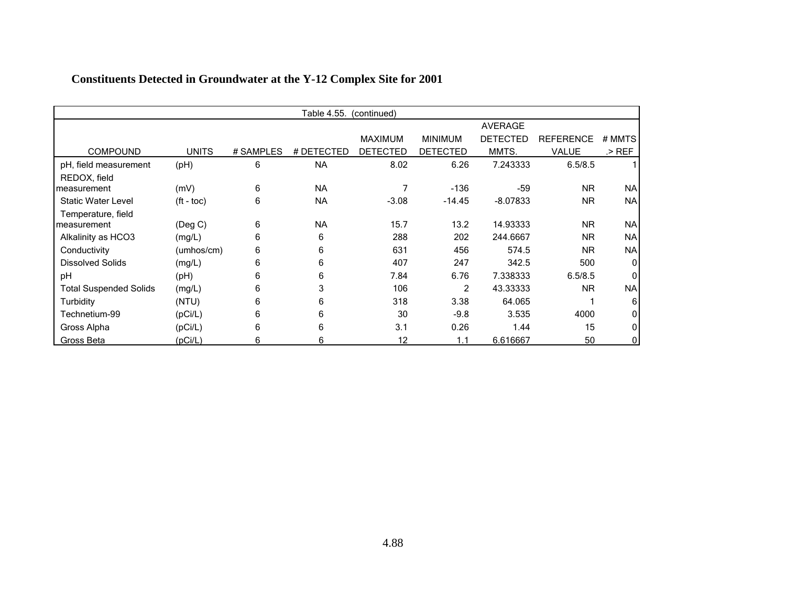|                               |                    |           | Table 4.55. | (continued) |                 |                 |           |             |
|-------------------------------|--------------------|-----------|-------------|-------------|-----------------|-----------------|-----------|-------------|
|                               |                    |           |             |             |                 | <b>AVERAGE</b>  |           |             |
|                               |                    |           |             | MAXIMUM     | <b>MINIMUM</b>  | <b>DETECTED</b> | REFERENCE | # MMTS      |
| <b>COMPOUND</b>               | <b>UNITS</b>       | # SAMPLES | # DETECTED  | DETECTED    | <b>DETECTED</b> | MMTS.           | VALUE     | $>$ REF     |
| pH, field measurement         | (H)                | 6         | <b>NA</b>   | 8.02        | 6.26            | 7.243333        | 6.5/8.5   |             |
| REDOX, field                  |                    |           |             |             |                 |                 |           |             |
| measurement                   | (mV)               | 6         | <b>NA</b>   | 7           | $-136$          | $-59$           | <b>NR</b> | <b>NA</b>   |
| <b>Static Water Level</b>     | $({\rm ft - toc})$ | 6         | <b>NA</b>   | $-3.08$     | $-14.45$        | $-8.07833$      | <b>NR</b> | <b>NA</b>   |
| Temperature, field            |                    |           |             |             |                 |                 |           |             |
| measurement                   | $($ Deg C $)$      | 6         | <b>NA</b>   | 15.7        | 13.2            | 14.93333        | <b>NR</b> | <b>NA</b>   |
| Alkalinity as HCO3            | (mg/L)             | 6         | 6           | 288         | 202             | 244.6667        | <b>NR</b> | <b>NA</b>   |
| Conductivity                  | (umhos/cm)         | 6         | 6           | 631         | 456             | 574.5           | <b>NR</b> | <b>NA</b>   |
| <b>Dissolved Solids</b>       | (mg/L)             | 6         | 6           | 407         | 247             | 342.5           | 500       | $\mathbf 0$ |
| рH                            | (H)                | 6         | 6           | 7.84        | 6.76            | 7.338333        | 6.5/8.5   | ŋ           |
| <b>Total Suspended Solids</b> | (mg/L)             | 6         | 3           | 106         | $\overline{2}$  | 43.33333        | <b>NR</b> | <b>NA</b>   |
| Turbidity                     | (NTU)              | 6         | 6           | 318         | 3.38            | 64.065          |           | 6           |
| Technetium-99                 | (pCi/L)            | 6         | 6           | 30          | $-9.8$          | 3.535           | 4000      |             |
| Gross Alpha                   | (pCi/L)            | 6         | 6           | 3.1         | 0.26            | 1.44            | 15        |             |
| Gross Beta                    | (pCi/L)            | 6         | 6           | 12          | 1.1             | 6.616667        | 50        |             |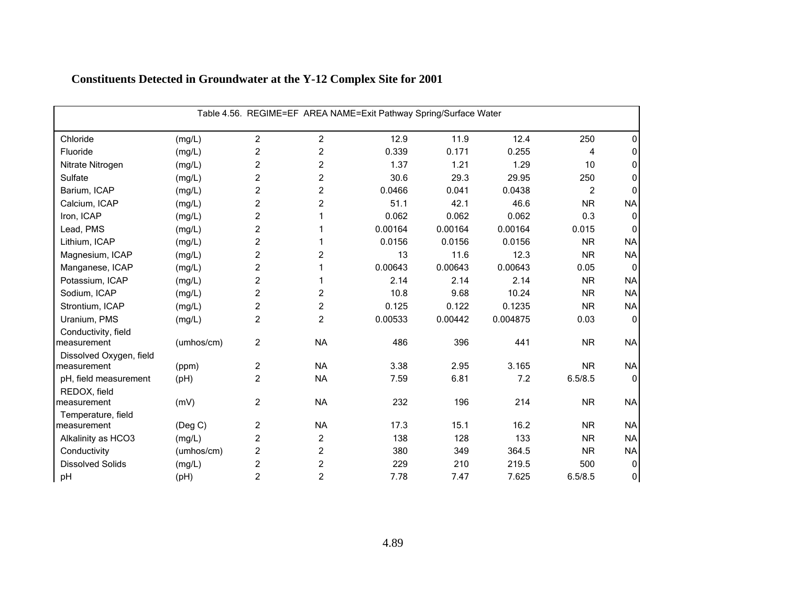|                                    | Table 4.56. REGIME=EF AREA NAME=Exit Pathway Spring/Surface Water |                |                |         |         |          |                |              |  |  |  |
|------------------------------------|-------------------------------------------------------------------|----------------|----------------|---------|---------|----------|----------------|--------------|--|--|--|
| Chloride                           | (mg/L)                                                            | $\overline{2}$ | 2              | 12.9    | 11.9    | 12.4     | 250            | 0            |  |  |  |
| Fluoride                           | (mg/L)                                                            | $\overline{c}$ | $\overline{c}$ | 0.339   | 0.171   | 0.255    | 4              | 0            |  |  |  |
| Nitrate Nitrogen                   | (mg/L)                                                            | $\overline{c}$ | $\overline{c}$ | 1.37    | 1.21    | 1.29     | 10             | 0            |  |  |  |
| Sulfate                            | (mg/L)                                                            | $\overline{c}$ | $\overline{c}$ | 30.6    | 29.3    | 29.95    | 250            | 0            |  |  |  |
| Barium, ICAP                       | (mg/L)                                                            | $\overline{c}$ | $\overline{c}$ | 0.0466  | 0.041   | 0.0438   | $\overline{2}$ | O            |  |  |  |
| Calcium, ICAP                      | (mg/L)                                                            | $\overline{c}$ | $\overline{c}$ | 51.1    | 42.1    | 46.6     | <b>NR</b>      | <b>NA</b>    |  |  |  |
| Iron, ICAP                         | (mg/L)                                                            | $\overline{c}$ |                | 0.062   | 0.062   | 0.062    | 0.3            | $\Omega$     |  |  |  |
| Lead, PMS                          | (mg/L)                                                            | $\overline{c}$ |                | 0.00164 | 0.00164 | 0.00164  | 0.015          | $\Omega$     |  |  |  |
| Lithium, ICAP                      | (mg/L)                                                            | $\overline{c}$ |                | 0.0156  | 0.0156  | 0.0156   | <b>NR</b>      | <b>NA</b>    |  |  |  |
| Magnesium, ICAP                    | (mg/L)                                                            | $\overline{c}$ | $\overline{c}$ | 13      | 11.6    | 12.3     | <b>NR</b>      | <b>NA</b>    |  |  |  |
| Manganese, ICAP                    | (mg/L)                                                            | $\overline{c}$ |                | 0.00643 | 0.00643 | 0.00643  | 0.05           | $\mathbf{0}$ |  |  |  |
| Potassium, ICAP                    | (mg/L)                                                            | $\overline{c}$ |                | 2.14    | 2.14    | 2.14     | <b>NR</b>      | <b>NA</b>    |  |  |  |
| Sodium, ICAP                       | (mg/L)                                                            | $\overline{c}$ | 2              | 10.8    | 9.68    | 10.24    | <b>NR</b>      | <b>NA</b>    |  |  |  |
| Strontium, ICAP                    | (mg/L)                                                            | $\overline{c}$ | $\overline{c}$ | 0.125   | 0.122   | 0.1235   | <b>NR</b>      | <b>NA</b>    |  |  |  |
| Uranium, PMS                       | (mg/L)                                                            | $\overline{c}$ | $\overline{c}$ | 0.00533 | 0.00442 | 0.004875 | 0.03           | $\mathbf{0}$ |  |  |  |
| Conductivity, field<br>measurement | (umhos/cm)                                                        | $\overline{c}$ | <b>NA</b>      | 486     | 396     | 441      | <b>NR</b>      | <b>NA</b>    |  |  |  |
| Dissolved Oxygen, field            |                                                                   |                |                |         |         |          |                |              |  |  |  |
| measurement                        | (ppm)                                                             | $\overline{c}$ | <b>NA</b>      | 3.38    | 2.95    | 3.165    | <b>NR</b>      | <b>NA</b>    |  |  |  |
| pH, field measurement              | (pH)                                                              | $\overline{2}$ | <b>NA</b>      | 7.59    | 6.81    | 7.2      | 6.5/8.5        | $\mathbf{0}$ |  |  |  |
| REDOX, field<br>measurement        | (mV)                                                              | 2              | <b>NA</b>      | 232     | 196     | 214      | <b>NR</b>      | <b>NA</b>    |  |  |  |
| Temperature, field                 |                                                                   |                |                |         |         |          |                |              |  |  |  |
| measurement                        | (Deg C)                                                           | $\overline{c}$ | <b>NA</b>      | 17.3    | 15.1    | 16.2     | <b>NR</b>      | <b>NA</b>    |  |  |  |
| Alkalinity as HCO3                 | (mg/L)                                                            | $\overline{c}$ | $\overline{c}$ | 138     | 128     | 133      | <b>NR</b>      | <b>NA</b>    |  |  |  |
| Conductivity                       | (umhos/cm)                                                        | 2              | 2              | 380     | 349     | 364.5    | <b>NR</b>      | <b>NA</b>    |  |  |  |
| <b>Dissolved Solids</b>            | (mg/L)                                                            | $\overline{c}$ | $\overline{c}$ | 229     | 210     | 219.5    | 500            | 0            |  |  |  |
| pH                                 | (pH)                                                              | $\overline{c}$ | $\overline{c}$ | 7.78    | 7.47    | 7.625    | 6.5/8.5        | $\pmb{0}$    |  |  |  |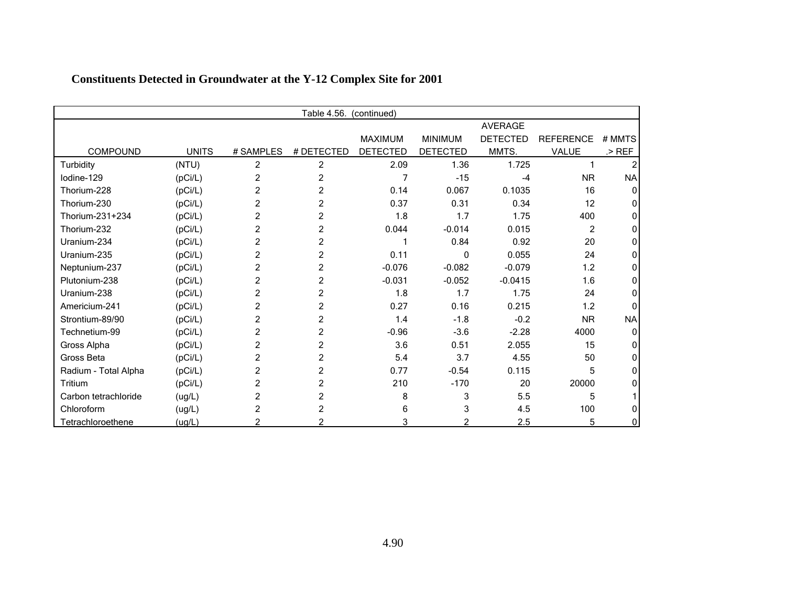|                      | Table 4.56.<br>(continued) |                |                |                 |                 |                 |                  |           |  |  |
|----------------------|----------------------------|----------------|----------------|-----------------|-----------------|-----------------|------------------|-----------|--|--|
|                      |                            |                |                |                 |                 | <b>AVERAGE</b>  |                  |           |  |  |
|                      |                            |                |                | <b>MAXIMUM</b>  | <b>MINIMUM</b>  | <b>DETECTED</b> | <b>REFERENCE</b> | # MMTS    |  |  |
| <b>COMPOUND</b>      | <b>UNITS</b>               | # SAMPLES      | # DETECTED     | <b>DETECTED</b> | <b>DETECTED</b> | MMTS.           | VALUE            | $>$ REF   |  |  |
| Turbidity            | (NTU)                      | 2              | 2              | 2.09            | 1.36            | 1.725           |                  |           |  |  |
| Iodine-129           | (pCi/L)                    | 2              | 2              |                 | $-15$           | $-4$            | <b>NR</b>        | <b>NA</b> |  |  |
| Thorium-228          | (pCi/L)                    | $\overline{2}$ | 2              | 0.14            | 0.067           | 0.1035          | 16               |           |  |  |
| Thorium-230          | (pCi/L)                    | $\overline{2}$ | 2              | 0.37            | 0.31            | 0.34            | 12               |           |  |  |
| Thorium-231+234      | (pCi/L)                    | $\overline{2}$ | 2              | 1.8             | 1.7             | 1.75            | 400              |           |  |  |
| Thorium-232          | (pCi/L)                    | $\overline{c}$ | $\overline{c}$ | 0.044           | $-0.014$        | 0.015           | 2                |           |  |  |
| Uranium-234          | (pCi/L)                    | 2              | 2              |                 | 0.84            | 0.92            | 20               |           |  |  |
| Uranium-235          | (pCi/L)                    | $\overline{c}$ | 2              | 0.11            | 0               | 0.055           | 24               |           |  |  |
| Neptunium-237        | (pCi/L)                    | 2              | 2              | $-0.076$        | $-0.082$        | $-0.079$        | 1.2              |           |  |  |
| Plutonium-238        | (pCi/L)                    | 2              | 2              | $-0.031$        | $-0.052$        | $-0.0415$       | 1.6              |           |  |  |
| Uranium-238          | (pCi/L)                    | 2              | 2              | 1.8             | 1.7             | 1.75            | 24               |           |  |  |
| Americium-241        | (pCi/L)                    | 2              | 2              | 0.27            | 0.16            | 0.215           | 1.2              |           |  |  |
| Strontium-89/90      | (pCi/L)                    | 2              | 2              | 1.4             | $-1.8$          | $-0.2$          | <b>NR</b>        | <b>NA</b> |  |  |
| Technetium-99        | (pCi/L)                    | 2              | $\overline{2}$ | $-0.96$         | $-3.6$          | $-2.28$         | 4000             | 0         |  |  |
| Gross Alpha          | (pCi/L)                    | 2              | 2              | 3.6             | 0.51            | 2.055           | 15               |           |  |  |
| Gross Beta           | (pCi/L)                    | 2              | 2              | 5.4             | 3.7             | 4.55            | 50               |           |  |  |
| Radium - Total Alpha | (pCi/L)                    | 2              | 2              | 0.77            | $-0.54$         | 0.115           | 5                |           |  |  |
| Tritium              | (pCi/L)                    | 2              | 2              | 210             | $-170$          | 20              | 20000            |           |  |  |
| Carbon tetrachloride | (ug/L)                     | $\overline{c}$ | 2              | 8               | 3               | 5.5             | 5                |           |  |  |
| Chloroform           | (ug/L)                     | 2              | 2              | 6               | 3               | 4.5             | 100              |           |  |  |
| Tetrachloroethene    | (ug/L)                     |                |                | 3               | 2               | 2.5             | 5                |           |  |  |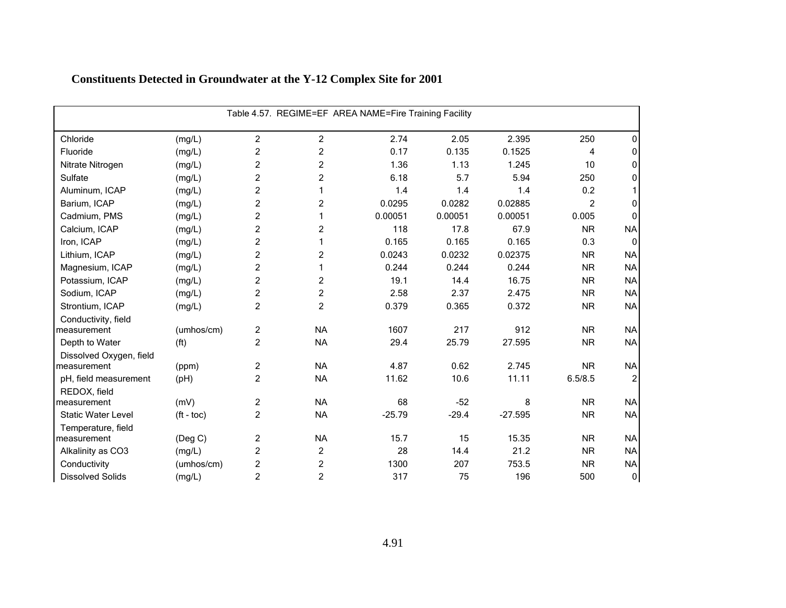| Table 4.57. REGIME=EF AREA NAME=Fire Training Facility |                       |                |                |          |         |           |                |                |
|--------------------------------------------------------|-----------------------|----------------|----------------|----------|---------|-----------|----------------|----------------|
| Chloride                                               | (mg/L)                | $\overline{2}$ | 2              | 2.74     | 2.05    | 2.395     | 250            | 0              |
| Fluoride                                               | (mg/L)                | $\overline{c}$ | $\overline{c}$ | 0.17     | 0.135   | 0.1525    | 4              | 0              |
| Nitrate Nitrogen                                       | (mg/L)                | $\overline{c}$ | $\overline{c}$ | 1.36     | 1.13    | 1.245     | 10             | 0              |
| Sulfate                                                | (mg/L)                | $\overline{c}$ | $\overline{c}$ | 6.18     | 5.7     | 5.94      | 250            | 0              |
| Aluminum, ICAP                                         | (mg/L)                | $\overline{c}$ | 1              | 1.4      | 1.4     | 1.4       | 0.2            |                |
| Barium, ICAP                                           | (mg/L)                | $\overline{c}$ | $\overline{c}$ | 0.0295   | 0.0282  | 0.02885   | $\overline{2}$ | 0              |
| Cadmium, PMS                                           | (mg/L)                | $\overline{c}$ | 1              | 0.00051  | 0.00051 | 0.00051   | 0.005          | $\mathbf{0}$   |
| Calcium, ICAP                                          | (mg/L)                | $\overline{c}$ | 2              | 118      | 17.8    | 67.9      | <b>NR</b>      | <b>NA</b>      |
| Iron, ICAP                                             | (mg/L)                | $\overline{c}$ | 1              | 0.165    | 0.165   | 0.165     | 0.3            | $\Omega$       |
| Lithium, ICAP                                          | (mg/L)                | $\overline{c}$ | $\overline{c}$ | 0.0243   | 0.0232  | 0.02375   | <b>NR</b>      | <b>NA</b>      |
| Magnesium, ICAP                                        | (mg/L)                | $\overline{c}$ | 1              | 0.244    | 0.244   | 0.244     | <b>NR</b>      | <b>NA</b>      |
| Potassium, ICAP                                        | (mg/L)                | $\overline{c}$ | $\overline{c}$ | 19.1     | 14.4    | 16.75     | <b>NR</b>      | <b>NA</b>      |
| Sodium, ICAP                                           | (mg/L)                | $\overline{c}$ | 2              | 2.58     | 2.37    | 2.475     | <b>NR</b>      | <b>NA</b>      |
| Strontium, ICAP                                        | (mg/L)                | $\overline{c}$ | 2              | 0.379    | 0.365   | 0.372     | <b>NR</b>      | <b>NA</b>      |
| Conductivity, field                                    |                       |                |                |          |         |           |                |                |
| measurement                                            | (umhos/cm)            | $\overline{c}$ | <b>NA</b>      | 1607     | 217     | 912       | <b>NR</b>      | <b>NA</b>      |
| Depth to Water                                         | (f <sup>t</sup> )     | $\overline{c}$ | <b>NA</b>      | 29.4     | 25.79   | 27.595    | <b>NR</b>      | <b>NA</b>      |
| Dissolved Oxygen, field                                |                       |                |                |          |         |           |                |                |
| measurement                                            | (ppm)                 | $\overline{c}$ | <b>NA</b>      | 4.87     | 0.62    | 2.745     | <b>NR</b>      | <b>NA</b>      |
| pH, field measurement                                  | (pH)                  | $\overline{2}$ | <b>NA</b>      | 11.62    | 10.6    | 11.11     | 6.5/8.5        | $\overline{2}$ |
| REDOX, field                                           |                       |                |                |          |         |           |                |                |
| measurement                                            | (mV)                  | $\overline{c}$ | <b>NA</b>      | 68       | $-52$   | 8         | <b>NR</b>      | <b>NA</b>      |
| <b>Static Water Level</b>                              | $({\rm ft -}$ toc $)$ | $\overline{2}$ | <b>NA</b>      | $-25.79$ | $-29.4$ | $-27.595$ | <b>NR</b>      | <b>NA</b>      |
| Temperature, field<br>measurement                      | (Deg C)               | $\overline{c}$ | <b>NA</b>      | 15.7     | 15      | 15.35     | <b>NR</b>      | <b>NA</b>      |
| Alkalinity as CO3                                      | (mg/L)                | $\overline{c}$ | 2              | 28       | 14.4    | 21.2      | <b>NR</b>      | <b>NA</b>      |
| Conductivity                                           | (umhos/cm)            | $\overline{c}$ | $\overline{c}$ | 1300     | 207     | 753.5     | <b>NR</b>      | <b>NA</b>      |
| <b>Dissolved Solids</b>                                | (mg/L)                | $\overline{c}$ | $\overline{c}$ | 317      | 75      | 196       | 500            | $\overline{0}$ |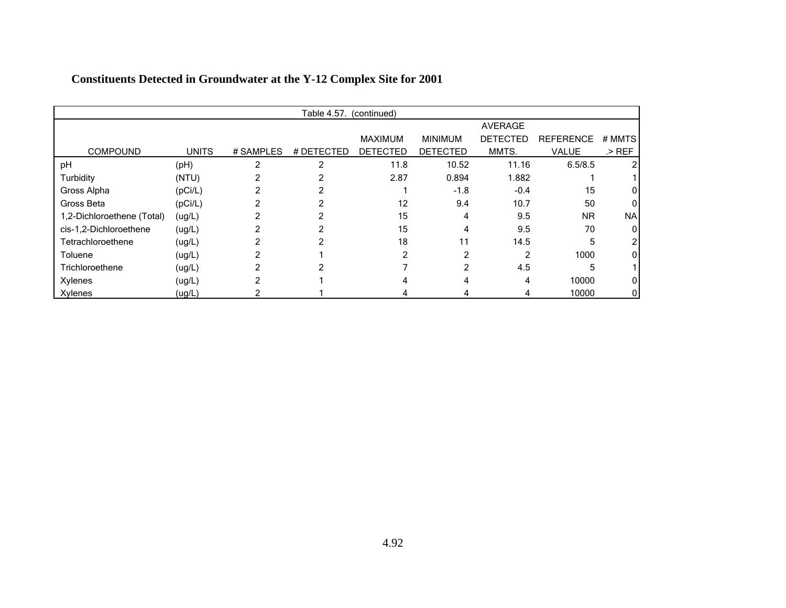|                            |              |           | Table 4.57. (continued) |                 |                 |                 |                  |           |
|----------------------------|--------------|-----------|-------------------------|-----------------|-----------------|-----------------|------------------|-----------|
|                            |              |           |                         |                 |                 | <b>AVERAGE</b>  |                  |           |
|                            |              |           |                         | <b>MAXIMUM</b>  | <b>MINIMUM</b>  | <b>DETECTED</b> | <b>REFERENCE</b> | # MMTS    |
| <b>COMPOUND</b>            | <b>UNITS</b> | # SAMPLES | # DETECTED              | <b>DETECTED</b> | <b>DETECTED</b> | MMTS.           | <b>VALUE</b>     | $>$ REF   |
| pH                         | (pH)         | 2         | 2                       | 11.8            | 10.52           | 11.16           | 6.5/8.5          |           |
| Turbidity                  | (NTU)        |           |                         | 2.87            | 0.894           | 1.882           |                  |           |
| Gross Alpha                | (pCi/L)      |           |                         |                 | $-1.8$          | $-0.4$          | 15               |           |
| Gross Beta                 | (pCi/L)      |           |                         | 12              | 9.4             | 10.7            | 50               | 01        |
| 1,2-Dichloroethene (Total) | (ug/L)       |           |                         | 15              | 4               | 9.5             | <b>NR</b>        | <b>NA</b> |
| cis-1,2-Dichloroethene     | (ug/L)       |           |                         | 15              | 4               | 9.5             | 70               | 0         |
| Tetrachloroethene          | (ug/L)       |           |                         | 18              | 11              | 14.5            | 5                |           |
| Toluene                    | (ug/L)       |           |                         |                 | 2               | 2               | 1000             |           |
| Trichloroethene            | (ug/L)       |           |                         |                 | 2               | 4.5             | 5                |           |
| Xylenes                    | (ug/L)       |           |                         |                 |                 | 4               | 10000            |           |
| <b>Xylenes</b>             | (ug/L)       |           |                         |                 |                 | 4               | 10000            | 0         |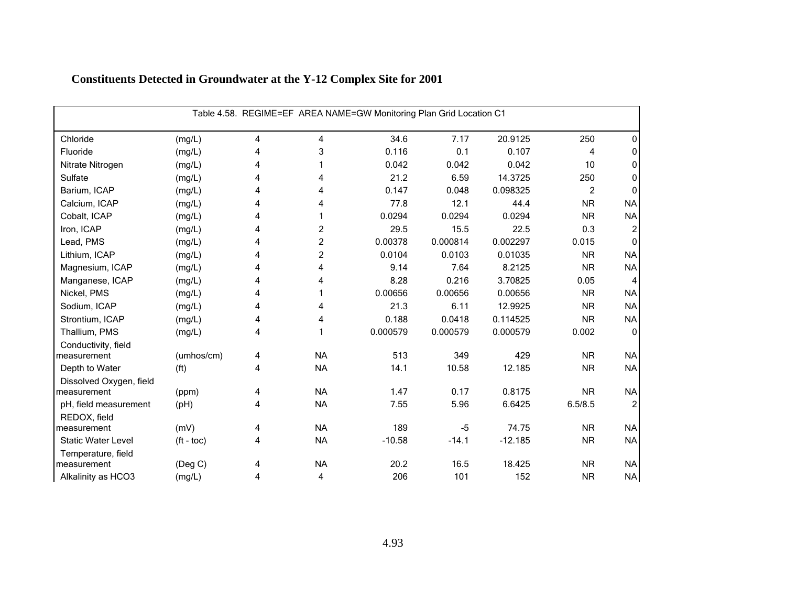|                           | Table 4.58. REGIME=EF AREA NAME=GW Monitoring Plan Grid Location C1 |                |                         |          |          |           |           |                |  |  |  |
|---------------------------|---------------------------------------------------------------------|----------------|-------------------------|----------|----------|-----------|-----------|----------------|--|--|--|
| Chloride                  | (mg/L)                                                              | 4              | 4                       | 34.6     | 7.17     | 20.9125   | 250       | 0              |  |  |  |
| Fluoride                  | (mg/L)                                                              | 4              | 3                       | 0.116    | 0.1      | 0.107     | 4         | 0              |  |  |  |
| Nitrate Nitrogen          | (mg/L)                                                              | 4              |                         | 0.042    | 0.042    | 0.042     | 10        | 0              |  |  |  |
| Sulfate                   | (mg/L)                                                              | 4              | 4                       | 21.2     | 6.59     | 14.3725   | 250       | 0              |  |  |  |
| Barium, ICAP              | (mg/L)                                                              | 4              | 4                       | 0.147    | 0.048    | 0.098325  | 2         | $\Omega$       |  |  |  |
| Calcium, ICAP             | (mg/L)                                                              | 4              | 4                       | 77.8     | 12.1     | 44.4      | <b>NR</b> | <b>NA</b>      |  |  |  |
| Cobalt, ICAP              | (mg/L)                                                              | 4              | 1                       | 0.0294   | 0.0294   | 0.0294    | <b>NR</b> | <b>NA</b>      |  |  |  |
| Iron, ICAP                | (mg/L)                                                              | 4              | $\overline{c}$          | 29.5     | 15.5     | 22.5      | 0.3       | 2              |  |  |  |
| Lead, PMS                 | (mg/L)                                                              | 4              | $\overline{\mathbf{c}}$ | 0.00378  | 0.000814 | 0.002297  | 0.015     | $\Omega$       |  |  |  |
| Lithium, ICAP             | (mg/L)                                                              | 4              | $\overline{c}$          | 0.0104   | 0.0103   | 0.01035   | <b>NR</b> | <b>NA</b>      |  |  |  |
| Magnesium, ICAP           | (mg/L)                                                              | 4              | 4                       | 9.14     | 7.64     | 8.2125    | <b>NR</b> | <b>NA</b>      |  |  |  |
| Manganese, ICAP           | (mg/L)                                                              | 4              | 4                       | 8.28     | 0.216    | 3.70825   | 0.05      | 4              |  |  |  |
| Nickel, PMS               | (mg/L)                                                              | 4              |                         | 0.00656  | 0.00656  | 0.00656   | <b>NR</b> | <b>NA</b>      |  |  |  |
| Sodium, ICAP              | (mg/L)                                                              | 4              | 4                       | 21.3     | 6.11     | 12.9925   | <b>NR</b> | <b>NA</b>      |  |  |  |
| Strontium, ICAP           | (mg/L)                                                              | 4              | 4                       | 0.188    | 0.0418   | 0.114525  | <b>NR</b> | <b>NA</b>      |  |  |  |
| Thallium, PMS             | (mg/L)                                                              | $\overline{4}$ |                         | 0.000579 | 0.000579 | 0.000579  | 0.002     | $\Omega$       |  |  |  |
| Conductivity, field       |                                                                     |                |                         |          |          |           |           |                |  |  |  |
| measurement               | (umhos/cm)                                                          | 4              | <b>NA</b>               | 513      | 349      | 429       | <b>NR</b> | <b>NA</b>      |  |  |  |
| Depth to Water            | (f <sup>t</sup> )                                                   | 4              | <b>NA</b>               | 14.1     | 10.58    | 12.185    | <b>NR</b> | <b>NA</b>      |  |  |  |
| Dissolved Oxygen, field   |                                                                     |                |                         |          |          |           |           |                |  |  |  |
| measurement               | (ppm)                                                               | 4              | <b>NA</b>               | 1.47     | 0.17     | 0.8175    | <b>NR</b> | <b>NA</b>      |  |  |  |
| pH, field measurement     | (PH)                                                                | 4              | <b>NA</b>               | 7.55     | 5.96     | 6.6425    | 6.5/8.5   | $\overline{c}$ |  |  |  |
| REDOX, field              |                                                                     |                |                         |          |          |           |           |                |  |  |  |
| measurement               | (mV)                                                                | 4              | <b>NA</b>               | 189      | $-5$     | 74.75     | <b>NR</b> | <b>NA</b>      |  |  |  |
| <b>Static Water Level</b> | $(ft - toc)$                                                        | 4              | <b>NA</b>               | $-10.58$ | $-14.1$  | $-12.185$ | <b>NR</b> | <b>NA</b>      |  |  |  |
| Temperature, field        |                                                                     |                |                         |          |          |           |           |                |  |  |  |
| measurement               | (Deg C)                                                             | 4              | <b>NA</b>               | 20.2     | 16.5     | 18.425    | <b>NR</b> | <b>NA</b>      |  |  |  |
| Alkalinity as HCO3        | (mg/L)                                                              | 4              | 4                       | 206      | 101      | 152       | <b>NR</b> | NA             |  |  |  |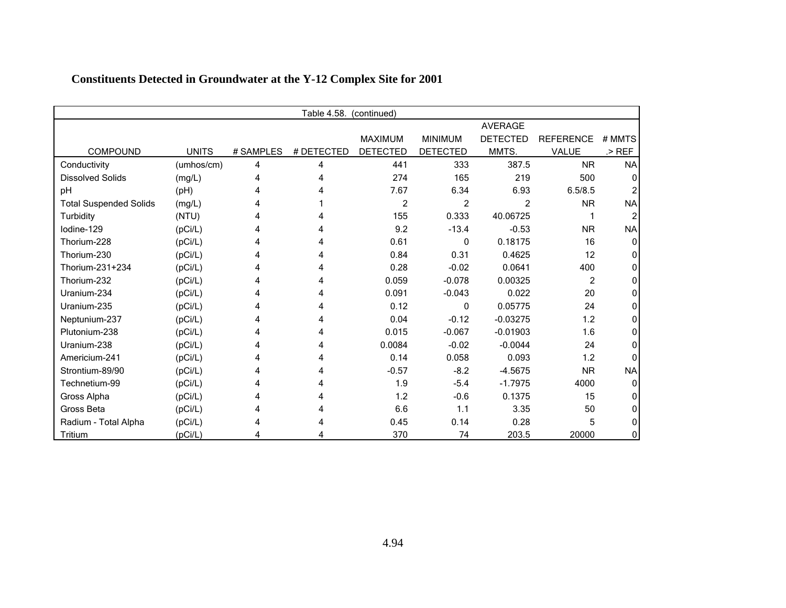|                               | Table 4.58.<br>(continued) |           |            |                 |                 |                 |                  |           |  |
|-------------------------------|----------------------------|-----------|------------|-----------------|-----------------|-----------------|------------------|-----------|--|
|                               |                            |           |            |                 |                 | <b>AVERAGE</b>  |                  |           |  |
|                               |                            |           |            | <b>MAXIMUM</b>  | <b>MINIMUM</b>  | <b>DETECTED</b> | <b>REFERENCE</b> | # MMTS    |  |
| <b>COMPOUND</b>               | <b>UNITS</b>               | # SAMPLES | # DETECTED | <b>DETECTED</b> | <b>DETECTED</b> | MMTS.           | VALUE            | $>$ REF   |  |
| Conductivity                  | (umhos/cm)                 | 4         | 4          | 441             | 333             | 387.5           | <b>NR</b>        | <b>NA</b> |  |
| <b>Dissolved Solids</b>       | (mg/L)                     | 4         |            | 274             | 165             | 219             | 500              | 0         |  |
| рH                            | (pH)                       | Δ         |            | 7.67            | 6.34            | 6.93            | 6.5/8.5          |           |  |
| <b>Total Suspended Solids</b> | (mg/L)                     |           |            | 2               | 2               | $\overline{2}$  | <b>NR</b>        | <b>NA</b> |  |
| Turbidity                     | (NTU)                      |           |            | 155             | 0.333           | 40.06725        |                  |           |  |
| lodine-129                    | (pCi/L)                    |           |            | 9.2             | $-13.4$         | $-0.53$         | <b>NR</b>        | <b>NA</b> |  |
| Thorium-228                   | (pCi/L)                    |           |            | 0.61            | 0               | 0.18175         | 16               | 0         |  |
| Thorium-230                   | (pCi/L)                    |           |            | 0.84            | 0.31            | 0.4625          | 12               | n         |  |
| Thorium-231+234               | (pCi/L)                    | 4         |            | 0.28            | $-0.02$         | 0.0641          | 400              |           |  |
| Thorium-232                   | (pCi/L)                    |           | 4          | 0.059           | $-0.078$        | 0.00325         | $\overline{2}$   |           |  |
| Uranium-234                   | (pCi/L)                    |           |            | 0.091           | $-0.043$        | 0.022           | 20               |           |  |
| Uranium-235                   | (pCi/L)                    |           |            | 0.12            | 0               | 0.05775         | 24               |           |  |
| Neptunium-237                 | (pCi/L)                    |           |            | 0.04            | $-0.12$         | $-0.03275$      | 1.2              | 0         |  |
| Plutonium-238                 | (pCi/L)                    |           |            | 0.015           | $-0.067$        | $-0.01903$      | 1.6              | 0         |  |
| Uranium-238                   | (pCi/L)                    |           |            | 0.0084          | $-0.02$         | $-0.0044$       | 24               |           |  |
| Americium-241                 | (pCi/L)                    |           |            | 0.14            | 0.058           | 0.093           | 1.2              |           |  |
| Strontium-89/90               | (pCi/L)                    |           | 4          | $-0.57$         | $-8.2$          | $-4.5675$       | <b>NR</b>        | <b>NA</b> |  |
| Technetium-99                 | (pCi/L)                    |           |            | 1.9             | $-5.4$          | $-1.7975$       | 4000             | n         |  |
| Gross Alpha                   | (pCi/L)                    |           |            | 1.2             | $-0.6$          | 0.1375          | 15               |           |  |
| Gross Beta                    | (pCi/L)                    |           |            | 6.6             | 1.1             | 3.35            | 50               |           |  |
| Radium - Total Alpha          | (pCi/L)                    |           |            | 0.45            | 0.14            | 0.28            | 5                | O         |  |
| Tritium                       | (pCi/L)                    |           |            | 370             | 74              | 203.5           | 20000            | 0         |  |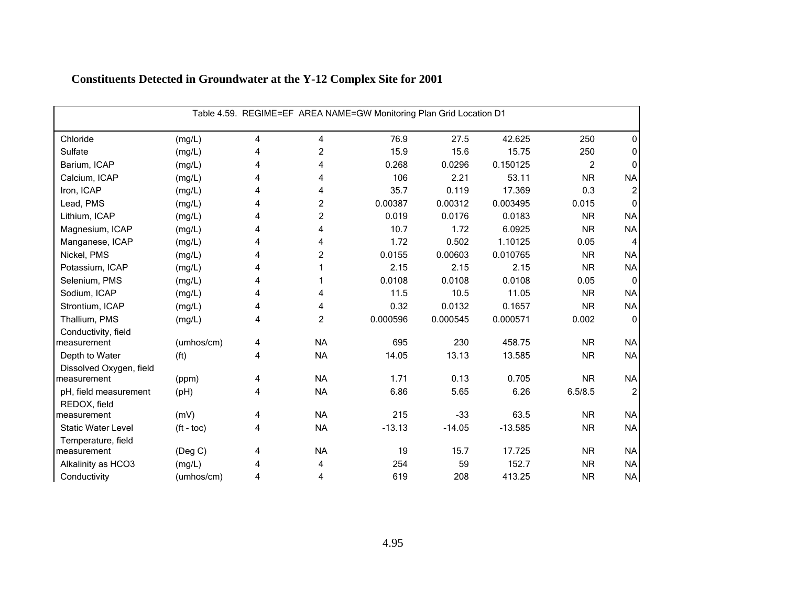|                                       | Table 4.59. REGIME=EF AREA NAME=GW Monitoring Plan Grid Location D1 |   |                |          |          |           |                |              |  |  |  |
|---------------------------------------|---------------------------------------------------------------------|---|----------------|----------|----------|-----------|----------------|--------------|--|--|--|
| Chloride                              | (mg/L)                                                              | 4 | 4              | 76.9     | 27.5     | 42.625    | 250            | 0            |  |  |  |
| Sulfate                               | (mg/L)                                                              | 4 | $\overline{c}$ | 15.9     | 15.6     | 15.75     | 250            | $\mathbf{0}$ |  |  |  |
| Barium, ICAP                          | (mg/L)                                                              | 4 | 4              | 0.268    | 0.0296   | 0.150125  | $\overline{2}$ | 0            |  |  |  |
| Calcium, ICAP                         | (mg/L)                                                              | 4 | 4              | 106      | 2.21     | 53.11     | <b>NR</b>      | <b>NA</b>    |  |  |  |
| Iron, ICAP                            | (mg/L)                                                              | 4 | 4              | 35.7     | 0.119    | 17.369    | 0.3            | 2            |  |  |  |
| Lead, PMS                             | (mg/L)                                                              | 4 | $\overline{c}$ | 0.00387  | 0.00312  | 0.003495  | 0.015          | $\mathbf{0}$ |  |  |  |
| Lithium, ICAP                         | (mg/L)                                                              | 4 | 2              | 0.019    | 0.0176   | 0.0183    | <b>NR</b>      | <b>NA</b>    |  |  |  |
| Magnesium, ICAP                       | (mg/L)                                                              | 4 | 4              | 10.7     | 1.72     | 6.0925    | <b>NR</b>      | <b>NA</b>    |  |  |  |
| Manganese, ICAP                       | (mg/L)                                                              | 4 | 4              | 1.72     | 0.502    | 1.10125   | 0.05           | 4            |  |  |  |
| Nickel, PMS                           | (mg/L)                                                              | 4 | $\overline{c}$ | 0.0155   | 0.00603  | 0.010765  | <b>NR</b>      | <b>NA</b>    |  |  |  |
| Potassium, ICAP                       | (mg/L)                                                              | 4 |                | 2.15     | 2.15     | 2.15      | <b>NR</b>      | <b>NA</b>    |  |  |  |
| Selenium, PMS                         | (mg/L)                                                              | 4 |                | 0.0108   | 0.0108   | 0.0108    | 0.05           | $\mathbf{0}$ |  |  |  |
| Sodium, ICAP                          | (mg/L)                                                              | 4 | 4              | 11.5     | 10.5     | 11.05     | <b>NR</b>      | <b>NA</b>    |  |  |  |
| Strontium, ICAP                       | (mg/L)                                                              | 4 | 4              | 0.32     | 0.0132   | 0.1657    | <b>NR</b>      | <b>NA</b>    |  |  |  |
| Thallium, PMS                         | (mg/L)                                                              | 4 | $\overline{c}$ | 0.000596 | 0.000545 | 0.000571  | 0.002          | $\mathbf{0}$ |  |  |  |
| Conductivity, field                   |                                                                     |   |                |          |          |           |                |              |  |  |  |
| measurement                           | (umhos/cm)                                                          | 4 | <b>NA</b>      | 695      | 230      | 458.75    | <b>NR</b>      | <b>NA</b>    |  |  |  |
| Depth to Water                        | (f <sup>t</sup> )                                                   | 4 | <b>NA</b>      | 14.05    | 13.13    | 13.585    | <b>NR</b>      | <b>NA</b>    |  |  |  |
| Dissolved Oxygen, field               |                                                                     |   |                |          |          |           |                |              |  |  |  |
| measurement                           | (ppm)                                                               | 4 | <b>NA</b>      | 1.71     | 0.13     | 0.705     | <b>NR</b>      | <b>NA</b>    |  |  |  |
| pH, field measurement<br>REDOX, field | (pH)                                                                | 4 | <b>NA</b>      | 6.86     | 5.65     | 6.26      | 6.5/8.5        | 2            |  |  |  |
| measurement                           | (mV)                                                                | 4 | <b>NA</b>      | 215      | $-33$    | 63.5      | <b>NR</b>      | <b>NA</b>    |  |  |  |
| <b>Static Water Level</b>             | $({\rm ft -}$ toc $)$                                               | 4 | <b>NA</b>      | $-13.13$ | $-14.05$ | $-13.585$ | <b>NR</b>      | <b>NA</b>    |  |  |  |
| Temperature, field                    |                                                                     |   |                |          |          |           |                |              |  |  |  |
| measurement                           | (Deg C)                                                             | 4 | <b>NA</b>      | 19       | 15.7     | 17.725    | <b>NR</b>      | <b>NA</b>    |  |  |  |
| Alkalinity as HCO3                    | (mg/L)                                                              | 4 | 4              | 254      | 59       | 152.7     | <b>NR</b>      | <b>NA</b>    |  |  |  |
| Conductivity                          | (umhos/cm)                                                          | 4 | 4              | 619      | 208      | 413.25    | <b>NR</b>      | <b>NA</b>    |  |  |  |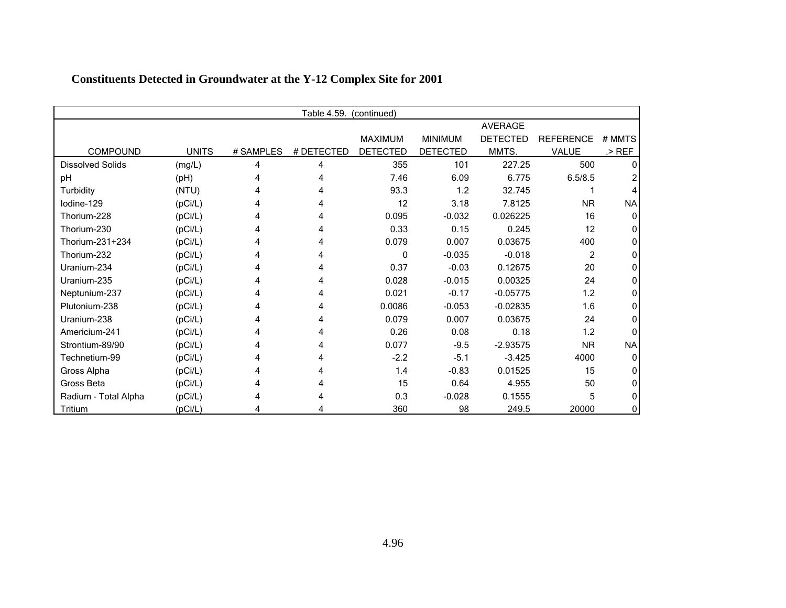| Table 4.59.<br>(continued) |              |           |            |                 |                 |                 |                  |           |  |
|----------------------------|--------------|-----------|------------|-----------------|-----------------|-----------------|------------------|-----------|--|
|                            |              |           |            |                 |                 | <b>AVERAGE</b>  |                  |           |  |
|                            |              |           |            | <b>MAXIMUM</b>  | <b>MINIMUM</b>  | <b>DETECTED</b> | <b>REFERENCE</b> | # MMTS    |  |
| <b>COMPOUND</b>            | <b>UNITS</b> | # SAMPLES | # DETECTED | <b>DETECTED</b> | <b>DETECTED</b> | MMTS.           | <b>VALUE</b>     | $>$ REF   |  |
| <b>Dissolved Solids</b>    | (mg/L)       | 4         | 4          | 355             | 101             | 227.25          | 500              |           |  |
| pH                         | (H)          |           |            | 7.46            | 6.09            | 6.775           | 6.5/8.5          |           |  |
| Turbidity                  | (NTU)        |           |            | 93.3            | 1.2             | 32.745          |                  |           |  |
| Iodine-129                 | (pCi/L)      |           |            | 12              | 3.18            | 7.8125          | <b>NR</b>        | <b>NA</b> |  |
| Thorium-228                | (pCi/L)      | 4         |            | 0.095           | $-0.032$        | 0.026225        | 16               |           |  |
| Thorium-230                | (pCi/L)      | 4         |            | 0.33            | 0.15            | 0.245           | 12               |           |  |
| Thorium-231+234            | (pCi/L)      | 4         |            | 0.079           | 0.007           | 0.03675         | 400              |           |  |
| Thorium-232                | (pCi/L)      | 4         |            | 0               | $-0.035$        | $-0.018$        | 2                |           |  |
| Uranium-234                | (pCi/L)      |           |            | 0.37            | $-0.03$         | 0.12675         | 20               |           |  |
| Uranium-235                | (pCi/L)      |           |            | 0.028           | $-0.015$        | 0.00325         | 24               |           |  |
| Neptunium-237              | (pCi/L)      |           |            | 0.021           | $-0.17$         | $-0.05775$      | 1.2              |           |  |
| Plutonium-238              | (pCi/L)      |           |            | 0.0086          | $-0.053$        | $-0.02835$      | 1.6              |           |  |
| Uranium-238                | (pCi/L)      |           |            | 0.079           | 0.007           | 0.03675         | 24               |           |  |
| Americium-241              | (pCi/L)      |           |            | 0.26            | 0.08            | 0.18            | 1.2              |           |  |
| Strontium-89/90            | (pCi/L)      |           |            | 0.077           | $-9.5$          | $-2.93575$      | <b>NR</b>        | <b>NA</b> |  |
| Technetium-99              | (pCi/L)      |           |            | $-2.2$          | $-5.1$          | $-3.425$        | 4000             |           |  |
| Gross Alpha                | (pCi/L)      |           |            | 1.4             | $-0.83$         | 0.01525         | 15               |           |  |
| Gross Beta                 | (pCi/L)      | 4         |            | 15              | 0.64            | 4.955           | 50               |           |  |
| Radium - Total Alpha       | (pCi/L)      |           |            | 0.3             | $-0.028$        | 0.1555          | 5                |           |  |
| Tritium                    | (pCi/L)      |           |            | 360             | 98              | 249.5           | 20000            |           |  |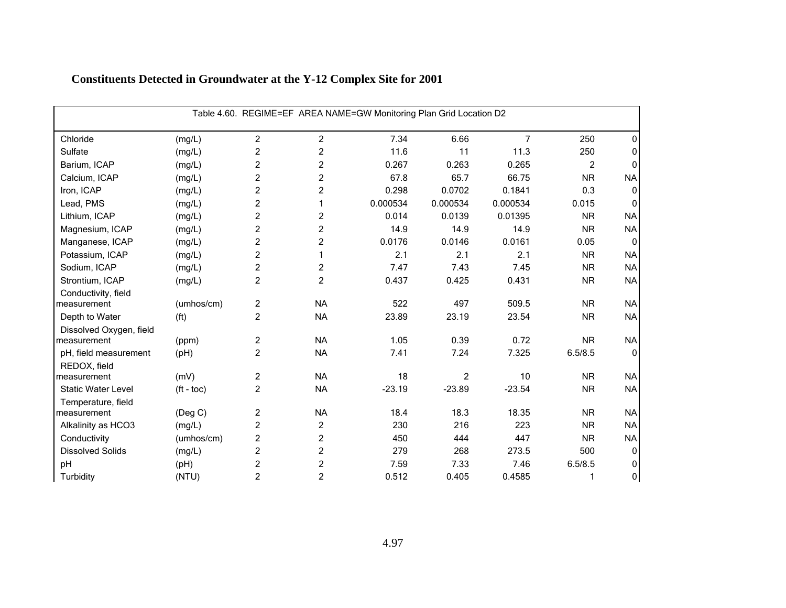| Table 4.60. REGIME=EF AREA NAME=GW Monitoring Plan Grid Location D2 |                       |                |                         |          |                |          |                |              |  |  |
|---------------------------------------------------------------------|-----------------------|----------------|-------------------------|----------|----------------|----------|----------------|--------------|--|--|
| Chloride                                                            | (mg/L)                | $\overline{2}$ | 2                       | 7.34     | 6.66           | 7        | 250            | 0            |  |  |
| Sulfate                                                             | (mg/L)                | $\overline{2}$ | $\overline{c}$          | 11.6     | 11             | 11.3     | 250            | 0            |  |  |
| Barium, ICAP                                                        | (mg/L)                | $\overline{c}$ | $\overline{\mathbf{c}}$ | 0.267    | 0.263          | 0.265    | $\overline{2}$ | 0            |  |  |
| Calcium, ICAP                                                       | (mg/L)                | $\overline{c}$ | $\overline{c}$          | 67.8     | 65.7           | 66.75    | <b>NR</b>      | <b>NA</b>    |  |  |
| Iron, ICAP                                                          | (mg/L)                | $\overline{c}$ | $\overline{c}$          | 0.298    | 0.0702         | 0.1841   | 0.3            | $\mathbf{0}$ |  |  |
| Lead, PMS                                                           | (mg/L)                | $\overline{c}$ | 1                       | 0.000534 | 0.000534       | 0.000534 | 0.015          | 0            |  |  |
| Lithium, ICAP                                                       | (mg/L)                | $\overline{2}$ | 2                       | 0.014    | 0.0139         | 0.01395  | <b>NR</b>      | <b>NA</b>    |  |  |
| Magnesium, ICAP                                                     | (mg/L)                | $\overline{c}$ | $\overline{c}$          | 14.9     | 14.9           | 14.9     | <b>NR</b>      | <b>NA</b>    |  |  |
| Manganese, ICAP                                                     | (mg/L)                | $\overline{c}$ | $\overline{\mathbf{c}}$ | 0.0176   | 0.0146         | 0.0161   | 0.05           | $\mathbf{0}$ |  |  |
| Potassium, ICAP                                                     | (mg/L)                | $\overline{2}$ | 1                       | 2.1      | 2.1            | 2.1      | <b>NR</b>      | <b>NA</b>    |  |  |
| Sodium, ICAP                                                        | (mg/L)                | 2              | 2                       | 7.47     | 7.43           | 7.45     | <b>NR</b>      | <b>NA</b>    |  |  |
| Strontium, ICAP                                                     | (mg/L)                | $\overline{c}$ | $\overline{c}$          | 0.437    | 0.425          | 0.431    | <b>NR</b>      | <b>NA</b>    |  |  |
| Conductivity, field                                                 |                       |                |                         |          |                |          |                |              |  |  |
| measurement                                                         | (umhos/cm)            | $\overline{c}$ | <b>NA</b>               | 522      | 497            | 509.5    | <b>NR</b>      | <b>NA</b>    |  |  |
| Depth to Water                                                      | (f <sup>t</sup> )     | $\overline{2}$ | <b>NA</b>               | 23.89    | 23.19          | 23.54    | <b>NR</b>      | <b>NA</b>    |  |  |
| Dissolved Oxygen, field                                             |                       |                |                         |          |                |          |                |              |  |  |
| measurement                                                         | (ppm)                 | $\overline{c}$ | <b>NA</b>               | 1.05     | 0.39           | 0.72     | <b>NR</b>      | <b>NA</b>    |  |  |
| pH, field measurement                                               | (pH)                  | $\overline{a}$ | <b>NA</b>               | 7.41     | 7.24           | 7.325    | 6.5/8.5        | $\mathbf{0}$ |  |  |
| REDOX, field                                                        |                       |                |                         |          |                |          |                |              |  |  |
| measurement                                                         | (mV)                  | $\overline{c}$ | <b>NA</b>               | 18       | $\overline{c}$ | 10       | <b>NR</b>      | <b>NA</b>    |  |  |
| <b>Static Water Level</b>                                           | $({\rm ft -}$ toc $)$ | $\overline{2}$ | <b>NA</b>               | $-23.19$ | $-23.89$       | $-23.54$ | <b>NR</b>      | <b>NA</b>    |  |  |
| Temperature, field                                                  |                       |                |                         |          |                |          |                |              |  |  |
| measurement                                                         | (Deg C)               | $\overline{c}$ | <b>NA</b>               | 18.4     | 18.3           | 18.35    | <b>NR</b>      | <b>NA</b>    |  |  |
| Alkalinity as HCO3                                                  | (mg/L)                | $\overline{c}$ | 2                       | 230      | 216            | 223      | <b>NR</b>      | <b>NA</b>    |  |  |
| Conductivity                                                        | (umhos/cm)            | $\overline{c}$ | $\overline{c}$          | 450      | 444            | 447      | <b>NR</b>      | <b>NA</b>    |  |  |
| <b>Dissolved Solids</b>                                             | (mg/L)                | $\overline{c}$ | $\overline{c}$          | 279      | 268            | 273.5    | 500            | $\mathbf 0$  |  |  |
| pH                                                                  | (H)                   | $\overline{2}$ | $\overline{c}$          | 7.59     | 7.33           | 7.46     | 6.5/8.5        | 0            |  |  |
| Turbidity                                                           | (NTU)                 | $\overline{c}$ | $\overline{c}$          | 0.512    | 0.405          | 0.4585   | 1              | 0            |  |  |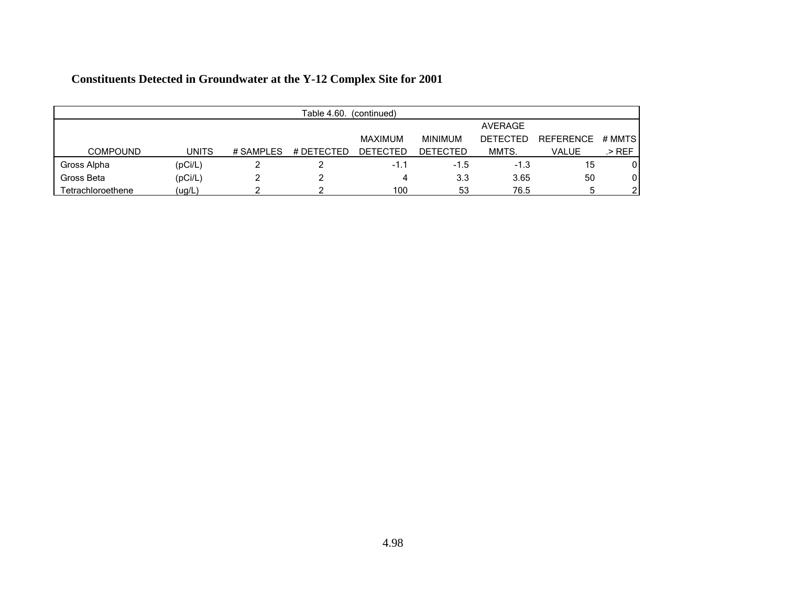| Table 4.60.<br>(continued) |              |           |            |                 |                 |          |                  |        |  |
|----------------------------|--------------|-----------|------------|-----------------|-----------------|----------|------------------|--------|--|
|                            |              |           |            |                 |                 | AVERAGE  |                  |        |  |
|                            |              |           |            | MAXIMUM         | <b>MINIMUM</b>  | DETECTED | <b>REFERENCE</b> | # MMTS |  |
| <b>COMPOUND</b>            | <b>UNITS</b> | # SAMPLES | # DETECTED | <b>DETECTED</b> | <b>DETECTED</b> | MMTS.    | VALUE            | .> REF |  |
| Gross Alpha                | (pCi/L)      |           |            | $-1.1$          | $-1.5$          | $-1.3$   | 15               |        |  |
| Gross Beta                 | (pCi/L)      |           |            | 4               | 3.3             | 3.65     | 50               | 0      |  |
| Tetrachloroethene          | (ug/L)       |           |            | 100             | 53              | 76.5     |                  |        |  |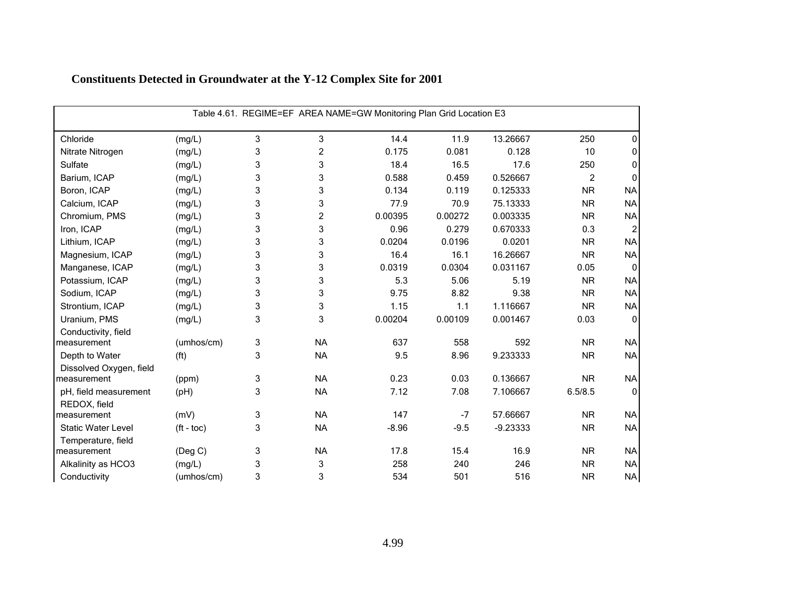| Table 4.61. REGIME=EF AREA NAME=GW Monitoring Plan Grid Location E3 |                   |   |                |         |         |            |                |                |  |
|---------------------------------------------------------------------|-------------------|---|----------------|---------|---------|------------|----------------|----------------|--|
| Chloride                                                            | (mg/L)            | 3 | 3              | 14.4    | 11.9    | 13.26667   | 250            | 0              |  |
| Nitrate Nitrogen                                                    | (mg/L)            | 3 | $\overline{c}$ | 0.175   | 0.081   | 0.128      | 10             | 0              |  |
| Sulfate                                                             | (mg/L)            | 3 | 3              | 18.4    | 16.5    | 17.6       | 250            | 0              |  |
| Barium, ICAP                                                        | (mg/L)            | 3 | 3              | 0.588   | 0.459   | 0.526667   | $\overline{2}$ | 0              |  |
| Boron, ICAP                                                         | (mg/L)            | 3 | 3              | 0.134   | 0.119   | 0.125333   | <b>NR</b>      | <b>NA</b>      |  |
| Calcium, ICAP                                                       | (mg/L)            | 3 | 3              | 77.9    | 70.9    | 75.13333   | <b>NR</b>      | <b>NA</b>      |  |
| Chromium, PMS                                                       | (mg/L)            | 3 | 2              | 0.00395 | 0.00272 | 0.003335   | <b>NR</b>      | <b>NA</b>      |  |
| Iron, ICAP                                                          | (mg/L)            | 3 | 3              | 0.96    | 0.279   | 0.670333   | 0.3            | $\overline{2}$ |  |
| Lithium, ICAP                                                       | (mg/L)            | 3 | 3              | 0.0204  | 0.0196  | 0.0201     | <b>NR</b>      | <b>NA</b>      |  |
| Magnesium, ICAP                                                     | (mg/L)            | 3 | 3              | 16.4    | 16.1    | 16.26667   | <b>NR</b>      | <b>NA</b>      |  |
| Manganese, ICAP                                                     | (mg/L)            | 3 | 3              | 0.0319  | 0.0304  | 0.031167   | 0.05           | $\mathbf{0}$   |  |
| Potassium, ICAP                                                     | (mg/L)            | 3 | 3              | 5.3     | 5.06    | 5.19       | <b>NR</b>      | <b>NA</b>      |  |
| Sodium, ICAP                                                        | (mg/L)            | 3 | 3              | 9.75    | 8.82    | 9.38       | <b>NR</b>      | <b>NA</b>      |  |
| Strontium, ICAP                                                     | (mg/L)            | 3 | 3              | 1.15    | 1.1     | 1.116667   | <b>NR</b>      | <b>NA</b>      |  |
| Uranium, PMS                                                        | (mg/L)            | 3 | 3              | 0.00204 | 0.00109 | 0.001467   | 0.03           | $\mathbf{0}$   |  |
| Conductivity, field                                                 |                   |   |                |         |         |            |                |                |  |
| measurement                                                         | (umhos/cm)        | 3 | <b>NA</b>      | 637     | 558     | 592        | <b>NR</b>      | <b>NA</b>      |  |
| Depth to Water                                                      | (f <sup>t</sup> ) | 3 | <b>NA</b>      | 9.5     | 8.96    | 9.233333   | <b>NR</b>      | <b>NA</b>      |  |
| Dissolved Oxygen, field                                             |                   |   |                |         |         |            |                |                |  |
| measurement                                                         | (ppm)             | 3 | <b>NA</b>      | 0.23    | 0.03    | 0.136667   | <b>NR</b>      | <b>NA</b>      |  |
| pH, field measurement                                               | (pH)              | 3 | <b>NA</b>      | 7.12    | 7.08    | 7.106667   | 6.5/8.5        | $\mathbf{0}$   |  |
| REDOX, field                                                        |                   |   |                |         |         |            |                |                |  |
| measurement                                                         | (mV)              | 3 | <b>NA</b>      | 147     | $-7$    | 57.66667   | <b>NR</b>      | <b>NA</b>      |  |
| <b>Static Water Level</b>                                           | $(ft - toc)$      | 3 | <b>NA</b>      | $-8.96$ | $-9.5$  | $-9.23333$ | <b>NR</b>      | <b>NA</b>      |  |
| Temperature, field                                                  |                   |   |                |         |         |            |                |                |  |
| measurement                                                         | (Deg C)           | 3 | <b>NA</b>      | 17.8    | 15.4    | 16.9       | <b>NR</b>      | <b>NA</b>      |  |
| Alkalinity as HCO3                                                  | (mg/L)            | 3 | 3              | 258     | 240     | 246        | <b>NR</b>      | <b>NA</b>      |  |
| Conductivity                                                        | (umhos/cm)        | 3 | 3              | 534     | 501     | 516        | <b>NR</b>      | <b>NA</b>      |  |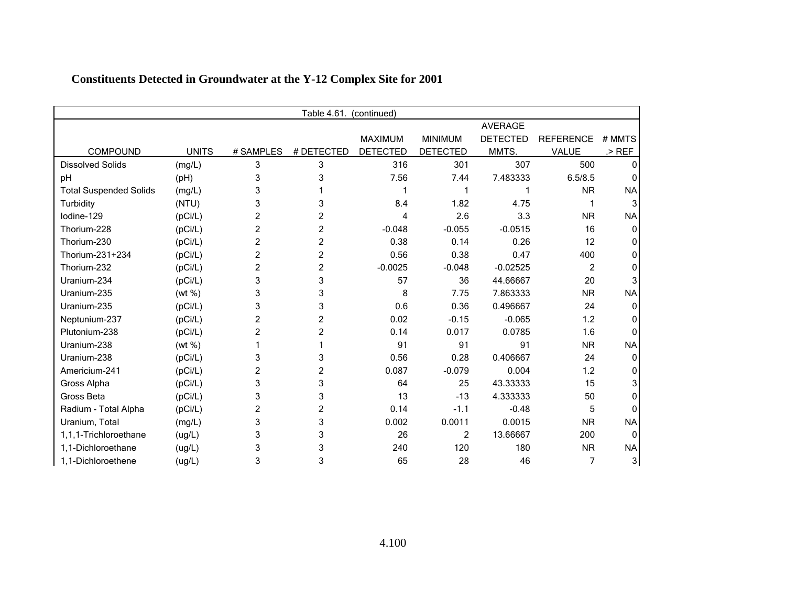|                               | Table 4.61.<br>(continued) |                |                |                 |                 |                 |                  |           |  |  |
|-------------------------------|----------------------------|----------------|----------------|-----------------|-----------------|-----------------|------------------|-----------|--|--|
|                               |                            |                |                |                 |                 | <b>AVERAGE</b>  |                  |           |  |  |
|                               |                            |                |                | <b>MAXIMUM</b>  | <b>MINIMUM</b>  | <b>DETECTED</b> | <b>REFERENCE</b> | # MMTS    |  |  |
| COMPOUND                      | <b>UNITS</b>               | # SAMPLES      | # DETECTED     | <b>DETECTED</b> | <b>DETECTED</b> | MMTS.           | VALUE            | $>$ REF   |  |  |
| <b>Dissolved Solids</b>       | (mg/L)                     | 3              | 3              | 316             | 301             | 307             | 500              |           |  |  |
| pH                            | (pH)                       | 3              | 3              | 7.56            | 7.44            | 7.483333        | 6.5/8.5          |           |  |  |
| <b>Total Suspended Solids</b> | (mg/L)                     | 3              |                |                 |                 |                 | <b>NR</b>        | <b>NA</b> |  |  |
| Turbidity                     | (NTU)                      | 3              | 3              | 8.4             | 1.82            | 4.75            |                  |           |  |  |
| lodine-129                    | (pCi/L)                    | 2              | 2              | 4               | 2.6             | 3.3             | <b>NR</b>        | <b>NA</b> |  |  |
| Thorium-228                   | (pCi/L)                    | 2              | $\overline{c}$ | $-0.048$        | $-0.055$        | $-0.0515$       | 16               |           |  |  |
| Thorium-230                   | (pCi/L)                    | 2              | 2              | 0.38            | 0.14            | 0.26            | 12               |           |  |  |
| Thorium-231+234               | (pCi/L)                    | $\overline{c}$ | 2              | 0.56            | 0.38            | 0.47            | 400              |           |  |  |
| Thorium-232                   | (pCi/L)                    | 2              | 2              | $-0.0025$       | $-0.048$        | $-0.02525$      | 2                |           |  |  |
| Uranium-234                   | (pCi/L)                    | 3              | 3              | 57              | 36              | 44.66667        | 20               |           |  |  |
| Uranium-235                   | (wt %)                     | 3              | 3              | 8               | 7.75            | 7.863333        | <b>NR</b>        | <b>NA</b> |  |  |
| Uranium-235                   | (pCi/L)                    | 3              | 3              | 0.6             | 0.36            | 0.496667        | 24               |           |  |  |
| Neptunium-237                 | (pCi/L)                    | 2              | 2              | 0.02            | $-0.15$         | $-0.065$        | 1.2              |           |  |  |
| Plutonium-238                 | (pCi/L)                    | 2              | 2              | 0.14            | 0.017           | 0.0785          | 1.6              |           |  |  |
| Uranium-238                   | (wt %)                     |                |                | 91              | 91              | 91              | <b>NR</b>        | <b>NA</b> |  |  |
| Uranium-238                   | (pCi/L)                    | 3              | 3              | 0.56            | 0.28            | 0.406667        | 24               |           |  |  |
| Americium-241                 | (pCi/L)                    | 2              | 2              | 0.087           | $-0.079$        | 0.004           | 1.2              |           |  |  |
| Gross Alpha                   | (pCi/L)                    | 3              | 3              | 64              | 25              | 43.33333        | 15               |           |  |  |
| Gross Beta                    | (pCi/L)                    | 3              | 3              | 13              | $-13$           | 4.333333        | 50               |           |  |  |
| Radium - Total Alpha          | (pCi/L)                    | 2              | 2              | 0.14            | $-1.1$          | $-0.48$         | 5                |           |  |  |
| Uranium, Total                | (mg/L)                     | 3              | 3              | 0.002           | 0.0011          | 0.0015          | <b>NR</b>        | <b>NA</b> |  |  |
| 1,1,1-Trichloroethane         | (ug/L)                     | 3              | 3              | 26              | $\overline{2}$  | 13.66667        | 200              | ∩         |  |  |
| 1.1-Dichloroethane            | (ug/L)                     | 3              | 3              | 240             | 120             | 180             | <b>NR</b>        | <b>NA</b> |  |  |
| 1,1-Dichloroethene            | (ug/L)                     | 3              | 3              | 65              | 28              | 46              | 7                | 3         |  |  |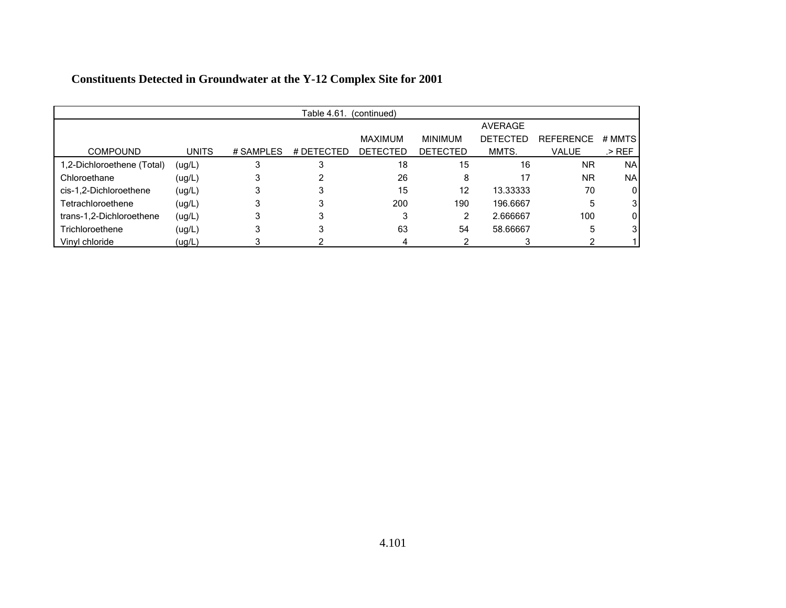|                            |              |           | Table 4.61. | (continued)     |                 |                 |                  |           |
|----------------------------|--------------|-----------|-------------|-----------------|-----------------|-----------------|------------------|-----------|
|                            |              |           |             |                 |                 | <b>AVERAGE</b>  |                  |           |
|                            |              |           |             | <b>MAXIMUM</b>  | <b>MINIMUM</b>  | <b>DETECTED</b> | <b>REFERENCE</b> | # MMTS    |
| <b>COMPOUND</b>            | <b>UNITS</b> | # SAMPLES | # DETECTED  | <b>DETECTED</b> | <b>DETECTED</b> | MMTS.           | <b>VALUE</b>     | .> REF    |
| 1,2-Dichloroethene (Total) | (ug/L)       |           | 3           | 18              | 15              | 16              | <b>NR</b>        | <b>NA</b> |
| Chloroethane               | (ug/L)       |           |             | 26              | 8               | 17              | <b>NR</b>        | <b>NA</b> |
| cis-1,2-Dichloroethene     | (ug/L)       |           |             | 15              | 12              | 13.33333        | 70               | 0         |
| Tetrachloroethene          | (ug/L)       |           |             | 200             | 190             | 196.6667        | 5                | 3         |
| trans-1,2-Dichloroethene   | (ug/L)       |           |             | 3               | 2               | 2.666667        | 100              | 0         |
| Trichloroethene            | (ug/L)       |           |             | 63              | 54              | 58.66667        | 5                | 3         |
| Vinyl chloride             | (ug/L)       |           |             |                 |                 |                 |                  |           |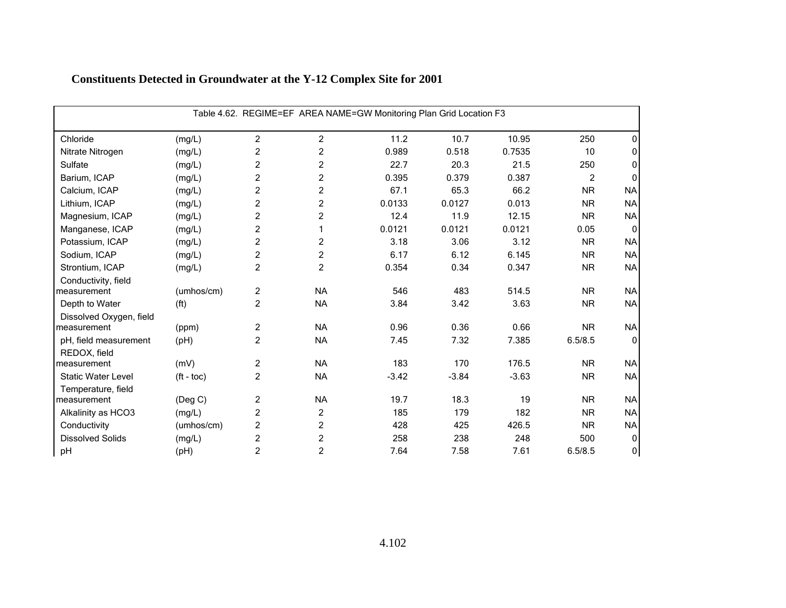|                           | Table 4.62. REGIME=EF AREA NAME=GW Monitoring Plan Grid Location F3 |                |                         |         |         |         |                |             |  |  |  |
|---------------------------|---------------------------------------------------------------------|----------------|-------------------------|---------|---------|---------|----------------|-------------|--|--|--|
| Chloride                  | (mg/L)                                                              | $\overline{c}$ | $\overline{c}$          | 11.2    | 10.7    | 10.95   | 250            | 0           |  |  |  |
| Nitrate Nitrogen          | (mg/L)                                                              | 2              | 2                       | 0.989   | 0.518   | 0.7535  | 10             | 0           |  |  |  |
| Sulfate                   | (mg/L)                                                              | 2              | $\overline{\mathbf{c}}$ | 22.7    | 20.3    | 21.5    | 250            | 0           |  |  |  |
| Barium, ICAP              | (mg/L)                                                              | $\overline{c}$ | $\overline{c}$          | 0.395   | 0.379   | 0.387   | $\overline{c}$ | $\Omega$    |  |  |  |
| Calcium, ICAP             | (mg/L)                                                              | 2              | $\overline{c}$          | 67.1    | 65.3    | 66.2    | <b>NR</b>      | <b>NA</b>   |  |  |  |
| Lithium, ICAP             | (mg/L)                                                              | 2              | 2                       | 0.0133  | 0.0127  | 0.013   | <b>NR</b>      | <b>NA</b>   |  |  |  |
| Magnesium, ICAP           | (mg/L)                                                              | $\overline{c}$ | 2                       | 12.4    | 11.9    | 12.15   | <b>NR</b>      | <b>NA</b>   |  |  |  |
| Manganese, ICAP           | (mg/L)                                                              | 2              | 1                       | 0.0121  | 0.0121  | 0.0121  | 0.05           | $\mathbf 0$ |  |  |  |
| Potassium, ICAP           | (mg/L)                                                              | 2              | $\overline{\mathbf{c}}$ | 3.18    | 3.06    | 3.12    | <b>NR</b>      | <b>NA</b>   |  |  |  |
| Sodium, ICAP              | (mg/L)                                                              | 2              | $\overline{c}$          | 6.17    | 6.12    | 6.145   | <b>NR</b>      | <b>NA</b>   |  |  |  |
| Strontium, ICAP           | (mg/L)                                                              | 2              | $\overline{c}$          | 0.354   | 0.34    | 0.347   | <b>NR</b>      | <b>NA</b>   |  |  |  |
| Conductivity, field       |                                                                     |                |                         |         |         |         |                |             |  |  |  |
| measurement               | (umhos/cm)                                                          | $\overline{c}$ | <b>NA</b>               | 546     | 483     | 514.5   | <b>NR</b>      | <b>NA</b>   |  |  |  |
| Depth to Water            | (f <sup>t</sup> )                                                   | 2              | <b>NA</b>               | 3.84    | 3.42    | 3.63    | <b>NR</b>      | <b>NA</b>   |  |  |  |
| Dissolved Oxygen, field   |                                                                     |                |                         |         |         |         |                |             |  |  |  |
| measurement               | (ppm)                                                               | $\overline{c}$ | <b>NA</b>               | 0.96    | 0.36    | 0.66    | <b>NR</b>      | <b>NA</b>   |  |  |  |
| pH, field measurement     | (pH)                                                                | 2              | <b>NA</b>               | 7.45    | 7.32    | 7.385   | 6.5/8.5        | 0           |  |  |  |
| REDOX, field              |                                                                     |                |                         |         |         |         |                |             |  |  |  |
| measurement               | (mV)                                                                | $\overline{c}$ | <b>NA</b>               | 183     | 170     | 176.5   | <b>NR</b>      | <b>NA</b>   |  |  |  |
| <b>Static Water Level</b> | $(t - toc)$                                                         | $\overline{c}$ | <b>NA</b>               | $-3.42$ | $-3.84$ | $-3.63$ | <b>NR</b>      | <b>NA</b>   |  |  |  |
| Temperature, field        |                                                                     |                |                         |         |         |         |                |             |  |  |  |
| measurement               | $($ Deg C $)$                                                       | $\overline{c}$ | <b>NA</b>               | 19.7    | 18.3    | 19      | <b>NR</b>      | <b>NA</b>   |  |  |  |
| Alkalinity as HCO3        | (mg/L)                                                              | $\overline{c}$ | $\overline{c}$          | 185     | 179     | 182     | <b>NR</b>      | <b>NA</b>   |  |  |  |
| Conductivity              | (umhos/cm)                                                          | 2              | $\overline{c}$          | 428     | 425     | 426.5   | <b>NR</b>      | <b>NA</b>   |  |  |  |
| <b>Dissolved Solids</b>   | (mg/L)                                                              | $\overline{c}$ | $\overline{c}$          | 258     | 238     | 248     | 500            | 0           |  |  |  |
| pH                        | (Hq)                                                                | $\overline{c}$ | 2                       | 7.64    | 7.58    | 7.61    | 6.5/8.5        | 0           |  |  |  |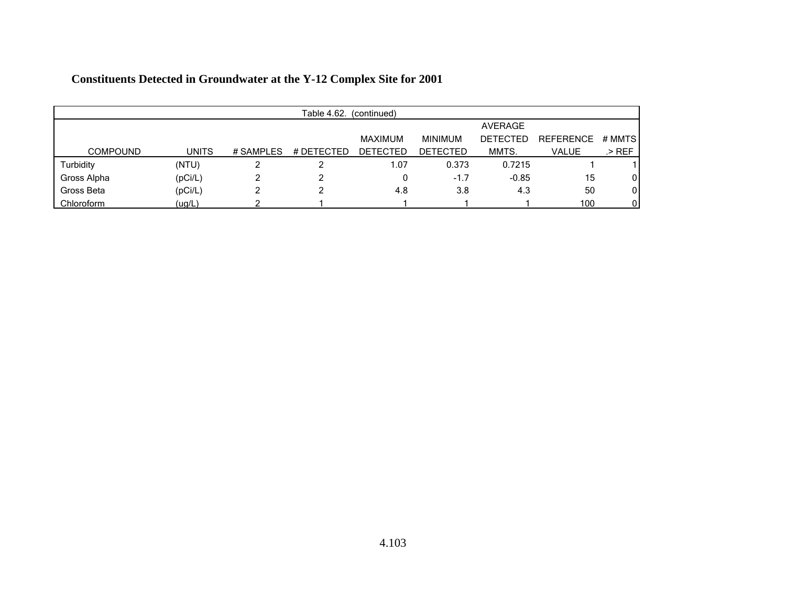|                 | Table 4.62.<br>(continued) |           |            |                 |                 |                 |                  |              |  |  |
|-----------------|----------------------------|-----------|------------|-----------------|-----------------|-----------------|------------------|--------------|--|--|
|                 |                            |           |            |                 |                 | <b>AVERAGE</b>  |                  |              |  |  |
|                 |                            |           |            | MAXIMUM         | <b>MINIMUM</b>  | <b>DETECTED</b> | <b>REFERENCE</b> | # MMTS       |  |  |
| <b>COMPOUND</b> | <b>UNITS</b>               | # SAMPLES | # DETECTED | <b>DETECTED</b> | <b>DETECTED</b> | MMTS.           | <b>VALUE</b>     | .> REF       |  |  |
| Turbidity       | (NTU)                      |           |            | 1.07            | 0.373           | 0.7215          |                  |              |  |  |
| Gross Alpha     | (pCi/L)                    |           |            |                 | $-1.7$          | $-0.85$         | 15               | $\mathbf{0}$ |  |  |
| Gross Beta      | (pCi/L)                    |           |            | 4.8             | 3.8             | 4.3             | 50               | 0            |  |  |
| Chloroform      | (ug/L)                     |           |            |                 |                 |                 | 100              | $\mathbf{0}$ |  |  |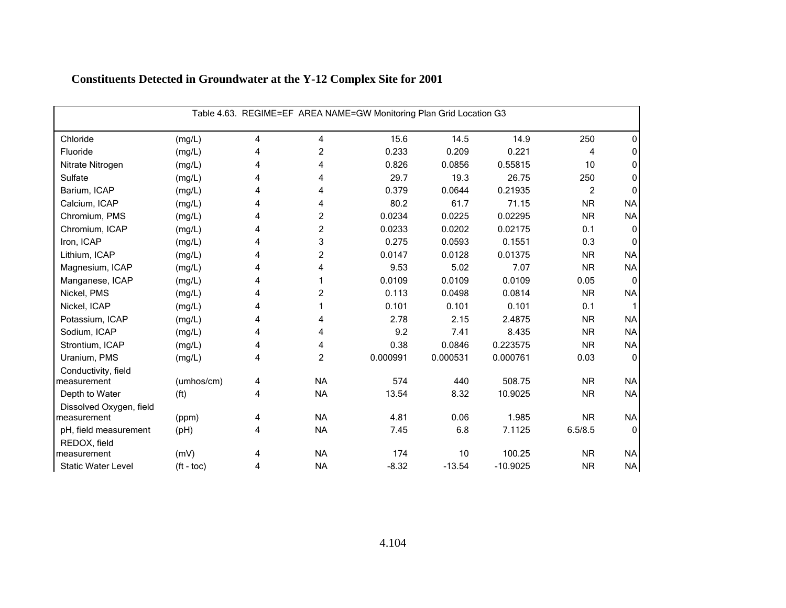| Table 4.63. REGIME=EF AREA NAME=GW Monitoring Plan Grid Location G3 |                   |   |                |          |          |            |                |              |  |  |
|---------------------------------------------------------------------|-------------------|---|----------------|----------|----------|------------|----------------|--------------|--|--|
| Chloride                                                            | (mg/L)            | 4 | 4              | 15.6     | 14.5     | 14.9       | 250            | 0            |  |  |
| Fluoride                                                            | (mg/L)            | 4 | $\overline{c}$ | 0.233    | 0.209    | 0.221      | 4              | 0            |  |  |
| Nitrate Nitrogen                                                    | (mg/L)            | 4 | 4              | 0.826    | 0.0856   | 0.55815    | 10             | 0            |  |  |
| Sulfate                                                             | (mg/L)            | 4 | 4              | 29.7     | 19.3     | 26.75      | 250            | 0            |  |  |
| Barium, ICAP                                                        | (mg/L)            | 4 | 4              | 0.379    | 0.0644   | 0.21935    | $\overline{2}$ | $\Omega$     |  |  |
| Calcium, ICAP                                                       | (mg/L)            | 4 | 4              | 80.2     | 61.7     | 71.15      | <b>NR</b>      | <b>NA</b>    |  |  |
| Chromium, PMS                                                       | (mg/L)            | 4 | $\overline{c}$ | 0.0234   | 0.0225   | 0.02295    | <b>NR</b>      | <b>NA</b>    |  |  |
| Chromium, ICAP                                                      | (mg/L)            | 4 | 2              | 0.0233   | 0.0202   | 0.02175    | 0.1            | 0            |  |  |
| Iron, ICAP                                                          | (mg/L)            | 4 | 3              | 0.275    | 0.0593   | 0.1551     | 0.3            | $\Omega$     |  |  |
| Lithium, ICAP                                                       | (mg/L)            | 4 | $\overline{c}$ | 0.0147   | 0.0128   | 0.01375    | <b>NR</b>      | <b>NA</b>    |  |  |
| Magnesium, ICAP                                                     | (mg/L)            | 4 | 4              | 9.53     | 5.02     | 7.07       | <b>NR</b>      | <b>NA</b>    |  |  |
| Manganese, ICAP                                                     | (mg/L)            | 4 | 1              | 0.0109   | 0.0109   | 0.0109     | 0.05           | $\mathbf{0}$ |  |  |
| Nickel, PMS                                                         | (mg/L)            | 4 | 2              | 0.113    | 0.0498   | 0.0814     | <b>NR</b>      | <b>NA</b>    |  |  |
| Nickel, ICAP                                                        | (mg/L)            | 4 |                | 0.101    | 0.101    | 0.101      | 0.1            |              |  |  |
| Potassium, ICAP                                                     | (mg/L)            | 4 | 4              | 2.78     | 2.15     | 2.4875     | <b>NR</b>      | <b>NA</b>    |  |  |
| Sodium, ICAP                                                        | (mg/L)            | 4 | 4              | 9.2      | 7.41     | 8.435      | <b>NR</b>      | <b>NA</b>    |  |  |
| Strontium, ICAP                                                     | (mg/L)            | 4 | 4              | 0.38     | 0.0846   | 0.223575   | <b>NR</b>      | <b>NA</b>    |  |  |
| Uranium, PMS                                                        | (mg/L)            | 4 | $\overline{c}$ | 0.000991 | 0.000531 | 0.000761   | 0.03           | $\mathbf 0$  |  |  |
| Conductivity, field                                                 |                   |   |                |          |          |            |                |              |  |  |
| measurement                                                         | (umhos/cm)        | 4 | <b>NA</b>      | 574      | 440      | 508.75     | <b>NR</b>      | <b>NA</b>    |  |  |
| Depth to Water                                                      | (f <sup>t</sup> ) | 4 | <b>NA</b>      | 13.54    | 8.32     | 10.9025    | <b>NR</b>      | <b>NA</b>    |  |  |
| Dissolved Oxygen, field                                             |                   |   |                |          |          |            |                |              |  |  |
| measurement                                                         | (ppm)             | 4 | <b>NA</b>      | 4.81     | 0.06     | 1.985      | <b>NR</b>      | <b>NA</b>    |  |  |
| pH, field measurement                                               | (pH)              | 4 | <b>NA</b>      | 7.45     | 6.8      | 7.1125     | 6.5/8.5        | $\Omega$     |  |  |
| REDOX, field                                                        |                   |   |                |          |          |            |                |              |  |  |
| measurement                                                         | (mV)              | 4 | <b>NA</b>      | 174      | 10       | 100.25     | <b>NR</b>      | <b>NA</b>    |  |  |
| <b>Static Water Level</b>                                           | $(t - toc)$       | 4 | <b>NA</b>      | $-8.32$  | $-13.54$ | $-10.9025$ | <b>NR</b>      | NA           |  |  |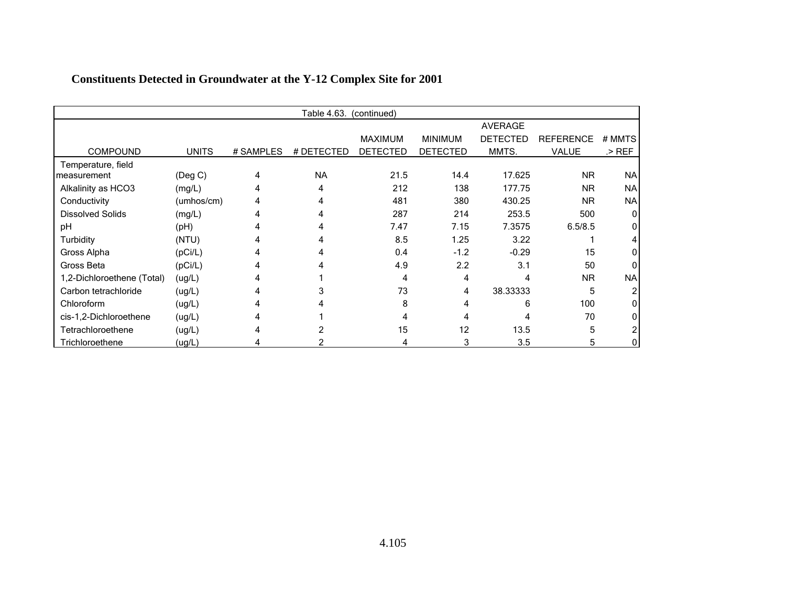|                            |              |           | Table 4.63. | (continued)     |                 |                 |                  |           |
|----------------------------|--------------|-----------|-------------|-----------------|-----------------|-----------------|------------------|-----------|
|                            |              |           |             |                 |                 | <b>AVERAGE</b>  |                  |           |
|                            |              |           |             | <b>MAXIMUM</b>  | <b>MINIMUM</b>  | <b>DETECTED</b> | <b>REFERENCE</b> | # MMTS    |
| <b>COMPOUND</b>            | <b>UNITS</b> | # SAMPLES | # DETECTED  | <b>DETECTED</b> | <b>DETECTED</b> | MMTS.           | VALUE            | .> REF    |
| Temperature, field         |              |           |             |                 |                 |                 |                  |           |
| measurement                | (Deg C)      | 4         | <b>NA</b>   | 21.5            | 14.4            | 17.625          | <b>NR</b>        | <b>NA</b> |
| Alkalinity as HCO3         | (mg/L)       | 4         | 4           | 212             | 138             | 177.75          | <b>NR</b>        | <b>NA</b> |
| Conductivity               | (umhos/cm)   |           | 4           | 481             | 380             | 430.25          | <b>NR</b>        | <b>NA</b> |
| <b>Dissolved Solids</b>    | (mg/L)       |           |             | 287             | 214             | 253.5           | 500              | 0         |
| рH                         | (Hq)         |           |             | 7.47            | 7.15            | 7.3575          | 6.5/8.5          |           |
| Turbidity                  | (NTU)        |           |             | 8.5             | 1.25            | 3.22            |                  |           |
| Gross Alpha                | (pCi/L)      |           |             | 0.4             | $-1.2$          | $-0.29$         | 15               |           |
| Gross Beta                 | (pCi/L)      |           |             | 4.9             | 2.2             | 3.1             | 50               |           |
| 1,2-Dichloroethene (Total) | (ug/L)       |           |             | $\overline{4}$  | 4               | 4               | <b>NR</b>        | <b>NA</b> |
| Carbon tetrachloride       | (ug/L)       |           |             | 73              | 4               | 38.33333        | 5                |           |
| Chloroform                 | (ug/L)       |           |             | 8               | 4               | 6               | 100              |           |
| cis-1,2-Dichloroethene     | (ug/L)       |           |             | 4               | 4               |                 | 70               |           |
| Tetrachloroethene          | (ug/L)       |           |             | 15              | 12              | 13.5            | 5                |           |
| Trichloroethene            | (ug/L)       |           |             | 4               | 3               | 3.5             | 5                |           |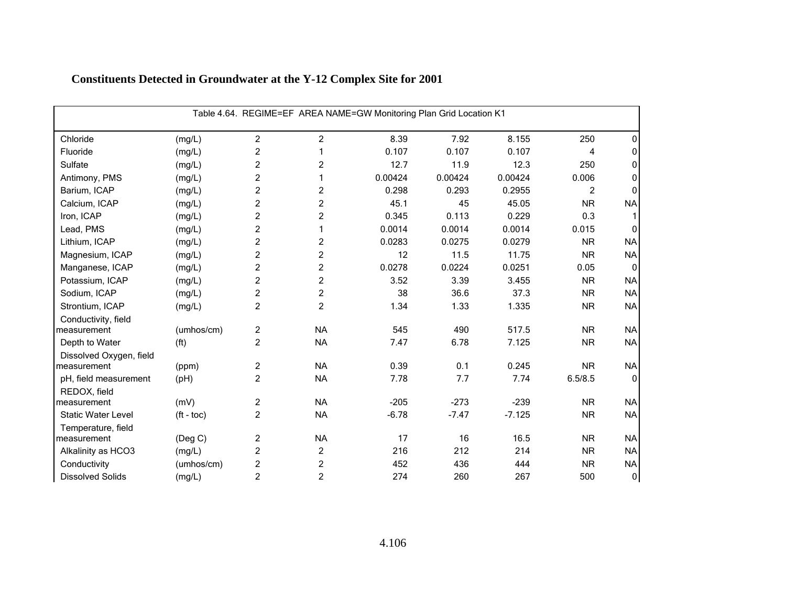| Table 4.64. REGIME=EF AREA NAME=GW Monitoring Plan Grid Location K1 |                       |                |                |         |         |          |           |                  |  |  |
|---------------------------------------------------------------------|-----------------------|----------------|----------------|---------|---------|----------|-----------|------------------|--|--|
| Chloride                                                            | (mg/L)                | $\overline{2}$ | 2              | 8.39    | 7.92    | 8.155    | 250       | 0                |  |  |
| Fluoride                                                            | (mg/L)                | $\overline{c}$ |                | 0.107   | 0.107   | 0.107    | 4         | 0                |  |  |
| Sulfate                                                             | (mg/L)                | $\overline{c}$ | $\overline{c}$ | 12.7    | 11.9    | 12.3     | 250       | 0                |  |  |
| Antimony, PMS                                                       | (mg/L)                | $\overline{c}$ | 1              | 0.00424 | 0.00424 | 0.00424  | 0.006     | 0                |  |  |
| Barium, ICAP                                                        | (mg/L)                | $\overline{c}$ | 2              | 0.298   | 0.293   | 0.2955   | 2         | $\Omega$         |  |  |
| Calcium, ICAP                                                       | (mg/L)                | $\overline{c}$ | $\overline{c}$ | 45.1    | 45      | 45.05    | <b>NR</b> | <b>NA</b>        |  |  |
| Iron, ICAP                                                          | (mg/L)                | $\overline{c}$ | $\overline{c}$ | 0.345   | 0.113   | 0.229    | 0.3       |                  |  |  |
| Lead, PMS                                                           | (mg/L)                | $\overline{c}$ | 1              | 0.0014  | 0.0014  | 0.0014   | 0.015     | $\Omega$         |  |  |
| Lithium, ICAP                                                       | (mg/L)                | $\overline{c}$ | 2              | 0.0283  | 0.0275  | 0.0279   | <b>NR</b> | <b>NA</b>        |  |  |
| Magnesium, ICAP                                                     | (mg/L)                | $\overline{c}$ | $\overline{c}$ | 12      | 11.5    | 11.75    | <b>NR</b> | <b>NA</b>        |  |  |
| Manganese, ICAP                                                     | (mg/L)                | $\overline{c}$ | $\overline{c}$ | 0.0278  | 0.0224  | 0.0251   | 0.05      | $\mathbf{0}$     |  |  |
| Potassium, ICAP                                                     | (mg/L)                | $\overline{c}$ | 2              | 3.52    | 3.39    | 3.455    | <b>NR</b> | <b>NA</b>        |  |  |
| Sodium, ICAP                                                        | (mg/L)                | $\overline{c}$ | $\overline{c}$ | 38      | 36.6    | 37.3     | <b>NR</b> | <b>NA</b>        |  |  |
| Strontium, ICAP                                                     | (mg/L)                | $\overline{c}$ | $\overline{c}$ | 1.34    | 1.33    | 1.335    | <b>NR</b> | <b>NA</b>        |  |  |
| Conductivity, field                                                 |                       |                |                |         |         |          |           |                  |  |  |
| measurement                                                         | (umhos/cm)            | $\overline{c}$ | <b>NA</b>      | 545     | 490     | 517.5    | <b>NR</b> | <b>NA</b>        |  |  |
| Depth to Water                                                      | (f <sup>t</sup> )     | $\overline{2}$ | <b>NA</b>      | 7.47    | 6.78    | 7.125    | <b>NR</b> | <b>NA</b>        |  |  |
| Dissolved Oxygen, field                                             |                       |                |                |         |         |          |           |                  |  |  |
| measurement                                                         | (ppm)                 | $\overline{c}$ | <b>NA</b>      | 0.39    | 0.1     | 0.245    | <b>NR</b> | <b>NA</b>        |  |  |
| pH, field measurement                                               | (pH)                  | $\overline{2}$ | <b>NA</b>      | 7.78    | 7.7     | 7.74     | 6.5/8.5   | $\Omega$         |  |  |
| REDOX, field                                                        |                       |                |                |         |         |          |           |                  |  |  |
| measurement                                                         | (mV)                  | $\overline{c}$ | <b>NA</b>      | $-205$  | $-273$  | $-239$   | <b>NR</b> | <b>NA</b>        |  |  |
| <b>Static Water Level</b>                                           | $({\rm ft -}$ toc $)$ | $\overline{c}$ | <b>NA</b>      | $-6.78$ | $-7.47$ | $-7.125$ | <b>NR</b> | <b>NA</b>        |  |  |
| Temperature, field                                                  |                       | $\overline{c}$ | <b>NA</b>      | 17      | 16      | 16.5     | <b>NR</b> | <b>NA</b>        |  |  |
| measurement                                                         | (Deg C)               |                |                |         | 212     | 214      |           |                  |  |  |
| Alkalinity as HCO3                                                  | (mg/L)                | $\overline{c}$ | $\overline{c}$ | 216     |         |          | <b>NR</b> | <b>NA</b>        |  |  |
| Conductivity                                                        | (umhos/cm)            | $\overline{c}$ | 2              | 452     | 436     | 444      | <b>NR</b> | <b>NA</b>        |  |  |
| <b>Dissolved Solids</b>                                             | (mg/L)                | $\overline{c}$ | $\overline{c}$ | 274     | 260     | 267      | 500       | $\boldsymbol{0}$ |  |  |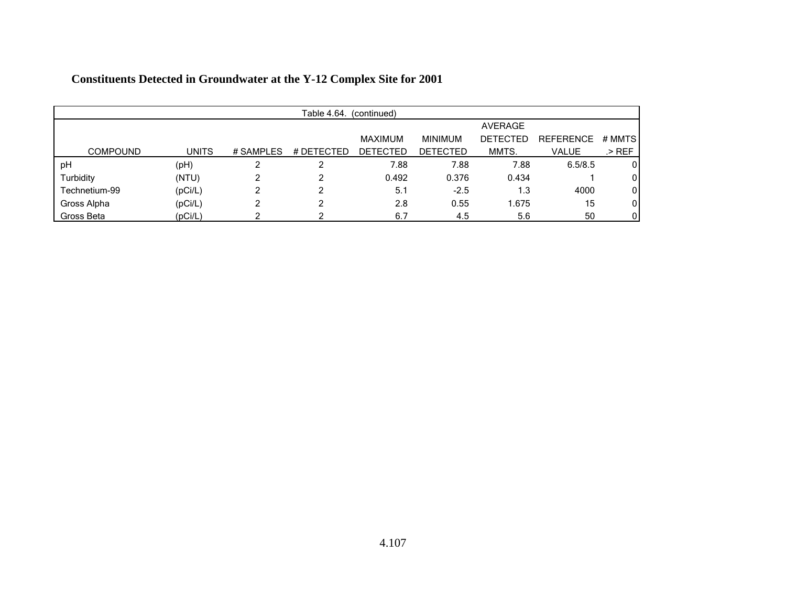| Table 4.64.<br>(continued) |              |           |            |                 |                 |                 |                  |        |  |  |
|----------------------------|--------------|-----------|------------|-----------------|-----------------|-----------------|------------------|--------|--|--|
|                            |              |           |            |                 |                 | <b>AVERAGE</b>  |                  |        |  |  |
|                            |              |           |            | MAXIMUM         | <b>MINIMUM</b>  | <b>DETECTED</b> | <b>REFERENCE</b> | # MMTS |  |  |
| <b>COMPOUND</b>            | <b>UNITS</b> | # SAMPLES | # DETECTED | <b>DETECTED</b> | <b>DETECTED</b> | MMTS.           | <b>VALUE</b>     | .> REF |  |  |
| pH                         | (pH)         |           | ົ          | 7.88            | 7.88            | 7.88            | 6.5/8.5          | 0      |  |  |
| Turbidity                  | (NTU)        | ົ         | 2          | 0.492           | 0.376           | 0.434           |                  | 0      |  |  |
| Technetium-99              | (pCi/L)      | ົ         | 2          | 5.1             | $-2.5$          | 1.3             | 4000             | 0      |  |  |
| Gross Alpha                | (pCi/L)      | ົ         | ົ          | 2.8             | 0.55            | 1.675           | 15               | 0      |  |  |
| Gross Beta                 | (pCi/L)      |           |            | 6.7             | 4.5             | 5.6             | 50               | 0      |  |  |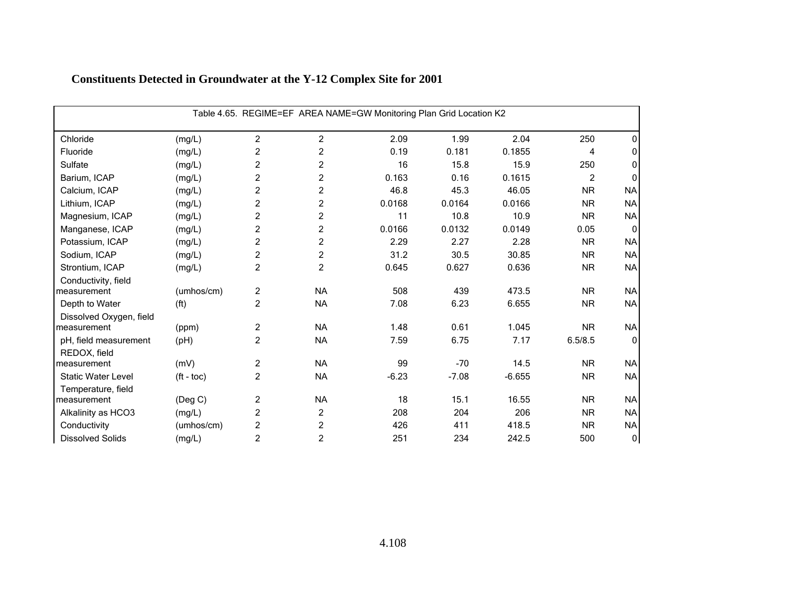| Table 4.65. REGIME=EF AREA NAME=GW Monitoring Plan Grid Location K2 |                       |                |                |         |         |          |                |              |  |  |
|---------------------------------------------------------------------|-----------------------|----------------|----------------|---------|---------|----------|----------------|--------------|--|--|
| Chloride                                                            | (mg/L)                | $\overline{2}$ | $\overline{2}$ | 2.09    | 1.99    | 2.04     | 250            | 0            |  |  |
| Fluoride                                                            | (mg/L)                | $\overline{c}$ | $\overline{c}$ | 0.19    | 0.181   | 0.1855   | 4              | 0            |  |  |
| Sulfate                                                             | (mg/L)                | $\overline{c}$ | 2              | 16      | 15.8    | 15.9     | 250            | $\mathbf{0}$ |  |  |
| Barium, ICAP                                                        | (mg/L)                | $\overline{c}$ | $\overline{c}$ | 0.163   | 0.16    | 0.1615   | $\overline{2}$ | 0            |  |  |
| Calcium, ICAP                                                       | (mg/L)                | $\overline{c}$ | $\overline{c}$ | 46.8    | 45.3    | 46.05    | <b>NR</b>      | <b>NA</b>    |  |  |
| Lithium, ICAP                                                       | (mg/L)                | $\overline{c}$ | $\overline{c}$ | 0.0168  | 0.0164  | 0.0166   | <b>NR</b>      | <b>NA</b>    |  |  |
| Magnesium, ICAP                                                     | (mg/L)                | $\overline{c}$ | 2              | 11      | 10.8    | 10.9     | <b>NR</b>      | <b>NA</b>    |  |  |
| Manganese, ICAP                                                     | (mg/L)                | $\overline{c}$ | $\overline{c}$ | 0.0166  | 0.0132  | 0.0149   | 0.05           | $\mathbf{0}$ |  |  |
| Potassium, ICAP                                                     | (mg/L)                | $\overline{c}$ | $\overline{c}$ | 2.29    | 2.27    | 2.28     | <b>NR</b>      | <b>NA</b>    |  |  |
| Sodium, ICAP                                                        | (mg/L)                | $\overline{c}$ | 2              | 31.2    | 30.5    | 30.85    | <b>NR</b>      | <b>NA</b>    |  |  |
| Strontium, ICAP                                                     | (mg/L)                | $\overline{2}$ | 2              | 0.645   | 0.627   | 0.636    | <b>NR</b>      | <b>NA</b>    |  |  |
| Conductivity, field                                                 |                       |                |                |         |         |          |                |              |  |  |
| measurement                                                         | (umhos/cm)            | $\overline{c}$ | <b>NA</b>      | 508     | 439     | 473.5    | <b>NR</b>      | <b>NA</b>    |  |  |
| Depth to Water                                                      | (f <sup>t</sup> )     | $\overline{c}$ | <b>NA</b>      | 7.08    | 6.23    | 6.655    | <b>NR</b>      | <b>NA</b>    |  |  |
| Dissolved Oxygen, field                                             |                       |                |                |         |         |          |                |              |  |  |
| measurement                                                         | (ppm)                 | $\overline{2}$ | <b>NA</b>      | 1.48    | 0.61    | 1.045    | <b>NR</b>      | <b>NA</b>    |  |  |
| pH, field measurement                                               | (H)                   | $\overline{2}$ | <b>NA</b>      | 7.59    | 6.75    | 7.17     | 6.5/8.5        | $\mathbf{0}$ |  |  |
| REDOX, field                                                        |                       |                |                |         |         |          |                |              |  |  |
| measurement                                                         | (mV)                  | $\overline{c}$ | <b>NA</b>      | 99      | $-70$   | 14.5     | <b>NR</b>      | <b>NA</b>    |  |  |
| <b>Static Water Level</b>                                           | $({\rm ft -}$ toc $)$ | $\overline{c}$ | <b>NA</b>      | $-6.23$ | $-7.08$ | $-6.655$ | <b>NR</b>      | <b>NA</b>    |  |  |
| Temperature, field                                                  |                       |                |                |         |         |          |                |              |  |  |
| measurement                                                         | $($ Deg C $)$         | $\overline{c}$ | <b>NA</b>      | 18      | 15.1    | 16.55    | <b>NR</b>      | <b>NA</b>    |  |  |
| Alkalinity as HCO3                                                  | (mg/L)                | $\overline{c}$ | $\overline{c}$ | 208     | 204     | 206      | <b>NR</b>      | <b>NA</b>    |  |  |
| Conductivity                                                        | (umhos/cm)            | $\overline{c}$ | $\overline{c}$ | 426     | 411     | 418.5    | <b>NR</b>      | <b>NA</b>    |  |  |
| <b>Dissolved Solids</b>                                             | (mg/L)                | $\overline{c}$ | $\overline{c}$ | 251     | 234     | 242.5    | 500            | $\pmb{0}$    |  |  |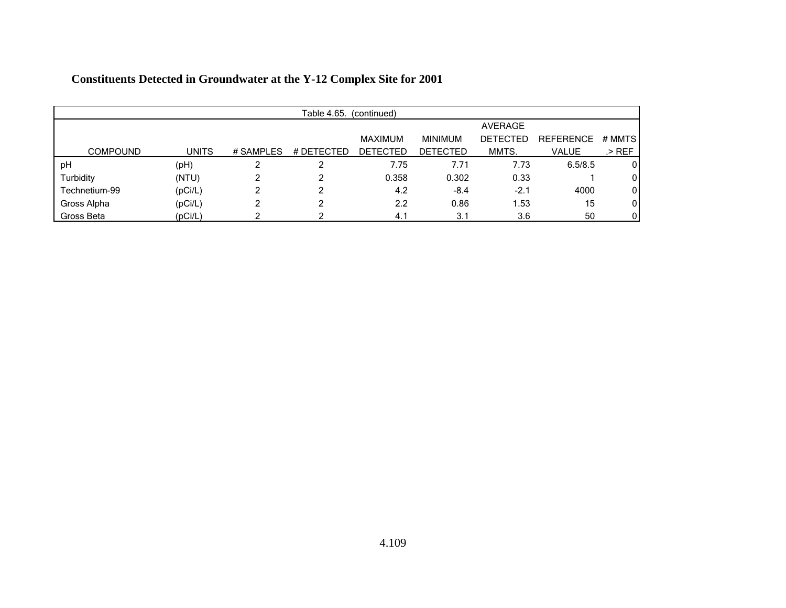|                 | Table 4.65.<br>(continued) |           |            |                 |                 |                 |                  |        |  |  |  |
|-----------------|----------------------------|-----------|------------|-----------------|-----------------|-----------------|------------------|--------|--|--|--|
|                 |                            |           |            |                 |                 | <b>AVERAGE</b>  |                  |        |  |  |  |
|                 |                            |           |            | MAXIMUM         | <b>MINIMUM</b>  | <b>DETECTED</b> | <b>REFERENCE</b> | # MMTS |  |  |  |
| <b>COMPOUND</b> | <b>UNITS</b>               | # SAMPLES | # DETECTED | <b>DETECTED</b> | <b>DETECTED</b> | MMTS.           | <b>VALUE</b>     | .> REF |  |  |  |
| pH              | (pH)                       |           |            | 7.75            | 7.71            | 7.73            | 6.5/8.5          | 0      |  |  |  |
| Turbidity       | (NTU)                      |           | າ          | 0.358           | 0.302           | 0.33            |                  | 0      |  |  |  |
| Technetium-99   | (pCi/L)                    |           | ົ          | 4.2             | $-8.4$          | $-2.1$          | 4000             | 0      |  |  |  |
| Gross Alpha     | (pCi/L)                    | ົ         | ົ          | 2.2             | 0.86            | 1.53            | 15               | 0      |  |  |  |
| Gross Beta      | (pCi/L)                    |           |            | 4.1             | 3.1             | 3.6             | 50               | 0      |  |  |  |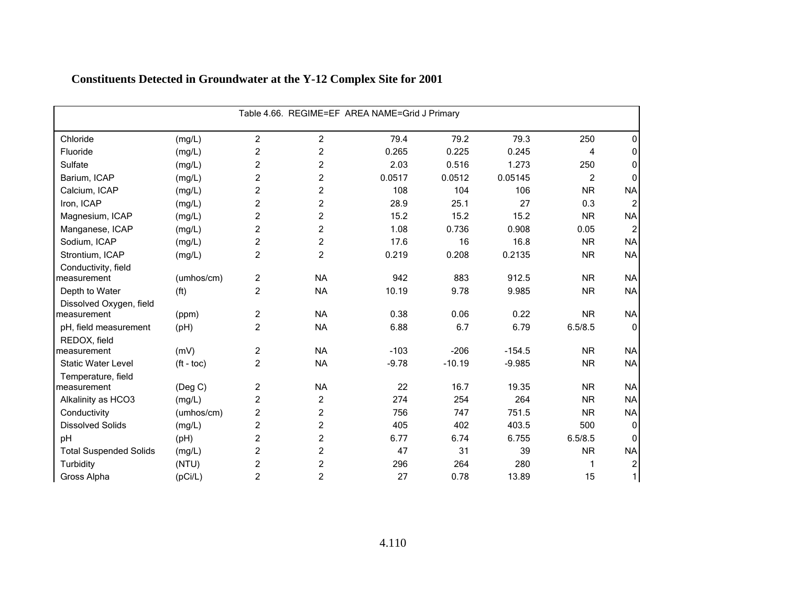|                                       |                       |                |                | Table 4.66. REGIME=EF AREA NAME=Grid J Primary |          |          |                |           |
|---------------------------------------|-----------------------|----------------|----------------|------------------------------------------------|----------|----------|----------------|-----------|
| Chloride                              | (mg/L)                | $\overline{2}$ | 2              | 79.4                                           | 79.2     | 79.3     | 250            | $\Omega$  |
| Fluoride                              | (mg/L)                | $\overline{c}$ | $\overline{c}$ | 0.265                                          | 0.225    | 0.245    | 4              | $\Omega$  |
| Sulfate                               | (mg/L)                | $\overline{c}$ | $\overline{c}$ | 2.03                                           | 0.516    | 1.273    | 250            | $\Omega$  |
| Barium, ICAP                          | (mg/L)                | $\overline{c}$ | $\overline{c}$ | 0.0517                                         | 0.0512   | 0.05145  | $\overline{c}$ | $\Omega$  |
| Calcium, ICAP                         | (mg/L)                | $\overline{c}$ | 2              | 108                                            | 104      | 106      | <b>NR</b>      | <b>NA</b> |
| Iron, ICAP                            | (mg/L)                | $\overline{c}$ | $\overline{c}$ | 28.9                                           | 25.1     | 27       | 0.3            |           |
| Magnesium, ICAP                       | (mg/L)                | $\overline{c}$ | $\overline{c}$ | 15.2                                           | 15.2     | 15.2     | <b>NR</b>      | <b>NA</b> |
| Manganese, ICAP                       | (mg/L)                | $\overline{2}$ | $\overline{c}$ | 1.08                                           | 0.736    | 0.908    | 0.05           |           |
| Sodium, ICAP                          | (mg/L)                | $\overline{c}$ | 2              | 17.6                                           | 16       | 16.8     | <b>NR</b>      | <b>NA</b> |
| Strontium, ICAP                       | (mg/L)                | $\overline{2}$ | 2              | 0.219                                          | 0.208    | 0.2135   | <b>NR</b>      | <b>NA</b> |
| Conductivity, field<br>measurement    | (umhos/cm)            | $\overline{c}$ | <b>NA</b>      | 942                                            | 883      | 912.5    | <b>NR</b>      | <b>NA</b> |
| Depth to Water                        | (f <sup>t</sup> )     | $\overline{2}$ | <b>NA</b>      | 10.19                                          | 9.78     | 9.985    | <b>NR</b>      | <b>NA</b> |
| Dissolved Oxygen, field               |                       |                |                |                                                |          |          |                |           |
| measurement                           | (ppm)                 | $\overline{2}$ | <b>NA</b>      | 0.38                                           | 0.06     | 0.22     | <b>NR</b>      | <b>NA</b> |
| pH, field measurement<br>REDOX, field | (pH)                  | $\overline{2}$ | <b>NA</b>      | 6.88                                           | 6.7      | 6.79     | 6.5/8.5        | $\Omega$  |
| measurement                           | (mV)                  | $\overline{c}$ | <b>NA</b>      | $-103$                                         | $-206$   | $-154.5$ | <b>NR</b>      | <b>NA</b> |
| <b>Static Water Level</b>             | $({\rm ft -}$ toc $)$ | $\overline{c}$ | <b>NA</b>      | $-9.78$                                        | $-10.19$ | $-9.985$ | <b>NR</b>      | <b>NA</b> |
| Temperature, field                    |                       |                |                |                                                |          |          |                |           |
| measurement                           | (Deg C)               | $\overline{c}$ | <b>NA</b>      | 22                                             | 16.7     | 19.35    | <b>NR</b>      | <b>NA</b> |
| Alkalinity as HCO3                    | (mg/L)                | $\overline{c}$ | 2              | 274                                            | 254      | 264      | <b>NR</b>      | <b>NA</b> |
| Conductivity                          | (umhos/cm)            | $\overline{2}$ | $\overline{c}$ | 756                                            | 747      | 751.5    | <b>NR</b>      | <b>NA</b> |
| <b>Dissolved Solids</b>               | (mg/L)                | $\overline{c}$ | 2              | 405                                            | 402      | 403.5    | 500            | $\Omega$  |
| pH                                    | (pH)                  | $\overline{c}$ | $\overline{c}$ | 6.77                                           | 6.74     | 6.755    | 6.5/8.5        | $\Omega$  |
| <b>Total Suspended Solids</b>         | (mg/L)                | $\overline{c}$ | $\overline{c}$ | 47                                             | 31       | 39       | <b>NR</b>      | <b>NA</b> |
| Turbidity                             | (NTU)                 | $\overline{2}$ | 2              | 296                                            | 264      | 280      | 1              |           |
| Gross Alpha                           | (pCi/L)               | $\overline{c}$ | $\overline{c}$ | 27                                             | 0.78     | 13.89    | 15             |           |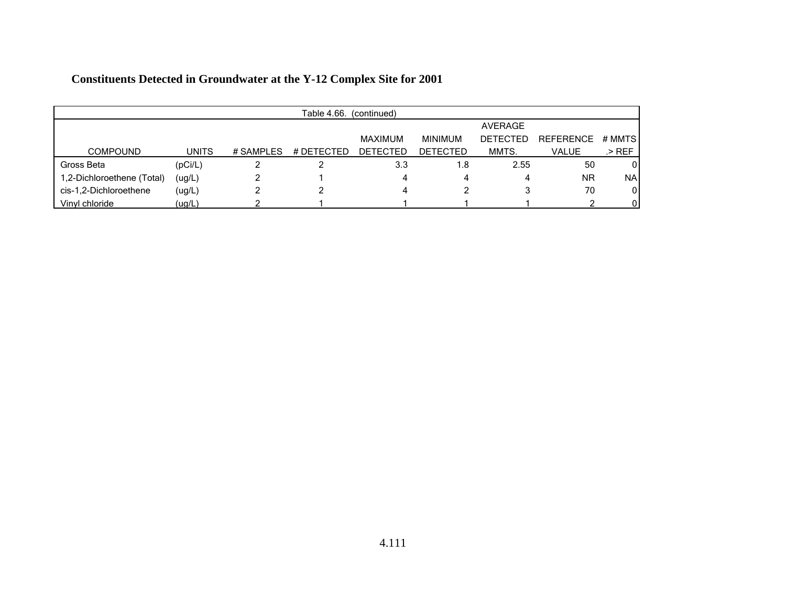| Table 4.66.<br>(continued) |              |           |            |                 |                 |                 |                  |           |  |
|----------------------------|--------------|-----------|------------|-----------------|-----------------|-----------------|------------------|-----------|--|
|                            |              |           |            |                 |                 | AVERAGE         |                  |           |  |
|                            |              |           |            | MAXIMUM         | <b>MINIMUM</b>  | <b>DETECTED</b> | <b>REFERENCE</b> | # MMTS    |  |
| <b>COMPOUND</b>            | <b>UNITS</b> | # SAMPLES | # DETECTED | <b>DETECTED</b> | <b>DETECTED</b> | MMTS.           | VALUE            | .> REF    |  |
| Gross Beta                 | (pCi/L)      |           |            | 3.3             | 1.8             | 2.55            | 50               | 0         |  |
| 1,2-Dichloroethene (Total) | (ug/L)       |           |            | 4               | 4               | 4               | <b>NR</b>        | <b>NA</b> |  |
| cis-1,2-Dichloroethene     | (ug/L)       |           |            |                 |                 | ى               | 70               | 0         |  |
| Vinyl chloride             | (ug/L)       |           |            |                 |                 |                 |                  |           |  |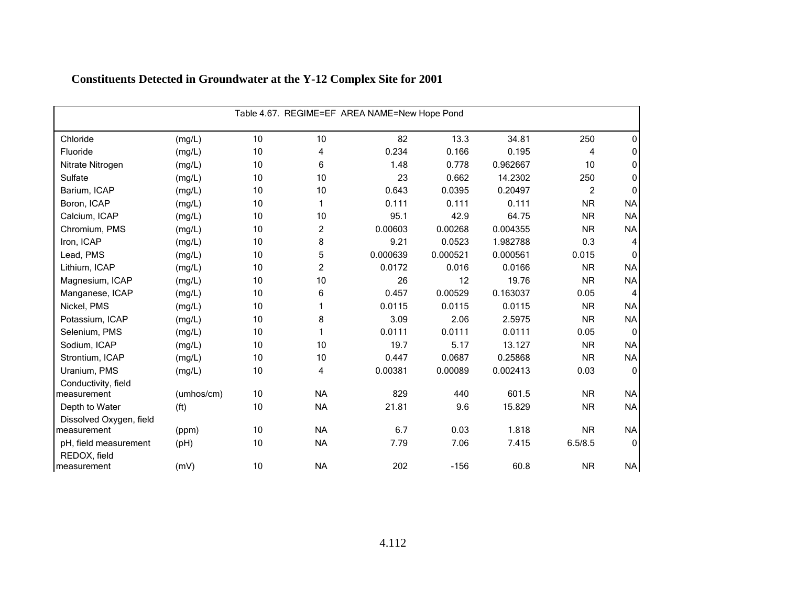|                                       | Table 4.67. REGIME=EF AREA NAME=New Hope Pond |    |                |          |          |          |                |                |  |  |  |
|---------------------------------------|-----------------------------------------------|----|----------------|----------|----------|----------|----------------|----------------|--|--|--|
| Chloride                              | (mg/L)                                        | 10 | 10             | 82       | 13.3     | 34.81    | 250            | 0              |  |  |  |
| Fluoride                              | (mg/L)                                        | 10 | 4              | 0.234    | 0.166    | 0.195    | 4              | 0              |  |  |  |
| Nitrate Nitrogen                      | (mg/L)                                        | 10 | 6              | 1.48     | 0.778    | 0.962667 | 10             | 0              |  |  |  |
| Sulfate                               | (mg/L)                                        | 10 | 10             | 23       | 0.662    | 14.2302  | 250            | 0              |  |  |  |
| Barium, ICAP                          | (mg/L)                                        | 10 | 10             | 0.643    | 0.0395   | 0.20497  | $\overline{c}$ | 0              |  |  |  |
| Boron, ICAP                           | (mg/L)                                        | 10 | 1              | 0.111    | 0.111    | 0.111    | <b>NR</b>      | <b>NA</b>      |  |  |  |
| Calcium, ICAP                         | (mg/L)                                        | 10 | 10             | 95.1     | 42.9     | 64.75    | <b>NR</b>      | <b>NA</b>      |  |  |  |
| Chromium, PMS                         | (mg/L)                                        | 10 | $\overline{c}$ | 0.00603  | 0.00268  | 0.004355 | <b>NR</b>      | <b>NA</b>      |  |  |  |
| Iron, ICAP                            | (mg/L)                                        | 10 | 8              | 9.21     | 0.0523   | 1.982788 | 0.3            | 4              |  |  |  |
| Lead, PMS                             | (mg/L)                                        | 10 | 5              | 0.000639 | 0.000521 | 0.000561 | 0.015          | $\mathbf{0}$   |  |  |  |
| Lithium, ICAP                         | (mg/L)                                        | 10 | 2              | 0.0172   | 0.016    | 0.0166   | <b>NR</b>      | <b>NA</b>      |  |  |  |
| Magnesium, ICAP                       | (mg/L)                                        | 10 | 10             | 26       | 12       | 19.76    | <b>NR</b>      | <b>NA</b>      |  |  |  |
| Manganese, ICAP                       | (mg/L)                                        | 10 | 6              | 0.457    | 0.00529  | 0.163037 | 0.05           | $\overline{4}$ |  |  |  |
| Nickel, PMS                           | (mg/L)                                        | 10 | 1              | 0.0115   | 0.0115   | 0.0115   | <b>NR</b>      | <b>NA</b>      |  |  |  |
| Potassium, ICAP                       | (mg/L)                                        | 10 | 8              | 3.09     | 2.06     | 2.5975   | <b>NR</b>      | <b>NA</b>      |  |  |  |
| Selenium, PMS                         | (mg/L)                                        | 10 | 1              | 0.0111   | 0.0111   | 0.0111   | 0.05           | $\mathbf{0}$   |  |  |  |
| Sodium, ICAP                          | (mg/L)                                        | 10 | 10             | 19.7     | 5.17     | 13.127   | <b>NR</b>      | <b>NA</b>      |  |  |  |
| Strontium, ICAP                       | (mg/L)                                        | 10 | 10             | 0.447    | 0.0687   | 0.25868  | <b>NR</b>      | <b>NA</b>      |  |  |  |
| Uranium, PMS                          | (mg/L)                                        | 10 | 4              | 0.00381  | 0.00089  | 0.002413 | 0.03           | $\Omega$       |  |  |  |
| Conductivity, field<br>measurement    | (umhos/cm)                                    | 10 | <b>NA</b>      | 829      | 440      | 601.5    | <b>NR</b>      | <b>NA</b>      |  |  |  |
| Depth to Water                        | (f <sup>t</sup> )                             | 10 | <b>NA</b>      | 21.81    | 9.6      | 15.829   | <b>NR</b>      | <b>NA</b>      |  |  |  |
| Dissolved Oxygen, field               |                                               | 10 | <b>NA</b>      | 6.7      | 0.03     | 1.818    | <b>NR</b>      | <b>NA</b>      |  |  |  |
| measurement                           | (ppm)                                         |    |                |          |          |          |                |                |  |  |  |
| pH, field measurement<br>REDOX, field | (pH)                                          | 10 | <b>NA</b>      | 7.79     | 7.06     | 7.415    | 6.5/8.5        | $\mathbf 0$    |  |  |  |
| measurement                           | (mV)                                          | 10 | <b>NA</b>      | 202      | $-156$   | 60.8     | <b>NR</b>      | N <sub>A</sub> |  |  |  |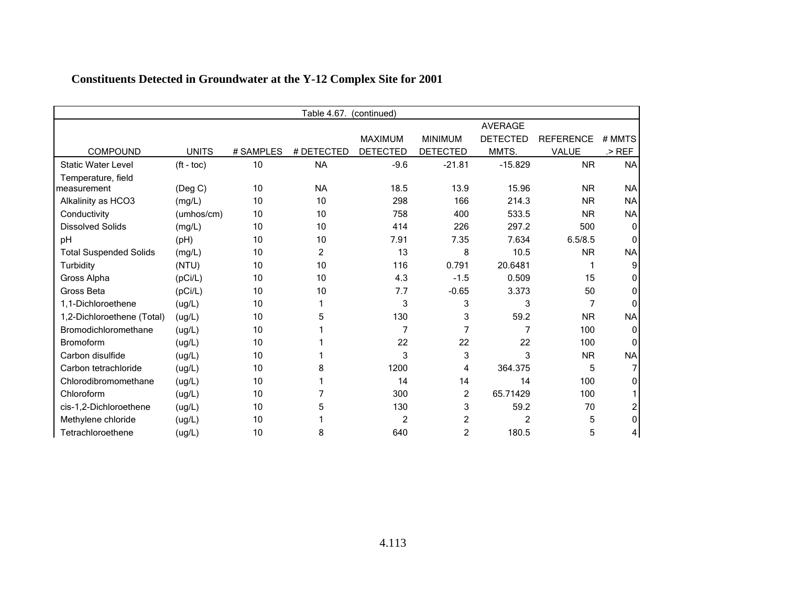| Table 4.67.<br>(continued)    |                       |           |                |                 |                 |                 |                  |                |  |  |
|-------------------------------|-----------------------|-----------|----------------|-----------------|-----------------|-----------------|------------------|----------------|--|--|
|                               |                       |           |                |                 |                 | <b>AVERAGE</b>  |                  |                |  |  |
|                               |                       |           |                | <b>MAXIMUM</b>  | <b>MINIMUM</b>  | <b>DETECTED</b> | <b>REFERENCE</b> | # MMTS         |  |  |
| <b>COMPOUND</b>               | <b>UNITS</b>          | # SAMPLES | # DETECTED     | <b>DETECTED</b> | <b>DETECTED</b> | MMTS.           | <b>VALUE</b>     | $>$ REF        |  |  |
| <b>Static Water Level</b>     | $({\rm ft -}$ toc $)$ | 10        | <b>NA</b>      | $-9.6$          | $-21.81$        | $-15.829$       | <b>NR</b>        | <b>NA</b>      |  |  |
| Temperature, field            |                       |           |                |                 |                 |                 |                  |                |  |  |
| measurement                   | $($ Deg C $)$         | 10        | <b>NA</b>      | 18.5            | 13.9            | 15.96           | <b>NR</b>        | <b>NA</b>      |  |  |
| Alkalinity as HCO3            | (mg/L)                | 10        | 10             | 298             | 166             | 214.3           | <b>NR</b>        | <b>NA</b>      |  |  |
| Conductivity                  | (umhos/cm)            | 10        | 10             | 758             | 400             | 533.5           | <b>NR</b>        | <b>NA</b>      |  |  |
| <b>Dissolved Solids</b>       | (mg/L)                | 10        | 10             | 414             | 226             | 297.2           | 500              | O              |  |  |
| pH                            | (pH)                  | 10        | 10             | 7.91            | 7.35            | 7.634           | 6.5/8.5          | n              |  |  |
| <b>Total Suspended Solids</b> | (mg/L)                | 10        | $\overline{c}$ | 13              | 8               | 10.5            | <b>NR</b>        | <b>NA</b>      |  |  |
| Turbidity                     | (NTU)                 | 10        | 10             | 116             | 0.791           | 20.6481         |                  | 9              |  |  |
| Gross Alpha                   | (pCi/L)               | 10        | 10             | 4.3             | $-1.5$          | 0.509           | 15               | O              |  |  |
| Gross Beta                    | (pCi/L)               | 10        | 10             | 7.7             | $-0.65$         | 3.373           | 50               | 0              |  |  |
| 1.1-Dichloroethene            | (ug/L)                | 10        |                | 3               | 3               | 3               | 7                | $\Omega$       |  |  |
| 1,2-Dichloroethene (Total)    | (ug/L)                | 10        | 5              | 130             | 3               | 59.2            | <b>NR</b>        | <b>NA</b>      |  |  |
| Bromodichloromethane          | (ug/L)                | 10        |                | 7               |                 | 7               | 100              | O              |  |  |
| <b>Bromoform</b>              | (ug/L)                | 10        |                | 22              | 22              | 22              | 100              |                |  |  |
| Carbon disulfide              | (ug/L)                | 10        |                | 3               | 3               | 3               | <b>NR</b>        | <b>NA</b>      |  |  |
| Carbon tetrachloride          | (ug/L)                | 10        | 8              | 1200            | 4               | 364.375         | 5                |                |  |  |
| Chlorodibromomethane          | (ug/L)                | 10        |                | 14              | 14              | 14              | 100              | 0              |  |  |
| Chloroform                    | (ug/L)                | 10        |                | 300             | $\overline{2}$  | 65.71429        | 100              |                |  |  |
| cis-1,2-Dichloroethene        | (ug/L)                | 10        | 5              | 130             | 3               | 59.2            | 70               |                |  |  |
| Methylene chloride            | (ug/L)                | 10        |                | 2               | 2               | 2               | 5                | O              |  |  |
| Tetrachloroethene             | (ug/L)                | 10        | 8              | 640             | 2               | 180.5           | 5                | $\overline{4}$ |  |  |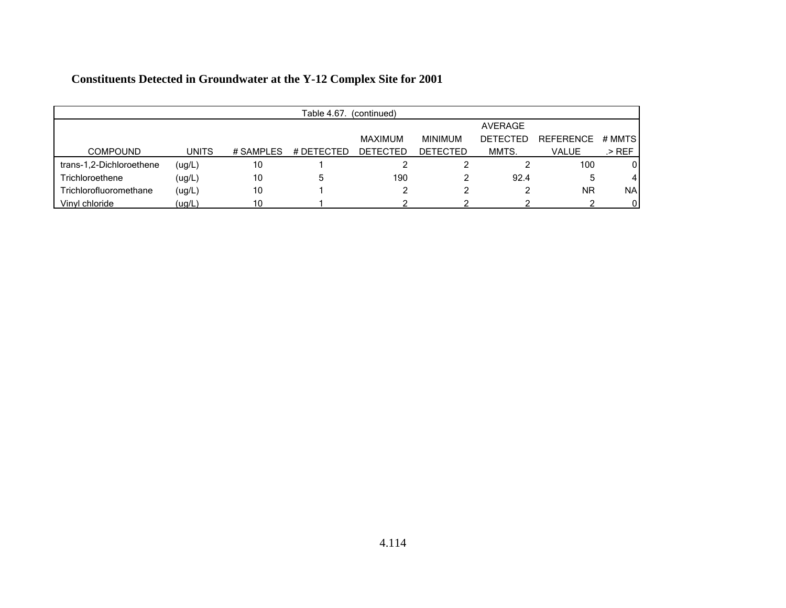| Table 4.67.<br>(continued) |              |            |            |                 |                 |                 |                  |              |  |
|----------------------------|--------------|------------|------------|-----------------|-----------------|-----------------|------------------|--------------|--|
|                            |              |            |            |                 |                 | AVERAGE         |                  |              |  |
|                            |              |            |            | MAXIMUM         | <b>MINIMUM</b>  | <b>DETECTED</b> | <b>REFERENCE</b> | # MMTS       |  |
| <b>COMPOUND</b>            | <b>UNITS</b> | # SAMPI FS | # DETECTED | <b>DETECTED</b> | <b>DETECTED</b> | MMTS.           | <b>VALUE</b>     | .> REF       |  |
| trans-1,2-Dichloroethene   | (ug/L)       | 10         |            |                 |                 |                 | 100              | 0            |  |
| Trichloroethene            | (ug/L)       | 10         | 5          | 190             |                 | 92.4            | ა                | 4            |  |
| Trichlorofluoromethane     | (ug/L)       | 10         |            |                 |                 |                 | <b>NR</b>        | <b>NA</b>    |  |
| Vinyl chloride             | (ug/L)       | 10         |            |                 |                 |                 |                  | $\mathbf{0}$ |  |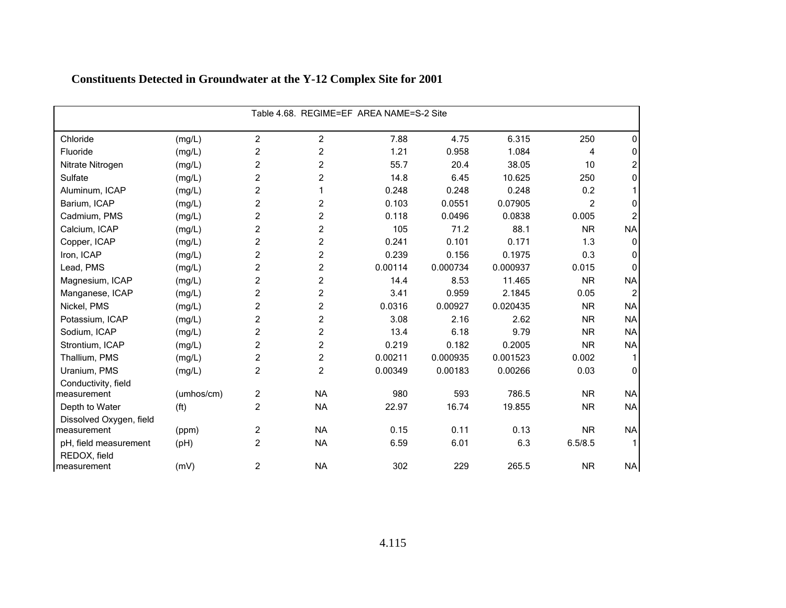| Table 4.68. REGIME=EF AREA NAME=S-2 Site |                   |                         |                         |         |          |          |                |                |  |  |
|------------------------------------------|-------------------|-------------------------|-------------------------|---------|----------|----------|----------------|----------------|--|--|
| Chloride                                 | (mg/L)            | $\overline{c}$          | $\overline{c}$          | 7.88    | 4.75     | 6.315    | 250            | 0              |  |  |
| Fluoride                                 | (mg/L)            | $\overline{c}$          | $\overline{c}$          | 1.21    | 0.958    | 1.084    | 4              | 0              |  |  |
| Nitrate Nitrogen                         | (mg/L)            | $\overline{c}$          | $\overline{c}$          | 55.7    | 20.4     | 38.05    | 10             | 2              |  |  |
| Sulfate                                  | (mg/L)            | $\overline{c}$          | 2                       | 14.8    | 6.45     | 10.625   | 250            | 0              |  |  |
| Aluminum, ICAP                           | (mg/L)            | $\overline{c}$          | 1                       | 0.248   | 0.248    | 0.248    | 0.2            |                |  |  |
| Barium, ICAP                             | (mg/L)            | $\overline{c}$          | $\overline{c}$          | 0.103   | 0.0551   | 0.07905  | $\overline{2}$ | 0              |  |  |
| Cadmium, PMS                             | (mg/L)            | $\overline{c}$          | $\overline{c}$          | 0.118   | 0.0496   | 0.0838   | 0.005          | 2              |  |  |
| Calcium, ICAP                            | (mg/L)            | $\overline{c}$          | $\overline{\mathbf{c}}$ | 105     | 71.2     | 88.1     | <b>NR</b>      | <b>NA</b>      |  |  |
| Copper, ICAP                             | (mg/L)            | $\overline{c}$          | $\overline{c}$          | 0.241   | 0.101    | 0.171    | 1.3            | 0              |  |  |
| Iron, ICAP                               | (mg/L)            | $\overline{c}$          | $\overline{c}$          | 0.239   | 0.156    | 0.1975   | 0.3            | 0              |  |  |
| Lead, PMS                                | (mg/L)            | $\overline{c}$          | 2                       | 0.00114 | 0.000734 | 0.000937 | 0.015          | 0              |  |  |
| Magnesium, ICAP                          | (mg/L)            | $\overline{c}$          | $\overline{c}$          | 14.4    | 8.53     | 11.465   | <b>NR</b>      | <b>NA</b>      |  |  |
| Manganese, ICAP                          | (mg/L)            | $\overline{c}$          | 2                       | 3.41    | 0.959    | 2.1845   | 0.05           | $\overline{2}$ |  |  |
| Nickel, PMS                              | (mg/L)            | $\overline{c}$          | $\overline{c}$          | 0.0316  | 0.00927  | 0.020435 | <b>NR</b>      | <b>NA</b>      |  |  |
| Potassium, ICAP                          | (mg/L)            | $\overline{c}$          | $\overline{c}$          | 3.08    | 2.16     | 2.62     | <b>NR</b>      | <b>NA</b>      |  |  |
| Sodium, ICAP                             | (mg/L)            | $\overline{c}$          | $\overline{c}$          | 13.4    | 6.18     | 9.79     | <b>NR</b>      | <b>NA</b>      |  |  |
| Strontium, ICAP                          | (mg/L)            | $\overline{c}$          | $\overline{c}$          | 0.219   | 0.182    | 0.2005   | <b>NR</b>      | <b>NA</b>      |  |  |
| Thallium, PMS                            | (mg/L)            | $\overline{\mathbf{c}}$ | $\overline{\mathbf{c}}$ | 0.00211 | 0.000935 | 0.001523 | 0.002          |                |  |  |
| Uranium, PMS                             | (mg/L)            | $\overline{2}$          | $\overline{2}$          | 0.00349 | 0.00183  | 0.00266  | 0.03           | $\Omega$       |  |  |
| Conductivity, field                      |                   |                         |                         |         |          |          |                |                |  |  |
| measurement                              | (umhos/cm)        | $\overline{c}$          | <b>NA</b>               | 980     | 593      | 786.5    | <b>NR</b>      | <b>NA</b>      |  |  |
| Depth to Water                           | (f <sup>t</sup> ) | $\overline{c}$          | <b>NA</b>               | 22.97   | 16.74    | 19.855   | <b>NR</b>      | <b>NA</b>      |  |  |
| Dissolved Oxygen, field<br>measurement   | (ppm)             | $\overline{c}$          | <b>NA</b>               | 0.15    | 0.11     | 0.13     | <b>NR</b>      | <b>NA</b>      |  |  |
| pH, field measurement<br>REDOX, field    | (pH)              | $\overline{c}$          | <b>NA</b>               | 6.59    | 6.01     | 6.3      | 6.5/8.5        |                |  |  |
| measurement                              | (mV)              | $\overline{c}$          | <b>NA</b>               | 302     | 229      | 265.5    | <b>NR</b>      | N <sub>A</sub> |  |  |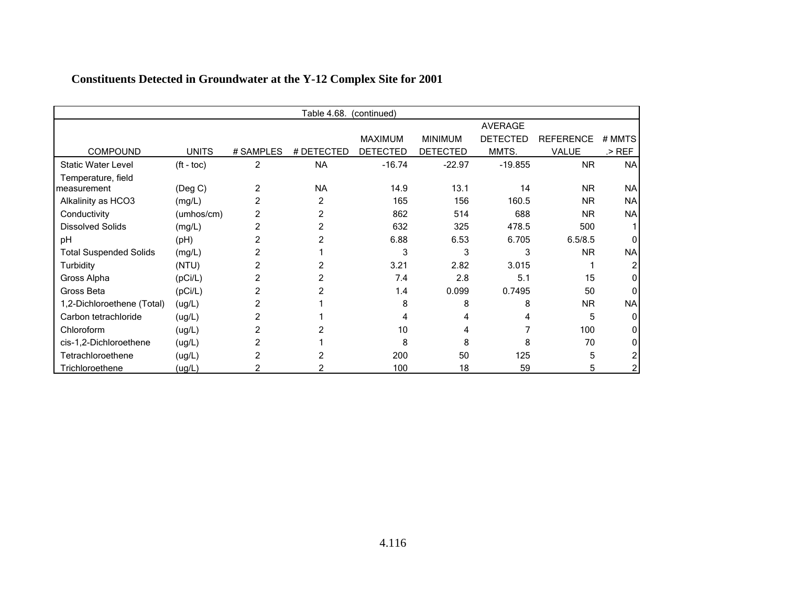|                               | Table 4.68.<br>(continued) |           |            |                 |                 |                 |                  |           |  |
|-------------------------------|----------------------------|-----------|------------|-----------------|-----------------|-----------------|------------------|-----------|--|
|                               |                            |           |            |                 |                 | <b>AVERAGE</b>  |                  |           |  |
|                               |                            |           |            | <b>MAXIMUM</b>  | <b>MINIMUM</b>  | <b>DETECTED</b> | <b>REFERENCE</b> | # MMTS    |  |
| <b>COMPOUND</b>               | <b>UNITS</b>               | # SAMPLES | # DETECTED | <b>DETECTED</b> | <b>DETECTED</b> | MMTS.           | VALUE            | $>$ REF   |  |
| <b>Static Water Level</b>     | $({\rm ft -}$ toc $)$      | 2         | <b>NA</b>  | $-16.74$        | $-22.97$        | $-19.855$       | <b>NR</b>        | <b>NA</b> |  |
| Temperature, field            |                            |           |            |                 |                 |                 |                  |           |  |
| measurement                   | (Deg C)                    | 2         | <b>NA</b>  | 14.9            | 13.1            | 14              | <b>NR</b>        | NA        |  |
| Alkalinity as HCO3            | (mg/L)                     | 2         | 2          | 165             | 156             | 160.5           | <b>NR</b>        | <b>NA</b> |  |
| Conductivity                  | (umhos/cm)                 | 2         |            | 862             | 514             | 688             | <b>NR</b>        | <b>NA</b> |  |
| <b>Dissolved Solids</b>       | (mg/L)                     | 2         | 2          | 632             | 325             | 478.5           | 500              |           |  |
| рH                            | (Hq)                       | 2         |            | 6.88            | 6.53            | 6.705           | 6.5/8.5          |           |  |
| <b>Total Suspended Solids</b> | (mg/L)                     |           |            | 3               | 3               | 3               | <b>NR</b>        | <b>NA</b> |  |
| Turbidity                     | (NTU)                      |           |            | 3.21            | 2.82            | 3.015           |                  |           |  |
| Gross Alpha                   | (pCi/L)                    |           |            | 7.4             | 2.8             | 5.1             | 15               |           |  |
| Gross Beta                    | (pCi/L)                    |           |            | 1.4             | 0.099           | 0.7495          | 50               |           |  |
| 1,2-Dichloroethene (Total)    | (ug/L)                     |           |            | 8               | 8               | 8               | <b>NR</b>        | <b>NA</b> |  |
| Carbon tetrachloride          | (ug/L)                     |           |            | 4               |                 |                 | 5                |           |  |
| Chloroform                    | (ug/L)                     |           |            | 10              | 4               |                 | 100              |           |  |
| cis-1,2-Dichloroethene        | (ug/L)                     |           |            | 8               | 8               | 8               | 70               |           |  |
| Tetrachloroethene             | (ug/L)                     |           |            | 200             | 50              | 125             | 5                |           |  |
| Trichloroethene               | (ug/L)                     |           |            | 100             | 18              | 59              | 5                |           |  |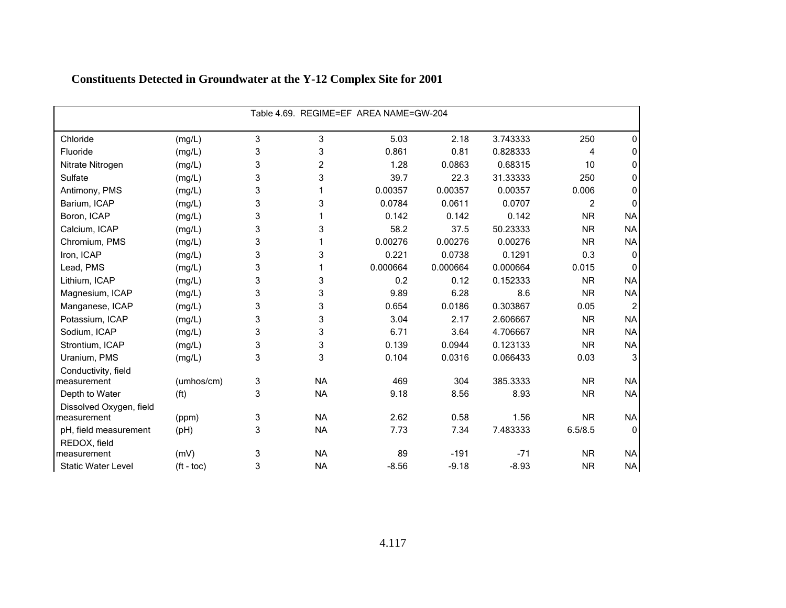| Table 4.69. REGIME=EF AREA NAME=GW-204 |                   |   |           |          |          |          |                |              |  |
|----------------------------------------|-------------------|---|-----------|----------|----------|----------|----------------|--------------|--|
| Chloride                               | (mg/L)            | 3 | 3         | 5.03     | 2.18     | 3.743333 | 250            | 0            |  |
| Fluoride                               | (mg/L)            | 3 | 3         | 0.861    | 0.81     | 0.828333 | 4              | 0            |  |
| Nitrate Nitrogen                       | (mg/L)            | 3 | 2         | 1.28     | 0.0863   | 0.68315  | 10             | 0            |  |
| Sulfate                                | (mg/L)            | 3 | 3         | 39.7     | 22.3     | 31.33333 | 250            | 0            |  |
| Antimony, PMS                          | (mg/L)            | 3 |           | 0.00357  | 0.00357  | 0.00357  | 0.006          | 0            |  |
| Barium, ICAP                           | (mg/L)            | 3 | 3         | 0.0784   | 0.0611   | 0.0707   | $\overline{2}$ | 0            |  |
| Boron, ICAP                            | (mg/L)            | 3 |           | 0.142    | 0.142    | 0.142    | <b>NR</b>      | <b>NA</b>    |  |
| Calcium, ICAP                          | (mg/L)            | 3 | 3         | 58.2     | 37.5     | 50.23333 | <b>NR</b>      | <b>NA</b>    |  |
| Chromium, PMS                          | (mg/L)            | 3 |           | 0.00276  | 0.00276  | 0.00276  | <b>NR</b>      | <b>NA</b>    |  |
| Iron, ICAP                             | (mg/L)            | 3 | 3         | 0.221    | 0.0738   | 0.1291   | 0.3            | $\mathbf{0}$ |  |
| Lead, PMS                              | (mg/L)            | 3 |           | 0.000664 | 0.000664 | 0.000664 | 0.015          | $\Omega$     |  |
| Lithium, ICAP                          | (mg/L)            | 3 | 3         | 0.2      | 0.12     | 0.152333 | <b>NR</b>      | <b>NA</b>    |  |
| Magnesium, ICAP                        | (mg/L)            | 3 | 3         | 9.89     | 6.28     | 8.6      | <b>NR</b>      | <b>NA</b>    |  |
| Manganese, ICAP                        | (mg/L)            | 3 | 3         | 0.654    | 0.0186   | 0.303867 | 0.05           |              |  |
| Potassium, ICAP                        | (mg/L)            | 3 | 3         | 3.04     | 2.17     | 2.606667 | <b>NR</b>      | <b>NA</b>    |  |
| Sodium, ICAP                           | (mg/L)            | 3 | 3         | 6.71     | 3.64     | 4.706667 | <b>NR</b>      | <b>NA</b>    |  |
| Strontium, ICAP                        | (mg/L)            | 3 | 3         | 0.139    | 0.0944   | 0.123133 | <b>NR</b>      | <b>NA</b>    |  |
| Uranium, PMS                           | (mg/L)            | 3 | 3         | 0.104    | 0.0316   | 0.066433 | 0.03           | 3            |  |
| Conductivity, field                    |                   |   |           |          |          |          |                |              |  |
| measurement                            | (umhos/cm)        | 3 | <b>NA</b> | 469      | 304      | 385.3333 | <b>NR</b>      | <b>NA</b>    |  |
| Depth to Water                         | (f <sup>t</sup> ) | 3 | <b>NA</b> | 9.18     | 8.56     | 8.93     | <b>NR</b>      | <b>NA</b>    |  |
| Dissolved Oxygen, field                |                   |   |           |          |          |          |                |              |  |
| measurement                            | (ppm)             | 3 | <b>NA</b> | 2.62     | 0.58     | 1.56     | <b>NR</b>      | <b>NA</b>    |  |
| pH, field measurement                  | (pH)              | 3 | <b>NA</b> | 7.73     | 7.34     | 7.483333 | 6.5/8.5        | $\mathbf{0}$ |  |
| REDOX, field                           |                   |   |           |          |          |          |                |              |  |
| measurement                            | (mV)              | 3 | <b>NA</b> | 89       | $-191$   | $-71$    | <b>NR</b>      | <b>NA</b>    |  |
| <b>Static Water Level</b>              | $(ft - toc)$      | 3 | <b>NA</b> | $-8.56$  | $-9.18$  | $-8.93$  | <b>NR</b>      | <b>NA</b>    |  |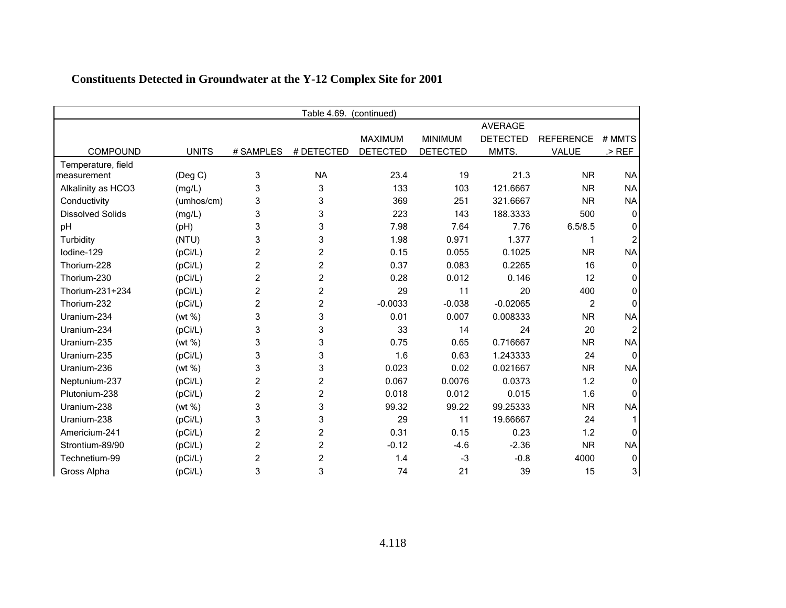|                         | Table 4.69.<br>(continued) |                |                |                 |                 |                 |                  |           |  |
|-------------------------|----------------------------|----------------|----------------|-----------------|-----------------|-----------------|------------------|-----------|--|
|                         |                            |                |                |                 |                 | AVERAGE         |                  |           |  |
|                         |                            |                |                | <b>MAXIMUM</b>  | <b>MINIMUM</b>  | <b>DETECTED</b> | <b>REFERENCE</b> | # MMTS    |  |
| <b>COMPOUND</b>         | <b>UNITS</b>               | # SAMPLES      | # DETECTED     | <b>DETECTED</b> | <b>DETECTED</b> | MMTS.           | VALUE            | $>$ REF   |  |
| Temperature, field      |                            |                |                |                 |                 |                 |                  |           |  |
| measurement             | $($ Deg C $)$              | 3              | <b>NA</b>      | 23.4            | 19              | 21.3            | <b>NR</b>        | <b>NA</b> |  |
| Alkalinity as HCO3      | (mg/L)                     | 3              | 3              | 133             | 103             | 121.6667        | <b>NR</b>        | <b>NA</b> |  |
| Conductivity            | (umhos/cm)                 | 3              | 3              | 369             | 251             | 321.6667        | <b>NR</b>        | <b>NA</b> |  |
| <b>Dissolved Solids</b> | (mg/L)                     | 3              | 3              | 223             | 143             | 188.3333        | 500              |           |  |
| pH                      | (Hq)                       | 3              | 3              | 7.98            | 7.64            | 7.76            | 6.5/8.5          |           |  |
| Turbidity               | (NTU)                      | 3              | 3              | 1.98            | 0.971           | 1.377           |                  |           |  |
| lodine-129              | (pCi/L)                    | $\overline{c}$ | $\overline{c}$ | 0.15            | 0.055           | 0.1025          | <b>NR</b>        | <b>NA</b> |  |
| Thorium-228             | (pCi/L)                    | 2              | $\overline{c}$ | 0.37            | 0.083           | 0.2265          | 16               |           |  |
| Thorium-230             | (pCi/L)                    | 2              | $\overline{c}$ | 0.28            | 0.012           | 0.146           | 12               |           |  |
| Thorium-231+234         | (pCi/L)                    | 2              | 2              | 29              | 11              | 20              | 400              | O         |  |
| Thorium-232             | (pCi/L)                    | $\overline{2}$ | 2              | $-0.0033$       | $-0.038$        | $-0.02065$      | 2                |           |  |
| Uranium-234             | (wt %)                     | 3              | 3              | 0.01            | 0.007           | 0.008333        | <b>NR</b>        | <b>NA</b> |  |
| Uranium-234             | (pCi/L)                    | 3              | 3              | 33              | 14              | 24              | 20               |           |  |
| Uranium-235             | (wt %)                     | 3              | 3              | 0.75            | 0.65            | 0.716667        | <b>NR</b>        | <b>NA</b> |  |
| Uranium-235             | (pCi/L)                    | 3              | 3              | 1.6             | 0.63            | 1.243333        | 24               | n         |  |
| Uranium-236             | (wt %)                     | 3              | 3              | 0.023           | 0.02            | 0.021667        | <b>NR</b>        | <b>NA</b> |  |
| Neptunium-237           | (pCi/L)                    | 2              | $\overline{c}$ | 0.067           | 0.0076          | 0.0373          | 1.2              |           |  |
| Plutonium-238           | (pCi/L)                    | 2              | 2              | 0.018           | 0.012           | 0.015           | 1.6              |           |  |
| Uranium-238             | (wt %)                     | 3              | 3              | 99.32           | 99.22           | 99.25333        | <b>NR</b>        | <b>NA</b> |  |
| Uranium-238             | (pCi/L)                    | 3              | 3              | 29              | 11              | 19.66667        | 24               |           |  |
| Americium-241           | (pCi/L)                    | 2              | $\overline{c}$ | 0.31            | 0.15            | 0.23            | 1.2              |           |  |
| Strontium-89/90         | (pCi/L)                    | 2              | 2              | $-0.12$         | $-4.6$          | $-2.36$         | <b>NR</b>        | <b>NA</b> |  |
| Technetium-99           | (pCi/L)                    | 2              | 2              | 1.4             | $-3$            | $-0.8$          | 4000             |           |  |
| Gross Alpha             | (pCi/L)                    | 3              | 3              | 74              | 21              | 39              | 15               | 31        |  |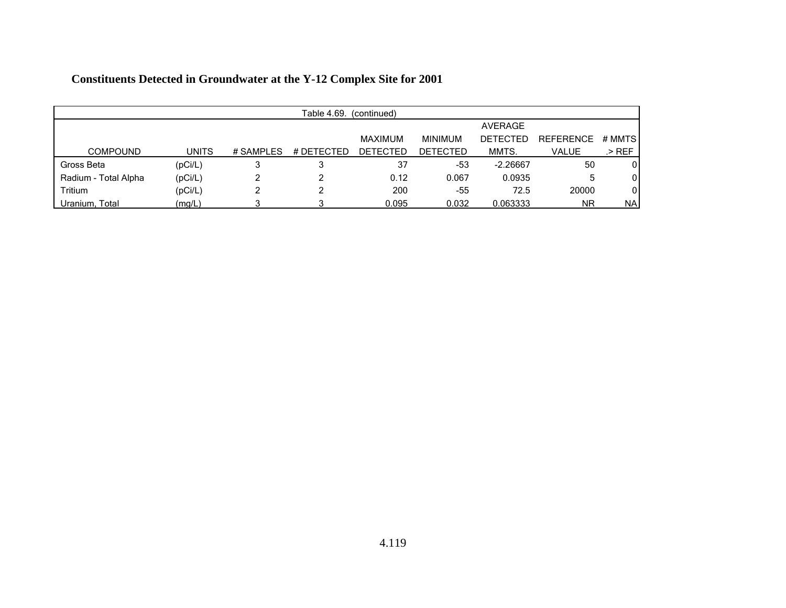| Table 4.69.<br>(continued) |              |           |            |                 |                 |                 |                  |           |  |
|----------------------------|--------------|-----------|------------|-----------------|-----------------|-----------------|------------------|-----------|--|
|                            |              |           |            |                 |                 | AVERAGE         |                  |           |  |
|                            |              |           |            | <b>MAXIMUM</b>  | <b>MINIMUM</b>  | <b>DETECTED</b> | <b>REFERENCE</b> | # MMTS    |  |
| <b>COMPOUND</b>            | <b>UNITS</b> | # SAMPLES | # DETECTED | <b>DETECTED</b> | <b>DETECTED</b> | MMTS.           | VALUE            | .> REF    |  |
| Gross Beta                 | (pCi/L)      |           |            | 37              | -53             | $-2.26667$      | 50               | 0         |  |
| Radium - Total Alpha       | (pCi/L)      |           |            | 0.12            | 0.067           | 0.0935          | 5                | 0         |  |
| Tritium                    | (pCi/L)      |           |            | 200             | -55             | 72.5            | 20000            | 0         |  |
| Uranium, Total             | (mg/L)       |           |            | 0.095           | 0.032           | 0.063333        | <b>NR</b>        | <b>NA</b> |  |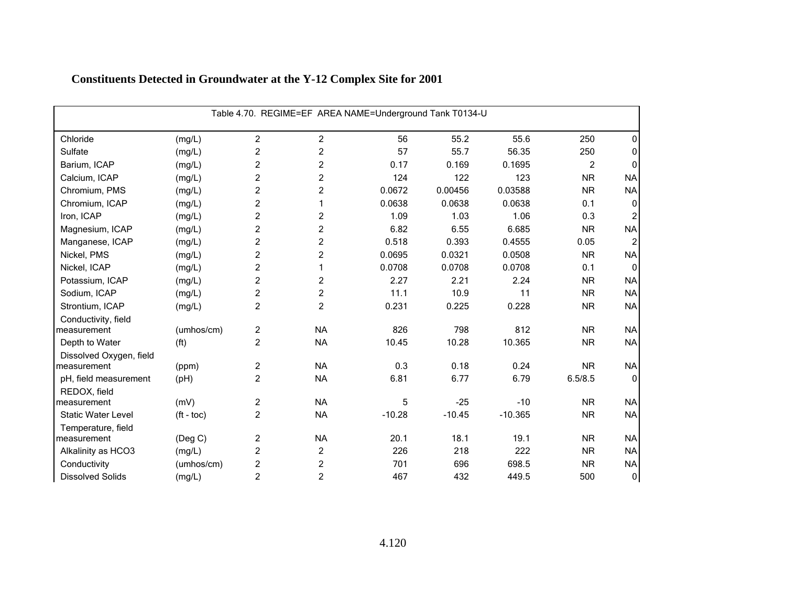| Table 4.70. REGIME=EF AREA NAME=Underground Tank T0134-U |                       |                |                         |          |          |           |                |                  |  |
|----------------------------------------------------------|-----------------------|----------------|-------------------------|----------|----------|-----------|----------------|------------------|--|
| Chloride                                                 | (mg/L)                | $\overline{2}$ | 2                       | 56       | 55.2     | 55.6      | 250            | 0                |  |
| Sulfate                                                  | (mg/L)                | $\overline{c}$ | $\overline{c}$          | 57       | 55.7     | 56.35     | 250            | 0                |  |
| Barium, ICAP                                             | (mg/L)                | $\overline{c}$ | $\overline{c}$          | 0.17     | 0.169    | 0.1695    | $\overline{2}$ | 0                |  |
| Calcium, ICAP                                            | (mg/L)                | $\overline{c}$ | $\overline{c}$          | 124      | 122      | 123       | <b>NR</b>      | <b>NA</b>        |  |
| Chromium, PMS                                            | (mg/L)                | $\overline{c}$ | $\overline{c}$          | 0.0672   | 0.00456  | 0.03588   | <b>NR</b>      | <b>NA</b>        |  |
| Chromium, ICAP                                           | (mg/L)                | $\overline{c}$ | 1                       | 0.0638   | 0.0638   | 0.0638    | 0.1            | $\mathbf 0$      |  |
| Iron, ICAP                                               | (mg/L)                | $\overline{c}$ | $\overline{c}$          | 1.09     | 1.03     | 1.06      | 0.3            | 2                |  |
| Magnesium, ICAP                                          | (mg/L)                | $\overline{c}$ | $\overline{c}$          | 6.82     | 6.55     | 6.685     | <b>NR</b>      | <b>NA</b>        |  |
| Manganese, ICAP                                          | (mg/L)                | $\overline{c}$ | $\overline{\mathbf{c}}$ | 0.518    | 0.393    | 0.4555    | 0.05           | $\overline{c}$   |  |
| Nickel, PMS                                              | (mg/L)                | $\overline{c}$ | $\overline{c}$          | 0.0695   | 0.0321   | 0.0508    | <b>NR</b>      | <b>NA</b>        |  |
| Nickel, ICAP                                             | (mg/L)                | $\overline{c}$ | 1                       | 0.0708   | 0.0708   | 0.0708    | 0.1            | $\mathbf{0}$     |  |
| Potassium, ICAP                                          | (mg/L)                | $\overline{c}$ | 2                       | 2.27     | 2.21     | 2.24      | <b>NR</b>      | <b>NA</b>        |  |
| Sodium, ICAP                                             | (mg/L)                | $\overline{c}$ | $\overline{c}$          | 11.1     | 10.9     | 11        | <b>NR</b>      | <b>NA</b>        |  |
| Strontium, ICAP                                          | (mg/L)                | $\overline{c}$ | $\overline{c}$          | 0.231    | 0.225    | 0.228     | <b>NR</b>      | <b>NA</b>        |  |
| Conductivity, field                                      |                       |                |                         |          |          |           |                |                  |  |
| measurement                                              | (umhos/cm)            | $\overline{c}$ | <b>NA</b>               | 826      | 798      | 812       | <b>NR</b>      | <b>NA</b>        |  |
| Depth to Water                                           | (f <sup>t</sup> )     | $\overline{2}$ | <b>NA</b>               | 10.45    | 10.28    | 10.365    | <b>NR</b>      | <b>NA</b>        |  |
| Dissolved Oxygen, field                                  |                       |                |                         |          |          |           |                |                  |  |
| measurement                                              | (ppm)                 | $\overline{c}$ | <b>NA</b>               | 0.3      | 0.18     | 0.24      | <b>NR</b>      | <b>NA</b>        |  |
| pH, field measurement                                    | (pH)                  | $\overline{2}$ | <b>NA</b>               | 6.81     | 6.77     | 6.79      | 6.5/8.5        | $\Omega$         |  |
| REDOX, field                                             |                       |                |                         |          |          |           |                |                  |  |
| measurement                                              | (mV)                  | $\overline{c}$ | <b>NA</b>               | 5        | $-25$    | $-10$     | <b>NR</b>      | <b>NA</b>        |  |
| <b>Static Water Level</b>                                | $({\rm ft -}$ toc $)$ | $\overline{c}$ | <b>NA</b>               | $-10.28$ | $-10.45$ | $-10.365$ | <b>NR</b>      | <b>NA</b>        |  |
| Temperature, field<br>measurement                        |                       | $\overline{c}$ | <b>NA</b>               | 20.1     | 18.1     | 19.1      | <b>NR</b>      | <b>NA</b>        |  |
|                                                          | (Deg C)               |                |                         |          | 218      | 222       |                |                  |  |
| Alkalinity as HCO3                                       | (mg/L)                | $\overline{c}$ | $\overline{c}$          | 226      |          |           | <b>NR</b>      | <b>NA</b>        |  |
| Conductivity                                             | (umhos/cm)            | $\overline{c}$ | 2                       | 701      | 696      | 698.5     | <b>NR</b>      | <b>NA</b>        |  |
| <b>Dissolved Solids</b>                                  | (mg/L)                | $\overline{c}$ | $\overline{c}$          | 467      | 432      | 449.5     | 500            | $\boldsymbol{0}$ |  |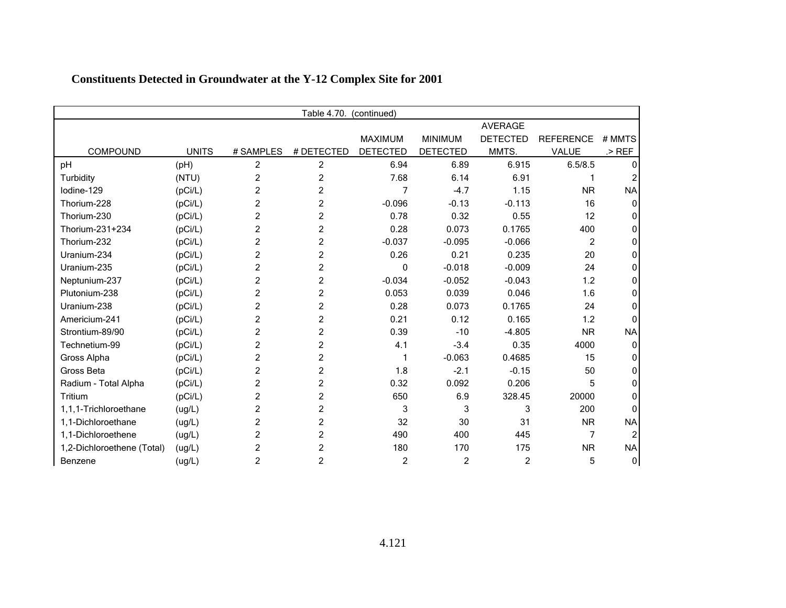| Table 4.70.<br>(continued) |              |                |                |                 |                 |                 |                  |                |
|----------------------------|--------------|----------------|----------------|-----------------|-----------------|-----------------|------------------|----------------|
|                            |              |                |                |                 |                 | <b>AVERAGE</b>  |                  |                |
|                            |              |                |                | <b>MAXIMUM</b>  | <b>MINIMUM</b>  | <b>DETECTED</b> | <b>REFERENCE</b> | # MMTS         |
| COMPOUND                   | <b>UNITS</b> | # SAMPLES      | # DETECTED     | <b>DETECTED</b> | <b>DETECTED</b> | MMTS.           | VALUE            | $>$ REF        |
| pH                         | (Hq)         | $\overline{c}$ | 2              | 6.94            | 6.89            | 6.915           | 6.5/8.5          | ŋ              |
| Turbidity                  | (NTU)        | 2              | 2              | 7.68            | 6.14            | 6.91            |                  |                |
| lodine-129                 | (pCi/L)      | $\overline{c}$ | 2              | 7               | $-4.7$          | 1.15            | <b>NR</b>        | <b>NA</b>      |
| Thorium-228                | (pCi/L)      | $\overline{c}$ | 2              | $-0.096$        | $-0.13$         | $-0.113$        | 16               | 0              |
| Thorium-230                | (pCi/L)      | 2              | 2              | 0.78            | 0.32            | 0.55            | 12               |                |
| Thorium-231+234            | (pCi/L)      | $\overline{c}$ | 2              | 0.28            | 0.073           | 0.1765          | 400              |                |
| Thorium-232                | (pCi/L)      | $\overline{c}$ | 2              | $-0.037$        | $-0.095$        | $-0.066$        | $\overline{c}$   | 0              |
| Uranium-234                | (pCi/L)      | 2              | 2              | 0.26            | 0.21            | 0.235           | 20               |                |
| Uranium-235                | (pCi/L)      | $\overline{c}$ | $\overline{c}$ | 0               | $-0.018$        | $-0.009$        | 24               |                |
| Neptunium-237              | (pCi/L)      | $\overline{c}$ | 2              | $-0.034$        | $-0.052$        | $-0.043$        | 1.2              | U              |
| Plutonium-238              | (pCi/L)      | 2              | 2              | 0.053           | 0.039           | 0.046           | 1.6              |                |
| Uranium-238                | (pCi/L)      | $\overline{c}$ | $\overline{c}$ | 0.28            | 0.073           | 0.1765          | 24               |                |
| Americium-241              | (pCi/L)      | $\overline{c}$ | 2              | 0.21            | 0.12            | 0.165           | 1.2              | <sup>0</sup>   |
| Strontium-89/90            | (pCi/L)      | $\overline{c}$ | 2              | 0.39            | $-10$           | $-4.805$        | <b>NR</b>        | <b>NA</b>      |
| Technetium-99              | (pCi/L)      | $\overline{c}$ | $\overline{c}$ | 4.1             | $-3.4$          | 0.35            | 4000             | $\Omega$       |
| Gross Alpha                | (pCi/L)      | $\overline{c}$ | 2              | 1               | $-0.063$        | 0.4685          | 15               | O              |
| Gross Beta                 | (pCi/L)      | $\overline{2}$ | 2              | 1.8             | $-2.1$          | $-0.15$         | 50               |                |
| Radium - Total Alpha       | (pCi/L)      | $\overline{2}$ | $\overline{c}$ | 0.32            | 0.092           | 0.206           | 5                |                |
| Tritium                    | (pCi/L)      | $\overline{c}$ | 2              | 650             | 6.9             | 328.45          | 20000            | O              |
| 1,1,1-Trichloroethane      | (ug/L)       | $\overline{c}$ | 2              | 3               | 3               | 3               | 200              |                |
| 1,1-Dichloroethane         | (ug/L)       | $\overline{c}$ | $\overline{c}$ | 32              | 30              | 31              | <b>NR</b>        | <b>NA</b>      |
| 1,1-Dichloroethene         | (ug/L)       | $\overline{2}$ | 2              | 490             | 400             | 445             | 7                | $\overline{2}$ |
| 1,2-Dichloroethene (Total) | (ug/L)       | 2              | 2              | 180             | 170             | 175             | <b>NR</b>        | <b>NA</b>      |
| Benzene                    | (ug/L)       | $\overline{c}$ | 2              | 2               | 2               | $\overline{2}$  | 5                | 0              |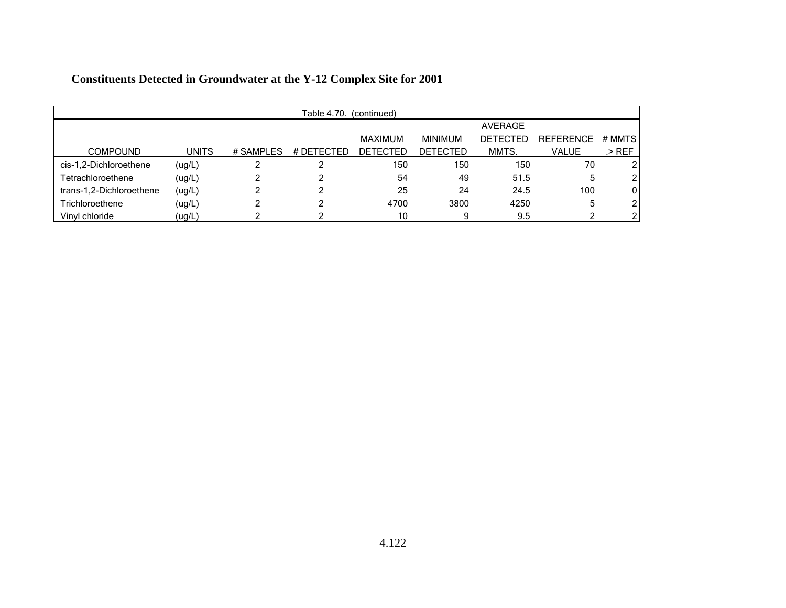|                          | Table 4.70.<br>(continued) |           |            |                 |                 |                 |                  |        |  |  |
|--------------------------|----------------------------|-----------|------------|-----------------|-----------------|-----------------|------------------|--------|--|--|
|                          |                            |           |            |                 |                 | AVERAGE         |                  |        |  |  |
|                          |                            |           |            | MAXIMUM         | <b>MINIMUM</b>  | <b>DETECTED</b> | <b>REFERENCE</b> | # MMTS |  |  |
| <b>COMPOUND</b>          | <b>UNITS</b>               | # SAMPLES | # DETECTED | <b>DETECTED</b> | <b>DETECTED</b> | MMTS.           | <b>VALUE</b>     | .> REF |  |  |
| cis-1,2-Dichloroethene   | (ug/L)                     |           |            | 150             | 150             | 150             | 70               | 2      |  |  |
| Tetrachloroethene        | (ug/L)                     |           |            | 54              | 49              | 51.5            | 5                | 2      |  |  |
| trans-1,2-Dichloroethene | (ug/L)                     |           | ⌒          | 25              | 24              | 24.5            | 100              | 0      |  |  |
| Trichloroethene          | (ug/L)                     | ົ         | ົ          | 4700            | 3800            | 4250            | 5                | 2      |  |  |
| Vinvl chloride           | (ug/L)                     |           |            | 10              |                 | 9.5             |                  | 2      |  |  |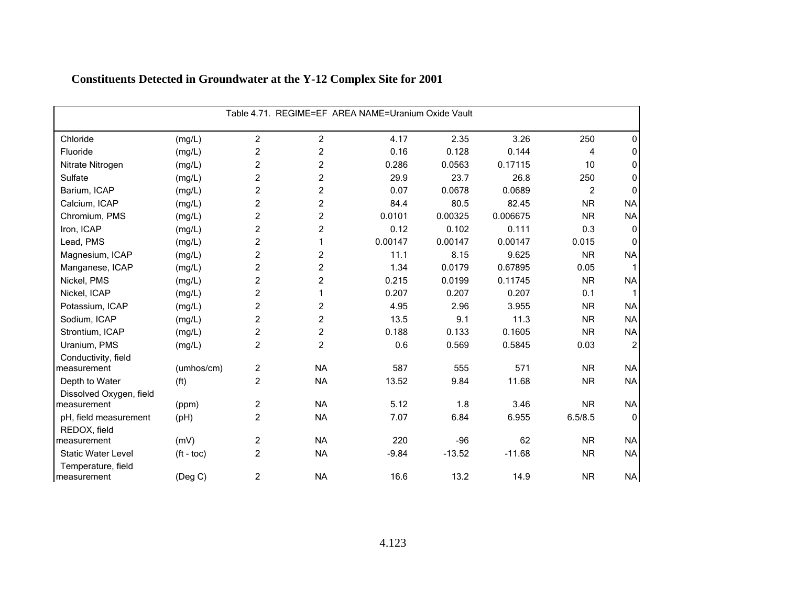|                                   | Table 4.71. REGIME=EF AREA NAME=Uranium Oxide Vault |                |                |         |          |          |                |                |  |  |
|-----------------------------------|-----------------------------------------------------|----------------|----------------|---------|----------|----------|----------------|----------------|--|--|
| Chloride                          | (mg/L)                                              | $\overline{c}$ | $\overline{c}$ | 4.17    | 2.35     | 3.26     | 250            | 0              |  |  |
| Fluoride                          | (mg/L)                                              | $\overline{c}$ | 2              | 0.16    | 0.128    | 0.144    | 4              | 0              |  |  |
| Nitrate Nitrogen                  | (mg/L)                                              | $\overline{c}$ | 2              | 0.286   | 0.0563   | 0.17115  | 10             | 0              |  |  |
| Sulfate                           | (mg/L)                                              | $\overline{c}$ | 2              | 29.9    | 23.7     | 26.8     | 250            | 0              |  |  |
| Barium, ICAP                      | (mg/L)                                              | $\overline{c}$ | 2              | 0.07    | 0.0678   | 0.0689   | $\overline{c}$ | $\Omega$       |  |  |
| Calcium, ICAP                     | (mg/L)                                              | $\overline{c}$ | 2              | 84.4    | 80.5     | 82.45    | <b>NR</b>      | <b>NA</b>      |  |  |
| Chromium, PMS                     | (mg/L)                                              | $\overline{c}$ | 2              | 0.0101  | 0.00325  | 0.006675 | <b>NR</b>      | <b>NA</b>      |  |  |
| Iron, ICAP                        | (mg/L)                                              | $\overline{c}$ | 2              | 0.12    | 0.102    | 0.111    | 0.3            | $\Omega$       |  |  |
| Lead, PMS                         | (mg/L)                                              | $\overline{c}$ | 1              | 0.00147 | 0.00147  | 0.00147  | 0.015          | $\Omega$       |  |  |
| Magnesium, ICAP                   | (mg/L)                                              | $\overline{c}$ | $\overline{c}$ | 11.1    | 8.15     | 9.625    | <b>NR</b>      | <b>NA</b>      |  |  |
| Manganese, ICAP                   | (mg/L)                                              | $\overline{c}$ | 2              | 1.34    | 0.0179   | 0.67895  | 0.05           |                |  |  |
| Nickel, PMS                       | (mg/L)                                              | $\overline{c}$ | 2              | 0.215   | 0.0199   | 0.11745  | <b>NR</b>      | <b>NA</b>      |  |  |
| Nickel, ICAP                      | (mg/L)                                              | $\overline{c}$ | 1              | 0.207   | 0.207    | 0.207    | 0.1            |                |  |  |
| Potassium, ICAP                   | (mg/L)                                              | $\overline{c}$ | 2              | 4.95    | 2.96     | 3.955    | <b>NR</b>      | <b>NA</b>      |  |  |
| Sodium, ICAP                      | (mg/L)                                              | $\overline{c}$ | 2              | 13.5    | 9.1      | 11.3     | <b>NR</b>      | <b>NA</b>      |  |  |
| Strontium, ICAP                   | (mg/L)                                              | $\overline{c}$ | 2              | 0.188   | 0.133    | 0.1605   | <b>NR</b>      | <b>NA</b>      |  |  |
| Uranium, PMS                      | (mg/L)                                              | $\overline{c}$ | $\overline{c}$ | 0.6     | 0.569    | 0.5845   | 0.03           | $\overline{2}$ |  |  |
| Conductivity, field               |                                                     |                |                |         |          |          |                |                |  |  |
| measurement                       | (umhos/cm)                                          | $\overline{c}$ | <b>NA</b>      | 587     | 555      | 571      | <b>NR</b>      | <b>NA</b>      |  |  |
| Depth to Water                    | (f <sup>t</sup> )                                   | $\overline{2}$ | <b>NA</b>      | 13.52   | 9.84     | 11.68    | <b>NR</b>      | <b>NA</b>      |  |  |
| Dissolved Oxygen, field           |                                                     |                |                |         |          |          |                |                |  |  |
| measurement                       | (ppm)                                               | $\overline{c}$ | <b>NA</b>      | 5.12    | 1.8      | 3.46     | <b>NR</b>      | <b>NA</b>      |  |  |
| pH, field measurement             | (Hq)                                                | $\overline{c}$ | <b>NA</b>      | 7.07    | 6.84     | 6.955    | 6.5/8.5        | $\mathbf{0}$   |  |  |
| REDOX, field<br>measurement       | (mV)                                                | $\overline{2}$ | <b>NA</b>      | 220     | $-96$    | 62       | <b>NR</b>      | <b>NA</b>      |  |  |
| <b>Static Water Level</b>         |                                                     | $\overline{a}$ | <b>NA</b>      | $-9.84$ | $-13.52$ | $-11.68$ | <b>NR</b>      | <b>NA</b>      |  |  |
|                                   | $(ft - toc)$                                        |                |                |         |          |          |                |                |  |  |
| Temperature, field<br>measurement | (Deg C)                                             | $\overline{2}$ | <b>NA</b>      | 16.6    | 13.2     | 14.9     | <b>NR</b>      | <b>NA</b>      |  |  |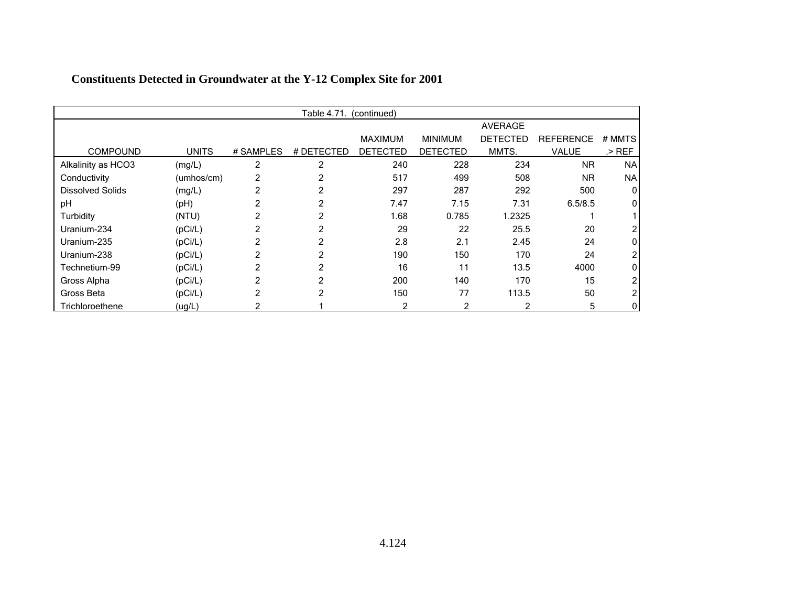|                         |              |                | Table 4.71. | (continued)     |                 |                 |                  |           |
|-------------------------|--------------|----------------|-------------|-----------------|-----------------|-----------------|------------------|-----------|
|                         |              |                |             |                 |                 | <b>AVERAGE</b>  |                  |           |
|                         |              |                |             | <b>MAXIMUM</b>  | <b>MINIMUM</b>  | <b>DETECTED</b> | <b>REFERENCE</b> | # MMTS    |
| <b>COMPOUND</b>         | <b>UNITS</b> | # SAMPLES      | # DETECTED  | <b>DETECTED</b> | <b>DETECTED</b> | MMTS.           | VALUE            | $>$ REF   |
| Alkalinity as HCO3      | (mg/L)       | 2              | 2           | 240             | 228             | 234             | <b>NR</b>        | <b>NA</b> |
| Conductivity            | (umhos/cm)   | 2              | 2           | 517             | 499             | 508             | <b>NR</b>        | <b>NA</b> |
| <b>Dissolved Solids</b> | (mg/L)       | $\overline{2}$ | 2           | 297             | 287             | 292             | 500              | 0         |
| pH                      | (H)          | 2              | 2           | 7.47            | 7.15            | 7.31            | 6.5/8.5          | 0         |
| Turbidity               | (NTU)        |                |             | 1.68            | 0.785           | 1.2325          |                  |           |
| Uranium-234             | (pCi/L)      | 2              |             | 29              | 22              | 25.5            | 20               |           |
| Uranium-235             | (pCi/L)      |                |             | 2.8             | 2.1             | 2.45            | 24               |           |
| Uranium-238             | (pCi/L)      |                |             | 190             | 150             | 170             | 24               |           |
| Technetium-99           | (pCi/L)      | 2              | 2           | 16              | 11              | 13.5            | 4000             |           |
| Gross Alpha             | (pCi/L)      | 2              | 2           | 200             | 140             | 170             | 15               |           |
| Gross Beta              | (pCi/L)      | 2              | 2           | 150             | 77              | 113.5           | 50               |           |
| Trichloroethene         | (ug/L)       |                |             | 2               | 2               | 2               | 5                |           |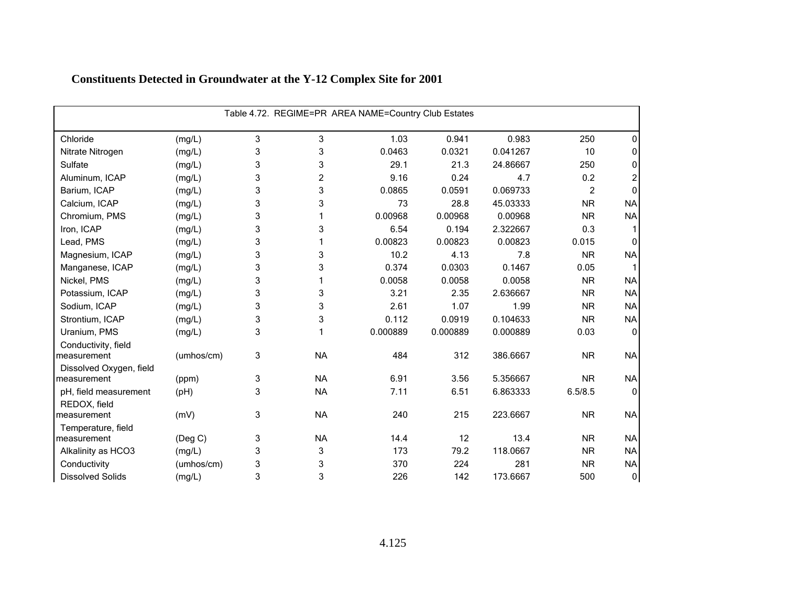|                                   |               |   |                | Table 4.72. REGIME=PR AREA NAME=Country Club Estates |          |          |           |              |
|-----------------------------------|---------------|---|----------------|------------------------------------------------------|----------|----------|-----------|--------------|
| Chloride                          | (mg/L)        | 3 | 3              | 1.03                                                 | 0.941    | 0.983    | 250       | 0            |
| Nitrate Nitrogen                  | (mg/L)        | 3 | 3              | 0.0463                                               | 0.0321   | 0.041267 | 10        | 0            |
| Sulfate                           | (mg/L)        | 3 | 3              | 29.1                                                 | 21.3     | 24.86667 | 250       | 0            |
| Aluminum, ICAP                    | (mg/L)        | 3 | $\overline{c}$ | 9.16                                                 | 0.24     | 4.7      | 0.2       | 2            |
| Barium, ICAP                      | (mg/L)        | 3 | 3              | 0.0865                                               | 0.0591   | 0.069733 | 2         | 0            |
| Calcium, ICAP                     | (mg/L)        | 3 | 3              | 73                                                   | 28.8     | 45.03333 | <b>NR</b> | <b>NA</b>    |
| Chromium, PMS                     | (mg/L)        | 3 |                | 0.00968                                              | 0.00968  | 0.00968  | <b>NR</b> | <b>NA</b>    |
| Iron, ICAP                        | (mg/L)        | 3 | 3              | 6.54                                                 | 0.194    | 2.322667 | 0.3       |              |
| Lead, PMS                         | (mg/L)        | 3 |                | 0.00823                                              | 0.00823  | 0.00823  | 0.015     | $\Omega$     |
| Magnesium, ICAP                   | (mg/L)        | 3 | 3              | 10.2                                                 | 4.13     | 7.8      | <b>NR</b> | <b>NA</b>    |
| Manganese, ICAP                   | (mg/L)        | 3 | 3              | 0.374                                                | 0.0303   | 0.1467   | 0.05      |              |
| Nickel, PMS                       | (mg/L)        | 3 |                | 0.0058                                               | 0.0058   | 0.0058   | <b>NR</b> | <b>NA</b>    |
| Potassium, ICAP                   | (mg/L)        | 3 | 3              | 3.21                                                 | 2.35     | 2.636667 | <b>NR</b> | <b>NA</b>    |
| Sodium, ICAP                      | (mg/L)        | 3 | 3              | 2.61                                                 | 1.07     | 1.99     | <b>NR</b> | <b>NA</b>    |
| Strontium, ICAP                   | (mg/L)        | 3 | 3              | 0.112                                                | 0.0919   | 0.104633 | <b>NR</b> | <b>NA</b>    |
| Uranium, PMS                      | (mg/L)        | 3 |                | 0.000889                                             | 0.000889 | 0.000889 | 0.03      | $\mathbf{0}$ |
| Conductivity, field               |               |   |                |                                                      |          |          |           |              |
| measurement                       | (umhos/cm)    | 3 | <b>NA</b>      | 484                                                  | 312      | 386.6667 | <b>NR</b> | <b>NA</b>    |
| Dissolved Oxygen, field           |               |   |                |                                                      |          |          |           |              |
| measurement                       | (ppm)         | 3 | <b>NA</b>      | 6.91                                                 | 3.56     | 5.356667 | <b>NR</b> | <b>NA</b>    |
| pH, field measurement             | (pH)          | 3 | <b>NA</b>      | 7.11                                                 | 6.51     | 6.863333 | 6.5/8.5   | $\mathbf{0}$ |
| REDOX, field                      |               |   |                |                                                      |          |          |           |              |
| measurement                       | (mV)          | 3 | <b>NA</b>      | 240                                                  | 215      | 223.6667 | <b>NR</b> | <b>NA</b>    |
| Temperature, field<br>measurement | $($ Deg C $)$ | 3 | <b>NA</b>      | 14.4                                                 | 12       | 13.4     | <b>NR</b> | <b>NA</b>    |
|                                   |               | 3 | 3              | 173                                                  | 79.2     | 118.0667 | <b>NR</b> | <b>NA</b>    |
| Alkalinity as HCO3                | (mg/L)        | 3 | 3              | 370                                                  | 224      | 281      | <b>NR</b> |              |
| Conductivity                      | (umhos/cm)    |   |                |                                                      |          |          |           | <b>NA</b>    |
| <b>Dissolved Solids</b>           | (mg/L)        | 3 | 3              | 226                                                  | 142      | 173.6667 | 500       | $\pmb{0}$    |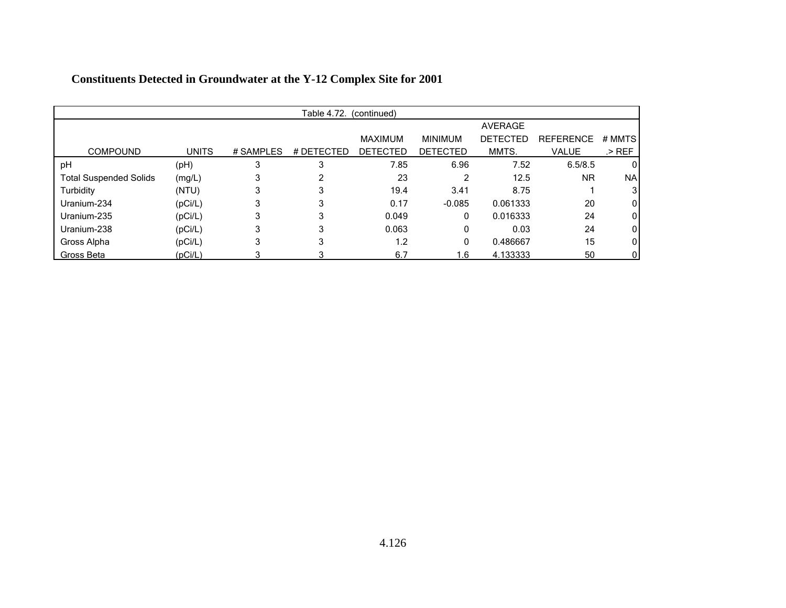| Table 4.72. (continued)       |              |           |            |                 |                 |                 |                  |           |  |  |  |  |  |
|-------------------------------|--------------|-----------|------------|-----------------|-----------------|-----------------|------------------|-----------|--|--|--|--|--|
|                               |              |           |            |                 |                 | <b>AVERAGE</b>  |                  |           |  |  |  |  |  |
|                               |              |           |            | <b>MAXIMUM</b>  | <b>MINIMUM</b>  | <b>DETECTED</b> | <b>REFERENCE</b> | # MMTS    |  |  |  |  |  |
| <b>COMPOUND</b>               | <b>UNITS</b> | # SAMPLES | # DETECTED | <b>DETECTED</b> | <b>DETECTED</b> | MMTS.           | <b>VALUE</b>     | $>$ REF   |  |  |  |  |  |
| pH                            | (pH)         | 3         | 3          | 7.85            | 6.96            | 7.52            | 6.5/8.5          | 0         |  |  |  |  |  |
| <b>Total Suspended Solids</b> | (mg/L)       |           |            | 23              | 2               | 12.5            | <b>NR</b>        | <b>NA</b> |  |  |  |  |  |
| Turbidity                     | (NTU)        | 3         | 3          | 19.4            | 3.41            | 8.75            |                  | 3         |  |  |  |  |  |
| Uranium-234                   | (pCi/L)      |           | 3          | 0.17            | $-0.085$        | 0.061333        | 20               | $\Omega$  |  |  |  |  |  |
| Uranium-235                   | (pCi/L)      |           | 3          | 0.049           | 0               | 0.016333        | 24               | 0         |  |  |  |  |  |
| Uranium-238                   | (pCi/L)      | 3         | 3          | 0.063           | 0               | 0.03            | 24               | 0         |  |  |  |  |  |
| Gross Alpha                   | (pCi/L)      | 3         | 3          | 1.2             | 0               | 0.486667        | 15               | 0         |  |  |  |  |  |
| Gross Beta                    | (pCi/L)      |           | 3          | 6.7             | 1.6             | 4.133333        | 50               | 0         |  |  |  |  |  |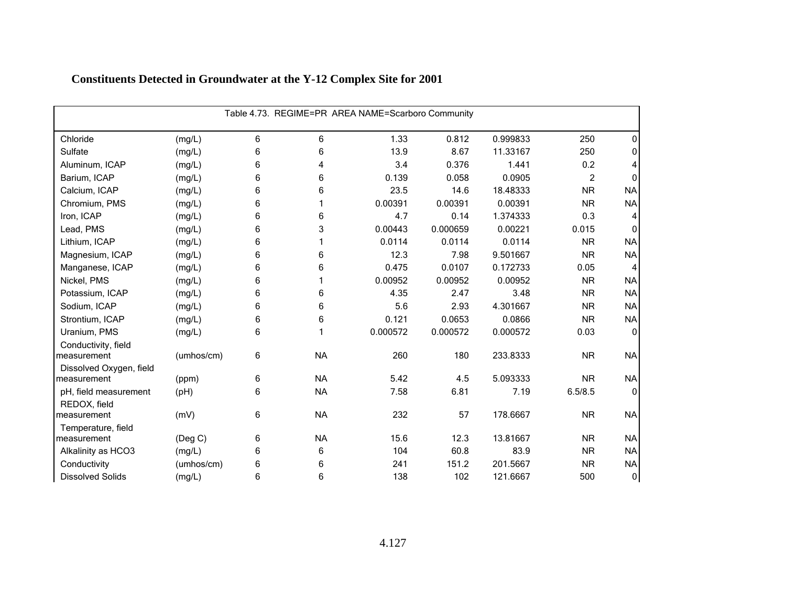| Table 4.73. REGIME=PR AREA NAME=Scarboro Community |            |   |           |          |          |          |                |                  |  |  |  |
|----------------------------------------------------|------------|---|-----------|----------|----------|----------|----------------|------------------|--|--|--|
| Chloride                                           | (mg/L)     | 6 | 6         | 1.33     | 0.812    | 0.999833 | 250            | 0                |  |  |  |
| Sulfate                                            | (mg/L)     | 6 | 6         | 13.9     | 8.67     | 11.33167 | 250            | 0                |  |  |  |
| Aluminum, ICAP                                     | (mg/L)     | 6 | 4         | 3.4      | 0.376    | 1.441    | 0.2            | 4                |  |  |  |
| Barium, ICAP                                       | (mg/L)     | 6 | 6         | 0.139    | 0.058    | 0.0905   | $\overline{c}$ | $\Omega$         |  |  |  |
| Calcium, ICAP                                      | (mg/L)     | 6 | 6         | 23.5     | 14.6     | 18.48333 | <b>NR</b>      | <b>NA</b>        |  |  |  |
| Chromium, PMS                                      | (mg/L)     | 6 |           | 0.00391  | 0.00391  | 0.00391  | <b>NR</b>      | <b>NA</b>        |  |  |  |
| Iron, ICAP                                         | (mg/L)     | 6 | 6         | 4.7      | 0.14     | 1.374333 | 0.3            | 4                |  |  |  |
| Lead, PMS                                          | (mg/L)     | 6 | 3         | 0.00443  | 0.000659 | 0.00221  | 0.015          | $\Omega$         |  |  |  |
| Lithium, ICAP                                      | (mg/L)     | 6 |           | 0.0114   | 0.0114   | 0.0114   | <b>NR</b>      | <b>NA</b>        |  |  |  |
| Magnesium, ICAP                                    | (mg/L)     | 6 | 6         | 12.3     | 7.98     | 9.501667 | <b>NR</b>      | <b>NA</b>        |  |  |  |
| Manganese, ICAP                                    | (mg/L)     | 6 | 6         | 0.475    | 0.0107   | 0.172733 | 0.05           | $\overline{4}$   |  |  |  |
| Nickel, PMS                                        | (mg/L)     | 6 |           | 0.00952  | 0.00952  | 0.00952  | <b>NR</b>      | <b>NA</b>        |  |  |  |
| Potassium, ICAP                                    | (mg/L)     | 6 | 6         | 4.35     | 2.47     | 3.48     | <b>NR</b>      | <b>NA</b>        |  |  |  |
| Sodium, ICAP                                       | (mg/L)     | 6 | 6         | 5.6      | 2.93     | 4.301667 | <b>NR</b>      | <b>NA</b>        |  |  |  |
| Strontium, ICAP                                    | (mg/L)     | 6 | 6         | 0.121    | 0.0653   | 0.0866   | <b>NR</b>      | <b>NA</b>        |  |  |  |
| Uranium, PMS                                       | (mg/L)     | 6 |           | 0.000572 | 0.000572 | 0.000572 | 0.03           | $\mathbf 0$      |  |  |  |
| Conductivity, field                                |            |   |           |          |          |          |                |                  |  |  |  |
| measurement                                        | (umhos/cm) | 6 | <b>NA</b> | 260      | 180      | 233.8333 | <b>NR</b>      | <b>NA</b>        |  |  |  |
| Dissolved Oxygen, field                            |            |   |           |          |          |          |                |                  |  |  |  |
| measurement                                        | (ppm)      | 6 | <b>NA</b> | 5.42     | 4.5      | 5.093333 | <b>NR</b>      | <b>NA</b>        |  |  |  |
| pH, field measurement                              | (pH)       | 6 | <b>NA</b> | 7.58     | 6.81     | 7.19     | 6.5/8.5        | $\mathbf{0}$     |  |  |  |
| REDOX, field                                       |            |   |           |          |          |          |                |                  |  |  |  |
| measurement                                        | (mV)       | 6 | <b>NA</b> | 232      | 57       | 178.6667 | <b>NR</b>      | <b>NA</b>        |  |  |  |
| Temperature, field                                 |            |   |           |          |          |          |                |                  |  |  |  |
| measurement                                        | (Deg C)    | 6 | <b>NA</b> | 15.6     | 12.3     | 13.81667 | <b>NR</b>      | <b>NA</b>        |  |  |  |
| Alkalinity as HCO3                                 | (mg/L)     | 6 | 6         | 104      | 60.8     | 83.9     | <b>NR</b>      | <b>NA</b>        |  |  |  |
| Conductivity                                       | (umhos/cm) | 6 | 6         | 241      | 151.2    | 201.5667 | <b>NR</b>      | <b>NA</b>        |  |  |  |
| <b>Dissolved Solids</b>                            | (mg/L)     | 6 | 6         | 138      | 102      | 121.6667 | 500            | $\boldsymbol{0}$ |  |  |  |